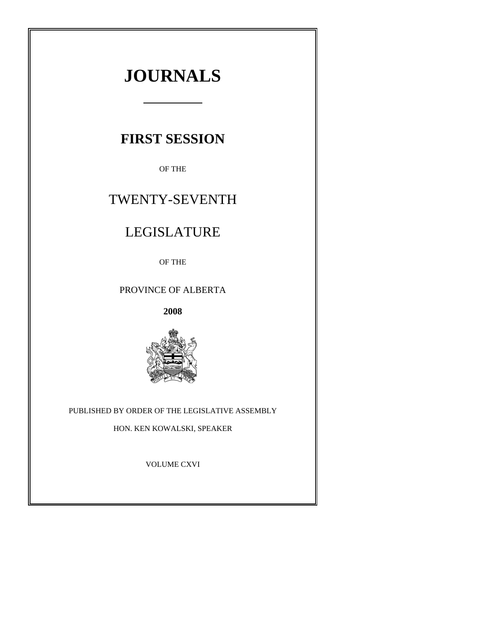# **JOURNALS**

## **FIRST SESSION**

OF THE

## TWENTY-SEVENTH

## LEGISLATURE

OF THE

## PROVINCE OF ALBERTA

**2008**



## PUBLISHED BY ORDER OF THE LEGISLATIVE ASSEMBLY

HON. KEN KOWALSKI, SPEAKER

VOLUME CXVI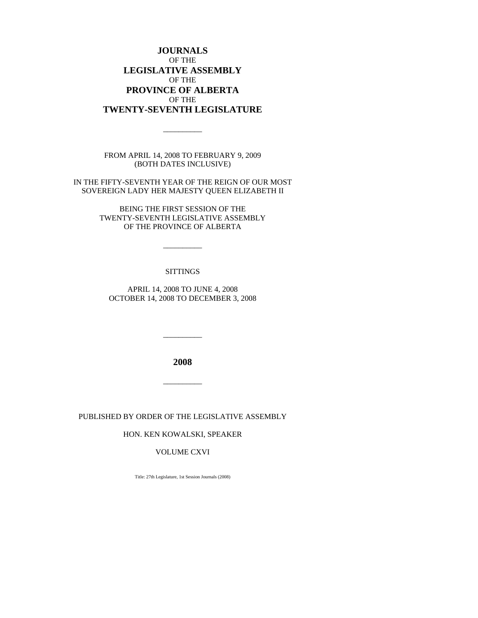## **JOURNALS** OF THE **LEGISLATIVE ASSEMBLY** OF THE **PROVINCE OF ALBERTA** OF THE **TWENTY-SEVENTH LEGISLATURE**

FROM APRIL 14, 2008 TO FEBRUARY 9, 2009 (BOTH DATES INCLUSIVE)

\_\_\_\_\_\_\_\_\_\_

IN THE FIFTY-SEVENTH YEAR OF THE REIGN OF OUR MOST SOVEREIGN LADY HER MAJESTY QUEEN ELIZABETH II

> BEING THE FIRST SESSION OF THE TWENTY-SEVENTH LEGISLATIVE ASSEMBLY OF THE PROVINCE OF ALBERTA

> > \_\_\_\_\_\_\_\_\_\_

#### **SITTINGS**

APRIL 14, 2008 TO JUNE 4, 2008 OCTOBER 14, 2008 TO DECEMBER 3, 2008

**2008**

 $\overline{\phantom{a}}$ 

 $\overline{\phantom{a}}$ 

PUBLISHED BY ORDER OF THE LEGISLATIVE ASSEMBLY

HON. KEN KOWALSKI, SPEAKER

## VOLUME CXVI

Title: 27th Legislature, 1st Session Journals (2008)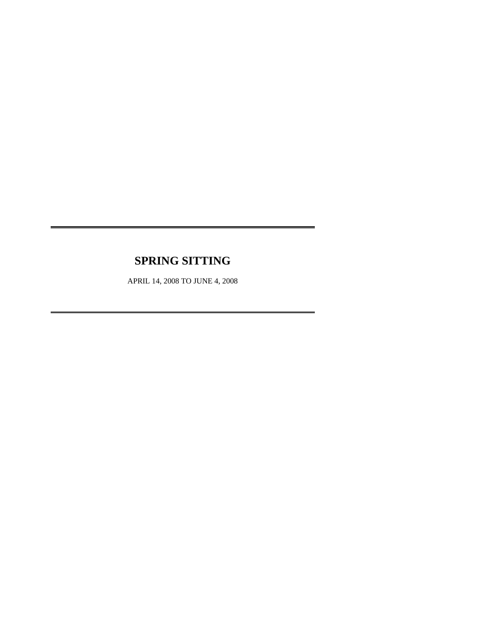## **SPRING SITTING**

APRIL 14, 2008 TO JUNE 4, 2008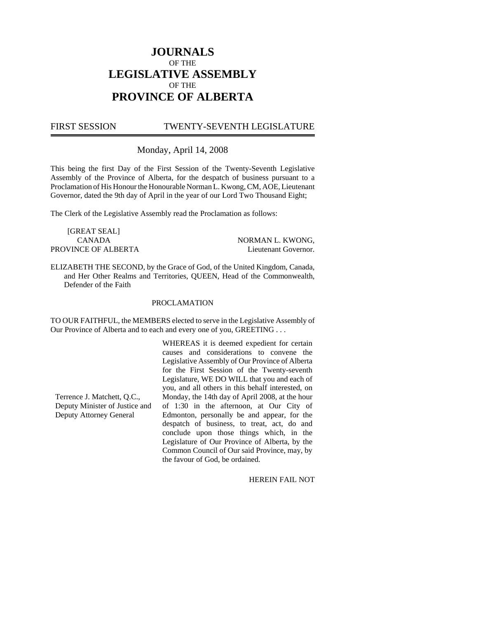## **JOURNALS** OF THE **LEGISLATIVE ASSEMBLY** OF THE **PROVINCE OF ALBERTA**

FIRST SESSION TWENTY-SEVENTH LEGISLATURE

Monday, April 14, 2008

This being the first Day of the First Session of the Twenty-Seventh Legislative Assembly of the Province of Alberta, for the despatch of business pursuant to a Proclamation of His Honour the Honourable Norman L. Kwong, CM, AOE, Lieutenant Governor, dated the 9th day of April in the year of our Lord Two Thousand Eight;

The Clerk of the Legislative Assembly read the Proclamation as follows:

[GREAT SEAL] CANADA NORMAN L. KWONG, PROVINCE OF ALBERTA Lieutenant Governor.

ELIZABETH THE SECOND, by the Grace of God, of the United Kingdom, Canada, and Her Other Realms and Territories, QUEEN, Head of the Commonwealth, Defender of the Faith

#### PROCLAMATION

TO OUR FAITHFUL, the MEMBERS elected to serve in the Legislative Assembly of Our Province of Alberta and to each and every one of you, GREETING . . .

> WHEREAS it is deemed expedient for certain causes and considerations to convene the Legislative Assembly of Our Province of Alberta for the First Session of the Twenty-seventh Legislature, WE DO WILL that you and each of you, and all others in this behalf interested, on Monday, the 14th day of April 2008, at the hour of 1:30 in the afternoon, at Our City of Edmonton, personally be and appear, for the despatch of business, to treat, act, do and conclude upon those things which, in the Legislature of Our Province of Alberta, by the Common Council of Our said Province, may, by the favour of God, be ordained.

> > HEREIN FAIL NOT

Terrence J. Matchett, Q.C., Deputy Minister of Justice and Deputy Attorney General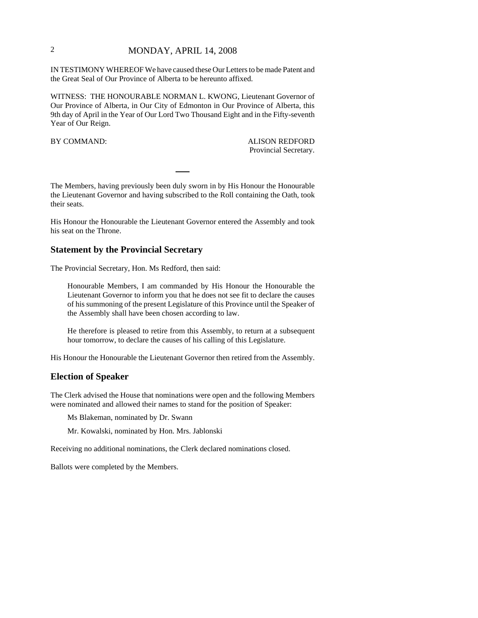## 2 MONDAY, APRIL 14, 2008

IN TESTIMONY WHEREOF We have caused these Our Letters to be made Patent and the Great Seal of Our Province of Alberta to be hereunto affixed.

WITNESS: THE HONOURABLE NORMAN L. KWONG, Lieutenant Governor of Our Province of Alberta, in Our City of Edmonton in Our Province of Alberta, this 9th day of April in the Year of Our Lord Two Thousand Eight and in the Fifty-seventh Year of Our Reign.

BY COMMAND: ALISON REDFORD Provincial Secretary.

The Members, having previously been duly sworn in by His Honour the Honourable the Lieutenant Governor and having subscribed to the Roll containing the Oath, took their seats.

His Honour the Honourable the Lieutenant Governor entered the Assembly and took his seat on the Throne.

### **Statement by the Provincial Secretary**

The Provincial Secretary, Hon. Ms Redford, then said:

Honourable Members, I am commanded by His Honour the Honourable the Lieutenant Governor to inform you that he does not see fit to declare the causes of his summoning of the present Legislature of this Province until the Speaker of the Assembly shall have been chosen according to law.

He therefore is pleased to retire from this Assembly, to return at a subsequent hour tomorrow, to declare the causes of his calling of this Legislature.

His Honour the Honourable the Lieutenant Governor then retired from the Assembly.

## **Election of Speaker**

The Clerk advised the House that nominations were open and the following Members were nominated and allowed their names to stand for the position of Speaker:

Ms Blakeman, nominated by Dr. Swann

Mr. Kowalski, nominated by Hon. Mrs. Jablonski

Receiving no additional nominations, the Clerk declared nominations closed.

Ballots were completed by the Members.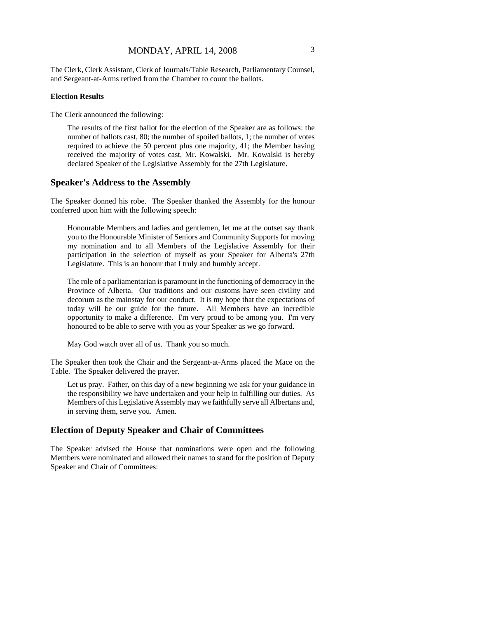The Clerk, Clerk Assistant, Clerk of Journals/Table Research, Parliamentary Counsel, and Sergeant-at-Arms retired from the Chamber to count the ballots.

#### **Election Results**

The Clerk announced the following:

The results of the first ballot for the election of the Speaker are as follows: the number of ballots cast, 80; the number of spoiled ballots, 1; the number of votes required to achieve the 50 percent plus one majority, 41; the Member having received the majority of votes cast, Mr. Kowalski. Mr. Kowalski is hereby declared Speaker of the Legislative Assembly for the 27th Legislature.

#### **Speaker's Address to the Assembly**

The Speaker donned his robe. The Speaker thanked the Assembly for the honour conferred upon him with the following speech:

Honourable Members and ladies and gentlemen, let me at the outset say thank you to the Honourable Minister of Seniors and Community Supports for moving my nomination and to all Members of the Legislative Assembly for their participation in the selection of myself as your Speaker for Alberta's 27th Legislature. This is an honour that I truly and humbly accept.

The role of a parliamentarian is paramount in the functioning of democracy in the Province of Alberta. Our traditions and our customs have seen civility and decorum as the mainstay for our conduct. It is my hope that the expectations of today will be our guide for the future. All Members have an incredible opportunity to make a difference. I'm very proud to be among you. I'm very honoured to be able to serve with you as your Speaker as we go forward.

May God watch over all of us. Thank you so much.

The Speaker then took the Chair and the Sergeant-at-Arms placed the Mace on the Table. The Speaker delivered the prayer.

Let us pray. Father, on this day of a new beginning we ask for your guidance in the responsibility we have undertaken and your help in fulfilling our duties. As Members of this Legislative Assembly may we faithfully serve all Albertans and, in serving them, serve you. Amen.

#### **Election of Deputy Speaker and Chair of Committees**

The Speaker advised the House that nominations were open and the following Members were nominated and allowed their names to stand for the position of Deputy Speaker and Chair of Committees: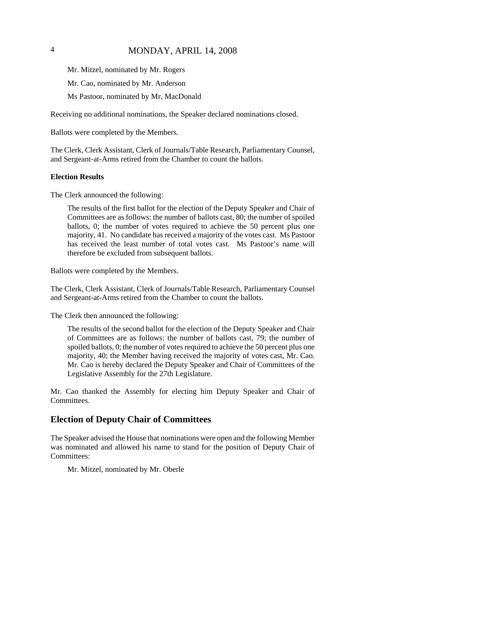## 4 MONDAY, APRIL 14, 2008

Mr. Mitzel, nominated by Mr. Rogers

Mr. Cao, nominated by Mr. Anderson

Ms Pastoor, nominated by Mr. MacDonald

Receiving no additional nominations, the Speaker declared nominations closed.

Ballots were completed by the Members.

The Clerk, Clerk Assistant, Clerk of Journals/Table Research, Parliamentary Counsel, and Sergeant-at-Arms retired from the Chamber to count the ballots.

#### **Election Results**

The Clerk announced the following:

The results of the first ballot for the election of the Deputy Speaker and Chair of Committees are as follows: the number of ballots cast, 80; the number of spoiled ballots, 0; the number of votes required to achieve the 50 percent plus one majority, 41. No candidate has received a majority of the votes cast. Ms Pastoor has received the least number of total votes cast. Ms Pastoor's name will therefore be excluded from subsequent ballots.

Ballots were completed by the Members.

The Clerk, Clerk Assistant, Clerk of Journals/Table Research, Parliamentary Counsel and Sergeant-at-Arms retired from the Chamber to count the ballots.

The Clerk then announced the following:

The results of the second ballot for the election of the Deputy Speaker and Chair of Committees are as follows: the number of ballots cast, 79; the number of spoiled ballots, 0; the number of votes required to achieve the 50 percent plus one majority, 40; the Member having received the majority of votes cast, Mr. Cao. Mr. Cao is hereby declared the Deputy Speaker and Chair of Committees of the Legislative Assembly for the 27th Legislature.

Mr. Cao thanked the Assembly for electing him Deputy Speaker and Chair of Committees.

#### **Election of Deputy Chair of Committees**

The Speaker advised the House that nominations were open and the following Member was nominated and allowed his name to stand for the position of Deputy Chair of Committees:

Mr. Mitzel, nominated by Mr. Oberle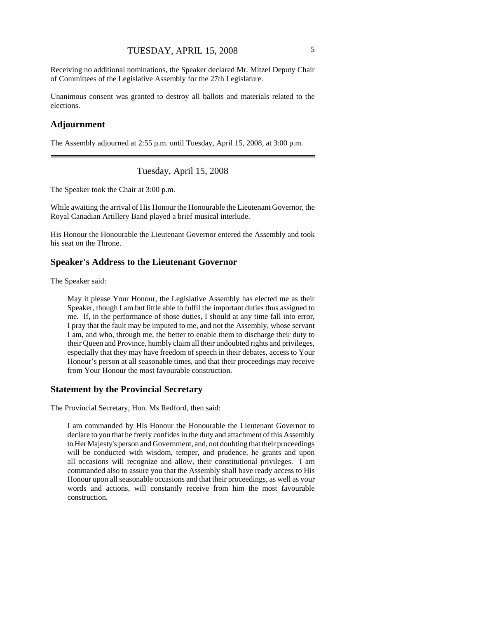Receiving no additional nominations, the Speaker declared Mr. Mitzel Deputy Chair of Committees of the Legislative Assembly for the 27th Legislature.

Unanimous consent was granted to destroy all ballots and materials related to the elections.

## **Adjournment**

The Assembly adjourned at 2:55 p.m. until Tuesday, April 15, 2008, at 3:00 p.m.

Tuesday, April 15, 2008

The Speaker took the Chair at 3:00 p.m.

While awaiting the arrival of His Honour the Honourable the Lieutenant Governor, the Royal Canadian Artillery Band played a brief musical interlude.

His Honour the Honourable the Lieutenant Governor entered the Assembly and took his seat on the Throne.

#### **Speaker's Address to the Lieutenant Governor**

The Speaker said:

May it please Your Honour, the Legislative Assembly has elected me as their Speaker, though I am but little able to fulfil the important duties thus assigned to me. If, in the performance of those duties, I should at any time fall into error, I pray that the fault may be imputed to me, and not the Assembly, whose servant I am, and who, through me, the better to enable them to discharge their duty to their Queen and Province, humbly claim all their undoubted rights and privileges, especially that they may have freedom of speech in their debates, access to Your Honour's person at all seasonable times, and that their proceedings may receive from Your Honour the most favourable construction.

## **Statement by the Provincial Secretary**

The Provincial Secretary, Hon. Ms Redford, then said:

I am commanded by His Honour the Honourable the Lieutenant Governor to declare to you that he freely confides in the duty and attachment of this Assembly to Her Majesty's person and Government, and, not doubting that their proceedings will be conducted with wisdom, temper, and prudence, he grants and upon all occasions will recognize and allow, their constitutional privileges. I am commanded also to assure you that the Assembly shall have ready access to His Honour upon all seasonable occasions and that their proceedings, as well as your words and actions, will constantly receive from him the most favourable construction.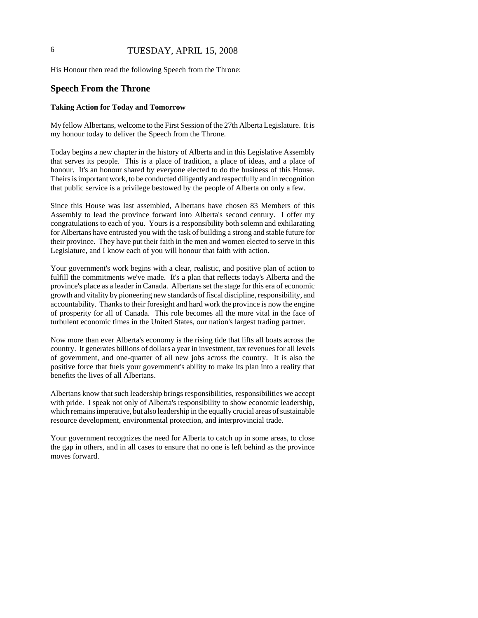## 6 TUESDAY, APRIL 15, 2008

His Honour then read the following Speech from the Throne:

#### **Speech From the Throne**

#### **Taking Action for Today and Tomorrow**

My fellow Albertans, welcome to the First Session of the 27th Alberta Legislature. It is my honour today to deliver the Speech from the Throne.

Today begins a new chapter in the history of Alberta and in this Legislative Assembly that serves its people. This is a place of tradition, a place of ideas, and a place of honour. It's an honour shared by everyone elected to do the business of this House. Theirs is important work, to be conducted diligently and respectfully and in recognition that public service is a privilege bestowed by the people of Alberta on only a few.

Since this House was last assembled, Albertans have chosen 83 Members of this Assembly to lead the province forward into Alberta's second century. I offer my congratulations to each of you. Yours is a responsibility both solemn and exhilarating for Albertans have entrusted you with the task of building a strong and stable future for their province. They have put their faith in the men and women elected to serve in this Legislature, and I know each of you will honour that faith with action.

Your government's work begins with a clear, realistic, and positive plan of action to fulfill the commitments we've made. It's a plan that reflects today's Alberta and the province's place as a leader in Canada. Albertans set the stage for this era of economic growth and vitality by pioneering new standards of fiscal discipline, responsibility, and accountability. Thanks to their foresight and hard work the province is now the engine of prosperity for all of Canada. This role becomes all the more vital in the face of turbulent economic times in the United States, our nation's largest trading partner.

Now more than ever Alberta's economy is the rising tide that lifts all boats across the country. It generates billions of dollars a year in investment, tax revenues for all levels of government, and one-quarter of all new jobs across the country. It is also the positive force that fuels your government's ability to make its plan into a reality that benefits the lives of all Albertans.

Albertans know that such leadership brings responsibilities, responsibilities we accept with pride. I speak not only of Alberta's responsibility to show economic leadership, which remains imperative, but also leadership in the equally crucial areas of sustainable resource development, environmental protection, and interprovincial trade.

Your government recognizes the need for Alberta to catch up in some areas, to close the gap in others, and in all cases to ensure that no one is left behind as the province moves forward.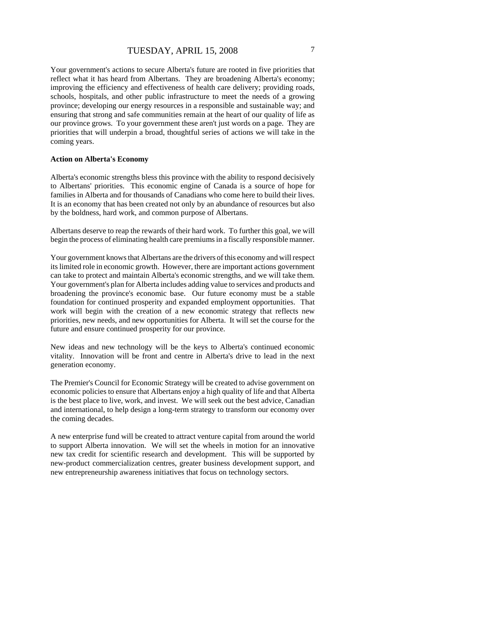Your government's actions to secure Alberta's future are rooted in five priorities that reflect what it has heard from Albertans. They are broadening Alberta's economy; improving the efficiency and effectiveness of health care delivery; providing roads, schools, hospitals, and other public infrastructure to meet the needs of a growing province; developing our energy resources in a responsible and sustainable way; and ensuring that strong and safe communities remain at the heart of our quality of life as our province grows. To your government these aren't just words on a page. They are priorities that will underpin a broad, thoughtful series of actions we will take in the coming years.

#### **Action on Alberta's Economy**

Alberta's economic strengths bless this province with the ability to respond decisively to Albertans' priorities. This economic engine of Canada is a source of hope for families in Alberta and for thousands of Canadians who come here to build their lives. It is an economy that has been created not only by an abundance of resources but also by the boldness, hard work, and common purpose of Albertans.

Albertans deserve to reap the rewards of their hard work. To further this goal, we will begin the process of eliminating health care premiums in a fiscally responsible manner.

Your government knows that Albertans are the drivers of this economy and will respect its limited role in economic growth. However, there are important actions government can take to protect and maintain Alberta's economic strengths, and we will take them. Your government's plan for Alberta includes adding value to services and products and broadening the province's economic base. Our future economy must be a stable foundation for continued prosperity and expanded employment opportunities. That work will begin with the creation of a new economic strategy that reflects new priorities, new needs, and new opportunities for Alberta. It will set the course for the future and ensure continued prosperity for our province.

New ideas and new technology will be the keys to Alberta's continued economic vitality. Innovation will be front and centre in Alberta's drive to lead in the next generation economy.

The Premier's Council for Economic Strategy will be created to advise government on economic policies to ensure that Albertans enjoy a high quality of life and that Alberta is the best place to live, work, and invest. We will seek out the best advice, Canadian and international, to help design a long-term strategy to transform our economy over the coming decades.

A new enterprise fund will be created to attract venture capital from around the world to support Alberta innovation. We will set the wheels in motion for an innovative new tax credit for scientific research and development. This will be supported by new-product commercialization centres, greater business development support, and new entrepreneurship awareness initiatives that focus on technology sectors.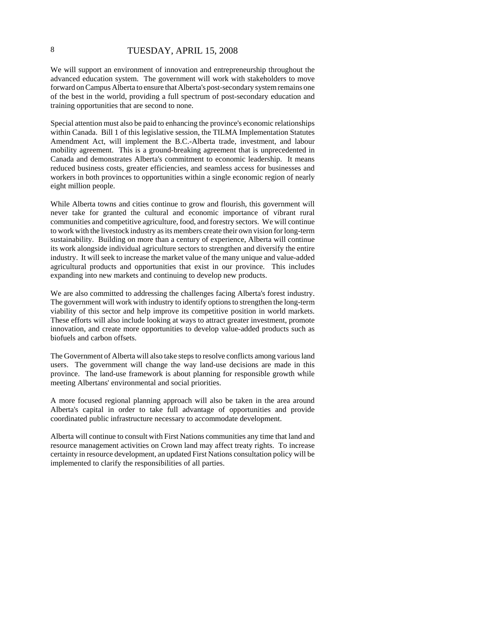## 8 TUESDAY, APRIL 15, 2008

We will support an environment of innovation and entrepreneurship throughout the advanced education system. The government will work with stakeholders to move forward on Campus Alberta to ensure that Alberta's post-secondary system remains one of the best in the world, providing a full spectrum of post-secondary education and training opportunities that are second to none.

Special attention must also be paid to enhancing the province's economic relationships within Canada. Bill 1 of this legislative session, the TILMA Implementation Statutes Amendment Act, will implement the B.C.-Alberta trade, investment, and labour mobility agreement. This is a ground-breaking agreement that is unprecedented in Canada and demonstrates Alberta's commitment to economic leadership. It means reduced business costs, greater efficiencies, and seamless access for businesses and workers in both provinces to opportunities within a single economic region of nearly eight million people.

While Alberta towns and cities continue to grow and flourish, this government will never take for granted the cultural and economic importance of vibrant rural communities and competitive agriculture, food, and forestry sectors. We will continue to work with the livestock industry as its members create their own vision for long-term sustainability. Building on more than a century of experience, Alberta will continue its work alongside individual agriculture sectors to strengthen and diversify the entire industry. It will seek to increase the market value of the many unique and value-added agricultural products and opportunities that exist in our province. This includes expanding into new markets and continuing to develop new products.

We are also committed to addressing the challenges facing Alberta's forest industry. The government will work with industry to identify options to strengthen the long-term viability of this sector and help improve its competitive position in world markets. These efforts will also include looking at ways to attract greater investment, promote innovation, and create more opportunities to develop value-added products such as biofuels and carbon offsets.

The Government of Alberta will also take steps to resolve conflicts among various land users. The government will change the way land-use decisions are made in this province. The land-use framework is about planning for responsible growth while meeting Albertans' environmental and social priorities.

A more focused regional planning approach will also be taken in the area around Alberta's capital in order to take full advantage of opportunities and provide coordinated public infrastructure necessary to accommodate development.

Alberta will continue to consult with First Nations communities any time that land and resource management activities on Crown land may affect treaty rights. To increase certainty in resource development, an updated First Nations consultation policy will be implemented to clarify the responsibilities of all parties.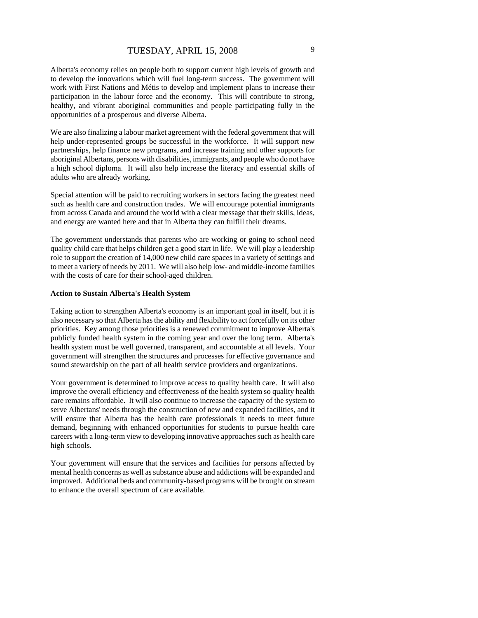Alberta's economy relies on people both to support current high levels of growth and to develop the innovations which will fuel long-term success. The government will work with First Nations and Métis to develop and implement plans to increase their participation in the labour force and the economy. This will contribute to strong, healthy, and vibrant aboriginal communities and people participating fully in the opportunities of a prosperous and diverse Alberta.

We are also finalizing a labour market agreement with the federal government that will help under-represented groups be successful in the workforce. It will support new partnerships, help finance new programs, and increase training and other supports for aboriginal Albertans, persons with disabilities, immigrants, and people who do not have a high school diploma. It will also help increase the literacy and essential skills of adults who are already working.

Special attention will be paid to recruiting workers in sectors facing the greatest need such as health care and construction trades. We will encourage potential immigrants from across Canada and around the world with a clear message that their skills, ideas, and energy are wanted here and that in Alberta they can fulfill their dreams.

The government understands that parents who are working or going to school need quality child care that helps children get a good start in life. We will play a leadership role to support the creation of 14,000 new child care spaces in a variety of settings and to meet a variety of needs by 2011. We will also help low- and middle-income families with the costs of care for their school-aged children.

#### **Action to Sustain Alberta's Health System**

Taking action to strengthen Alberta's economy is an important goal in itself, but it is also necessary so that Alberta has the ability and flexibility to act forcefully on its other priorities. Key among those priorities is a renewed commitment to improve Alberta's publicly funded health system in the coming year and over the long term. Alberta's health system must be well governed, transparent, and accountable at all levels. Your government will strengthen the structures and processes for effective governance and sound stewardship on the part of all health service providers and organizations.

Your government is determined to improve access to quality health care. It will also improve the overall efficiency and effectiveness of the health system so quality health care remains affordable. It will also continue to increase the capacity of the system to serve Albertans' needs through the construction of new and expanded facilities, and it will ensure that Alberta has the health care professionals it needs to meet future demand, beginning with enhanced opportunities for students to pursue health care careers with a long-term view to developing innovative approaches such as health care high schools.

Your government will ensure that the services and facilities for persons affected by mental health concerns as well as substance abuse and addictions will be expanded and improved. Additional beds and community-based programs will be brought on stream to enhance the overall spectrum of care available.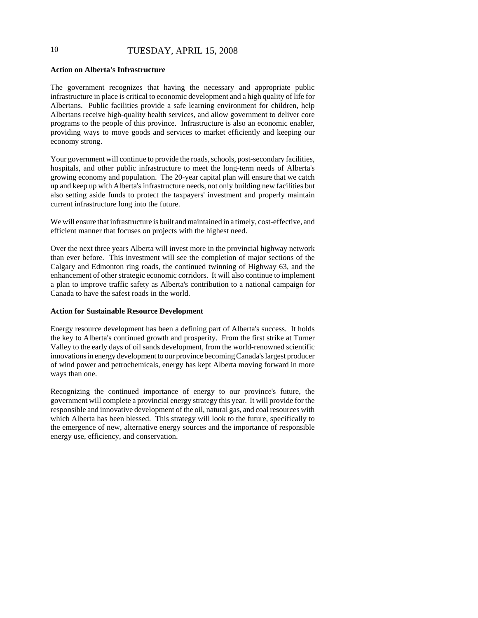## 10 TUESDAY, APRIL 15, 2008

#### **Action on Alberta's Infrastructure**

The government recognizes that having the necessary and appropriate public infrastructure in place is critical to economic development and a high quality of life for Albertans. Public facilities provide a safe learning environment for children, help Albertans receive high-quality health services, and allow government to deliver core programs to the people of this province. Infrastructure is also an economic enabler, providing ways to move goods and services to market efficiently and keeping our economy strong.

Your government will continue to provide the roads, schools, post-secondary facilities, hospitals, and other public infrastructure to meet the long-term needs of Alberta's growing economy and population. The 20-year capital plan will ensure that we catch up and keep up with Alberta's infrastructure needs, not only building new facilities but also setting aside funds to protect the taxpayers' investment and properly maintain current infrastructure long into the future.

We will ensure that infrastructure is built and maintained in a timely, cost-effective, and efficient manner that focuses on projects with the highest need.

Over the next three years Alberta will invest more in the provincial highway network than ever before. This investment will see the completion of major sections of the Calgary and Edmonton ring roads, the continued twinning of Highway 63, and the enhancement of other strategic economic corridors. It will also continue to implement a plan to improve traffic safety as Alberta's contribution to a national campaign for Canada to have the safest roads in the world.

#### **Action for Sustainable Resource Development**

Energy resource development has been a defining part of Alberta's success. It holds the key to Alberta's continued growth and prosperity. From the first strike at Turner Valley to the early days of oil sands development, from the world-renowned scientific innovations in energy development to our province becoming Canada's largest producer of wind power and petrochemicals, energy has kept Alberta moving forward in more ways than one.

Recognizing the continued importance of energy to our province's future, the government will complete a provincial energy strategy this year. It will provide for the responsible and innovative development of the oil, natural gas, and coal resources with which Alberta has been blessed. This strategy will look to the future, specifically to the emergence of new, alternative energy sources and the importance of responsible energy use, efficiency, and conservation.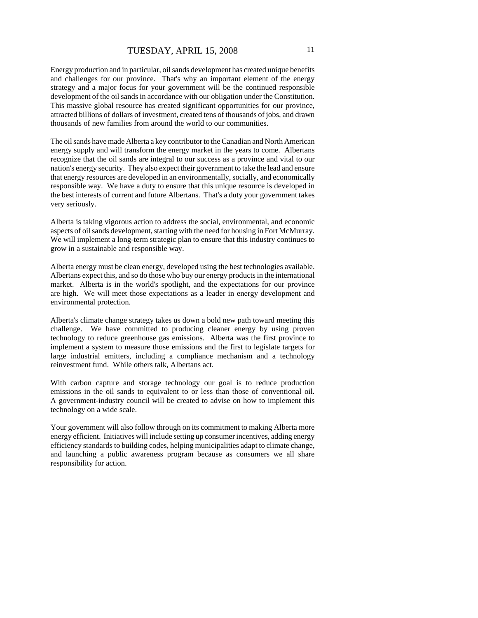Energy production and in particular, oil sands development has created unique benefits and challenges for our province. That's why an important element of the energy strategy and a major focus for your government will be the continued responsible development of the oil sands in accordance with our obligation under the Constitution. This massive global resource has created significant opportunities for our province, attracted billions of dollars of investment, created tens of thousands of jobs, and drawn thousands of new families from around the world to our communities.

The oil sands have made Alberta a key contributor to the Canadian and North American energy supply and will transform the energy market in the years to come. Albertans recognize that the oil sands are integral to our success as a province and vital to our nation's energy security. They also expect their government to take the lead and ensure that energy resources are developed in an environmentally, socially, and economically responsible way. We have a duty to ensure that this unique resource is developed in the best interests of current and future Albertans. That's a duty your government takes very seriously.

Alberta is taking vigorous action to address the social, environmental, and economic aspects of oil sands development, starting with the need for housing in Fort McMurray. We will implement a long-term strategic plan to ensure that this industry continues to grow in a sustainable and responsible way.

Alberta energy must be clean energy, developed using the best technologies available. Albertans expect this, and so do those who buy our energy products in the international market. Alberta is in the world's spotlight, and the expectations for our province are high. We will meet those expectations as a leader in energy development and environmental protection.

Alberta's climate change strategy takes us down a bold new path toward meeting this challenge. We have committed to producing cleaner energy by using proven technology to reduce greenhouse gas emissions. Alberta was the first province to implement a system to measure those emissions and the first to legislate targets for large industrial emitters, including a compliance mechanism and a technology reinvestment fund. While others talk, Albertans act.

With carbon capture and storage technology our goal is to reduce production emissions in the oil sands to equivalent to or less than those of conventional oil. A government-industry council will be created to advise on how to implement this technology on a wide scale.

Your government will also follow through on its commitment to making Alberta more energy efficient. Initiatives will include setting up consumer incentives, adding energy efficiency standards to building codes, helping municipalities adapt to climate change, and launching a public awareness program because as consumers we all share responsibility for action.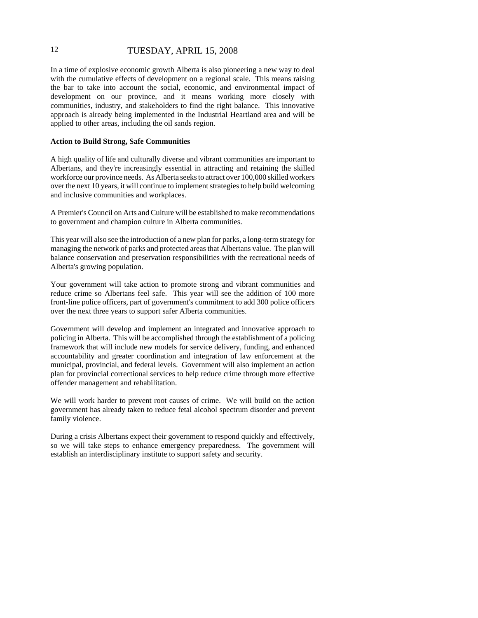## 12 TUESDAY, APRIL 15, 2008

In a time of explosive economic growth Alberta is also pioneering a new way to deal with the cumulative effects of development on a regional scale. This means raising the bar to take into account the social, economic, and environmental impact of development on our province, and it means working more closely with communities, industry, and stakeholders to find the right balance. This innovative approach is already being implemented in the Industrial Heartland area and will be applied to other areas, including the oil sands region.

#### **Action to Build Strong, Safe Communities**

A high quality of life and culturally diverse and vibrant communities are important to Albertans, and they're increasingly essential in attracting and retaining the skilled workforce our province needs. As Alberta seeks to attract over 100,000 skilled workers over the next 10 years, it will continue to implement strategies to help build welcoming and inclusive communities and workplaces.

A Premier's Council on Arts and Culture will be established to make recommendations to government and champion culture in Alberta communities.

This year will also see the introduction of a new plan for parks, a long-term strategy for managing the network of parks and protected areas that Albertans value. The plan will balance conservation and preservation responsibilities with the recreational needs of Alberta's growing population.

Your government will take action to promote strong and vibrant communities and reduce crime so Albertans feel safe. This year will see the addition of 100 more front-line police officers, part of government's commitment to add 300 police officers over the next three years to support safer Alberta communities.

Government will develop and implement an integrated and innovative approach to policing in Alberta. This will be accomplished through the establishment of a policing framework that will include new models for service delivery, funding, and enhanced accountability and greater coordination and integration of law enforcement at the municipal, provincial, and federal levels. Government will also implement an action plan for provincial correctional services to help reduce crime through more effective offender management and rehabilitation.

We will work harder to prevent root causes of crime. We will build on the action government has already taken to reduce fetal alcohol spectrum disorder and prevent family violence.

During a crisis Albertans expect their government to respond quickly and effectively, so we will take steps to enhance emergency preparedness. The government will establish an interdisciplinary institute to support safety and security.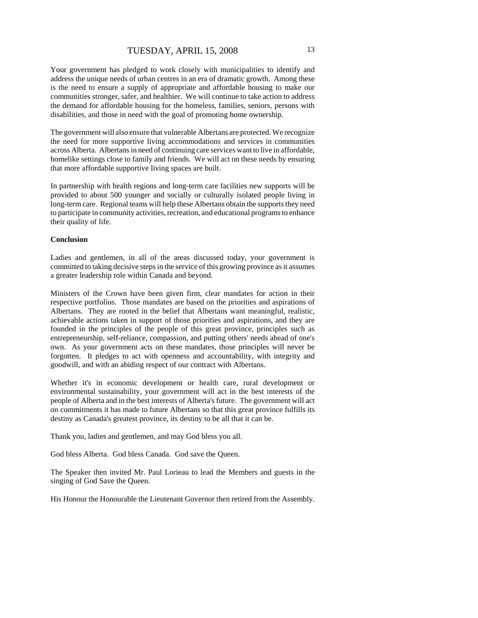Your government has pledged to work closely with municipalities to identify and address the unique needs of urban centres in an era of dramatic growth. Among these is the need to ensure a supply of appropriate and affordable housing to make our communities stronger, safer, and healthier. We will continue to take action to address the demand for affordable housing for the homeless, families, seniors, persons with disabilities, and those in need with the goal of promoting home ownership.

The government will also ensure that vulnerable Albertans are protected. We recognize the need for more supportive living accommodations and services in communities across Alberta. Albertans in need of continuing care services want to live in affordable, homelike settings close to family and friends. We will act on these needs by ensuring that more affordable supportive living spaces are built.

In partnership with health regions and long-term care facilities new supports will be provided to about 500 younger and socially or culturally isolated people living in long-term care. Regional teams will help these Albertans obtain the supports they need to participate in community activities, recreation, and educational programs to enhance their quality of life.

#### **Conclusion**

Ladies and gentlemen, in all of the areas discussed today, your government is committed to taking decisive steps in the service of this growing province as it assumes a greater leadership role within Canada and beyond.

Ministers of the Crown have been given firm, clear mandates for action in their respective portfolios. Those mandates are based on the priorities and aspirations of Albertans. They are rooted in the belief that Albertans want meaningful, realistic, achievable actions taken in support of those priorities and aspirations, and they are founded in the principles of the people of this great province, principles such as entrepreneurship, self-reliance, compassion, and putting others' needs ahead of one's own. As your government acts on these mandates, those principles will never be forgotten. It pledges to act with openness and accountability, with integrity and goodwill, and with an abiding respect of our contract with Albertans.

Whether it's in economic development or health care, rural development or environmental sustainability, your government will act in the best interests of the people of Alberta and in the best interests of Alberta's future. The government will act on commitments it has made to future Albertans so that this great province fulfills its destiny as Canada's greatest province, its destiny to be all that it can be.

Thank you, ladies and gentlemen, and may God bless you all.

God bless Alberta. God bless Canada. God save the Queen.

The Speaker then invited Mr. Paul Lorieau to lead the Members and guests in the singing of God Save the Queen.

His Honour the Honourable the Lieutenant Governor then retired from the Assembly.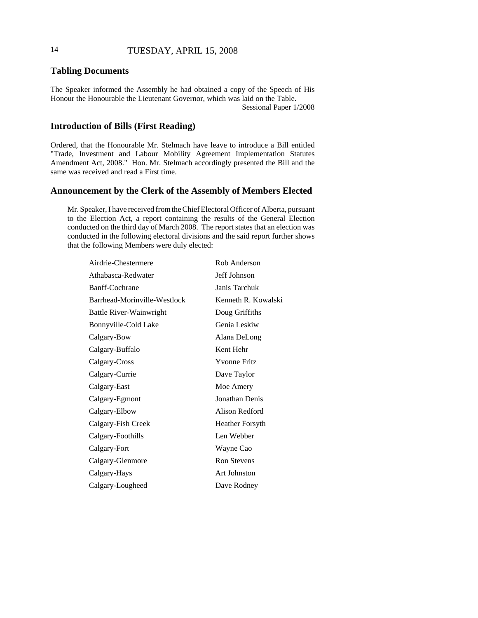## **Tabling Documents**

The Speaker informed the Assembly he had obtained a copy of the Speech of His Honour the Honourable the Lieutenant Governor, which was laid on the Table. Sessional Paper 1/2008

## **Introduction of Bills (First Reading)**

Ordered, that the Honourable Mr. Stelmach have leave to introduce a Bill entitled "Trade, Investment and Labour Mobility Agreement Implementation Statutes Amendment Act, 2008." Hon. Mr. Stelmach accordingly presented the Bill and the same was received and read a First time.

## **Announcement by the Clerk of the Assembly of Members Elected**

Mr. Speaker, I have received from the Chief Electoral Officer of Alberta, pursuant to the Election Act, a report containing the results of the General Election conducted on the third day of March 2008. The report states that an election was conducted in the following electoral divisions and the said report further shows that the following Members were duly elected:

| Airdrie-Chestermere          | Rob Anderson           |
|------------------------------|------------------------|
| Athabasca-Redwater           | Jeff Johnson           |
| Banff-Cochrane               | Janis Tarchuk          |
| Barrhead-Morinville-Westlock | Kenneth R. Kowalski    |
| Battle River-Wainwright      | Doug Griffiths         |
| Bonnyville-Cold Lake         | Genia Leskiw           |
| Calgary-Bow                  | Alana DeLong           |
| Calgary-Buffalo              | Kent Hehr              |
| Calgary-Cross                | <b>Yvonne Fritz</b>    |
| Calgary-Currie               | Dave Taylor            |
| Calgary-East                 | Moe Amery              |
| Calgary-Egmont               | Jonathan Denis         |
| Calgary-Elbow                | Alison Redford         |
| Calgary-Fish Creek           | <b>Heather Forsyth</b> |
| Calgary-Foothills            | Len Webber             |
| Calgary-Fort                 | Wayne Cao              |
| Calgary-Glenmore             | <b>Ron Stevens</b>     |
| Calgary-Hays                 | Art Johnston           |
| Calgary-Lougheed             | Dave Rodney            |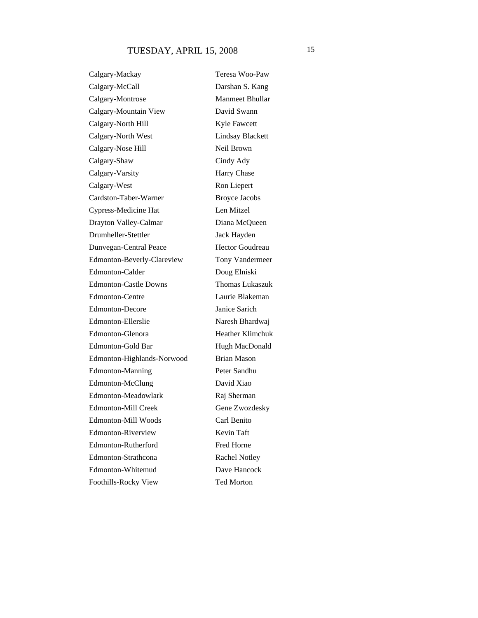Calgary-Mackay Teresa Woo-Paw Calgary-McCall Darshan S. Kang Calgary-Montrose Manmeet Bhullar Calgary-Mountain View David Swann Calgary-North Hill Kyle Fawcett Calgary-North West Lindsay Blackett Calgary-Nose Hill Neil Brown Calgary-Shaw Cindy Ady Calgary-Varsity Harry Chase Calgary-West Ron Liepert Cardston-Taber-Warner Broyce Jacobs Cypress-Medicine Hat Len Mitzel Drayton Valley-Calmar Diana McQueen Drumheller-Stettler Jack Hayden Dunvegan-Central Peace Hector Goudreau Edmonton-Beverly-Clareview Tony Vandermeer Edmonton-Calder Doug Elniski Edmonton-Castle Downs Thomas Lukaszuk Edmonton-Centre Laurie Blakeman Edmonton-Decore Janice Sarich Edmonton-Ellerslie Naresh Bhardwaj Edmonton-Glenora Heather Klimchuk Edmonton-Gold Bar Hugh MacDonald Edmonton-Highlands-Norwood Brian Mason Edmonton-Manning Peter Sandhu Edmonton-McClung David Xiao Edmonton-Meadowlark Raj Sherman Edmonton-Mill Creek Gene Zwozdesky Edmonton-Mill Woods Carl Benito Edmonton-Riverview Kevin Taft Edmonton-Rutherford Fred Horne Edmonton-Strathcona Rachel Notley Edmonton-Whitemud Dave Hancock Foothills-Rocky View Ted Morton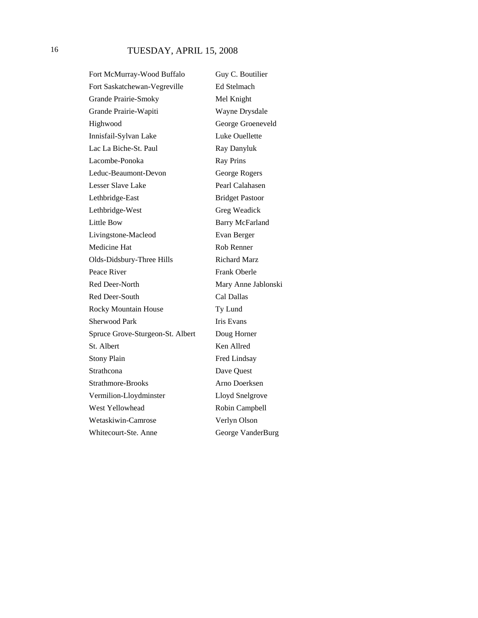Fort McMurray-Wood Buffalo Guy C. Boutilier Fort Saskatchewan-Vegreville Ed Stelmach Grande Prairie-Smoky Mel Knight Grande Prairie-Wapiti Wayne Drysdale Highwood George Groeneveld Innisfail-Sylvan Lake Luke Ouellette Lac La Biche-St. Paul Ray Danyluk Lacombe-Ponoka Ray Prins Leduc-Beaumont-Devon George Rogers Lesser Slave Lake Pearl Calahasen Lethbridge-East Bridget Pastoor Lethbridge-West Greg Weadick Little Bow Barry McFarland Livingstone-Macleod Evan Berger Medicine Hat Rob Renner Olds-Didsbury-Three Hills Richard Marz Peace River Frank Oberle Red Deer-North Mary Anne Jablonski Red Deer-South Cal Dallas Rocky Mountain House Ty Lund Sherwood Park Iris Evans Spruce Grove-Sturgeon-St. Albert Doug Horner St. Albert Ken Allred Stony Plain Fred Lindsay Strathcona Dave Quest Strathmore-Brooks Arno Doerksen Vermilion-Lloydminster Lloyd Snelgrove West Yellowhead Robin Campbell Wetaskiwin-Camrose Verlyn Olson Whitecourt-Ste. Anne George VanderBurg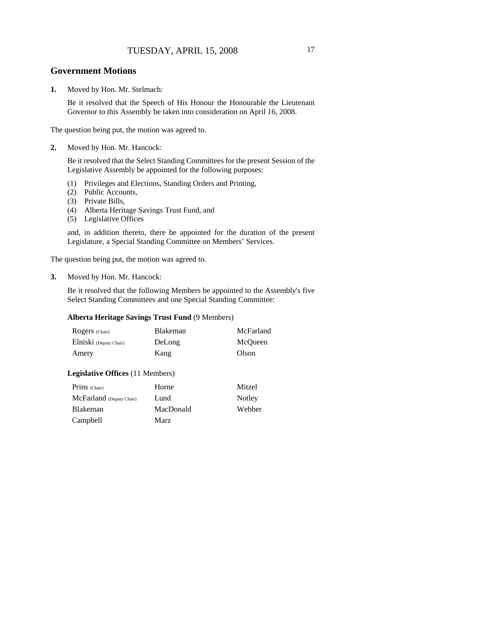## TUESDAY, APRIL 15, 2008 17

#### **Government Motions**

**1.** Moved by Hon. Mr. Stelmach:

Be it resolved that the Speech of His Honour the Honourable the Lieutenant Governor to this Assembly be taken into consideration on April 16, 2008.

The question being put, the motion was agreed to.

**2.** Moved by Hon. Mr. Hancock:

Be it resolved that the Select Standing Committees for the present Session of the Legislative Assembly be appointed for the following purposes:

- (1) Privileges and Elections, Standing Orders and Printing,
- (2) Public Accounts,
- (3) Private Bills,
- (4) Alberta Heritage Savings Trust Fund, and
- (5) Legislative Offices

and, in addition thereto, there be appointed for the duration of the present Legislature, a Special Standing Committee on Members' Services.

The question being put, the motion was agreed to.

#### **3.** Moved by Hon. Mr. Hancock:

Be it resolved that the following Members be appointed to the Assembly's five Select Standing Committees and one Special Standing Committee:

#### **Alberta Heritage Savings Trust Fund** (9 Members)

| Rogers (Chair)         | <b>Blakeman</b> | McFarland |
|------------------------|-----------------|-----------|
| Elniski (Deputy Chair) | DeLong          | McOueen   |
| Amery                  | Kang            | Olson     |

#### **Legislative Offices** (11 Members)

| Prins (Chair)            | Horne     | Mitzel |
|--------------------------|-----------|--------|
| McFarland (Deputy Chair) | Lund      | Notley |
| Blakeman                 | MacDonald | Webber |
| Campbell                 | Marz      |        |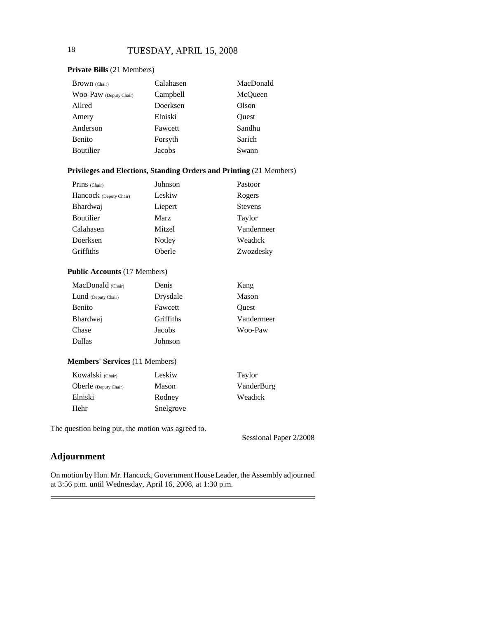#### **Private Bills** (21 Members)

| <b>Brown</b> (Chair)   | Calahasen | MacDonald |
|------------------------|-----------|-----------|
| WOO-PaW (Deputy Chair) | Campbell  | McQueen   |
| Allred                 | Doerksen  | Olson     |
| Amery                  | Elniski   | Quest     |
| Anderson               | Fawcett   | Sandhu    |
| <b>Benito</b>          | Forsyth   | Sarich    |
| Boutilier              | Jacobs    | Swann     |

#### **Privileges and Elections, Standing Orders and Printing** (21 Members)

| Prins (Chair)          | Johnson     | Pastoor        |
|------------------------|-------------|----------------|
| Hancock (Deputy Chair) | Leskiw      | Rogers         |
| Bhardwaj               | Liepert     | <b>Stevens</b> |
| Boutilier              | <b>Marz</b> | Taylor         |
| Calahasen              | Mitzel      | Vandermeer     |
| Doerksen               | Notley      | Weadick        |
| Griffiths              | Oberle      | Zwozdesky      |

#### **Public Accounts** (17 Members)

| MacDonald (Chair)   | Denis     | Kang       |
|---------------------|-----------|------------|
| Lund (Deputy Chair) | Drysdale  | Mason      |
| Benito              | Fawcett   | Ouest      |
| Bhardwaj            | Griffiths | Vandermeer |
| Chase               | Jacobs    | Woo-Paw    |
| Dallas              | Johnson   |            |
|                     |           |            |

## **Members' Services** (11 Members)

| Kowalski (Chair)             | Leskiw    | Taylor     |
|------------------------------|-----------|------------|
| <b>Oberle</b> (Deputy Chair) | Mason     | VanderBurg |
| Elniski                      | Rodney    | Weadick    |
| Hehr                         | Snelgrove |            |

The question being put, the motion was agreed to.

Sessional Paper 2/2008

## **Adjournment**

On motion by Hon. Mr. Hancock, Government House Leader, the Assembly adjourned at 3:56 p.m. until Wednesday, April 16, 2008, at 1:30 p.m.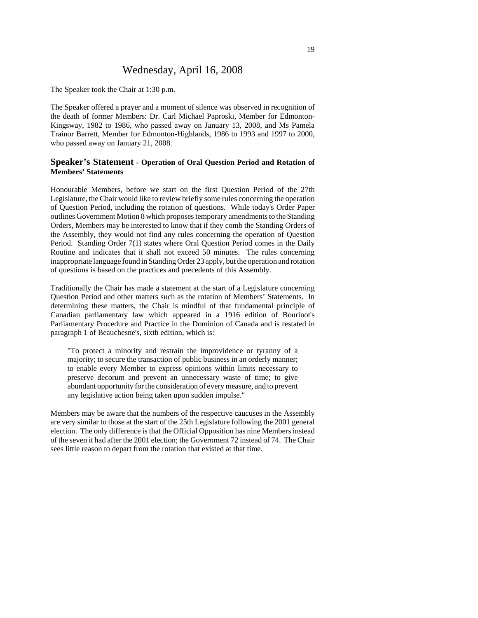## Wednesday, April 16, 2008

The Speaker took the Chair at 1:30 p.m.

The Speaker offered a prayer and a moment of silence was observed in recognition of the death of former Members: Dr. Carl Michael Paproski, Member for Edmonton-Kingsway, 1982 to 1986, who passed away on January 13, 2008, and Ms Pamela Trainor Barrett, Member for Edmonton-Highlands, 1986 to 1993 and 1997 to 2000, who passed away on January 21, 2008.

#### **Speaker's Statement - Operation of Oral Question Period and Rotation of Members' Statements**

Honourable Members, before we start on the first Question Period of the 27th Legislature, the Chair would like to review briefly some rules concerning the operation of Question Period, including the rotation of questions. While today's Order Paper outlines Government Motion 8 which proposes temporary amendments to the Standing Orders, Members may be interested to know that if they comb the Standing Orders of the Assembly, they would not find any rules concerning the operation of Question Period. Standing Order 7(1) states where Oral Question Period comes in the Daily Routine and indicates that it shall not exceed 50 minutes. The rules concerning inappropriate language found in Standing Order 23 apply, but the operation and rotation of questions is based on the practices and precedents of this Assembly.

Traditionally the Chair has made a statement at the start of a Legislature concerning Question Period and other matters such as the rotation of Members' Statements. In determining these matters, the Chair is mindful of that fundamental principle of Canadian parliamentary law which appeared in a 1916 edition of Bourinot's Parliamentary Procedure and Practice in the Dominion of Canada and is restated in paragraph 1 of Beauchesne's, sixth edition, which is:

"To protect a minority and restrain the improvidence or tyranny of a majority; to secure the transaction of public business in an orderly manner; to enable every Member to express opinions within limits necessary to preserve decorum and prevent an unnecessary waste of time; to give abundant opportunity for the consideration of every measure, and to prevent any legislative action being taken upon sudden impulse."

Members may be aware that the numbers of the respective caucuses in the Assembly are very similar to those at the start of the 25th Legislature following the 2001 general election. The only difference is that the Official Opposition has nine Members instead of the seven it had after the 2001 election; the Government 72 instead of 74. The Chair sees little reason to depart from the rotation that existed at that time.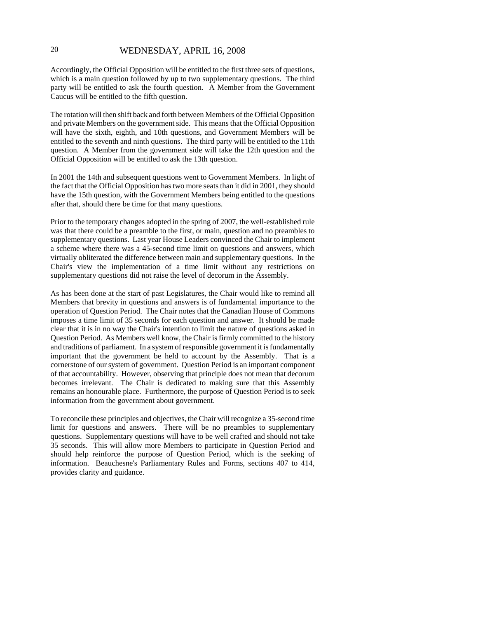## 20 WEDNESDAY, APRIL 16, 2008

Accordingly, the Official Opposition will be entitled to the first three sets of questions, which is a main question followed by up to two supplementary questions. The third party will be entitled to ask the fourth question. A Member from the Government Caucus will be entitled to the fifth question.

The rotation will then shift back and forth between Members of the Official Opposition and private Members on the government side. This means that the Official Opposition will have the sixth, eighth, and 10th questions, and Government Members will be entitled to the seventh and ninth questions. The third party will be entitled to the 11th question. A Member from the government side will take the 12th question and the Official Opposition will be entitled to ask the 13th question.

In 2001 the 14th and subsequent questions went to Government Members. In light of the fact that the Official Opposition has two more seats than it did in 2001, they should have the 15th question, with the Government Members being entitled to the questions after that, should there be time for that many questions.

Prior to the temporary changes adopted in the spring of 2007, the well-established rule was that there could be a preamble to the first, or main, question and no preambles to supplementary questions. Last year House Leaders convinced the Chair to implement a scheme where there was a 45-second time limit on questions and answers, which virtually obliterated the difference between main and supplementary questions. In the Chair's view the implementation of a time limit without any restrictions on supplementary questions did not raise the level of decorum in the Assembly.

As has been done at the start of past Legislatures, the Chair would like to remind all Members that brevity in questions and answers is of fundamental importance to the operation of Question Period. The Chair notes that the Canadian House of Commons imposes a time limit of 35 seconds for each question and answer. It should be made clear that it is in no way the Chair's intention to limit the nature of questions asked in Question Period. As Members well know, the Chair is firmly committed to the history and traditions of parliament. In a system of responsible government it is fundamentally important that the government be held to account by the Assembly. That is a cornerstone of our system of government. Question Period is an important component of that accountability. However, observing that principle does not mean that decorum becomes irrelevant. The Chair is dedicated to making sure that this Assembly remains an honourable place. Furthermore, the purpose of Question Period is to seek information from the government about government.

To reconcile these principles and objectives, the Chair will recognize a 35-second time limit for questions and answers. There will be no preambles to supplementary questions. Supplementary questions will have to be well crafted and should not take 35 seconds. This will allow more Members to participate in Question Period and should help reinforce the purpose of Question Period, which is the seeking of information. Beauchesne's Parliamentary Rules and Forms, sections 407 to 414, provides clarity and guidance.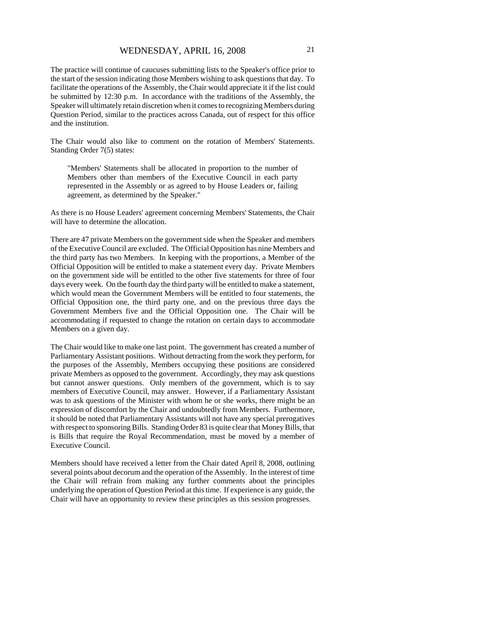The practice will continue of caucuses submitting lists to the Speaker's office prior to the start of the session indicating those Members wishing to ask questions that day. To facilitate the operations of the Assembly, the Chair would appreciate it if the list could be submitted by 12:30 p.m. In accordance with the traditions of the Assembly, the Speaker will ultimately retain discretion when it comes to recognizing Members during Question Period, similar to the practices across Canada, out of respect for this office and the institution.

The Chair would also like to comment on the rotation of Members' Statements. Standing Order 7(5) states:

"Members' Statements shall be allocated in proportion to the number of Members other than members of the Executive Council in each party represented in the Assembly or as agreed to by House Leaders or, failing agreement, as determined by the Speaker."

As there is no House Leaders' agreement concerning Members' Statements, the Chair will have to determine the allocation.

There are 47 private Members on the government side when the Speaker and members of the Executive Council are excluded. The Official Opposition has nine Members and the third party has two Members. In keeping with the proportions, a Member of the Official Opposition will be entitled to make a statement every day. Private Members on the government side will be entitled to the other five statements for three of four days every week. On the fourth day the third party will be entitled to make a statement, which would mean the Government Members will be entitled to four statements, the Official Opposition one, the third party one, and on the previous three days the Government Members five and the Official Opposition one. The Chair will be accommodating if requested to change the rotation on certain days to accommodate Members on a given day.

The Chair would like to make one last point. The government has created a number of Parliamentary Assistant positions. Without detracting from the work they perform, for the purposes of the Assembly, Members occupying these positions are considered private Members as opposed to the government. Accordingly, they may ask questions but cannot answer questions. Only members of the government, which is to say members of Executive Council, may answer. However, if a Parliamentary Assistant was to ask questions of the Minister with whom he or she works, there might be an expression of discomfort by the Chair and undoubtedly from Members. Furthermore, it should be noted that Parliamentary Assistants will not have any special prerogatives with respect to sponsoring Bills. Standing Order 83 is quite clear that Money Bills, that is Bills that require the Royal Recommendation, must be moved by a member of Executive Council.

Members should have received a letter from the Chair dated April 8, 2008, outlining several points about decorum and the operation of the Assembly. In the interest of time the Chair will refrain from making any further comments about the principles underlying the operation of Question Period at this time. If experience is any guide, the Chair will have an opportunity to review these principles as this session progresses.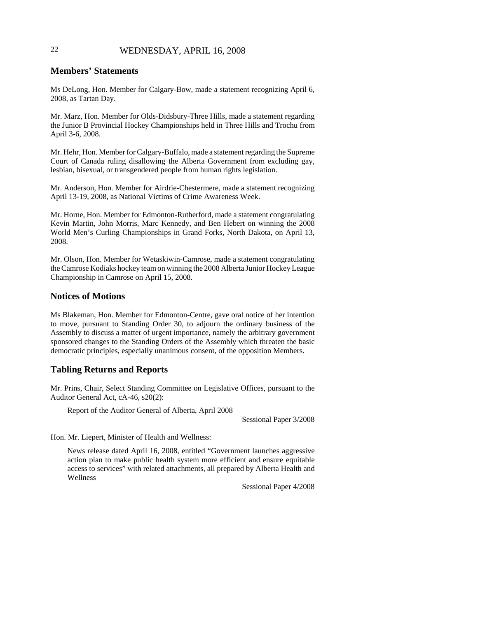## 22 WEDNESDAY, APRIL 16, 2008

## **Members' Statements**

Ms DeLong, Hon. Member for Calgary-Bow, made a statement recognizing April 6, 2008, as Tartan Day.

Mr. Marz, Hon. Member for Olds-Didsbury-Three Hills, made a statement regarding the Junior B Provincial Hockey Championships held in Three Hills and Trochu from April 3-6, 2008.

Mr. Hehr, Hon. Member for Calgary-Buffalo, made a statement regarding the Supreme Court of Canada ruling disallowing the Alberta Government from excluding gay, lesbian, bisexual, or transgendered people from human rights legislation.

Mr. Anderson, Hon. Member for Airdrie-Chestermere, made a statement recognizing April 13-19, 2008, as National Victims of Crime Awareness Week.

Mr. Horne, Hon. Member for Edmonton-Rutherford, made a statement congratulating Kevin Martin, John Morris, Marc Kennedy, and Ben Hebert on winning the 2008 World Men's Curling Championships in Grand Forks, North Dakota, on April 13, 2008.

Mr. Olson, Hon. Member for Wetaskiwin-Camrose, made a statement congratulating the Camrose Kodiaks hockey team on winning the 2008 Alberta Junior Hockey League Championship in Camrose on April 15, 2008.

## **Notices of Motions**

Ms Blakeman, Hon. Member for Edmonton-Centre, gave oral notice of her intention to move, pursuant to Standing Order 30, to adjourn the ordinary business of the Assembly to discuss a matter of urgent importance, namely the arbitrary government sponsored changes to the Standing Orders of the Assembly which threaten the basic democratic principles, especially unanimous consent, of the opposition Members.

## **Tabling Returns and Reports**

Mr. Prins, Chair, Select Standing Committee on Legislative Offices, pursuant to the Auditor General Act, cA-46, s20(2):

Report of the Auditor General of Alberta, April 2008

Sessional Paper 3/2008

Hon. Mr. Liepert, Minister of Health and Wellness:

News release dated April 16, 2008, entitled "Government launches aggressive action plan to make public health system more efficient and ensure equitable access to services" with related attachments, all prepared by Alberta Health and Wellness

Sessional Paper 4/2008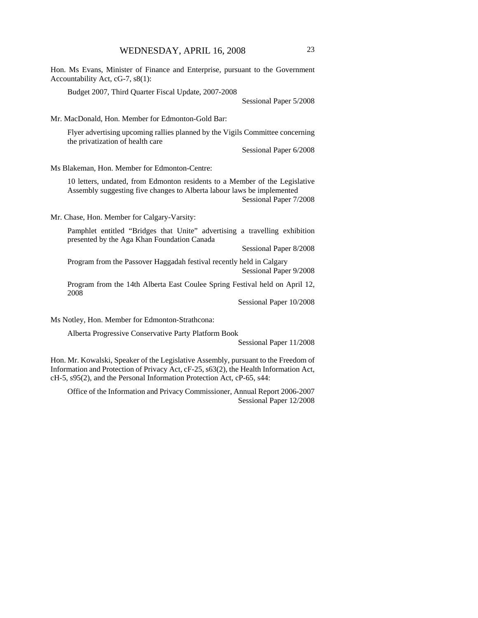Hon. Ms Evans, Minister of Finance and Enterprise, pursuant to the Government Accountability Act, cG-7, s8(1):

Budget 2007, Third Quarter Fiscal Update, 2007-2008

Sessional Paper 5/2008

Mr. MacDonald, Hon. Member for Edmonton-Gold Bar:

Flyer advertising upcoming rallies planned by the Vigils Committee concerning the privatization of health care

Sessional Paper 6/2008

Ms Blakeman, Hon. Member for Edmonton-Centre:

10 letters, undated, from Edmonton residents to a Member of the Legislative Assembly suggesting five changes to Alberta labour laws be implemented Sessional Paper 7/2008

Mr. Chase, Hon. Member for Calgary-Varsity:

Pamphlet entitled "Bridges that Unite" advertising a travelling exhibition presented by the Aga Khan Foundation Canada

Sessional Paper 8/2008

Program from the Passover Haggadah festival recently held in Calgary Sessional Paper 9/2008

Program from the 14th Alberta East Coulee Spring Festival held on April 12, 2008

Sessional Paper 10/2008

Ms Notley, Hon. Member for Edmonton-Strathcona:

Alberta Progressive Conservative Party Platform Book

Sessional Paper 11/2008

Hon. Mr. Kowalski, Speaker of the Legislative Assembly, pursuant to the Freedom of Information and Protection of Privacy Act, cF-25, s63(2), the Health Information Act, cH-5, s95(2), and the Personal Information Protection Act, cP-65, s44:

Office of the Information and Privacy Commissioner, Annual Report 2006-2007 Sessional Paper 12/2008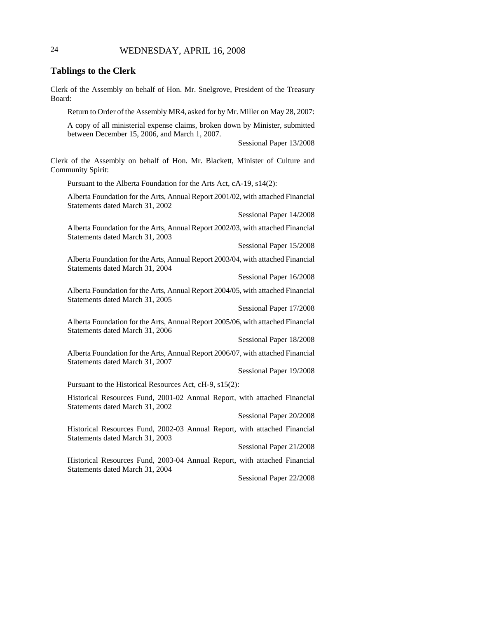## 24 WEDNESDAY, APRIL 16, 2008

#### **Tablings to the Clerk**

Clerk of the Assembly on behalf of Hon. Mr. Snelgrove, President of the Treasury Board:

Return to Order of the Assembly MR4, asked for by Mr. Miller on May 28, 2007:

A copy of all ministerial expense claims, broken down by Minister, submitted between December 15, 2006, and March 1, 2007.

Sessional Paper 13/2008

Clerk of the Assembly on behalf of Hon. Mr. Blackett, Minister of Culture and Community Spirit:

Pursuant to the Alberta Foundation for the Arts Act, cA-19, s14(2):

Alberta Foundation for the Arts, Annual Report 2001/02, with attached Financial Statements dated March 31, 2002

Sessional Paper 14/2008

Alberta Foundation for the Arts, Annual Report 2002/03, with attached Financial Statements dated March 31, 2003

Sessional Paper 15/2008

Alberta Foundation for the Arts, Annual Report 2003/04, with attached Financial Statements dated March 31, 2004

Sessional Paper 16/2008

Alberta Foundation for the Arts, Annual Report 2004/05, with attached Financial Statements dated March 31, 2005

Sessional Paper 17/2008

Alberta Foundation for the Arts, Annual Report 2005/06, with attached Financial Statements dated March 31, 2006

Sessional Paper 18/2008

Alberta Foundation for the Arts, Annual Report 2006/07, with attached Financial Statements dated March 31, 2007

Sessional Paper 19/2008

Pursuant to the Historical Resources Act, cH-9, s15(2):

Historical Resources Fund, 2001-02 Annual Report, with attached Financial Statements dated March 31, 2002

Sessional Paper 20/2008

Historical Resources Fund, 2002-03 Annual Report, with attached Financial Statements dated March 31, 2003

Sessional Paper 21/2008

Historical Resources Fund, 2003-04 Annual Report, with attached Financial Statements dated March 31, 2004

Sessional Paper 22/2008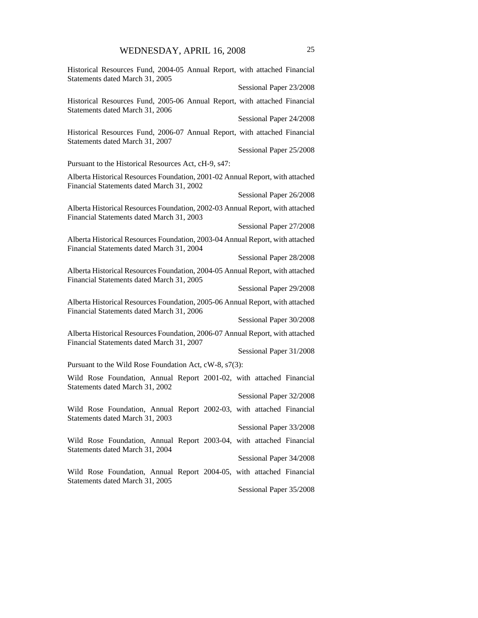| Historical Resources Fund, 2004-05 Annual Report, with attached Financial<br>Statements dated March 31, 2005               |                         |
|----------------------------------------------------------------------------------------------------------------------------|-------------------------|
|                                                                                                                            | Sessional Paper 23/2008 |
| Historical Resources Fund, 2005-06 Annual Report, with attached Financial<br>Statements dated March 31, 2006               |                         |
|                                                                                                                            | Sessional Paper 24/2008 |
| Historical Resources Fund, 2006-07 Annual Report, with attached Financial<br>Statements dated March 31, 2007               |                         |
|                                                                                                                            | Sessional Paper 25/2008 |
| Pursuant to the Historical Resources Act, cH-9, s47:                                                                       |                         |
| Alberta Historical Resources Foundation, 2001-02 Annual Report, with attached<br>Financial Statements dated March 31, 2002 |                         |
|                                                                                                                            | Sessional Paper 26/2008 |
| Alberta Historical Resources Foundation, 2002-03 Annual Report, with attached<br>Financial Statements dated March 31, 2003 |                         |
|                                                                                                                            | Sessional Paper 27/2008 |
| Alberta Historical Resources Foundation, 2003-04 Annual Report, with attached<br>Financial Statements dated March 31, 2004 |                         |
|                                                                                                                            | Sessional Paper 28/2008 |
| Alberta Historical Resources Foundation, 2004-05 Annual Report, with attached<br>Financial Statements dated March 31, 2005 |                         |
|                                                                                                                            | Sessional Paper 29/2008 |
| Alberta Historical Resources Foundation, 2005-06 Annual Report, with attached<br>Financial Statements dated March 31, 2006 |                         |
|                                                                                                                            | Sessional Paper 30/2008 |
| Alberta Historical Resources Foundation, 2006-07 Annual Report, with attached<br>Financial Statements dated March 31, 2007 |                         |
|                                                                                                                            | Sessional Paper 31/2008 |
| Pursuant to the Wild Rose Foundation Act, cW-8, s7(3):                                                                     |                         |
| Wild Rose Foundation, Annual Report 2001-02, with attached Financial<br>Statements dated March 31, 2002                    |                         |
|                                                                                                                            | Sessional Paper 32/2008 |
| Wild Rose Foundation, Annual Report 2002-03, with attached Financial<br>Statements dated March 31, 2003                    |                         |
|                                                                                                                            | Sessional Paper 33/2008 |
| Wild Rose Foundation, Annual Report 2003-04, with attached Financial<br>Statements dated March 31, 2004                    |                         |
|                                                                                                                            | Sessional Paper 34/2008 |
| Wild Rose Foundation, Annual Report 2004-05, with attached Financial<br>Statements dated March 31, 2005                    |                         |
|                                                                                                                            | Sessional Paper 35/2008 |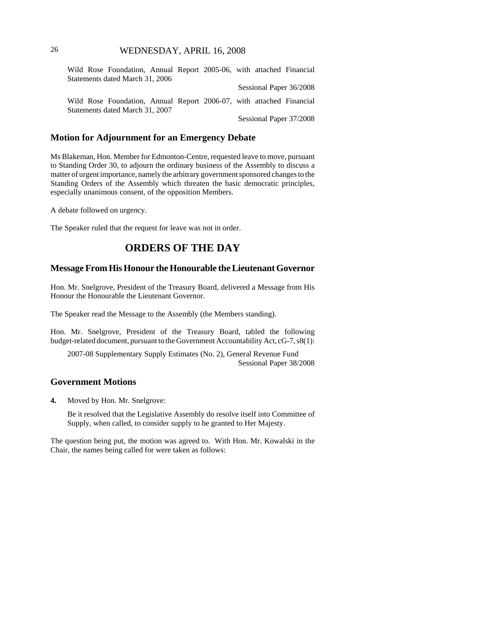## 26 WEDNESDAY, APRIL 16, 2008

Wild Rose Foundation, Annual Report 2005-06, with attached Financial Statements dated March 31, 2006 Sessional Paper 36/2008 Wild Rose Foundation, Annual Report 2006-07, with attached Financial Statements dated March 31, 2007 Sessional Paper 37/2008

#### **Motion for Adjournment for an Emergency Debate**

Ms Blakeman, Hon. Member for Edmonton-Centre, requested leave to move, pursuant to Standing Order 30, to adjourn the ordinary business of the Assembly to discuss a matter of urgent importance, namely the arbitrary government sponsored changes to the Standing Orders of the Assembly which threaten the basic democratic principles, especially unanimous consent, of the opposition Members.

A debate followed on urgency.

The Speaker ruled that the request for leave was not in order.

## **ORDERS OF THE DAY**

## **Message From His Honour the Honourable the Lieutenant Governor**

Hon. Mr. Snelgrove, President of the Treasury Board, delivered a Message from His Honour the Honourable the Lieutenant Governor.

The Speaker read the Message to the Assembly (the Members standing).

Hon. Mr. Snelgrove, President of the Treasury Board, tabled the following budget-related document, pursuant to the Government Accountability Act, cG-7, s8(1):

2007-08 Supplementary Supply Estimates (No. 2), General Revenue Fund Sessional Paper 38/2008

## **Government Motions**

**4.** Moved by Hon. Mr. Snelgrove:

Be it resolved that the Legislative Assembly do resolve itself into Committee of Supply, when called, to consider supply to be granted to Her Majesty.

The question being put, the motion was agreed to. With Hon. Mr. Kowalski in the Chair, the names being called for were taken as follows: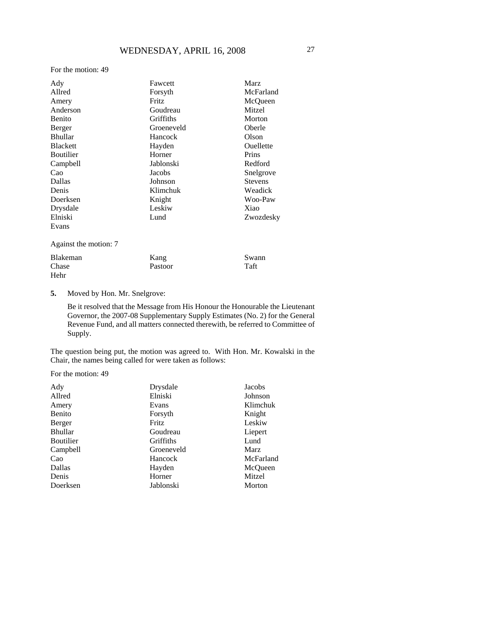For the motion: 49

| Ady                   | Fawcett    | <b>Marz</b>    |
|-----------------------|------------|----------------|
| Allred                | Forsyth    | McFarland      |
| Amery                 | Fritz      | McQueen        |
| Anderson              | Goudreau   | Mitzel         |
| Benito                | Griffiths  | Morton         |
| Berger                | Groeneveld | Oberle         |
| <b>Bhullar</b>        | Hancock    | Olson          |
| <b>Blackett</b>       | Hayden     | Ouellette      |
| Boutilier             | Horner     | Prins          |
| Campbell              | Jablonski  | Redford        |
| Cao                   | Jacobs     | Snelgrove      |
| Dallas                | Johnson    | <b>Stevens</b> |
| Denis                 | Klimchuk   | Weadick        |
| Doerksen              | Knight     | Woo-Paw        |
| Drysdale              | Leskiw     | Xiao           |
| Elniski               | Lund       | Zwozdesky      |
| Evans                 |            |                |
| Against the motion: 7 |            |                |

| Blakeman | Kang    | Swann |
|----------|---------|-------|
| Chase    | Pastoor | Taft  |
| Hehr     |         |       |

## **5.** Moved by Hon. Mr. Snelgrove:

Be it resolved that the Message from His Honour the Honourable the Lieutenant Governor, the 2007-08 Supplementary Supply Estimates (No. 2) for the General Revenue Fund, and all matters connected therewith, be referred to Committee of Supply.

The question being put, the motion was agreed to. With Hon. Mr. Kowalski in the Chair, the names being called for were taken as follows:

For the motion: 49

| Ady              | Drysdale   | Jacobs      |
|------------------|------------|-------------|
| Allred           | Elniski    | Johnson     |
| Amery            | Evans      | Klimchuk    |
| Benito           | Forsyth    | Knight      |
| Berger           | Fritz      | Leskiw      |
| <b>Bhullar</b>   | Goudreau   | Liepert     |
| <b>Boutilier</b> | Griffiths  | Lund        |
| Campbell         | Groeneveld | <b>Marz</b> |
| Cao              | Hancock    | McFarland   |
| Dallas           | Hayden     | McOueen     |
| Denis            | Horner     | Mitzel      |
| Doerksen         | Jablonski  | Morton      |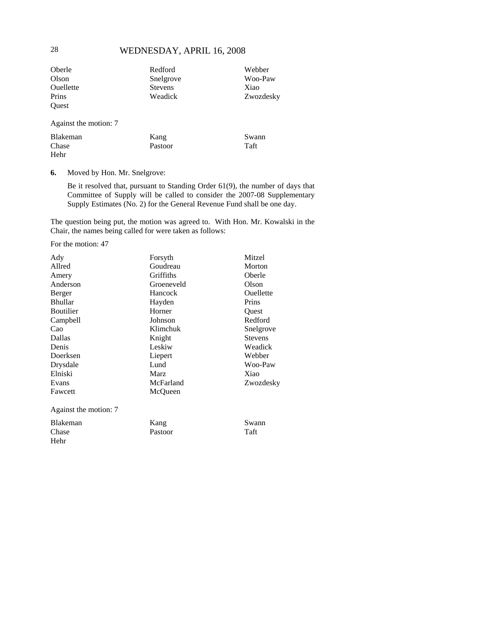## 28 WEDNESDAY, APRIL 16, 2008

| Oberle                | Redford        | Webber    |
|-----------------------|----------------|-----------|
| Olson                 | Snelgrove      | Woo-Paw   |
| Ouellette             | <b>Stevens</b> | Xiao      |
| Prins                 | Weadick        | Zwozdesky |
| Ouest                 |                |           |
| Against the motion: 7 |                |           |
| Blakeman              | Kang           | Swann     |

Pastoor

**6.** Moved by Hon. Mr. Snelgrove:

Be it resolved that, pursuant to Standing Order 61(9), the number of days that Committee of Supply will be called to consider the 2007-08 Supplementary Supply Estimates (No. 2) for the General Revenue Fund shall be one day.

Taft

The question being put, the motion was agreed to. With Hon. Mr. Kowalski in the Chair, the names being called for were taken as follows:

For the motion: 47

| Ady<br>Allred         | Mitzel<br>Forsyth<br>Goudreau<br>Morton |                |
|-----------------------|-----------------------------------------|----------------|
| Amery                 | Griffiths                               | Oberle         |
| Anderson              | Olson<br>Groeneveld                     |                |
| Berger                | Ouellette<br>Hancock                    |                |
| <b>Bhullar</b>        | Prins<br>Hayden                         |                |
| <b>Boutilier</b>      | Horner<br>Quest                         |                |
| Campbell              | Johnson                                 | Redford        |
| Cao                   | Klimchuk                                | Snelgrove      |
| Dallas                | Knight                                  | <b>Stevens</b> |
| Denis                 | Leskiw                                  | Weadick        |
| Doerksen              | Webber<br>Liepert                       |                |
| Drysdale              | Woo-Paw<br>Lund                         |                |
| Elniski               | <b>Marz</b>                             | Xiao           |
| Evans                 | McFarland                               | Zwozdesky      |
| Fawcett               | McQueen                                 |                |
| Against the motion: 7 |                                         |                |
| Blakeman              | Kang                                    | Swann          |
| Chase                 | Pastoor                                 | Taft           |
| Hehr                  |                                         |                |

Chase Hehr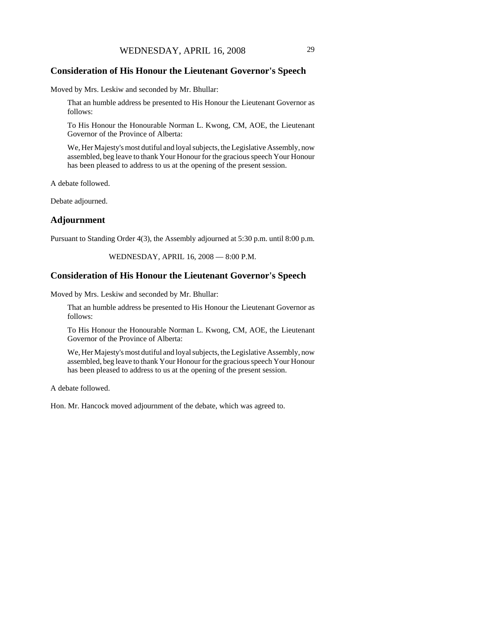#### **Consideration of His Honour the Lieutenant Governor's Speech**

Moved by Mrs. Leskiw and seconded by Mr. Bhullar:

That an humble address be presented to His Honour the Lieutenant Governor as follows:

To His Honour the Honourable Norman L. Kwong, CM, AOE, the Lieutenant Governor of the Province of Alberta:

We, Her Majesty's most dutiful and loyal subjects, the Legislative Assembly, now assembled, beg leave to thank Your Honour for the gracious speech Your Honour has been pleased to address to us at the opening of the present session.

A debate followed.

Debate adjourned.

#### **Adjournment**

Pursuant to Standing Order 4(3), the Assembly adjourned at 5:30 p.m. until 8:00 p.m.

WEDNESDAY, APRIL 16, 2008 — 8:00 P.M.

#### **Consideration of His Honour the Lieutenant Governor's Speech**

Moved by Mrs. Leskiw and seconded by Mr. Bhullar:

That an humble address be presented to His Honour the Lieutenant Governor as follows:

To His Honour the Honourable Norman L. Kwong, CM, AOE, the Lieutenant Governor of the Province of Alberta:

We, Her Majesty's most dutiful and loyal subjects, the Legislative Assembly, now assembled, beg leave to thank Your Honour for the gracious speech Your Honour has been pleased to address to us at the opening of the present session.

A debate followed.

Hon. Mr. Hancock moved adjournment of the debate, which was agreed to.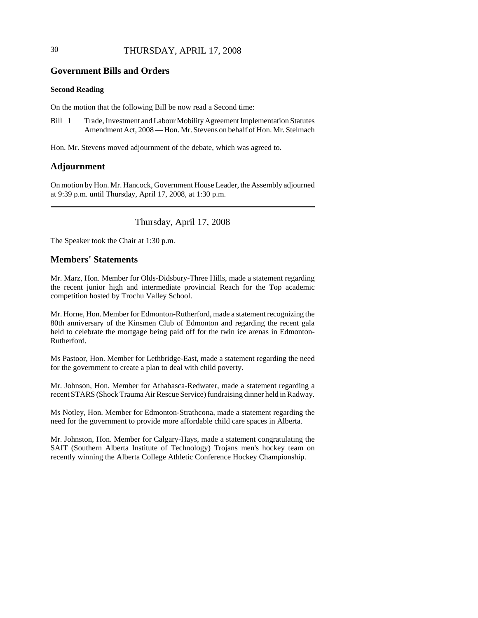## 30 THURSDAY, APRIL 17, 2008

## **Government Bills and Orders**

#### **Second Reading**

On the motion that the following Bill be now read a Second time:

Bill 1 Trade, Investment and Labour Mobility Agreement Implementation Statutes Amendment Act, 2008 — Hon. Mr. Stevens on behalf of Hon. Mr. Stelmach

Hon. Mr. Stevens moved adjournment of the debate, which was agreed to.

## **Adjournment**

On motion by Hon. Mr. Hancock, Government House Leader, the Assembly adjourned at 9:39 p.m. until Thursday, April 17, 2008, at 1:30 p.m.

Thursday, April 17, 2008

The Speaker took the Chair at 1:30 p.m.

## **Members' Statements**

Mr. Marz, Hon. Member for Olds-Didsbury-Three Hills, made a statement regarding the recent junior high and intermediate provincial Reach for the Top academic competition hosted by Trochu Valley School.

Mr. Horne, Hon. Member for Edmonton-Rutherford, made a statement recognizing the 80th anniversary of the Kinsmen Club of Edmonton and regarding the recent gala held to celebrate the mortgage being paid off for the twin ice arenas in Edmonton-Rutherford.

Ms Pastoor, Hon. Member for Lethbridge-East, made a statement regarding the need for the government to create a plan to deal with child poverty.

Mr. Johnson, Hon. Member for Athabasca-Redwater, made a statement regarding a recent STARS (Shock Trauma Air Rescue Service) fundraising dinner held in Radway.

Ms Notley, Hon. Member for Edmonton-Strathcona, made a statement regarding the need for the government to provide more affordable child care spaces in Alberta.

Mr. Johnston, Hon. Member for Calgary-Hays, made a statement congratulating the SAIT (Southern Alberta Institute of Technology) Trojans men's hockey team on recently winning the Alberta College Athletic Conference Hockey Championship.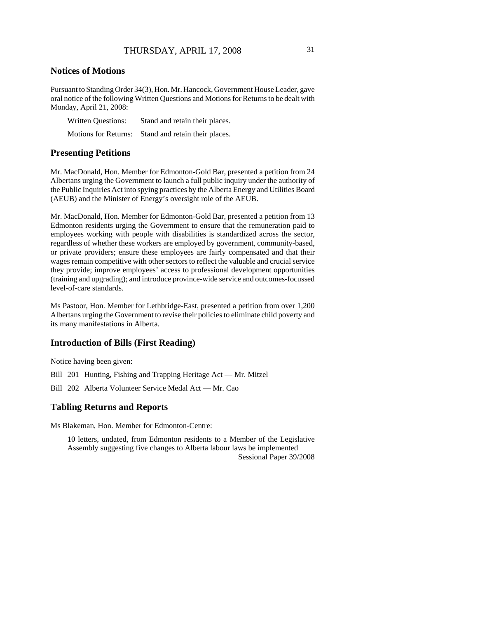## **Notices of Motions**

Pursuant to Standing Order 34(3), Hon. Mr. Hancock, Government House Leader, gave oral notice of the following Written Questions and Motions for Returns to be dealt with Monday, April 21, 2008:

| <b>Written Questions:</b>   | Stand and retain their places. |
|-----------------------------|--------------------------------|
| <b>Motions for Returns:</b> | Stand and retain their places. |

#### **Presenting Petitions**

Mr. MacDonald, Hon. Member for Edmonton-Gold Bar, presented a petition from 24 Albertans urging the Government to launch a full public inquiry under the authority of the Public Inquiries Act into spying practices by the Alberta Energy and Utilities Board (AEUB) and the Minister of Energy's oversight role of the AEUB.

Mr. MacDonald, Hon. Member for Edmonton-Gold Bar, presented a petition from 13 Edmonton residents urging the Government to ensure that the remuneration paid to employees working with people with disabilities is standardized across the sector, regardless of whether these workers are employed by government, community-based, or private providers; ensure these employees are fairly compensated and that their wages remain competitive with other sectors to reflect the valuable and crucial service they provide; improve employees' access to professional development opportunities (training and upgrading); and introduce province-wide service and outcomes-focussed level-of-care standards.

Ms Pastoor, Hon. Member for Lethbridge-East, presented a petition from over 1,200 Albertans urging the Government to revise their policies to eliminate child poverty and its many manifestations in Alberta.

## **Introduction of Bills (First Reading)**

Notice having been given:

Bill 201 Hunting, Fishing and Trapping Heritage Act — Mr. Mitzel

Bill 202 Alberta Volunteer Service Medal Act — Mr. Cao

## **Tabling Returns and Reports**

Ms Blakeman, Hon. Member for Edmonton-Centre:

10 letters, undated, from Edmonton residents to a Member of the Legislative Assembly suggesting five changes to Alberta labour laws be implemented Sessional Paper 39/2008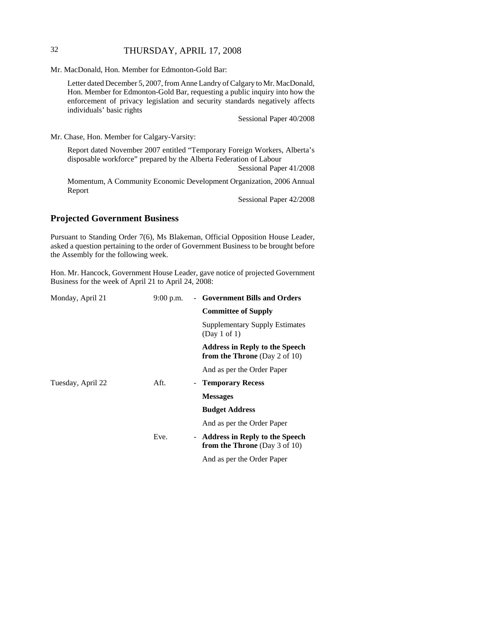## 32 THURSDAY, APRIL 17, 2008

Mr. MacDonald, Hon. Member for Edmonton-Gold Bar:

Letter dated December 5, 2007, from Anne Landry of Calgary to Mr. MacDonald, Hon. Member for Edmonton-Gold Bar, requesting a public inquiry into how the enforcement of privacy legislation and security standards negatively affects individuals' basic rights

Sessional Paper 40/2008

Mr. Chase, Hon. Member for Calgary-Varsity:

Report dated November 2007 entitled "Temporary Foreign Workers, Alberta's disposable workforce" prepared by the Alberta Federation of Labour

Sessional Paper 41/2008

Momentum, A Community Economic Development Organization, 2006 Annual Report

Sessional Paper 42/2008

## **Projected Government Business**

Pursuant to Standing Order 7(6), Ms Blakeman, Official Opposition House Leader, asked a question pertaining to the order of Government Business to be brought before the Assembly for the following week.

Hon. Mr. Hancock, Government House Leader, gave notice of projected Government Business for the week of April 21 to April 24, 2008:

| Monday, April 21  | $9:00$ p.m. | - Government Bills and Orders                                                 |
|-------------------|-------------|-------------------------------------------------------------------------------|
|                   |             | <b>Committee of Supply</b>                                                    |
|                   |             | <b>Supplementary Supply Estimates</b><br>(Day 1 of 1)                         |
|                   |             | <b>Address in Reply to the Speech</b><br><b>from the Throne</b> (Day 2 of 10) |
|                   |             | And as per the Order Paper                                                    |
| Tuesday, April 22 | Aft.        | <b>Temporary Recess</b>                                                       |
|                   |             | <b>Messages</b>                                                               |
|                   |             | <b>Budget Address</b>                                                         |
|                   |             | And as per the Order Paper                                                    |
|                   | Eve.        | - Address in Reply to the Speech<br><b>from the Throne</b> (Day 3 of 10)      |
|                   |             | And as per the Order Paper                                                    |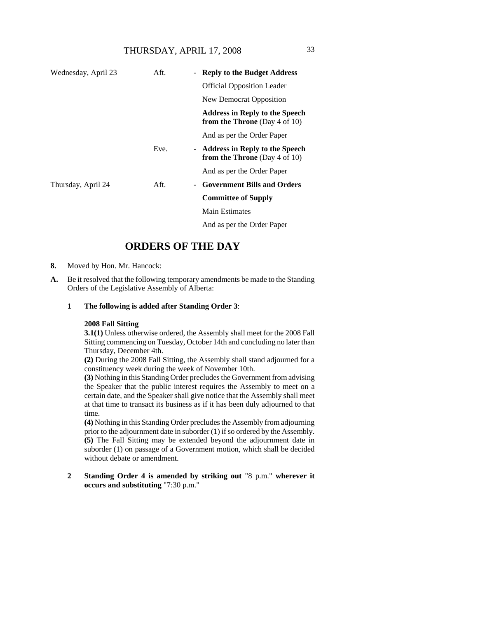| Wednesday, April 23 | Aft. | - Reply to the Budget Address                                                 |
|---------------------|------|-------------------------------------------------------------------------------|
|                     |      | <b>Official Opposition Leader</b>                                             |
|                     |      | New Democrat Opposition                                                       |
|                     |      | <b>Address in Reply to the Speech</b><br><b>from the Throne</b> (Day 4 of 10) |
|                     |      | And as per the Order Paper                                                    |
|                     | Eve. | - Address in Reply to the Speech<br><b>from the Throne</b> (Day 4 of 10)      |
|                     |      | And as per the Order Paper                                                    |
| Thursday, April 24  | Aft. | - Government Bills and Orders                                                 |
|                     |      | <b>Committee of Supply</b>                                                    |
|                     |      | Main Estimates                                                                |
|                     |      | And as per the Order Paper                                                    |

## **ORDERS OF THE DAY**

- **8.** Moved by Hon. Mr. Hancock:
- **A.** Be it resolved that the following temporary amendments be made to the Standing Orders of the Legislative Assembly of Alberta:
	- **1 The following is added after Standing Order 3**:

#### **2008 Fall Sitting**

**3.1(1)** Unless otherwise ordered, the Assembly shall meet for the 2008 Fall Sitting commencing on Tuesday, October 14th and concluding no later than Thursday, December 4th.

**(2)** During the 2008 Fall Sitting, the Assembly shall stand adjourned for a constituency week during the week of November 10th.

**(3)** Nothing in this Standing Order precludes the Government from advising the Speaker that the public interest requires the Assembly to meet on a certain date, and the Speaker shall give notice that the Assembly shall meet at that time to transact its business as if it has been duly adjourned to that time.

**(4)** Nothing in this Standing Order precludes the Assembly from adjourning prior to the adjournment date in suborder (1) if so ordered by the Assembly. **(5)** The Fall Sitting may be extended beyond the adjournment date in suborder (1) on passage of a Government motion, which shall be decided without debate or amendment.

**2 Standing Order 4 is amended by striking out** "8 p.m." **wherever it occurs and substituting** "7:30 p.m."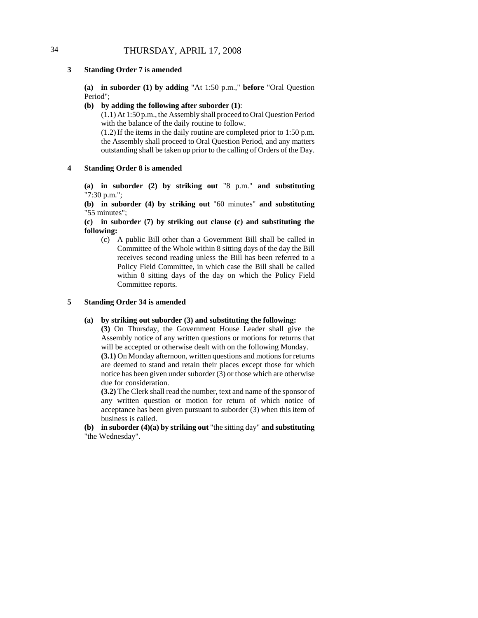# 34 THURSDAY, APRIL 17, 2008

### **3 Standing Order 7 is amended**

**(a) in suborder (1) by adding** "At 1:50 p.m.," **before** "Oral Question Period";

### **(b) by adding the following after suborder (1)**:

(1.1) At 1:50 p.m., the Assembly shall proceed to Oral Question Period with the balance of the daily routine to follow.

(1.2) If the items in the daily routine are completed prior to 1:50 p.m. the Assembly shall proceed to Oral Question Period, and any matters outstanding shall be taken up prior to the calling of Orders of the Day.

### **4 Standing Order 8 is amended**

**(a) in suborder (2) by striking out** "8 p.m." **and substituting** "7:30 p.m.";

**(b) in suborder (4) by striking out** "60 minutes" **and substituting** "55 minutes";

**(c) in suborder (7) by striking out clause (c) and substituting the following:**

(c) A public Bill other than a Government Bill shall be called in Committee of the Whole within 8 sitting days of the day the Bill receives second reading unless the Bill has been referred to a Policy Field Committee, in which case the Bill shall be called within 8 sitting days of the day on which the Policy Field Committee reports.

### **5 Standing Order 34 is amended**

### **(a) by striking out suborder (3) and substituting the following:**

**(3)** On Thursday, the Government House Leader shall give the Assembly notice of any written questions or motions for returns that will be accepted or otherwise dealt with on the following Monday.

**(3.1)** On Monday afternoon, written questions and motions for returns are deemed to stand and retain their places except those for which notice has been given under suborder (3) or those which are otherwise due for consideration.

**(3.2)** The Clerk shall read the number, text and name of the sponsor of any written question or motion for return of which notice of acceptance has been given pursuant to suborder (3) when this item of business is called.

**(b) in suborder (4)(a) by striking out** "the sitting day" **and substituting** "the Wednesday".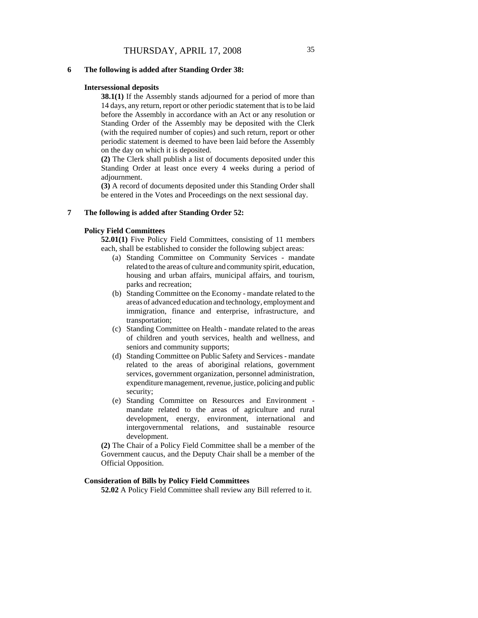#### **6 The following is added after Standing Order 38:**

#### **Intersessional deposits**

**38.1(1)** If the Assembly stands adjourned for a period of more than 14 days, any return, report or other periodic statement that is to be laid before the Assembly in accordance with an Act or any resolution or Standing Order of the Assembly may be deposited with the Clerk (with the required number of copies) and such return, report or other periodic statement is deemed to have been laid before the Assembly on the day on which it is deposited.

**(2)** The Clerk shall publish a list of documents deposited under this Standing Order at least once every 4 weeks during a period of adjournment.

**(3)** A record of documents deposited under this Standing Order shall be entered in the Votes and Proceedings on the next sessional day.

### **7 The following is added after Standing Order 52:**

### **Policy Field Committees**

**52.01(1)** Five Policy Field Committees, consisting of 11 members each, shall be established to consider the following subject areas:

- (a) Standing Committee on Community Services mandate related to the areas of culture and community spirit, education, housing and urban affairs, municipal affairs, and tourism, parks and recreation;
- (b) Standing Committee on the Economy mandate related to the areas of advanced education and technology, employment and immigration, finance and enterprise, infrastructure, and transportation;
- (c) Standing Committee on Health mandate related to the areas of children and youth services, health and wellness, and seniors and community supports;
- (d) Standing Committee on Public Safety and Services mandate related to the areas of aboriginal relations, government services, government organization, personnel administration, expenditure management, revenue, justice, policing and public security;
- (e) Standing Committee on Resources and Environment mandate related to the areas of agriculture and rural development, energy, environment, international and intergovernmental relations, and sustainable resource development.

**(2)** The Chair of a Policy Field Committee shall be a member of the Government caucus, and the Deputy Chair shall be a member of the Official Opposition.

## **Consideration of Bills by Policy Field Committees**

**52.02** A Policy Field Committee shall review any Bill referred to it.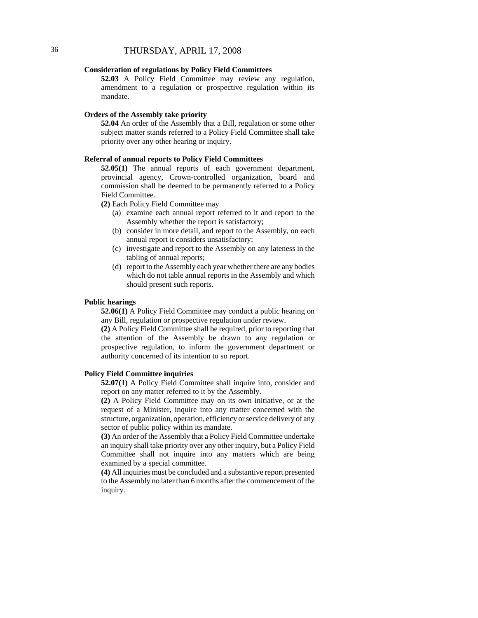## **Consideration of regulations by Policy Field Committees**

**52.03** A Policy Field Committee may review any regulation, amendment to a regulation or prospective regulation within its mandate.

### **Orders of the Assembly take priority**

**52.04** An order of the Assembly that a Bill, regulation or some other subject matter stands referred to a Policy Field Committee shall take priority over any other hearing or inquiry.

### **Referral of annual reports to Policy Field Committees**

**52.05(1)** The annual reports of each government department, provincial agency, Crown-controlled organization, board and commission shall be deemed to be permanently referred to a Policy Field Committee.

**(2)** Each Policy Field Committee may

- (a) examine each annual report referred to it and report to the Assembly whether the report is satisfactory;
- (b) consider in more detail, and report to the Assembly, on each annual report it considers unsatisfactory;
- (c) investigate and report to the Assembly on any lateness in the tabling of annual reports;
- (d) report to the Assembly each year whether there are any bodies which do not table annual reports in the Assembly and which should present such reports.

#### **Public hearings**

**52.06(1)** A Policy Field Committee may conduct a public hearing on any Bill, regulation or prospective regulation under review.

**(2)** A Policy Field Committee shall be required, prior to reporting that the attention of the Assembly be drawn to any regulation or prospective regulation, to inform the government department or authority concerned of its intention to so report.

## **Policy Field Committee inquiries**

**52.07(1)** A Policy Field Committee shall inquire into, consider and report on any matter referred to it by the Assembly.

**(2)** A Policy Field Committee may on its own initiative, or at the request of a Minister, inquire into any matter concerned with the structure, organization, operation, efficiency or service delivery of any sector of public policy within its mandate.

**(3)** An order of the Assembly that a Policy Field Committee undertake an inquiry shall take priority over any other inquiry, but a Policy Field Committee shall not inquire into any matters which are being examined by a special committee.

**(4)** All inquiries must be concluded and a substantive report presented to the Assembly no later than 6 months after the commencement of the inquiry.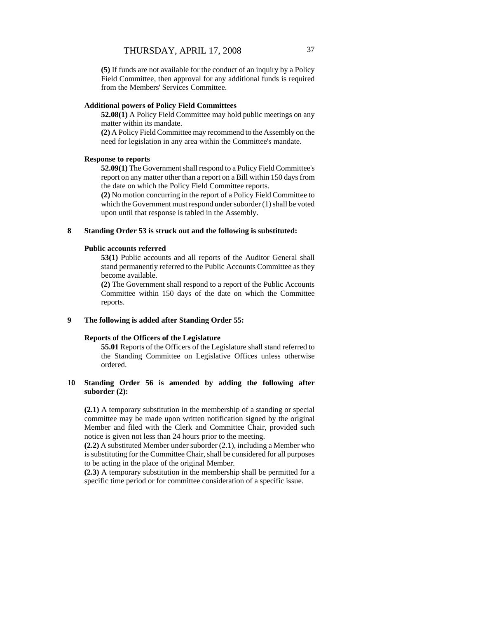**(5)** If funds are not available for the conduct of an inquiry by a Policy Field Committee, then approval for any additional funds is required from the Members' Services Committee.

### **Additional powers of Policy Field Committees**

**52.08(1)** A Policy Field Committee may hold public meetings on any matter within its mandate.

**(2)** A Policy Field Committee may recommend to the Assembly on the need for legislation in any area within the Committee's mandate.

## **Response to reports**

**52.09(1)** The Government shall respond to a Policy Field Committee's report on any matter other than a report on a Bill within 150 days from the date on which the Policy Field Committee reports.

**(2)** No motion concurring in the report of a Policy Field Committee to which the Government must respond under suborder (1) shall be voted upon until that response is tabled in the Assembly.

### **8 Standing Order 53 is struck out and the following is substituted:**

### **Public accounts referred**

**53(1)** Public accounts and all reports of the Auditor General shall stand permanently referred to the Public Accounts Committee as they become available.

**(2)** The Government shall respond to a report of the Public Accounts Committee within 150 days of the date on which the Committee reports.

### **9 The following is added after Standing Order 55:**

### **Reports of the Officers of the Legislature**

**55.01** Reports of the Officers of the Legislature shall stand referred to the Standing Committee on Legislative Offices unless otherwise ordered.

## **10 Standing Order 56 is amended by adding the following after suborder (2):**

**(2.1)** A temporary substitution in the membership of a standing or special committee may be made upon written notification signed by the original Member and filed with the Clerk and Committee Chair, provided such notice is given not less than 24 hours prior to the meeting.

**(2.2)** A substituted Member under suborder (2.1), including a Member who is substituting for the Committee Chair, shall be considered for all purposes to be acting in the place of the original Member.

**(2.3)** A temporary substitution in the membership shall be permitted for a specific time period or for committee consideration of a specific issue.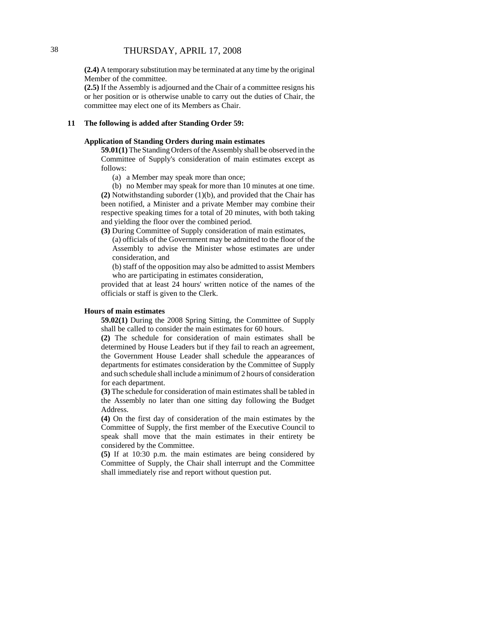**(2.4)** A temporary substitution may be terminated at any time by the original Member of the committee.

**(2.5)** If the Assembly is adjourned and the Chair of a committee resigns his or her position or is otherwise unable to carry out the duties of Chair, the committee may elect one of its Members as Chair.

### **11 The following is added after Standing Order 59:**

### **Application of Standing Orders during main estimates**

**59.01(1)** The Standing Orders of the Assembly shall be observed in the Committee of Supply's consideration of main estimates except as follows:

(a) a Member may speak more than once;

(b) no Member may speak for more than 10 minutes at one time. **(2)** Notwithstanding suborder (1)(b), and provided that the Chair has been notified, a Minister and a private Member may combine their respective speaking times for a total of 20 minutes, with both taking and yielding the floor over the combined period.

**(3)** During Committee of Supply consideration of main estimates,

(a) officials of the Government may be admitted to the floor of the Assembly to advise the Minister whose estimates are under consideration, and

(b) staff of the opposition may also be admitted to assist Members who are participating in estimates consideration,

provided that at least 24 hours' written notice of the names of the officials or staff is given to the Clerk.

### **Hours of main estimates**

**59.02(1)** During the 2008 Spring Sitting, the Committee of Supply shall be called to consider the main estimates for 60 hours.

**(2)** The schedule for consideration of main estimates shall be determined by House Leaders but if they fail to reach an agreement, the Government House Leader shall schedule the appearances of departments for estimates consideration by the Committee of Supply and such schedule shall include a minimum of 2 hours of consideration for each department.

**(3)** The schedule for consideration of main estimates shall be tabled in the Assembly no later than one sitting day following the Budget Address.

**(4)** On the first day of consideration of the main estimates by the Committee of Supply, the first member of the Executive Council to speak shall move that the main estimates in their entirety be considered by the Committee.

**(5)** If at 10:30 p.m. the main estimates are being considered by Committee of Supply, the Chair shall interrupt and the Committee shall immediately rise and report without question put.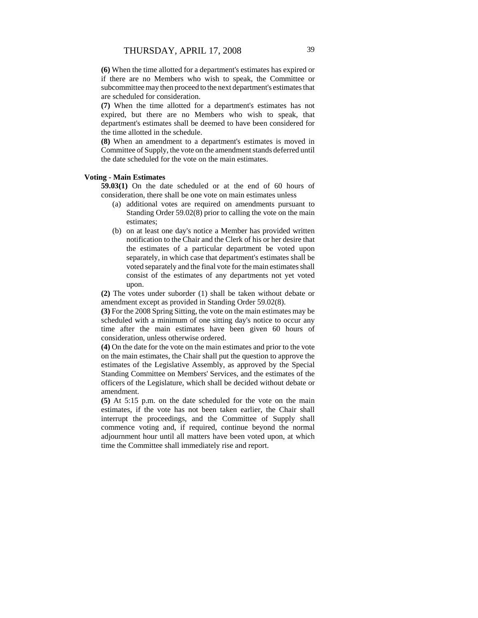**(6)** When the time allotted for a department's estimates has expired or if there are no Members who wish to speak, the Committee or subcommittee may then proceed to the next department's estimates that are scheduled for consideration.

**(7)** When the time allotted for a department's estimates has not expired, but there are no Members who wish to speak, that department's estimates shall be deemed to have been considered for the time allotted in the schedule.

**(8)** When an amendment to a department's estimates is moved in Committee of Supply, the vote on the amendment stands deferred until the date scheduled for the vote on the main estimates.

### **Voting - Main Estimates**

**59.03(1)** On the date scheduled or at the end of 60 hours of consideration, there shall be one vote on main estimates unless

- (a) additional votes are required on amendments pursuant to Standing Order 59.02(8) prior to calling the vote on the main estimates;
- (b) on at least one day's notice a Member has provided written notification to the Chair and the Clerk of his or her desire that the estimates of a particular department be voted upon separately, in which case that department's estimates shall be voted separately and the final vote for the main estimates shall consist of the estimates of any departments not yet voted upon.

**(2)** The votes under suborder (1) shall be taken without debate or amendment except as provided in Standing Order 59.02(8).

**(3)** For the 2008 Spring Sitting, the vote on the main estimates may be scheduled with a minimum of one sitting day's notice to occur any time after the main estimates have been given 60 hours of consideration, unless otherwise ordered.

**(4)** On the date for the vote on the main estimates and prior to the vote on the main estimates, the Chair shall put the question to approve the estimates of the Legislative Assembly, as approved by the Special Standing Committee on Members' Services, and the estimates of the officers of the Legislature, which shall be decided without debate or amendment.

**(5)** At 5:15 p.m. on the date scheduled for the vote on the main estimates, if the vote has not been taken earlier, the Chair shall interrupt the proceedings, and the Committee of Supply shall commence voting and, if required, continue beyond the normal adjournment hour until all matters have been voted upon, at which time the Committee shall immediately rise and report.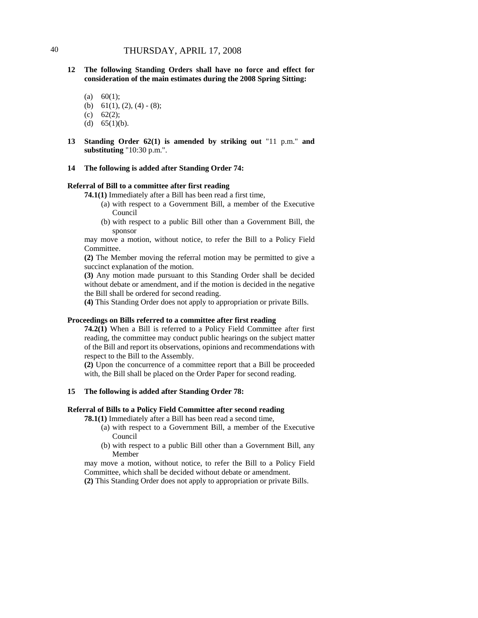- **12 The following Standing Orders shall have no force and effect for consideration of the main estimates during the 2008 Spring Sitting:**
	- (a)  $60(1)$ ;
	- (b) 61(1), (2), (4) (8);
	- (c) 62(2);
	- (d)  $65(1)(b)$ .
- **13 Standing Order 62(1) is amended by striking out** "11 p.m." **and substituting** "10:30 p.m.".
- **14 The following is added after Standing Order 74:**

### **Referral of Bill to a committee after first reading**

**74.1(1)** Immediately after a Bill has been read a first time,

- (a) with respect to a Government Bill, a member of the Executive Council
- (b) with respect to a public Bill other than a Government Bill, the sponsor

may move a motion, without notice, to refer the Bill to a Policy Field Committee.

**(2)** The Member moving the referral motion may be permitted to give a succinct explanation of the motion.

**(3)** Any motion made pursuant to this Standing Order shall be decided without debate or amendment, and if the motion is decided in the negative the Bill shall be ordered for second reading.

**(4)** This Standing Order does not apply to appropriation or private Bills.

### **Proceedings on Bills referred to a committee after first reading**

**74.2(1)** When a Bill is referred to a Policy Field Committee after first reading, the committee may conduct public hearings on the subject matter of the Bill and report its observations, opinions and recommendations with respect to the Bill to the Assembly.

**(2)** Upon the concurrence of a committee report that a Bill be proceeded with, the Bill shall be placed on the Order Paper for second reading.

### **15 The following is added after Standing Order 78:**

### **Referral of Bills to a Policy Field Committee after second reading**

**78.1(1)** Immediately after a Bill has been read a second time,

- (a) with respect to a Government Bill, a member of the Executive Council
- (b) with respect to a public Bill other than a Government Bill, any Member

may move a motion, without notice, to refer the Bill to a Policy Field Committee, which shall be decided without debate or amendment. **(2)** This Standing Order does not apply to appropriation or private Bills.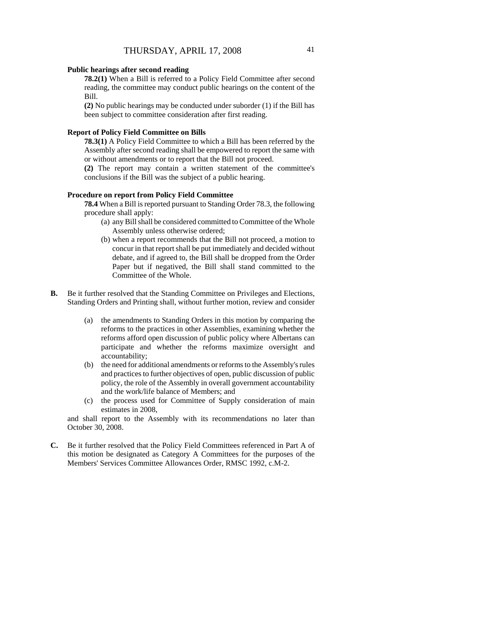### **Public hearings after second reading**

**78.2(1)** When a Bill is referred to a Policy Field Committee after second reading, the committee may conduct public hearings on the content of the Bill.

**(2)** No public hearings may be conducted under suborder (1) if the Bill has been subject to committee consideration after first reading.

### **Report of Policy Field Committee on Bills**

**78.3(1)** A Policy Field Committee to which a Bill has been referred by the Assembly after second reading shall be empowered to report the same with or without amendments or to report that the Bill not proceed.

**(2)** The report may contain a written statement of the committee's conclusions if the Bill was the subject of a public hearing.

### **Procedure on report from Policy Field Committee**

**78.4** When a Bill is reported pursuant to Standing Order 78.3, the following procedure shall apply:

- (a) any Bill shall be considered committed to Committee of the Whole Assembly unless otherwise ordered;
- (b) when a report recommends that the Bill not proceed, a motion to concur in that report shall be put immediately and decided without debate, and if agreed to, the Bill shall be dropped from the Order Paper but if negatived, the Bill shall stand committed to the Committee of the Whole.
- **B.** Be it further resolved that the Standing Committee on Privileges and Elections, Standing Orders and Printing shall, without further motion, review and consider
	- (a) the amendments to Standing Orders in this motion by comparing the reforms to the practices in other Assemblies, examining whether the reforms afford open discussion of public policy where Albertans can participate and whether the reforms maximize oversight and accountability;
	- (b) the need for additional amendments or reforms to the Assembly's rules and practices to further objectives of open, public discussion of public policy, the role of the Assembly in overall government accountability and the work/life balance of Members; and
	- (c) the process used for Committee of Supply consideration of main estimates in 2008,

and shall report to the Assembly with its recommendations no later than October 30, 2008.

**C.** Be it further resolved that the Policy Field Committees referenced in Part A of this motion be designated as Category A Committees for the purposes of the Members' Services Committee Allowances Order, RMSC 1992, c.M-2.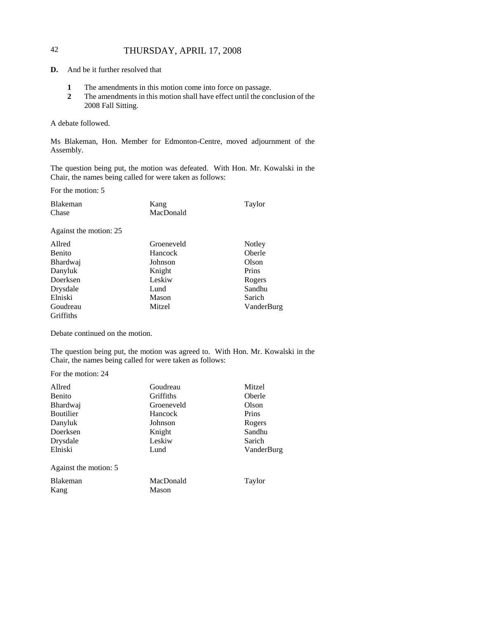# 42 THURSDAY, APRIL 17, 2008

**D.** And be it further resolved that

- **1** The amendments in this motion come into force on passage.
- **2** The amendments in this motion shall have effect until the conclusion of the 2008 Fall Sitting.

### A debate followed.

Ms Blakeman, Hon. Member for Edmonton-Centre, moved adjournment of the Assembly.

The question being put, the motion was defeated. With Hon. Mr. Kowalski in the Chair, the names being called for were taken as follows:

For the motion: 5

| Blakeman | Kang      | Taylor |
|----------|-----------|--------|
| Chase    | MacDonald |        |

Against the motion: 25

| Allred           | Groeneveld | Notley     |
|------------------|------------|------------|
| Benito           | Hancock    | Oberle     |
| Bhardwaj         | Johnson    | Olson      |
| Danyluk          | Knight     | Prins      |
| Doerksen         | Leskiw     | Rogers     |
| Drysdale         | Lund       | Sandhu     |
| Elniski          | Mason      | Sarich     |
| Goudreau         | Mitzel     | VanderBurg |
| <b>Griffiths</b> |            |            |

Debate continued on the motion.

The question being put, the motion was agreed to. With Hon. Mr. Kowalski in the Chair, the names being called for were taken as follows:

For the motion: 24

| Allred                  | Goudreau           | Mitzel     |
|-------------------------|--------------------|------------|
| <b>Benito</b>           | Griffiths          | Oberle     |
| <b>Bhardwaj</b>         | Groeneveld         | Olson      |
| <b>Boutilier</b>        | Hancock            | Prins      |
| Danyluk                 | Johnson            | Rogers     |
| Doerksen                | Knight             | Sandhu     |
| Drysdale                | Leskiw             | Sarich     |
| Elniski                 | Lund               | VanderBurg |
| Against the motion: 5   |                    |            |
| <b>Blakeman</b><br>Kang | MacDonald<br>Mason | Taylor     |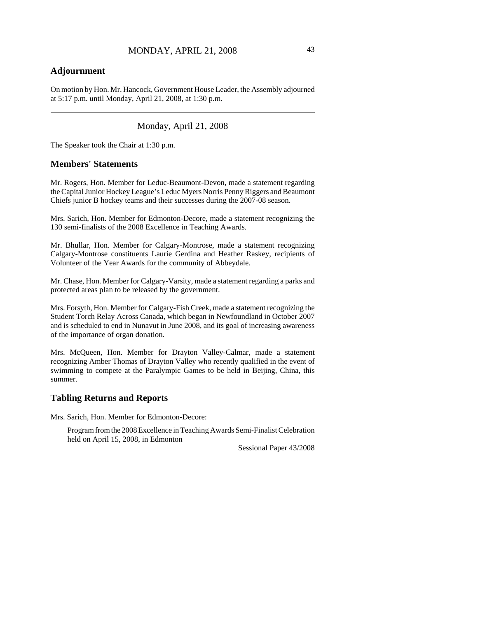# **Adjournment**

On motion by Hon. Mr. Hancock, Government House Leader, the Assembly adjourned at 5:17 p.m. until Monday, April 21, 2008, at 1:30 p.m.

Monday, April 21, 2008

The Speaker took the Chair at 1:30 p.m.

### **Members' Statements**

Mr. Rogers, Hon. Member for Leduc-Beaumont-Devon, made a statement regarding the Capital Junior Hockey League's Leduc Myers Norris Penny Riggers and Beaumont Chiefs junior B hockey teams and their successes during the 2007-08 season.

Mrs. Sarich, Hon. Member for Edmonton-Decore, made a statement recognizing the 130 semi-finalists of the 2008 Excellence in Teaching Awards.

Mr. Bhullar, Hon. Member for Calgary-Montrose, made a statement recognizing Calgary-Montrose constituents Laurie Gerdina and Heather Raskey, recipients of Volunteer of the Year Awards for the community of Abbeydale.

Mr. Chase, Hon. Member for Calgary-Varsity, made a statement regarding a parks and protected areas plan to be released by the government.

Mrs. Forsyth, Hon. Member for Calgary-Fish Creek, made a statement recognizing the Student Torch Relay Across Canada, which began in Newfoundland in October 2007 and is scheduled to end in Nunavut in June 2008, and its goal of increasing awareness of the importance of organ donation.

Mrs. McQueen, Hon. Member for Drayton Valley-Calmar, made a statement recognizing Amber Thomas of Drayton Valley who recently qualified in the event of swimming to compete at the Paralympic Games to be held in Beijing, China, this summer.

# **Tabling Returns and Reports**

Mrs. Sarich, Hon. Member for Edmonton-Decore:

Program from the 2008 Excellence in Teaching Awards Semi-Finalist Celebration held on April 15, 2008, in Edmonton

Sessional Paper 43/2008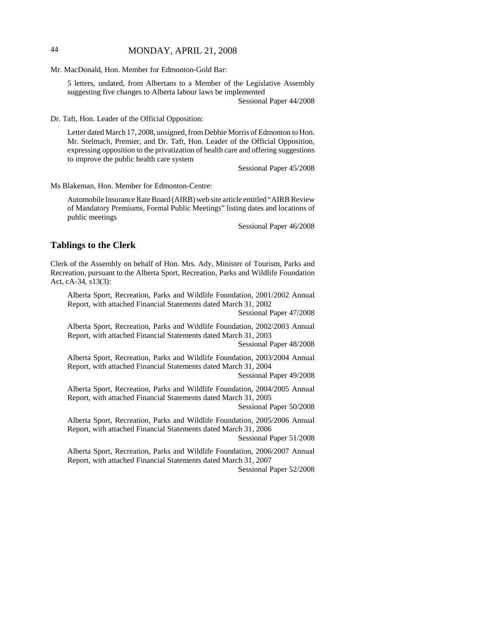# 44 MONDAY, APRIL 21, 2008

Mr. MacDonald, Hon. Member for Edmonton-Gold Bar:

5 letters, undated, from Albertans to a Member of the Legislative Assembly suggesting five changes to Alberta labour laws be implemented Sessional Paper 44/2008

Dr. Taft, Hon. Leader of the Official Opposition:

Letter dated March 17, 2008, unsigned, from Debbie Morris of Edmonton to Hon. Mr. Stelmach, Premier, and Dr. Taft, Hon. Leader of the Official Opposition, expressing opposition to the privatization of health care and offering suggestions to improve the public health care system

Sessional Paper 45/2008

Ms Blakeman, Hon. Member for Edmonton-Centre:

Automobile Insurance Rate Board (AIRB) web site article entitled "AIRB Review of Mandatory Premiums, Formal Public Meetings" listing dates and locations of public meetings

Sessional Paper 46/2008

### **Tablings to the Clerk**

Clerk of the Assembly on behalf of Hon. Mrs. Ady, Minister of Tourism, Parks and Recreation, pursuant to the Alberta Sport, Recreation, Parks and Wildlife Foundation Act, cA-34, s13(3):

Alberta Sport, Recreation, Parks and Wildlife Foundation, 2001/2002 Annual Report, with attached Financial Statements dated March 31, 2002

Sessional Paper 47/2008

Alberta Sport, Recreation, Parks and Wildlife Foundation, 2002/2003 Annual Report, with attached Financial Statements dated March 31, 2003

Sessional Paper 48/2008

Alberta Sport, Recreation, Parks and Wildlife Foundation, 2003/2004 Annual Report, with attached Financial Statements dated March 31, 2004

Sessional Paper 49/2008

Alberta Sport, Recreation, Parks and Wildlife Foundation, 2004/2005 Annual Report, with attached Financial Statements dated March 31, 2005

Sessional Paper 50/2008

Alberta Sport, Recreation, Parks and Wildlife Foundation, 2005/2006 Annual Report, with attached Financial Statements dated March 31, 2006

Sessional Paper 51/2008

Alberta Sport, Recreation, Parks and Wildlife Foundation, 2006/2007 Annual Report, with attached Financial Statements dated March 31, 2007

Sessional Paper 52/2008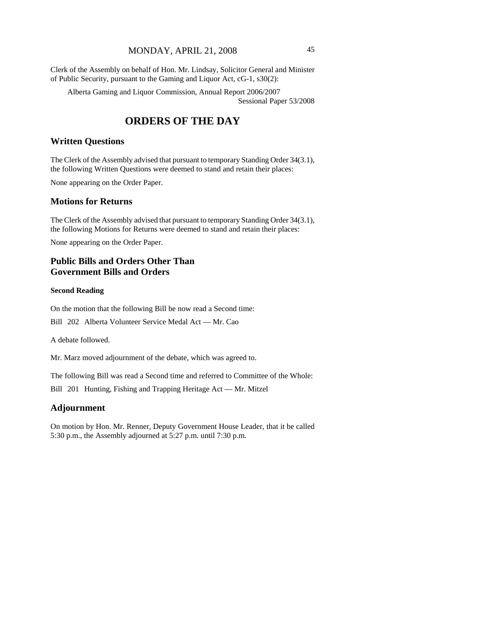# MONDAY, APRIL 21, 2008 45

Clerk of the Assembly on behalf of Hon. Mr. Lindsay, Solicitor General and Minister of Public Security, pursuant to the Gaming and Liquor Act, cG-1, s30(2):

Alberta Gaming and Liquor Commission, Annual Report 2006/2007 Sessional Paper 53/2008

# **ORDERS OF THE DAY**

# **Written Questions**

The Clerk of the Assembly advised that pursuant to temporary Standing Order 34(3.1), the following Written Questions were deemed to stand and retain their places:

None appearing on the Order Paper.

## **Motions for Returns**

The Clerk of the Assembly advised that pursuant to temporary Standing Order 34(3.1), the following Motions for Returns were deemed to stand and retain their places:

None appearing on the Order Paper.

# **Public Bills and Orders Other Than Government Bills and Orders**

### **Second Reading**

On the motion that the following Bill be now read a Second time:

Bill 202 Alberta Volunteer Service Medal Act — Mr. Cao

A debate followed.

Mr. Marz moved adjournment of the debate, which was agreed to.

The following Bill was read a Second time and referred to Committee of the Whole:

Bill 201 Hunting, Fishing and Trapping Heritage Act — Mr. Mitzel

## **Adjournment**

On motion by Hon. Mr. Renner, Deputy Government House Leader, that it be called 5:30 p.m., the Assembly adjourned at 5:27 p.m. until 7:30 p.m.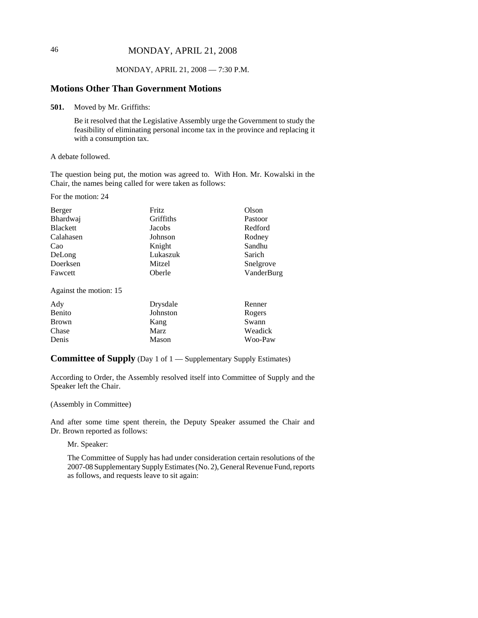# 46 MONDAY, APRIL 21, 2008

## MONDAY, APRIL 21, 2008 — 7:30 P.M.

## **Motions Other Than Government Motions**

**501.** Moved by Mr. Griffiths:

Be it resolved that the Legislative Assembly urge the Government to study the feasibility of eliminating personal income tax in the province and replacing it with a consumption tax.

#### A debate followed.

The question being put, the motion was agreed to. With Hon. Mr. Kowalski in the Chair, the names being called for were taken as follows:

For the motion: 24

| Berger          | <b>Fritz</b> | Olson      |
|-----------------|--------------|------------|
| Bhardwaj        | Griffiths    | Pastoor    |
| <b>Blackett</b> | Jacobs       | Redford    |
| Calahasen       | Johnson      | Rodney     |
| Cao             | Knight       | Sandhu     |
| DeLong          | Lukaszuk     | Sarich     |
| Doerksen        | Mitzel       | Snelgrove  |
| Fawcett         | Oberle       | VanderBurg |

Against the motion: 15

| Ady          | Drysdale | Renner  |
|--------------|----------|---------|
| Benito       | Johnston | Rogers  |
| <b>Brown</b> | Kang     | Swann   |
| Chase        | Marz     | Weadick |
| Denis        | Mason    | Woo-Paw |

### **Committee of Supply** (Day 1 of 1 — Supplementary Supply Estimates)

According to Order, the Assembly resolved itself into Committee of Supply and the Speaker left the Chair.

### (Assembly in Committee)

And after some time spent therein, the Deputy Speaker assumed the Chair and Dr. Brown reported as follows:

Mr. Speaker:

The Committee of Supply has had under consideration certain resolutions of the 2007-08 Supplementary Supply Estimates (No. 2), General Revenue Fund, reports as follows, and requests leave to sit again: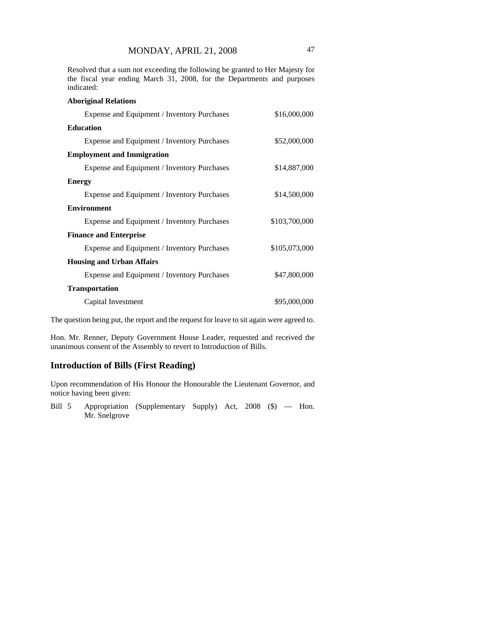Resolved that a sum not exceeding the following be granted to Her Majesty for the fiscal year ending March 31, 2008, for the Departments and purposes indicated:

| <b>Aboriginal Relations</b>                 |               |
|---------------------------------------------|---------------|
| Expense and Equipment / Inventory Purchases | \$16,000,000  |
| <b>Education</b>                            |               |
| Expense and Equipment / Inventory Purchases | \$52,000,000  |
| <b>Employment and Immigration</b>           |               |
| Expense and Equipment / Inventory Purchases | \$14,887,000  |
| <b>Energy</b>                               |               |
| Expense and Equipment / Inventory Purchases | \$14,500,000  |
| <b>Environment</b>                          |               |
| Expense and Equipment / Inventory Purchases | \$103,700,000 |
| <b>Finance and Enterprise</b>               |               |
| Expense and Equipment / Inventory Purchases | \$105,073,000 |
| <b>Housing and Urban Affairs</b>            |               |
| Expense and Equipment / Inventory Purchases | \$47,800,000  |
| <b>Transportation</b>                       |               |
| Capital Investment                          | \$95,000,000  |

The question being put, the report and the request for leave to sit again were agreed to.

Hon. Mr. Renner, Deputy Government House Leader, requested and received the unanimous consent of the Assembly to revert to Introduction of Bills.

# **Introduction of Bills (First Reading)**

Upon recommendation of His Honour the Honourable the Lieutenant Governor, and notice having been given:

Bill 5 Appropriation (Supplementary Supply) Act, 2008 (\$) — Hon. Mr. Snelgrove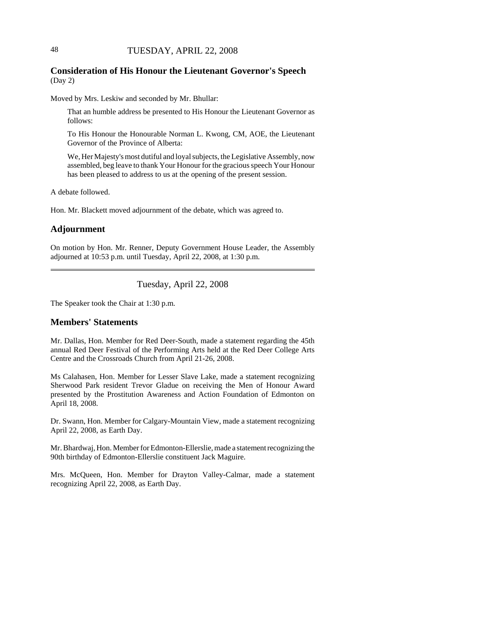# **Consideration of His Honour the Lieutenant Governor's Speech** (Day 2)

Moved by Mrs. Leskiw and seconded by Mr. Bhullar:

That an humble address be presented to His Honour the Lieutenant Governor as follows:

To His Honour the Honourable Norman L. Kwong, CM, AOE, the Lieutenant Governor of the Province of Alberta:

We, Her Majesty's most dutiful and loyal subjects, the Legislative Assembly, now assembled, beg leave to thank Your Honour for the gracious speech Your Honour has been pleased to address to us at the opening of the present session.

A debate followed.

Hon. Mr. Blackett moved adjournment of the debate, which was agreed to.

### **Adjournment**

On motion by Hon. Mr. Renner, Deputy Government House Leader, the Assembly adjourned at 10:53 p.m. until Tuesday, April 22, 2008, at 1:30 p.m.

Tuesday, April 22, 2008

The Speaker took the Chair at 1:30 p.m.

## **Members' Statements**

Mr. Dallas, Hon. Member for Red Deer-South, made a statement regarding the 45th annual Red Deer Festival of the Performing Arts held at the Red Deer College Arts Centre and the Crossroads Church from April 21-26, 2008.

Ms Calahasen, Hon. Member for Lesser Slave Lake, made a statement recognizing Sherwood Park resident Trevor Gladue on receiving the Men of Honour Award presented by the Prostitution Awareness and Action Foundation of Edmonton on April 18, 2008.

Dr. Swann, Hon. Member for Calgary-Mountain View, made a statement recognizing April 22, 2008, as Earth Day.

Mr. Bhardwaj, Hon. Member for Edmonton-Ellerslie, made a statement recognizing the 90th birthday of Edmonton-Ellerslie constituent Jack Maguire.

Mrs. McQueen, Hon. Member for Drayton Valley-Calmar, made a statement recognizing April 22, 2008, as Earth Day.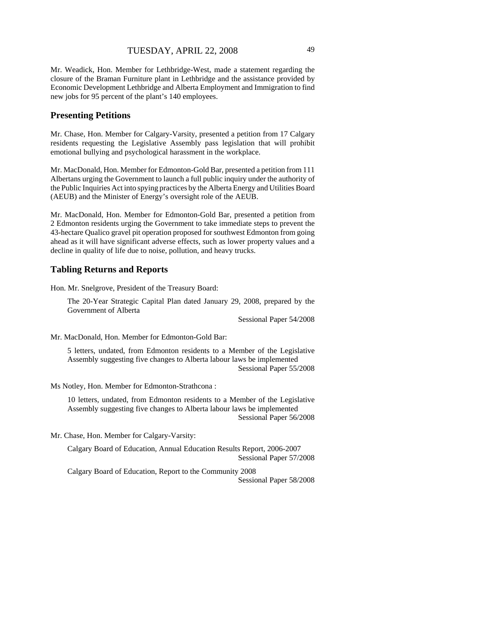Mr. Weadick, Hon. Member for Lethbridge-West, made a statement regarding the closure of the Braman Furniture plant in Lethbridge and the assistance provided by Economic Development Lethbridge and Alberta Employment and Immigration to find new jobs for 95 percent of the plant's 140 employees.

# **Presenting Petitions**

Mr. Chase, Hon. Member for Calgary-Varsity, presented a petition from 17 Calgary residents requesting the Legislative Assembly pass legislation that will prohibit emotional bullying and psychological harassment in the workplace.

Mr. MacDonald, Hon. Member for Edmonton-Gold Bar, presented a petition from 111 Albertans urging the Government to launch a full public inquiry under the authority of the Public Inquiries Act into spying practices by the Alberta Energy and Utilities Board (AEUB) and the Minister of Energy's oversight role of the AEUB.

Mr. MacDonald, Hon. Member for Edmonton-Gold Bar, presented a petition from 2 Edmonton residents urging the Government to take immediate steps to prevent the 43-hectare Qualico gravel pit operation proposed for southwest Edmonton from going ahead as it will have significant adverse effects, such as lower property values and a decline in quality of life due to noise, pollution, and heavy trucks.

### **Tabling Returns and Reports**

Hon. Mr. Snelgrove, President of the Treasury Board:

The 20-Year Strategic Capital Plan dated January 29, 2008, prepared by the Government of Alberta

Sessional Paper 54/2008

Mr. MacDonald, Hon. Member for Edmonton-Gold Bar:

5 letters, undated, from Edmonton residents to a Member of the Legislative Assembly suggesting five changes to Alberta labour laws be implemented Sessional Paper 55/2008

Ms Notley, Hon. Member for Edmonton-Strathcona :

10 letters, undated, from Edmonton residents to a Member of the Legislative Assembly suggesting five changes to Alberta labour laws be implemented Sessional Paper 56/2008

Mr. Chase, Hon. Member for Calgary-Varsity:

Calgary Board of Education, Annual Education Results Report, 2006-2007 Sessional Paper 57/2008

Calgary Board of Education, Report to the Community 2008 Sessional Paper 58/2008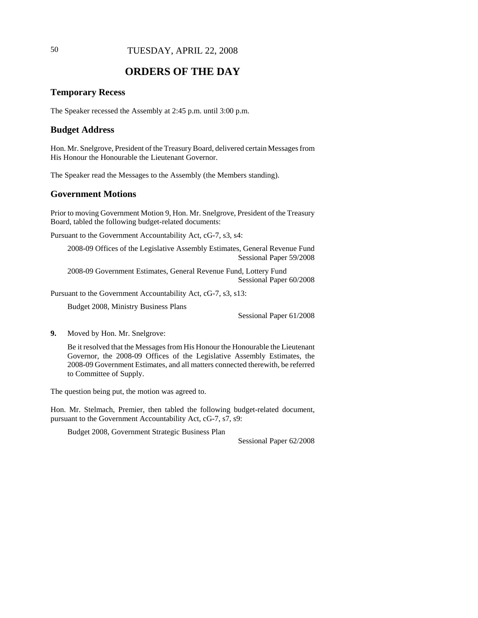# 50 TUESDAY, APRIL 22, 2008

# **ORDERS OF THE DAY**

## **Temporary Recess**

The Speaker recessed the Assembly at 2:45 p.m. until 3:00 p.m.

### **Budget Address**

Hon. Mr. Snelgrove, President of the Treasury Board, delivered certain Messages from His Honour the Honourable the Lieutenant Governor.

The Speaker read the Messages to the Assembly (the Members standing).

## **Government Motions**

Prior to moving Government Motion 9, Hon. Mr. Snelgrove, President of the Treasury Board, tabled the following budget-related documents:

Pursuant to the Government Accountability Act, cG-7, s3, s4:

2008-09 Offices of the Legislative Assembly Estimates, General Revenue Fund Sessional Paper 59/2008

2008-09 Government Estimates, General Revenue Fund, Lottery Fund Sessional Paper 60/2008

Pursuant to the Government Accountability Act, cG-7, s3, s13:

Budget 2008, Ministry Business Plans

Sessional Paper 61/2008

**9.** Moved by Hon. Mr. Snelgrove:

Be it resolved that the Messages from His Honour the Honourable the Lieutenant Governor, the 2008-09 Offices of the Legislative Assembly Estimates, the 2008-09 Government Estimates, and all matters connected therewith, be referred to Committee of Supply.

The question being put, the motion was agreed to.

Hon. Mr. Stelmach, Premier, then tabled the following budget-related document, pursuant to the Government Accountability Act, cG-7, s7, s9:

Budget 2008, Government Strategic Business Plan

Sessional Paper 62/2008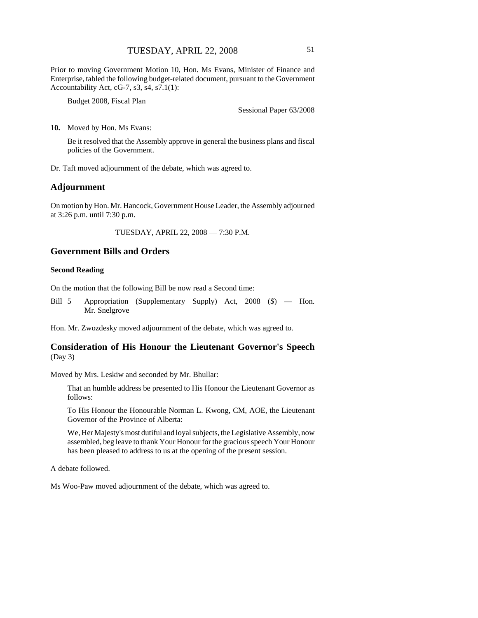Prior to moving Government Motion 10, Hon. Ms Evans, Minister of Finance and Enterprise, tabled the following budget-related document, pursuant to the Government Accountability Act, cG-7, s3, s4, s7.1(1):

Budget 2008, Fiscal Plan

Sessional Paper 63/2008

**10.** Moved by Hon. Ms Evans:

Be it resolved that the Assembly approve in general the business plans and fiscal policies of the Government.

Dr. Taft moved adjournment of the debate, which was agreed to.

### **Adjournment**

On motion by Hon. Mr. Hancock, Government House Leader, the Assembly adjourned at 3:26 p.m. until 7:30 p.m.

TUESDAY, APRIL 22, 2008 — 7:30 P.M.

# **Government Bills and Orders**

### **Second Reading**

On the motion that the following Bill be now read a Second time:

Bill 5 Appropriation (Supplementary Supply) Act, 2008 (\$) — Hon. Mr. Snelgrove

Hon. Mr. Zwozdesky moved adjournment of the debate, which was agreed to.

# **Consideration of His Honour the Lieutenant Governor's Speech** (Day 3)

Moved by Mrs. Leskiw and seconded by Mr. Bhullar:

That an humble address be presented to His Honour the Lieutenant Governor as follows:

To His Honour the Honourable Norman L. Kwong, CM, AOE, the Lieutenant Governor of the Province of Alberta:

We, Her Majesty's most dutiful and loyal subjects, the Legislative Assembly, now assembled, beg leave to thank Your Honour for the gracious speech Your Honour has been pleased to address to us at the opening of the present session.

A debate followed.

Ms Woo-Paw moved adjournment of the debate, which was agreed to.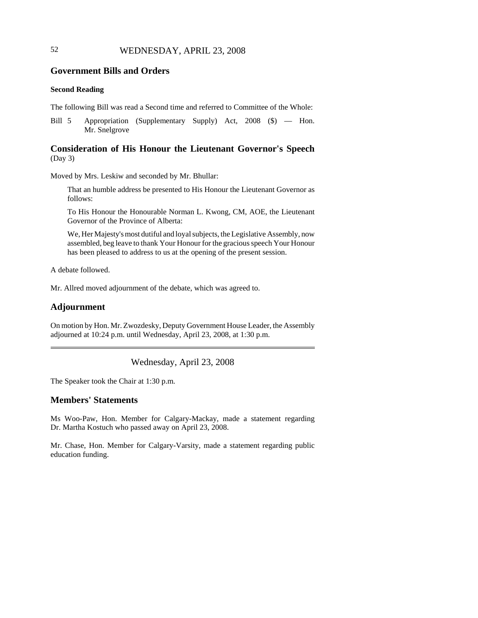# 52 WEDNESDAY, APRIL 23, 2008

# **Government Bills and Orders**

## **Second Reading**

The following Bill was read a Second time and referred to Committee of the Whole:

Bill 5 Appropriation (Supplementary Supply) Act, 2008 (\$) — Hon. Mr. Snelgrove

# **Consideration of His Honour the Lieutenant Governor's Speech** (Day 3)

Moved by Mrs. Leskiw and seconded by Mr. Bhullar:

That an humble address be presented to His Honour the Lieutenant Governor as follows:

To His Honour the Honourable Norman L. Kwong, CM, AOE, the Lieutenant Governor of the Province of Alberta:

We, Her Majesty's most dutiful and loyal subjects, the Legislative Assembly, now assembled, beg leave to thank Your Honour for the gracious speech Your Honour has been pleased to address to us at the opening of the present session.

A debate followed.

Mr. Allred moved adjournment of the debate, which was agreed to.

## **Adjournment**

On motion by Hon. Mr. Zwozdesky, Deputy Government House Leader, the Assembly adjourned at 10:24 p.m. until Wednesday, April 23, 2008, at 1:30 p.m.

Wednesday, April 23, 2008

The Speaker took the Chair at 1:30 p.m.

## **Members' Statements**

Ms Woo-Paw, Hon. Member for Calgary-Mackay, made a statement regarding Dr. Martha Kostuch who passed away on April 23, 2008.

Mr. Chase, Hon. Member for Calgary-Varsity, made a statement regarding public education funding.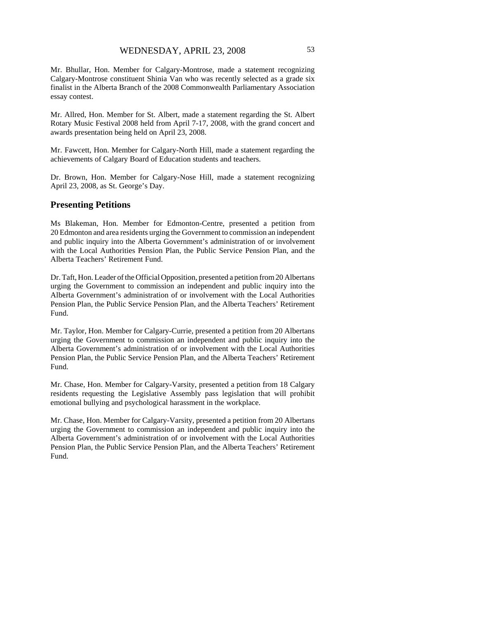Mr. Bhullar, Hon. Member for Calgary-Montrose, made a statement recognizing Calgary-Montrose constituent Shinia Van who was recently selected as a grade six finalist in the Alberta Branch of the 2008 Commonwealth Parliamentary Association essay contest.

Mr. Allred, Hon. Member for St. Albert, made a statement regarding the St. Albert Rotary Music Festival 2008 held from April 7-17, 2008, with the grand concert and awards presentation being held on April 23, 2008.

Mr. Fawcett, Hon. Member for Calgary-North Hill, made a statement regarding the achievements of Calgary Board of Education students and teachers.

Dr. Brown, Hon. Member for Calgary-Nose Hill, made a statement recognizing April 23, 2008, as St. George's Day.

### **Presenting Petitions**

Ms Blakeman, Hon. Member for Edmonton-Centre, presented a petition from 20 Edmonton and area residents urging the Government to commission an independent and public inquiry into the Alberta Government's administration of or involvement with the Local Authorities Pension Plan, the Public Service Pension Plan, and the Alberta Teachers' Retirement Fund.

Dr. Taft, Hon. Leader of the Official Opposition, presented a petition from 20 Albertans urging the Government to commission an independent and public inquiry into the Alberta Government's administration of or involvement with the Local Authorities Pension Plan, the Public Service Pension Plan, and the Alberta Teachers' Retirement Fund.

Mr. Taylor, Hon. Member for Calgary-Currie, presented a petition from 20 Albertans urging the Government to commission an independent and public inquiry into the Alberta Government's administration of or involvement with the Local Authorities Pension Plan, the Public Service Pension Plan, and the Alberta Teachers' Retirement Fund.

Mr. Chase, Hon. Member for Calgary-Varsity, presented a petition from 18 Calgary residents requesting the Legislative Assembly pass legislation that will prohibit emotional bullying and psychological harassment in the workplace.

Mr. Chase, Hon. Member for Calgary-Varsity, presented a petition from 20 Albertans urging the Government to commission an independent and public inquiry into the Alberta Government's administration of or involvement with the Local Authorities Pension Plan, the Public Service Pension Plan, and the Alberta Teachers' Retirement Fund.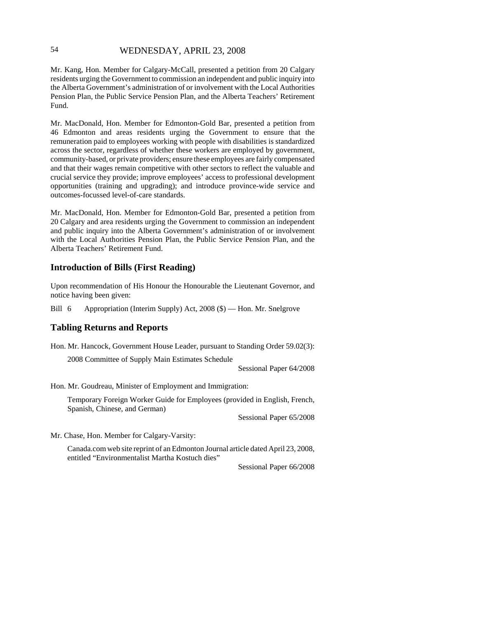# 54 WEDNESDAY, APRIL 23, 2008

Mr. Kang, Hon. Member for Calgary-McCall, presented a petition from 20 Calgary residents urging the Government to commission an independent and public inquiry into the Alberta Government's administration of or involvement with the Local Authorities Pension Plan, the Public Service Pension Plan, and the Alberta Teachers' Retirement Fund.

Mr. MacDonald, Hon. Member for Edmonton-Gold Bar, presented a petition from 46 Edmonton and areas residents urging the Government to ensure that the remuneration paid to employees working with people with disabilities is standardized across the sector, regardless of whether these workers are employed by government, community-based, or private providers; ensure these employees are fairly compensated and that their wages remain competitive with other sectors to reflect the valuable and crucial service they provide; improve employees' access to professional development opportunities (training and upgrading); and introduce province-wide service and outcomes-focussed level-of-care standards.

Mr. MacDonald, Hon. Member for Edmonton-Gold Bar, presented a petition from 20 Calgary and area residents urging the Government to commission an independent and public inquiry into the Alberta Government's administration of or involvement with the Local Authorities Pension Plan, the Public Service Pension Plan, and the Alberta Teachers' Retirement Fund.

### **Introduction of Bills (First Reading)**

Upon recommendation of His Honour the Honourable the Lieutenant Governor, and notice having been given:

Bill 6 Appropriation (Interim Supply) Act, 2008 (\$) — Hon. Mr. Snelgrove

## **Tabling Returns and Reports**

Hon. Mr. Hancock, Government House Leader, pursuant to Standing Order 59.02(3):

2008 Committee of Supply Main Estimates Schedule

Sessional Paper 64/2008

Hon. Mr. Goudreau, Minister of Employment and Immigration:

Temporary Foreign Worker Guide for Employees (provided in English, French, Spanish, Chinese, and German)

Sessional Paper 65/2008

Mr. Chase, Hon. Member for Calgary-Varsity:

Canada.com web site reprint of an Edmonton Journal article dated April 23, 2008, entitled "Environmentalist Martha Kostuch dies"

Sessional Paper 66/2008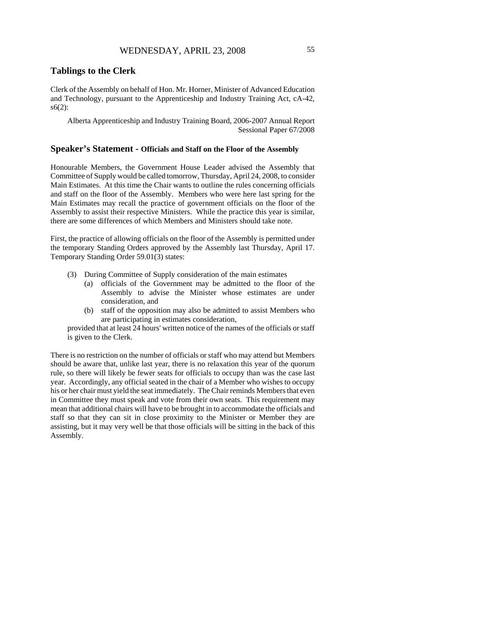# **Tablings to the Clerk**

Clerk of the Assembly on behalf of Hon. Mr. Horner, Minister of Advanced Education and Technology, pursuant to the Apprenticeship and Industry Training Act, cA-42, s6(2):

Alberta Apprenticeship and Industry Training Board, 2006-2007 Annual Report Sessional Paper 67/2008

### **Speaker's Statement - Officials and Staff on the Floor of the Assembly**

Honourable Members, the Government House Leader advised the Assembly that Committee of Supply would be called tomorrow, Thursday, April 24, 2008, to consider Main Estimates. At this time the Chair wants to outline the rules concerning officials and staff on the floor of the Assembly. Members who were here last spring for the Main Estimates may recall the practice of government officials on the floor of the Assembly to assist their respective Ministers. While the practice this year is similar, there are some differences of which Members and Ministers should take note.

First, the practice of allowing officials on the floor of the Assembly is permitted under the temporary Standing Orders approved by the Assembly last Thursday, April 17. Temporary Standing Order 59.01(3) states:

- (3) During Committee of Supply consideration of the main estimates
	- (a) officials of the Government may be admitted to the floor of the Assembly to advise the Minister whose estimates are under consideration, and
	- (b) staff of the opposition may also be admitted to assist Members who are participating in estimates consideration,

provided that at least 24 hours' written notice of the names of the officials or staff is given to the Clerk.

There is no restriction on the number of officials or staff who may attend but Members should be aware that, unlike last year, there is no relaxation this year of the quorum rule, so there will likely be fewer seats for officials to occupy than was the case last year. Accordingly, any official seated in the chair of a Member who wishes to occupy his or her chair must yield the seat immediately. The Chair reminds Members that even in Committee they must speak and vote from their own seats. This requirement may mean that additional chairs will have to be brought in to accommodate the officials and staff so that they can sit in close proximity to the Minister or Member they are assisting, but it may very well be that those officials will be sitting in the back of this Assembly.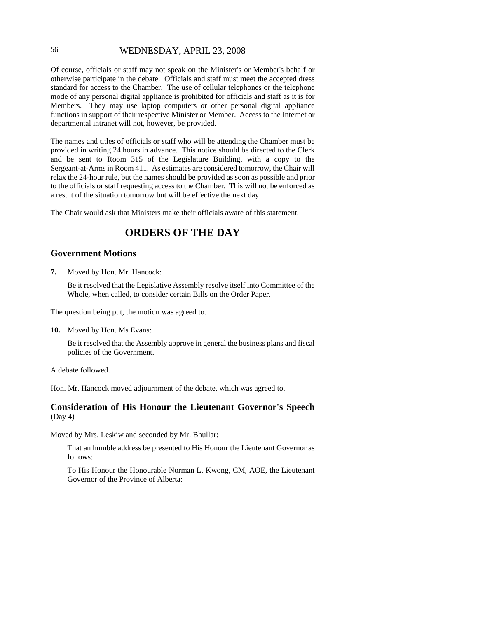# 56 WEDNESDAY, APRIL 23, 2008

Of course, officials or staff may not speak on the Minister's or Member's behalf or otherwise participate in the debate. Officials and staff must meet the accepted dress standard for access to the Chamber. The use of cellular telephones or the telephone mode of any personal digital appliance is prohibited for officials and staff as it is for Members. They may use laptop computers or other personal digital appliance functions in support of their respective Minister or Member. Access to the Internet or departmental intranet will not, however, be provided.

The names and titles of officials or staff who will be attending the Chamber must be provided in writing 24 hours in advance. This notice should be directed to the Clerk and be sent to Room 315 of the Legislature Building, with a copy to the Sergeant-at-Arms in Room 411. As estimates are considered tomorrow, the Chair will relax the 24-hour rule, but the names should be provided as soon as possible and prior to the officials or staff requesting access to the Chamber. This will not be enforced as a result of the situation tomorrow but will be effective the next day.

The Chair would ask that Ministers make their officials aware of this statement.

# **ORDERS OF THE DAY**

## **Government Motions**

**7.** Moved by Hon. Mr. Hancock:

Be it resolved that the Legislative Assembly resolve itself into Committee of the Whole, when called, to consider certain Bills on the Order Paper.

The question being put, the motion was agreed to.

**10.** Moved by Hon. Ms Evans:

Be it resolved that the Assembly approve in general the business plans and fiscal policies of the Government.

A debate followed.

Hon. Mr. Hancock moved adjournment of the debate, which was agreed to.

## **Consideration of His Honour the Lieutenant Governor's Speech** (Day 4)

Moved by Mrs. Leskiw and seconded by Mr. Bhullar:

That an humble address be presented to His Honour the Lieutenant Governor as follows:

To His Honour the Honourable Norman L. Kwong, CM, AOE, the Lieutenant Governor of the Province of Alberta: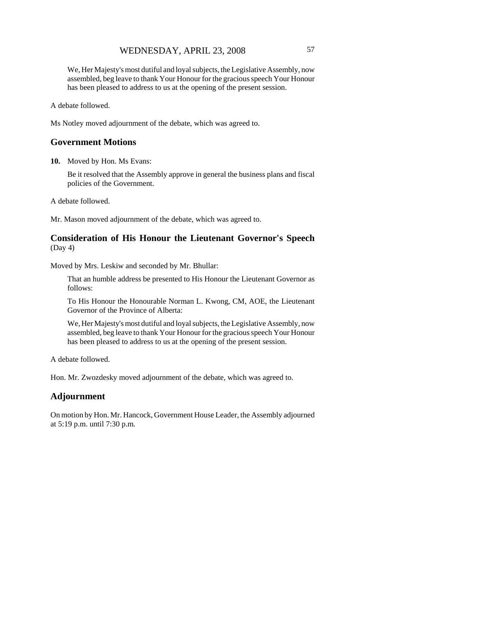# WEDNESDAY, APRIL 23, 2008 57

We, Her Majesty's most dutiful and loyal subjects, the Legislative Assembly, now assembled, beg leave to thank Your Honour for the gracious speech Your Honour has been pleased to address to us at the opening of the present session.

A debate followed.

Ms Notley moved adjournment of the debate, which was agreed to.

## **Government Motions**

**10.** Moved by Hon. Ms Evans:

Be it resolved that the Assembly approve in general the business plans and fiscal policies of the Government.

A debate followed.

Mr. Mason moved adjournment of the debate, which was agreed to.

## **Consideration of His Honour the Lieutenant Governor's Speech** (Day 4)

Moved by Mrs. Leskiw and seconded by Mr. Bhullar:

That an humble address be presented to His Honour the Lieutenant Governor as follows:

To His Honour the Honourable Norman L. Kwong, CM, AOE, the Lieutenant Governor of the Province of Alberta:

We, Her Majesty's most dutiful and loyal subjects, the Legislative Assembly, now assembled, beg leave to thank Your Honour for the gracious speech Your Honour has been pleased to address to us at the opening of the present session.

A debate followed.

Hon. Mr. Zwozdesky moved adjournment of the debate, which was agreed to.

## **Adjournment**

On motion by Hon. Mr. Hancock, Government House Leader, the Assembly adjourned at 5:19 p.m. until 7:30 p.m.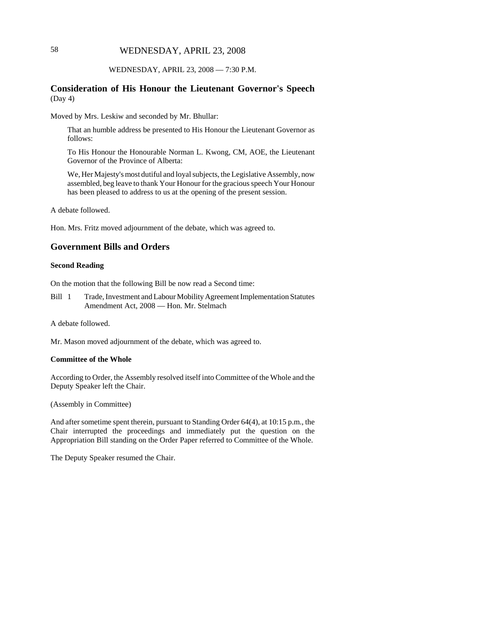# 58 WEDNESDAY, APRIL 23, 2008

### WEDNESDAY, APRIL 23, 2008 — 7:30 P.M.

## **Consideration of His Honour the Lieutenant Governor's Speech** (Day 4)

Moved by Mrs. Leskiw and seconded by Mr. Bhullar:

That an humble address be presented to His Honour the Lieutenant Governor as follows:

To His Honour the Honourable Norman L. Kwong, CM, AOE, the Lieutenant Governor of the Province of Alberta:

We, Her Majesty's most dutiful and loyal subjects, the Legislative Assembly, now assembled, beg leave to thank Your Honour for the gracious speech Your Honour has been pleased to address to us at the opening of the present session.

A debate followed.

Hon. Mrs. Fritz moved adjournment of the debate, which was agreed to.

# **Government Bills and Orders**

### **Second Reading**

On the motion that the following Bill be now read a Second time:

Bill 1 Trade, Investment and Labour Mobility Agreement Implementation Statutes Amendment Act, 2008 — Hon. Mr. Stelmach

A debate followed.

Mr. Mason moved adjournment of the debate, which was agreed to.

### **Committee of the Whole**

According to Order, the Assembly resolved itself into Committee of the Whole and the Deputy Speaker left the Chair.

(Assembly in Committee)

And after sometime spent therein, pursuant to Standing Order 64(4), at 10:15 p.m., the Chair interrupted the proceedings and immediately put the question on the Appropriation Bill standing on the Order Paper referred to Committee of the Whole.

The Deputy Speaker resumed the Chair.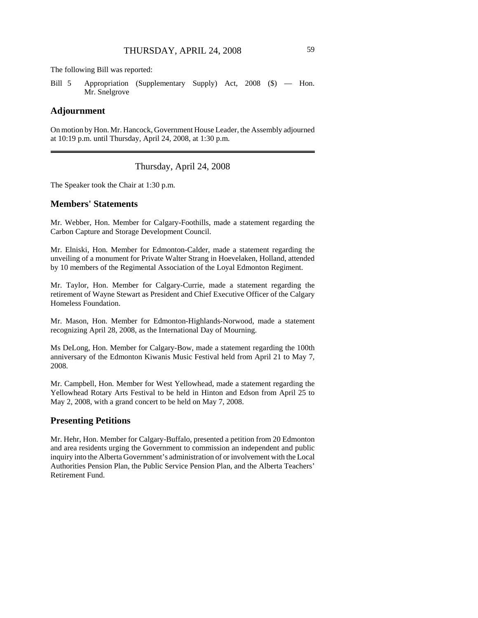The following Bill was reported:

Bill 5 Appropriation (Supplementary Supply) Act, 2008 (\$) — Hon. Mr. Snelgrove

## **Adjournment**

On motion by Hon. Mr. Hancock, Government House Leader, the Assembly adjourned at 10:19 p.m. until Thursday, April 24, 2008, at 1:30 p.m.

Thursday, April 24, 2008

The Speaker took the Chair at 1:30 p.m.

### **Members' Statements**

Mr. Webber, Hon. Member for Calgary-Foothills, made a statement regarding the Carbon Capture and Storage Development Council.

Mr. Elniski, Hon. Member for Edmonton-Calder, made a statement regarding the unveiling of a monument for Private Walter Strang in Hoevelaken, Holland, attended by 10 members of the Regimental Association of the Loyal Edmonton Regiment.

Mr. Taylor, Hon. Member for Calgary-Currie, made a statement regarding the retirement of Wayne Stewart as President and Chief Executive Officer of the Calgary Homeless Foundation.

Mr. Mason, Hon. Member for Edmonton-Highlands-Norwood, made a statement recognizing April 28, 2008, as the International Day of Mourning.

Ms DeLong, Hon. Member for Calgary-Bow, made a statement regarding the 100th anniversary of the Edmonton Kiwanis Music Festival held from April 21 to May 7, 2008.

Mr. Campbell, Hon. Member for West Yellowhead, made a statement regarding the Yellowhead Rotary Arts Festival to be held in Hinton and Edson from April 25 to May 2, 2008, with a grand concert to be held on May 7, 2008.

# **Presenting Petitions**

Mr. Hehr, Hon. Member for Calgary-Buffalo, presented a petition from 20 Edmonton and area residents urging the Government to commission an independent and public inquiry into the Alberta Government's administration of or involvement with the Local Authorities Pension Plan, the Public Service Pension Plan, and the Alberta Teachers' Retirement Fund.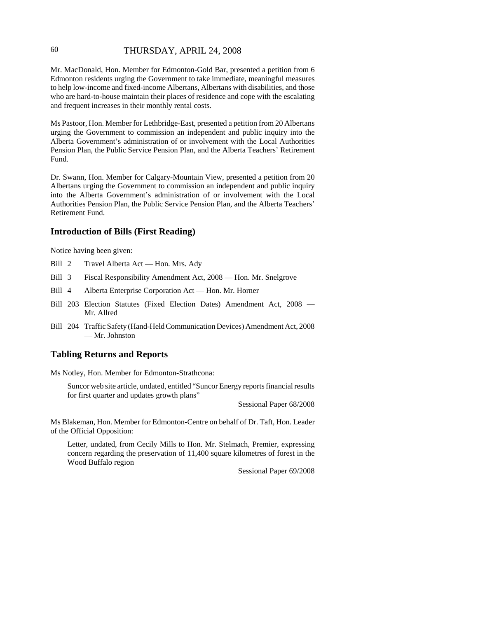# 60 THURSDAY, APRIL 24, 2008

Mr. MacDonald, Hon. Member for Edmonton-Gold Bar, presented a petition from 6 Edmonton residents urging the Government to take immediate, meaningful measures to help low-income and fixed-income Albertans, Albertans with disabilities, and those who are hard-to-house maintain their places of residence and cope with the escalating and frequent increases in their monthly rental costs.

Ms Pastoor, Hon. Member for Lethbridge-East, presented a petition from 20 Albertans urging the Government to commission an independent and public inquiry into the Alberta Government's administration of or involvement with the Local Authorities Pension Plan, the Public Service Pension Plan, and the Alberta Teachers' Retirement Fund.

Dr. Swann, Hon. Member for Calgary-Mountain View, presented a petition from 20 Albertans urging the Government to commission an independent and public inquiry into the Alberta Government's administration of or involvement with the Local Authorities Pension Plan, the Public Service Pension Plan, and the Alberta Teachers' Retirement Fund.

# **Introduction of Bills (First Reading)**

Notice having been given:

- Bill 2 Travel Alberta Act Hon. Mrs. Ady
- Bill 3 Fiscal Responsibility Amendment Act, 2008 Hon. Mr. Snelgrove
- Bill 4 Alberta Enterprise Corporation Act Hon. Mr. Horner
- Bill 203 Election Statutes (Fixed Election Dates) Amendment Act, 2008 Mr. Allred
- Bill 204 Traffic Safety (Hand-Held Communication Devices) Amendment Act, 2008 — Mr. Johnston

## **Tabling Returns and Reports**

Ms Notley, Hon. Member for Edmonton-Strathcona:

Suncor web site article, undated, entitled "Suncor Energy reports financial results for first quarter and updates growth plans"

Sessional Paper 68/2008

Ms Blakeman, Hon. Member for Edmonton-Centre on behalf of Dr. Taft, Hon. Leader of the Official Opposition:

Letter, undated, from Cecily Mills to Hon. Mr. Stelmach, Premier, expressing concern regarding the preservation of 11,400 square kilometres of forest in the Wood Buffalo region

Sessional Paper 69/2008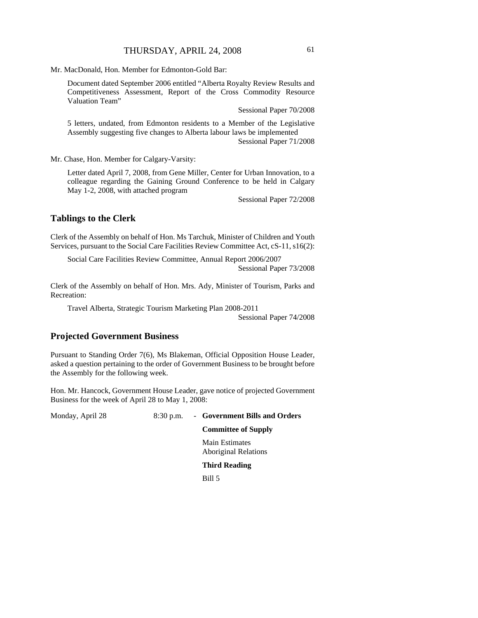Mr. MacDonald, Hon. Member for Edmonton-Gold Bar:

Document dated September 2006 entitled "Alberta Royalty Review Results and Competitiveness Assessment, Report of the Cross Commodity Resource Valuation Team"

Sessional Paper 70/2008

5 letters, undated, from Edmonton residents to a Member of the Legislative Assembly suggesting five changes to Alberta labour laws be implemented Sessional Paper 71/2008

Mr. Chase, Hon. Member for Calgary-Varsity:

Letter dated April 7, 2008, from Gene Miller, Center for Urban Innovation, to a colleague regarding the Gaining Ground Conference to be held in Calgary May 1-2, 2008, with attached program

Sessional Paper 72/2008

## **Tablings to the Clerk**

Clerk of the Assembly on behalf of Hon. Ms Tarchuk, Minister of Children and Youth Services, pursuant to the Social Care Facilities Review Committee Act, cS-11, s16(2):

Social Care Facilities Review Committee, Annual Report 2006/2007 Sessional Paper 73/2008

Clerk of the Assembly on behalf of Hon. Mrs. Ady, Minister of Tourism, Parks and Recreation:

Travel Alberta, Strategic Tourism Marketing Plan 2008-2011

Sessional Paper 74/2008

# **Projected Government Business**

Pursuant to Standing Order 7(6), Ms Blakeman, Official Opposition House Leader, asked a question pertaining to the order of Government Business to be brought before the Assembly for the following week.

Hon. Mr. Hancock, Government House Leader, gave notice of projected Government Business for the week of April 28 to May 1, 2008:

Monday, April 28 8:30 p.m. - **Government Bills and Orders**

#### **Committee of Supply**

Main Estimates Aboriginal Relations

**Third Reading**

Bill 5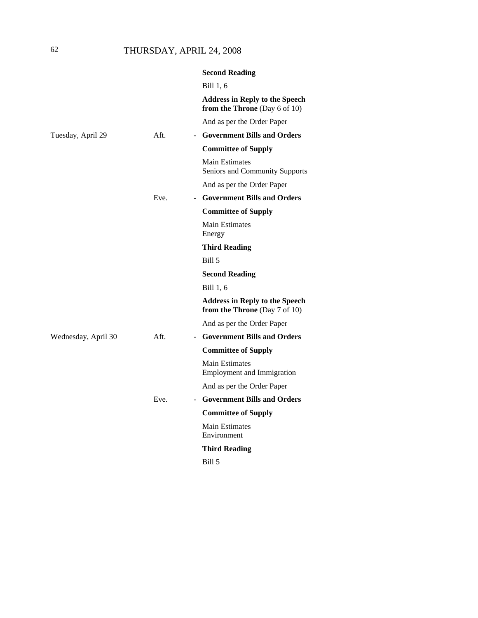# 62 THURSDAY, APRIL 24, 2008

|                     |      | <b>Second Reading</b>                                                  |
|---------------------|------|------------------------------------------------------------------------|
|                     |      | Bill 1, 6                                                              |
|                     |      | <b>Address in Reply to the Speech</b><br>from the Throne (Day 6 of 10) |
|                     |      | And as per the Order Paper                                             |
| Tuesday, April 29   | Aft. | - Government Bills and Orders                                          |
|                     |      | <b>Committee of Supply</b>                                             |
|                     |      | <b>Main Estimates</b><br>Seniors and Community Supports                |
|                     |      | And as per the Order Paper                                             |
|                     | Eve. | - Government Bills and Orders                                          |
|                     |      | <b>Committee of Supply</b>                                             |
|                     |      | <b>Main Estimates</b><br>Energy                                        |
|                     |      | <b>Third Reading</b>                                                   |
|                     |      | Bill 5                                                                 |
|                     |      | <b>Second Reading</b>                                                  |
|                     |      | Bill 1, 6                                                              |
|                     |      | <b>Address in Reply to the Speech</b><br>from the Throne (Day 7 of 10) |
|                     |      | And as per the Order Paper                                             |
| Wednesday, April 30 | Aft. | - Government Bills and Orders                                          |
|                     |      | <b>Committee of Supply</b>                                             |
|                     |      | <b>Main Estimates</b><br><b>Employment and Immigration</b>             |
|                     |      | And as per the Order Paper                                             |
|                     | Eve. | - Government Bills and Orders                                          |
|                     |      | <b>Committee of Supply</b>                                             |
|                     |      | <b>Main Estimates</b><br>Environment                                   |
|                     |      | <b>Third Reading</b>                                                   |
|                     |      | <b>Bill 5</b>                                                          |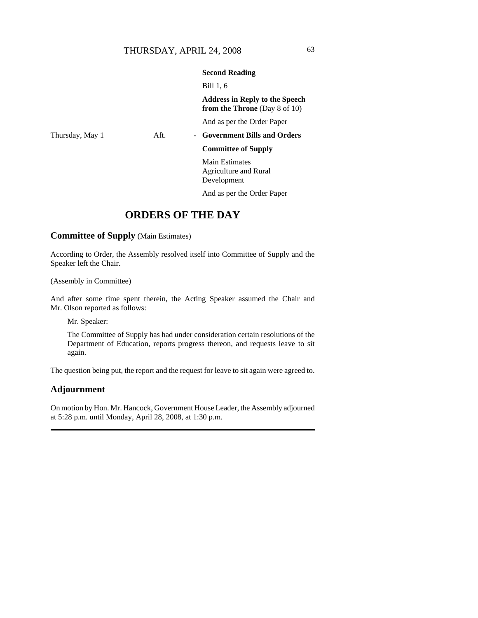### **Second Reading**

Bill 1, 6

**Address in Reply to the Speech from the Throne** (Day 8 of 10)

And as per the Order Paper

# Thursday, May 1 **Aft.** - **Government Bills and Orders**

**Committee of Supply**

Main Estimates Agriculture and Rural Development

And as per the Order Paper

# **ORDERS OF THE DAY**

**Committee of Supply** (Main Estimates)

According to Order, the Assembly resolved itself into Committee of Supply and the Speaker left the Chair.

(Assembly in Committee)

And after some time spent therein, the Acting Speaker assumed the Chair and Mr. Olson reported as follows:

Mr. Speaker:

The Committee of Supply has had under consideration certain resolutions of the Department of Education, reports progress thereon, and requests leave to sit again.

The question being put, the report and the request for leave to sit again were agreed to.

## **Adjournment**

On motion by Hon. Mr. Hancock, Government House Leader, the Assembly adjourned at 5:28 p.m. until Monday, April 28, 2008, at 1:30 p.m.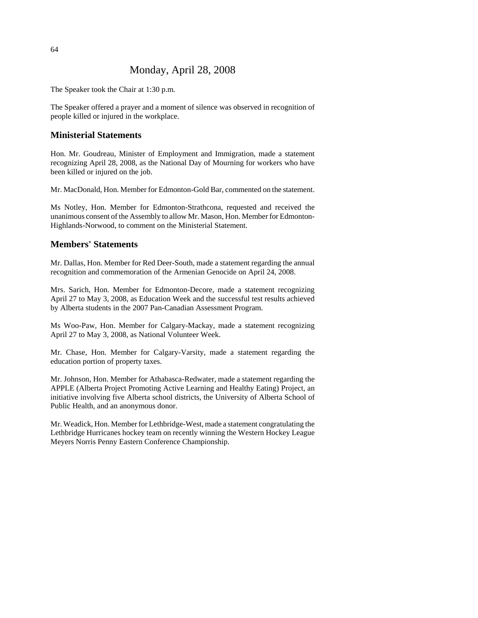# Monday, April 28, 2008

The Speaker took the Chair at 1:30 p.m.

The Speaker offered a prayer and a moment of silence was observed in recognition of people killed or injured in the workplace.

# **Ministerial Statements**

Hon. Mr. Goudreau, Minister of Employment and Immigration, made a statement recognizing April 28, 2008, as the National Day of Mourning for workers who have been killed or injured on the job.

Mr. MacDonald, Hon. Member for Edmonton-Gold Bar, commented on the statement.

Ms Notley, Hon. Member for Edmonton-Strathcona, requested and received the unanimous consent of the Assembly to allow Mr. Mason, Hon. Member for Edmonton-Highlands-Norwood, to comment on the Ministerial Statement.

# **Members' Statements**

Mr. Dallas, Hon. Member for Red Deer-South, made a statement regarding the annual recognition and commemoration of the Armenian Genocide on April 24, 2008.

Mrs. Sarich, Hon. Member for Edmonton-Decore, made a statement recognizing April 27 to May 3, 2008, as Education Week and the successful test results achieved by Alberta students in the 2007 Pan-Canadian Assessment Program.

Ms Woo-Paw, Hon. Member for Calgary-Mackay, made a statement recognizing April 27 to May 3, 2008, as National Volunteer Week.

Mr. Chase, Hon. Member for Calgary-Varsity, made a statement regarding the education portion of property taxes.

Mr. Johnson, Hon. Member for Athabasca-Redwater, made a statement regarding the APPLE (Alberta Project Promoting Active Learning and Healthy Eating) Project, an initiative involving five Alberta school districts, the University of Alberta School of Public Health, and an anonymous donor.

Mr. Weadick, Hon. Member for Lethbridge-West, made a statement congratulating the Lethbridge Hurricanes hockey team on recently winning the Western Hockey League Meyers Norris Penny Eastern Conference Championship.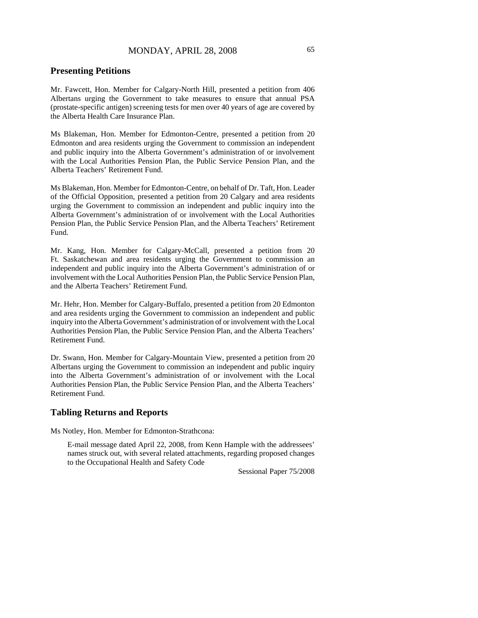## **Presenting Petitions**

Mr. Fawcett, Hon. Member for Calgary-North Hill, presented a petition from 406 Albertans urging the Government to take measures to ensure that annual PSA (prostate-specific antigen) screening tests for men over 40 years of age are covered by the Alberta Health Care Insurance Plan.

Ms Blakeman, Hon. Member for Edmonton-Centre, presented a petition from 20 Edmonton and area residents urging the Government to commission an independent and public inquiry into the Alberta Government's administration of or involvement with the Local Authorities Pension Plan, the Public Service Pension Plan, and the Alberta Teachers' Retirement Fund.

Ms Blakeman, Hon. Member for Edmonton-Centre, on behalf of Dr. Taft, Hon. Leader of the Official Opposition, presented a petition from 20 Calgary and area residents urging the Government to commission an independent and public inquiry into the Alberta Government's administration of or involvement with the Local Authorities Pension Plan, the Public Service Pension Plan, and the Alberta Teachers' Retirement Fund.

Mr. Kang, Hon. Member for Calgary-McCall, presented a petition from 20 Ft. Saskatchewan and area residents urging the Government to commission an independent and public inquiry into the Alberta Government's administration of or involvement with the Local Authorities Pension Plan, the Public Service Pension Plan, and the Alberta Teachers' Retirement Fund.

Mr. Hehr, Hon. Member for Calgary-Buffalo, presented a petition from 20 Edmonton and area residents urging the Government to commission an independent and public inquiry into the Alberta Government's administration of or involvement with the Local Authorities Pension Plan, the Public Service Pension Plan, and the Alberta Teachers' Retirement Fund.

Dr. Swann, Hon. Member for Calgary-Mountain View, presented a petition from 20 Albertans urging the Government to commission an independent and public inquiry into the Alberta Government's administration of or involvement with the Local Authorities Pension Plan, the Public Service Pension Plan, and the Alberta Teachers' Retirement Fund.

## **Tabling Returns and Reports**

Ms Notley, Hon. Member for Edmonton-Strathcona:

E-mail message dated April 22, 2008, from Kenn Hample with the addressees' names struck out, with several related attachments, regarding proposed changes to the Occupational Health and Safety Code

Sessional Paper 75/2008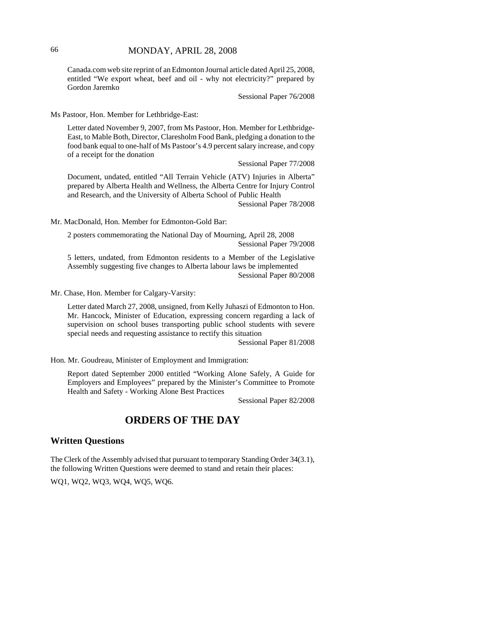Canada.com web site reprint of an Edmonton Journal article dated April 25, 2008, entitled "We export wheat, beef and oil - why not electricity?" prepared by Gordon Jaremko

Sessional Paper 76/2008

Ms Pastoor, Hon. Member for Lethbridge-East:

Letter dated November 9, 2007, from Ms Pastoor, Hon. Member for Lethbridge-East, to Mable Both, Director, Claresholm Food Bank, pledging a donation to the food bank equal to one-half of Ms Pastoor's 4.9 percent salary increase, and copy of a receipt for the donation

Sessional Paper 77/2008

Document, undated, entitled "All Terrain Vehicle (ATV) Injuries in Alberta" prepared by Alberta Health and Wellness, the Alberta Centre for Injury Control and Research, and the University of Alberta School of Public Health Sessional Paper 78/2008

Mr. MacDonald, Hon. Member for Edmonton-Gold Bar:

2 posters commemorating the National Day of Mourning, April 28, 2008 Sessional Paper 79/2008

5 letters, undated, from Edmonton residents to a Member of the Legislative Assembly suggesting five changes to Alberta labour laws be implemented Sessional Paper 80/2008

Mr. Chase, Hon. Member for Calgary-Varsity:

Letter dated March 27, 2008, unsigned, from Kelly Juhaszi of Edmonton to Hon. Mr. Hancock, Minister of Education, expressing concern regarding a lack of supervision on school buses transporting public school students with severe special needs and requesting assistance to rectify this situation

Sessional Paper 81/2008

Hon. Mr. Goudreau, Minister of Employment and Immigration:

Report dated September 2000 entitled "Working Alone Safely, A Guide for Employers and Employees" prepared by the Minister's Committee to Promote Health and Safety - Working Alone Best Practices

Sessional Paper 82/2008

# **ORDERS OF THE DAY**

## **Written Questions**

The Clerk of the Assembly advised that pursuant to temporary Standing Order 34(3.1), the following Written Questions were deemed to stand and retain their places:

WQ1, WQ2, WQ3, WQ4, WQ5, WQ6.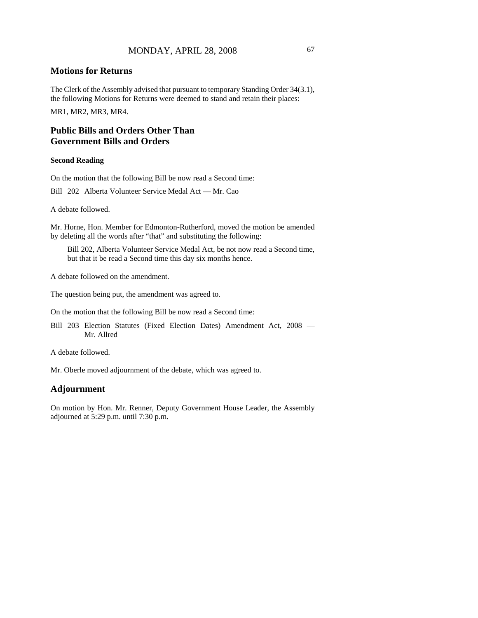## **Motions for Returns**

The Clerk of the Assembly advised that pursuant to temporary Standing Order 34(3.1), the following Motions for Returns were deemed to stand and retain their places: MR1, MR2, MR3, MR4.

# **Public Bills and Orders Other Than Government Bills and Orders**

### **Second Reading**

On the motion that the following Bill be now read a Second time:

Bill 202 Alberta Volunteer Service Medal Act — Mr. Cao

A debate followed.

Mr. Horne, Hon. Member for Edmonton-Rutherford, moved the motion be amended by deleting all the words after "that" and substituting the following:

Bill 202, Alberta Volunteer Service Medal Act, be not now read a Second time, but that it be read a Second time this day six months hence.

A debate followed on the amendment.

The question being put, the amendment was agreed to.

On the motion that the following Bill be now read a Second time:

Bill 203 Election Statutes (Fixed Election Dates) Amendment Act, 2008 — Mr. Allred

A debate followed.

Mr. Oberle moved adjournment of the debate, which was agreed to.

### **Adjournment**

On motion by Hon. Mr. Renner, Deputy Government House Leader, the Assembly adjourned at 5:29 p.m. until 7:30 p.m.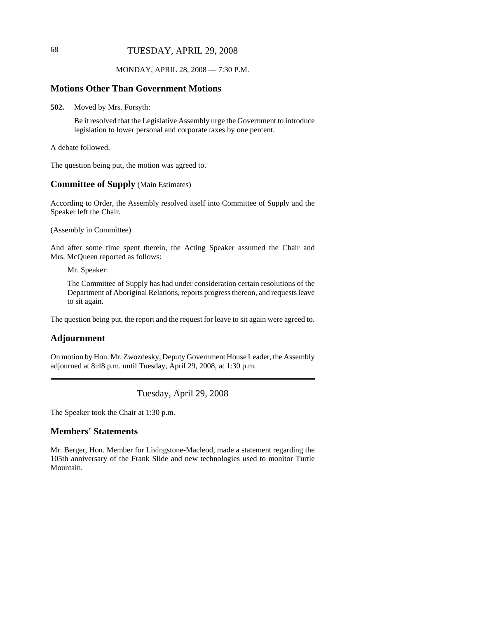# 68 TUESDAY, APRIL 29, 2008

## MONDAY, APRIL 28, 2008 — 7:30 P.M.

## **Motions Other Than Government Motions**

**502.** Moved by Mrs. Forsyth:

Be it resolved that the Legislative Assembly urge the Government to introduce legislation to lower personal and corporate taxes by one percent.

A debate followed.

The question being put, the motion was agreed to.

# **Committee of Supply** (Main Estimates)

According to Order, the Assembly resolved itself into Committee of Supply and the Speaker left the Chair.

(Assembly in Committee)

And after some time spent therein, the Acting Speaker assumed the Chair and Mrs. McQueen reported as follows:

Mr. Speaker:

The Committee of Supply has had under consideration certain resolutions of the Department of Aboriginal Relations, reports progress thereon, and requests leave to sit again.

The question being put, the report and the request for leave to sit again were agreed to.

### **Adjournment**

On motion by Hon. Mr. Zwozdesky, Deputy Government House Leader, the Assembly adjourned at 8:48 p.m. until Tuesday, April 29, 2008, at 1:30 p.m.

Tuesday, April 29, 2008

The Speaker took the Chair at 1:30 p.m.

# **Members' Statements**

Mr. Berger, Hon. Member for Livingstone-Macleod, made a statement regarding the 105th anniversary of the Frank Slide and new technologies used to monitor Turtle Mountain.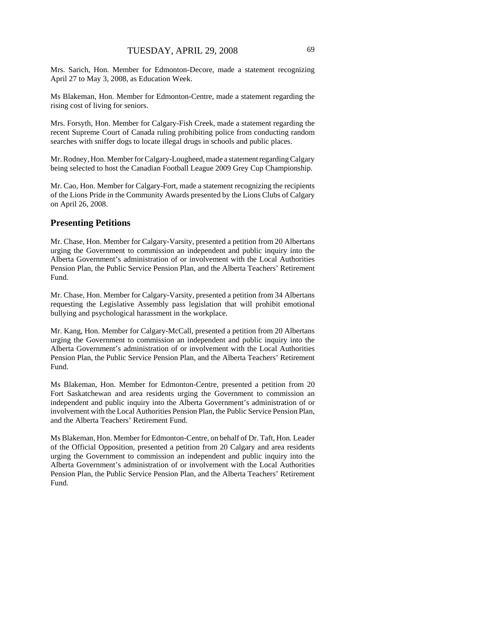Mrs. Sarich, Hon. Member for Edmonton-Decore, made a statement recognizing April 27 to May 3, 2008, as Education Week.

Ms Blakeman, Hon. Member for Edmonton-Centre, made a statement regarding the rising cost of living for seniors.

Mrs. Forsyth, Hon. Member for Calgary-Fish Creek, made a statement regarding the recent Supreme Court of Canada ruling prohibiting police from conducting random searches with sniffer dogs to locate illegal drugs in schools and public places.

Mr. Rodney, Hon. Member for Calgary-Lougheed, made a statement regarding Calgary being selected to host the Canadian Football League 2009 Grey Cup Championship.

Mr. Cao, Hon. Member for Calgary-Fort, made a statement recognizing the recipients of the Lions Pride in the Community Awards presented by the Lions Clubs of Calgary on April 26, 2008.

# **Presenting Petitions**

Mr. Chase, Hon. Member for Calgary-Varsity, presented a petition from 20 Albertans urging the Government to commission an independent and public inquiry into the Alberta Government's administration of or involvement with the Local Authorities Pension Plan, the Public Service Pension Plan, and the Alberta Teachers' Retirement Fund.

Mr. Chase, Hon. Member for Calgary-Varsity, presented a petition from 34 Albertans requesting the Legislative Assembly pass legislation that will prohibit emotional bullying and psychological harassment in the workplace.

Mr. Kang, Hon. Member for Calgary-McCall, presented a petition from 20 Albertans urging the Government to commission an independent and public inquiry into the Alberta Government's administration of or involvement with the Local Authorities Pension Plan, the Public Service Pension Plan, and the Alberta Teachers' Retirement Fund.

Ms Blakeman, Hon. Member for Edmonton-Centre, presented a petition from 20 Fort Saskatchewan and area residents urging the Government to commission an independent and public inquiry into the Alberta Government's administration of or involvement with the Local Authorities Pension Plan, the Public Service Pension Plan, and the Alberta Teachers' Retirement Fund.

Ms Blakeman, Hon. Member for Edmonton-Centre, on behalf of Dr. Taft, Hon. Leader of the Official Opposition, presented a petition from 20 Calgary and area residents urging the Government to commission an independent and public inquiry into the Alberta Government's administration of or involvement with the Local Authorities Pension Plan, the Public Service Pension Plan, and the Alberta Teachers' Retirement Fund.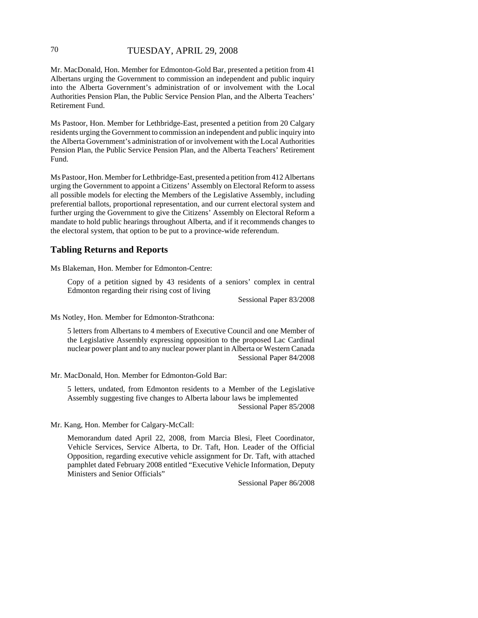# 70 TUESDAY, APRIL 29, 2008

Mr. MacDonald, Hon. Member for Edmonton-Gold Bar, presented a petition from 41 Albertans urging the Government to commission an independent and public inquiry into the Alberta Government's administration of or involvement with the Local Authorities Pension Plan, the Public Service Pension Plan, and the Alberta Teachers' Retirement Fund.

Ms Pastoor, Hon. Member for Lethbridge-East, presented a petition from 20 Calgary residents urging the Government to commission an independent and public inquiry into the Alberta Government's administration of or involvement with the Local Authorities Pension Plan, the Public Service Pension Plan, and the Alberta Teachers' Retirement Fund.

Ms Pastoor, Hon. Member for Lethbridge-East, presented a petition from 412 Albertans urging the Government to appoint a Citizens' Assembly on Electoral Reform to assess all possible models for electing the Members of the Legislative Assembly, including preferential ballots, proportional representation, and our current electoral system and further urging the Government to give the Citizens' Assembly on Electoral Reform a mandate to hold public hearings throughout Alberta, and if it recommends changes to the electoral system, that option to be put to a province-wide referendum.

# **Tabling Returns and Reports**

Ms Blakeman, Hon. Member for Edmonton-Centre:

Copy of a petition signed by 43 residents of a seniors' complex in central Edmonton regarding their rising cost of living

Sessional Paper 83/2008

Ms Notley, Hon. Member for Edmonton-Strathcona:

5 letters from Albertans to 4 members of Executive Council and one Member of the Legislative Assembly expressing opposition to the proposed Lac Cardinal nuclear power plant and to any nuclear power plant in Alberta or Western Canada Sessional Paper 84/2008

Mr. MacDonald, Hon. Member for Edmonton-Gold Bar:

5 letters, undated, from Edmonton residents to a Member of the Legislative Assembly suggesting five changes to Alberta labour laws be implemented Sessional Paper 85/2008

Mr. Kang, Hon. Member for Calgary-McCall:

Memorandum dated April 22, 2008, from Marcia Blesi, Fleet Coordinator, Vehicle Services, Service Alberta, to Dr. Taft, Hon. Leader of the Official Opposition, regarding executive vehicle assignment for Dr. Taft, with attached pamphlet dated February 2008 entitled "Executive Vehicle Information, Deputy Ministers and Senior Officials"

Sessional Paper 86/2008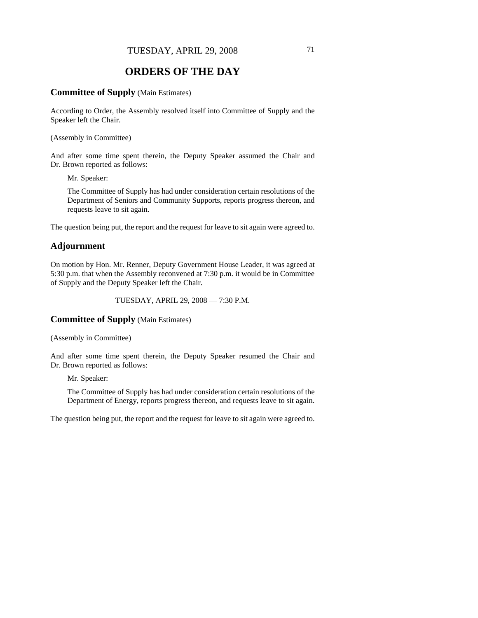# **ORDERS OF THE DAY**

### **Committee of Supply** (Main Estimates)

According to Order, the Assembly resolved itself into Committee of Supply and the Speaker left the Chair.

(Assembly in Committee)

And after some time spent therein, the Deputy Speaker assumed the Chair and Dr. Brown reported as follows:

Mr. Speaker:

The Committee of Supply has had under consideration certain resolutions of the Department of Seniors and Community Supports, reports progress thereon, and requests leave to sit again.

The question being put, the report and the request for leave to sit again were agreed to.

# **Adjournment**

On motion by Hon. Mr. Renner, Deputy Government House Leader, it was agreed at 5:30 p.m. that when the Assembly reconvened at 7:30 p.m. it would be in Committee of Supply and the Deputy Speaker left the Chair.

TUESDAY, APRIL 29, 2008 — 7:30 P.M.

# **Committee of Supply** (Main Estimates)

(Assembly in Committee)

And after some time spent therein, the Deputy Speaker resumed the Chair and Dr. Brown reported as follows:

Mr. Speaker:

The Committee of Supply has had under consideration certain resolutions of the Department of Energy, reports progress thereon, and requests leave to sit again.

The question being put, the report and the request for leave to sit again were agreed to.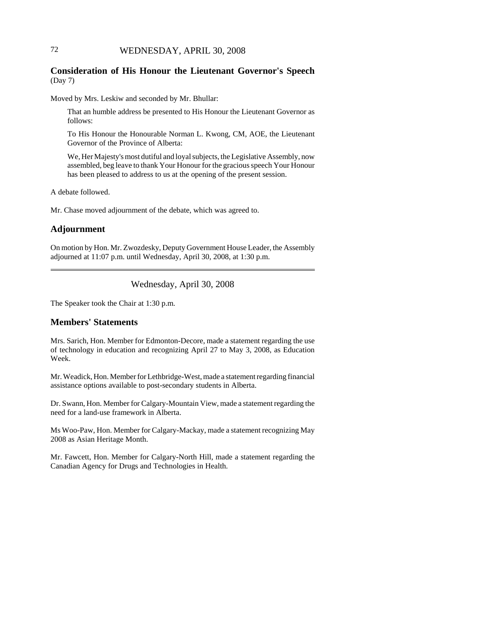# 72 WEDNESDAY, APRIL 30, 2008

# **Consideration of His Honour the Lieutenant Governor's Speech** (Day 7)

Moved by Mrs. Leskiw and seconded by Mr. Bhullar:

That an humble address be presented to His Honour the Lieutenant Governor as follows:

To His Honour the Honourable Norman L. Kwong, CM, AOE, the Lieutenant Governor of the Province of Alberta:

We, Her Majesty's most dutiful and loyal subjects, the Legislative Assembly, now assembled, beg leave to thank Your Honour for the gracious speech Your Honour has been pleased to address to us at the opening of the present session.

A debate followed.

Mr. Chase moved adjournment of the debate, which was agreed to.

#### **Adjournment**

On motion by Hon. Mr. Zwozdesky, Deputy Government House Leader, the Assembly adjourned at 11:07 p.m. until Wednesday, April 30, 2008, at 1:30 p.m.

Wednesday, April 30, 2008

The Speaker took the Chair at 1:30 p.m.

# **Members' Statements**

Mrs. Sarich, Hon. Member for Edmonton-Decore, made a statement regarding the use of technology in education and recognizing April 27 to May 3, 2008, as Education Week.

Mr. Weadick, Hon. Member for Lethbridge-West, made a statement regarding financial assistance options available to post-secondary students in Alberta.

Dr. Swann, Hon. Member for Calgary-Mountain View, made a statement regarding the need for a land-use framework in Alberta.

Ms Woo-Paw, Hon. Member for Calgary-Mackay, made a statement recognizing May 2008 as Asian Heritage Month.

Mr. Fawcett, Hon. Member for Calgary-North Hill, made a statement regarding the Canadian Agency for Drugs and Technologies in Health.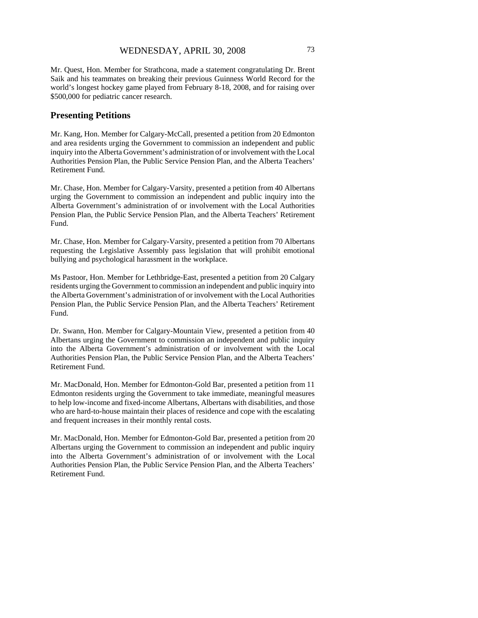Mr. Quest, Hon. Member for Strathcona, made a statement congratulating Dr. Brent Saik and his teammates on breaking their previous Guinness World Record for the world's longest hockey game played from February 8-18, 2008, and for raising over \$500,000 for pediatric cancer research.

# **Presenting Petitions**

Mr. Kang, Hon. Member for Calgary-McCall, presented a petition from 20 Edmonton and area residents urging the Government to commission an independent and public inquiry into the Alberta Government's administration of or involvement with the Local Authorities Pension Plan, the Public Service Pension Plan, and the Alberta Teachers' Retirement Fund.

Mr. Chase, Hon. Member for Calgary-Varsity, presented a petition from 40 Albertans urging the Government to commission an independent and public inquiry into the Alberta Government's administration of or involvement with the Local Authorities Pension Plan, the Public Service Pension Plan, and the Alberta Teachers' Retirement Fund.

Mr. Chase, Hon. Member for Calgary-Varsity, presented a petition from 70 Albertans requesting the Legislative Assembly pass legislation that will prohibit emotional bullying and psychological harassment in the workplace.

Ms Pastoor, Hon. Member for Lethbridge-East, presented a petition from 20 Calgary residents urging the Government to commission an independent and public inquiry into the Alberta Government's administration of or involvement with the Local Authorities Pension Plan, the Public Service Pension Plan, and the Alberta Teachers' Retirement Fund.

Dr. Swann, Hon. Member for Calgary-Mountain View, presented a petition from 40 Albertans urging the Government to commission an independent and public inquiry into the Alberta Government's administration of or involvement with the Local Authorities Pension Plan, the Public Service Pension Plan, and the Alberta Teachers' Retirement Fund.

Mr. MacDonald, Hon. Member for Edmonton-Gold Bar, presented a petition from 11 Edmonton residents urging the Government to take immediate, meaningful measures to help low-income and fixed-income Albertans, Albertans with disabilities, and those who are hard-to-house maintain their places of residence and cope with the escalating and frequent increases in their monthly rental costs.

Mr. MacDonald, Hon. Member for Edmonton-Gold Bar, presented a petition from 20 Albertans urging the Government to commission an independent and public inquiry into the Alberta Government's administration of or involvement with the Local Authorities Pension Plan, the Public Service Pension Plan, and the Alberta Teachers' Retirement Fund.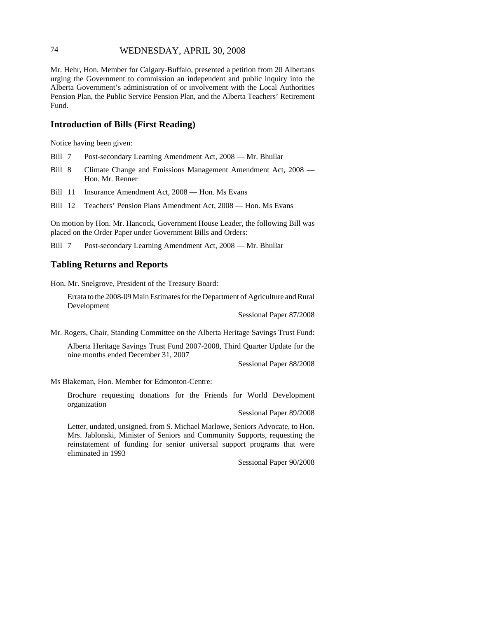# 74 WEDNESDAY, APRIL 30, 2008

Mr. Hehr, Hon. Member for Calgary-Buffalo, presented a petition from 20 Albertans urging the Government to commission an independent and public inquiry into the Alberta Government's administration of or involvement with the Local Authorities Pension Plan, the Public Service Pension Plan, and the Alberta Teachers' Retirement Fund.

# **Introduction of Bills (First Reading)**

Notice having been given:

- Bill 7 Post-secondary Learning Amendment Act, 2008 Mr. Bhullar
- Bill 8 Climate Change and Emissions Management Amendment Act, 2008 Hon. Mr. Renner
- Bill 11 Insurance Amendment Act, 2008 Hon. Ms Evans
- Bill 12 Teachers' Pension Plans Amendment Act, 2008 Hon. Ms Evans

On motion by Hon. Mr. Hancock, Government House Leader, the following Bill was placed on the Order Paper under Government Bills and Orders:

Bill 7 Post-secondary Learning Amendment Act, 2008 — Mr. Bhullar

#### **Tabling Returns and Reports**

Hon. Mr. Snelgrove, President of the Treasury Board:

Errata to the 2008-09 Main Estimates for the Department of Agriculture and Rural Development

Sessional Paper 87/2008

Mr. Rogers, Chair, Standing Committee on the Alberta Heritage Savings Trust Fund:

Alberta Heritage Savings Trust Fund 2007-2008, Third Quarter Update for the nine months ended December 31, 2007

Sessional Paper 88/2008

Ms Blakeman, Hon. Member for Edmonton-Centre:

Brochure requesting donations for the Friends for World Development organization

Sessional Paper 89/2008

Letter, undated, unsigned, from S. Michael Marlowe, Seniors Advocate, to Hon. Mrs. Jablonski, Minister of Seniors and Community Supports, requesting the reinstatement of funding for senior universal support programs that were eliminated in 1993

Sessional Paper 90/2008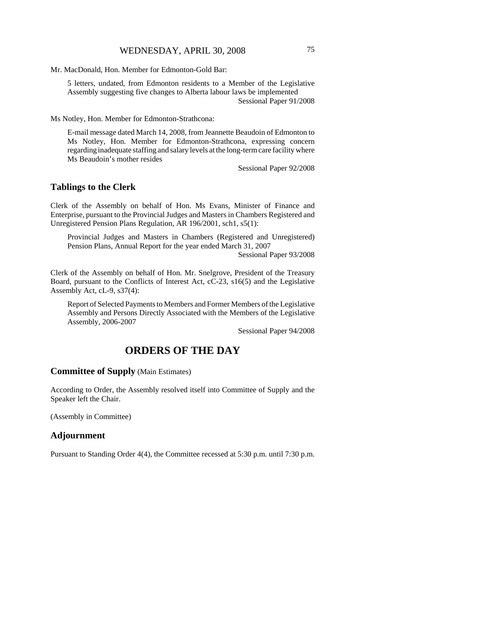Mr. MacDonald, Hon. Member for Edmonton-Gold Bar:

5 letters, undated, from Edmonton residents to a Member of the Legislative Assembly suggesting five changes to Alberta labour laws be implemented Sessional Paper 91/2008

Ms Notley, Hon. Member for Edmonton-Strathcona:

E-mail message dated March 14, 2008, from Jeannette Beaudoin of Edmonton to Ms Notley, Hon. Member for Edmonton-Strathcona, expressing concern regarding inadequate staffing and salary levels at the long-term care facility where Ms Beaudoin's mother resides

Sessional Paper 92/2008

#### **Tablings to the Clerk**

Clerk of the Assembly on behalf of Hon. Ms Evans, Minister of Finance and Enterprise, pursuant to the Provincial Judges and Masters in Chambers Registered and Unregistered Pension Plans Regulation, AR 196/2001, sch1, s5(1):

Provincial Judges and Masters in Chambers (Registered and Unregistered) Pension Plans, Annual Report for the year ended March 31, 2007

Sessional Paper 93/2008

Clerk of the Assembly on behalf of Hon. Mr. Snelgrove, President of the Treasury Board, pursuant to the Conflicts of Interest Act, cC-23, s16(5) and the Legislative Assembly Act, cL-9, s37(4):

Report of Selected Payments to Members and Former Members of the Legislative Assembly and Persons Directly Associated with the Members of the Legislative Assembly, 2006-2007

Sessional Paper 94/2008

# **ORDERS OF THE DAY**

#### **Committee of Supply** (Main Estimates)

According to Order, the Assembly resolved itself into Committee of Supply and the Speaker left the Chair.

(Assembly in Committee)

#### **Adjournment**

Pursuant to Standing Order 4(4), the Committee recessed at 5:30 p.m. until 7:30 p.m.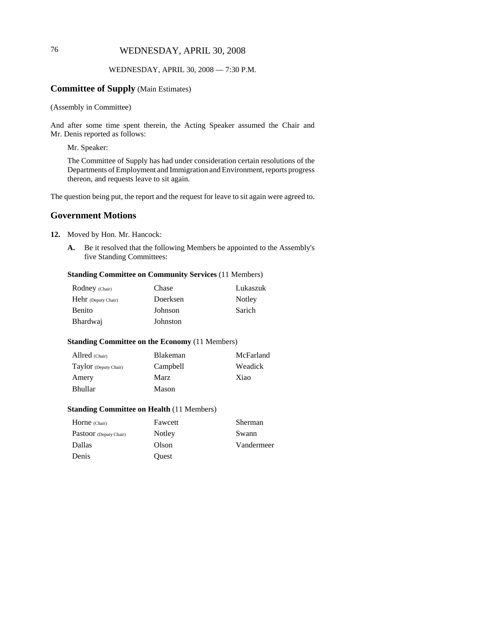# 76 WEDNESDAY, APRIL 30, 2008

### WEDNESDAY, APRIL 30, 2008 — 7:30 P.M.

# **Committee of Supply** (Main Estimates)

(Assembly in Committee)

And after some time spent therein, the Acting Speaker assumed the Chair and Mr. Denis reported as follows:

Mr. Speaker:

The Committee of Supply has had under consideration certain resolutions of the Departments of Employment and Immigration and Environment, reports progress thereon, and requests leave to sit again.

The question being put, the report and the request for leave to sit again were agreed to.

# **Government Motions**

- **12.** Moved by Hon. Mr. Hancock:
	- **A.** Be it resolved that the following Members be appointed to the Assembly's five Standing Committees:

### **Standing Committee on Community Services** (11 Members)

| <b>Rodney</b> (Chair)      | Chase    | Lukaszuk |
|----------------------------|----------|----------|
| <b>Hehr</b> (Deputy Chair) | Doerksen | Notley   |
| Benito                     | Johnson  | Sarich   |
| Bhardwaj                   | Johnston |          |

#### **Standing Committee on the Economy** (11 Members)

| Allred (Chair)        | McFarland<br><b>Blakeman</b> |         |
|-----------------------|------------------------------|---------|
| Taylor (Deputy Chair) | Campbell                     | Weadick |
| Amery                 | Marz                         | Xiao    |
| <b>Bhullar</b>        | Mason                        |         |

#### **Standing Committee on Health** (11 Members)

| Horne (Chair)          | Fawcett | Sherman    |
|------------------------|---------|------------|
| Pastoor (Deputy Chair) | Notley  | Swann      |
| <b>Dallas</b>          | Olson   | Vandermeer |
| Denis                  | Ouest   |            |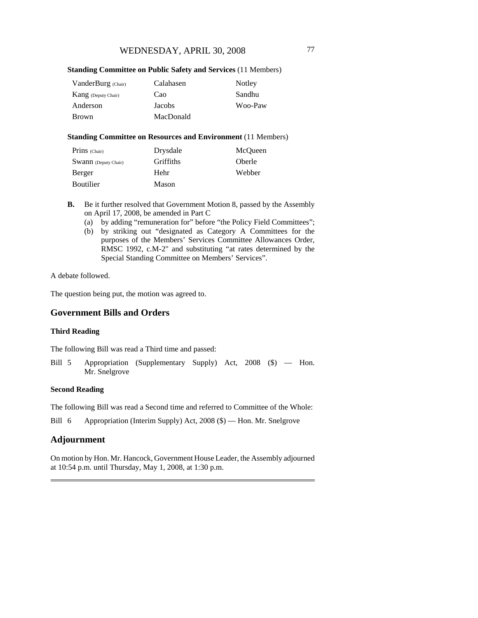#### **Standing Committee on Public Safety and Services** (11 Members)

| VanderBurg (Chair)         | Calahasen | Notley  |
|----------------------------|-----------|---------|
| <b>Kang</b> (Deputy Chair) | Cao       | Sandhu  |
| Anderson                   | Jacobs    | Woo-Paw |
| Brown                      | MacDonald |         |

### **Standing Committee on Resources and Environment** (11 Members)

| Prins (Chair)               | Drysdale         | McOueen       |
|-----------------------------|------------------|---------------|
| <b>Swann</b> (Deputy Chair) | <b>Griffiths</b> | <b>Oberle</b> |
| Berger                      | Hehr             | Webber        |
| <b>Boutilier</b>            | Mason            |               |

- **B.** Be it further resolved that Government Motion 8, passed by the Assembly on April 17, 2008, be amended in Part C
	- (a) by adding "remuneration for" before "the Policy Field Committees";
	- (b) by striking out "designated as Category A Committees for the purposes of the Members' Services Committee Allowances Order, RMSC 1992, c.M-2" and substituting "at rates determined by the Special Standing Committee on Members' Services".

A debate followed.

The question being put, the motion was agreed to.

# **Government Bills and Orders**

#### **Third Reading**

The following Bill was read a Third time and passed:

Bill 5 Appropriation (Supplementary Supply) Act, 2008 (\$) — Hon. Mr. Snelgrove

#### **Second Reading**

The following Bill was read a Second time and referred to Committee of the Whole:

Bill 6 Appropriation (Interim Supply) Act, 2008 (\$) — Hon. Mr. Snelgrove

# **Adjournment**

On motion by Hon. Mr. Hancock, Government House Leader, the Assembly adjourned at 10:54 p.m. until Thursday, May 1, 2008, at 1:30 p.m.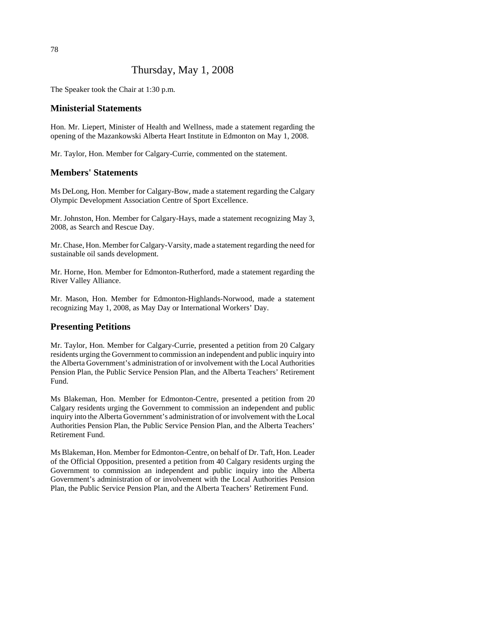# Thursday, May 1, 2008

The Speaker took the Chair at 1:30 p.m.

# **Ministerial Statements**

Hon. Mr. Liepert, Minister of Health and Wellness, made a statement regarding the opening of the Mazankowski Alberta Heart Institute in Edmonton on May 1, 2008.

Mr. Taylor, Hon. Member for Calgary-Currie, commented on the statement.

# **Members' Statements**

Ms DeLong, Hon. Member for Calgary-Bow, made a statement regarding the Calgary Olympic Development Association Centre of Sport Excellence.

Mr. Johnston, Hon. Member for Calgary-Hays, made a statement recognizing May 3, 2008, as Search and Rescue Day.

Mr. Chase, Hon. Member for Calgary-Varsity, made a statement regarding the need for sustainable oil sands development.

Mr. Horne, Hon. Member for Edmonton-Rutherford, made a statement regarding the River Valley Alliance.

Mr. Mason, Hon. Member for Edmonton-Highlands-Norwood, made a statement recognizing May 1, 2008, as May Day or International Workers' Day.

### **Presenting Petitions**

Mr. Taylor, Hon. Member for Calgary-Currie, presented a petition from 20 Calgary residents urging the Government to commission an independent and public inquiry into the Alberta Government's administration of or involvement with the Local Authorities Pension Plan, the Public Service Pension Plan, and the Alberta Teachers' Retirement Fund.

Ms Blakeman, Hon. Member for Edmonton-Centre, presented a petition from 20 Calgary residents urging the Government to commission an independent and public inquiry into the Alberta Government's administration of or involvement with the Local Authorities Pension Plan, the Public Service Pension Plan, and the Alberta Teachers' Retirement Fund.

Ms Blakeman, Hon. Member for Edmonton-Centre, on behalf of Dr. Taft, Hon. Leader of the Official Opposition, presented a petition from 40 Calgary residents urging the Government to commission an independent and public inquiry into the Alberta Government's administration of or involvement with the Local Authorities Pension Plan, the Public Service Pension Plan, and the Alberta Teachers' Retirement Fund.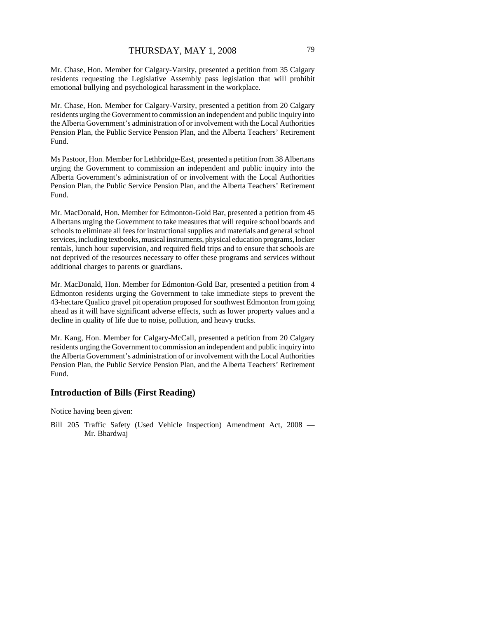Mr. Chase, Hon. Member for Calgary-Varsity, presented a petition from 35 Calgary residents requesting the Legislative Assembly pass legislation that will prohibit emotional bullying and psychological harassment in the workplace.

Mr. Chase, Hon. Member for Calgary-Varsity, presented a petition from 20 Calgary residents urging the Government to commission an independent and public inquiry into the Alberta Government's administration of or involvement with the Local Authorities Pension Plan, the Public Service Pension Plan, and the Alberta Teachers' Retirement Fund.

Ms Pastoor, Hon. Member for Lethbridge-East, presented a petition from 38 Albertans urging the Government to commission an independent and public inquiry into the Alberta Government's administration of or involvement with the Local Authorities Pension Plan, the Public Service Pension Plan, and the Alberta Teachers' Retirement Fund.

Mr. MacDonald, Hon. Member for Edmonton-Gold Bar, presented a petition from 45 Albertans urging the Government to take measures that will require school boards and schools to eliminate all fees for instructional supplies and materials and general school services, including textbooks, musical instruments, physical education programs, locker rentals, lunch hour supervision, and required field trips and to ensure that schools are not deprived of the resources necessary to offer these programs and services without additional charges to parents or guardians.

Mr. MacDonald, Hon. Member for Edmonton-Gold Bar, presented a petition from 4 Edmonton residents urging the Government to take immediate steps to prevent the 43-hectare Qualico gravel pit operation proposed for southwest Edmonton from going ahead as it will have significant adverse effects, such as lower property values and a decline in quality of life due to noise, pollution, and heavy trucks.

Mr. Kang, Hon. Member for Calgary-McCall, presented a petition from 20 Calgary residents urging the Government to commission an independent and public inquiry into the Alberta Government's administration of or involvement with the Local Authorities Pension Plan, the Public Service Pension Plan, and the Alberta Teachers' Retirement Fund.

# **Introduction of Bills (First Reading)**

Notice having been given:

Bill 205 Traffic Safety (Used Vehicle Inspection) Amendment Act, 2008 — Mr. Bhardwaj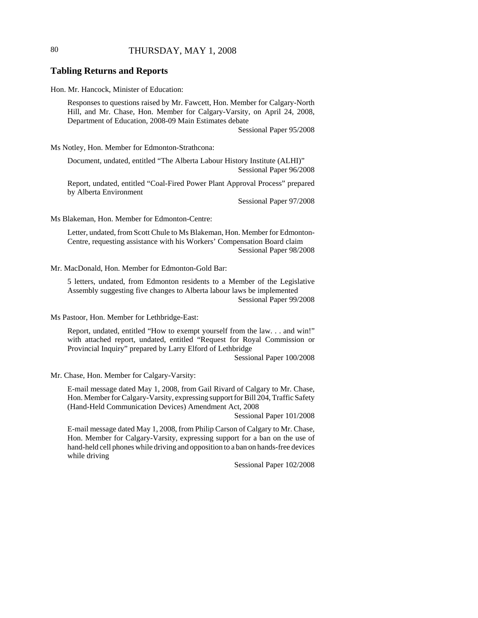# 80 THURSDAY, MAY 1, 2008

#### **Tabling Returns and Reports**

Hon. Mr. Hancock, Minister of Education:

Responses to questions raised by Mr. Fawcett, Hon. Member for Calgary-North Hill, and Mr. Chase, Hon. Member for Calgary-Varsity, on April 24, 2008, Department of Education, 2008-09 Main Estimates debate

Sessional Paper 95/2008

Ms Notley, Hon. Member for Edmonton-Strathcona:

Document, undated, entitled "The Alberta Labour History Institute (ALHI)" Sessional Paper 96/2008

Report, undated, entitled "Coal-Fired Power Plant Approval Process" prepared by Alberta Environment

Sessional Paper 97/2008

Ms Blakeman, Hon. Member for Edmonton-Centre:

Letter, undated, from Scott Chule to Ms Blakeman, Hon. Member for Edmonton-Centre, requesting assistance with his Workers' Compensation Board claim Sessional Paper 98/2008

Mr. MacDonald, Hon. Member for Edmonton-Gold Bar:

5 letters, undated, from Edmonton residents to a Member of the Legislative Assembly suggesting five changes to Alberta labour laws be implemented Sessional Paper 99/2008

Ms Pastoor, Hon. Member for Lethbridge-East:

Report, undated, entitled "How to exempt yourself from the law. . . and win!" with attached report, undated, entitled "Request for Royal Commission or Provincial Inquiry" prepared by Larry Elford of Lethbridge

Sessional Paper 100/2008

Mr. Chase, Hon. Member for Calgary-Varsity:

E-mail message dated May 1, 2008, from Gail Rivard of Calgary to Mr. Chase, Hon. Member for Calgary-Varsity, expressing support for Bill 204, Traffic Safety (Hand-Held Communication Devices) Amendment Act, 2008

Sessional Paper 101/2008

E-mail message dated May 1, 2008, from Philip Carson of Calgary to Mr. Chase, Hon. Member for Calgary-Varsity, expressing support for a ban on the use of hand-held cell phones while driving and opposition to a ban on hands-free devices while driving

Sessional Paper 102/2008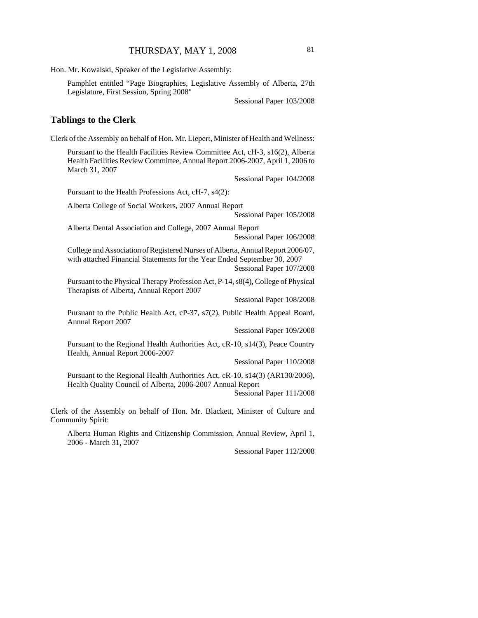Hon. Mr. Kowalski, Speaker of the Legislative Assembly:

Pamphlet entitled "Page Biographies, Legislative Assembly of Alberta, 27th Legislature, First Session, Spring 2008"

Sessional Paper 103/2008

# **Tablings to the Clerk**

Clerk of the Assembly on behalf of Hon. Mr. Liepert, Minister of Health and Wellness:

Pursuant to the Health Facilities Review Committee Act, cH-3, s16(2), Alberta Health Facilities Review Committee, Annual Report 2006-2007, April 1, 2006 to March 31, 2007

Sessional Paper 104/2008

Pursuant to the Health Professions Act, cH-7, s4(2):

Alberta College of Social Workers, 2007 Annual Report

Sessional Paper 105/2008

Alberta Dental Association and College, 2007 Annual Report Sessional Paper 106/2008

College and Association of Registered Nurses of Alberta, Annual Report 2006/07, with attached Financial Statements for the Year Ended September 30, 2007 Sessional Paper 107/2008

Pursuant to the Physical Therapy Profession Act, P-14, s8(4), College of Physical Therapists of Alberta, Annual Report 2007

Sessional Paper 108/2008

Pursuant to the Public Health Act, cP-37, s7(2), Public Health Appeal Board, Annual Report 2007

Sessional Paper 109/2008

Pursuant to the Regional Health Authorities Act, cR-10, s14(3), Peace Country Health, Annual Report 2006-2007

Sessional Paper 110/2008

Pursuant to the Regional Health Authorities Act, cR-10, s14(3) (AR130/2006), Health Quality Council of Alberta, 2006-2007 Annual Report Sessional Paper 111/2008

Clerk of the Assembly on behalf of Hon. Mr. Blackett, Minister of Culture and Community Spirit:

Alberta Human Rights and Citizenship Commission, Annual Review, April 1, 2006 - March 31, 2007

Sessional Paper 112/2008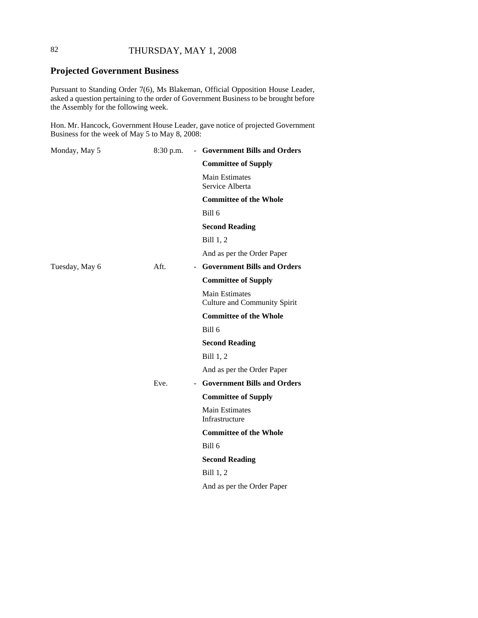# 82 THURSDAY, MAY 1, 2008

# **Projected Government Business**

Pursuant to Standing Order 7(6), Ms Blakeman, Official Opposition House Leader, asked a question pertaining to the order of Government Business to be brought before the Assembly for the following week.

Hon. Mr. Hancock, Government House Leader, gave notice of projected Government Business for the week of May 5 to May 8, 2008:

| Monday, May 5  | $8:30$ p.m.            | - Government Bills and Orders                                |
|----------------|------------------------|--------------------------------------------------------------|
|                |                        | <b>Committee of Supply</b>                                   |
|                |                        | <b>Main Estimates</b><br>Service Alberta                     |
|                |                        | <b>Committee of the Whole</b>                                |
|                |                        | Bill 6                                                       |
|                |                        | <b>Second Reading</b>                                        |
|                |                        | Bill 1, 2                                                    |
|                |                        | And as per the Order Paper                                   |
| Tuesday, May 6 | Aft.                   | - Government Bills and Orders                                |
|                |                        | <b>Committee of Supply</b>                                   |
|                |                        | <b>Main Estimates</b><br><b>Culture and Community Spirit</b> |
|                |                        | <b>Committee of the Whole</b>                                |
|                |                        | Bill 6                                                       |
|                |                        | <b>Second Reading</b>                                        |
|                |                        | Bill 1, 2                                                    |
|                |                        | And as per the Order Paper                                   |
|                | Eve.<br>$\blacksquare$ | <b>Government Bills and Orders</b>                           |
|                |                        | <b>Committee of Supply</b>                                   |
|                |                        | <b>Main Estimates</b><br>Infrastructure                      |
|                |                        | <b>Committee of the Whole</b>                                |
|                |                        | Bill 6                                                       |
|                |                        | <b>Second Reading</b>                                        |
|                |                        | Bill 1, 2                                                    |
|                |                        | And as per the Order Paper                                   |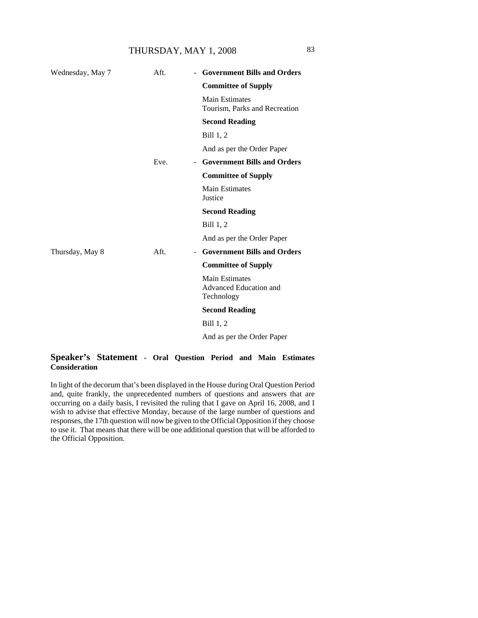# THURSDAY, MAY 1, 2008 83

| Wednesday, May 7 | Aft. | <b>Government Bills and Orders</b>                            |
|------------------|------|---------------------------------------------------------------|
|                  |      | <b>Committee of Supply</b>                                    |
|                  |      | <b>Main Estimates</b><br>Tourism, Parks and Recreation        |
|                  |      | <b>Second Reading</b>                                         |
|                  |      | Bill 1, 2                                                     |
|                  |      | And as per the Order Paper                                    |
|                  | Eve. | <b>Government Bills and Orders</b><br>$\blacksquare$          |
|                  |      | <b>Committee of Supply</b>                                    |
|                  |      | <b>Main Estimates</b><br>Justice                              |
|                  |      | <b>Second Reading</b>                                         |
|                  |      | Bill 1, 2                                                     |
|                  |      | And as per the Order Paper                                    |
| Thursday, May 8  | Aft. | <b>Government Bills and Orders</b><br>$\blacksquare$          |
|                  |      | <b>Committee of Supply</b>                                    |
|                  |      | <b>Main Estimates</b><br>Advanced Education and<br>Technology |
|                  |      | <b>Second Reading</b>                                         |
|                  |      | Bill 1, 2                                                     |
|                  |      | And as per the Order Paper                                    |
|                  |      |                                                               |

# **Speaker's Statement - Oral Question Period and Main Estimates Consideration**

In light of the decorum that's been displayed in the House during Oral Question Period and, quite frankly, the unprecedented numbers of questions and answers that are occurring on a daily basis, I revisited the ruling that I gave on April 16, 2008, and I wish to advise that effective Monday, because of the large number of questions and responses, the 17th question will now be given to the Official Opposition if they choose to use it. That means that there will be one additional question that will be afforded to the Official Opposition.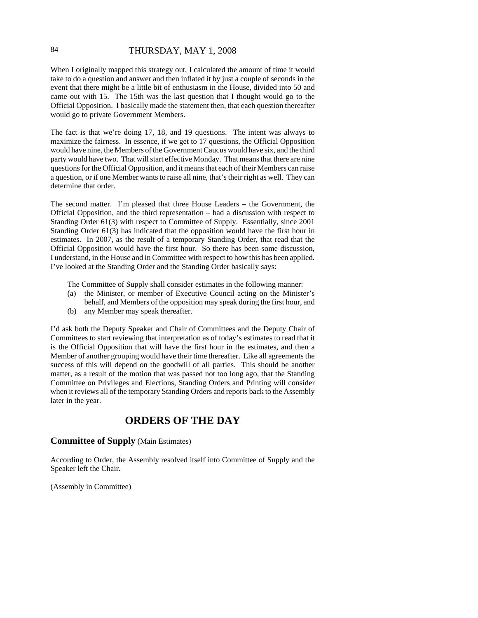# 84 THURSDAY, MAY 1, 2008

When I originally mapped this strategy out, I calculated the amount of time it would take to do a question and answer and then inflated it by just a couple of seconds in the event that there might be a little bit of enthusiasm in the House, divided into 50 and came out with 15. The 15th was the last question that I thought would go to the Official Opposition. I basically made the statement then, that each question thereafter would go to private Government Members.

The fact is that we're doing 17, 18, and 19 questions. The intent was always to maximize the fairness. In essence, if we get to 17 questions, the Official Opposition would have nine, the Members of the Government Caucus would have six, and the third party would have two. That will start effective Monday. That means that there are nine questions for the Official Opposition, and it means that each of their Members can raise a question, or if one Member wants to raise all nine, that's their right as well. They can determine that order.

The second matter. I'm pleased that three House Leaders – the Government, the Official Opposition, and the third representation – had a discussion with respect to Standing Order 61(3) with respect to Committee of Supply. Essentially, since 2001 Standing Order 61(3) has indicated that the opposition would have the first hour in estimates. In 2007, as the result of a temporary Standing Order, that read that the Official Opposition would have the first hour. So there has been some discussion, I understand, in the House and in Committee with respect to how this has been applied. I've looked at the Standing Order and the Standing Order basically says:

- The Committee of Supply shall consider estimates in the following manner:
- (a) the Minister, or member of Executive Council acting on the Minister's behalf, and Members of the opposition may speak during the first hour, and
- (b) any Member may speak thereafter.

I'd ask both the Deputy Speaker and Chair of Committees and the Deputy Chair of Committees to start reviewing that interpretation as of today's estimates to read that it is the Official Opposition that will have the first hour in the estimates, and then a Member of another grouping would have their time thereafter. Like all agreements the success of this will depend on the goodwill of all parties. This should be another matter, as a result of the motion that was passed not too long ago, that the Standing Committee on Privileges and Elections, Standing Orders and Printing will consider when it reviews all of the temporary Standing Orders and reports back to the Assembly later in the year.

# **ORDERS OF THE DAY**

### **Committee of Supply** (Main Estimates)

According to Order, the Assembly resolved itself into Committee of Supply and the Speaker left the Chair.

(Assembly in Committee)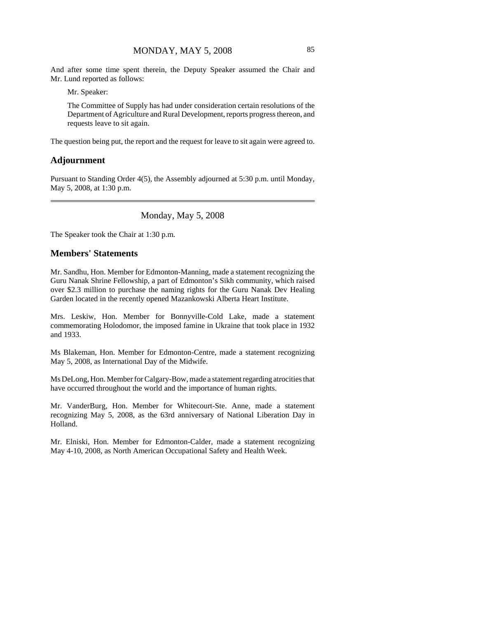And after some time spent therein, the Deputy Speaker assumed the Chair and Mr. Lund reported as follows:

Mr. Speaker:

The Committee of Supply has had under consideration certain resolutions of the Department of Agriculture and Rural Development, reports progress thereon, and requests leave to sit again.

The question being put, the report and the request for leave to sit again were agreed to.

#### **Adjournment**

Pursuant to Standing Order 4(5), the Assembly adjourned at 5:30 p.m. until Monday, May 5, 2008, at 1:30 p.m.

#### Monday, May 5, 2008

The Speaker took the Chair at 1:30 p.m.

### **Members' Statements**

Mr. Sandhu, Hon. Member for Edmonton-Manning, made a statement recognizing the Guru Nanak Shrine Fellowship, a part of Edmonton's Sikh community, which raised over \$2.3 million to purchase the naming rights for the Guru Nanak Dev Healing Garden located in the recently opened Mazankowski Alberta Heart Institute.

Mrs. Leskiw, Hon. Member for Bonnyville-Cold Lake, made a statement commemorating Holodomor, the imposed famine in Ukraine that took place in 1932 and 1933.

Ms Blakeman, Hon. Member for Edmonton-Centre, made a statement recognizing May 5, 2008, as International Day of the Midwife.

Ms DeLong, Hon. Member for Calgary-Bow, made a statement regarding atrocities that have occurred throughout the world and the importance of human rights.

Mr. VanderBurg, Hon. Member for Whitecourt-Ste. Anne, made a statement recognizing May 5, 2008, as the 63rd anniversary of National Liberation Day in Holland.

Mr. Elniski, Hon. Member for Edmonton-Calder, made a statement recognizing May 4-10, 2008, as North American Occupational Safety and Health Week.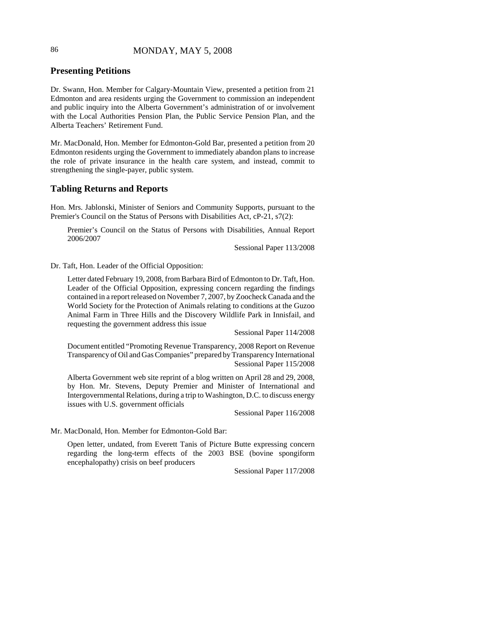# 86 MONDAY, MAY 5, 2008

# **Presenting Petitions**

Dr. Swann, Hon. Member for Calgary-Mountain View, presented a petition from 21 Edmonton and area residents urging the Government to commission an independent and public inquiry into the Alberta Government's administration of or involvement with the Local Authorities Pension Plan, the Public Service Pension Plan, and the Alberta Teachers' Retirement Fund.

Mr. MacDonald, Hon. Member for Edmonton-Gold Bar, presented a petition from 20 Edmonton residents urging the Government to immediately abandon plans to increase the role of private insurance in the health care system, and instead, commit to strengthening the single-payer, public system.

# **Tabling Returns and Reports**

Hon. Mrs. Jablonski, Minister of Seniors and Community Supports, pursuant to the Premier's Council on the Status of Persons with Disabilities Act, cP-21, s7(2):

Premier's Council on the Status of Persons with Disabilities, Annual Report 2006/2007

Sessional Paper 113/2008

Dr. Taft, Hon. Leader of the Official Opposition:

Letter dated February 19, 2008, from Barbara Bird of Edmonton to Dr. Taft, Hon. Leader of the Official Opposition, expressing concern regarding the findings contained in a report released on November 7, 2007, by Zoocheck Canada and the World Society for the Protection of Animals relating to conditions at the Guzoo Animal Farm in Three Hills and the Discovery Wildlife Park in Innisfail, and requesting the government address this issue

Sessional Paper 114/2008

Document entitled "Promoting Revenue Transparency, 2008 Report on Revenue Transparency of Oil and Gas Companies" prepared by Transparency International Sessional Paper 115/2008

Alberta Government web site reprint of a blog written on April 28 and 29, 2008, by Hon. Mr. Stevens, Deputy Premier and Minister of International and Intergovernmental Relations, during a trip to Washington, D.C. to discuss energy issues with U.S. government officials

Sessional Paper 116/2008

Mr. MacDonald, Hon. Member for Edmonton-Gold Bar:

Open letter, undated, from Everett Tanis of Picture Butte expressing concern regarding the long-term effects of the 2003 BSE (bovine spongiform encephalopathy) crisis on beef producers

Sessional Paper 117/2008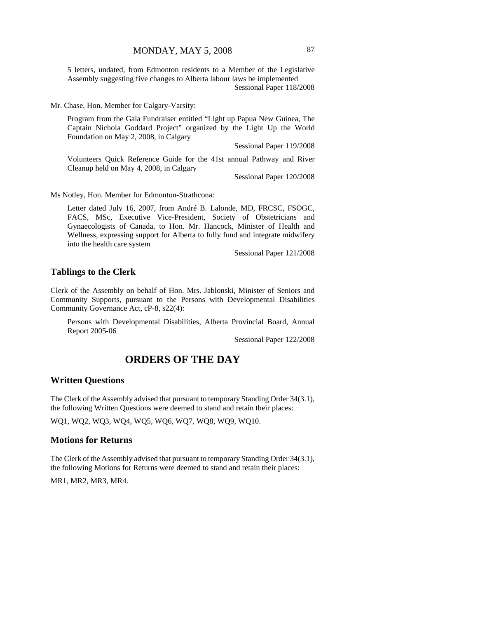5 letters, undated, from Edmonton residents to a Member of the Legislative Assembly suggesting five changes to Alberta labour laws be implemented

Sessional Paper 118/2008

Mr. Chase, Hon. Member for Calgary-Varsity:

Program from the Gala Fundraiser entitled "Light up Papua New Guinea, The Captain Nichola Goddard Project" organized by the Light Up the World Foundation on May 2, 2008, in Calgary

Sessional Paper 119/2008

Volunteers Quick Reference Guide for the 41st annual Pathway and River Cleanup held on May 4, 2008, in Calgary

Sessional Paper 120/2008

Ms Notley, Hon. Member for Edmonton-Strathcona:

Letter dated July 16, 2007, from André B. Lalonde, MD, FRCSC, FSOGC, FACS, MSc, Executive Vice-President, Society of Obstetricians and Gynaecologists of Canada, to Hon. Mr. Hancock, Minister of Health and Wellness, expressing support for Alberta to fully fund and integrate midwifery into the health care system

Sessional Paper 121/2008

#### **Tablings to the Clerk**

Clerk of the Assembly on behalf of Hon. Mrs. Jablonski, Minister of Seniors and Community Supports, pursuant to the Persons with Developmental Disabilities Community Governance Act, cP-8, s22(4):

Persons with Developmental Disabilities, Alberta Provincial Board, Annual Report 2005-06

Sessional Paper 122/2008

# **ORDERS OF THE DAY**

#### **Written Questions**

The Clerk of the Assembly advised that pursuant to temporary Standing Order 34(3.1), the following Written Questions were deemed to stand and retain their places:

WQ1, WQ2, WQ3, WQ4, WQ5, WQ6, WQ7, WQ8, WQ9, WQ10.

#### **Motions for Returns**

The Clerk of the Assembly advised that pursuant to temporary Standing Order 34(3.1), the following Motions for Returns were deemed to stand and retain their places:

MR1, MR2, MR3, MR4.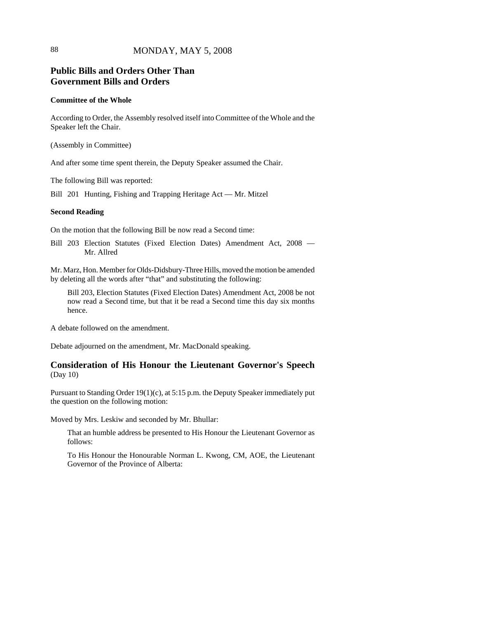# **Public Bills and Orders Other Than Government Bills and Orders**

#### **Committee of the Whole**

According to Order, the Assembly resolved itself into Committee of the Whole and the Speaker left the Chair.

(Assembly in Committee)

And after some time spent therein, the Deputy Speaker assumed the Chair.

The following Bill was reported:

Bill 201 Hunting, Fishing and Trapping Heritage Act — Mr. Mitzel

#### **Second Reading**

On the motion that the following Bill be now read a Second time:

Bill 203 Election Statutes (Fixed Election Dates) Amendment Act, 2008 — Mr. Allred

Mr. Marz, Hon. Member for Olds-Didsbury-Three Hills, moved the motion be amended by deleting all the words after "that" and substituting the following:

Bill 203, Election Statutes (Fixed Election Dates) Amendment Act, 2008 be not now read a Second time, but that it be read a Second time this day six months hence.

A debate followed on the amendment.

Debate adjourned on the amendment, Mr. MacDonald speaking.

# **Consideration of His Honour the Lieutenant Governor's Speech** (Day 10)

Pursuant to Standing Order 19(1)(c), at 5:15 p.m. the Deputy Speaker immediately put the question on the following motion:

Moved by Mrs. Leskiw and seconded by Mr. Bhullar:

That an humble address be presented to His Honour the Lieutenant Governor as follows:

To His Honour the Honourable Norman L. Kwong, CM, AOE, the Lieutenant Governor of the Province of Alberta: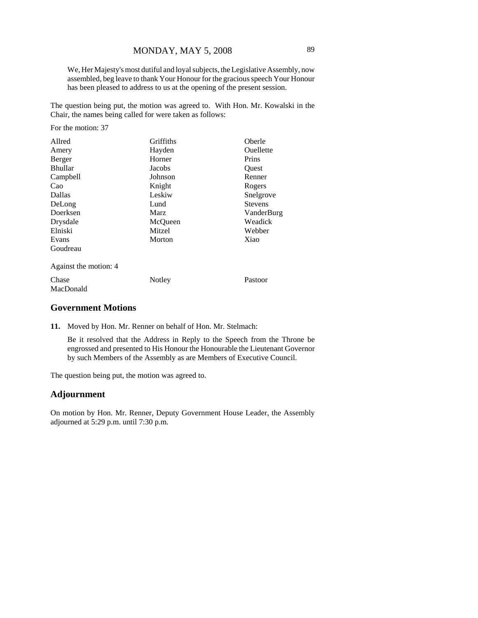We, Her Majesty's most dutiful and loyal subjects, the Legislative Assembly, now assembled, beg leave to thank Your Honour for the gracious speech Your Honour has been pleased to address to us at the opening of the present session.

The question being put, the motion was agreed to. With Hon. Mr. Kowalski in the Chair, the names being called for were taken as follows:

For the motion: 37

| Allred                | Griffiths<br>Oberle |                |
|-----------------------|---------------------|----------------|
| Amery                 | Ouellette<br>Hayden |                |
| Berger                | Horner<br>Prins     |                |
| <b>Bhullar</b>        | Jacobs<br>Quest     |                |
| Campbell              | Johnson<br>Renner   |                |
| Cao                   | Knight<br>Rogers    |                |
| Dallas                | Leskiw              | Snelgrove      |
| DeLong                | Lund                | <b>Stevens</b> |
| Doerksen              | Marz<br>VanderBurg  |                |
| Drysdale              | McQueen             | Weadick        |
| Elniski               | Mitzel              | Webber         |
| Evans                 | Morton              | Xiao           |
| Goudreau              |                     |                |
| Against the motion: 4 |                     |                |
| Chase                 | Notley              | Pastoor        |
| MacDonald             |                     |                |

# **Government Motions**

**11.** Moved by Hon. Mr. Renner on behalf of Hon. Mr. Stelmach:

Be it resolved that the Address in Reply to the Speech from the Throne be engrossed and presented to His Honour the Honourable the Lieutenant Governor by such Members of the Assembly as are Members of Executive Council.

The question being put, the motion was agreed to.

# **Adjournment**

On motion by Hon. Mr. Renner, Deputy Government House Leader, the Assembly adjourned at 5:29 p.m. until 7:30 p.m.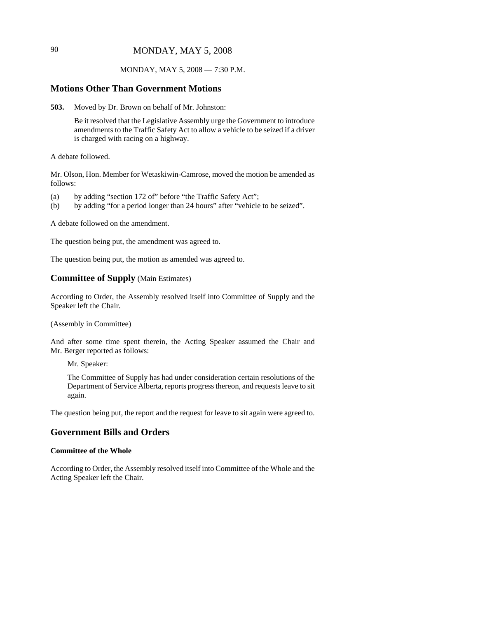# 90 MONDAY, MAY 5, 2008

#### MONDAY, MAY 5, 2008 — 7:30 P.M.

#### **Motions Other Than Government Motions**

**503.** Moved by Dr. Brown on behalf of Mr. Johnston:

Be it resolved that the Legislative Assembly urge the Government to introduce amendments to the Traffic Safety Act to allow a vehicle to be seized if a driver is charged with racing on a highway.

A debate followed.

Mr. Olson, Hon. Member for Wetaskiwin-Camrose, moved the motion be amended as follows:

- (a) by adding "section 172 of" before "the Traffic Safety Act";
- (b) by adding "for a period longer than 24 hours" after "vehicle to be seized".

A debate followed on the amendment.

The question being put, the amendment was agreed to.

The question being put, the motion as amended was agreed to.

# **Committee of Supply** (Main Estimates)

According to Order, the Assembly resolved itself into Committee of Supply and the Speaker left the Chair.

(Assembly in Committee)

And after some time spent therein, the Acting Speaker assumed the Chair and Mr. Berger reported as follows:

Mr. Speaker:

The Committee of Supply has had under consideration certain resolutions of the Department of Service Alberta, reports progress thereon, and requests leave to sit again.

The question being put, the report and the request for leave to sit again were agreed to.

# **Government Bills and Orders**

#### **Committee of the Whole**

According to Order, the Assembly resolved itself into Committee of the Whole and the Acting Speaker left the Chair.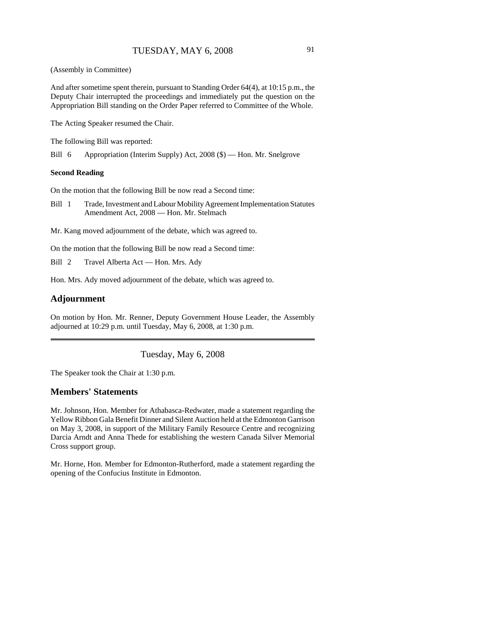(Assembly in Committee)

And after sometime spent therein, pursuant to Standing Order 64(4), at 10:15 p.m., the Deputy Chair interrupted the proceedings and immediately put the question on the Appropriation Bill standing on the Order Paper referred to Committee of the Whole.

The Acting Speaker resumed the Chair.

The following Bill was reported:

Bill 6 Appropriation (Interim Supply) Act, 2008 (\$) — Hon. Mr. Snelgrove

#### **Second Reading**

On the motion that the following Bill be now read a Second time:

- Bill 1 Trade, Investment and Labour Mobility Agreement Implementation Statutes Amendment Act, 2008 — Hon. Mr. Stelmach
- Mr. Kang moved adjournment of the debate, which was agreed to.

On the motion that the following Bill be now read a Second time:

Bill 2 Travel Alberta Act — Hon. Mrs. Ady

Hon. Mrs. Ady moved adjournment of the debate, which was agreed to.

### **Adjournment**

On motion by Hon. Mr. Renner, Deputy Government House Leader, the Assembly adjourned at 10:29 p.m. until Tuesday, May 6, 2008, at 1:30 p.m.

Tuesday, May 6, 2008

The Speaker took the Chair at 1:30 p.m.

### **Members' Statements**

Mr. Johnson, Hon. Member for Athabasca-Redwater, made a statement regarding the Yellow Ribbon Gala Benefit Dinner and Silent Auction held at the Edmonton Garrison on May 3, 2008, in support of the Military Family Resource Centre and recognizing Darcia Arndt and Anna Thede for establishing the western Canada Silver Memorial Cross support group.

Mr. Horne, Hon. Member for Edmonton-Rutherford, made a statement regarding the opening of the Confucius Institute in Edmonton.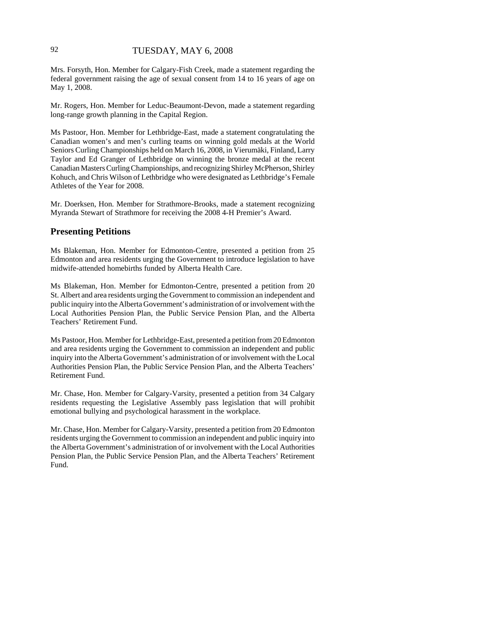# 92 TUESDAY, MAY 6, 2008

Mrs. Forsyth, Hon. Member for Calgary-Fish Creek, made a statement regarding the federal government raising the age of sexual consent from 14 to 16 years of age on May 1, 2008.

Mr. Rogers, Hon. Member for Leduc-Beaumont-Devon, made a statement regarding long-range growth planning in the Capital Region.

Ms Pastoor, Hon. Member for Lethbridge-East, made a statement congratulating the Canadian women's and men's curling teams on winning gold medals at the World Seniors Curling Championships held on March 16, 2008, in Vierumäki, Finland, Larry Taylor and Ed Granger of Lethbridge on winning the bronze medal at the recent Canadian Masters Curling Championships, and recognizing Shirley McPherson, Shirley Kohuch, and Chris Wilson of Lethbridge who were designated as Lethbridge's Female Athletes of the Year for 2008.

Mr. Doerksen, Hon. Member for Strathmore-Brooks, made a statement recognizing Myranda Stewart of Strathmore for receiving the 2008 4-H Premier's Award.

# **Presenting Petitions**

Ms Blakeman, Hon. Member for Edmonton-Centre, presented a petition from 25 Edmonton and area residents urging the Government to introduce legislation to have midwife-attended homebirths funded by Alberta Health Care.

Ms Blakeman, Hon. Member for Edmonton-Centre, presented a petition from 20 St. Albert and area residents urging the Government to commission an independent and public inquiry into the Alberta Government's administration of or involvement with the Local Authorities Pension Plan, the Public Service Pension Plan, and the Alberta Teachers' Retirement Fund.

Ms Pastoor, Hon. Member for Lethbridge-East, presented a petition from 20 Edmonton and area residents urging the Government to commission an independent and public inquiry into the Alberta Government's administration of or involvement with the Local Authorities Pension Plan, the Public Service Pension Plan, and the Alberta Teachers' Retirement Fund.

Mr. Chase, Hon. Member for Calgary-Varsity, presented a petition from 34 Calgary residents requesting the Legislative Assembly pass legislation that will prohibit emotional bullying and psychological harassment in the workplace.

Mr. Chase, Hon. Member for Calgary-Varsity, presented a petition from 20 Edmonton residents urging the Government to commission an independent and public inquiry into the Alberta Government's administration of or involvement with the Local Authorities Pension Plan, the Public Service Pension Plan, and the Alberta Teachers' Retirement Fund.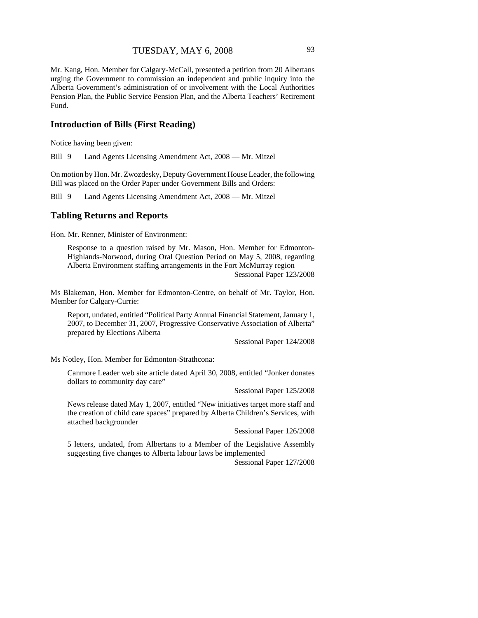Mr. Kang, Hon. Member for Calgary-McCall, presented a petition from 20 Albertans urging the Government to commission an independent and public inquiry into the Alberta Government's administration of or involvement with the Local Authorities Pension Plan, the Public Service Pension Plan, and the Alberta Teachers' Retirement Fund.

# **Introduction of Bills (First Reading)**

Notice having been given:

Bill 9 Land Agents Licensing Amendment Act, 2008 — Mr. Mitzel

On motion by Hon. Mr. Zwozdesky, Deputy Government House Leader, the following Bill was placed on the Order Paper under Government Bills and Orders:

Bill 9 Land Agents Licensing Amendment Act, 2008 — Mr. Mitzel

#### **Tabling Returns and Reports**

Hon. Mr. Renner, Minister of Environment:

Response to a question raised by Mr. Mason, Hon. Member for Edmonton-Highlands-Norwood, during Oral Question Period on May 5, 2008, regarding Alberta Environment staffing arrangements in the Fort McMurray region Sessional Paper 123/2008

Ms Blakeman, Hon. Member for Edmonton-Centre, on behalf of Mr. Taylor, Hon. Member for Calgary-Currie:

Report, undated, entitled "Political Party Annual Financial Statement, January 1, 2007, to December 31, 2007, Progressive Conservative Association of Alberta" prepared by Elections Alberta

Sessional Paper 124/2008

Ms Notley, Hon. Member for Edmonton-Strathcona:

Canmore Leader web site article dated April 30, 2008, entitled "Jonker donates dollars to community day care"

Sessional Paper 125/2008

News release dated May 1, 2007, entitled "New initiatives target more staff and the creation of child care spaces" prepared by Alberta Children's Services, with attached backgrounder

Sessional Paper 126/2008

5 letters, undated, from Albertans to a Member of the Legislative Assembly suggesting five changes to Alberta labour laws be implemented

Sessional Paper 127/2008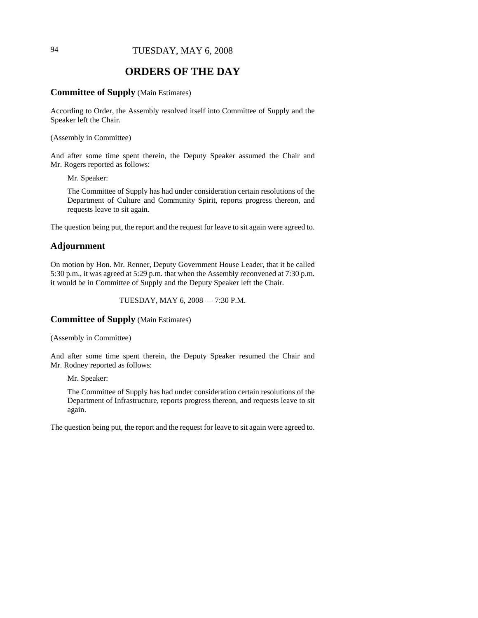# 94 TUESDAY, MAY 6, 2008

# **ORDERS OF THE DAY**

#### **Committee of Supply** (Main Estimates)

According to Order, the Assembly resolved itself into Committee of Supply and the Speaker left the Chair.

(Assembly in Committee)

And after some time spent therein, the Deputy Speaker assumed the Chair and Mr. Rogers reported as follows:

Mr. Speaker:

The Committee of Supply has had under consideration certain resolutions of the Department of Culture and Community Spirit, reports progress thereon, and requests leave to sit again.

The question being put, the report and the request for leave to sit again were agreed to.

# **Adjournment**

On motion by Hon. Mr. Renner, Deputy Government House Leader, that it be called 5:30 p.m., it was agreed at 5:29 p.m. that when the Assembly reconvened at 7:30 p.m. it would be in Committee of Supply and the Deputy Speaker left the Chair.

TUESDAY, MAY 6, 2008 — 7:30 P.M.

# **Committee of Supply** (Main Estimates)

(Assembly in Committee)

And after some time spent therein, the Deputy Speaker resumed the Chair and Mr. Rodney reported as follows:

Mr. Speaker:

The Committee of Supply has had under consideration certain resolutions of the Department of Infrastructure, reports progress thereon, and requests leave to sit again.

The question being put, the report and the request for leave to sit again were agreed to.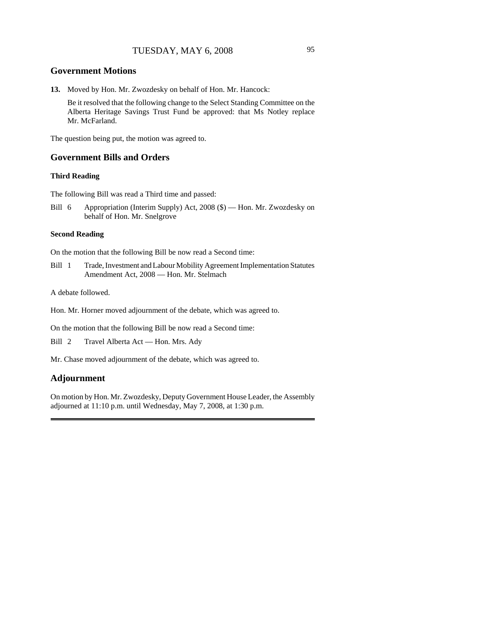# **Government Motions**

**13.** Moved by Hon. Mr. Zwozdesky on behalf of Hon. Mr. Hancock:

Be it resolved that the following change to the Select Standing Committee on the Alberta Heritage Savings Trust Fund be approved: that Ms Notley replace Mr. McFarland.

The question being put, the motion was agreed to.

### **Government Bills and Orders**

### **Third Reading**

The following Bill was read a Third time and passed:

Bill 6 Appropriation (Interim Supply) Act, 2008 (\$) — Hon. Mr. Zwozdesky on behalf of Hon. Mr. Snelgrove

#### **Second Reading**

On the motion that the following Bill be now read a Second time:

Bill 1 Trade, Investment and Labour Mobility Agreement Implementation Statutes Amendment Act, 2008 — Hon. Mr. Stelmach

A debate followed.

Hon. Mr. Horner moved adjournment of the debate, which was agreed to.

On the motion that the following Bill be now read a Second time:

Bill 2 Travel Alberta Act — Hon. Mrs. Ady

Mr. Chase moved adjournment of the debate, which was agreed to.

# **Adjournment**

On motion by Hon. Mr. Zwozdesky, Deputy Government House Leader, the Assembly adjourned at 11:10 p.m. until Wednesday, May 7, 2008, at 1:30 p.m.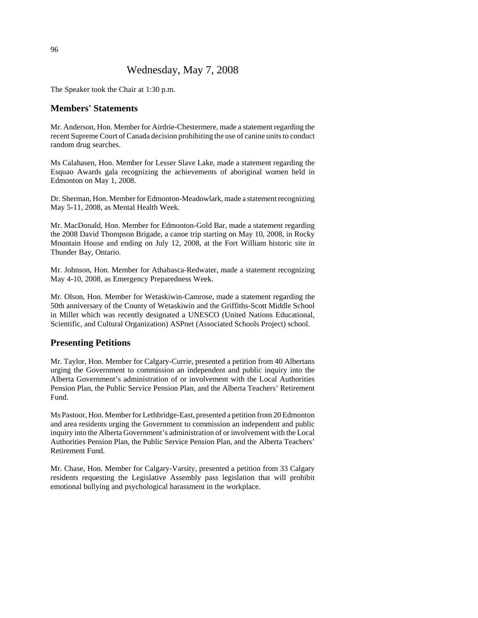# Wednesday, May 7, 2008

The Speaker took the Chair at 1:30 p.m.

# **Members' Statements**

Mr. Anderson, Hon. Member for Airdrie-Chestermere, made a statement regarding the recent Supreme Court of Canada decision prohibiting the use of canine units to conduct random drug searches.

Ms Calahasen, Hon. Member for Lesser Slave Lake, made a statement regarding the Esquao Awards gala recognizing the achievements of aboriginal women held in Edmonton on May 1, 2008.

Dr. Sherman, Hon. Member for Edmonton-Meadowlark, made a statement recognizing May 5-11, 2008, as Mental Health Week.

Mr. MacDonald, Hon. Member for Edmonton-Gold Bar, made a statement regarding the 2008 David Thompson Brigade, a canoe trip starting on May 10, 2008, in Rocky Mountain House and ending on July 12, 2008, at the Fort William historic site in Thunder Bay, Ontario.

Mr. Johnson, Hon. Member for Athabasca-Redwater, made a statement recognizing May 4-10, 2008, as Emergency Preparedness Week.

Mr. Olson, Hon. Member for Wetaskiwin-Camrose, made a statement regarding the 50th anniversary of the County of Wetaskiwin and the Griffiths-Scott Middle School in Millet which was recently designated a UNESCO (United Nations Educational, Scientific, and Cultural Organization) ASPnet (Associated Schools Project) school.

# **Presenting Petitions**

Mr. Taylor, Hon. Member for Calgary-Currie, presented a petition from 40 Albertans urging the Government to commission an independent and public inquiry into the Alberta Government's administration of or involvement with the Local Authorities Pension Plan, the Public Service Pension Plan, and the Alberta Teachers' Retirement Fund.

Ms Pastoor, Hon. Member for Lethbridge-East, presented a petition from 20 Edmonton and area residents urging the Government to commission an independent and public inquiry into the Alberta Government's administration of or involvement with the Local Authorities Pension Plan, the Public Service Pension Plan, and the Alberta Teachers' Retirement Fund.

Mr. Chase, Hon. Member for Calgary-Varsity, presented a petition from 33 Calgary residents requesting the Legislative Assembly pass legislation that will prohibit emotional bullying and psychological harassment in the workplace.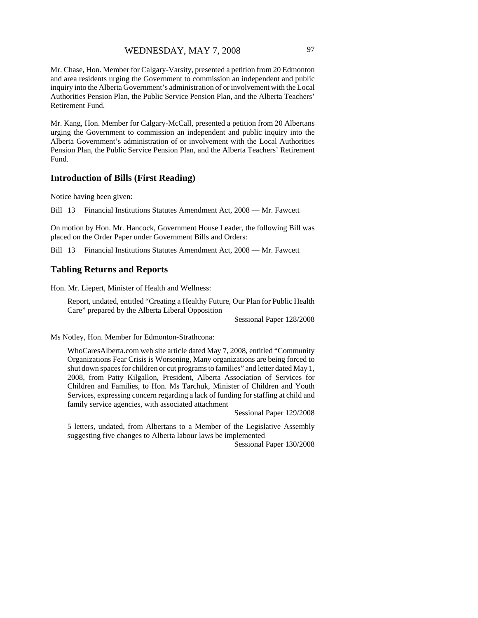Mr. Chase, Hon. Member for Calgary-Varsity, presented a petition from 20 Edmonton and area residents urging the Government to commission an independent and public inquiry into the Alberta Government's administration of or involvement with the Local Authorities Pension Plan, the Public Service Pension Plan, and the Alberta Teachers' Retirement Fund.

Mr. Kang, Hon. Member for Calgary-McCall, presented a petition from 20 Albertans urging the Government to commission an independent and public inquiry into the Alberta Government's administration of or involvement with the Local Authorities Pension Plan, the Public Service Pension Plan, and the Alberta Teachers' Retirement Fund.

#### **Introduction of Bills (First Reading)**

Notice having been given:

Bill 13 Financial Institutions Statutes Amendment Act, 2008 — Mr. Fawcett

On motion by Hon. Mr. Hancock, Government House Leader, the following Bill was placed on the Order Paper under Government Bills and Orders:

Bill 13 Financial Institutions Statutes Amendment Act, 2008 — Mr. Fawcett

#### **Tabling Returns and Reports**

Hon. Mr. Liepert, Minister of Health and Wellness:

Report, undated, entitled "Creating a Healthy Future, Our Plan for Public Health Care" prepared by the Alberta Liberal Opposition

Sessional Paper 128/2008

Ms Notley, Hon. Member for Edmonton-Strathcona:

WhoCaresAlberta.com web site article dated May 7, 2008, entitled "Community Organizations Fear Crisis is Worsening, Many organizations are being forced to shut down spaces for children or cut programs to families" and letter dated May 1, 2008, from Patty Kilgallon, President, Alberta Association of Services for Children and Families, to Hon. Ms Tarchuk, Minister of Children and Youth Services, expressing concern regarding a lack of funding for staffing at child and family service agencies, with associated attachment

Sessional Paper 129/2008

5 letters, undated, from Albertans to a Member of the Legislative Assembly suggesting five changes to Alberta labour laws be implemented

Sessional Paper 130/2008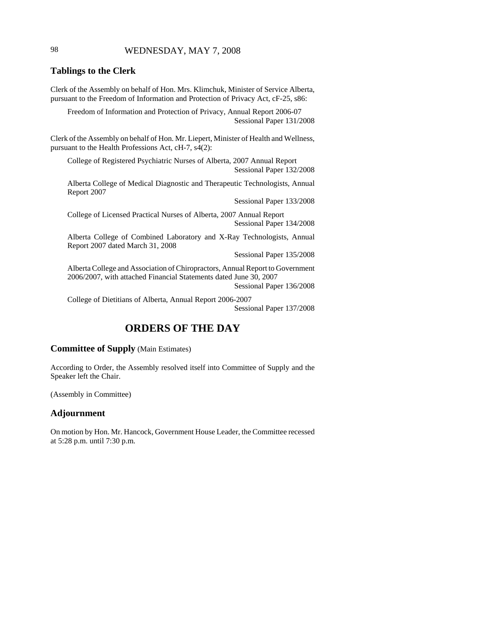# 98 WEDNESDAY, MAY 7, 2008

### **Tablings to the Clerk**

Clerk of the Assembly on behalf of Hon. Mrs. Klimchuk, Minister of Service Alberta, pursuant to the Freedom of Information and Protection of Privacy Act, cF-25, s86:

Freedom of Information and Protection of Privacy, Annual Report 2006-07 Sessional Paper 131/2008

Clerk of the Assembly on behalf of Hon. Mr. Liepert, Minister of Health and Wellness, pursuant to the Health Professions Act, cH-7, s4(2):

College of Registered Psychiatric Nurses of Alberta, 2007 Annual Report Sessional Paper 132/2008

Alberta College of Medical Diagnostic and Therapeutic Technologists, Annual Report 2007

Sessional Paper 133/2008

College of Licensed Practical Nurses of Alberta, 2007 Annual Report Sessional Paper 134/2008

Alberta College of Combined Laboratory and X-Ray Technologists, Annual Report 2007 dated March 31, 2008

Sessional Paper 135/2008

Alberta College and Association of Chiropractors, Annual Report to Government 2006/2007, with attached Financial Statements dated June 30, 2007 Sessional Paper 136/2008

College of Dietitians of Alberta, Annual Report 2006-2007

Sessional Paper 137/2008

# **ORDERS OF THE DAY**

# **Committee of Supply** (Main Estimates)

According to Order, the Assembly resolved itself into Committee of Supply and the Speaker left the Chair.

(Assembly in Committee)

### **Adjournment**

On motion by Hon. Mr. Hancock, Government House Leader, the Committee recessed at 5:28 p.m. until 7:30 p.m.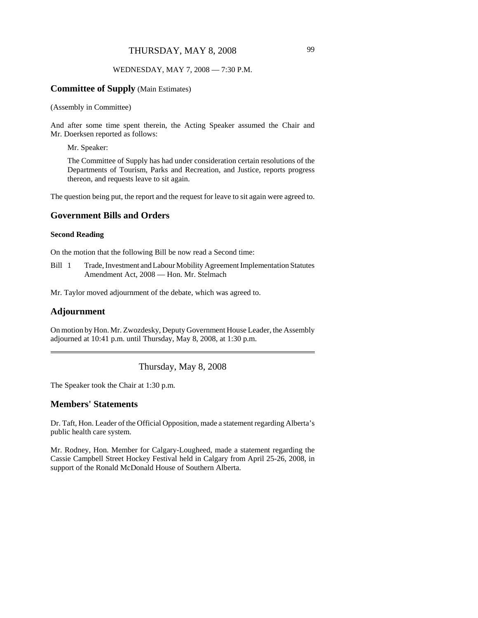# THURSDAY, MAY 8, 2008 99

### WEDNESDAY, MAY 7, 2008 — 7:30 P.M.

#### **Committee of Supply** (Main Estimates)

#### (Assembly in Committee)

And after some time spent therein, the Acting Speaker assumed the Chair and Mr. Doerksen reported as follows:

Mr. Speaker:

The Committee of Supply has had under consideration certain resolutions of the Departments of Tourism, Parks and Recreation, and Justice, reports progress thereon, and requests leave to sit again.

The question being put, the report and the request for leave to sit again were agreed to.

# **Government Bills and Orders**

#### **Second Reading**

On the motion that the following Bill be now read a Second time:

Bill 1 Trade, Investment and Labour Mobility Agreement Implementation Statutes Amendment Act, 2008 — Hon. Mr. Stelmach

Mr. Taylor moved adjournment of the debate, which was agreed to.

#### **Adjournment**

On motion by Hon. Mr. Zwozdesky, Deputy Government House Leader, the Assembly adjourned at 10:41 p.m. until Thursday, May 8, 2008, at 1:30 p.m.

Thursday, May 8, 2008

The Speaker took the Chair at 1:30 p.m.

# **Members' Statements**

Dr. Taft, Hon. Leader of the Official Opposition, made a statement regarding Alberta's public health care system.

Mr. Rodney, Hon. Member for Calgary-Lougheed, made a statement regarding the Cassie Campbell Street Hockey Festival held in Calgary from April 25-26, 2008, in support of the Ronald McDonald House of Southern Alberta.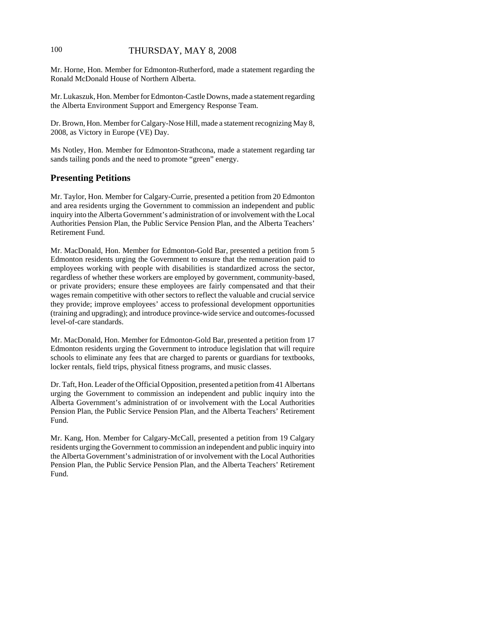# 100 THURSDAY, MAY 8, 2008

Mr. Horne, Hon. Member for Edmonton-Rutherford, made a statement regarding the Ronald McDonald House of Northern Alberta.

Mr. Lukaszuk, Hon. Member for Edmonton-Castle Downs, made a statement regarding the Alberta Environment Support and Emergency Response Team.

Dr. Brown, Hon. Member for Calgary-Nose Hill, made a statement recognizing May 8, 2008, as Victory in Europe (VE) Day.

Ms Notley, Hon. Member for Edmonton-Strathcona, made a statement regarding tar sands tailing ponds and the need to promote "green" energy.

# **Presenting Petitions**

Mr. Taylor, Hon. Member for Calgary-Currie, presented a petition from 20 Edmonton and area residents urging the Government to commission an independent and public inquiry into the Alberta Government's administration of or involvement with the Local Authorities Pension Plan, the Public Service Pension Plan, and the Alberta Teachers' Retirement Fund.

Mr. MacDonald, Hon. Member for Edmonton-Gold Bar, presented a petition from 5 Edmonton residents urging the Government to ensure that the remuneration paid to employees working with people with disabilities is standardized across the sector, regardless of whether these workers are employed by government, community-based, or private providers; ensure these employees are fairly compensated and that their wages remain competitive with other sectors to reflect the valuable and crucial service they provide; improve employees' access to professional development opportunities (training and upgrading); and introduce province-wide service and outcomes-focussed level-of-care standards.

Mr. MacDonald, Hon. Member for Edmonton-Gold Bar, presented a petition from 17 Edmonton residents urging the Government to introduce legislation that will require schools to eliminate any fees that are charged to parents or guardians for textbooks, locker rentals, field trips, physical fitness programs, and music classes.

Dr. Taft, Hon. Leader of the Official Opposition, presented a petition from 41 Albertans urging the Government to commission an independent and public inquiry into the Alberta Government's administration of or involvement with the Local Authorities Pension Plan, the Public Service Pension Plan, and the Alberta Teachers' Retirement Fund.

Mr. Kang, Hon. Member for Calgary-McCall, presented a petition from 19 Calgary residents urging the Government to commission an independent and public inquiry into the Alberta Government's administration of or involvement with the Local Authorities Pension Plan, the Public Service Pension Plan, and the Alberta Teachers' Retirement Fund.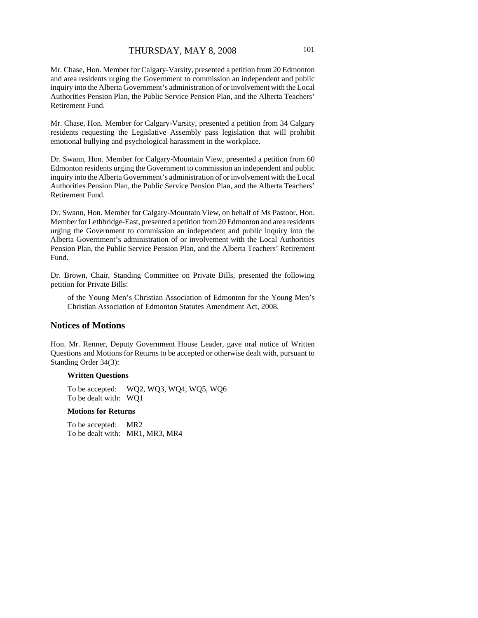Mr. Chase, Hon. Member for Calgary-Varsity, presented a petition from 20 Edmonton and area residents urging the Government to commission an independent and public inquiry into the Alberta Government's administration of or involvement with the Local Authorities Pension Plan, the Public Service Pension Plan, and the Alberta Teachers' Retirement Fund.

Mr. Chase, Hon. Member for Calgary-Varsity, presented a petition from 34 Calgary residents requesting the Legislative Assembly pass legislation that will prohibit emotional bullying and psychological harassment in the workplace.

Dr. Swann, Hon. Member for Calgary-Mountain View, presented a petition from 60 Edmonton residents urging the Government to commission an independent and public inquiry into the Alberta Government's administration of or involvement with the Local Authorities Pension Plan, the Public Service Pension Plan, and the Alberta Teachers' Retirement Fund.

Dr. Swann, Hon. Member for Calgary-Mountain View, on behalf of Ms Pastoor, Hon. Member for Lethbridge-East, presented a petition from 20 Edmonton and area residents urging the Government to commission an independent and public inquiry into the Alberta Government's administration of or involvement with the Local Authorities Pension Plan, the Public Service Pension Plan, and the Alberta Teachers' Retirement Fund.

Dr. Brown, Chair, Standing Committee on Private Bills, presented the following petition for Private Bills:

of the Young Men's Christian Association of Edmonton for the Young Men's Christian Association of Edmonton Statutes Amendment Act, 2008.

# **Notices of Motions**

Hon. Mr. Renner, Deputy Government House Leader, gave oral notice of Written Questions and Motions for Returns to be accepted or otherwise dealt with, pursuant to Standing Order 34(3):

#### **Written Questions**

To be accepted: WQ2, WQ3, WQ4, WQ5, WQ6 To be dealt with: WQ1

#### **Motions for Returns**

To be accepted: MR2 To be dealt with: MR1, MR3, MR4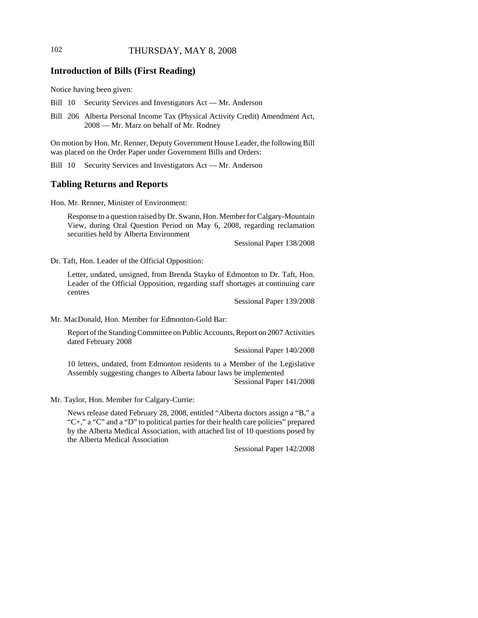# 102 THURSDAY, MAY 8, 2008

# **Introduction of Bills (First Reading)**

Notice having been given:

- Bill 10 Security Services and Investigators Act Mr. Anderson
- Bill 206 Alberta Personal Income Tax (Physical Activity Credit) Amendment Act, 2008 — Mr. Marz on behalf of Mr. Rodney

On motion by Hon. Mr. Renner, Deputy Government House Leader, the following Bill was placed on the Order Paper under Government Bills and Orders:

Bill 10 Security Services and Investigators Act — Mr. Anderson

# **Tabling Returns and Reports**

Hon. Mr. Renner, Minister of Environment:

Response to a question raised by Dr. Swann, Hon. Member for Calgary-Mountain View, during Oral Question Period on May 6, 2008, regarding reclamation securities held by Alberta Environment

Sessional Paper 138/2008

Dr. Taft, Hon. Leader of the Official Opposition:

Letter, undated, unsigned, from Brenda Stayko of Edmonton to Dr. Taft, Hon. Leader of the Official Opposition, regarding staff shortages at continuing care centres

Sessional Paper 139/2008

Mr. MacDonald, Hon. Member for Edmonton-Gold Bar:

Report of the Standing Committee on Public Accounts, Report on 2007 Activities dated February 2008

Sessional Paper 140/2008

10 letters, undated, from Edmonton residents to a Member of the Legislative Assembly suggesting changes to Alberta labour laws be implemented

Sessional Paper 141/2008

Mr. Taylor, Hon. Member for Calgary-Currie:

News release dated February 28, 2008, entitled "Alberta doctors assign a "B," a "C+," a "C" and a "D" to political parties for their health care policies" prepared by the Alberta Medical Association, with attached list of 10 questions posed by the Alberta Medical Association

Sessional Paper 142/2008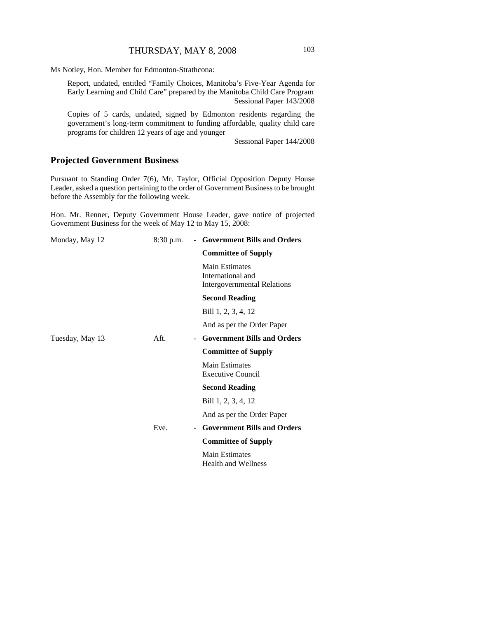Ms Notley, Hon. Member for Edmonton-Strathcona:

Report, undated, entitled "Family Choices, Manitoba's Five-Year Agenda for Early Learning and Child Care" prepared by the Manitoba Child Care Program Sessional Paper 143/2008

Copies of 5 cards, undated, signed by Edmonton residents regarding the government's long-term commitment to funding affordable, quality child care programs for children 12 years of age and younger

Sessional Paper 144/2008

# **Projected Government Business**

Pursuant to Standing Order 7(6), Mr. Taylor, Official Opposition Deputy House Leader, asked a question pertaining to the order of Government Business to be brought before the Assembly for the following week.

Hon. Mr. Renner, Deputy Government House Leader, gave notice of projected Government Business for the week of May 12 to May 15, 2008:

| Monday, May 12  | $8:30$ p.m. | - Government Bills and Orders                                                    |
|-----------------|-------------|----------------------------------------------------------------------------------|
|                 |             | <b>Committee of Supply</b>                                                       |
|                 |             | <b>Main Estimates</b><br>International and<br><b>Intergovernmental Relations</b> |
|                 |             | <b>Second Reading</b>                                                            |
|                 |             | Bill 1, 2, 3, 4, 12                                                              |
|                 |             | And as per the Order Paper                                                       |
| Tuesday, May 13 | Aft.        | <b>Government Bills and Orders</b>                                               |
|                 |             | <b>Committee of Supply</b>                                                       |
|                 |             | Main Estimates<br><b>Executive Council</b>                                       |
|                 |             | <b>Second Reading</b>                                                            |
|                 |             | Bill 1, 2, 3, 4, 12                                                              |
|                 |             | And as per the Order Paper                                                       |
|                 | Eve.<br>-   | <b>Government Bills and Orders</b>                                               |
|                 |             | <b>Committee of Supply</b>                                                       |
|                 |             | Main Estimates<br><b>Health and Wellness</b>                                     |
|                 |             |                                                                                  |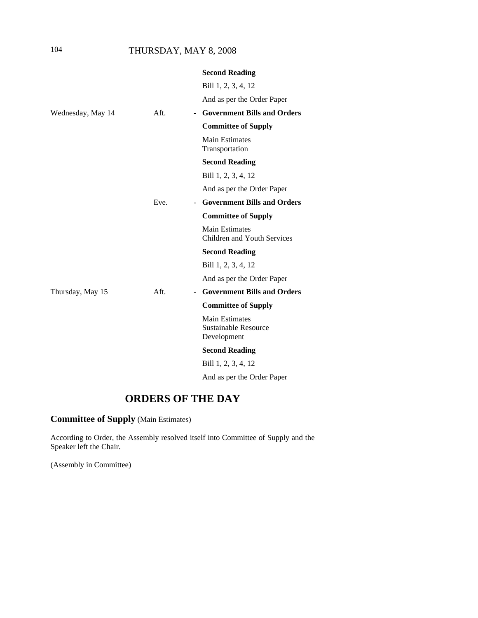# 104 THURSDAY, MAY 8, 2008

|                   |      | <b>Second Reading</b>                                               |
|-------------------|------|---------------------------------------------------------------------|
|                   |      | Bill 1, 2, 3, 4, 12                                                 |
|                   |      | And as per the Order Paper                                          |
| Wednesday, May 14 | Aft. | <b>Government Bills and Orders</b><br>$\sim$                        |
|                   |      | <b>Committee of Supply</b>                                          |
|                   |      | <b>Main Estimates</b><br>Transportation                             |
|                   |      | <b>Second Reading</b>                                               |
|                   |      | Bill 1, 2, 3, 4, 12                                                 |
|                   |      | And as per the Order Paper                                          |
|                   | Eve. | <b>Government Bills and Orders</b><br>$\sim$                        |
|                   |      | <b>Committee of Supply</b>                                          |
|                   |      | <b>Main Estimates</b><br>Children and Youth Services                |
|                   |      | <b>Second Reading</b>                                               |
|                   |      | Bill 1, 2, 3, 4, 12                                                 |
|                   |      | And as per the Order Paper                                          |
| Thursday, May 15  | Aft. | <b>Government Bills and Orders</b><br>$\sim$                        |
|                   |      | <b>Committee of Supply</b>                                          |
|                   |      | <b>Main Estimates</b><br><b>Sustainable Resource</b><br>Development |
|                   |      | <b>Second Reading</b>                                               |
|                   |      | Bill 1, 2, 3, 4, 12                                                 |
|                   |      | And as per the Order Paper                                          |
|                   |      |                                                                     |

# **ORDERS OF THE DAY**

**Committee of Supply** (Main Estimates)

According to Order, the Assembly resolved itself into Committee of Supply and the Speaker left the Chair.

(Assembly in Committee)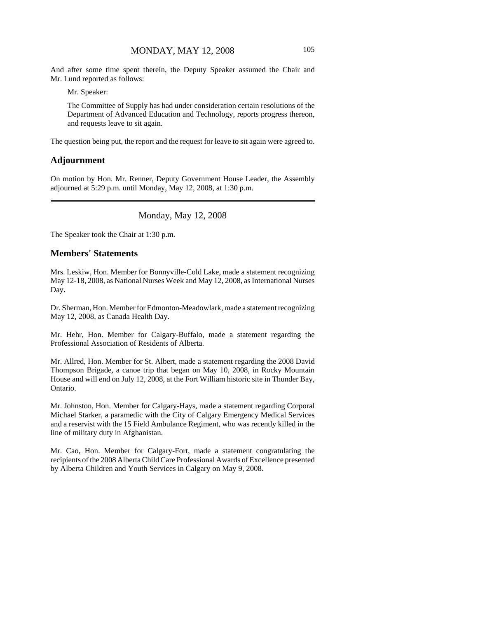And after some time spent therein, the Deputy Speaker assumed the Chair and Mr. Lund reported as follows:

Mr. Speaker:

The Committee of Supply has had under consideration certain resolutions of the Department of Advanced Education and Technology, reports progress thereon, and requests leave to sit again.

The question being put, the report and the request for leave to sit again were agreed to.

#### **Adjournment**

On motion by Hon. Mr. Renner, Deputy Government House Leader, the Assembly adjourned at 5:29 p.m. until Monday, May 12, 2008, at 1:30 p.m.

### Monday, May 12, 2008

The Speaker took the Chair at 1:30 p.m.

# **Members' Statements**

Mrs. Leskiw, Hon. Member for Bonnyville-Cold Lake, made a statement recognizing May 12-18, 2008, as National Nurses Week and May 12, 2008, as International Nurses Day.

Dr. Sherman, Hon. Member for Edmonton-Meadowlark, made a statement recognizing May 12, 2008, as Canada Health Day.

Mr. Hehr, Hon. Member for Calgary-Buffalo, made a statement regarding the Professional Association of Residents of Alberta.

Mr. Allred, Hon. Member for St. Albert, made a statement regarding the 2008 David Thompson Brigade, a canoe trip that began on May 10, 2008, in Rocky Mountain House and will end on July 12, 2008, at the Fort William historic site in Thunder Bay, Ontario.

Mr. Johnston, Hon. Member for Calgary-Hays, made a statement regarding Corporal Michael Starker, a paramedic with the City of Calgary Emergency Medical Services and a reservist with the 15 Field Ambulance Regiment, who was recently killed in the line of military duty in Afghanistan.

Mr. Cao, Hon. Member for Calgary-Fort, made a statement congratulating the recipients of the 2008 Alberta Child Care Professional Awards of Excellence presented by Alberta Children and Youth Services in Calgary on May 9, 2008.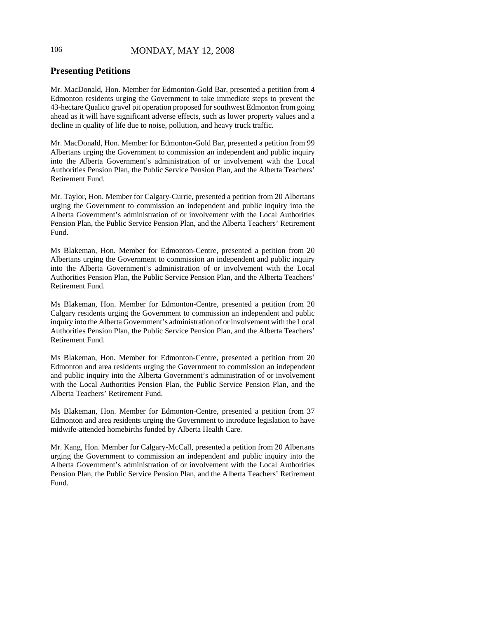# **Presenting Petitions**

Mr. MacDonald, Hon. Member for Edmonton-Gold Bar, presented a petition from 4 Edmonton residents urging the Government to take immediate steps to prevent the 43-hectare Qualico gravel pit operation proposed for southwest Edmonton from going ahead as it will have significant adverse effects, such as lower property values and a decline in quality of life due to noise, pollution, and heavy truck traffic.

Mr. MacDonald, Hon. Member for Edmonton-Gold Bar, presented a petition from 99 Albertans urging the Government to commission an independent and public inquiry into the Alberta Government's administration of or involvement with the Local Authorities Pension Plan, the Public Service Pension Plan, and the Alberta Teachers' Retirement Fund.

Mr. Taylor, Hon. Member for Calgary-Currie, presented a petition from 20 Albertans urging the Government to commission an independent and public inquiry into the Alberta Government's administration of or involvement with the Local Authorities Pension Plan, the Public Service Pension Plan, and the Alberta Teachers' Retirement Fund.

Ms Blakeman, Hon. Member for Edmonton-Centre, presented a petition from 20 Albertans urging the Government to commission an independent and public inquiry into the Alberta Government's administration of or involvement with the Local Authorities Pension Plan, the Public Service Pension Plan, and the Alberta Teachers' Retirement Fund.

Ms Blakeman, Hon. Member for Edmonton-Centre, presented a petition from 20 Calgary residents urging the Government to commission an independent and public inquiry into the Alberta Government's administration of or involvement with the Local Authorities Pension Plan, the Public Service Pension Plan, and the Alberta Teachers' Retirement Fund.

Ms Blakeman, Hon. Member for Edmonton-Centre, presented a petition from 20 Edmonton and area residents urging the Government to commission an independent and public inquiry into the Alberta Government's administration of or involvement with the Local Authorities Pension Plan, the Public Service Pension Plan, and the Alberta Teachers' Retirement Fund.

Ms Blakeman, Hon. Member for Edmonton-Centre, presented a petition from 37 Edmonton and area residents urging the Government to introduce legislation to have midwife-attended homebirths funded by Alberta Health Care.

Mr. Kang, Hon. Member for Calgary-McCall, presented a petition from 20 Albertans urging the Government to commission an independent and public inquiry into the Alberta Government's administration of or involvement with the Local Authorities Pension Plan, the Public Service Pension Plan, and the Alberta Teachers' Retirement Fund.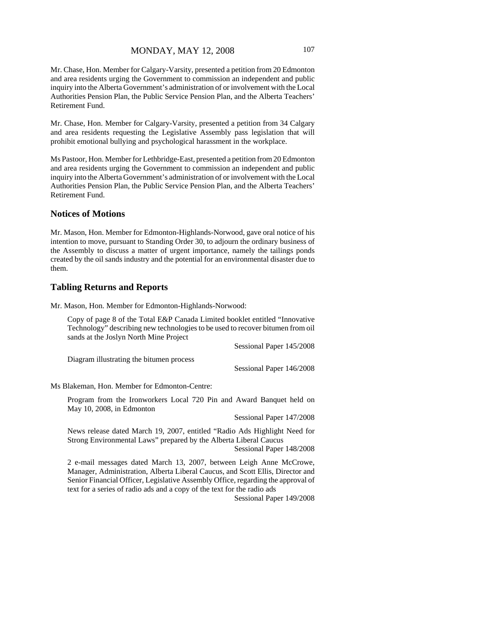Mr. Chase, Hon. Member for Calgary-Varsity, presented a petition from 20 Edmonton and area residents urging the Government to commission an independent and public inquiry into the Alberta Government's administration of or involvement with the Local Authorities Pension Plan, the Public Service Pension Plan, and the Alberta Teachers' Retirement Fund.

Mr. Chase, Hon. Member for Calgary-Varsity, presented a petition from 34 Calgary and area residents requesting the Legislative Assembly pass legislation that will prohibit emotional bullying and psychological harassment in the workplace.

Ms Pastoor, Hon. Member for Lethbridge-East, presented a petition from 20 Edmonton and area residents urging the Government to commission an independent and public inquiry into the Alberta Government's administration of or involvement with the Local Authorities Pension Plan, the Public Service Pension Plan, and the Alberta Teachers' Retirement Fund.

### **Notices of Motions**

Mr. Mason, Hon. Member for Edmonton-Highlands-Norwood, gave oral notice of his intention to move, pursuant to Standing Order 30, to adjourn the ordinary business of the Assembly to discuss a matter of urgent importance, namely the tailings ponds created by the oil sands industry and the potential for an environmental disaster due to them.

#### **Tabling Returns and Reports**

Mr. Mason, Hon. Member for Edmonton-Highlands-Norwood:

Copy of page 8 of the Total E&P Canada Limited booklet entitled "Innovative Technology" describing new technologies to be used to recover bitumen from oil sands at the Joslyn North Mine Project

Sessional Paper 145/2008

Diagram illustrating the bitumen process

Sessional Paper 146/2008

Ms Blakeman, Hon. Member for Edmonton-Centre:

Program from the Ironworkers Local 720 Pin and Award Banquet held on May 10, 2008, in Edmonton

Sessional Paper 147/2008

News release dated March 19, 2007, entitled "Radio Ads Highlight Need for Strong Environmental Laws" prepared by the Alberta Liberal Caucus Sessional Paper 148/2008

2 e-mail messages dated March 13, 2007, between Leigh Anne McCrowe, Manager, Administration, Alberta Liberal Caucus, and Scott Ellis, Director and Senior Financial Officer, Legislative Assembly Office, regarding the approval of text for a series of radio ads and a copy of the text for the radio ads

Sessional Paper 149/2008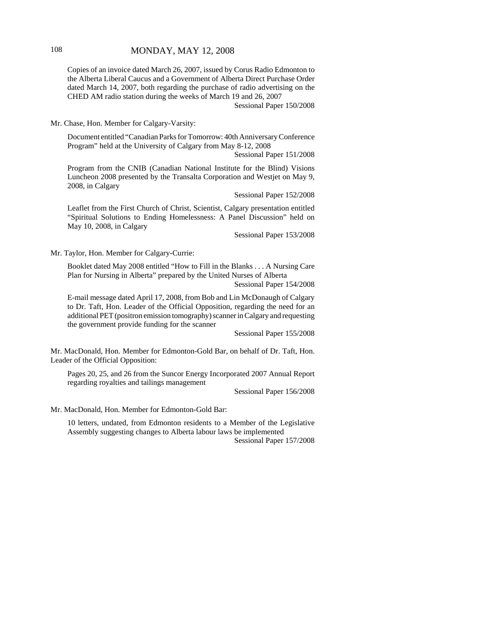# 108 **MONDAY, MAY 12, 2008**

Copies of an invoice dated March 26, 2007, issued by Corus Radio Edmonton to the Alberta Liberal Caucus and a Government of Alberta Direct Purchase Order dated March 14, 2007, both regarding the purchase of radio advertising on the CHED AM radio station during the weeks of March 19 and 26, 2007

Sessional Paper 150/2008

Mr. Chase, Hon. Member for Calgary-Varsity:

Document entitled "Canadian Parks for Tomorrow: 40th Anniversary Conference Program" held at the University of Calgary from May 8-12, 2008

Sessional Paper 151/2008

Program from the CNIB (Canadian National Institute for the Blind) Visions Luncheon 2008 presented by the Transalta Corporation and Westjet on May 9, 2008, in Calgary

Sessional Paper 152/2008

Leaflet from the First Church of Christ, Scientist, Calgary presentation entitled "Spiritual Solutions to Ending Homelessness: A Panel Discussion" held on May 10, 2008, in Calgary

Sessional Paper 153/2008

Mr. Taylor, Hon. Member for Calgary-Currie:

Booklet dated May 2008 entitled "How to Fill in the Blanks . . . A Nursing Care Plan for Nursing in Alberta" prepared by the United Nurses of Alberta

Sessional Paper 154/2008

E-mail message dated April 17, 2008, from Bob and Lin McDonaugh of Calgary to Dr. Taft, Hon. Leader of the Official Opposition, regarding the need for an additional PET (positron emission tomography) scanner in Calgary and requesting the government provide funding for the scanner

Sessional Paper 155/2008

Mr. MacDonald, Hon. Member for Edmonton-Gold Bar, on behalf of Dr. Taft, Hon. Leader of the Official Opposition:

Pages 20, 25, and 26 from the Suncor Energy Incorporated 2007 Annual Report regarding royalties and tailings management

Sessional Paper 156/2008

Mr. MacDonald, Hon. Member for Edmonton-Gold Bar:

10 letters, undated, from Edmonton residents to a Member of the Legislative Assembly suggesting changes to Alberta labour laws be implemented Sessional Paper 157/2008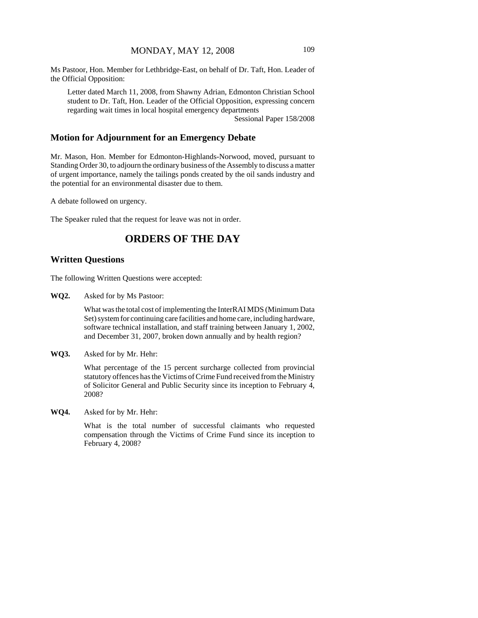Ms Pastoor, Hon. Member for Lethbridge-East, on behalf of Dr. Taft, Hon. Leader of the Official Opposition:

Letter dated March 11, 2008, from Shawny Adrian, Edmonton Christian School student to Dr. Taft, Hon. Leader of the Official Opposition, expressing concern regarding wait times in local hospital emergency departments

Sessional Paper 158/2008

### **Motion for Adjournment for an Emergency Debate**

Mr. Mason, Hon. Member for Edmonton-Highlands-Norwood, moved, pursuant to Standing Order 30, to adjourn the ordinary business of the Assembly to discuss a matter of urgent importance, namely the tailings ponds created by the oil sands industry and the potential for an environmental disaster due to them.

A debate followed on urgency.

The Speaker ruled that the request for leave was not in order.

# **ORDERS OF THE DAY**

#### **Written Questions**

The following Written Questions were accepted:

**WQ2.** Asked for by Ms Pastoor:

What was the total cost of implementing the InterRAI MDS (Minimum Data Set) system for continuing care facilities and home care, including hardware, software technical installation, and staff training between January 1, 2002, and December 31, 2007, broken down annually and by health region?

**WQ3.** Asked for by Mr. Hehr:

What percentage of the 15 percent surcharge collected from provincial statutory offences has the Victims of Crime Fund received from the Ministry of Solicitor General and Public Security since its inception to February 4, 2008?

**WQ4.** Asked for by Mr. Hehr:

What is the total number of successful claimants who requested compensation through the Victims of Crime Fund since its inception to February 4, 2008?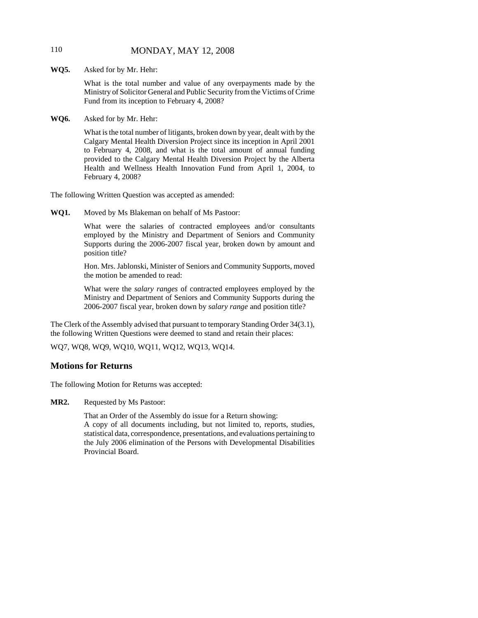# 110 MONDAY, MAY 12, 2008

**WQ5.** Asked for by Mr. Hehr:

What is the total number and value of any overpayments made by the Ministry of Solicitor General and Public Security from the Victims of Crime Fund from its inception to February 4, 2008?

**WQ6.** Asked for by Mr. Hehr:

What is the total number of litigants, broken down by year, dealt with by the Calgary Mental Health Diversion Project since its inception in April 2001 to February 4, 2008, and what is the total amount of annual funding provided to the Calgary Mental Health Diversion Project by the Alberta Health and Wellness Health Innovation Fund from April 1, 2004, to February 4, 2008?

The following Written Question was accepted as amended:

**WQ1.** Moved by Ms Blakeman on behalf of Ms Pastoor:

What were the salaries of contracted employees and/or consultants employed by the Ministry and Department of Seniors and Community Supports during the 2006-2007 fiscal year, broken down by amount and position title?

Hon. Mrs. Jablonski, Minister of Seniors and Community Supports, moved the motion be amended to read:

What were the *salary ranges* of contracted employees employed by the Ministry and Department of Seniors and Community Supports during the 2006-2007 fiscal year, broken down by *salary range* and position title?

The Clerk of the Assembly advised that pursuant to temporary Standing Order 34(3.1), the following Written Questions were deemed to stand and retain their places:

WQ7, WQ8, WQ9, WQ10, WQ11, WQ12, WQ13, WQ14.

### **Motions for Returns**

The following Motion for Returns was accepted:

**MR2.** Requested by Ms Pastoor:

That an Order of the Assembly do issue for a Return showing:

A copy of all documents including, but not limited to, reports, studies, statistical data, correspondence, presentations, and evaluations pertaining to the July 2006 elimination of the Persons with Developmental Disabilities Provincial Board.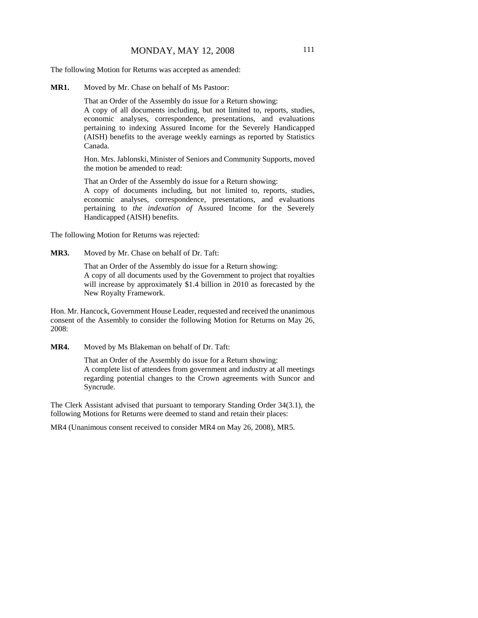The following Motion for Returns was accepted as amended:

**MR1.** Moved by Mr. Chase on behalf of Ms Pastoor:

That an Order of the Assembly do issue for a Return showing:

A copy of all documents including, but not limited to, reports, studies, economic analyses, correspondence, presentations, and evaluations pertaining to indexing Assured Income for the Severely Handicapped (AISH) benefits to the average weekly earnings as reported by Statistics Canada.

Hon. Mrs. Jablonski, Minister of Seniors and Community Supports, moved the motion be amended to read:

That an Order of the Assembly do issue for a Return showing:

A copy of documents including, but not limited to, reports, studies, economic analyses, correspondence, presentations, and evaluations pertaining to *the indexation of* Assured Income for the Severely Handicapped (AISH) benefits.

The following Motion for Returns was rejected:

**MR3.** Moved by Mr. Chase on behalf of Dr. Taft:

That an Order of the Assembly do issue for a Return showing: A copy of all documents used by the Government to project that royalties will increase by approximately \$1.4 billion in 2010 as forecasted by the New Royalty Framework.

Hon. Mr. Hancock, Government House Leader, requested and received the unanimous consent of the Assembly to consider the following Motion for Returns on May 26, 2008:

**MR4.** Moved by Ms Blakeman on behalf of Dr. Taft:

That an Order of the Assembly do issue for a Return showing: A complete list of attendees from government and industry at all meetings regarding potential changes to the Crown agreements with Suncor and Syncrude.

The Clerk Assistant advised that pursuant to temporary Standing Order 34(3.1), the following Motions for Returns were deemed to stand and retain their places:

MR4 (Unanimous consent received to consider MR4 on May 26, 2008), MR5.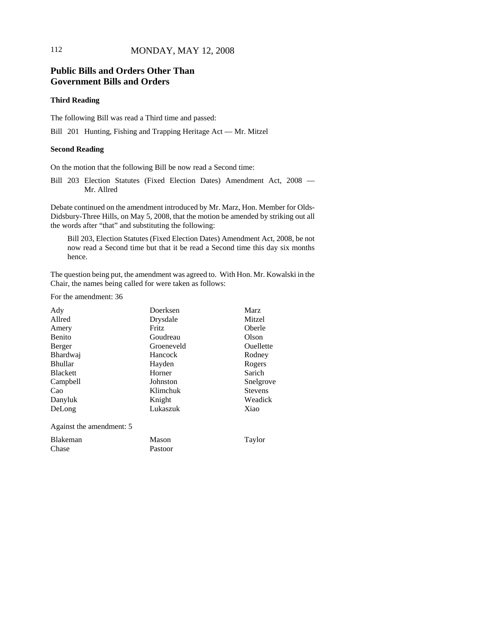# **Public Bills and Orders Other Than Government Bills and Orders**

#### **Third Reading**

The following Bill was read a Third time and passed:

Bill 201 Hunting, Fishing and Trapping Heritage Act — Mr. Mitzel

#### **Second Reading**

On the motion that the following Bill be now read a Second time:

Bill 203 Election Statutes (Fixed Election Dates) Amendment Act, 2008 — Mr. Allred

Debate continued on the amendment introduced by Mr. Marz, Hon. Member for Olds-Didsbury-Three Hills, on May 5, 2008, that the motion be amended by striking out all the words after "that" and substituting the following:

Bill 203, Election Statutes (Fixed Election Dates) Amendment Act, 2008, be not now read a Second time but that it be read a Second time this day six months hence.

The question being put, the amendment was agreed to. With Hon. Mr. Kowalski in the Chair, the names being called for were taken as follows:

For the amendment: 36

| Ady                      | <b>Marz</b><br>Doerksen        |        |
|--------------------------|--------------------------------|--------|
| Allred                   | Drysdale                       | Mitzel |
| Amery                    | Fritz<br>Oberle                |        |
| <b>Benito</b>            | Goudreau<br>Olson              |        |
| Berger                   | <b>Ouellette</b><br>Groeneveld |        |
| Bhardwaj                 | Hancock<br>Rodney              |        |
| <b>Bhullar</b>           | Rogers<br>Hayden               |        |
| <b>Blackett</b>          | Sarich<br>Horner               |        |
| Campbell                 | Johnston<br>Snelgrove          |        |
| Cao                      | <b>Stevens</b><br>Klimchuk     |        |
| Danyluk                  | Knight<br>Weadick              |        |
| DeLong                   | Lukaszuk<br>Xiao               |        |
| Against the amendment: 5 |                                |        |
| Blakeman                 | Mason<br>Taylor                |        |
| Chase                    | Pastoor                        |        |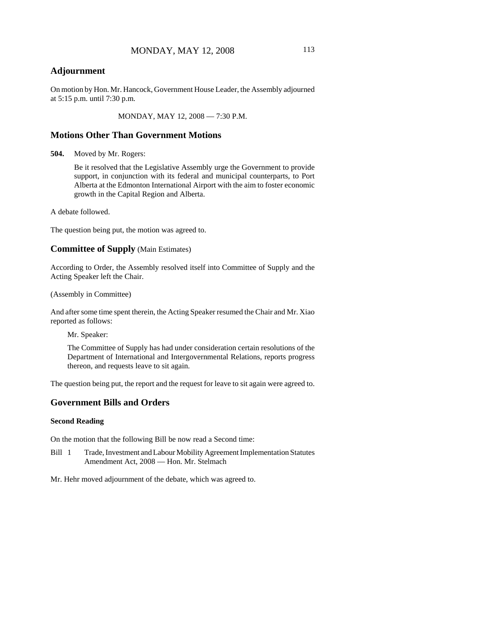# **Adjournment**

On motion by Hon. Mr. Hancock, Government House Leader, the Assembly adjourned at 5:15 p.m. until 7:30 p.m.

MONDAY, MAY 12, 2008 — 7:30 P.M.

### **Motions Other Than Government Motions**

**504.** Moved by Mr. Rogers:

Be it resolved that the Legislative Assembly urge the Government to provide support, in conjunction with its federal and municipal counterparts, to Port Alberta at the Edmonton International Airport with the aim to foster economic growth in the Capital Region and Alberta.

A debate followed.

The question being put, the motion was agreed to.

### **Committee of Supply** (Main Estimates)

According to Order, the Assembly resolved itself into Committee of Supply and the Acting Speaker left the Chair.

(Assembly in Committee)

And after some time spent therein, the Acting Speaker resumed the Chair and Mr. Xiao reported as follows:

Mr. Speaker:

The Committee of Supply has had under consideration certain resolutions of the Department of International and Intergovernmental Relations, reports progress thereon, and requests leave to sit again.

The question being put, the report and the request for leave to sit again were agreed to.

### **Government Bills and Orders**

#### **Second Reading**

On the motion that the following Bill be now read a Second time:

Bill 1 Trade, Investment and Labour Mobility Agreement Implementation Statutes Amendment Act, 2008 — Hon. Mr. Stelmach

Mr. Hehr moved adjournment of the debate, which was agreed to.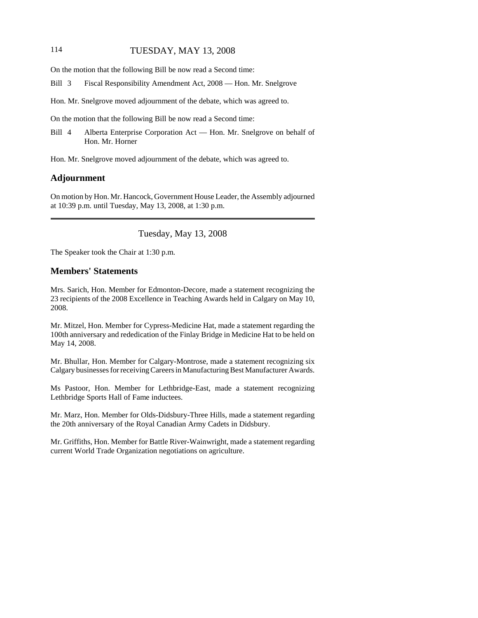### 114 TUESDAY, MAY 13, 2008

On the motion that the following Bill be now read a Second time:

Bill 3 Fiscal Responsibility Amendment Act, 2008 — Hon. Mr. Snelgrove

Hon. Mr. Snelgrove moved adjournment of the debate, which was agreed to.

On the motion that the following Bill be now read a Second time:

Bill 4 Alberta Enterprise Corporation Act — Hon. Mr. Snelgrove on behalf of Hon. Mr. Horner

Hon. Mr. Snelgrove moved adjournment of the debate, which was agreed to.

#### **Adjournment**

On motion by Hon. Mr. Hancock, Government House Leader, the Assembly adjourned at 10:39 p.m. until Tuesday, May 13, 2008, at 1:30 p.m.

Tuesday, May 13, 2008

The Speaker took the Chair at 1:30 p.m.

### **Members' Statements**

Mrs. Sarich, Hon. Member for Edmonton-Decore, made a statement recognizing the 23 recipients of the 2008 Excellence in Teaching Awards held in Calgary on May 10, 2008.

Mr. Mitzel, Hon. Member for Cypress-Medicine Hat, made a statement regarding the 100th anniversary and rededication of the Finlay Bridge in Medicine Hat to be held on May 14, 2008.

Mr. Bhullar, Hon. Member for Calgary-Montrose, made a statement recognizing six Calgary businesses for receiving Careers in Manufacturing Best Manufacturer Awards.

Ms Pastoor, Hon. Member for Lethbridge-East, made a statement recognizing Lethbridge Sports Hall of Fame inductees.

Mr. Marz, Hon. Member for Olds-Didsbury-Three Hills, made a statement regarding the 20th anniversary of the Royal Canadian Army Cadets in Didsbury.

Mr. Griffiths, Hon. Member for Battle River-Wainwright, made a statement regarding current World Trade Organization negotiations on agriculture.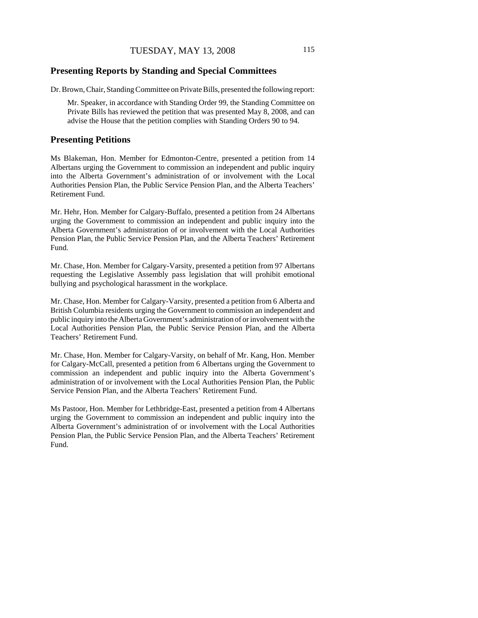# **Presenting Reports by Standing and Special Committees**

Dr. Brown, Chair, Standing Committee on Private Bills, presented the following report:

Mr. Speaker, in accordance with Standing Order 99, the Standing Committee on Private Bills has reviewed the petition that was presented May 8, 2008, and can advise the House that the petition complies with Standing Orders 90 to 94.

### **Presenting Petitions**

Ms Blakeman, Hon. Member for Edmonton-Centre, presented a petition from 14 Albertans urging the Government to commission an independent and public inquiry into the Alberta Government's administration of or involvement with the Local Authorities Pension Plan, the Public Service Pension Plan, and the Alberta Teachers' Retirement Fund.

Mr. Hehr, Hon. Member for Calgary-Buffalo, presented a petition from 24 Albertans urging the Government to commission an independent and public inquiry into the Alberta Government's administration of or involvement with the Local Authorities Pension Plan, the Public Service Pension Plan, and the Alberta Teachers' Retirement Fund.

Mr. Chase, Hon. Member for Calgary-Varsity, presented a petition from 97 Albertans requesting the Legislative Assembly pass legislation that will prohibit emotional bullying and psychological harassment in the workplace.

Mr. Chase, Hon. Member for Calgary-Varsity, presented a petition from 6 Alberta and British Columbia residents urging the Government to commission an independent and public inquiry into the Alberta Government's administration of or involvement with the Local Authorities Pension Plan, the Public Service Pension Plan, and the Alberta Teachers' Retirement Fund.

Mr. Chase, Hon. Member for Calgary-Varsity, on behalf of Mr. Kang, Hon. Member for Calgary-McCall, presented a petition from 6 Albertans urging the Government to commission an independent and public inquiry into the Alberta Government's administration of or involvement with the Local Authorities Pension Plan, the Public Service Pension Plan, and the Alberta Teachers' Retirement Fund.

Ms Pastoor, Hon. Member for Lethbridge-East, presented a petition from 4 Albertans urging the Government to commission an independent and public inquiry into the Alberta Government's administration of or involvement with the Local Authorities Pension Plan, the Public Service Pension Plan, and the Alberta Teachers' Retirement Fund.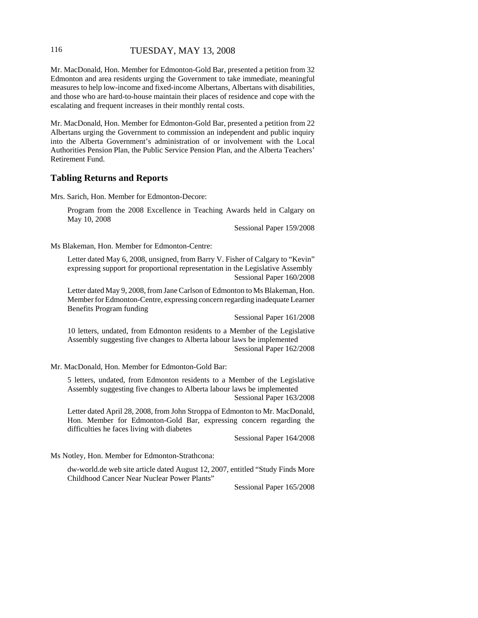### 116 TUESDAY, MAY 13, 2008

Mr. MacDonald, Hon. Member for Edmonton-Gold Bar, presented a petition from 32 Edmonton and area residents urging the Government to take immediate, meaningful measures to help low-income and fixed-income Albertans, Albertans with disabilities, and those who are hard-to-house maintain their places of residence and cope with the escalating and frequent increases in their monthly rental costs.

Mr. MacDonald, Hon. Member for Edmonton-Gold Bar, presented a petition from 22 Albertans urging the Government to commission an independent and public inquiry into the Alberta Government's administration of or involvement with the Local Authorities Pension Plan, the Public Service Pension Plan, and the Alberta Teachers' Retirement Fund.

#### **Tabling Returns and Reports**

Mrs. Sarich, Hon. Member for Edmonton-Decore:

Program from the 2008 Excellence in Teaching Awards held in Calgary on May 10, 2008

Sessional Paper 159/2008

Ms Blakeman, Hon. Member for Edmonton-Centre:

Letter dated May 6, 2008, unsigned, from Barry V. Fisher of Calgary to "Kevin" expressing support for proportional representation in the Legislative Assembly Sessional Paper 160/2008

Letter dated May 9, 2008, from Jane Carlson of Edmonton to Ms Blakeman, Hon. Member for Edmonton-Centre, expressing concern regarding inadequate Learner Benefits Program funding

Sessional Paper 161/2008

10 letters, undated, from Edmonton residents to a Member of the Legislative Assembly suggesting five changes to Alberta labour laws be implemented Sessional Paper 162/2008

Mr. MacDonald, Hon. Member for Edmonton-Gold Bar:

5 letters, undated, from Edmonton residents to a Member of the Legislative Assembly suggesting five changes to Alberta labour laws be implemented Sessional Paper 163/2008

Letter dated April 28, 2008, from John Stroppa of Edmonton to Mr. MacDonald, Hon. Member for Edmonton-Gold Bar, expressing concern regarding the difficulties he faces living with diabetes

Sessional Paper 164/2008

Ms Notley, Hon. Member for Edmonton-Strathcona:

dw-world.de web site article dated August 12, 2007, entitled "Study Finds More Childhood Cancer Near Nuclear Power Plants"

Sessional Paper 165/2008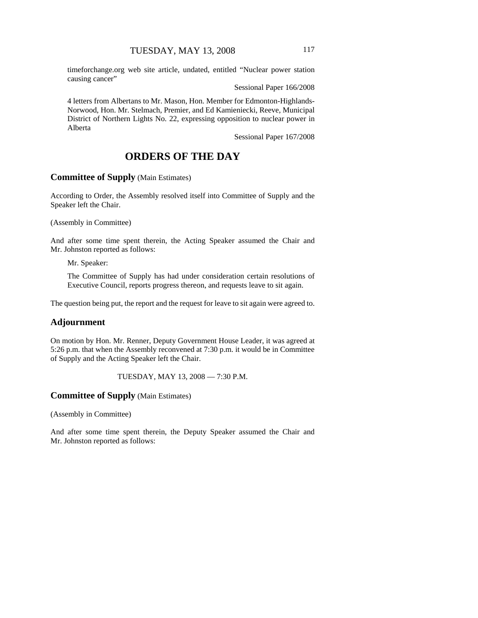timeforchange.org web site article, undated, entitled "Nuclear power station causing cancer"

Sessional Paper 166/2008

4 letters from Albertans to Mr. Mason, Hon. Member for Edmonton-Highlands-Norwood, Hon. Mr. Stelmach, Premier, and Ed Kamieniecki, Reeve, Municipal District of Northern Lights No. 22, expressing opposition to nuclear power in Alberta

Sessional Paper 167/2008

# **ORDERS OF THE DAY**

# **Committee of Supply** (Main Estimates)

According to Order, the Assembly resolved itself into Committee of Supply and the Speaker left the Chair.

(Assembly in Committee)

And after some time spent therein, the Acting Speaker assumed the Chair and Mr. Johnston reported as follows:

Mr. Speaker:

The Committee of Supply has had under consideration certain resolutions of Executive Council, reports progress thereon, and requests leave to sit again.

The question being put, the report and the request for leave to sit again were agreed to.

#### **Adjournment**

On motion by Hon. Mr. Renner, Deputy Government House Leader, it was agreed at 5:26 p.m. that when the Assembly reconvened at 7:30 p.m. it would be in Committee of Supply and the Acting Speaker left the Chair.

TUESDAY, MAY 13, 2008 — 7:30 P.M.

### **Committee of Supply** (Main Estimates)

(Assembly in Committee)

And after some time spent therein, the Deputy Speaker assumed the Chair and Mr. Johnston reported as follows: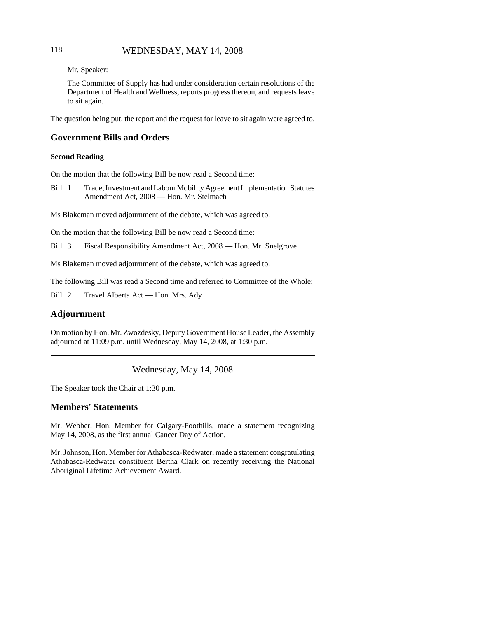# 118 WEDNESDAY, MAY 14, 2008

Mr. Speaker:

The Committee of Supply has had under consideration certain resolutions of the Department of Health and Wellness, reports progress thereon, and requests leave to sit again.

The question being put, the report and the request for leave to sit again were agreed to.

### **Government Bills and Orders**

#### **Second Reading**

On the motion that the following Bill be now read a Second time:

Bill 1 Trade, Investment and Labour Mobility Agreement Implementation Statutes Amendment Act, 2008 — Hon. Mr. Stelmach

Ms Blakeman moved adjournment of the debate, which was agreed to.

On the motion that the following Bill be now read a Second time:

Bill 3 Fiscal Responsibility Amendment Act, 2008 — Hon. Mr. Snelgrove

Ms Blakeman moved adjournment of the debate, which was agreed to.

The following Bill was read a Second time and referred to Committee of the Whole:

Bill 2 Travel Alberta Act — Hon. Mrs. Ady

#### **Adjournment**

On motion by Hon. Mr. Zwozdesky, Deputy Government House Leader, the Assembly adjourned at 11:09 p.m. until Wednesday, May 14, 2008, at 1:30 p.m.

Wednesday, May 14, 2008

The Speaker took the Chair at 1:30 p.m.

### **Members' Statements**

Mr. Webber, Hon. Member for Calgary-Foothills, made a statement recognizing May 14, 2008, as the first annual Cancer Day of Action.

Mr. Johnson, Hon. Member for Athabasca-Redwater, made a statement congratulating Athabasca-Redwater constituent Bertha Clark on recently receiving the National Aboriginal Lifetime Achievement Award.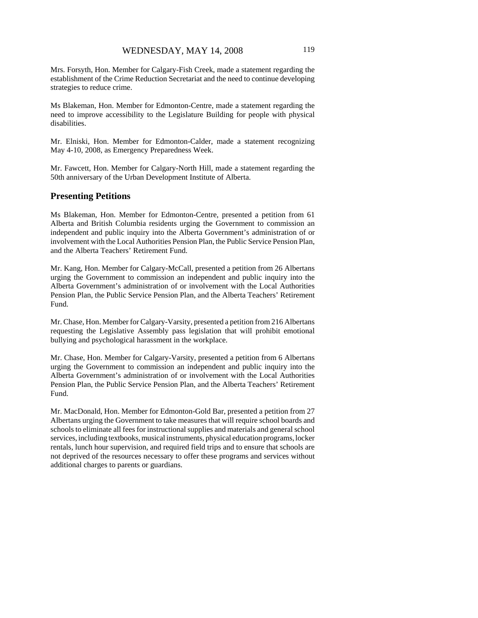Mrs. Forsyth, Hon. Member for Calgary-Fish Creek, made a statement regarding the establishment of the Crime Reduction Secretariat and the need to continue developing strategies to reduce crime.

Ms Blakeman, Hon. Member for Edmonton-Centre, made a statement regarding the need to improve accessibility to the Legislature Building for people with physical disabilities.

Mr. Elniski, Hon. Member for Edmonton-Calder, made a statement recognizing May 4-10, 2008, as Emergency Preparedness Week.

Mr. Fawcett, Hon. Member for Calgary-North Hill, made a statement regarding the 50th anniversary of the Urban Development Institute of Alberta.

#### **Presenting Petitions**

Ms Blakeman, Hon. Member for Edmonton-Centre, presented a petition from 61 Alberta and British Columbia residents urging the Government to commission an independent and public inquiry into the Alberta Government's administration of or involvement with the Local Authorities Pension Plan, the Public Service Pension Plan, and the Alberta Teachers' Retirement Fund.

Mr. Kang, Hon. Member for Calgary-McCall, presented a petition from 26 Albertans urging the Government to commission an independent and public inquiry into the Alberta Government's administration of or involvement with the Local Authorities Pension Plan, the Public Service Pension Plan, and the Alberta Teachers' Retirement Fund.

Mr. Chase, Hon. Member for Calgary-Varsity, presented a petition from 216 Albertans requesting the Legislative Assembly pass legislation that will prohibit emotional bullying and psychological harassment in the workplace.

Mr. Chase, Hon. Member for Calgary-Varsity, presented a petition from 6 Albertans urging the Government to commission an independent and public inquiry into the Alberta Government's administration of or involvement with the Local Authorities Pension Plan, the Public Service Pension Plan, and the Alberta Teachers' Retirement Fund.

Mr. MacDonald, Hon. Member for Edmonton-Gold Bar, presented a petition from 27 Albertans urging the Government to take measures that will require school boards and schools to eliminate all fees for instructional supplies and materials and general school services, including textbooks, musical instruments, physical education programs, locker rentals, lunch hour supervision, and required field trips and to ensure that schools are not deprived of the resources necessary to offer these programs and services without additional charges to parents or guardians.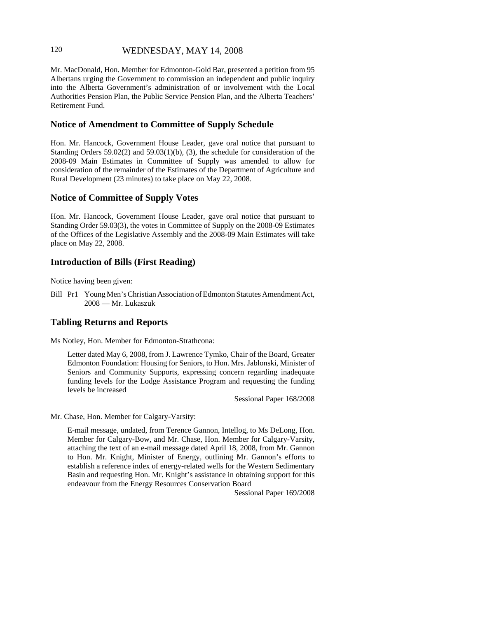# 120 WEDNESDAY, MAY 14, 2008

Mr. MacDonald, Hon. Member for Edmonton-Gold Bar, presented a petition from 95 Albertans urging the Government to commission an independent and public inquiry into the Alberta Government's administration of or involvement with the Local Authorities Pension Plan, the Public Service Pension Plan, and the Alberta Teachers' Retirement Fund.

# **Notice of Amendment to Committee of Supply Schedule**

Hon. Mr. Hancock, Government House Leader, gave oral notice that pursuant to Standing Orders  $59.02(2)$  and  $59.03(1)(b)$ , (3), the schedule for consideration of the 2008-09 Main Estimates in Committee of Supply was amended to allow for consideration of the remainder of the Estimates of the Department of Agriculture and Rural Development (23 minutes) to take place on May 22, 2008.

# **Notice of Committee of Supply Votes**

Hon. Mr. Hancock, Government House Leader, gave oral notice that pursuant to Standing Order 59.03(3), the votes in Committee of Supply on the 2008-09 Estimates of the Offices of the Legislative Assembly and the 2008-09 Main Estimates will take place on May 22, 2008.

# **Introduction of Bills (First Reading)**

Notice having been given:

Bill Pr1 Young Men's Christian Association of Edmonton Statutes Amendment Act, 2008 — Mr. Lukaszuk

# **Tabling Returns and Reports**

Ms Notley, Hon. Member for Edmonton-Strathcona:

Letter dated May 6, 2008, from J. Lawrence Tymko, Chair of the Board, Greater Edmonton Foundation: Housing for Seniors, to Hon. Mrs. Jablonski, Minister of Seniors and Community Supports, expressing concern regarding inadequate funding levels for the Lodge Assistance Program and requesting the funding levels be increased

Sessional Paper 168/2008

Mr. Chase, Hon. Member for Calgary-Varsity:

E-mail message, undated, from Terence Gannon, Intellog, to Ms DeLong, Hon. Member for Calgary-Bow, and Mr. Chase, Hon. Member for Calgary-Varsity, attaching the text of an e-mail message dated April 18, 2008, from Mr. Gannon to Hon. Mr. Knight, Minister of Energy, outlining Mr. Gannon's efforts to establish a reference index of energy-related wells for the Western Sedimentary Basin and requesting Hon. Mr. Knight's assistance in obtaining support for this endeavour from the Energy Resources Conservation Board

Sessional Paper 169/2008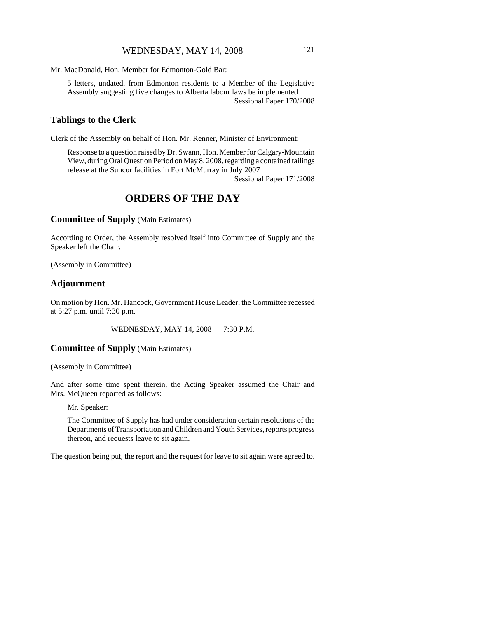Mr. MacDonald, Hon. Member for Edmonton-Gold Bar:

5 letters, undated, from Edmonton residents to a Member of the Legislative Assembly suggesting five changes to Alberta labour laws be implemented Sessional Paper 170/2008

### **Tablings to the Clerk**

Clerk of the Assembly on behalf of Hon. Mr. Renner, Minister of Environment:

Response to a question raised by Dr. Swann, Hon. Member for Calgary-Mountain View, during Oral Question Period on May 8, 2008, regarding a contained tailings release at the Suncor facilities in Fort McMurray in July 2007

Sessional Paper 171/2008

# **ORDERS OF THE DAY**

**Committee of Supply** (Main Estimates)

According to Order, the Assembly resolved itself into Committee of Supply and the Speaker left the Chair.

(Assembly in Committee)

### **Adjournment**

On motion by Hon. Mr. Hancock, Government House Leader, the Committee recessed at 5:27 p.m. until 7:30 p.m.

WEDNESDAY, MAY 14, 2008 — 7:30 P.M.

# **Committee of Supply** (Main Estimates)

(Assembly in Committee)

And after some time spent therein, the Acting Speaker assumed the Chair and Mrs. McQueen reported as follows:

Mr. Speaker:

The Committee of Supply has had under consideration certain resolutions of the Departments of Transportation and Children and Youth Services, reports progress thereon, and requests leave to sit again.

The question being put, the report and the request for leave to sit again were agreed to.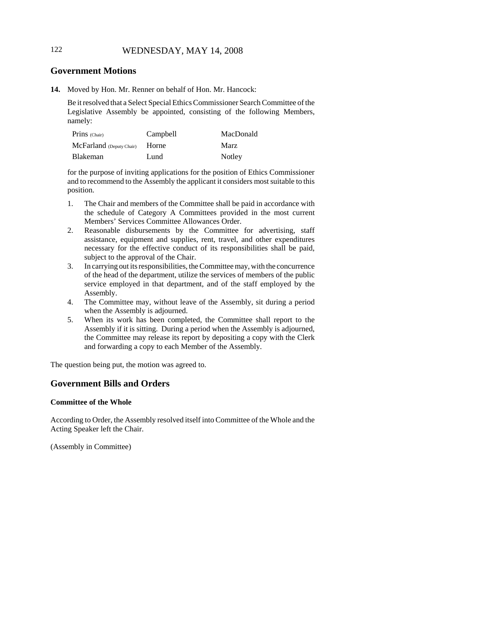# 122 WEDNESDAY, MAY 14, 2008

# **Government Motions**

**14.** Moved by Hon. Mr. Renner on behalf of Hon. Mr. Hancock:

Be it resolved that a Select Special Ethics Commissioner Search Committee of the Legislative Assembly be appointed, consisting of the following Members, namely:

| $Prins$ (Chair)          | Campbell | MacDonald |
|--------------------------|----------|-----------|
| McFarland (Deputy Chair) | Horne    | Marz      |
| <b>Blakeman</b>          | Lund     | Notley    |

for the purpose of inviting applications for the position of Ethics Commissioner and to recommend to the Assembly the applicant it considers most suitable to this position.

- 1. The Chair and members of the Committee shall be paid in accordance with the schedule of Category A Committees provided in the most current Members' Services Committee Allowances Order.
- 2. Reasonable disbursements by the Committee for advertising, staff assistance, equipment and supplies, rent, travel, and other expenditures necessary for the effective conduct of its responsibilities shall be paid, subject to the approval of the Chair.
- 3. In carrying out its responsibilities, the Committee may, with the concurrence of the head of the department, utilize the services of members of the public service employed in that department, and of the staff employed by the Assembly.
- 4. The Committee may, without leave of the Assembly, sit during a period when the Assembly is adjourned.
- 5. When its work has been completed, the Committee shall report to the Assembly if it is sitting. During a period when the Assembly is adjourned, the Committee may release its report by depositing a copy with the Clerk and forwarding a copy to each Member of the Assembly.

The question being put, the motion was agreed to.

# **Government Bills and Orders**

#### **Committee of the Whole**

According to Order, the Assembly resolved itself into Committee of the Whole and the Acting Speaker left the Chair.

(Assembly in Committee)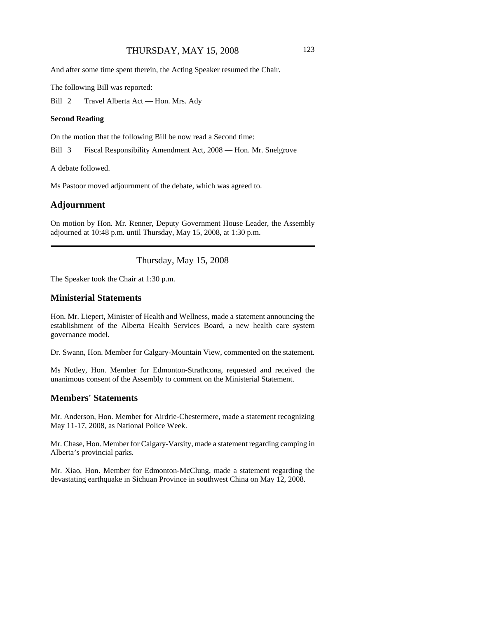### THURSDAY, MAY 15, 2008 123

And after some time spent therein, the Acting Speaker resumed the Chair.

The following Bill was reported:

Bill 2 Travel Alberta Act — Hon. Mrs. Ady

#### **Second Reading**

On the motion that the following Bill be now read a Second time:

Bill 3 Fiscal Responsibility Amendment Act, 2008 — Hon. Mr. Snelgrove

A debate followed.

Ms Pastoor moved adjournment of the debate, which was agreed to.

### **Adjournment**

On motion by Hon. Mr. Renner, Deputy Government House Leader, the Assembly adjourned at 10:48 p.m. until Thursday, May 15, 2008, at 1:30 p.m.

Thursday, May 15, 2008

The Speaker took the Chair at 1:30 p.m.

### **Ministerial Statements**

Hon. Mr. Liepert, Minister of Health and Wellness, made a statement announcing the establishment of the Alberta Health Services Board, a new health care system governance model.

Dr. Swann, Hon. Member for Calgary-Mountain View, commented on the statement.

Ms Notley, Hon. Member for Edmonton-Strathcona, requested and received the unanimous consent of the Assembly to comment on the Ministerial Statement.

#### **Members' Statements**

Mr. Anderson, Hon. Member for Airdrie-Chestermere, made a statement recognizing May 11-17, 2008, as National Police Week.

Mr. Chase, Hon. Member for Calgary-Varsity, made a statement regarding camping in Alberta's provincial parks.

Mr. Xiao, Hon. Member for Edmonton-McClung, made a statement regarding the devastating earthquake in Sichuan Province in southwest China on May 12, 2008.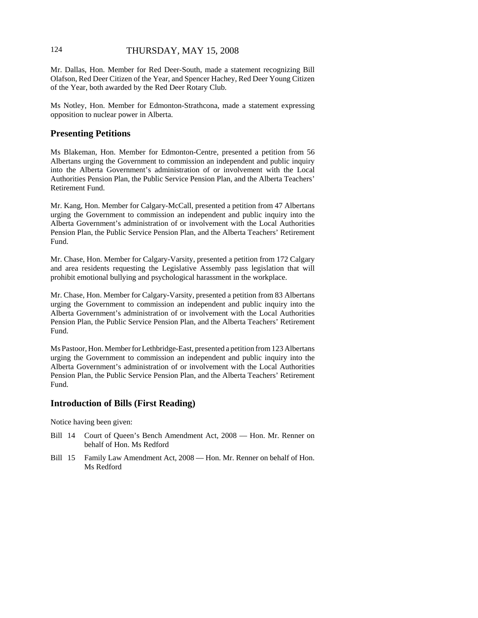# 124 THURSDAY, MAY 15, 2008

Mr. Dallas, Hon. Member for Red Deer-South, made a statement recognizing Bill Olafson, Red Deer Citizen of the Year, and Spencer Hachey, Red Deer Young Citizen of the Year, both awarded by the Red Deer Rotary Club.

Ms Notley, Hon. Member for Edmonton-Strathcona, made a statement expressing opposition to nuclear power in Alberta.

### **Presenting Petitions**

Ms Blakeman, Hon. Member for Edmonton-Centre, presented a petition from 56 Albertans urging the Government to commission an independent and public inquiry into the Alberta Government's administration of or involvement with the Local Authorities Pension Plan, the Public Service Pension Plan, and the Alberta Teachers' Retirement Fund.

Mr. Kang, Hon. Member for Calgary-McCall, presented a petition from 47 Albertans urging the Government to commission an independent and public inquiry into the Alberta Government's administration of or involvement with the Local Authorities Pension Plan, the Public Service Pension Plan, and the Alberta Teachers' Retirement Fund.

Mr. Chase, Hon. Member for Calgary-Varsity, presented a petition from 172 Calgary and area residents requesting the Legislative Assembly pass legislation that will prohibit emotional bullying and psychological harassment in the workplace.

Mr. Chase, Hon. Member for Calgary-Varsity, presented a petition from 83 Albertans urging the Government to commission an independent and public inquiry into the Alberta Government's administration of or involvement with the Local Authorities Pension Plan, the Public Service Pension Plan, and the Alberta Teachers' Retirement Fund.

Ms Pastoor, Hon. Member for Lethbridge-East, presented a petition from 123 Albertans urging the Government to commission an independent and public inquiry into the Alberta Government's administration of or involvement with the Local Authorities Pension Plan, the Public Service Pension Plan, and the Alberta Teachers' Retirement Fund.

# **Introduction of Bills (First Reading)**

Notice having been given:

- Bill 14 Court of Queen's Bench Amendment Act, 2008 Hon. Mr. Renner on behalf of Hon. Ms Redford
- Bill 15 Family Law Amendment Act, 2008 Hon. Mr. Renner on behalf of Hon. Ms Redford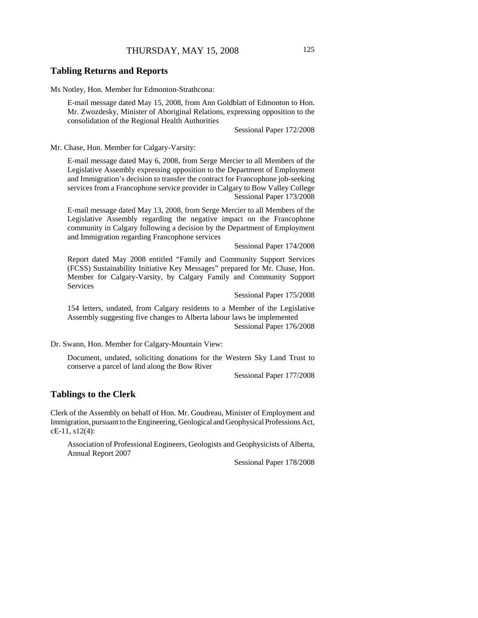### THURSDAY, MAY 15, 2008 125

#### **Tabling Returns and Reports**

Ms Notley, Hon. Member for Edmonton-Strathcona:

E-mail message dated May 15, 2008, from Ann Goldblatt of Edmonton to Hon. Mr. Zwozdesky, Minister of Aboriginal Relations, expressing opposition to the consolidation of the Regional Health Authorities

Sessional Paper 172/2008

Mr. Chase, Hon. Member for Calgary-Varsity:

E-mail message dated May 6, 2008, from Serge Mercier to all Members of the Legislative Assembly expressing opposition to the Department of Employment and Immigration's decision to transfer the contract for Francophone job-seeking services from a Francophone service provider in Calgary to Bow Valley College Sessional Paper 173/2008

E-mail message dated May 13, 2008, from Serge Mercier to all Members of the Legislative Assembly regarding the negative impact on the Francophone community in Calgary following a decision by the Department of Employment and Immigration regarding Francophone services

Sessional Paper 174/2008

Report dated May 2008 entitled "Family and Community Support Services (FCSS) Sustainability Initiative Key Messages" prepared for Mr. Chase, Hon. Member for Calgary-Varsity, by Calgary Family and Community Support Services

Sessional Paper 175/2008

154 letters, undated, from Calgary residents to a Member of the Legislative Assembly suggesting five changes to Alberta labour laws be implemented Sessional Paper 176/2008

Dr. Swann, Hon. Member for Calgary-Mountain View:

Document, undated, soliciting donations for the Western Sky Land Trust to conserve a parcel of land along the Bow River

Sessional Paper 177/2008

### **Tablings to the Clerk**

Clerk of the Assembly on behalf of Hon. Mr. Goudreau, Minister of Employment and Immigration, pursuant to the Engineering, Geological and Geophysical Professions Act, cE-11, s12(4):

Association of Professional Engineers, Geologists and Geophysicists of Alberta, Annual Report 2007

Sessional Paper 178/2008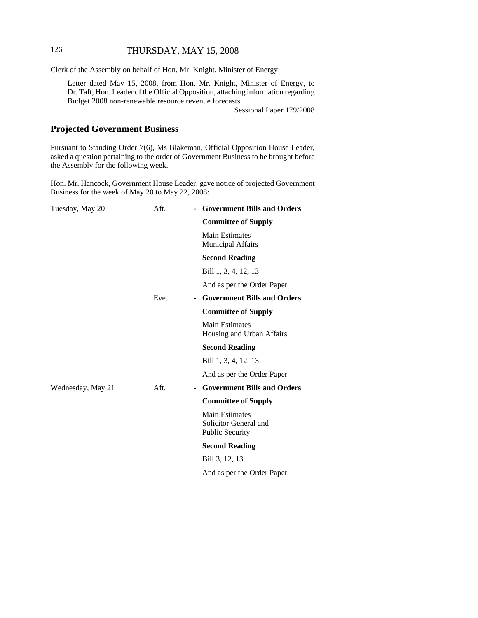# 126 THURSDAY, MAY 15, 2008

Clerk of the Assembly on behalf of Hon. Mr. Knight, Minister of Energy:

Letter dated May 15, 2008, from Hon. Mr. Knight, Minister of Energy, to Dr. Taft, Hon. Leader of the Official Opposition, attaching information regarding Budget 2008 non-renewable resource revenue forecasts

Sessional Paper 179/2008

# **Projected Government Business**

Pursuant to Standing Order 7(6), Ms Blakeman, Official Opposition House Leader, asked a question pertaining to the order of Government Business to be brought before the Assembly for the following week.

Hon. Mr. Hancock, Government House Leader, gave notice of projected Government Business for the week of May 20 to May 22, 2008:

| Tuesday, May 20   | Aft. | - Government Bills and Orders                                            |
|-------------------|------|--------------------------------------------------------------------------|
|                   |      | <b>Committee of Supply</b>                                               |
|                   |      | Main Estimates<br><b>Municipal Affairs</b>                               |
|                   |      | <b>Second Reading</b>                                                    |
|                   |      | Bill 1, 3, 4, 12, 13                                                     |
|                   |      | And as per the Order Paper                                               |
|                   | Eve. | - Government Bills and Orders                                            |
|                   |      | <b>Committee of Supply</b>                                               |
|                   |      | <b>Main Estimates</b><br>Housing and Urban Affairs                       |
|                   |      | <b>Second Reading</b>                                                    |
|                   |      | Bill 1, 3, 4, 12, 13                                                     |
|                   |      | And as per the Order Paper                                               |
| Wednesday, May 21 | Aft. | - Government Bills and Orders                                            |
|                   |      | <b>Committee of Supply</b>                                               |
|                   |      | <b>Main Estimates</b><br>Solicitor General and<br><b>Public Security</b> |
|                   |      | <b>Second Reading</b>                                                    |
|                   |      | Bill 3, 12, 13                                                           |
|                   |      | And as per the Order Paper                                               |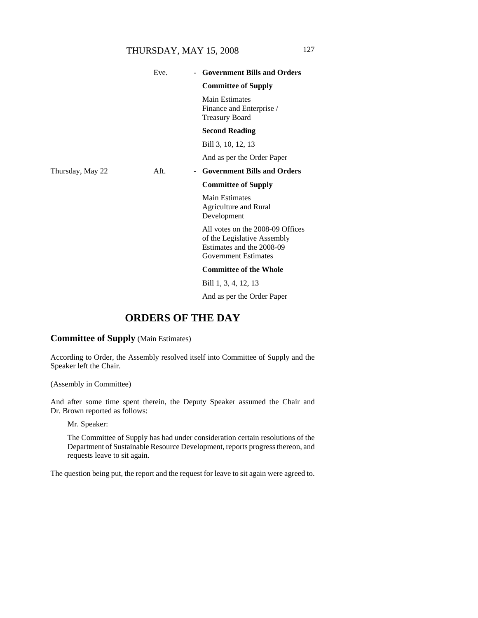# THURSDAY, MAY 15, 2008 127

|                  | Eve. | - Government Bills and Orders                                                                                               |
|------------------|------|-----------------------------------------------------------------------------------------------------------------------------|
|                  |      | <b>Committee of Supply</b>                                                                                                  |
|                  |      | Main Estimates<br>Finance and Enterprise /<br><b>Treasury Board</b>                                                         |
|                  |      | <b>Second Reading</b>                                                                                                       |
|                  |      | Bill 3, 10, 12, 13                                                                                                          |
|                  |      | And as per the Order Paper                                                                                                  |
| Thursday, May 22 | Aft. | <b>Government Bills and Orders</b><br>$\blacksquare$                                                                        |
|                  |      | <b>Committee of Supply</b>                                                                                                  |
|                  |      | <b>Main Estimates</b><br>Agriculture and Rural<br>Development                                                               |
|                  |      | All votes on the 2008-09 Offices<br>of the Legislative Assembly<br>Estimates and the 2008-09<br><b>Government Estimates</b> |
|                  |      | <b>Committee of the Whole</b>                                                                                               |
|                  |      | Bill 1, 3, 4, 12, 13                                                                                                        |
|                  |      |                                                                                                                             |

And as per the Order Paper

# **ORDERS OF THE DAY**

### **Committee of Supply** (Main Estimates)

According to Order, the Assembly resolved itself into Committee of Supply and the Speaker left the Chair.

(Assembly in Committee)

And after some time spent therein, the Deputy Speaker assumed the Chair and Dr. Brown reported as follows:

Mr. Speaker:

The Committee of Supply has had under consideration certain resolutions of the Department of Sustainable Resource Development, reports progress thereon, and requests leave to sit again.

The question being put, the report and the request for leave to sit again were agreed to.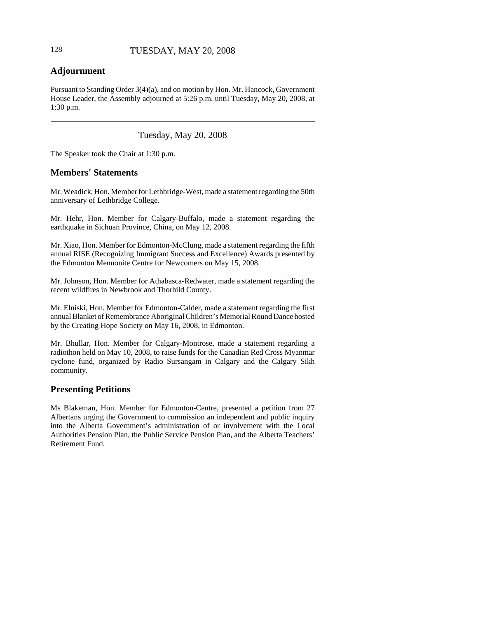# **Adjournment**

Pursuant to Standing Order 3(4)(a), and on motion by Hon. Mr. Hancock, Government House Leader, the Assembly adjourned at 5:26 p.m. until Tuesday, May 20, 2008, at 1:30 p.m.

Tuesday, May 20, 2008

The Speaker took the Chair at 1:30 p.m.

# **Members' Statements**

Mr. Weadick, Hon. Member for Lethbridge-West, made a statement regarding the 50th anniversary of Lethbridge College.

Mr. Hehr, Hon. Member for Calgary-Buffalo, made a statement regarding the earthquake in Sichuan Province, China, on May 12, 2008.

Mr. Xiao, Hon. Member for Edmonton-McClung, made a statement regarding the fifth annual RISE (Recognizing Immigrant Success and Excellence) Awards presented by the Edmonton Mennonite Centre for Newcomers on May 15, 2008.

Mr. Johnson, Hon. Member for Athabasca-Redwater, made a statement regarding the recent wildfires in Newbrook and Thorhild County.

Mr. Elniski, Hon. Member for Edmonton-Calder, made a statement regarding the first annual Blanket of Remembrance Aboriginal Children's Memorial Round Dance hosted by the Creating Hope Society on May 16, 2008, in Edmonton.

Mr. Bhullar, Hon. Member for Calgary-Montrose, made a statement regarding a radiothon held on May 10, 2008, to raise funds for the Canadian Red Cross Myanmar cyclone fund, organized by Radio Sursangam in Calgary and the Calgary Sikh community.

# **Presenting Petitions**

Ms Blakeman, Hon. Member for Edmonton-Centre, presented a petition from 27 Albertans urging the Government to commission an independent and public inquiry into the Alberta Government's administration of or involvement with the Local Authorities Pension Plan, the Public Service Pension Plan, and the Alberta Teachers' Retirement Fund.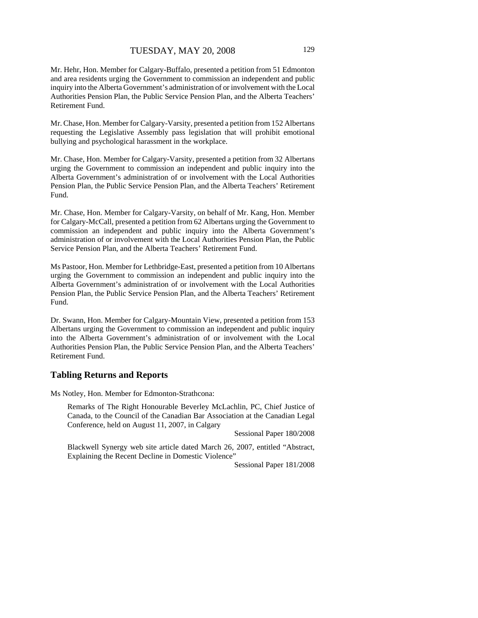Mr. Hehr, Hon. Member for Calgary-Buffalo, presented a petition from 51 Edmonton and area residents urging the Government to commission an independent and public inquiry into the Alberta Government's administration of or involvement with the Local Authorities Pension Plan, the Public Service Pension Plan, and the Alberta Teachers' Retirement Fund.

Mr. Chase, Hon. Member for Calgary-Varsity, presented a petition from 152 Albertans requesting the Legislative Assembly pass legislation that will prohibit emotional bullying and psychological harassment in the workplace.

Mr. Chase, Hon. Member for Calgary-Varsity, presented a petition from 32 Albertans urging the Government to commission an independent and public inquiry into the Alberta Government's administration of or involvement with the Local Authorities Pension Plan, the Public Service Pension Plan, and the Alberta Teachers' Retirement Fund.

Mr. Chase, Hon. Member for Calgary-Varsity, on behalf of Mr. Kang, Hon. Member for Calgary-McCall, presented a petition from 62 Albertans urging the Government to commission an independent and public inquiry into the Alberta Government's administration of or involvement with the Local Authorities Pension Plan, the Public Service Pension Plan, and the Alberta Teachers' Retirement Fund.

Ms Pastoor, Hon. Member for Lethbridge-East, presented a petition from 10 Albertans urging the Government to commission an independent and public inquiry into the Alberta Government's administration of or involvement with the Local Authorities Pension Plan, the Public Service Pension Plan, and the Alberta Teachers' Retirement Fund.

Dr. Swann, Hon. Member for Calgary-Mountain View, presented a petition from 153 Albertans urging the Government to commission an independent and public inquiry into the Alberta Government's administration of or involvement with the Local Authorities Pension Plan, the Public Service Pension Plan, and the Alberta Teachers' Retirement Fund.

#### **Tabling Returns and Reports**

Ms Notley, Hon. Member for Edmonton-Strathcona:

Remarks of The Right Honourable Beverley McLachlin, PC, Chief Justice of Canada, to the Council of the Canadian Bar Association at the Canadian Legal Conference, held on August 11, 2007, in Calgary

Sessional Paper 180/2008

Blackwell Synergy web site article dated March 26, 2007, entitled "Abstract, Explaining the Recent Decline in Domestic Violence"

Sessional Paper 181/2008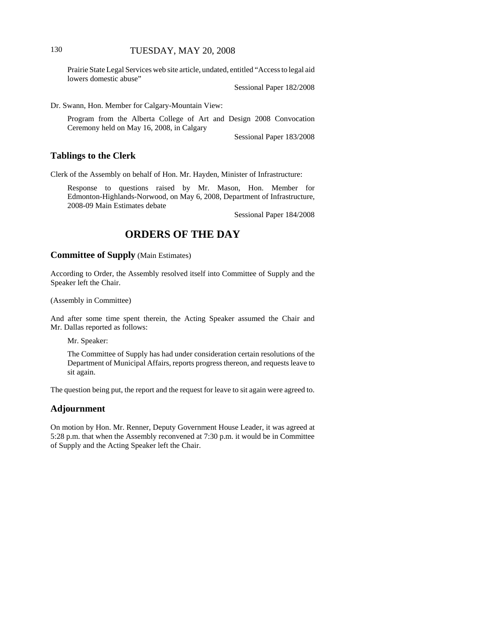Prairie State Legal Services web site article, undated, entitled "Access to legal aid lowers domestic abuse"

Sessional Paper 182/2008

Dr. Swann, Hon. Member for Calgary-Mountain View:

Program from the Alberta College of Art and Design 2008 Convocation Ceremony held on May 16, 2008, in Calgary

Sessional Paper 183/2008

#### **Tablings to the Clerk**

Clerk of the Assembly on behalf of Hon. Mr. Hayden, Minister of Infrastructure:

Response to questions raised by Mr. Mason, Hon. Member for Edmonton-Highlands-Norwood, on May 6, 2008, Department of Infrastructure, 2008-09 Main Estimates debate

Sessional Paper 184/2008

# **ORDERS OF THE DAY**

#### **Committee of Supply** (Main Estimates)

According to Order, the Assembly resolved itself into Committee of Supply and the Speaker left the Chair.

(Assembly in Committee)

And after some time spent therein, the Acting Speaker assumed the Chair and Mr. Dallas reported as follows:

Mr. Speaker:

The Committee of Supply has had under consideration certain resolutions of the Department of Municipal Affairs, reports progress thereon, and requests leave to sit again.

The question being put, the report and the request for leave to sit again were agreed to.

#### **Adjournment**

On motion by Hon. Mr. Renner, Deputy Government House Leader, it was agreed at 5:28 p.m. that when the Assembly reconvened at 7:30 p.m. it would be in Committee of Supply and the Acting Speaker left the Chair.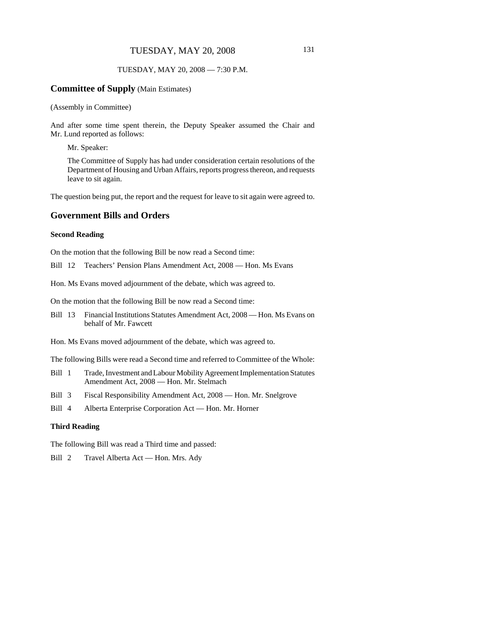### TUESDAY, MAY 20, 2008 — 7:30 P.M.

#### **Committee of Supply** (Main Estimates)

(Assembly in Committee)

And after some time spent therein, the Deputy Speaker assumed the Chair and Mr. Lund reported as follows:

Mr. Speaker:

The Committee of Supply has had under consideration certain resolutions of the Department of Housing and Urban Affairs, reports progress thereon, and requests leave to sit again.

The question being put, the report and the request for leave to sit again were agreed to.

# **Government Bills and Orders**

#### **Second Reading**

On the motion that the following Bill be now read a Second time:

Bill 12 Teachers' Pension Plans Amendment Act, 2008 — Hon. Ms Evans

Hon. Ms Evans moved adjournment of the debate, which was agreed to.

On the motion that the following Bill be now read a Second time:

- Bill 13 Financial Institutions Statutes Amendment Act, 2008 Hon. Ms Evans on behalf of Mr. Fawcett
- Hon. Ms Evans moved adjournment of the debate, which was agreed to.

The following Bills were read a Second time and referred to Committee of the Whole:

- Bill 1 Trade, Investment and Labour Mobility Agreement Implementation Statutes Amendment Act, 2008 — Hon. Mr. Stelmach
- Bill 3 Fiscal Responsibility Amendment Act, 2008 Hon. Mr. Snelgrove
- Bill 4 Alberta Enterprise Corporation Act Hon. Mr. Horner

#### **Third Reading**

The following Bill was read a Third time and passed:

Bill 2 Travel Alberta Act — Hon. Mrs. Ady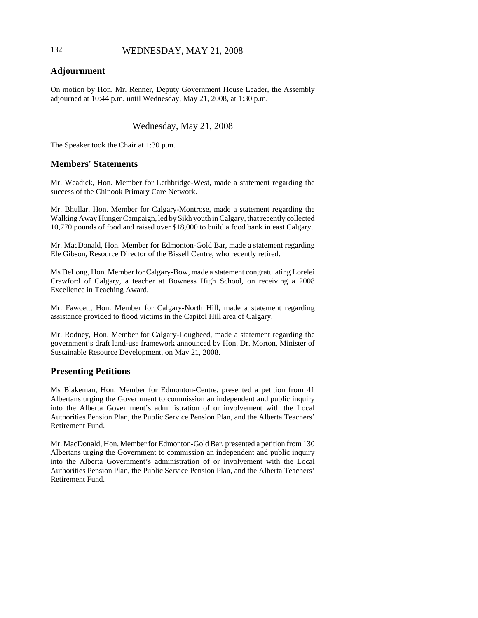# **Adjournment**

On motion by Hon. Mr. Renner, Deputy Government House Leader, the Assembly adjourned at 10:44 p.m. until Wednesday, May 21, 2008, at 1:30 p.m.

# Wednesday, May 21, 2008

The Speaker took the Chair at 1:30 p.m.

# **Members' Statements**

Mr. Weadick, Hon. Member for Lethbridge-West, made a statement regarding the success of the Chinook Primary Care Network.

Mr. Bhullar, Hon. Member for Calgary-Montrose, made a statement regarding the Walking Away Hunger Campaign, led by Sikh youth in Calgary, that recently collected 10,770 pounds of food and raised over \$18,000 to build a food bank in east Calgary.

Mr. MacDonald, Hon. Member for Edmonton-Gold Bar, made a statement regarding Ele Gibson, Resource Director of the Bissell Centre, who recently retired.

Ms DeLong, Hon. Member for Calgary-Bow, made a statement congratulating Lorelei Crawford of Calgary, a teacher at Bowness High School, on receiving a 2008 Excellence in Teaching Award.

Mr. Fawcett, Hon. Member for Calgary-North Hill, made a statement regarding assistance provided to flood victims in the Capitol Hill area of Calgary.

Mr. Rodney, Hon. Member for Calgary-Lougheed, made a statement regarding the government's draft land-use framework announced by Hon. Dr. Morton, Minister of Sustainable Resource Development, on May 21, 2008.

# **Presenting Petitions**

Ms Blakeman, Hon. Member for Edmonton-Centre, presented a petition from 41 Albertans urging the Government to commission an independent and public inquiry into the Alberta Government's administration of or involvement with the Local Authorities Pension Plan, the Public Service Pension Plan, and the Alberta Teachers' Retirement Fund.

Mr. MacDonald, Hon. Member for Edmonton-Gold Bar, presented a petition from 130 Albertans urging the Government to commission an independent and public inquiry into the Alberta Government's administration of or involvement with the Local Authorities Pension Plan, the Public Service Pension Plan, and the Alberta Teachers' Retirement Fund.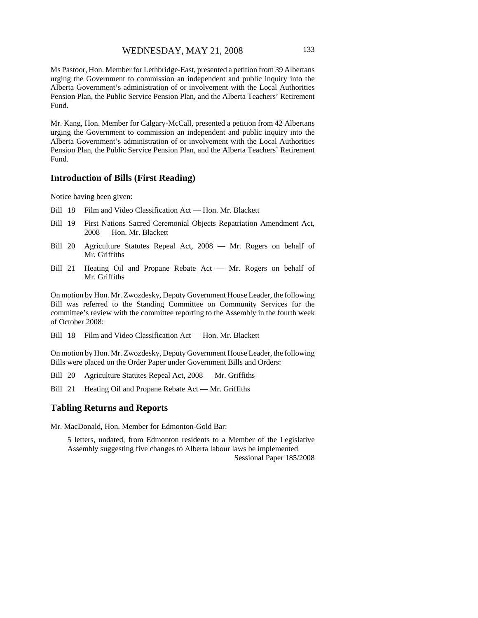Ms Pastoor, Hon. Member for Lethbridge-East, presented a petition from 39 Albertans urging the Government to commission an independent and public inquiry into the Alberta Government's administration of or involvement with the Local Authorities Pension Plan, the Public Service Pension Plan, and the Alberta Teachers' Retirement Fund.

Mr. Kang, Hon. Member for Calgary-McCall, presented a petition from 42 Albertans urging the Government to commission an independent and public inquiry into the Alberta Government's administration of or involvement with the Local Authorities Pension Plan, the Public Service Pension Plan, and the Alberta Teachers' Retirement Fund.

#### **Introduction of Bills (First Reading)**

Notice having been given:

- Bill 18 Film and Video Classification Act Hon. Mr. Blackett
- Bill 19 First Nations Sacred Ceremonial Objects Repatriation Amendment Act, 2008 — Hon. Mr. Blackett
- Bill 20 Agriculture Statutes Repeal Act, 2008 Mr. Rogers on behalf of Mr. Griffiths
- Bill 21 Heating Oil and Propane Rebate Act Mr. Rogers on behalf of Mr. Griffiths

On motion by Hon. Mr. Zwozdesky, Deputy Government House Leader, the following Bill was referred to the Standing Committee on Community Services for the committee's review with the committee reporting to the Assembly in the fourth week of October 2008:

Bill 18 Film and Video Classification Act — Hon. Mr. Blackett

On motion by Hon. Mr. Zwozdesky, Deputy Government House Leader, the following Bills were placed on the Order Paper under Government Bills and Orders:

Bill 20 Agriculture Statutes Repeal Act, 2008 — Mr. Griffiths

Bill 21 Heating Oil and Propane Rebate Act — Mr. Griffiths

#### **Tabling Returns and Reports**

Mr. MacDonald, Hon. Member for Edmonton-Gold Bar:

5 letters, undated, from Edmonton residents to a Member of the Legislative Assembly suggesting five changes to Alberta labour laws be implemented Sessional Paper 185/2008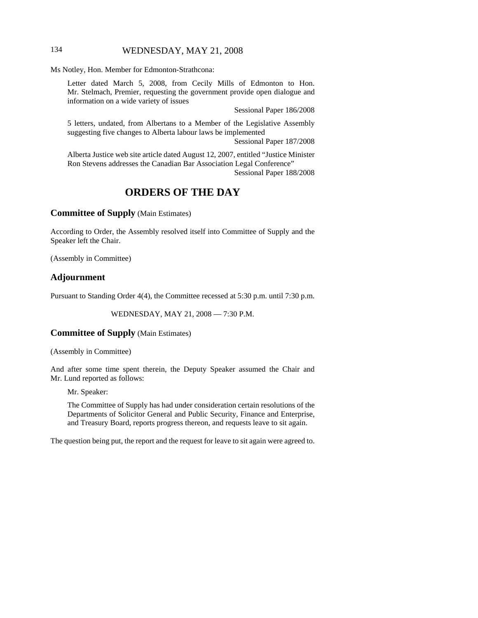# 134 WEDNESDAY, MAY 21, 2008

Ms Notley, Hon. Member for Edmonton-Strathcona:

Letter dated March 5, 2008, from Cecily Mills of Edmonton to Hon. Mr. Stelmach, Premier, requesting the government provide open dialogue and information on a wide variety of issues

Sessional Paper 186/2008

5 letters, undated, from Albertans to a Member of the Legislative Assembly suggesting five changes to Alberta labour laws be implemented

Sessional Paper 187/2008

Alberta Justice web site article dated August 12, 2007, entitled "Justice Minister Ron Stevens addresses the Canadian Bar Association Legal Conference" Sessional Paper 188/2008

# **ORDERS OF THE DAY**

**Committee of Supply** (Main Estimates)

According to Order, the Assembly resolved itself into Committee of Supply and the Speaker left the Chair.

(Assembly in Committee)

#### **Adjournment**

Pursuant to Standing Order 4(4), the Committee recessed at 5:30 p.m. until 7:30 p.m.

WEDNESDAY, MAY 21, 2008 — 7:30 P.M.

#### **Committee of Supply** (Main Estimates)

(Assembly in Committee)

And after some time spent therein, the Deputy Speaker assumed the Chair and Mr. Lund reported as follows:

Mr. Speaker:

The Committee of Supply has had under consideration certain resolutions of the Departments of Solicitor General and Public Security, Finance and Enterprise, and Treasury Board, reports progress thereon, and requests leave to sit again.

The question being put, the report and the request for leave to sit again were agreed to.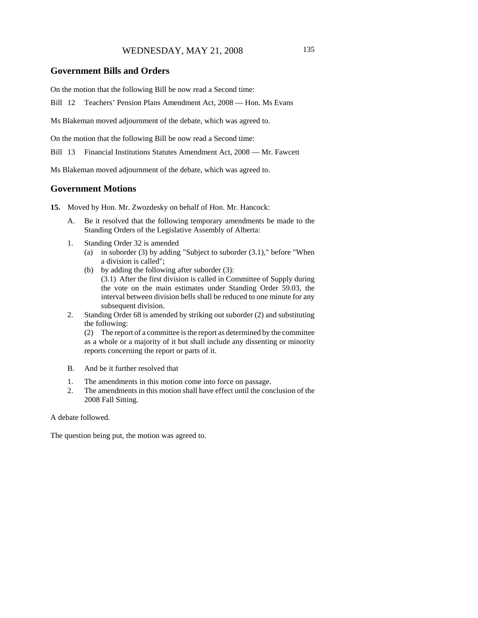#### **Government Bills and Orders**

On the motion that the following Bill be now read a Second time:

Bill 12 Teachers' Pension Plans Amendment Act, 2008 — Hon. Ms Evans

Ms Blakeman moved adjournment of the debate, which was agreed to.

On the motion that the following Bill be now read a Second time:

Bill 13 Financial Institutions Statutes Amendment Act, 2008 — Mr. Fawcett

Ms Blakeman moved adjournment of the debate, which was agreed to.

#### **Government Motions**

- **15.** Moved by Hon. Mr. Zwozdesky on behalf of Hon. Mr. Hancock:
	- A. Be it resolved that the following temporary amendments be made to the Standing Orders of the Legislative Assembly of Alberta:
	- 1. Standing Order 32 is amended
		- (a) in suborder (3) by adding "Subject to suborder  $(3.1)$ ," before "When a division is called";
		- (b) by adding the following after suborder (3): (3.1) After the first division is called in Committee of Supply during the vote on the main estimates under Standing Order 59.03, the interval between division bells shall be reduced to one minute for any subsequent division.
	- 2. Standing Order 68 is amended by striking out suborder (2) and substituting the following:

(2) The report of a committee is the report as determined by the committee as a whole or a majority of it but shall include any dissenting or minority reports concerning the report or parts of it.

- B. And be it further resolved that
- 1. The amendments in this motion come into force on passage.
- 2. The amendments in this motion shall have effect until the conclusion of the 2008 Fall Sitting.

#### A debate followed.

The question being put, the motion was agreed to.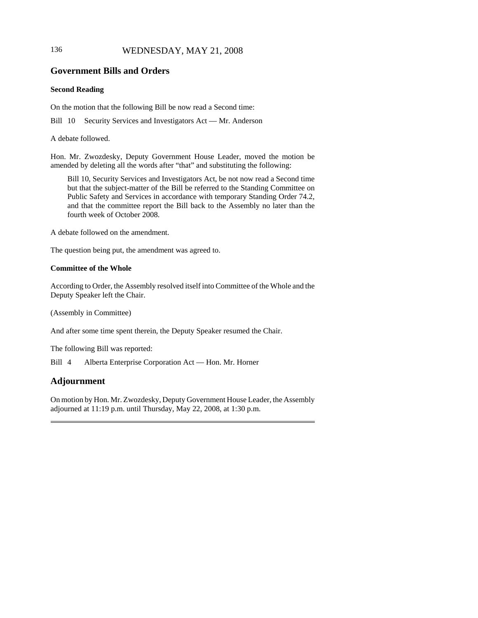# 136 WEDNESDAY, MAY 21, 2008

# **Government Bills and Orders**

#### **Second Reading**

On the motion that the following Bill be now read a Second time:

Bill 10 Security Services and Investigators Act — Mr. Anderson

A debate followed.

Hon. Mr. Zwozdesky, Deputy Government House Leader, moved the motion be amended by deleting all the words after "that" and substituting the following:

Bill 10, Security Services and Investigators Act, be not now read a Second time but that the subject-matter of the Bill be referred to the Standing Committee on Public Safety and Services in accordance with temporary Standing Order 74.2, and that the committee report the Bill back to the Assembly no later than the fourth week of October 2008.

A debate followed on the amendment.

The question being put, the amendment was agreed to.

#### **Committee of the Whole**

According to Order, the Assembly resolved itself into Committee of the Whole and the Deputy Speaker left the Chair.

(Assembly in Committee)

And after some time spent therein, the Deputy Speaker resumed the Chair.

The following Bill was reported:

Bill 4 Alberta Enterprise Corporation Act — Hon. Mr. Horner

# **Adjournment**

On motion by Hon. Mr. Zwozdesky, Deputy Government House Leader, the Assembly adjourned at 11:19 p.m. until Thursday, May 22, 2008, at 1:30 p.m.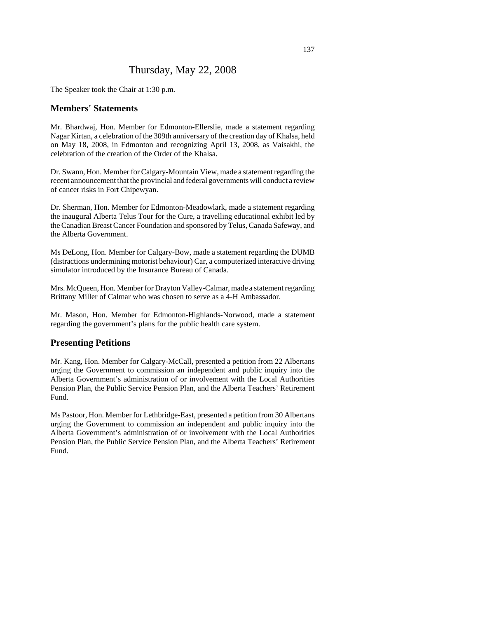# Thursday, May 22, 2008

The Speaker took the Chair at 1:30 p.m.

#### **Members' Statements**

Mr. Bhardwaj, Hon. Member for Edmonton-Ellerslie, made a statement regarding Nagar Kirtan, a celebration of the 309th anniversary of the creation day of Khalsa, held on May 18, 2008, in Edmonton and recognizing April 13, 2008, as Vaisakhi, the celebration of the creation of the Order of the Khalsa.

Dr. Swann, Hon. Member for Calgary-Mountain View, made a statement regarding the recent announcement that the provincial and federal governments will conduct a review of cancer risks in Fort Chipewyan.

Dr. Sherman, Hon. Member for Edmonton-Meadowlark, made a statement regarding the inaugural Alberta Telus Tour for the Cure, a travelling educational exhibit led by the Canadian Breast Cancer Foundation and sponsored by Telus, Canada Safeway, and the Alberta Government.

Ms DeLong, Hon. Member for Calgary-Bow, made a statement regarding the DUMB (distractions undermining motorist behaviour) Car, a computerized interactive driving simulator introduced by the Insurance Bureau of Canada.

Mrs. McQueen, Hon. Member for Drayton Valley-Calmar, made a statement regarding Brittany Miller of Calmar who was chosen to serve as a 4-H Ambassador.

Mr. Mason, Hon. Member for Edmonton-Highlands-Norwood, made a statement regarding the government's plans for the public health care system.

### **Presenting Petitions**

Mr. Kang, Hon. Member for Calgary-McCall, presented a petition from 22 Albertans urging the Government to commission an independent and public inquiry into the Alberta Government's administration of or involvement with the Local Authorities Pension Plan, the Public Service Pension Plan, and the Alberta Teachers' Retirement Fund.

Ms Pastoor, Hon. Member for Lethbridge-East, presented a petition from 30 Albertans urging the Government to commission an independent and public inquiry into the Alberta Government's administration of or involvement with the Local Authorities Pension Plan, the Public Service Pension Plan, and the Alberta Teachers' Retirement Fund.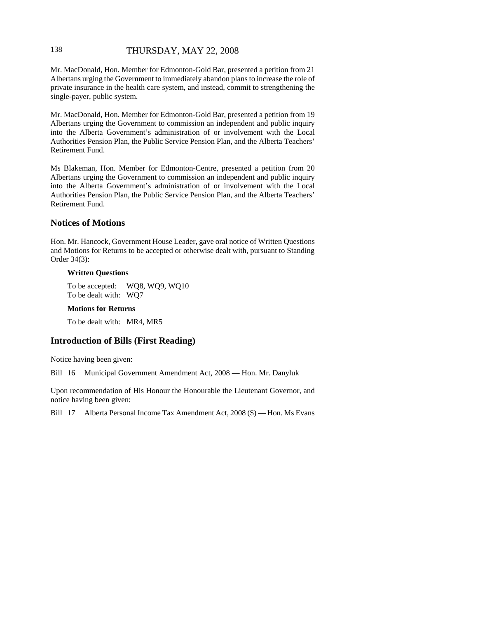### 138 THURSDAY, MAY 22, 2008

Mr. MacDonald, Hon. Member for Edmonton-Gold Bar, presented a petition from 21 Albertans urging the Government to immediately abandon plans to increase the role of private insurance in the health care system, and instead, commit to strengthening the single-payer, public system.

Mr. MacDonald, Hon. Member for Edmonton-Gold Bar, presented a petition from 19 Albertans urging the Government to commission an independent and public inquiry into the Alberta Government's administration of or involvement with the Local Authorities Pension Plan, the Public Service Pension Plan, and the Alberta Teachers' Retirement Fund.

Ms Blakeman, Hon. Member for Edmonton-Centre, presented a petition from 20 Albertans urging the Government to commission an independent and public inquiry into the Alberta Government's administration of or involvement with the Local Authorities Pension Plan, the Public Service Pension Plan, and the Alberta Teachers' Retirement Fund.

### **Notices of Motions**

Hon. Mr. Hancock, Government House Leader, gave oral notice of Written Questions and Motions for Returns to be accepted or otherwise dealt with, pursuant to Standing Order 34(3):

#### **Written Questions**

To be accepted: WQ8, WQ9, WQ10 To be dealt with: WQ7

#### **Motions for Returns**

To be dealt with: MR4, MR5

# **Introduction of Bills (First Reading)**

Notice having been given:

Bill 16 Municipal Government Amendment Act, 2008 — Hon. Mr. Danyluk

Upon recommendation of His Honour the Honourable the Lieutenant Governor, and notice having been given:

Bill 17 Alberta Personal Income Tax Amendment Act, 2008 (\$) — Hon. Ms Evans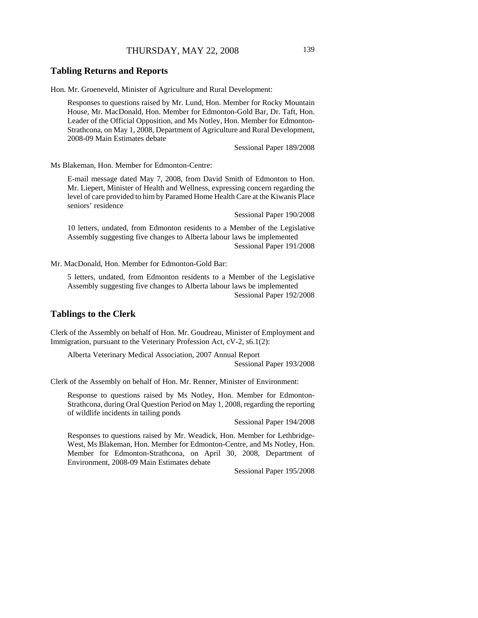#### **Tabling Returns and Reports**

Hon. Mr. Groeneveld, Minister of Agriculture and Rural Development:

Responses to questions raised by Mr. Lund, Hon. Member for Rocky Mountain House, Mr. MacDonald, Hon. Member for Edmonton-Gold Bar, Dr. Taft, Hon. Leader of the Official Opposition, and Ms Notley, Hon. Member for Edmonton-Strathcona, on May 1, 2008, Department of Agriculture and Rural Development, 2008-09 Main Estimates debate

Sessional Paper 189/2008

Ms Blakeman, Hon. Member for Edmonton-Centre:

E-mail message dated May 7, 2008, from David Smith of Edmonton to Hon. Mr. Liepert, Minister of Health and Wellness, expressing concern regarding the level of care provided to him by Paramed Home Health Care at the Kiwanis Place seniors' residence

Sessional Paper 190/2008

10 letters, undated, from Edmonton residents to a Member of the Legislative Assembly suggesting five changes to Alberta labour laws be implemented Sessional Paper 191/2008

Mr. MacDonald, Hon. Member for Edmonton-Gold Bar:

5 letters, undated, from Edmonton residents to a Member of the Legislative Assembly suggesting five changes to Alberta labour laws be implemented Sessional Paper 192/2008

# **Tablings to the Clerk**

Clerk of the Assembly on behalf of Hon. Mr. Goudreau, Minister of Employment and Immigration, pursuant to the Veterinary Profession Act, cV-2, s6.1(2):

Alberta Veterinary Medical Association, 2007 Annual Report Sessional Paper 193/2008

Clerk of the Assembly on behalf of Hon. Mr. Renner, Minister of Environment:

Response to questions raised by Ms Notley, Hon. Member for Edmonton-Strathcona, during Oral Question Period on May 1, 2008, regarding the reporting of wildlife incidents in tailing ponds

Sessional Paper 194/2008

Responses to questions raised by Mr. Weadick, Hon. Member for Lethbridge-West, Ms Blakeman, Hon. Member for Edmonton-Centre, and Ms Notley, Hon. Member for Edmonton-Strathcona, on April 30, 2008, Department of Environment, 2008-09 Main Estimates debate

Sessional Paper 195/2008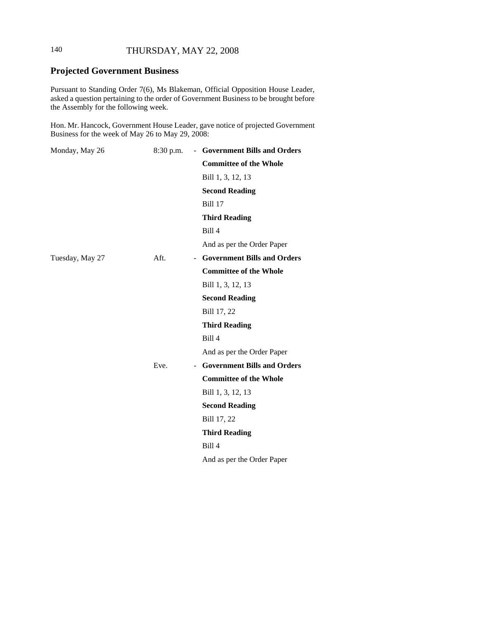# 140 THURSDAY, MAY 22, 2008

# **Projected Government Business**

Pursuant to Standing Order 7(6), Ms Blakeman, Official Opposition House Leader, asked a question pertaining to the order of Government Business to be brought before the Assembly for the following week.

Hon. Mr. Hancock, Government House Leader, gave notice of projected Government Business for the week of May 26 to May 29, 2008:

| Monday, May 26  | 8:30 p.m. | - Government Bills and Orders |
|-----------------|-----------|-------------------------------|
|                 |           | <b>Committee of the Whole</b> |
|                 |           | Bill 1, 3, 12, 13             |
|                 |           | <b>Second Reading</b>         |
|                 |           | <b>Bill 17</b>                |
|                 |           | <b>Third Reading</b>          |
|                 |           | Bill 4                        |
|                 |           | And as per the Order Paper    |
| Tuesday, May 27 | Aft.      | - Government Bills and Orders |
|                 |           | <b>Committee of the Whole</b> |
|                 |           | Bill 1, 3, 12, 13             |
|                 |           | <b>Second Reading</b>         |
|                 |           | Bill 17, 22                   |
|                 |           | <b>Third Reading</b>          |
|                 |           | Bill 4                        |
|                 |           | And as per the Order Paper    |
|                 | Eve.      | - Government Bills and Orders |
|                 |           | <b>Committee of the Whole</b> |
|                 |           | Bill 1, 3, 12, 13             |
|                 |           | <b>Second Reading</b>         |
|                 |           | Bill 17, 22                   |
|                 |           | <b>Third Reading</b>          |
|                 |           | <b>Bill 4</b>                 |
|                 |           | And as per the Order Paper    |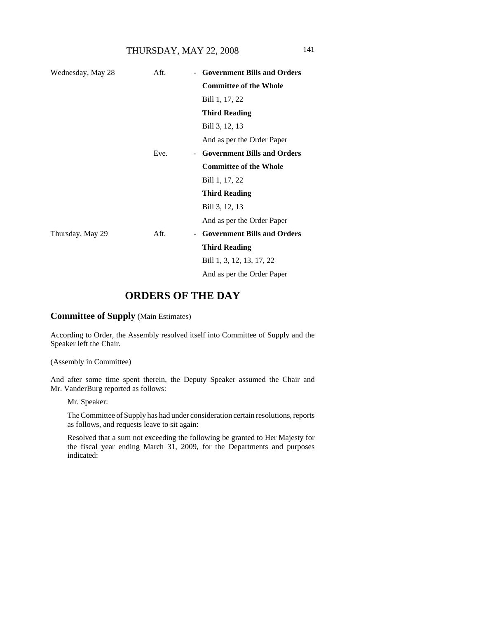THURSDAY, MAY 22, 2008 141

| Wednesday, May 28 | Aft. | - Government Bills and Orders      |
|-------------------|------|------------------------------------|
|                   |      | <b>Committee of the Whole</b>      |
|                   |      | Bill 1, 17, 22                     |
|                   |      | <b>Third Reading</b>               |
|                   |      | Bill 3, 12, 13                     |
|                   |      | And as per the Order Paper         |
|                   | Eve. | - Government Bills and Orders      |
|                   |      | <b>Committee of the Whole</b>      |
|                   |      | Bill 1, 17, 22                     |
|                   |      | <b>Third Reading</b>               |
|                   |      | Bill 3, 12, 13                     |
|                   |      | And as per the Order Paper         |
| Thursday, May 29  | Aft. | <b>Government Bills and Orders</b> |
|                   |      | <b>Third Reading</b>               |
|                   |      | Bill 1, 3, 12, 13, 17, 22          |
|                   |      | And as per the Order Paper         |

# **ORDERS OF THE DAY**

**Committee of Supply** (Main Estimates)

According to Order, the Assembly resolved itself into Committee of Supply and the Speaker left the Chair.

(Assembly in Committee)

And after some time spent therein, the Deputy Speaker assumed the Chair and Mr. VanderBurg reported as follows:

Mr. Speaker:

The Committee of Supply has had under consideration certain resolutions, reports as follows, and requests leave to sit again:

Resolved that a sum not exceeding the following be granted to Her Majesty for the fiscal year ending March 31, 2009, for the Departments and purposes indicated: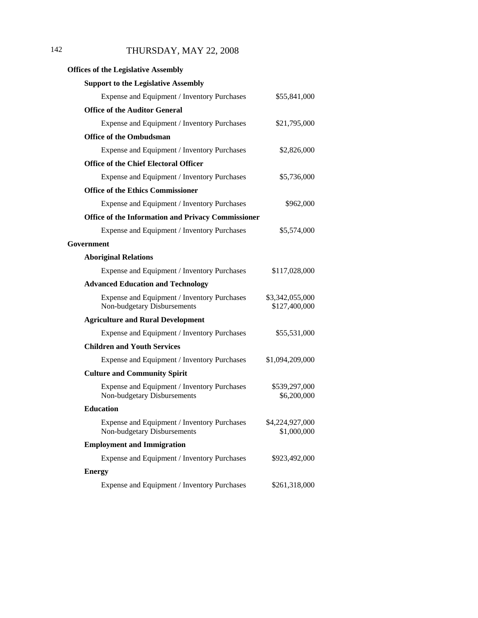# 142 THURSDAY, MAY 22, 2008

| <b>Offices of the Legislative Assembly</b>                                 |                                  |
|----------------------------------------------------------------------------|----------------------------------|
| <b>Support to the Legislative Assembly</b>                                 |                                  |
| Expense and Equipment / Inventory Purchases                                | \$55,841,000                     |
| <b>Office of the Auditor General</b>                                       |                                  |
| Expense and Equipment / Inventory Purchases                                | \$21,795,000                     |
| <b>Office of the Ombudsman</b>                                             |                                  |
| Expense and Equipment / Inventory Purchases                                | \$2,826,000                      |
| <b>Office of the Chief Electoral Officer</b>                               |                                  |
| Expense and Equipment / Inventory Purchases                                | \$5,736,000                      |
| <b>Office of the Ethics Commissioner</b>                                   |                                  |
| Expense and Equipment / Inventory Purchases                                | \$962,000                        |
| <b>Office of the Information and Privacy Commissioner</b>                  |                                  |
| Expense and Equipment / Inventory Purchases                                | \$5,574,000                      |
| Government                                                                 |                                  |
| <b>Aboriginal Relations</b>                                                |                                  |
| Expense and Equipment / Inventory Purchases                                | \$117,028,000                    |
| <b>Advanced Education and Technology</b>                                   |                                  |
| Expense and Equipment / Inventory Purchases<br>Non-budgetary Disbursements | \$3,342,055,000<br>\$127,400,000 |
| <b>Agriculture and Rural Development</b>                                   |                                  |
| Expense and Equipment / Inventory Purchases                                | \$55,531,000                     |
| <b>Children and Youth Services</b>                                         |                                  |
| Expense and Equipment / Inventory Purchases                                | \$1,094,209,000                  |
| <b>Culture and Community Spirit</b>                                        |                                  |
| Expense and Equipment / Inventory Purchases<br>Non-budgetary Disbursements | \$539,297,000<br>\$6,200,000     |
| <b>Education</b>                                                           |                                  |
| Expense and Equipment / Inventory Purchases<br>Non-budgetary Disbursements | \$4,224,927,000<br>\$1,000,000   |
| <b>Employment and Immigration</b>                                          |                                  |
| Expense and Equipment / Inventory Purchases                                | \$923,492,000                    |
| <b>Energy</b>                                                              |                                  |
| Expense and Equipment / Inventory Purchases                                | \$261,318,000                    |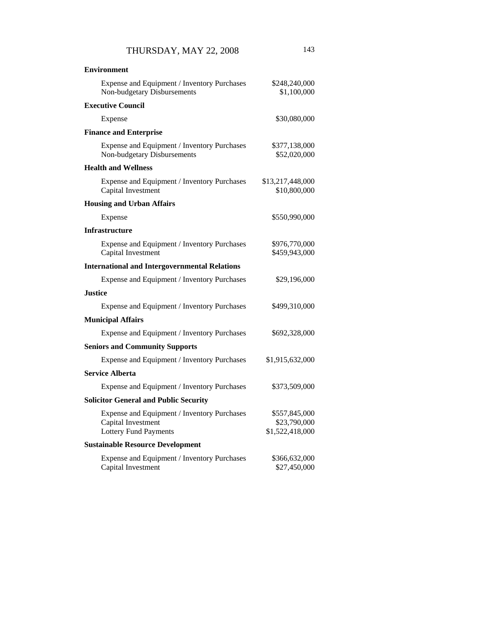| <b>Environment</b>                                                                                |                                                  |
|---------------------------------------------------------------------------------------------------|--------------------------------------------------|
| Expense and Equipment / Inventory Purchases<br>Non-budgetary Disbursements                        | \$248,240,000<br>\$1,100,000                     |
| <b>Executive Council</b>                                                                          |                                                  |
| Expense                                                                                           | \$30,080,000                                     |
| <b>Finance and Enterprise</b>                                                                     |                                                  |
| Expense and Equipment / Inventory Purchases<br>Non-budgetary Disbursements                        | \$377,138,000<br>\$52,020,000                    |
| <b>Health and Wellness</b>                                                                        |                                                  |
| Expense and Equipment / Inventory Purchases<br>Capital Investment                                 | \$13,217,448,000<br>\$10,800,000                 |
| <b>Housing and Urban Affairs</b>                                                                  |                                                  |
| Expense                                                                                           | \$550,990,000                                    |
| <b>Infrastructure</b>                                                                             |                                                  |
| Expense and Equipment / Inventory Purchases<br>Capital Investment                                 | \$976,770,000<br>\$459,943,000                   |
| <b>International and Intergovernmental Relations</b>                                              |                                                  |
| Expense and Equipment / Inventory Purchases                                                       | \$29,196,000                                     |
| <b>Justice</b>                                                                                    |                                                  |
| Expense and Equipment / Inventory Purchases                                                       | \$499,310,000                                    |
| <b>Municipal Affairs</b>                                                                          |                                                  |
| Expense and Equipment / Inventory Purchases                                                       | \$692,328,000                                    |
| <b>Seniors and Community Supports</b>                                                             |                                                  |
| Expense and Equipment / Inventory Purchases                                                       | \$1,915,632,000                                  |
| <b>Service Alberta</b>                                                                            |                                                  |
| Expense and Equipment / Inventory Purchases                                                       | \$373,509,000                                    |
| <b>Solicitor General and Public Security</b>                                                      |                                                  |
| Expense and Equipment / Inventory Purchases<br>Capital Investment<br><b>Lottery Fund Payments</b> | \$557,845,000<br>\$23,790,000<br>\$1,522,418,000 |
| <b>Sustainable Resource Development</b>                                                           |                                                  |
| Expense and Equipment / Inventory Purchases<br>Capital Investment                                 | \$366,632,000<br>\$27,450,000                    |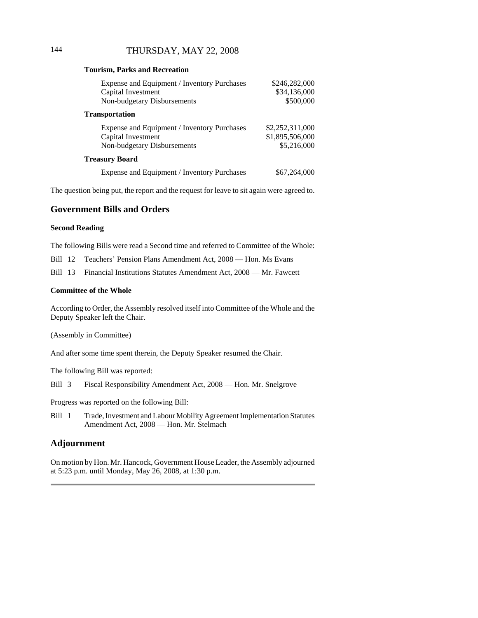### **Tourism, Parks and Recreation**

| Expense and Equipment / Inventory Purchases<br>Capital Investment<br>Non-budgetary Disbursements | \$246,282,000<br>\$34,136,000<br>\$500,000        |
|--------------------------------------------------------------------------------------------------|---------------------------------------------------|
| Transportation                                                                                   |                                                   |
| Expense and Equipment / Inventory Purchases<br>Capital Investment<br>Non-budgetary Disbursements | \$2,252,311,000<br>\$1,895,506,000<br>\$5,216,000 |
| <b>Treasury Board</b>                                                                            |                                                   |
| Expense and Equipment / Inventory Purchases                                                      | \$67,264,000                                      |

The question being put, the report and the request for leave to sit again were agreed to.

# **Government Bills and Orders**

### **Second Reading**

The following Bills were read a Second time and referred to Committee of the Whole:

Bill 12 Teachers' Pension Plans Amendment Act, 2008 — Hon. Ms Evans

Bill 13 Financial Institutions Statutes Amendment Act, 2008 — Mr. Fawcett

#### **Committee of the Whole**

According to Order, the Assembly resolved itself into Committee of the Whole and the Deputy Speaker left the Chair.

(Assembly in Committee)

And after some time spent therein, the Deputy Speaker resumed the Chair.

The following Bill was reported:

Bill 3 Fiscal Responsibility Amendment Act, 2008 — Hon. Mr. Snelgrove

Progress was reported on the following Bill:

Bill 1 Trade, Investment and Labour Mobility Agreement Implementation Statutes Amendment Act, 2008 — Hon. Mr. Stelmach

### **Adjournment**

On motion by Hon. Mr. Hancock, Government House Leader, the Assembly adjourned at 5:23 p.m. until Monday, May 26, 2008, at 1:30 p.m.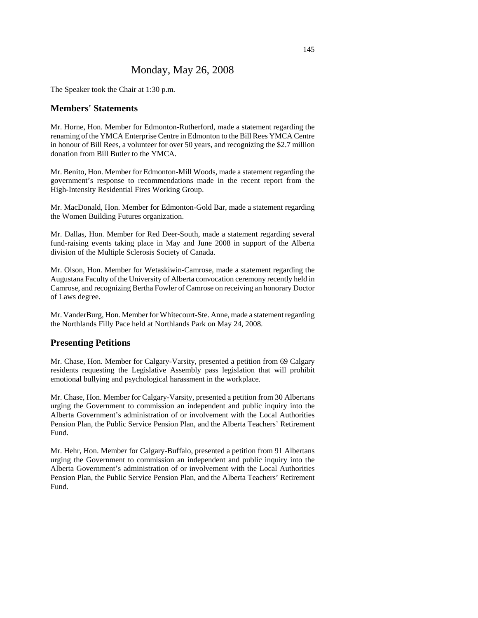# Monday, May 26, 2008

The Speaker took the Chair at 1:30 p.m.

# **Members' Statements**

Mr. Horne, Hon. Member for Edmonton-Rutherford, made a statement regarding the renaming of the YMCA Enterprise Centre in Edmonton to the Bill Rees YMCA Centre in honour of Bill Rees, a volunteer for over 50 years, and recognizing the \$2.7 million donation from Bill Butler to the YMCA.

Mr. Benito, Hon. Member for Edmonton-Mill Woods, made a statement regarding the government's response to recommendations made in the recent report from the High-Intensity Residential Fires Working Group.

Mr. MacDonald, Hon. Member for Edmonton-Gold Bar, made a statement regarding the Women Building Futures organization.

Mr. Dallas, Hon. Member for Red Deer-South, made a statement regarding several fund-raising events taking place in May and June 2008 in support of the Alberta division of the Multiple Sclerosis Society of Canada.

Mr. Olson, Hon. Member for Wetaskiwin-Camrose, made a statement regarding the Augustana Faculty of the University of Alberta convocation ceremony recently held in Camrose, and recognizing Bertha Fowler of Camrose on receiving an honorary Doctor of Laws degree.

Mr. VanderBurg, Hon. Member for Whitecourt-Ste. Anne, made a statement regarding the Northlands Filly Pace held at Northlands Park on May 24, 2008.

### **Presenting Petitions**

Mr. Chase, Hon. Member for Calgary-Varsity, presented a petition from 69 Calgary residents requesting the Legislative Assembly pass legislation that will prohibit emotional bullying and psychological harassment in the workplace.

Mr. Chase, Hon. Member for Calgary-Varsity, presented a petition from 30 Albertans urging the Government to commission an independent and public inquiry into the Alberta Government's administration of or involvement with the Local Authorities Pension Plan, the Public Service Pension Plan, and the Alberta Teachers' Retirement Fund.

Mr. Hehr, Hon. Member for Calgary-Buffalo, presented a petition from 91 Albertans urging the Government to commission an independent and public inquiry into the Alberta Government's administration of or involvement with the Local Authorities Pension Plan, the Public Service Pension Plan, and the Alberta Teachers' Retirement Fund.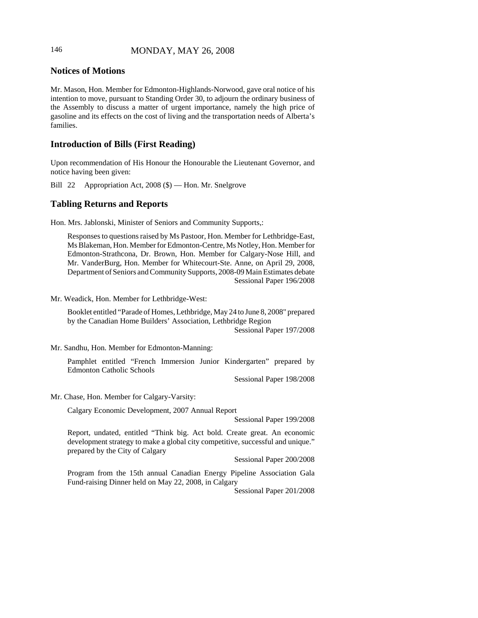# 146 MONDAY, MAY 26, 2008

# **Notices of Motions**

Mr. Mason, Hon. Member for Edmonton-Highlands-Norwood, gave oral notice of his intention to move, pursuant to Standing Order 30, to adjourn the ordinary business of the Assembly to discuss a matter of urgent importance, namely the high price of gasoline and its effects on the cost of living and the transportation needs of Alberta's families.

# **Introduction of Bills (First Reading)**

Upon recommendation of His Honour the Honourable the Lieutenant Governor, and notice having been given:

Bill 22 Appropriation Act, 2008 (\$) — Hon. Mr. Snelgrove

# **Tabling Returns and Reports**

Hon. Mrs. Jablonski, Minister of Seniors and Community Supports,:

Responses to questions raised by Ms Pastoor, Hon. Member for Lethbridge-East, Ms Blakeman, Hon. Member for Edmonton-Centre, Ms Notley, Hon. Member for Edmonton-Strathcona, Dr. Brown, Hon. Member for Calgary-Nose Hill, and Mr. VanderBurg, Hon. Member for Whitecourt-Ste. Anne, on April 29, 2008, Department of Seniors and Community Supports, 2008-09 Main Estimates debate Sessional Paper 196/2008

Mr. Weadick, Hon. Member for Lethbridge-West:

Booklet entitled "Parade of Homes, Lethbridge, May 24 to June 8, 2008" prepared by the Canadian Home Builders' Association, Lethbridge Region Sessional Paper 197/2008

Mr. Sandhu, Hon. Member for Edmonton-Manning:

Pamphlet entitled "French Immersion Junior Kindergarten" prepared by Edmonton Catholic Schools

Sessional Paper 198/2008

Mr. Chase, Hon. Member for Calgary-Varsity:

Calgary Economic Development, 2007 Annual Report

Sessional Paper 199/2008

Report, undated, entitled "Think big. Act bold. Create great. An economic development strategy to make a global city competitive, successful and unique." prepared by the City of Calgary

Sessional Paper 200/2008

Program from the 15th annual Canadian Energy Pipeline Association Gala Fund-raising Dinner held on May 22, 2008, in Calgary

Sessional Paper 201/2008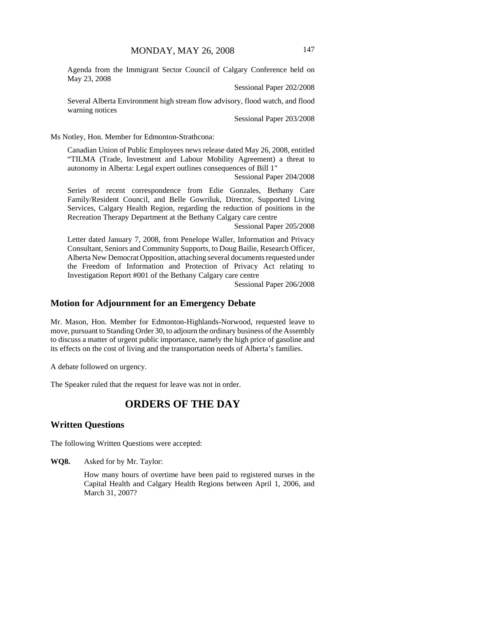Agenda from the Immigrant Sector Council of Calgary Conference held on May 23, 2008

Sessional Paper 202/2008

Several Alberta Environment high stream flow advisory, flood watch, and flood warning notices

Sessional Paper 203/2008

Ms Notley, Hon. Member for Edmonton-Strathcona:

Canadian Union of Public Employees news release dated May 26, 2008, entitled "TILMA (Trade, Investment and Labour Mobility Agreement) a threat to autonomy in Alberta: Legal expert outlines consequences of Bill 1"

Sessional Paper 204/2008

Series of recent correspondence from Edie Gonzales, Bethany Care Family/Resident Council, and Belle Gowriluk, Director, Supported Living Services, Calgary Health Region, regarding the reduction of positions in the Recreation Therapy Department at the Bethany Calgary care centre

Sessional Paper 205/2008

Letter dated January 7, 2008, from Penelope Waller, Information and Privacy Consultant, Seniors and Community Supports, to Doug Bailie, Research Officer, Alberta New Democrat Opposition, attaching several documents requested under the Freedom of Information and Protection of Privacy Act relating to Investigation Report #001 of the Bethany Calgary care centre

Sessional Paper 206/2008

### **Motion for Adjournment for an Emergency Debate**

Mr. Mason, Hon. Member for Edmonton-Highlands-Norwood, requested leave to move, pursuant to Standing Order 30, to adjourn the ordinary business of the Assembly to discuss a matter of urgent public importance, namely the high price of gasoline and its effects on the cost of living and the transportation needs of Alberta's families.

A debate followed on urgency.

The Speaker ruled that the request for leave was not in order.

# **ORDERS OF THE DAY**

### **Written Questions**

The following Written Questions were accepted:

**WQ8.** Asked for by Mr. Taylor:

How many hours of overtime have been paid to registered nurses in the Capital Health and Calgary Health Regions between April 1, 2006, and March 31, 2007?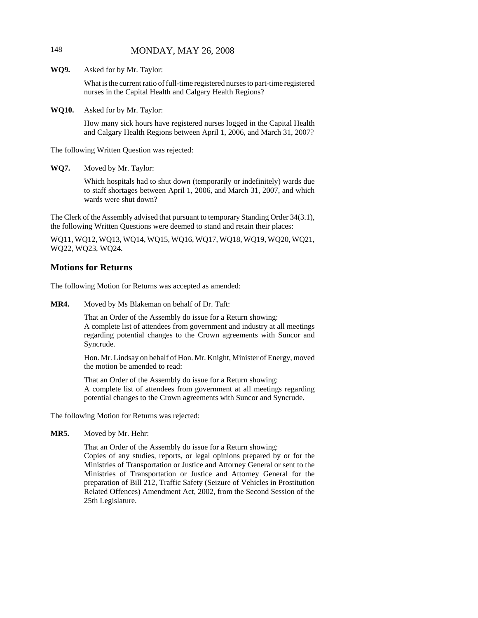# 148 MONDAY, MAY 26, 2008

**WQ9.** Asked for by Mr. Taylor:

What is the current ratio of full-time registered nurses to part-time registered nurses in the Capital Health and Calgary Health Regions?

**WQ10.** Asked for by Mr. Taylor:

How many sick hours have registered nurses logged in the Capital Health and Calgary Health Regions between April 1, 2006, and March 31, 2007?

The following Written Question was rejected:

**WQ7.** Moved by Mr. Taylor:

Which hospitals had to shut down (temporarily or indefinitely) wards due to staff shortages between April 1, 2006, and March 31, 2007, and which wards were shut down?

The Clerk of the Assembly advised that pursuant to temporary Standing Order 34(3.1), the following Written Questions were deemed to stand and retain their places:

WQ11, WQ12, WQ13, WQ14, WQ15, WQ16, WQ17, WQ18, WQ19, WQ20, WQ21, WQ22, WQ23, WQ24.

### **Motions for Returns**

The following Motion for Returns was accepted as amended:

**MR4.** Moved by Ms Blakeman on behalf of Dr. Taft:

That an Order of the Assembly do issue for a Return showing: A complete list of attendees from government and industry at all meetings regarding potential changes to the Crown agreements with Suncor and Syncrude.

Hon. Mr. Lindsay on behalf of Hon. Mr. Knight, Minister of Energy, moved the motion be amended to read:

That an Order of the Assembly do issue for a Return showing: A complete list of attendees from government at all meetings regarding potential changes to the Crown agreements with Suncor and Syncrude.

The following Motion for Returns was rejected:

**MR5.** Moved by Mr. Hehr:

That an Order of the Assembly do issue for a Return showing: Copies of any studies, reports, or legal opinions prepared by or for the Ministries of Transportation or Justice and Attorney General or sent to the Ministries of Transportation or Justice and Attorney General for the preparation of Bill 212, Traffic Safety (Seizure of Vehicles in Prostitution Related Offences) Amendment Act, 2002, from the Second Session of the 25th Legislature.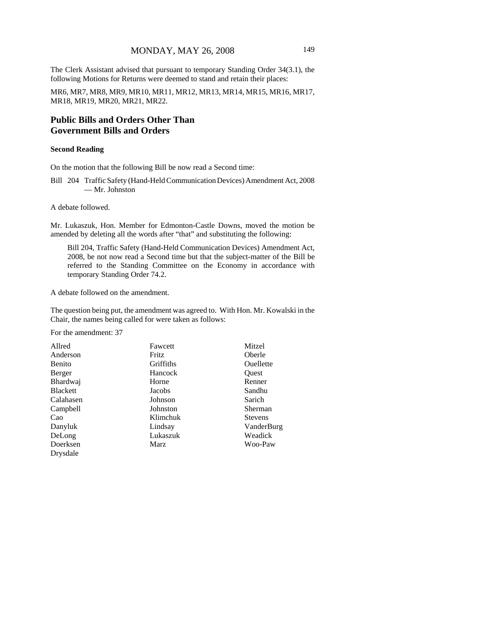The Clerk Assistant advised that pursuant to temporary Standing Order 34(3.1), the following Motions for Returns were deemed to stand and retain their places:

MR6, MR7, MR8, MR9, MR10, MR11, MR12, MR13, MR14, MR15, MR16, MR17, MR18, MR19, MR20, MR21, MR22.

# **Public Bills and Orders Other Than Government Bills and Orders**

### **Second Reading**

On the motion that the following Bill be now read a Second time:

Bill 204 Traffic Safety (Hand-Held Communication Devices) Amendment Act, 2008 — Mr. Johnston

A debate followed.

Mr. Lukaszuk, Hon. Member for Edmonton-Castle Downs, moved the motion be amended by deleting all the words after "that" and substituting the following:

Bill 204, Traffic Safety (Hand-Held Communication Devices) Amendment Act, 2008, be not now read a Second time but that the subject-matter of the Bill be referred to the Standing Committee on the Economy in accordance with temporary Standing Order 74.2.

A debate followed on the amendment.

The question being put, the amendment was agreed to. With Hon. Mr. Kowalski in the Chair, the names being called for were taken as follows:

For the amendment: 37

| Allred          | Fawcett   | Mitzel         |
|-----------------|-----------|----------------|
| Anderson        | Fritz     | Oberle         |
| <b>Benito</b>   | Griffiths | Ouellette      |
| Berger          | Hancock   | Ouest          |
| Bhardwaj        | Horne     | Renner         |
| <b>Blackett</b> | Jacobs    | Sandhu         |
| Calahasen       | Johnson   | Sarich         |
| Campbell        | Johnston  | Sherman        |
| Cao             | Klimchuk  | <b>Stevens</b> |
| Danyluk         | Lindsay   | VanderBurg     |
| DeLong          | Lukaszuk  | Weadick        |
| Doerksen        | Marz      | Woo-Paw        |
| Drysdale        |           |                |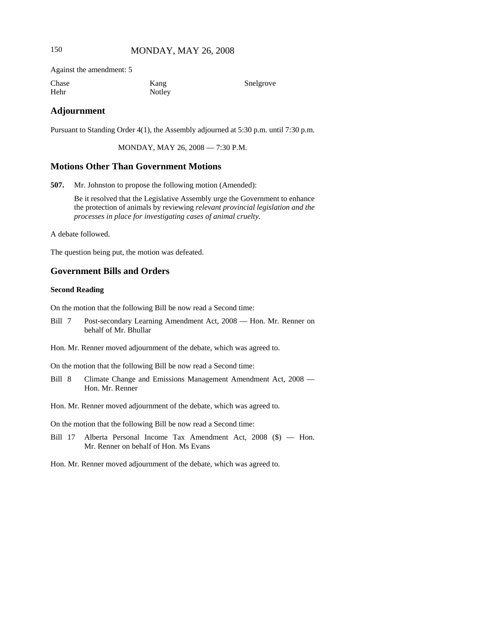# 150 MONDAY, MAY 26, 2008

Against the amendment: 5

| Chase | Kang   | Snelgrove |
|-------|--------|-----------|
| Hehr  | Notley |           |

### **Adjournment**

Pursuant to Standing Order 4(1), the Assembly adjourned at 5:30 p.m. until 7:30 p.m.

MONDAY, MAY 26, 2008 — 7:30 P.M.

# **Motions Other Than Government Motions**

**507.** Mr. Johnston to propose the following motion (Amended):

Be it resolved that the Legislative Assembly urge the Government to enhance the protection of animals by reviewing *relevant provincial legislation and the processes in place for investigating cases of animal cruelty*.

A debate followed.

The question being put, the motion was defeated.

# **Government Bills and Orders**

### **Second Reading**

On the motion that the following Bill be now read a Second time:

Bill 7 Post-secondary Learning Amendment Act, 2008 — Hon. Mr. Renner on behalf of Mr. Bhullar

Hon. Mr. Renner moved adjournment of the debate, which was agreed to.

On the motion that the following Bill be now read a Second time:

Bill 8 Climate Change and Emissions Management Amendment Act, 2008 — Hon. Mr. Renner

Hon. Mr. Renner moved adjournment of the debate, which was agreed to.

On the motion that the following Bill be now read a Second time:

Bill 17 Alberta Personal Income Tax Amendment Act, 2008 (\$) — Hon. Mr. Renner on behalf of Hon. Ms Evans

Hon. Mr. Renner moved adjournment of the debate, which was agreed to.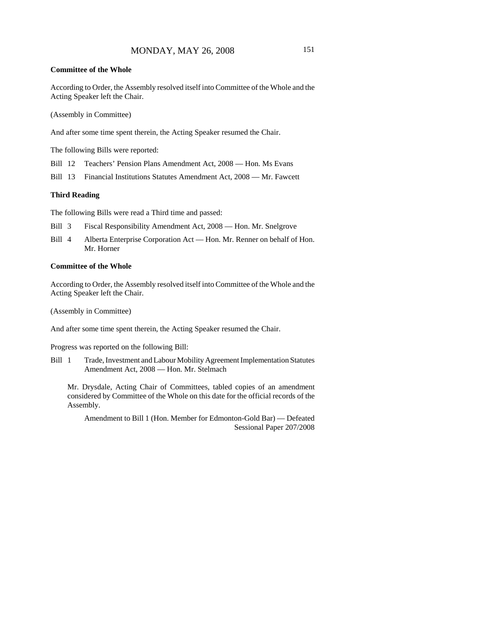### **Committee of the Whole**

According to Order, the Assembly resolved itself into Committee of the Whole and the Acting Speaker left the Chair.

(Assembly in Committee)

And after some time spent therein, the Acting Speaker resumed the Chair.

The following Bills were reported:

Bill 12 Teachers' Pension Plans Amendment Act, 2008 — Hon. Ms Evans

Bill 13 Financial Institutions Statutes Amendment Act, 2008 — Mr. Fawcett

#### **Third Reading**

The following Bills were read a Third time and passed:

- Bill 3 Fiscal Responsibility Amendment Act, 2008 Hon. Mr. Snelgrove
- Bill 4 Alberta Enterprise Corporation Act Hon. Mr. Renner on behalf of Hon. Mr. Horner

#### **Committee of the Whole**

According to Order, the Assembly resolved itself into Committee of the Whole and the Acting Speaker left the Chair.

(Assembly in Committee)

And after some time spent therein, the Acting Speaker resumed the Chair.

Progress was reported on the following Bill:

Bill 1 Trade, Investment and Labour Mobility Agreement Implementation Statutes Amendment Act, 2008 — Hon. Mr. Stelmach

Mr. Drysdale, Acting Chair of Committees, tabled copies of an amendment considered by Committee of the Whole on this date for the official records of the Assembly.

Amendment to Bill 1 (Hon. Member for Edmonton-Gold Bar) — Defeated Sessional Paper 207/2008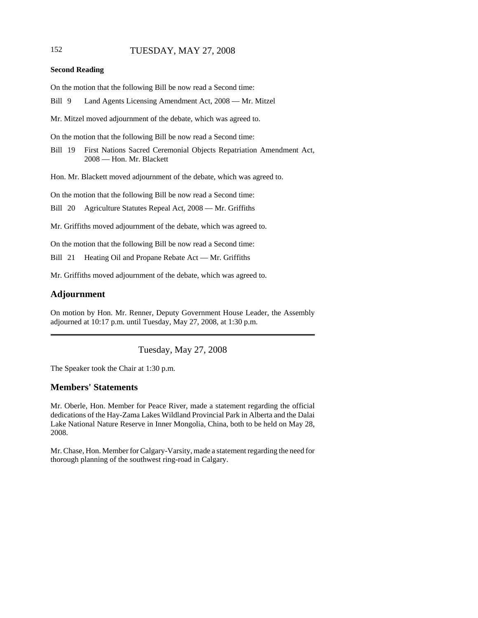## 152 TUESDAY, MAY 27, 2008

#### **Second Reading**

On the motion that the following Bill be now read a Second time:

Bill 9 Land Agents Licensing Amendment Act, 2008 — Mr. Mitzel

Mr. Mitzel moved adjournment of the debate, which was agreed to.

On the motion that the following Bill be now read a Second time:

Bill 19 First Nations Sacred Ceremonial Objects Repatriation Amendment Act, 2008 — Hon. Mr. Blackett

Hon. Mr. Blackett moved adjournment of the debate, which was agreed to.

On the motion that the following Bill be now read a Second time:

Bill 20 Agriculture Statutes Repeal Act, 2008 — Mr. Griffiths

Mr. Griffiths moved adjournment of the debate, which was agreed to.

On the motion that the following Bill be now read a Second time:

Bill 21 Heating Oil and Propane Rebate Act — Mr. Griffiths

Mr. Griffiths moved adjournment of the debate, which was agreed to.

### **Adjournment**

On motion by Hon. Mr. Renner, Deputy Government House Leader, the Assembly adjourned at 10:17 p.m. until Tuesday, May 27, 2008, at 1:30 p.m.

Tuesday, May 27, 2008

The Speaker took the Chair at 1:30 p.m.

### **Members' Statements**

Mr. Oberle, Hon. Member for Peace River, made a statement regarding the official dedications of the Hay-Zama Lakes Wildland Provincial Park in Alberta and the Dalai Lake National Nature Reserve in Inner Mongolia, China, both to be held on May 28, 2008.

Mr. Chase, Hon. Member for Calgary-Varsity, made a statement regarding the need for thorough planning of the southwest ring-road in Calgary.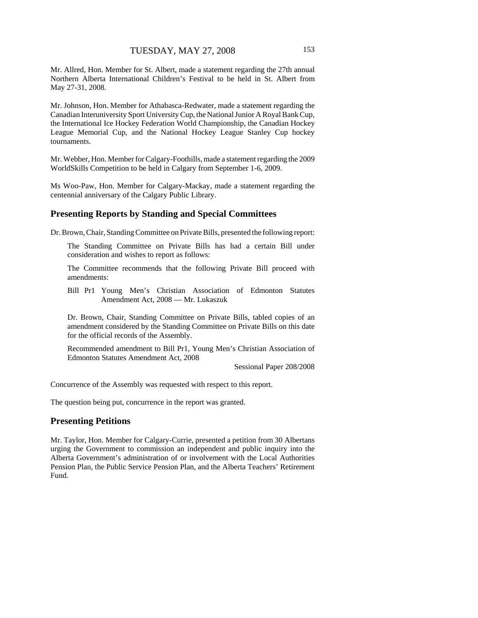Mr. Allred, Hon. Member for St. Albert, made a statement regarding the 27th annual Northern Alberta International Children's Festival to be held in St. Albert from May 27-31, 2008.

Mr. Johnson, Hon. Member for Athabasca-Redwater, made a statement regarding the Canadian Interuniversity Sport University Cup, the National Junior A Royal Bank Cup, the International Ice Hockey Federation World Championship, the Canadian Hockey League Memorial Cup, and the National Hockey League Stanley Cup hockey tournaments.

Mr. Webber, Hon. Member for Calgary-Foothills, made a statement regarding the 2009 WorldSkills Competition to be held in Calgary from September 1-6, 2009.

Ms Woo-Paw, Hon. Member for Calgary-Mackay, made a statement regarding the centennial anniversary of the Calgary Public Library.

## **Presenting Reports by Standing and Special Committees**

Dr. Brown, Chair, Standing Committee on Private Bills, presented the following report:

The Standing Committee on Private Bills has had a certain Bill under consideration and wishes to report as follows:

The Committee recommends that the following Private Bill proceed with amendments:

Bill Pr1 Young Men's Christian Association of Edmonton Statutes Amendment Act, 2008 — Mr. Lukaszuk

Dr. Brown, Chair, Standing Committee on Private Bills, tabled copies of an amendment considered by the Standing Committee on Private Bills on this date for the official records of the Assembly.

Recommended amendment to Bill Pr1, Young Men's Christian Association of Edmonton Statutes Amendment Act, 2008

Sessional Paper 208/2008

Concurrence of the Assembly was requested with respect to this report.

The question being put, concurrence in the report was granted.

### **Presenting Petitions**

Mr. Taylor, Hon. Member for Calgary-Currie, presented a petition from 30 Albertans urging the Government to commission an independent and public inquiry into the Alberta Government's administration of or involvement with the Local Authorities Pension Plan, the Public Service Pension Plan, and the Alberta Teachers' Retirement Fund.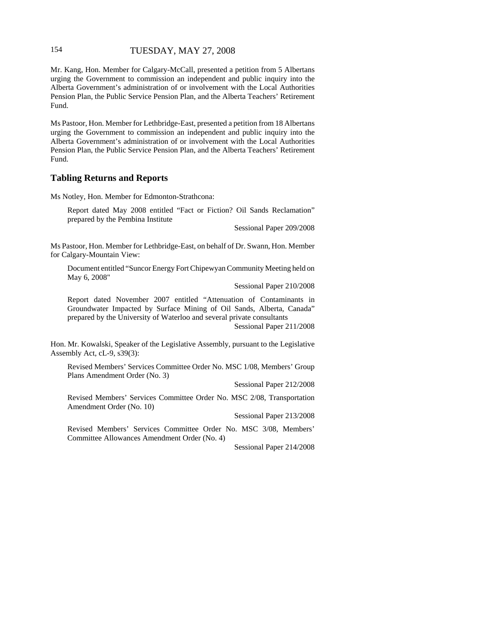### 154 TUESDAY, MAY 27, 2008

Mr. Kang, Hon. Member for Calgary-McCall, presented a petition from 5 Albertans urging the Government to commission an independent and public inquiry into the Alberta Government's administration of or involvement with the Local Authorities Pension Plan, the Public Service Pension Plan, and the Alberta Teachers' Retirement Fund.

Ms Pastoor, Hon. Member for Lethbridge-East, presented a petition from 18 Albertans urging the Government to commission an independent and public inquiry into the Alberta Government's administration of or involvement with the Local Authorities Pension Plan, the Public Service Pension Plan, and the Alberta Teachers' Retirement Fund.

### **Tabling Returns and Reports**

Ms Notley, Hon. Member for Edmonton-Strathcona:

Report dated May 2008 entitled "Fact or Fiction? Oil Sands Reclamation" prepared by the Pembina Institute

Sessional Paper 209/2008

Ms Pastoor, Hon. Member for Lethbridge-East, on behalf of Dr. Swann, Hon. Member for Calgary-Mountain View:

Document entitled "Suncor Energy Fort Chipewyan Community Meeting held on May 6, 2008"

Sessional Paper 210/2008

Report dated November 2007 entitled "Attenuation of Contaminants in Groundwater Impacted by Surface Mining of Oil Sands, Alberta, Canada" prepared by the University of Waterloo and several private consultants

Sessional Paper 211/2008

Hon. Mr. Kowalski, Speaker of the Legislative Assembly, pursuant to the Legislative Assembly Act, cL-9, s39(3):

Revised Members' Services Committee Order No. MSC 1/08, Members' Group Plans Amendment Order (No. 3)

Sessional Paper 212/2008

Revised Members' Services Committee Order No. MSC 2/08, Transportation Amendment Order (No. 10)

Sessional Paper 213/2008

Revised Members' Services Committee Order No. MSC 3/08, Members' Committee Allowances Amendment Order (No. 4)

Sessional Paper 214/2008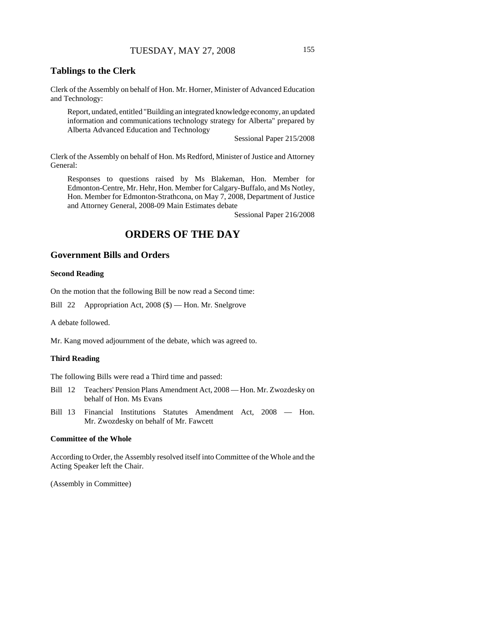## **Tablings to the Clerk**

Clerk of the Assembly on behalf of Hon. Mr. Horner, Minister of Advanced Education and Technology:

Report, undated, entitled "Building an integrated knowledge economy, an updated information and communications technology strategy for Alberta" prepared by Alberta Advanced Education and Technology

Sessional Paper 215/2008

Clerk of the Assembly on behalf of Hon. Ms Redford, Minister of Justice and Attorney General:

Responses to questions raised by Ms Blakeman, Hon. Member for Edmonton-Centre, Mr. Hehr, Hon. Member for Calgary-Buffalo, and Ms Notley, Hon. Member for Edmonton-Strathcona, on May 7, 2008, Department of Justice and Attorney General, 2008-09 Main Estimates debate

Sessional Paper 216/2008

# **ORDERS OF THE DAY**

# **Government Bills and Orders**

#### **Second Reading**

On the motion that the following Bill be now read a Second time:

Bill 22 Appropriation Act, 2008 (\$) — Hon. Mr. Snelgrove

A debate followed.

Mr. Kang moved adjournment of the debate, which was agreed to.

#### **Third Reading**

The following Bills were read a Third time and passed:

- Bill 12 Teachers' Pension Plans Amendment Act, 2008 Hon. Mr. Zwozdesky on behalf of Hon. Ms Evans
- Bill 13 Financial Institutions Statutes Amendment Act, 2008 Hon. Mr. Zwozdesky on behalf of Mr. Fawcett

### **Committee of the Whole**

According to Order, the Assembly resolved itself into Committee of the Whole and the Acting Speaker left the Chair.

(Assembly in Committee)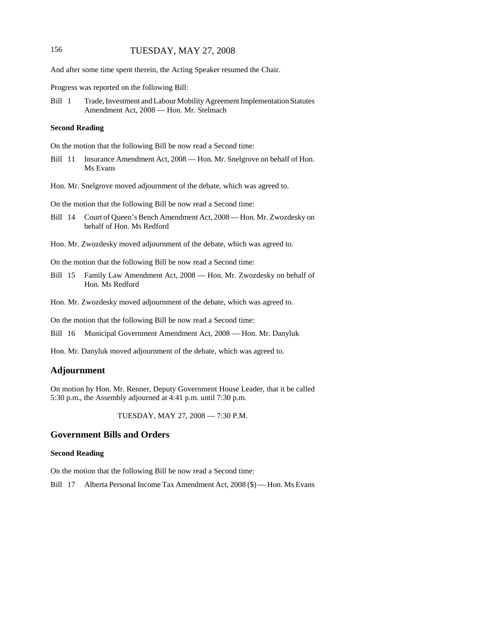### 156 TUESDAY, MAY 27, 2008

And after some time spent therein, the Acting Speaker resumed the Chair.

Progress was reported on the following Bill:

Bill 1 Trade, Investment and Labour Mobility Agreement Implementation Statutes Amendment Act, 2008 — Hon. Mr. Stelmach

#### **Second Reading**

On the motion that the following Bill be now read a Second time:

Bill 11 Insurance Amendment Act, 2008 — Hon. Mr. Snelgrove on behalf of Hon. Ms Evans

Hon. Mr. Snelgrove moved adjournment of the debate, which was agreed to.

On the motion that the following Bill be now read a Second time:

- Bill 14 Court of Queen's Bench Amendment Act, 2008 Hon. Mr. Zwozdesky on behalf of Hon. Ms Redford
- Hon. Mr. Zwozdesky moved adjournment of the debate, which was agreed to.

On the motion that the following Bill be now read a Second time:

Bill 15 Family Law Amendment Act, 2008 — Hon. Mr. Zwozdesky on behalf of Hon. Ms Redford

Hon. Mr. Zwozdesky moved adjournment of the debate, which was agreed to.

On the motion that the following Bill be now read a Second time:

Bill 16 Municipal Government Amendment Act, 2008 — Hon. Mr. Danyluk

Hon. Mr. Danyluk moved adjournment of the debate, which was agreed to.

### **Adjournment**

On motion by Hon. Mr. Renner, Deputy Government House Leader, that it be called 5:30 p.m., the Assembly adjourned at 4:41 p.m. until 7:30 p.m.

TUESDAY, MAY 27, 2008 — 7:30 P.M.

# **Government Bills and Orders**

#### **Second Reading**

On the motion that the following Bill be now read a Second time:

Bill 17 Alberta Personal Income Tax Amendment Act, 2008 (\$) — Hon. Ms Evans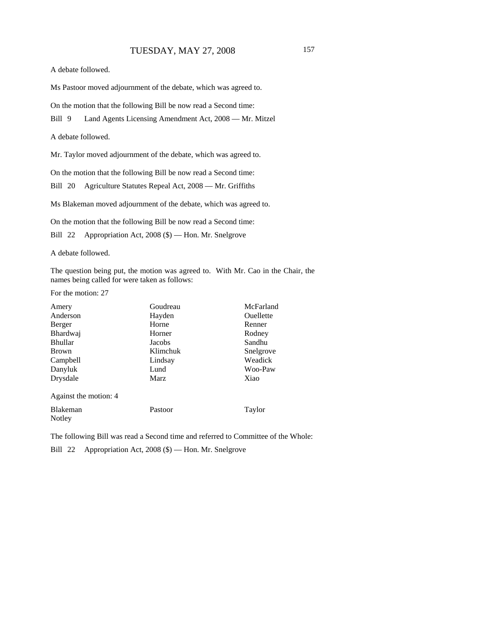A debate followed.

Ms Pastoor moved adjournment of the debate, which was agreed to.

On the motion that the following Bill be now read a Second time:

Bill 9 Land Agents Licensing Amendment Act, 2008 — Mr. Mitzel

A debate followed.

Mr. Taylor moved adjournment of the debate, which was agreed to.

On the motion that the following Bill be now read a Second time:

Bill 20 Agriculture Statutes Repeal Act, 2008 — Mr. Griffiths

Ms Blakeman moved adjournment of the debate, which was agreed to.

On the motion that the following Bill be now read a Second time:

Bill 22 Appropriation Act, 2008 (\$) — Hon. Mr. Snelgrove

A debate followed.

The question being put, the motion was agreed to. With Mr. Cao in the Chair, the names being called for were taken as follows:

For the motion: 27

| Amery                 | Goudreau | McFarland        |
|-----------------------|----------|------------------|
| Anderson              | Hayden   | <b>Ouellette</b> |
| Berger                | Horne    | Renner           |
| <b>Bhardwaj</b>       | Horner   | Rodney           |
| <b>Bhullar</b>        | Jacobs   | Sandhu           |
| <b>Brown</b>          | Klimchuk | Snelgrove        |
| Campbell              | Lindsay  | Weadick          |
| Danyluk               | Lund     | Woo-Paw          |
| Drysdale              | Marz     | Xiao             |
| Against the motion: 4 |          |                  |
| Blakeman              | Pastoor  | Taylor           |
| Notley                |          |                  |

The following Bill was read a Second time and referred to Committee of the Whole:

Bill 22 Appropriation Act, 2008 (\$) — Hon. Mr. Snelgrove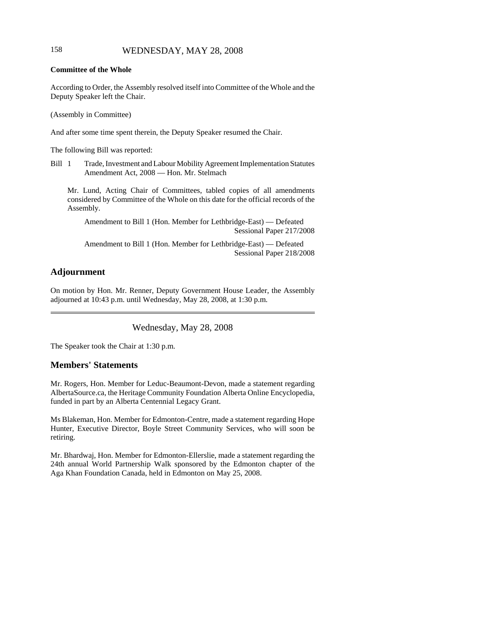# 158 WEDNESDAY, MAY 28, 2008

#### **Committee of the Whole**

According to Order, the Assembly resolved itself into Committee of the Whole and the Deputy Speaker left the Chair.

(Assembly in Committee)

And after some time spent therein, the Deputy Speaker resumed the Chair.

The following Bill was reported:

Bill 1 Trade, Investment and Labour Mobility Agreement Implementation Statutes Amendment Act, 2008 — Hon. Mr. Stelmach

Mr. Lund, Acting Chair of Committees, tabled copies of all amendments considered by Committee of the Whole on this date for the official records of the Assembly.

Amendment to Bill 1 (Hon. Member for Lethbridge-East) — Defeated Sessional Paper 217/2008

Amendment to Bill 1 (Hon. Member for Lethbridge-East) — Defeated Sessional Paper 218/2008

# **Adjournment**

On motion by Hon. Mr. Renner, Deputy Government House Leader, the Assembly adjourned at 10:43 p.m. until Wednesday, May 28, 2008, at 1:30 p.m.

Wednesday, May 28, 2008

The Speaker took the Chair at 1:30 p.m.

## **Members' Statements**

Mr. Rogers, Hon. Member for Leduc-Beaumont-Devon, made a statement regarding AlbertaSource.ca, the Heritage Community Foundation Alberta Online Encyclopedia, funded in part by an Alberta Centennial Legacy Grant.

Ms Blakeman, Hon. Member for Edmonton-Centre, made a statement regarding Hope Hunter, Executive Director, Boyle Street Community Services, who will soon be retiring.

Mr. Bhardwaj, Hon. Member for Edmonton-Ellerslie, made a statement regarding the 24th annual World Partnership Walk sponsored by the Edmonton chapter of the Aga Khan Foundation Canada, held in Edmonton on May 25, 2008.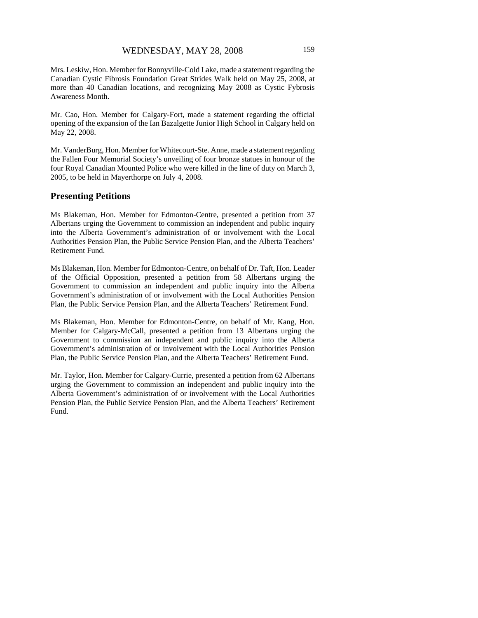Mrs. Leskiw, Hon. Member for Bonnyville-Cold Lake, made a statement regarding the Canadian Cystic Fibrosis Foundation Great Strides Walk held on May 25, 2008, at more than 40 Canadian locations, and recognizing May 2008 as Cystic Fybrosis Awareness Month.

Mr. Cao, Hon. Member for Calgary-Fort, made a statement regarding the official opening of the expansion of the Ian Bazalgette Junior High School in Calgary held on May 22, 2008.

Mr. VanderBurg, Hon. Member for Whitecourt-Ste. Anne, made a statement regarding the Fallen Four Memorial Society's unveiling of four bronze statues in honour of the four Royal Canadian Mounted Police who were killed in the line of duty on March 3, 2005, to be held in Mayerthorpe on July 4, 2008.

### **Presenting Petitions**

Ms Blakeman, Hon. Member for Edmonton-Centre, presented a petition from 37 Albertans urging the Government to commission an independent and public inquiry into the Alberta Government's administration of or involvement with the Local Authorities Pension Plan, the Public Service Pension Plan, and the Alberta Teachers' Retirement Fund.

Ms Blakeman, Hon. Member for Edmonton-Centre, on behalf of Dr. Taft, Hon. Leader of the Official Opposition, presented a petition from 58 Albertans urging the Government to commission an independent and public inquiry into the Alberta Government's administration of or involvement with the Local Authorities Pension Plan, the Public Service Pension Plan, and the Alberta Teachers' Retirement Fund.

Ms Blakeman, Hon. Member for Edmonton-Centre, on behalf of Mr. Kang, Hon. Member for Calgary-McCall, presented a petition from 13 Albertans urging the Government to commission an independent and public inquiry into the Alberta Government's administration of or involvement with the Local Authorities Pension Plan, the Public Service Pension Plan, and the Alberta Teachers' Retirement Fund.

Mr. Taylor, Hon. Member for Calgary-Currie, presented a petition from 62 Albertans urging the Government to commission an independent and public inquiry into the Alberta Government's administration of or involvement with the Local Authorities Pension Plan, the Public Service Pension Plan, and the Alberta Teachers' Retirement Fund.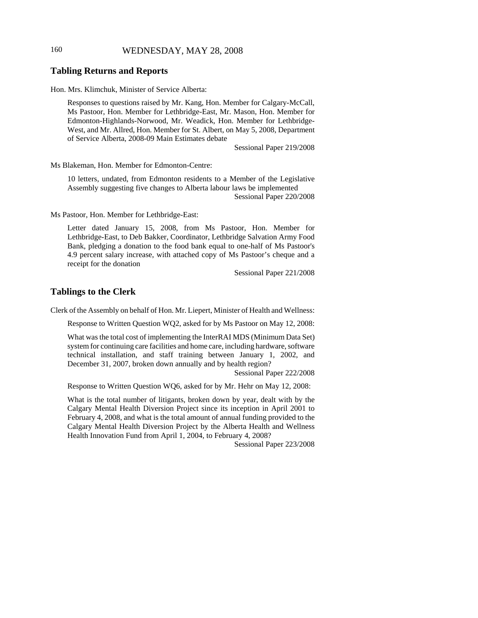# 160 WEDNESDAY, MAY 28, 2008

#### **Tabling Returns and Reports**

Hon. Mrs. Klimchuk, Minister of Service Alberta:

Responses to questions raised by Mr. Kang, Hon. Member for Calgary-McCall, Ms Pastoor, Hon. Member for Lethbridge-East, Mr. Mason, Hon. Member for Edmonton-Highlands-Norwood, Mr. Weadick, Hon. Member for Lethbridge-West, and Mr. Allred, Hon. Member for St. Albert, on May 5, 2008, Department of Service Alberta, 2008-09 Main Estimates debate

Sessional Paper 219/2008

Ms Blakeman, Hon. Member for Edmonton-Centre:

10 letters, undated, from Edmonton residents to a Member of the Legislative Assembly suggesting five changes to Alberta labour laws be implemented Sessional Paper 220/2008

Ms Pastoor, Hon. Member for Lethbridge-East:

Letter dated January 15, 2008, from Ms Pastoor, Hon. Member for Lethbridge-East, to Deb Bakker, Coordinator, Lethbridge Salvation Army Food Bank, pledging a donation to the food bank equal to one-half of Ms Pastoor's 4.9 percent salary increase, with attached copy of Ms Pastoor's cheque and a receipt for the donation

Sessional Paper 221/2008

## **Tablings to the Clerk**

Clerk of the Assembly on behalf of Hon. Mr. Liepert, Minister of Health and Wellness:

Response to Written Question WQ2, asked for by Ms Pastoor on May 12, 2008:

What was the total cost of implementing the InterRAI MDS (Minimum Data Set) system for continuing care facilities and home care, including hardware, software technical installation, and staff training between January 1, 2002, and December 31, 2007, broken down annually and by health region?

Sessional Paper 222/2008

Response to Written Question WQ6, asked for by Mr. Hehr on May 12, 2008:

What is the total number of litigants, broken down by year, dealt with by the Calgary Mental Health Diversion Project since its inception in April 2001 to February 4, 2008, and what is the total amount of annual funding provided to the Calgary Mental Health Diversion Project by the Alberta Health and Wellness Health Innovation Fund from April 1, 2004, to February 4, 2008?

Sessional Paper 223/2008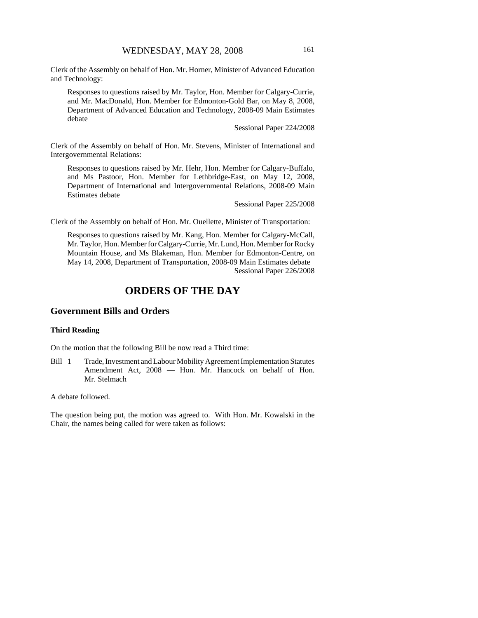Clerk of the Assembly on behalf of Hon. Mr. Horner, Minister of Advanced Education and Technology:

Responses to questions raised by Mr. Taylor, Hon. Member for Calgary-Currie, and Mr. MacDonald, Hon. Member for Edmonton-Gold Bar, on May 8, 2008, Department of Advanced Education and Technology, 2008-09 Main Estimates debate

Sessional Paper 224/2008

Clerk of the Assembly on behalf of Hon. Mr. Stevens, Minister of International and Intergovernmental Relations:

Responses to questions raised by Mr. Hehr, Hon. Member for Calgary-Buffalo, and Ms Pastoor, Hon. Member for Lethbridge-East, on May 12, 2008, Department of International and Intergovernmental Relations, 2008-09 Main Estimates debate

Sessional Paper 225/2008

Clerk of the Assembly on behalf of Hon. Mr. Ouellette, Minister of Transportation:

Responses to questions raised by Mr. Kang, Hon. Member for Calgary-McCall, Mr. Taylor, Hon. Member for Calgary-Currie, Mr. Lund, Hon. Member for Rocky Mountain House, and Ms Blakeman, Hon. Member for Edmonton-Centre, on May 14, 2008, Department of Transportation, 2008-09 Main Estimates debate Sessional Paper 226/2008

# **ORDERS OF THE DAY**

### **Government Bills and Orders**

#### **Third Reading**

On the motion that the following Bill be now read a Third time:

Bill 1 Trade, Investment and Labour Mobility Agreement Implementation Statutes Amendment Act, 2008 — Hon. Mr. Hancock on behalf of Hon. Mr. Stelmach

#### A debate followed.

The question being put, the motion was agreed to. With Hon. Mr. Kowalski in the Chair, the names being called for were taken as follows: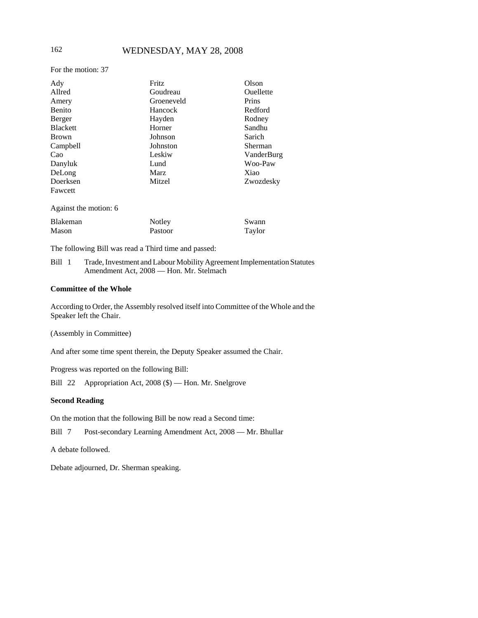## 162 WEDNESDAY, MAY 28, 2008

For the motion: 37

| Ady                   | Fritz      | Olson            |
|-----------------------|------------|------------------|
| Allred                | Goudreau   | <b>Ouellette</b> |
| Amery                 | Groeneveld | Prins            |
| Benito                | Hancock    | Redford          |
| Berger                | Hayden     | Rodney           |
| <b>Blackett</b>       | Horner     | Sandhu           |
| <b>Brown</b>          | Johnson    | Sarich           |
| Campbell              | Johnston   | Sherman          |
| Cao                   | Leskiw     | VanderBurg       |
| Danyluk               | Lund       | Woo-Paw          |
| DeLong                | Marz       | Xiao             |
| Doerksen              | Mitzel     | Zwozdesky        |
| Fawcett               |            |                  |
| Against the motion: 6 |            |                  |
| Blakeman              | Notley     | Swann            |
| Mason                 | Pastoor    | Taylor           |

The following Bill was read a Third time and passed:

Bill 1 Trade, Investment and Labour Mobility Agreement Implementation Statutes Amendment Act, 2008 — Hon. Mr. Stelmach

#### **Committee of the Whole**

According to Order, the Assembly resolved itself into Committee of the Whole and the Speaker left the Chair.

(Assembly in Committee)

And after some time spent therein, the Deputy Speaker assumed the Chair.

Progress was reported on the following Bill:

Bill 22 Appropriation Act, 2008 (\$) — Hon. Mr. Snelgrove

### **Second Reading**

On the motion that the following Bill be now read a Second time:

Bill 7 Post-secondary Learning Amendment Act, 2008 — Mr. Bhullar

A debate followed.

Debate adjourned, Dr. Sherman speaking.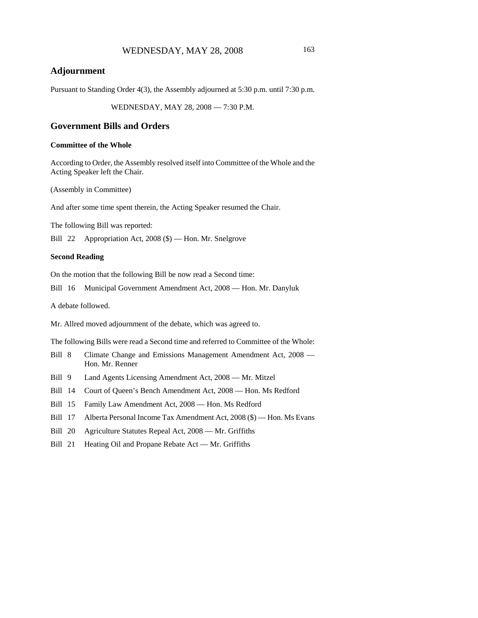# **Adjournment**

Pursuant to Standing Order 4(3), the Assembly adjourned at 5:30 p.m. until 7:30 p.m.

WEDNESDAY, MAY 28, 2008 — 7:30 P.M.

### **Government Bills and Orders**

### **Committee of the Whole**

According to Order, the Assembly resolved itself into Committee of the Whole and the Acting Speaker left the Chair.

(Assembly in Committee)

And after some time spent therein, the Acting Speaker resumed the Chair.

The following Bill was reported:

Bill 22 Appropriation Act, 2008 (\$) — Hon. Mr. Snelgrove

#### **Second Reading**

On the motion that the following Bill be now read a Second time:

Bill 16 Municipal Government Amendment Act, 2008 — Hon. Mr. Danyluk

A debate followed.

Mr. Allred moved adjournment of the debate, which was agreed to.

The following Bills were read a Second time and referred to Committee of the Whole:

- Bill 8 Climate Change and Emissions Management Amendment Act, 2008 Hon. Mr. Renner
- Bill 9 Land Agents Licensing Amendment Act, 2008 Mr. Mitzel
- Bill 14 Court of Queen's Bench Amendment Act, 2008 Hon. Ms Redford
- Bill 15 Family Law Amendment Act, 2008 Hon. Ms Redford
- Bill 17 Alberta Personal Income Tax Amendment Act, 2008 (\$) Hon. Ms Evans
- Bill 20 Agriculture Statutes Repeal Act, 2008 Mr. Griffiths
- Bill 21 Heating Oil and Propane Rebate Act Mr. Griffiths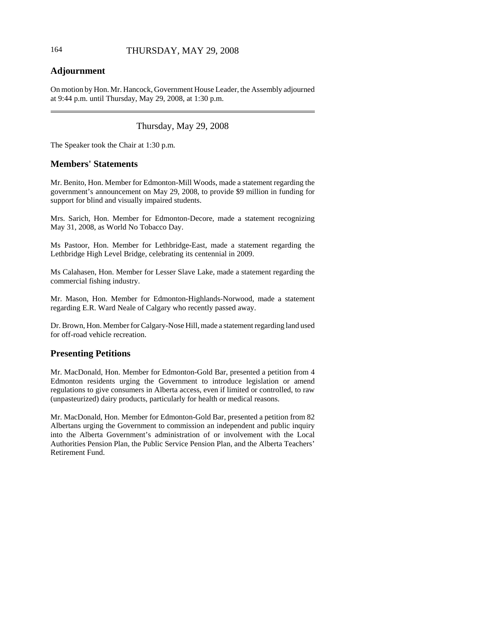# **Adjournment**

On motion by Hon. Mr. Hancock, Government House Leader, the Assembly adjourned at 9:44 p.m. until Thursday, May 29, 2008, at 1:30 p.m.

# Thursday, May 29, 2008

The Speaker took the Chair at 1:30 p.m.

# **Members' Statements**

Mr. Benito, Hon. Member for Edmonton-Mill Woods, made a statement regarding the government's announcement on May 29, 2008, to provide \$9 million in funding for support for blind and visually impaired students.

Mrs. Sarich, Hon. Member for Edmonton-Decore, made a statement recognizing May 31, 2008, as World No Tobacco Day.

Ms Pastoor, Hon. Member for Lethbridge-East, made a statement regarding the Lethbridge High Level Bridge, celebrating its centennial in 2009.

Ms Calahasen, Hon. Member for Lesser Slave Lake, made a statement regarding the commercial fishing industry.

Mr. Mason, Hon. Member for Edmonton-Highlands-Norwood, made a statement regarding E.R. Ward Neale of Calgary who recently passed away.

Dr. Brown, Hon. Member for Calgary-Nose Hill, made a statement regarding land used for off-road vehicle recreation.

# **Presenting Petitions**

Mr. MacDonald, Hon. Member for Edmonton-Gold Bar, presented a petition from 4 Edmonton residents urging the Government to introduce legislation or amend regulations to give consumers in Alberta access, even if limited or controlled, to raw (unpasteurized) dairy products, particularly for health or medical reasons.

Mr. MacDonald, Hon. Member for Edmonton-Gold Bar, presented a petition from 82 Albertans urging the Government to commission an independent and public inquiry into the Alberta Government's administration of or involvement with the Local Authorities Pension Plan, the Public Service Pension Plan, and the Alberta Teachers' Retirement Fund.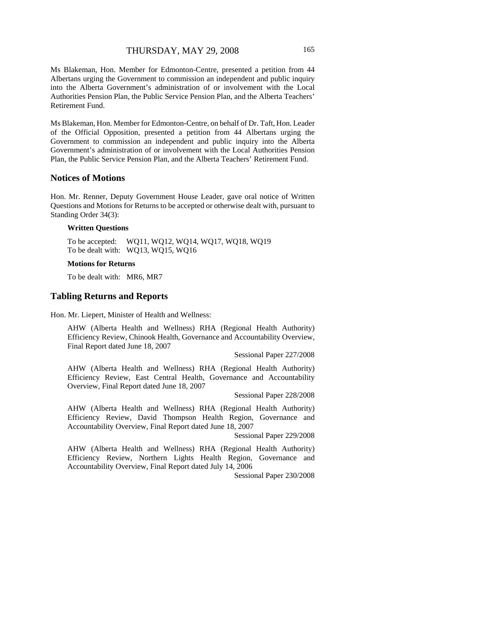Ms Blakeman, Hon. Member for Edmonton-Centre, presented a petition from 44 Albertans urging the Government to commission an independent and public inquiry into the Alberta Government's administration of or involvement with the Local Authorities Pension Plan, the Public Service Pension Plan, and the Alberta Teachers' Retirement Fund.

Ms Blakeman, Hon. Member for Edmonton-Centre, on behalf of Dr. Taft, Hon. Leader of the Official Opposition, presented a petition from 44 Albertans urging the Government to commission an independent and public inquiry into the Alberta Government's administration of or involvement with the Local Authorities Pension Plan, the Public Service Pension Plan, and the Alberta Teachers' Retirement Fund.

#### **Notices of Motions**

Hon. Mr. Renner, Deputy Government House Leader, gave oral notice of Written Questions and Motions for Returns to be accepted or otherwise dealt with, pursuant to Standing Order 34(3):

#### **Written Questions**

To be accepted: WQ11, WQ12, WQ14, WQ17, WQ18, WQ19 To be dealt with: WQ13, WQ15, WQ16

#### **Motions for Returns**

To be dealt with: MR6, MR7

#### **Tabling Returns and Reports**

Hon. Mr. Liepert, Minister of Health and Wellness:

AHW (Alberta Health and Wellness) RHA (Regional Health Authority) Efficiency Review, Chinook Health, Governance and Accountability Overview, Final Report dated June 18, 2007

Sessional Paper 227/2008

AHW (Alberta Health and Wellness) RHA (Regional Health Authority) Efficiency Review, East Central Health, Governance and Accountability Overview, Final Report dated June 18, 2007

Sessional Paper 228/2008

AHW (Alberta Health and Wellness) RHA (Regional Health Authority) Efficiency Review, David Thompson Health Region, Governance and Accountability Overview, Final Report dated June 18, 2007

Sessional Paper 229/2008

AHW (Alberta Health and Wellness) RHA (Regional Health Authority) Efficiency Review, Northern Lights Health Region, Governance and Accountability Overview, Final Report dated July 14, 2006

Sessional Paper 230/2008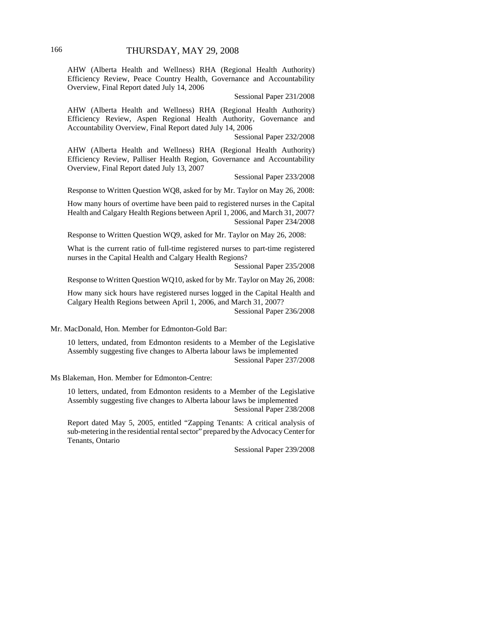AHW (Alberta Health and Wellness) RHA (Regional Health Authority) Efficiency Review, Peace Country Health, Governance and Accountability Overview, Final Report dated July 14, 2006

Sessional Paper 231/2008

AHW (Alberta Health and Wellness) RHA (Regional Health Authority) Efficiency Review, Aspen Regional Health Authority, Governance and Accountability Overview, Final Report dated July 14, 2006

Sessional Paper 232/2008

AHW (Alberta Health and Wellness) RHA (Regional Health Authority) Efficiency Review, Palliser Health Region, Governance and Accountability Overview, Final Report dated July 13, 2007

Sessional Paper 233/2008

Response to Written Question WQ8, asked for by Mr. Taylor on May 26, 2008:

How many hours of overtime have been paid to registered nurses in the Capital Health and Calgary Health Regions between April 1, 2006, and March 31, 2007? Sessional Paper 234/2008

Response to Written Question WQ9, asked for Mr. Taylor on May 26, 2008:

What is the current ratio of full-time registered nurses to part-time registered nurses in the Capital Health and Calgary Health Regions?

Sessional Paper 235/2008

Response to Written Question WQ10, asked for by Mr. Taylor on May 26, 2008:

How many sick hours have registered nurses logged in the Capital Health and Calgary Health Regions between April 1, 2006, and March 31, 2007? Sessional Paper 236/2008

Mr. MacDonald, Hon. Member for Edmonton-Gold Bar:

10 letters, undated, from Edmonton residents to a Member of the Legislative Assembly suggesting five changes to Alberta labour laws be implemented Sessional Paper 237/2008

Ms Blakeman, Hon. Member for Edmonton-Centre:

10 letters, undated, from Edmonton residents to a Member of the Legislative Assembly suggesting five changes to Alberta labour laws be implemented Sessional Paper 238/2008

Report dated May 5, 2005, entitled "Zapping Tenants: A critical analysis of sub-metering in the residential rental sector" prepared by the Advocacy Center for Tenants, Ontario

Sessional Paper 239/2008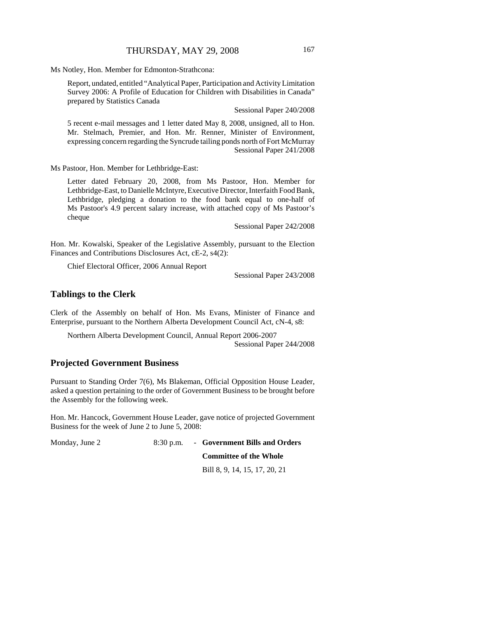Ms Notley, Hon. Member for Edmonton-Strathcona:

Report, undated, entitled "Analytical Paper, Participation and Activity Limitation Survey 2006: A Profile of Education for Children with Disabilities in Canada" prepared by Statistics Canada

Sessional Paper 240/2008

5 recent e-mail messages and 1 letter dated May 8, 2008, unsigned, all to Hon. Mr. Stelmach, Premier, and Hon. Mr. Renner, Minister of Environment, expressing concern regarding the Syncrude tailing ponds north of Fort McMurray Sessional Paper 241/2008

Ms Pastoor, Hon. Member for Lethbridge-East:

Letter dated February 20, 2008, from Ms Pastoor, Hon. Member for Lethbridge-East, to Danielle McIntyre, Executive Director, Interfaith Food Bank, Lethbridge, pledging a donation to the food bank equal to one-half of Ms Pastoor's 4.9 percent salary increase, with attached copy of Ms Pastoor's cheque

Sessional Paper 242/2008

Hon. Mr. Kowalski, Speaker of the Legislative Assembly, pursuant to the Election Finances and Contributions Disclosures Act, cE-2, s4(2):

Chief Electoral Officer, 2006 Annual Report

Sessional Paper 243/2008

#### **Tablings to the Clerk**

Clerk of the Assembly on behalf of Hon. Ms Evans, Minister of Finance and Enterprise, pursuant to the Northern Alberta Development Council Act, cN-4, s8:

Northern Alberta Development Council, Annual Report 2006-2007 Sessional Paper 244/2008

# **Projected Government Business**

Pursuant to Standing Order 7(6), Ms Blakeman, Official Opposition House Leader, asked a question pertaining to the order of Government Business to be brought before the Assembly for the following week.

Hon. Mr. Hancock, Government House Leader, gave notice of projected Government Business for the week of June 2 to June 5, 2008:

Monday, June 2 8:30 p.m. - **Government Bills and Orders**

**Committee of the Whole**

Bill 8, 9, 14, 15, 17, 20, 21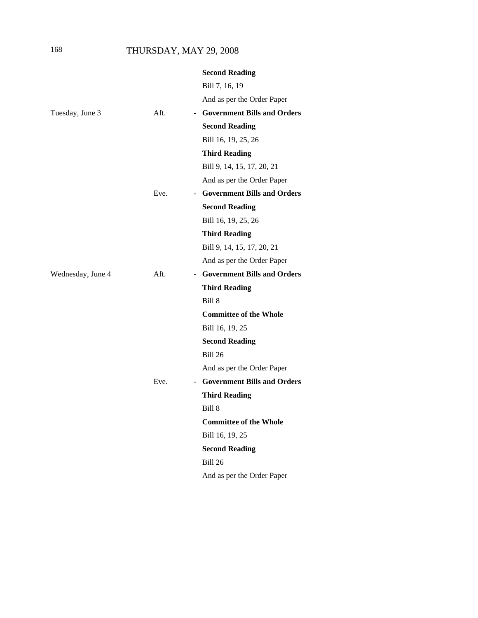# 168 THURSDAY, MAY 29, 2008

|                   |      | <b>Second Reading</b>         |
|-------------------|------|-------------------------------|
|                   |      | Bill 7, 16, 19                |
|                   |      | And as per the Order Paper    |
| Tuesday, June 3   | Aft. | - Government Bills and Orders |
|                   |      | <b>Second Reading</b>         |
|                   |      | Bill 16, 19, 25, 26           |
|                   |      | <b>Third Reading</b>          |
|                   |      | Bill 9, 14, 15, 17, 20, 21    |
|                   |      | And as per the Order Paper    |
|                   | Eve. | - Government Bills and Orders |
|                   |      | <b>Second Reading</b>         |
|                   |      | Bill 16, 19, 25, 26           |
|                   |      | <b>Third Reading</b>          |
|                   |      | Bill 9, 14, 15, 17, 20, 21    |
|                   |      | And as per the Order Paper    |
| Wednesday, June 4 | Aft. | - Government Bills and Orders |
|                   |      | <b>Third Reading</b>          |
|                   |      | Bill 8                        |
|                   |      | <b>Committee of the Whole</b> |
|                   |      | Bill 16, 19, 25               |
|                   |      | <b>Second Reading</b>         |
|                   |      | <b>Bill 26</b>                |
|                   |      | And as per the Order Paper    |
|                   | Eve. | - Government Bills and Orders |
|                   |      | <b>Third Reading</b>          |
|                   |      | Bill 8                        |
|                   |      | <b>Committee of the Whole</b> |
|                   |      | Bill 16, 19, 25               |
|                   |      | <b>Second Reading</b>         |
|                   |      | <b>Bill 26</b>                |
|                   |      | And as per the Order Paper    |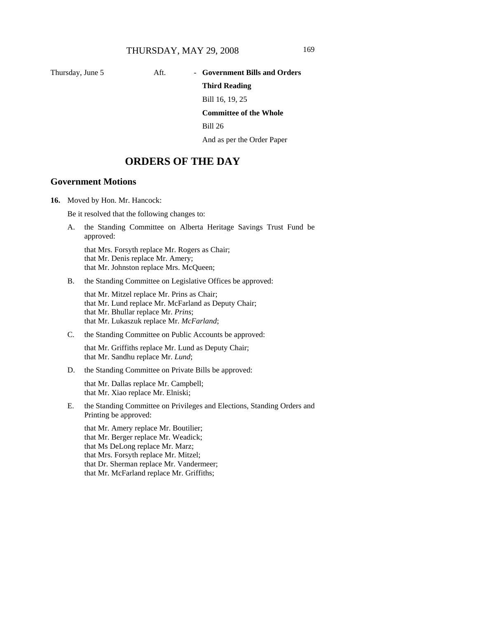# Thursday, June 5 Aft. - Government Bills and Orders **Third Reading**

Bill 16, 19, 25

**Committee of the Whole**

Bill 26

And as per the Order Paper

# **ORDERS OF THE DAY**

### **Government Motions**

**16.** Moved by Hon. Mr. Hancock:

Be it resolved that the following changes to:

A. the Standing Committee on Alberta Heritage Savings Trust Fund be approved:

that Mrs. Forsyth replace Mr. Rogers as Chair; that Mr. Denis replace Mr. Amery; that Mr. Johnston replace Mrs. McQueen;

B. the Standing Committee on Legislative Offices be approved:

that Mr. Mitzel replace Mr. Prins as Chair; that Mr. Lund replace Mr. McFarland as Deputy Chair; that Mr. Bhullar replace Mr. *Prins*; that Mr. Lukaszuk replace Mr. *McFarland*;

C. the Standing Committee on Public Accounts be approved:

that Mr. Griffiths replace Mr. Lund as Deputy Chair; that Mr. Sandhu replace Mr. *Lund*;

D. the Standing Committee on Private Bills be approved:

that Mr. Dallas replace Mr. Campbell; that Mr. Xiao replace Mr. Elniski;

E. the Standing Committee on Privileges and Elections, Standing Orders and Printing be approved:

that Mr. Amery replace Mr. Boutilier; that Mr. Berger replace Mr. Weadick; that Ms DeLong replace Mr. Marz; that Mrs. Forsyth replace Mr. Mitzel; that Dr. Sherman replace Mr. Vandermeer; that Mr. McFarland replace Mr. Griffiths;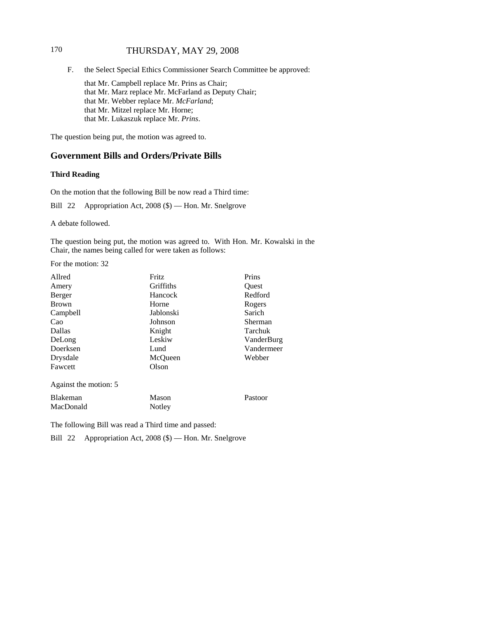# 170 THURSDAY, MAY 29, 2008

F. the Select Special Ethics Commissioner Search Committee be approved:

that Mr. Campbell replace Mr. Prins as Chair; that Mr. Marz replace Mr. McFarland as Deputy Chair; that Mr. Webber replace Mr. *McFarland*; that Mr. Mitzel replace Mr. Horne; that Mr. Lukaszuk replace Mr. *Prins*.

The question being put, the motion was agreed to.

## **Government Bills and Orders/Private Bills**

### **Third Reading**

On the motion that the following Bill be now read a Third time:

Bill 22 Appropriation Act, 2008 (\$) — Hon. Mr. Snelgrove

A debate followed.

The question being put, the motion was agreed to. With Hon. Mr. Kowalski in the Chair, the names being called for were taken as follows:

For the motion: 32

| Allred                | Fritz     | Prins      |
|-----------------------|-----------|------------|
| Amery                 | Griffiths | Ouest      |
| Berger                | Hancock   | Redford    |
| <b>Brown</b>          | Horne     | Rogers     |
| Campbell              | Jablonski | Sarich     |
| Cao                   | Johnson   | Sherman    |
| Dallas                | Knight    | Tarchuk    |
| DeLong                | Leskiw    | VanderBurg |
| Doerksen              | Lund      | Vandermeer |
| Drysdale              | McQueen   | Webber     |
| Fawcett               | Olson     |            |
| Against the motion: 5 |           |            |
| <b>Blakeman</b>       | Mason     | Pastoor    |
| MacDonald             | Notley    |            |

The following Bill was read a Third time and passed:

Bill 22 Appropriation Act, 2008 (\$) — Hon. Mr. Snelgrove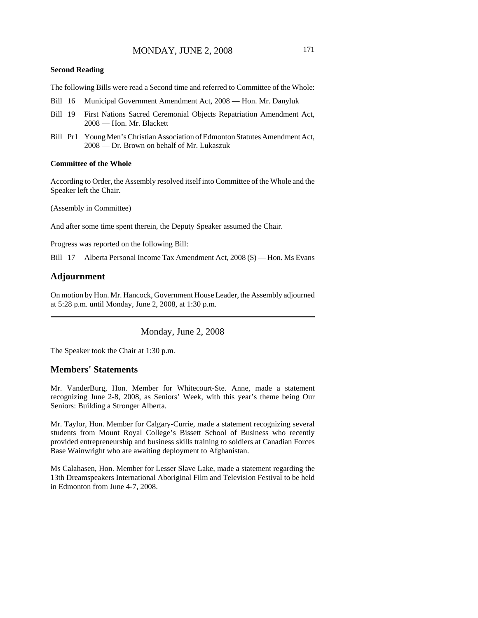#### **Second Reading**

The following Bills were read a Second time and referred to Committee of the Whole:

- Bill 16 Municipal Government Amendment Act, 2008 Hon. Mr. Danyluk
- Bill 19 First Nations Sacred Ceremonial Objects Repatriation Amendment Act, 2008 — Hon. Mr. Blackett
- Bill Pr1 Young Men's Christian Association of Edmonton Statutes Amendment Act, 2008 — Dr. Brown on behalf of Mr. Lukaszuk

#### **Committee of the Whole**

According to Order, the Assembly resolved itself into Committee of the Whole and the Speaker left the Chair.

(Assembly in Committee)

And after some time spent therein, the Deputy Speaker assumed the Chair.

Progress was reported on the following Bill:

Bill 17 Alberta Personal Income Tax Amendment Act, 2008 (\$) — Hon. Ms Evans

### **Adjournment**

On motion by Hon. Mr. Hancock, Government House Leader, the Assembly adjourned at 5:28 p.m. until Monday, June 2, 2008, at 1:30 p.m.

Monday, June 2, 2008

The Speaker took the Chair at 1:30 p.m.

### **Members' Statements**

Mr. VanderBurg, Hon. Member for Whitecourt-Ste. Anne, made a statement recognizing June 2-8, 2008, as Seniors' Week, with this year's theme being Our Seniors: Building a Stronger Alberta.

Mr. Taylor, Hon. Member for Calgary-Currie, made a statement recognizing several students from Mount Royal College's Bissett School of Business who recently provided entrepreneurship and business skills training to soldiers at Canadian Forces Base Wainwright who are awaiting deployment to Afghanistan.

Ms Calahasen, Hon. Member for Lesser Slave Lake, made a statement regarding the 13th Dreamspeakers International Aboriginal Film and Television Festival to be held in Edmonton from June 4-7, 2008.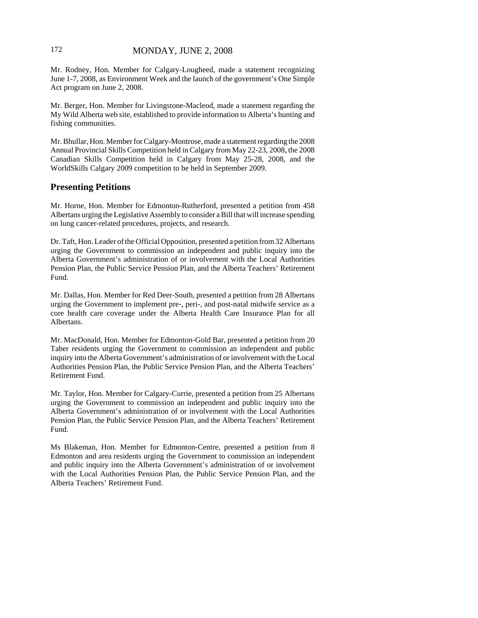# 172 MONDAY, JUNE 2, 2008

Mr. Rodney, Hon. Member for Calgary-Lougheed, made a statement recognizing June 1-7, 2008, as Environment Week and the launch of the government's One Simple Act program on June 2, 2008.

Mr. Berger, Hon. Member for Livingstone-Macleod, made a statement regarding the My Wild Alberta web site, established to provide information to Alberta's hunting and fishing communities.

Mr. Bhullar, Hon. Member for Calgary-Montrose, made a statement regarding the 2008 Annual Provincial Skills Competition held in Calgary from May 22-23, 2008, the 2008 Canadian Skills Competition held in Calgary from May 25-28, 2008, and the WorldSkills Calgary 2009 competition to be held in September 2009.

### **Presenting Petitions**

Mr. Horne, Hon. Member for Edmonton-Rutherford, presented a petition from 458 Albertans urging the Legislative Assembly to consider a Bill that will increase spending on lung cancer-related procedures, projects, and research.

Dr. Taft, Hon. Leader of the Official Opposition, presented a petition from 32 Albertans urging the Government to commission an independent and public inquiry into the Alberta Government's administration of or involvement with the Local Authorities Pension Plan, the Public Service Pension Plan, and the Alberta Teachers' Retirement Fund.

Mr. Dallas, Hon. Member for Red Deer-South, presented a petition from 28 Albertans urging the Government to implement pre-, peri-, and post-natal midwife service as a core health care coverage under the Alberta Health Care Insurance Plan for all Albertans.

Mr. MacDonald, Hon. Member for Edmonton-Gold Bar, presented a petition from 20 Taber residents urging the Government to commission an independent and public inquiry into the Alberta Government's administration of or involvement with the Local Authorities Pension Plan, the Public Service Pension Plan, and the Alberta Teachers' Retirement Fund.

Mr. Taylor, Hon. Member for Calgary-Currie, presented a petition from 25 Albertans urging the Government to commission an independent and public inquiry into the Alberta Government's administration of or involvement with the Local Authorities Pension Plan, the Public Service Pension Plan, and the Alberta Teachers' Retirement Fund.

Ms Blakeman, Hon. Member for Edmonton-Centre, presented a petition from 8 Edmonton and area residents urging the Government to commission an independent and public inquiry into the Alberta Government's administration of or involvement with the Local Authorities Pension Plan, the Public Service Pension Plan, and the Alberta Teachers' Retirement Fund.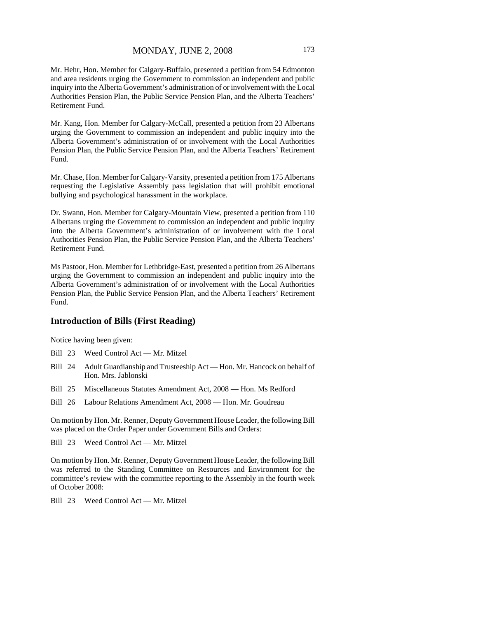Mr. Hehr, Hon. Member for Calgary-Buffalo, presented a petition from 54 Edmonton and area residents urging the Government to commission an independent and public inquiry into the Alberta Government's administration of or involvement with the Local Authorities Pension Plan, the Public Service Pension Plan, and the Alberta Teachers' Retirement Fund.

Mr. Kang, Hon. Member for Calgary-McCall, presented a petition from 23 Albertans urging the Government to commission an independent and public inquiry into the Alberta Government's administration of or involvement with the Local Authorities Pension Plan, the Public Service Pension Plan, and the Alberta Teachers' Retirement Fund.

Mr. Chase, Hon. Member for Calgary-Varsity, presented a petition from 175 Albertans requesting the Legislative Assembly pass legislation that will prohibit emotional bullying and psychological harassment in the workplace.

Dr. Swann, Hon. Member for Calgary-Mountain View, presented a petition from 110 Albertans urging the Government to commission an independent and public inquiry into the Alberta Government's administration of or involvement with the Local Authorities Pension Plan, the Public Service Pension Plan, and the Alberta Teachers' Retirement Fund.

Ms Pastoor, Hon. Member for Lethbridge-East, presented a petition from 26 Albertans urging the Government to commission an independent and public inquiry into the Alberta Government's administration of or involvement with the Local Authorities Pension Plan, the Public Service Pension Plan, and the Alberta Teachers' Retirement Fund.

# **Introduction of Bills (First Reading)**

Notice having been given:

- Bill 23 Weed Control Act Mr. Mitzel
- Bill 24 Adult Guardianship and Trusteeship Act Hon. Mr. Hancock on behalf of Hon. Mrs. Jablonski
- Bill 25 Miscellaneous Statutes Amendment Act, 2008 Hon. Ms Redford
- Bill 26 Labour Relations Amendment Act, 2008 Hon. Mr. Goudreau

On motion by Hon. Mr. Renner, Deputy Government House Leader, the following Bill was placed on the Order Paper under Government Bills and Orders:

Bill 23 Weed Control Act — Mr. Mitzel

On motion by Hon. Mr. Renner, Deputy Government House Leader, the following Bill was referred to the Standing Committee on Resources and Environment for the committee's review with the committee reporting to the Assembly in the fourth week of October 2008:

Bill 23 Weed Control Act — Mr. Mitzel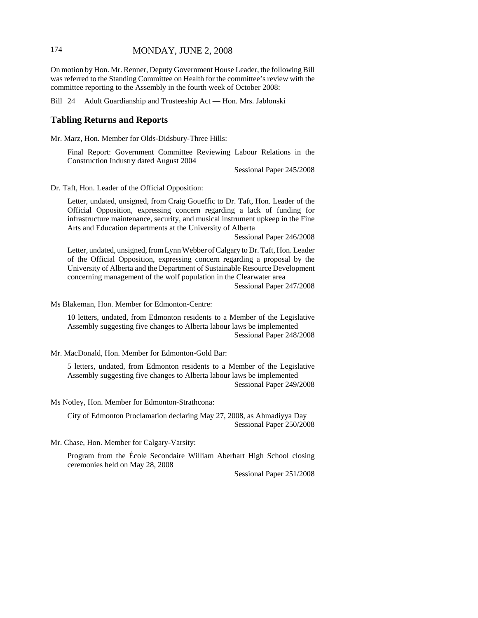## 174 MONDAY, JUNE 2, 2008

On motion by Hon. Mr. Renner, Deputy Government House Leader, the following Bill was referred to the Standing Committee on Health for the committee's review with the committee reporting to the Assembly in the fourth week of October 2008:

Bill 24 Adult Guardianship and Trusteeship Act — Hon. Mrs. Jablonski

### **Tabling Returns and Reports**

Mr. Marz, Hon. Member for Olds-Didsbury-Three Hills:

Final Report: Government Committee Reviewing Labour Relations in the Construction Industry dated August 2004

Sessional Paper 245/2008

Dr. Taft, Hon. Leader of the Official Opposition:

Letter, undated, unsigned, from Craig Goueffic to Dr. Taft, Hon. Leader of the Official Opposition, expressing concern regarding a lack of funding for infrastructure maintenance, security, and musical instrument upkeep in the Fine Arts and Education departments at the University of Alberta

Sessional Paper 246/2008

Letter, undated, unsigned, from Lynn Webber of Calgary to Dr. Taft, Hon. Leader of the Official Opposition, expressing concern regarding a proposal by the University of Alberta and the Department of Sustainable Resource Development concerning management of the wolf population in the Clearwater area

Sessional Paper 247/2008

Ms Blakeman, Hon. Member for Edmonton-Centre:

10 letters, undated, from Edmonton residents to a Member of the Legislative Assembly suggesting five changes to Alberta labour laws be implemented Sessional Paper 248/2008

Mr. MacDonald, Hon. Member for Edmonton-Gold Bar:

5 letters, undated, from Edmonton residents to a Member of the Legislative Assembly suggesting five changes to Alberta labour laws be implemented Sessional Paper 249/2008

Ms Notley, Hon. Member for Edmonton-Strathcona:

City of Edmonton Proclamation declaring May 27, 2008, as Ahmadiyya Day Sessional Paper 250/2008

Mr. Chase, Hon. Member for Calgary-Varsity:

Program from the École Secondaire William Aberhart High School closing ceremonies held on May 28, 2008

Sessional Paper 251/2008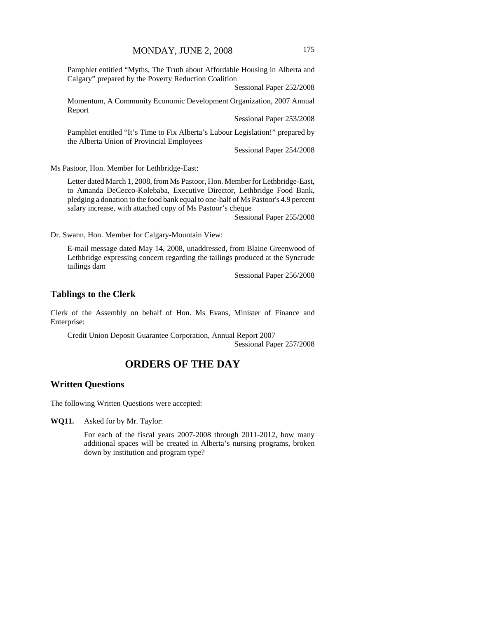Pamphlet entitled "Myths, The Truth about Affordable Housing in Alberta and Calgary" prepared by the Poverty Reduction Coalition

Sessional Paper 252/2008

Momentum, A Community Economic Development Organization, 2007 Annual Report

Sessional Paper 253/2008

Pamphlet entitled "It's Time to Fix Alberta's Labour Legislation!" prepared by the Alberta Union of Provincial Employees

Sessional Paper 254/2008

Ms Pastoor, Hon. Member for Lethbridge-East:

Letter dated March 1, 2008, from Ms Pastoor, Hon. Member for Lethbridge-East, to Amanda DeCecco-Kolebaba, Executive Director, Lethbridge Food Bank, pledging a donation to the food bank equal to one-half of Ms Pastoor's 4.9 percent salary increase, with attached copy of Ms Pastoor's cheque

Sessional Paper 255/2008

Dr. Swann, Hon. Member for Calgary-Mountain View:

E-mail message dated May 14, 2008, unaddressed, from Blaine Greenwood of Lethbridge expressing concern regarding the tailings produced at the Syncrude tailings dam

Sessional Paper 256/2008

#### **Tablings to the Clerk**

Clerk of the Assembly on behalf of Hon. Ms Evans, Minister of Finance and Enterprise:

Credit Union Deposit Guarantee Corporation, Annual Report 2007 Sessional Paper 257/2008

# **ORDERS OF THE DAY**

## **Written Questions**

The following Written Questions were accepted:

**WQ11.** Asked for by Mr. Taylor:

For each of the fiscal years 2007-2008 through 2011-2012, how many additional spaces will be created in Alberta's nursing programs, broken down by institution and program type?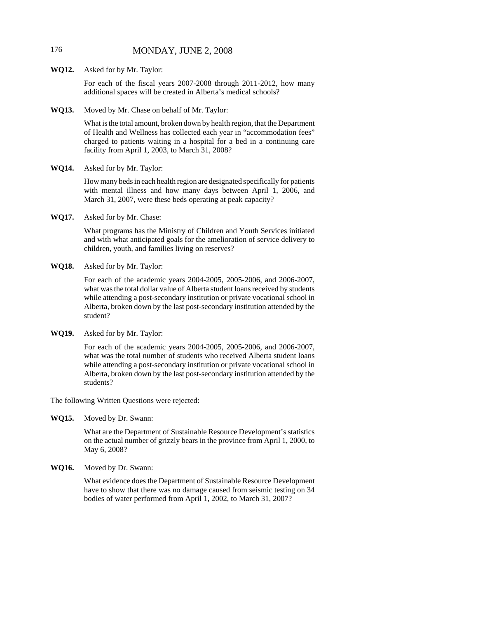# 176 MONDAY, JUNE 2, 2008

**WQ12.** Asked for by Mr. Taylor:

For each of the fiscal years 2007-2008 through 2011-2012, how many additional spaces will be created in Alberta's medical schools?

**WQ13.** Moved by Mr. Chase on behalf of Mr. Taylor:

What is the total amount, broken down by health region, that the Department of Health and Wellness has collected each year in "accommodation fees" charged to patients waiting in a hospital for a bed in a continuing care facility from April 1, 2003, to March 31, 2008?

**WQ14.** Asked for by Mr. Taylor:

How many beds in each health region are designated specifically for patients with mental illness and how many days between April 1, 2006, and March 31, 2007, were these beds operating at peak capacity?

**WQ17.** Asked for by Mr. Chase:

What programs has the Ministry of Children and Youth Services initiated and with what anticipated goals for the amelioration of service delivery to children, youth, and families living on reserves?

**WQ18.** Asked for by Mr. Taylor:

For each of the academic years 2004-2005, 2005-2006, and 2006-2007, what was the total dollar value of Alberta student loans received by students while attending a post-secondary institution or private vocational school in Alberta, broken down by the last post-secondary institution attended by the student?

**WQ19.** Asked for by Mr. Taylor:

For each of the academic years 2004-2005, 2005-2006, and 2006-2007, what was the total number of students who received Alberta student loans while attending a post-secondary institution or private vocational school in Alberta, broken down by the last post-secondary institution attended by the students?

The following Written Questions were rejected:

**WQ15.** Moved by Dr. Swann:

What are the Department of Sustainable Resource Development's statistics on the actual number of grizzly bears in the province from April 1, 2000, to May 6, 2008?

**WQ16.** Moved by Dr. Swann:

What evidence does the Department of Sustainable Resource Development have to show that there was no damage caused from seismic testing on 34 bodies of water performed from April 1, 2002, to March 31, 2007?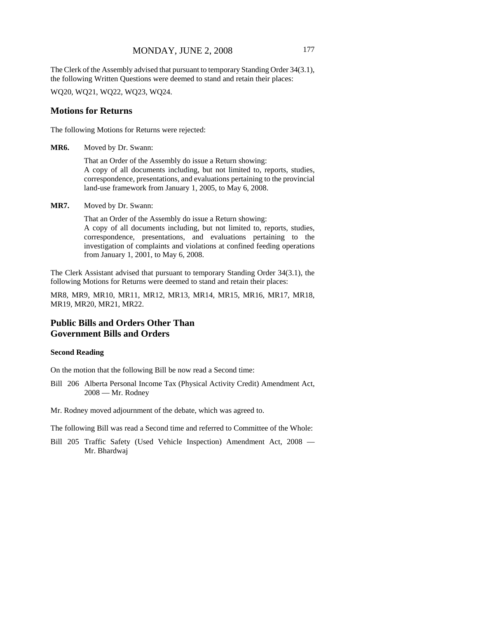### MONDAY, JUNE 2, 2008 177

The Clerk of the Assembly advised that pursuant to temporary Standing Order 34(3.1), the following Written Questions were deemed to stand and retain their places:

WQ20, WQ21, WQ22, WQ23, WQ24.

### **Motions for Returns**

The following Motions for Returns were rejected:

**MR6.** Moved by Dr. Swann:

That an Order of the Assembly do issue a Return showing: A copy of all documents including, but not limited to, reports, studies, correspondence, presentations, and evaluations pertaining to the provincial land-use framework from January 1, 2005, to May 6, 2008.

**MR7.** Moved by Dr. Swann:

That an Order of the Assembly do issue a Return showing: A copy of all documents including, but not limited to, reports, studies, correspondence, presentations, and evaluations pertaining to the investigation of complaints and violations at confined feeding operations from January 1, 2001, to May 6, 2008.

The Clerk Assistant advised that pursuant to temporary Standing Order 34(3.1), the following Motions for Returns were deemed to stand and retain their places:

MR8, MR9, MR10, MR11, MR12, MR13, MR14, MR15, MR16, MR17, MR18, MR19, MR20, MR21, MR22.

# **Public Bills and Orders Other Than Government Bills and Orders**

### **Second Reading**

On the motion that the following Bill be now read a Second time:

- Bill 206 Alberta Personal Income Tax (Physical Activity Credit) Amendment Act, 2008 — Mr. Rodney
- Mr. Rodney moved adjournment of the debate, which was agreed to.

The following Bill was read a Second time and referred to Committee of the Whole:

Bill 205 Traffic Safety (Used Vehicle Inspection) Amendment Act, 2008 — Mr. Bhardwaj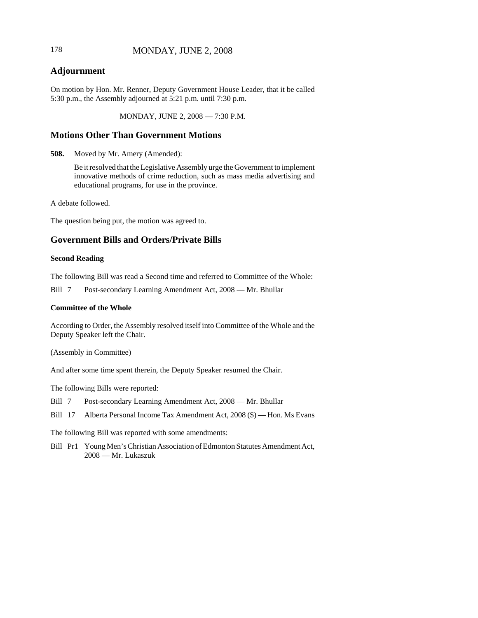# 178 **MONDAY, JUNE 2, 2008**

# **Adjournment**

On motion by Hon. Mr. Renner, Deputy Government House Leader, that it be called 5:30 p.m., the Assembly adjourned at 5:21 p.m. until 7:30 p.m.

MONDAY, JUNE 2, 2008 — 7:30 P.M.

# **Motions Other Than Government Motions**

**508.** Moved by Mr. Amery (Amended):

Be it resolved that the Legislative Assembly urge the Government to implement innovative methods of crime reduction, such as mass media advertising and educational programs, for use in the province.

A debate followed.

The question being put, the motion was agreed to.

# **Government Bills and Orders/Private Bills**

#### **Second Reading**

The following Bill was read a Second time and referred to Committee of the Whole:

Bill 7 Post-secondary Learning Amendment Act, 2008 — Mr. Bhullar

#### **Committee of the Whole**

According to Order, the Assembly resolved itself into Committee of the Whole and the Deputy Speaker left the Chair.

(Assembly in Committee)

And after some time spent therein, the Deputy Speaker resumed the Chair.

The following Bills were reported:

Bill 7 Post-secondary Learning Amendment Act, 2008 — Mr. Bhullar

Bill 17 Alberta Personal Income Tax Amendment Act, 2008 (\$) — Hon. Ms Evans

The following Bill was reported with some amendments:

Bill Pr1 Young Men's Christian Association of Edmonton Statutes Amendment Act, 2008 — Mr. Lukaszuk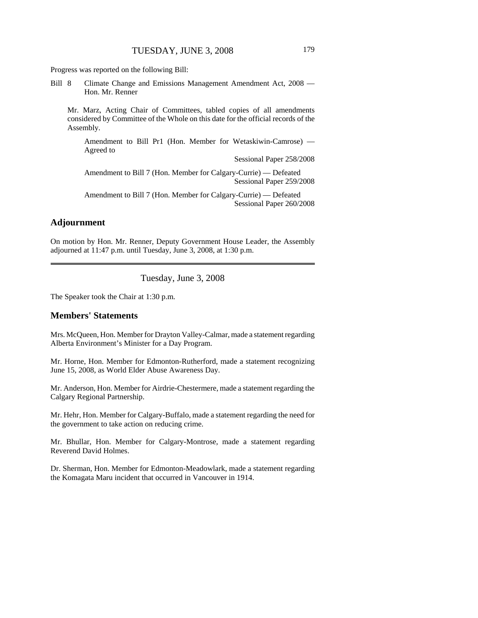Progress was reported on the following Bill:

Bill 8 Climate Change and Emissions Management Amendment Act, 2008 — Hon. Mr. Renner

Mr. Marz, Acting Chair of Committees, tabled copies of all amendments considered by Committee of the Whole on this date for the official records of the Assembly.

Amendment to Bill Pr1 (Hon. Member for Wetaskiwin-Camrose) — Agreed to

Sessional Paper 258/2008

Amendment to Bill 7 (Hon. Member for Calgary-Currie) — Defeated Sessional Paper 259/2008

Amendment to Bill 7 (Hon. Member for Calgary-Currie) — Defeated Sessional Paper 260/2008

# **Adjournment**

On motion by Hon. Mr. Renner, Deputy Government House Leader, the Assembly adjourned at 11:47 p.m. until Tuesday, June 3, 2008, at 1:30 p.m.

Tuesday, June 3, 2008

The Speaker took the Chair at 1:30 p.m.

#### **Members' Statements**

Mrs. McQueen, Hon. Member for Drayton Valley-Calmar, made a statement regarding Alberta Environment's Minister for a Day Program.

Mr. Horne, Hon. Member for Edmonton-Rutherford, made a statement recognizing June 15, 2008, as World Elder Abuse Awareness Day.

Mr. Anderson, Hon. Member for Airdrie-Chestermere, made a statement regarding the Calgary Regional Partnership.

Mr. Hehr, Hon. Member for Calgary-Buffalo, made a statement regarding the need for the government to take action on reducing crime.

Mr. Bhullar, Hon. Member for Calgary-Montrose, made a statement regarding Reverend David Holmes.

Dr. Sherman, Hon. Member for Edmonton-Meadowlark, made a statement regarding the Komagata Maru incident that occurred in Vancouver in 1914.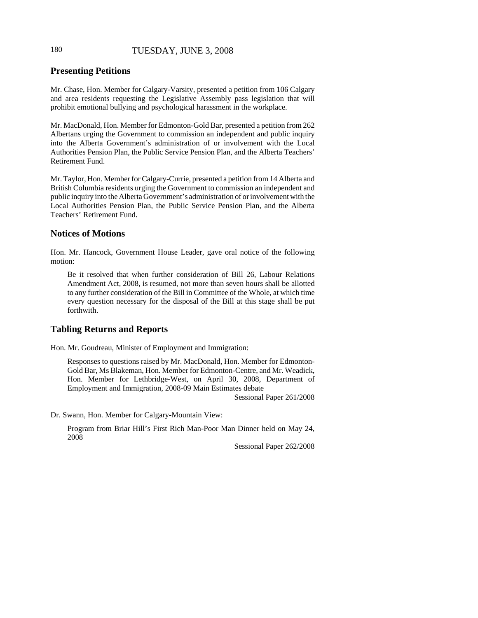# 180 TUESDAY, JUNE 3, 2008

# **Presenting Petitions**

Mr. Chase, Hon. Member for Calgary-Varsity, presented a petition from 106 Calgary and area residents requesting the Legislative Assembly pass legislation that will prohibit emotional bullying and psychological harassment in the workplace.

Mr. MacDonald, Hon. Member for Edmonton-Gold Bar, presented a petition from 262 Albertans urging the Government to commission an independent and public inquiry into the Alberta Government's administration of or involvement with the Local Authorities Pension Plan, the Public Service Pension Plan, and the Alberta Teachers' Retirement Fund.

Mr. Taylor, Hon. Member for Calgary-Currie, presented a petition from 14 Alberta and British Columbia residents urging the Government to commission an independent and public inquiry into the Alberta Government's administration of or involvement with the Local Authorities Pension Plan, the Public Service Pension Plan, and the Alberta Teachers' Retirement Fund.

#### **Notices of Motions**

Hon. Mr. Hancock, Government House Leader, gave oral notice of the following motion:

Be it resolved that when further consideration of Bill 26, Labour Relations Amendment Act, 2008, is resumed, not more than seven hours shall be allotted to any further consideration of the Bill in Committee of the Whole, at which time every question necessary for the disposal of the Bill at this stage shall be put forthwith.

# **Tabling Returns and Reports**

Hon. Mr. Goudreau, Minister of Employment and Immigration:

Responses to questions raised by Mr. MacDonald, Hon. Member for Edmonton-Gold Bar, Ms Blakeman, Hon. Member for Edmonton-Centre, and Mr. Weadick, Hon. Member for Lethbridge-West, on April 30, 2008, Department of Employment and Immigration, 2008-09 Main Estimates debate

Sessional Paper 261/2008

Dr. Swann, Hon. Member for Calgary-Mountain View:

Program from Briar Hill's First Rich Man-Poor Man Dinner held on May 24, 2008

Sessional Paper 262/2008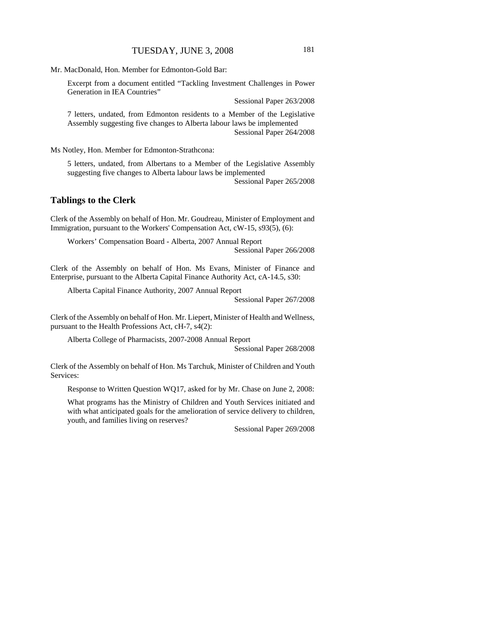Mr. MacDonald, Hon. Member for Edmonton-Gold Bar:

Excerpt from a document entitled "Tackling Investment Challenges in Power Generation in IEA Countries"

Sessional Paper 263/2008

7 letters, undated, from Edmonton residents to a Member of the Legislative Assembly suggesting five changes to Alberta labour laws be implemented Sessional Paper 264/2008

Ms Notley, Hon. Member for Edmonton-Strathcona:

5 letters, undated, from Albertans to a Member of the Legislative Assembly suggesting five changes to Alberta labour laws be implemented

Sessional Paper 265/2008

#### **Tablings to the Clerk**

Clerk of the Assembly on behalf of Hon. Mr. Goudreau, Minister of Employment and Immigration, pursuant to the Workers' Compensation Act, cW-15, s93(5), (6):

Workers' Compensation Board - Alberta, 2007 Annual Report Sessional Paper 266/2008

Clerk of the Assembly on behalf of Hon. Ms Evans, Minister of Finance and Enterprise, pursuant to the Alberta Capital Finance Authority Act, cA-14.5, s30:

Alberta Capital Finance Authority, 2007 Annual Report

Sessional Paper 267/2008

Clerk of the Assembly on behalf of Hon. Mr. Liepert, Minister of Health and Wellness, pursuant to the Health Professions Act, cH-7, s4(2):

Alberta College of Pharmacists, 2007-2008 Annual Report

Sessional Paper 268/2008

Clerk of the Assembly on behalf of Hon. Ms Tarchuk, Minister of Children and Youth Services:

Response to Written Question WQ17, asked for by Mr. Chase on June 2, 2008:

What programs has the Ministry of Children and Youth Services initiated and with what anticipated goals for the amelioration of service delivery to children, youth, and families living on reserves?

Sessional Paper 269/2008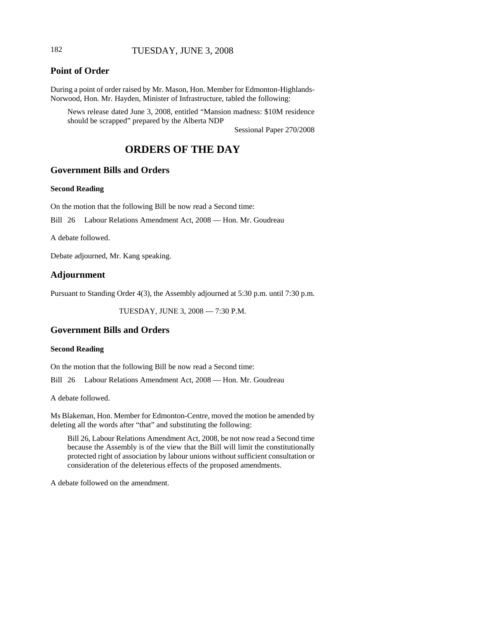# 182 TUESDAY, JUNE 3, 2008

# **Point of Order**

During a point of order raised by Mr. Mason, Hon. Member for Edmonton-Highlands-Norwood, Hon. Mr. Hayden, Minister of Infrastructure, tabled the following:

News release dated June 3, 2008, entitled "Mansion madness: \$10M residence should be scrapped" prepared by the Alberta NDP

Sessional Paper 270/2008

# **ORDERS OF THE DAY**

# **Government Bills and Orders**

#### **Second Reading**

On the motion that the following Bill be now read a Second time:

Bill 26 Labour Relations Amendment Act, 2008 — Hon. Mr. Goudreau

A debate followed.

Debate adjourned, Mr. Kang speaking.

# **Adjournment**

Pursuant to Standing Order 4(3), the Assembly adjourned at 5:30 p.m. until 7:30 p.m.

TUESDAY, JUNE 3, 2008 — 7:30 P.M.

# **Government Bills and Orders**

#### **Second Reading**

On the motion that the following Bill be now read a Second time:

Bill 26 Labour Relations Amendment Act, 2008 — Hon. Mr. Goudreau

A debate followed.

Ms Blakeman, Hon. Member for Edmonton-Centre, moved the motion be amended by deleting all the words after "that" and substituting the following:

Bill 26, Labour Relations Amendment Act, 2008, be not now read a Second time because the Assembly is of the view that the Bill will limit the constitutionally protected right of association by labour unions without sufficient consultation or consideration of the deleterious effects of the proposed amendments.

A debate followed on the amendment.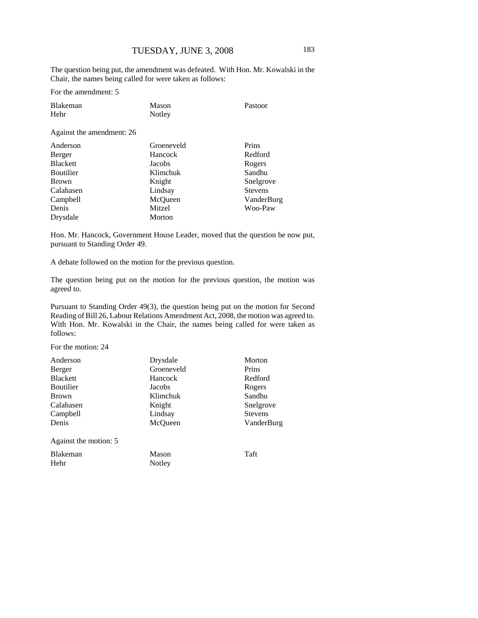The question being put, the amendment was defeated. With Hon. Mr. Kowalski in the Chair, the names being called for were taken as follows:

For the amendment: 5

| Blakeman<br>Hehr          | Mason<br>Notley | Pastoor |
|---------------------------|-----------------|---------|
| Against the amendment: 26 |                 |         |

| Prins          |
|----------------|
| Redford        |
| Rogers         |
| Sandhu         |
| Snelgrove      |
| <b>Stevens</b> |
| VanderBurg     |
| Woo-Paw        |
|                |
|                |

Hon. Mr. Hancock, Government House Leader, moved that the question be now put, pursuant to Standing Order 49.

A debate followed on the motion for the previous question.

The question being put on the motion for the previous question, the motion was agreed to.

Pursuant to Standing Order 49(3), the question being put on the motion for Second Reading of Bill 26, Labour Relations Amendment Act, 2008, the motion was agreed to. With Hon. Mr. Kowalski in the Chair, the names being called for were taken as follows:

For the motion: 24

| Anderson              | Drysdale   | Morton         |
|-----------------------|------------|----------------|
| Berger                | Groeneveld | Prins          |
| <b>Blackett</b>       | Hancock    | Redford        |
| <b>Boutilier</b>      | Jacobs     | Rogers         |
| <b>Brown</b>          | Klimchuk   | Sandhu         |
| Calahasen             | Knight     | Snelgrove      |
| Campbell              | Lindsay    | <b>Stevens</b> |
| Denis                 | McQueen    | VanderBurg     |
| Against the motion: 5 |            |                |
| <b>Blakeman</b>       | Mason      | Taft           |
| Hehr                  | Notley     |                |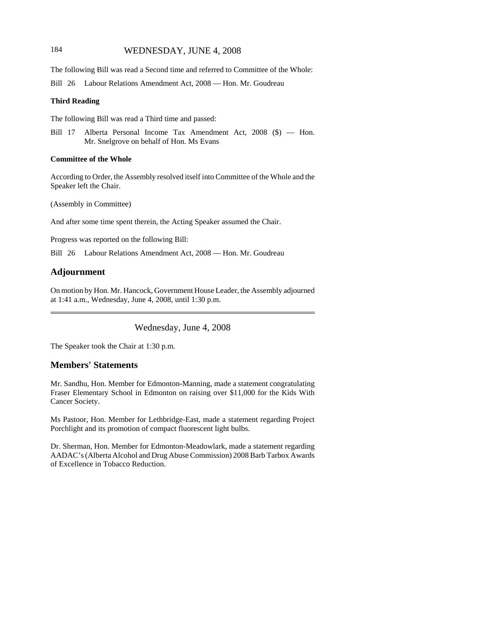# 184 WEDNESDAY, JUNE 4, 2008

The following Bill was read a Second time and referred to Committee of the Whole:

Bill 26 Labour Relations Amendment Act, 2008 — Hon. Mr. Goudreau

#### **Third Reading**

The following Bill was read a Third time and passed:

Bill 17 Alberta Personal Income Tax Amendment Act, 2008 (\$) — Hon. Mr. Snelgrove on behalf of Hon. Ms Evans

#### **Committee of the Whole**

According to Order, the Assembly resolved itself into Committee of the Whole and the Speaker left the Chair.

(Assembly in Committee)

And after some time spent therein, the Acting Speaker assumed the Chair.

Progress was reported on the following Bill:

Bill 26 Labour Relations Amendment Act, 2008 — Hon. Mr. Goudreau

#### **Adjournment**

On motion by Hon. Mr. Hancock, Government House Leader, the Assembly adjourned at 1:41 a.m., Wednesday, June 4, 2008, until 1:30 p.m.

Wednesday, June 4, 2008

The Speaker took the Chair at 1:30 p.m.

# **Members' Statements**

Mr. Sandhu, Hon. Member for Edmonton-Manning, made a statement congratulating Fraser Elementary School in Edmonton on raising over \$11,000 for the Kids With Cancer Society.

Ms Pastoor, Hon. Member for Lethbridge-East, made a statement regarding Project Porchlight and its promotion of compact fluorescent light bulbs.

Dr. Sherman, Hon. Member for Edmonton-Meadowlark, made a statement regarding AADAC's (Alberta Alcohol and Drug Abuse Commission) 2008 Barb Tarbox Awards of Excellence in Tobacco Reduction.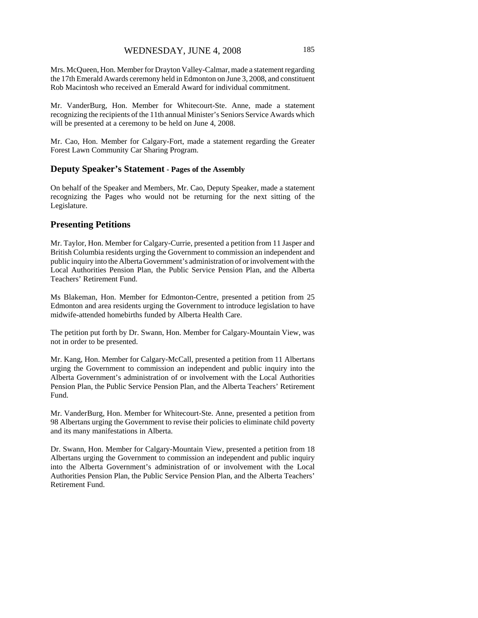Mrs. McQueen, Hon. Member for Drayton Valley-Calmar, made a statement regarding the 17th Emerald Awards ceremony held in Edmonton on June 3, 2008, and constituent Rob Macintosh who received an Emerald Award for individual commitment.

Mr. VanderBurg, Hon. Member for Whitecourt-Ste. Anne, made a statement recognizing the recipients of the 11th annual Minister's Seniors Service Awards which will be presented at a ceremony to be held on June 4, 2008.

Mr. Cao, Hon. Member for Calgary-Fort, made a statement regarding the Greater Forest Lawn Community Car Sharing Program.

#### **Deputy Speaker's Statement - Pages of the Assembly**

On behalf of the Speaker and Members, Mr. Cao, Deputy Speaker, made a statement recognizing the Pages who would not be returning for the next sitting of the Legislature.

#### **Presenting Petitions**

Mr. Taylor, Hon. Member for Calgary-Currie, presented a petition from 11 Jasper and British Columbia residents urging the Government to commission an independent and public inquiry into the Alberta Government's administration of or involvement with the Local Authorities Pension Plan, the Public Service Pension Plan, and the Alberta Teachers' Retirement Fund.

Ms Blakeman, Hon. Member for Edmonton-Centre, presented a petition from 25 Edmonton and area residents urging the Government to introduce legislation to have midwife-attended homebirths funded by Alberta Health Care.

The petition put forth by Dr. Swann, Hon. Member for Calgary-Mountain View, was not in order to be presented.

Mr. Kang, Hon. Member for Calgary-McCall, presented a petition from 11 Albertans urging the Government to commission an independent and public inquiry into the Alberta Government's administration of or involvement with the Local Authorities Pension Plan, the Public Service Pension Plan, and the Alberta Teachers' Retirement Fund.

Mr. VanderBurg, Hon. Member for Whitecourt-Ste. Anne, presented a petition from 98 Albertans urging the Government to revise their policies to eliminate child poverty and its many manifestations in Alberta.

Dr. Swann, Hon. Member for Calgary-Mountain View, presented a petition from 18 Albertans urging the Government to commission an independent and public inquiry into the Alberta Government's administration of or involvement with the Local Authorities Pension Plan, the Public Service Pension Plan, and the Alberta Teachers' Retirement Fund.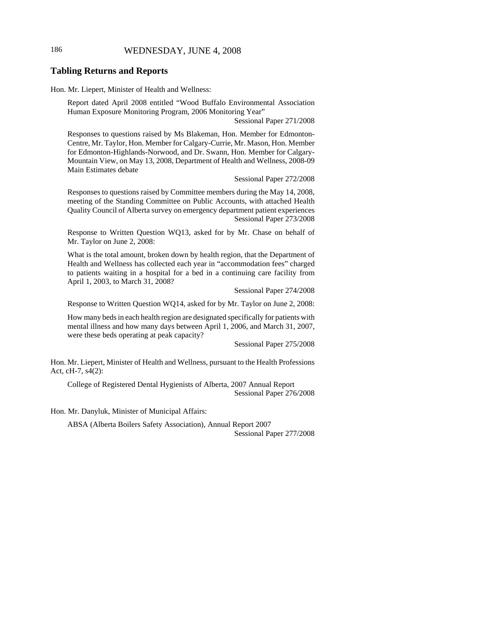# 186 WEDNESDAY, JUNE 4, 2008

#### **Tabling Returns and Reports**

Hon. Mr. Liepert, Minister of Health and Wellness:

Report dated April 2008 entitled "Wood Buffalo Environmental Association Human Exposure Monitoring Program, 2006 Monitoring Year"

Sessional Paper 271/2008

Responses to questions raised by Ms Blakeman, Hon. Member for Edmonton-Centre, Mr. Taylor, Hon. Member for Calgary-Currie, Mr. Mason, Hon. Member for Edmonton-Highlands-Norwood, and Dr. Swann, Hon. Member for Calgary-Mountain View, on May 13, 2008, Department of Health and Wellness, 2008-09 Main Estimates debate

Sessional Paper 272/2008

Responses to questions raised by Committee members during the May 14, 2008, meeting of the Standing Committee on Public Accounts, with attached Health Quality Council of Alberta survey on emergency department patient experiences Sessional Paper 273/2008

Response to Written Question WQ13, asked for by Mr. Chase on behalf of Mr. Taylor on June 2, 2008:

What is the total amount, broken down by health region, that the Department of Health and Wellness has collected each year in "accommodation fees" charged to patients waiting in a hospital for a bed in a continuing care facility from April 1, 2003, to March 31, 2008?

Sessional Paper 274/2008

Response to Written Question WQ14, asked for by Mr. Taylor on June 2, 2008:

How many beds in each health region are designated specifically for patients with mental illness and how many days between April 1, 2006, and March 31, 2007, were these beds operating at peak capacity?

Sessional Paper 275/2008

Hon. Mr. Liepert, Minister of Health and Wellness, pursuant to the Health Professions Act, cH-7, s4(2):

College of Registered Dental Hygienists of Alberta, 2007 Annual Report Sessional Paper 276/2008

Hon. Mr. Danyluk, Minister of Municipal Affairs:

ABSA (Alberta Boilers Safety Association), Annual Report 2007 Sessional Paper 277/2008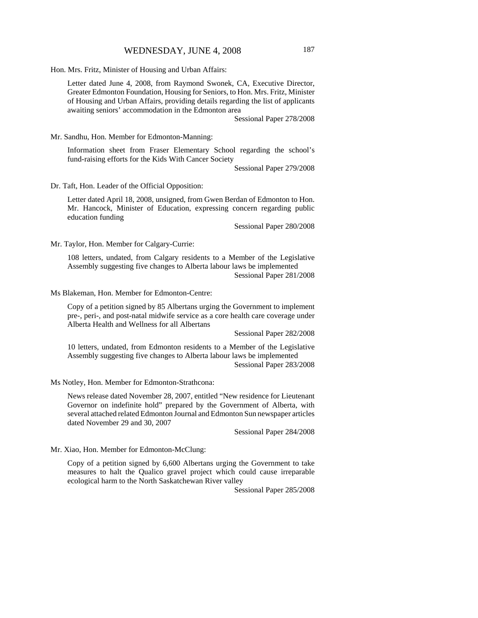Hon. Mrs. Fritz, Minister of Housing and Urban Affairs:

Letter dated June 4, 2008, from Raymond Swonek, CA, Executive Director, Greater Edmonton Foundation, Housing for Seniors, to Hon. Mrs. Fritz, Minister of Housing and Urban Affairs, providing details regarding the list of applicants awaiting seniors' accommodation in the Edmonton area

Sessional Paper 278/2008

Mr. Sandhu, Hon. Member for Edmonton-Manning:

Information sheet from Fraser Elementary School regarding the school's fund-raising efforts for the Kids With Cancer Society

Sessional Paper 279/2008

Dr. Taft, Hon. Leader of the Official Opposition:

Letter dated April 18, 2008, unsigned, from Gwen Berdan of Edmonton to Hon. Mr. Hancock, Minister of Education, expressing concern regarding public education funding

Sessional Paper 280/2008

Mr. Taylor, Hon. Member for Calgary-Currie:

108 letters, undated, from Calgary residents to a Member of the Legislative Assembly suggesting five changes to Alberta labour laws be implemented Sessional Paper 281/2008

Ms Blakeman, Hon. Member for Edmonton-Centre:

Copy of a petition signed by 85 Albertans urging the Government to implement pre-, peri-, and post-natal midwife service as a core health care coverage under Alberta Health and Wellness for all Albertans

Sessional Paper 282/2008

10 letters, undated, from Edmonton residents to a Member of the Legislative Assembly suggesting five changes to Alberta labour laws be implemented Sessional Paper 283/2008

Ms Notley, Hon. Member for Edmonton-Strathcona:

News release dated November 28, 2007, entitled "New residence for Lieutenant Governor on indefinite hold" prepared by the Government of Alberta, with several attached related Edmonton Journal and Edmonton Sun newspaper articles dated November 29 and 30, 2007

Sessional Paper 284/2008

Mr. Xiao, Hon. Member for Edmonton-McClung:

Copy of a petition signed by 6,600 Albertans urging the Government to take measures to halt the Qualico gravel project which could cause irreparable ecological harm to the North Saskatchewan River valley

Sessional Paper 285/2008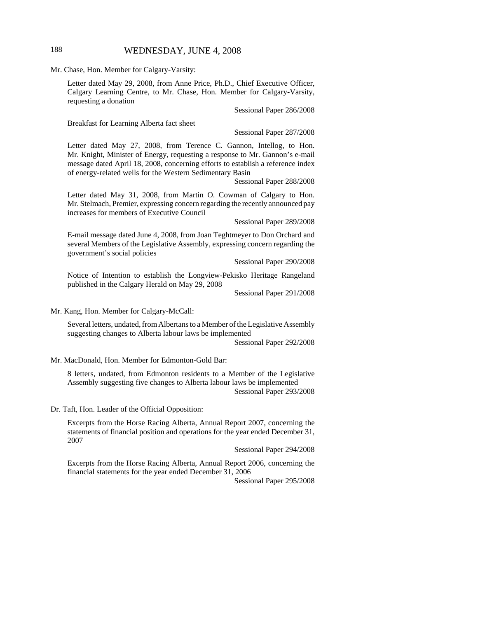# 188 WEDNESDAY, JUNE 4, 2008

Mr. Chase, Hon. Member for Calgary-Varsity:

Letter dated May 29, 2008, from Anne Price, Ph.D., Chief Executive Officer, Calgary Learning Centre, to Mr. Chase, Hon. Member for Calgary-Varsity, requesting a donation

Sessional Paper 286/2008

Breakfast for Learning Alberta fact sheet

Sessional Paper 287/2008

Letter dated May 27, 2008, from Terence C. Gannon, Intellog, to Hon. Mr. Knight, Minister of Energy, requesting a response to Mr. Gannon's e-mail message dated April 18, 2008, concerning efforts to establish a reference index of energy-related wells for the Western Sedimentary Basin

Sessional Paper 288/2008

Letter dated May 31, 2008, from Martin O. Cowman of Calgary to Hon. Mr. Stelmach, Premier, expressing concern regarding the recently announced pay increases for members of Executive Council

Sessional Paper 289/2008

E-mail message dated June 4, 2008, from Joan Teghtmeyer to Don Orchard and several Members of the Legislative Assembly, expressing concern regarding the government's social policies

Sessional Paper 290/2008

Notice of Intention to establish the Longview-Pekisko Heritage Rangeland published in the Calgary Herald on May 29, 2008

Sessional Paper 291/2008

Mr. Kang, Hon. Member for Calgary-McCall:

Several letters, undated, from Albertans to a Member of the Legislative Assembly suggesting changes to Alberta labour laws be implemented

Sessional Paper 292/2008

Mr. MacDonald, Hon. Member for Edmonton-Gold Bar:

8 letters, undated, from Edmonton residents to a Member of the Legislative Assembly suggesting five changes to Alberta labour laws be implemented Sessional Paper 293/2008

Dr. Taft, Hon. Leader of the Official Opposition:

Excerpts from the Horse Racing Alberta, Annual Report 2007, concerning the statements of financial position and operations for the year ended December 31, 2007

Sessional Paper 294/2008

Excerpts from the Horse Racing Alberta, Annual Report 2006, concerning the financial statements for the year ended December 31, 2006

Sessional Paper 295/2008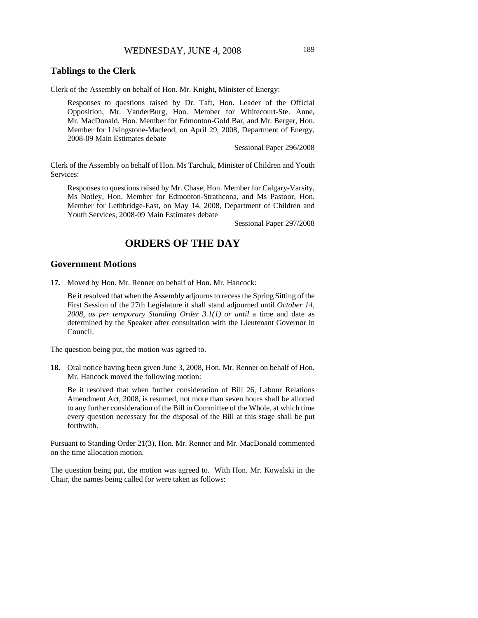# WEDNESDAY, JUNE 4, 2008 189

# **Tablings to the Clerk**

Clerk of the Assembly on behalf of Hon. Mr. Knight, Minister of Energy:

Responses to questions raised by Dr. Taft, Hon. Leader of the Official Opposition, Mr. VanderBurg, Hon. Member for Whitecourt-Ste. Anne, Mr. MacDonald, Hon. Member for Edmonton-Gold Bar, and Mr. Berger, Hon. Member for Livingstone-Macleod, on April 29, 2008, Department of Energy, 2008-09 Main Estimates debate

Sessional Paper 296/2008

Clerk of the Assembly on behalf of Hon. Ms Tarchuk, Minister of Children and Youth Services:

Responses to questions raised by Mr. Chase, Hon. Member for Calgary-Varsity, Ms Notley, Hon. Member for Edmonton-Strathcona, and Ms Pastoor, Hon. Member for Lethbridge-East, on May 14, 2008, Department of Children and Youth Services, 2008-09 Main Estimates debate

Sessional Paper 297/2008

# **ORDERS OF THE DAY**

#### **Government Motions**

**17.** Moved by Hon. Mr. Renner on behalf of Hon. Mr. Hancock:

Be it resolved that when the Assembly adjourns to recess the Spring Sitting of the First Session of the 27th Legislature it shall stand adjourned until *October 14, 2008, as per temporary Standing Order 3.1(1) or until* a time and date as determined by the Speaker after consultation with the Lieutenant Governor in Council.

The question being put, the motion was agreed to.

**18.** Oral notice having been given June 3, 2008, Hon. Mr. Renner on behalf of Hon. Mr. Hancock moved the following motion:

Be it resolved that when further consideration of Bill 26, Labour Relations Amendment Act, 2008, is resumed, not more than seven hours shall be allotted to any further consideration of the Bill in Committee of the Whole, at which time every question necessary for the disposal of the Bill at this stage shall be put forthwith.

Pursuant to Standing Order 21(3), Hon. Mr. Renner and Mr. MacDonald commented on the time allocation motion.

The question being put, the motion was agreed to. With Hon. Mr. Kowalski in the Chair, the names being called for were taken as follows: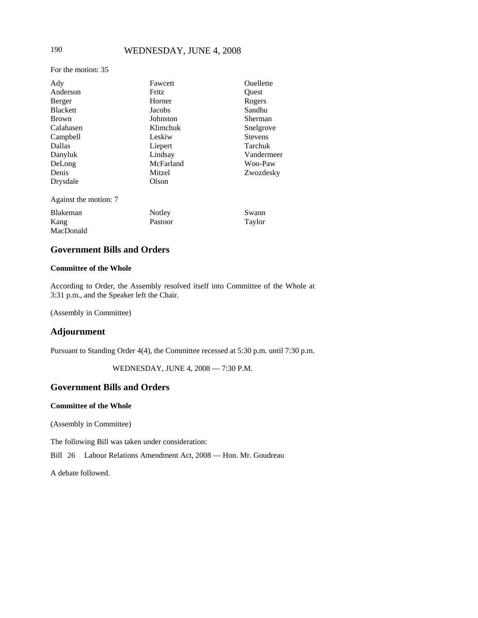# 190 WEDNESDAY, JUNE 4, 2008

For the motion: 35

| Ady                   | Fawcett      | Ouellette                        |  |
|-----------------------|--------------|----------------------------------|--|
| Anderson              | <b>Fritz</b> | Ouest                            |  |
| Berger                | Horner       | Rogers                           |  |
| <b>Blackett</b>       | Jacobs       | Sandhu                           |  |
| <b>Brown</b>          | Johnston     | Sherman                          |  |
| Calahasen             | Klimchuk     | Snelgrove                        |  |
| Campbell              | Leskiw       | <b>Stevens</b>                   |  |
| <b>Dallas</b>         | Liepert      | Tarchuk<br>Vandermeer<br>Woo-Paw |  |
| Danyluk               | Lindsay      |                                  |  |
| DeLong                | McFarland    |                                  |  |
| Denis                 | Mitzel       | Zwozdesky                        |  |
| Drysdale              | Olson        |                                  |  |
| Against the motion: 7 |              |                                  |  |
| Blakeman              | Notley       | Swann                            |  |
| Kang                  | Pastoor      | Taylor                           |  |
| MacDonald             |              |                                  |  |

# **Government Bills and Orders**

#### **Committee of the Whole**

According to Order, the Assembly resolved itself into Committee of the Whole at 3:31 p.m., and the Speaker left the Chair.

(Assembly in Committee)

# **Adjournment**

Pursuant to Standing Order 4(4), the Committee recessed at 5:30 p.m. until 7:30 p.m.

WEDNESDAY, JUNE 4, 2008 — 7:30 P.M.

# **Government Bills and Orders**

#### **Committee of the Whole**

(Assembly in Committee)

The following Bill was taken under consideration:

Bill 26 Labour Relations Amendment Act, 2008 — Hon. Mr. Goudreau

A debate followed.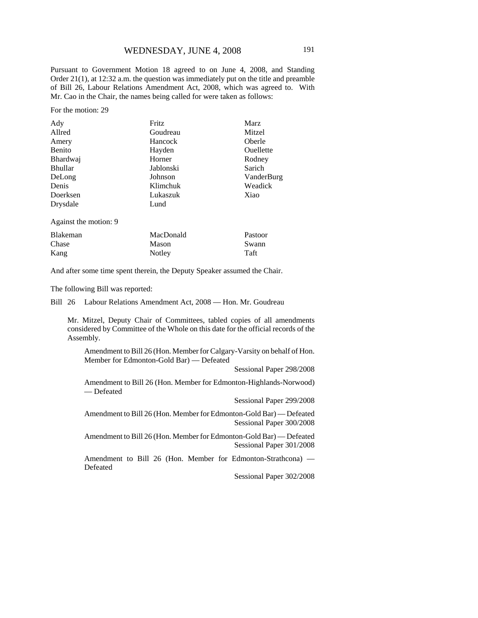Pursuant to Government Motion 18 agreed to on June 4, 2008, and Standing Order 21(1), at 12:32 a.m. the question was immediately put on the title and preamble of Bill 26, Labour Relations Amendment Act, 2008, which was agreed to. With Mr. Cao in the Chair, the names being called for were taken as follows:

For the motion: 29

| Ady                   | Fritz     | <b>Marz</b>                     |  |
|-----------------------|-----------|---------------------------------|--|
| Allred                | Goudreau  | Mitzel                          |  |
| Amery                 | Hancock   | Oberle                          |  |
| Benito                | Hayden    | Ouellette                       |  |
| <b>Bhardwaj</b>       | Horner    | Rodney                          |  |
| <b>Bhullar</b>        | Jablonski | Sarich<br>VanderBurg<br>Weadick |  |
| DeLong                | Johnson   |                                 |  |
| Denis                 | Klimchuk  |                                 |  |
| Doerksen              | Lukaszuk  | Xiao                            |  |
| Drysdale              | Lund      |                                 |  |
| Against the motion: 9 |           |                                 |  |
| <b>Blakeman</b>       | MacDonald | Pastoor                         |  |

Chase Kang Mason Notley Swann Taft

And after some time spent therein, the Deputy Speaker assumed the Chair.

The following Bill was reported:

Bill 26 Labour Relations Amendment Act, 2008 — Hon. Mr. Goudreau

Mr. Mitzel, Deputy Chair of Committees, tabled copies of all amendments considered by Committee of the Whole on this date for the official records of the Assembly.

Amendment to Bill 26 (Hon. Member for Calgary-Varsity on behalf of Hon. Member for Edmonton-Gold Bar) — Defeated

Sessional Paper 298/2008

Amendment to Bill 26 (Hon. Member for Edmonton-Highlands-Norwood) — Defeated

Sessional Paper 299/2008

Amendment to Bill 26 (Hon. Member for Edmonton-Gold Bar) — Defeated Sessional Paper 300/2008

Amendment to Bill 26 (Hon. Member for Edmonton-Gold Bar) — Defeated Sessional Paper 301/2008

Amendment to Bill 26 (Hon. Member for Edmonton-Strathcona) — Defeated

Sessional Paper 302/2008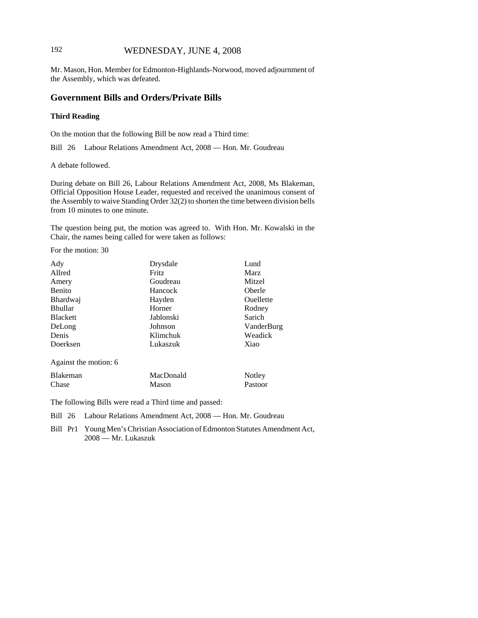# 192 WEDNESDAY, JUNE 4, 2008

Mr. Mason, Hon. Member for Edmonton-Highlands-Norwood, moved adjournment of the Assembly, which was defeated.

#### **Government Bills and Orders/Private Bills**

#### **Third Reading**

On the motion that the following Bill be now read a Third time:

Bill 26 Labour Relations Amendment Act, 2008 — Hon. Mr. Goudreau

A debate followed.

During debate on Bill 26, Labour Relations Amendment Act, 2008, Ms Blakeman, Official Opposition House Leader, requested and received the unanimous consent of the Assembly to waive Standing Order 32(2) to shorten the time between division bells from 10 minutes to one minute.

The question being put, the motion was agreed to. With Hon. Mr. Kowalski in the Chair, the names being called for were taken as follows:

For the motion: 30

Chase

| Ady                   | Drysdale<br>Lund |                  |
|-----------------------|------------------|------------------|
| Allred                | Fritz            | <b>Marz</b>      |
| Amery                 | Goudreau         | Mitzel           |
| <b>Benito</b>         | <b>Hancock</b>   | Oberle           |
| <b>Bhardwaj</b>       | Hayden           | <b>Ouellette</b> |
| <b>Bhullar</b>        | Horner           | Rodney           |
| <b>Blackett</b>       | Jablonski        | Sarich           |
| DeLong                | Johnson          | VanderBurg       |
| Denis                 | Klimchuk         | Weadick          |
| Doerksen              | Xiao<br>Lukaszuk |                  |
| Against the motion: 6 |                  |                  |
| <b>Blakeman</b>       | MacDonald        | Notley           |

Mason

The following Bills were read a Third time and passed:

Bill 26 Labour Relations Amendment Act, 2008 — Hon. Mr. Goudreau

Bill Pr1 Young Men's Christian Association of Edmonton Statutes Amendment Act, 2008 — Mr. Lukaszuk

Pastoor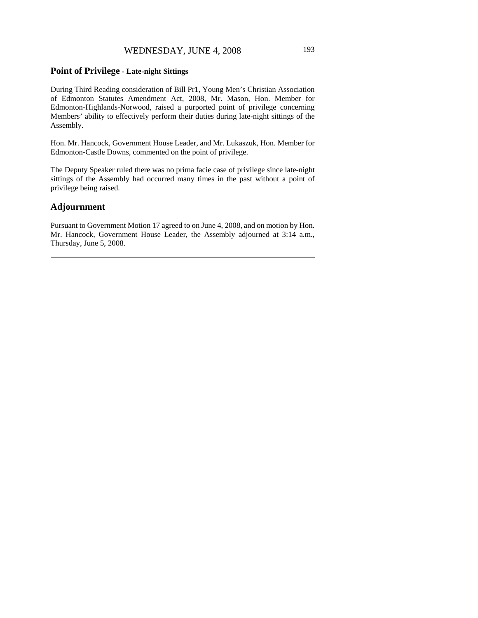# WEDNESDAY, JUNE 4, 2008 193

# **Point of Privilege - Late-night Sittings**

During Third Reading consideration of Bill Pr1, Young Men's Christian Association of Edmonton Statutes Amendment Act, 2008, Mr. Mason, Hon. Member for Edmonton-Highlands-Norwood, raised a purported point of privilege concerning Members' ability to effectively perform their duties during late-night sittings of the Assembly.

Hon. Mr. Hancock, Government House Leader, and Mr. Lukaszuk, Hon. Member for Edmonton-Castle Downs, commented on the point of privilege.

The Deputy Speaker ruled there was no prima facie case of privilege since late-night sittings of the Assembly had occurred many times in the past without a point of privilege being raised.

#### **Adjournment**

Pursuant to Government Motion 17 agreed to on June 4, 2008, and on motion by Hon. Mr. Hancock, Government House Leader, the Assembly adjourned at 3:14 a.m., Thursday, June 5, 2008.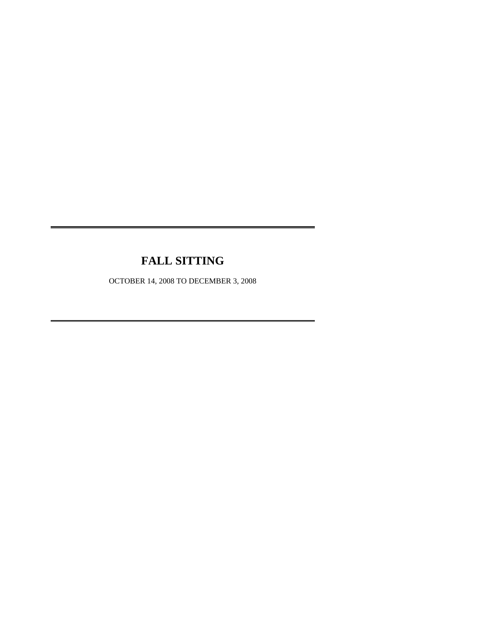# **FALL SITTING**

OCTOBER 14, 2008 TO DECEMBER 3, 2008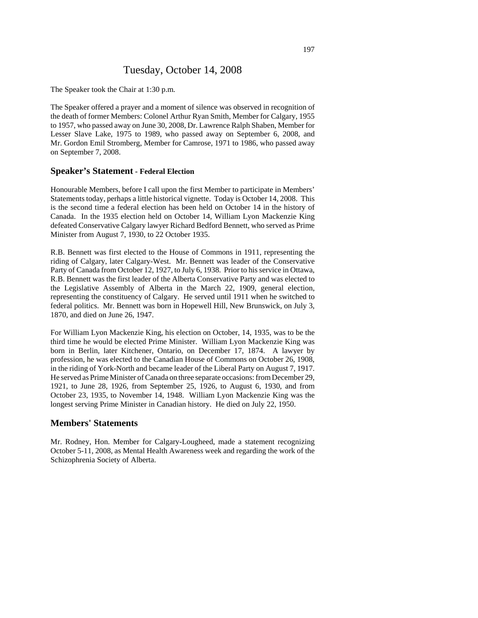# Tuesday, October 14, 2008

The Speaker took the Chair at 1:30 p.m.

The Speaker offered a prayer and a moment of silence was observed in recognition of the death of former Members: Colonel Arthur Ryan Smith, Member for Calgary, 1955 to 1957, who passed away on June 30, 2008, Dr. Lawrence Ralph Shaben, Member for Lesser Slave Lake, 1975 to 1989, who passed away on September 6, 2008, and Mr. Gordon Emil Stromberg, Member for Camrose, 1971 to 1986, who passed away on September 7, 2008.

#### **Speaker's Statement - Federal Election**

Honourable Members, before I call upon the first Member to participate in Members' Statements today, perhaps a little historical vignette. Today is October 14, 2008. This is the second time a federal election has been held on October 14 in the history of Canada. In the 1935 election held on October 14, William Lyon Mackenzie King defeated Conservative Calgary lawyer Richard Bedford Bennett, who served as Prime Minister from August 7, 1930, to 22 October 1935.

R.B. Bennett was first elected to the House of Commons in 1911, representing the riding of Calgary, later Calgary-West. Mr. Bennett was leader of the Conservative Party of Canada from October 12, 1927, to July 6, 1938. Prior to his service in Ottawa, R.B. Bennett was the first leader of the Alberta Conservative Party and was elected to the Legislative Assembly of Alberta in the March 22, 1909, general election, representing the constituency of Calgary. He served until 1911 when he switched to federal politics. Mr. Bennett was born in Hopewell Hill, New Brunswick, on July 3, 1870, and died on June 26, 1947.

For William Lyon Mackenzie King, his election on October, 14, 1935, was to be the third time he would be elected Prime Minister. William Lyon Mackenzie King was born in Berlin, later Kitchener, Ontario, on December 17, 1874. A lawyer by profession, he was elected to the Canadian House of Commons on October 26, 1908, in the riding of York-North and became leader of the Liberal Party on August 7, 1917. He served as Prime Minister of Canada on three separate occasions: from December 29, 1921, to June 28, 1926, from September 25, 1926, to August 6, 1930, and from October 23, 1935, to November 14, 1948. William Lyon Mackenzie King was the longest serving Prime Minister in Canadian history. He died on July 22, 1950.

#### **Members' Statements**

Mr. Rodney, Hon. Member for Calgary-Lougheed, made a statement recognizing October 5-11, 2008, as Mental Health Awareness week and regarding the work of the Schizophrenia Society of Alberta.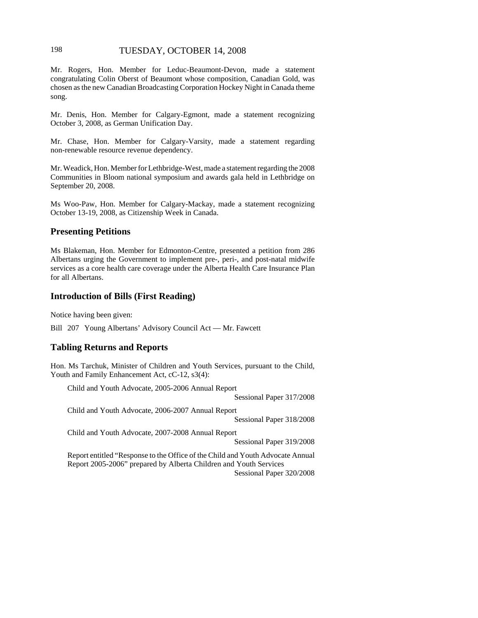# 198 TUESDAY, OCTOBER 14, 2008

Mr. Rogers, Hon. Member for Leduc-Beaumont-Devon, made a statement congratulating Colin Oberst of Beaumont whose composition, Canadian Gold, was chosen as the new Canadian Broadcasting Corporation Hockey Night in Canada theme song.

Mr. Denis, Hon. Member for Calgary-Egmont, made a statement recognizing October 3, 2008, as German Unification Day.

Mr. Chase, Hon. Member for Calgary-Varsity, made a statement regarding non-renewable resource revenue dependency.

Mr. Weadick, Hon. Member for Lethbridge-West, made a statement regarding the 2008 Communities in Bloom national symposium and awards gala held in Lethbridge on September 20, 2008.

Ms Woo-Paw, Hon. Member for Calgary-Mackay, made a statement recognizing October 13-19, 2008, as Citizenship Week in Canada.

# **Presenting Petitions**

Ms Blakeman, Hon. Member for Edmonton-Centre, presented a petition from 286 Albertans urging the Government to implement pre-, peri-, and post-natal midwife services as a core health care coverage under the Alberta Health Care Insurance Plan for all Albertans.

# **Introduction of Bills (First Reading)**

Notice having been given:

Bill 207 Young Albertans' Advisory Council Act — Mr. Fawcett

# **Tabling Returns and Reports**

Hon. Ms Tarchuk, Minister of Children and Youth Services, pursuant to the Child, Youth and Family Enhancement Act, cC-12, s3(4):

Child and Youth Advocate, 2005-2006 Annual Report

Sessional Paper 317/2008

Child and Youth Advocate, 2006-2007 Annual Report Sessional Paper 318/2008

Child and Youth Advocate, 2007-2008 Annual Report

Sessional Paper 319/2008

Report entitled "Response to the Office of the Child and Youth Advocate Annual Report 2005-2006" prepared by Alberta Children and Youth Services Sessional Paper 320/2008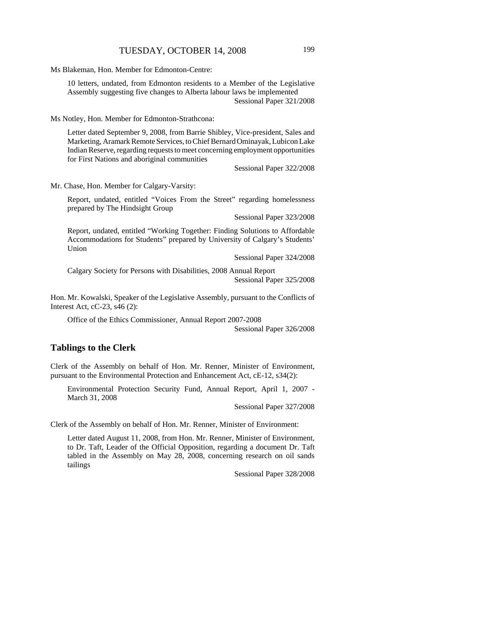Ms Blakeman, Hon. Member for Edmonton-Centre:

10 letters, undated, from Edmonton residents to a Member of the Legislative Assembly suggesting five changes to Alberta labour laws be implemented Sessional Paper 321/2008

Ms Notley, Hon. Member for Edmonton-Strathcona:

Letter dated September 9, 2008, from Barrie Shibley, Vice-president, Sales and Marketing, Aramark Remote Services, to Chief Bernard Ominayak, Lubicon Lake Indian Reserve, regarding requests to meet concerning employment opportunities for First Nations and aboriginal communities

Sessional Paper 322/2008

Mr. Chase, Hon. Member for Calgary-Varsity:

Report, undated, entitled "Voices From the Street" regarding homelessness prepared by The Hindsight Group

Sessional Paper 323/2008

Report, undated, entitled "Working Together: Finding Solutions to Affordable Accommodations for Students" prepared by University of Calgary's Students' Union

Sessional Paper 324/2008

Calgary Society for Persons with Disabilities, 2008 Annual Report Sessional Paper 325/2008

Hon. Mr. Kowalski, Speaker of the Legislative Assembly, pursuant to the Conflicts of Interest Act, cC-23, s46 (2):

Office of the Ethics Commissioner, Annual Report 2007-2008 Sessional Paper 326/2008

#### **Tablings to the Clerk**

Clerk of the Assembly on behalf of Hon. Mr. Renner, Minister of Environment, pursuant to the Environmental Protection and Enhancement Act, cE-12, s34(2):

Environmental Protection Security Fund, Annual Report, April 1, 2007 - March 31, 2008

Sessional Paper 327/2008

Clerk of the Assembly on behalf of Hon. Mr. Renner, Minister of Environment:

Letter dated August 11, 2008, from Hon. Mr. Renner, Minister of Environment, to Dr. Taft, Leader of the Official Opposition, regarding a document Dr. Taft tabled in the Assembly on May 28, 2008, concerning research on oil sands tailings

Sessional Paper 328/2008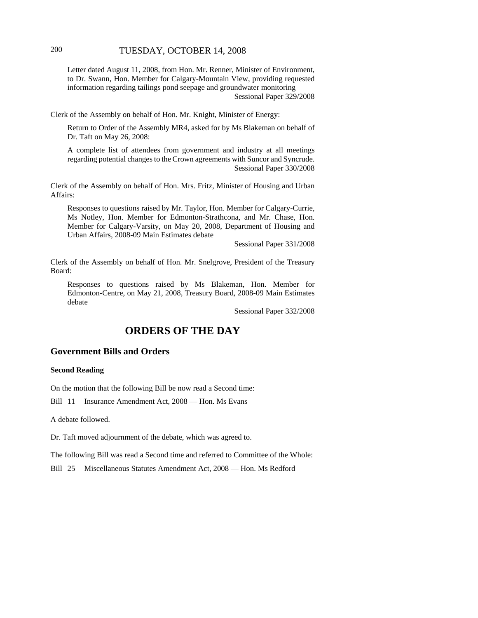# 200 TUESDAY, OCTOBER 14, 2008

Letter dated August 11, 2008, from Hon. Mr. Renner, Minister of Environment, to Dr. Swann, Hon. Member for Calgary-Mountain View, providing requested information regarding tailings pond seepage and groundwater monitoring Sessional Paper 329/2008

Clerk of the Assembly on behalf of Hon. Mr. Knight, Minister of Energy:

Return to Order of the Assembly MR4, asked for by Ms Blakeman on behalf of Dr. Taft on May 26, 2008:

A complete list of attendees from government and industry at all meetings regarding potential changes to the Crown agreements with Suncor and Syncrude. Sessional Paper 330/2008

Clerk of the Assembly on behalf of Hon. Mrs. Fritz, Minister of Housing and Urban Affairs:

Responses to questions raised by Mr. Taylor, Hon. Member for Calgary-Currie, Ms Notley, Hon. Member for Edmonton-Strathcona, and Mr. Chase, Hon. Member for Calgary-Varsity, on May 20, 2008, Department of Housing and Urban Affairs, 2008-09 Main Estimates debate

Sessional Paper 331/2008

Clerk of the Assembly on behalf of Hon. Mr. Snelgrove, President of the Treasury Board:

Responses to questions raised by Ms Blakeman, Hon. Member for Edmonton-Centre, on May 21, 2008, Treasury Board, 2008-09 Main Estimates debate

Sessional Paper 332/2008

# **ORDERS OF THE DAY**

#### **Government Bills and Orders**

#### **Second Reading**

On the motion that the following Bill be now read a Second time:

Bill 11 Insurance Amendment Act, 2008 — Hon. Ms Evans

A debate followed.

Dr. Taft moved adjournment of the debate, which was agreed to.

The following Bill was read a Second time and referred to Committee of the Whole:

Bill 25 Miscellaneous Statutes Amendment Act, 2008 — Hon. Ms Redford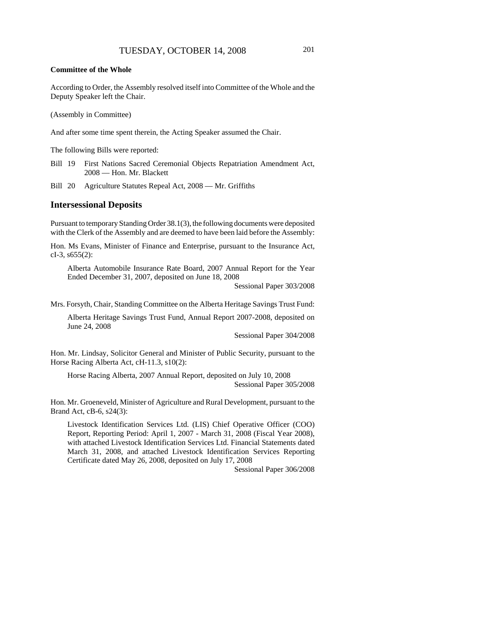#### **Committee of the Whole**

According to Order, the Assembly resolved itself into Committee of the Whole and the Deputy Speaker left the Chair.

(Assembly in Committee)

And after some time spent therein, the Acting Speaker assumed the Chair.

The following Bills were reported:

Bill 19 First Nations Sacred Ceremonial Objects Repatriation Amendment Act, 2008 — Hon. Mr. Blackett

Bill 20 Agriculture Statutes Repeal Act, 2008 — Mr. Griffiths

#### **Intersessional Deposits**

Pursuant to temporary Standing Order 38.1(3), the following documents were deposited with the Clerk of the Assembly and are deemed to have been laid before the Assembly:

Hon. Ms Evans, Minister of Finance and Enterprise, pursuant to the Insurance Act, cI-3,  $s655(2)$ :

Alberta Automobile Insurance Rate Board, 2007 Annual Report for the Year Ended December 31, 2007, deposited on June 18, 2008

Sessional Paper 303/2008

Mrs. Forsyth, Chair, Standing Committee on the Alberta Heritage Savings Trust Fund:

Alberta Heritage Savings Trust Fund, Annual Report 2007-2008, deposited on June 24, 2008

Sessional Paper 304/2008

Hon. Mr. Lindsay, Solicitor General and Minister of Public Security, pursuant to the Horse Racing Alberta Act, cH-11.3, s10(2):

Horse Racing Alberta, 2007 Annual Report, deposited on July 10, 2008 Sessional Paper 305/2008

Hon. Mr. Groeneveld, Minister of Agriculture and Rural Development, pursuant to the Brand Act, cB-6, s24(3):

Livestock Identification Services Ltd. (LIS) Chief Operative Officer (COO) Report, Reporting Period: April 1, 2007 - March 31, 2008 (Fiscal Year 2008), with attached Livestock Identification Services Ltd. Financial Statements dated March 31, 2008, and attached Livestock Identification Services Reporting Certificate dated May 26, 2008, deposited on July 17, 2008

Sessional Paper 306/2008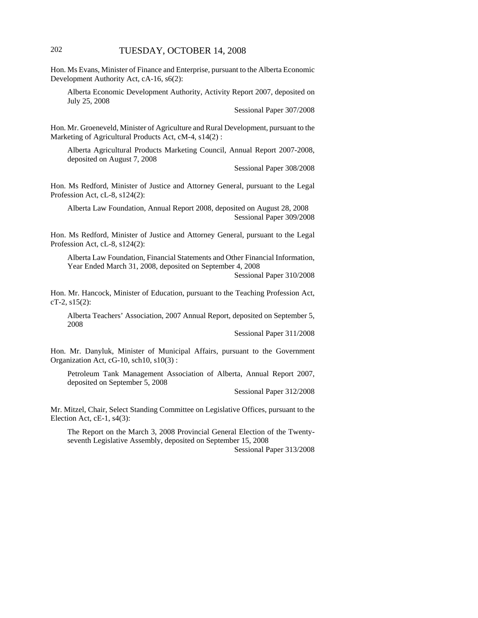# 202 TUESDAY, OCTOBER 14, 2008

Hon. Ms Evans, Minister of Finance and Enterprise, pursuant to the Alberta Economic Development Authority Act, cA-16, s6(2):

Alberta Economic Development Authority, Activity Report 2007, deposited on July 25, 2008

Sessional Paper 307/2008

Hon. Mr. Groeneveld, Minister of Agriculture and Rural Development, pursuant to the Marketing of Agricultural Products Act, cM-4, s14(2) :

Alberta Agricultural Products Marketing Council, Annual Report 2007-2008, deposited on August 7, 2008

Sessional Paper 308/2008

Hon. Ms Redford, Minister of Justice and Attorney General, pursuant to the Legal Profession Act, cL-8, s124(2):

Alberta Law Foundation, Annual Report 2008, deposited on August 28, 2008 Sessional Paper 309/2008

Hon. Ms Redford, Minister of Justice and Attorney General, pursuant to the Legal Profession Act, cL-8, s124(2):

Alberta Law Foundation, Financial Statements and Other Financial Information, Year Ended March 31, 2008, deposited on September 4, 2008

Sessional Paper 310/2008

Hon. Mr. Hancock, Minister of Education, pursuant to the Teaching Profession Act, cT-2, s15(2):

Alberta Teachers' Association, 2007 Annual Report, deposited on September 5, 2008

Sessional Paper 311/2008

Hon. Mr. Danyluk, Minister of Municipal Affairs, pursuant to the Government Organization Act, cG-10, sch10, s10(3) :

Petroleum Tank Management Association of Alberta, Annual Report 2007, deposited on September 5, 2008

Sessional Paper 312/2008

Mr. Mitzel, Chair, Select Standing Committee on Legislative Offices, pursuant to the Election Act, cE-1, s4(3):

The Report on the March 3, 2008 Provincial General Election of the Twentyseventh Legislative Assembly, deposited on September 15, 2008

Sessional Paper 313/2008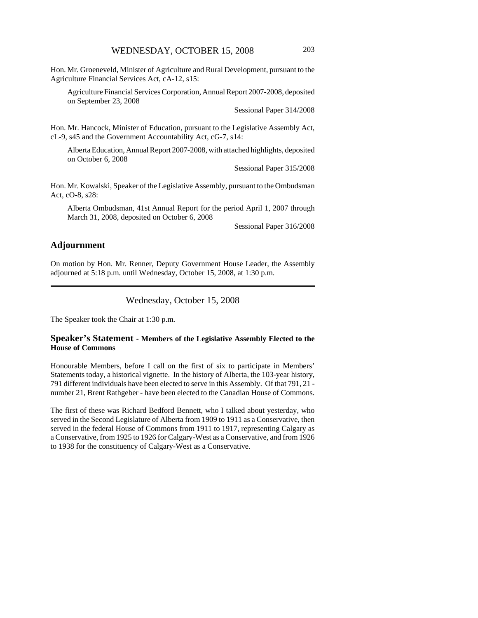Hon. Mr. Groeneveld, Minister of Agriculture and Rural Development, pursuant to the Agriculture Financial Services Act, cA-12, s15:

Agriculture Financial Services Corporation, Annual Report 2007-2008, deposited on September 23, 2008

Sessional Paper 314/2008

Hon. Mr. Hancock, Minister of Education, pursuant to the Legislative Assembly Act, cL-9, s45 and the Government Accountability Act, cG-7, s14:

Alberta Education, Annual Report 2007-2008, with attached highlights, deposited on October 6, 2008

Sessional Paper 315/2008

Hon. Mr. Kowalski, Speaker of the Legislative Assembly, pursuant to the Ombudsman Act, cO-8, s28:

Alberta Ombudsman, 41st Annual Report for the period April 1, 2007 through March 31, 2008, deposited on October 6, 2008

Sessional Paper 316/2008

#### **Adjournment**

On motion by Hon. Mr. Renner, Deputy Government House Leader, the Assembly adjourned at 5:18 p.m. until Wednesday, October 15, 2008, at 1:30 p.m.

Wednesday, October 15, 2008

The Speaker took the Chair at 1:30 p.m.

#### **Speaker's Statement - Members of the Legislative Assembly Elected to the House of Commons**

Honourable Members, before I call on the first of six to participate in Members' Statements today, a historical vignette. In the history of Alberta, the 103-year history, 791 different individuals have been elected to serve in this Assembly. Of that 791, 21 number 21, Brent Rathgeber - have been elected to the Canadian House of Commons.

The first of these was Richard Bedford Bennett, who I talked about yesterday, who served in the Second Legislature of Alberta from 1909 to 1911 as a Conservative, then served in the federal House of Commons from 1911 to 1917, representing Calgary as a Conservative, from 1925 to 1926 for Calgary-West as a Conservative, and from 1926 to 1938 for the constituency of Calgary-West as a Conservative.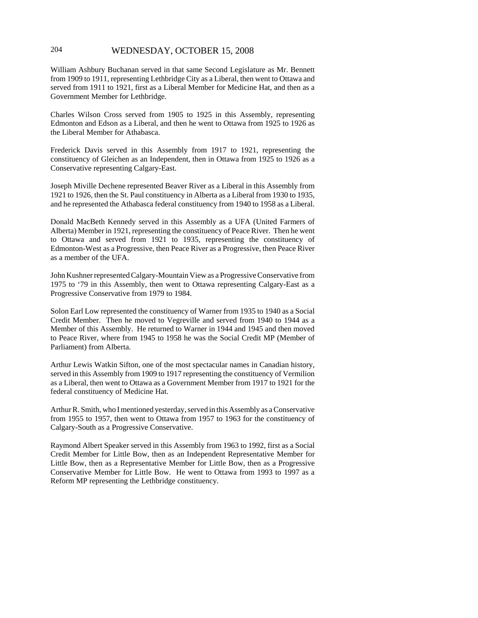# 204 WEDNESDAY, OCTOBER 15, 2008

William Ashbury Buchanan served in that same Second Legislature as Mr. Bennett from 1909 to 1911, representing Lethbridge City as a Liberal, then went to Ottawa and served from 1911 to 1921, first as a Liberal Member for Medicine Hat, and then as a Government Member for Lethbridge.

Charles Wilson Cross served from 1905 to 1925 in this Assembly, representing Edmonton and Edson as a Liberal, and then he went to Ottawa from 1925 to 1926 as the Liberal Member for Athabasca.

Frederick Davis served in this Assembly from 1917 to 1921, representing the constituency of Gleichen as an Independent, then in Ottawa from 1925 to 1926 as a Conservative representing Calgary-East.

Joseph Miville Dechene represented Beaver River as a Liberal in this Assembly from 1921 to 1926, then the St. Paul constituency in Alberta as a Liberal from 1930 to 1935, and he represented the Athabasca federal constituency from 1940 to 1958 as a Liberal.

Donald MacBeth Kennedy served in this Assembly as a UFA (United Farmers of Alberta) Member in 1921, representing the constituency of Peace River. Then he went to Ottawa and served from 1921 to 1935, representing the constituency of Edmonton-West as a Progressive, then Peace River as a Progressive, then Peace River as a member of the UFA.

John Kushner represented Calgary-Mountain View as a Progressive Conservative from 1975 to '79 in this Assembly, then went to Ottawa representing Calgary-East as a Progressive Conservative from 1979 to 1984.

Solon Earl Low represented the constituency of Warner from 1935 to 1940 as a Social Credit Member. Then he moved to Vegreville and served from 1940 to 1944 as a Member of this Assembly. He returned to Warner in 1944 and 1945 and then moved to Peace River, where from 1945 to 1958 he was the Social Credit MP (Member of Parliament) from Alberta.

Arthur Lewis Watkin Sifton, one of the most spectacular names in Canadian history, served in this Assembly from 1909 to 1917 representing the constituency of Vermilion as a Liberal, then went to Ottawa as a Government Member from 1917 to 1921 for the federal constituency of Medicine Hat.

Arthur R. Smith, who I mentioned yesterday, served in this Assembly as a Conservative from 1955 to 1957, then went to Ottawa from 1957 to 1963 for the constituency of Calgary-South as a Progressive Conservative.

Raymond Albert Speaker served in this Assembly from 1963 to 1992, first as a Social Credit Member for Little Bow, then as an Independent Representative Member for Little Bow, then as a Representative Member for Little Bow, then as a Progressive Conservative Member for Little Bow. He went to Ottawa from 1993 to 1997 as a Reform MP representing the Lethbridge constituency.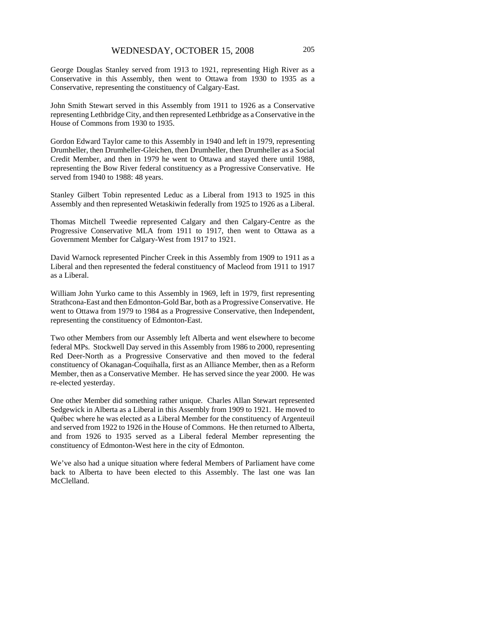George Douglas Stanley served from 1913 to 1921, representing High River as a Conservative in this Assembly, then went to Ottawa from 1930 to 1935 as a Conservative, representing the constituency of Calgary-East.

John Smith Stewart served in this Assembly from 1911 to 1926 as a Conservative representing Lethbridge City, and then represented Lethbridge as a Conservative in the House of Commons from 1930 to 1935.

Gordon Edward Taylor came to this Assembly in 1940 and left in 1979, representing Drumheller, then Drumheller-Gleichen, then Drumheller, then Drumheller as a Social Credit Member, and then in 1979 he went to Ottawa and stayed there until 1988, representing the Bow River federal constituency as a Progressive Conservative. He served from 1940 to 1988: 48 years.

Stanley Gilbert Tobin represented Leduc as a Liberal from 1913 to 1925 in this Assembly and then represented Wetaskiwin federally from 1925 to 1926 as a Liberal.

Thomas Mitchell Tweedie represented Calgary and then Calgary-Centre as the Progressive Conservative MLA from 1911 to 1917, then went to Ottawa as a Government Member for Calgary-West from 1917 to 1921.

David Warnock represented Pincher Creek in this Assembly from 1909 to 1911 as a Liberal and then represented the federal constituency of Macleod from 1911 to 1917 as a Liberal.

William John Yurko came to this Assembly in 1969, left in 1979, first representing Strathcona-East and then Edmonton-Gold Bar, both as a Progressive Conservative. He went to Ottawa from 1979 to 1984 as a Progressive Conservative, then Independent, representing the constituency of Edmonton-East.

Two other Members from our Assembly left Alberta and went elsewhere to become federal MPs. Stockwell Day served in this Assembly from 1986 to 2000, representing Red Deer-North as a Progressive Conservative and then moved to the federal constituency of Okanagan-Coquihalla, first as an Alliance Member, then as a Reform Member, then as a Conservative Member. He has served since the year 2000. He was re-elected yesterday.

One other Member did something rather unique. Charles Allan Stewart represented Sedgewick in Alberta as a Liberal in this Assembly from 1909 to 1921. He moved to Québec where he was elected as a Liberal Member for the constituency of Argenteuil and served from 1922 to 1926 in the House of Commons. He then returned to Alberta, and from 1926 to 1935 served as a Liberal federal Member representing the constituency of Edmonton-West here in the city of Edmonton.

We've also had a unique situation where federal Members of Parliament have come back to Alberta to have been elected to this Assembly. The last one was Ian McClelland.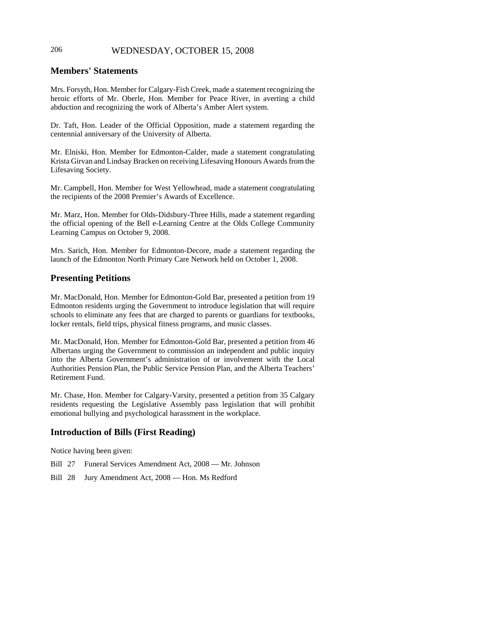# 206 WEDNESDAY, OCTOBER 15, 2008

# **Members' Statements**

Mrs. Forsyth, Hon. Member for Calgary-Fish Creek, made a statement recognizing the heroic efforts of Mr. Oberle, Hon. Member for Peace River, in averting a child abduction and recognizing the work of Alberta's Amber Alert system.

Dr. Taft, Hon. Leader of the Official Opposition, made a statement regarding the centennial anniversary of the University of Alberta.

Mr. Elniski, Hon. Member for Edmonton-Calder, made a statement congratulating Krista Girvan and Lindsay Bracken on receiving Lifesaving Honours Awards from the Lifesaving Society.

Mr. Campbell, Hon. Member for West Yellowhead, made a statement congratulating the recipients of the 2008 Premier's Awards of Excellence.

Mr. Marz, Hon. Member for Olds-Didsbury-Three Hills, made a statement regarding the official opening of the Bell e-Learning Centre at the Olds College Community Learning Campus on October 9, 2008.

Mrs. Sarich, Hon. Member for Edmonton-Decore, made a statement regarding the launch of the Edmonton North Primary Care Network held on October 1, 2008.

# **Presenting Petitions**

Mr. MacDonald, Hon. Member for Edmonton-Gold Bar, presented a petition from 19 Edmonton residents urging the Government to introduce legislation that will require schools to eliminate any fees that are charged to parents or guardians for textbooks, locker rentals, field trips, physical fitness programs, and music classes.

Mr. MacDonald, Hon. Member for Edmonton-Gold Bar, presented a petition from 46 Albertans urging the Government to commission an independent and public inquiry into the Alberta Government's administration of or involvement with the Local Authorities Pension Plan, the Public Service Pension Plan, and the Alberta Teachers' Retirement Fund.

Mr. Chase, Hon. Member for Calgary-Varsity, presented a petition from 35 Calgary residents requesting the Legislative Assembly pass legislation that will prohibit emotional bullying and psychological harassment in the workplace.

# **Introduction of Bills (First Reading)**

Notice having been given:

Bill 27 Funeral Services Amendment Act, 2008 — Mr. Johnson

Bill 28 Jury Amendment Act, 2008 — Hon. Ms Redford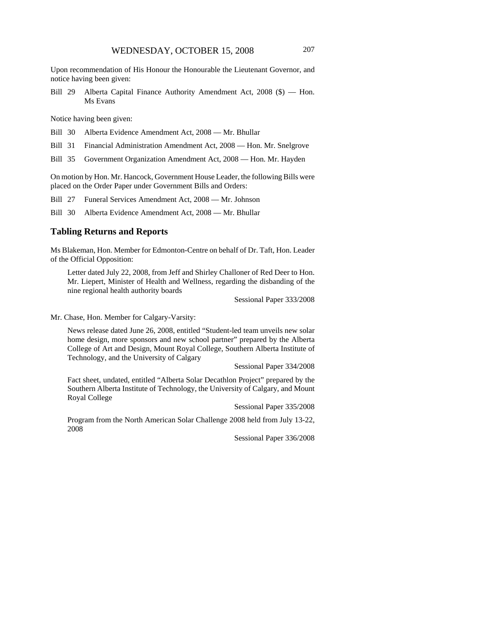Upon recommendation of His Honour the Honourable the Lieutenant Governor, and notice having been given:

Bill 29 Alberta Capital Finance Authority Amendment Act, 2008 (\$) — Hon. Ms Evans

Notice having been given:

Bill 30 Alberta Evidence Amendment Act, 2008 — Mr. Bhullar

Bill 31 Financial Administration Amendment Act, 2008 — Hon. Mr. Snelgrove

Bill 35 Government Organization Amendment Act, 2008 — Hon. Mr. Hayden

On motion by Hon. Mr. Hancock, Government House Leader, the following Bills were placed on the Order Paper under Government Bills and Orders:

Bill 27 Funeral Services Amendment Act, 2008 — Mr. Johnson

Bill 30 Alberta Evidence Amendment Act, 2008 — Mr. Bhullar

#### **Tabling Returns and Reports**

Ms Blakeman, Hon. Member for Edmonton-Centre on behalf of Dr. Taft, Hon. Leader of the Official Opposition:

Letter dated July 22, 2008, from Jeff and Shirley Challoner of Red Deer to Hon. Mr. Liepert, Minister of Health and Wellness, regarding the disbanding of the nine regional health authority boards

Sessional Paper 333/2008

Mr. Chase, Hon. Member for Calgary-Varsity:

News release dated June 26, 2008, entitled "Student-led team unveils new solar home design, more sponsors and new school partner" prepared by the Alberta College of Art and Design, Mount Royal College, Southern Alberta Institute of Technology, and the University of Calgary

Sessional Paper 334/2008

Fact sheet, undated, entitled "Alberta Solar Decathlon Project" prepared by the Southern Alberta Institute of Technology, the University of Calgary, and Mount Royal College

Sessional Paper 335/2008

Program from the North American Solar Challenge 2008 held from July 13-22, 2008

Sessional Paper 336/2008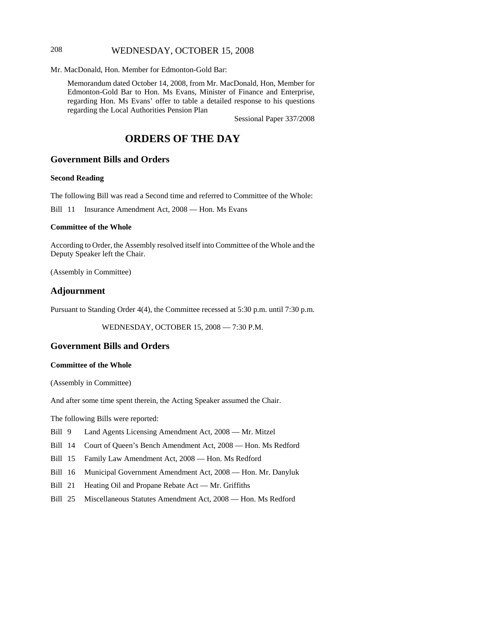# 208 WEDNESDAY, OCTOBER 15, 2008

Mr. MacDonald, Hon. Member for Edmonton-Gold Bar:

Memorandum dated October 14, 2008, from Mr. MacDonald, Hon, Member for Edmonton-Gold Bar to Hon. Ms Evans, Minister of Finance and Enterprise, regarding Hon. Ms Evans' offer to table a detailed response to his questions regarding the Local Authorities Pension Plan

Sessional Paper 337/2008

# **ORDERS OF THE DAY**

# **Government Bills and Orders**

#### **Second Reading**

The following Bill was read a Second time and referred to Committee of the Whole:

Bill 11 Insurance Amendment Act, 2008 — Hon. Ms Evans

#### **Committee of the Whole**

According to Order, the Assembly resolved itself into Committee of the Whole and the Deputy Speaker left the Chair.

(Assembly in Committee)

#### **Adjournment**

Pursuant to Standing Order 4(4), the Committee recessed at 5:30 p.m. until 7:30 p.m.

WEDNESDAY, OCTOBER 15, 2008 — 7:30 P.M.

#### **Government Bills and Orders**

#### **Committee of the Whole**

(Assembly in Committee)

And after some time spent therein, the Acting Speaker assumed the Chair.

The following Bills were reported:

- Bill 9 Land Agents Licensing Amendment Act, 2008 Mr. Mitzel
- Bill 14 Court of Queen's Bench Amendment Act, 2008 Hon. Ms Redford
- Bill 15 Family Law Amendment Act, 2008 Hon. Ms Redford
- Bill 16 Municipal Government Amendment Act, 2008 Hon. Mr. Danyluk
- Bill 21 Heating Oil and Propane Rebate Act Mr. Griffiths
- Bill 25 Miscellaneous Statutes Amendment Act, 2008 Hon. Ms Redford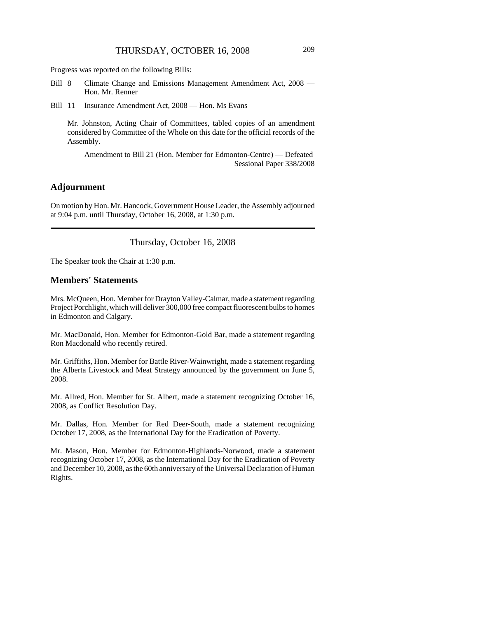Progress was reported on the following Bills:

- Bill 8 Climate Change and Emissions Management Amendment Act, 2008 Hon. Mr. Renner
- Bill 11 Insurance Amendment Act, 2008 Hon. Ms Evans

Mr. Johnston, Acting Chair of Committees, tabled copies of an amendment considered by Committee of the Whole on this date for the official records of the Assembly.

Amendment to Bill 21 (Hon. Member for Edmonton-Centre) — Defeated Sessional Paper 338/2008

#### **Adjournment**

On motion by Hon. Mr. Hancock, Government House Leader, the Assembly adjourned at 9:04 p.m. until Thursday, October 16, 2008, at 1:30 p.m.

Thursday, October 16, 2008

The Speaker took the Chair at 1:30 p.m.

#### **Members' Statements**

Mrs. McQueen, Hon. Member for Drayton Valley-Calmar, made a statement regarding Project Porchlight, which will deliver 300,000 free compact fluorescent bulbs to homes in Edmonton and Calgary.

Mr. MacDonald, Hon. Member for Edmonton-Gold Bar, made a statement regarding Ron Macdonald who recently retired.

Mr. Griffiths, Hon. Member for Battle River-Wainwright, made a statement regarding the Alberta Livestock and Meat Strategy announced by the government on June 5, 2008.

Mr. Allred, Hon. Member for St. Albert, made a statement recognizing October 16, 2008, as Conflict Resolution Day.

Mr. Dallas, Hon. Member for Red Deer-South, made a statement recognizing October 17, 2008, as the International Day for the Eradication of Poverty.

Mr. Mason, Hon. Member for Edmonton-Highlands-Norwood, made a statement recognizing October 17, 2008, as the International Day for the Eradication of Poverty and December 10, 2008, as the 60th anniversary of the Universal Declaration of Human Rights.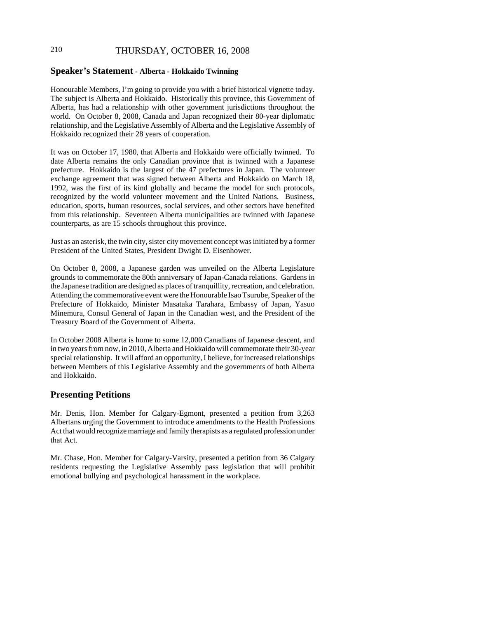# 210 THURSDAY, OCTOBER 16, 2008

#### **Speaker's Statement - Alberta - Hokkaido Twinning**

Honourable Members, I'm going to provide you with a brief historical vignette today. The subject is Alberta and Hokkaido. Historically this province, this Government of Alberta, has had a relationship with other government jurisdictions throughout the world. On October 8, 2008, Canada and Japan recognized their 80-year diplomatic relationship, and the Legislative Assembly of Alberta and the Legislative Assembly of Hokkaido recognized their 28 years of cooperation.

It was on October 17, 1980, that Alberta and Hokkaido were officially twinned. To date Alberta remains the only Canadian province that is twinned with a Japanese prefecture. Hokkaido is the largest of the 47 prefectures in Japan. The volunteer exchange agreement that was signed between Alberta and Hokkaido on March 18, 1992, was the first of its kind globally and became the model for such protocols, recognized by the world volunteer movement and the United Nations. Business, education, sports, human resources, social services, and other sectors have benefited from this relationship. Seventeen Alberta municipalities are twinned with Japanese counterparts, as are 15 schools throughout this province.

Just as an asterisk, the twin city, sister city movement concept was initiated by a former President of the United States, President Dwight D. Eisenhower.

On October 8, 2008, a Japanese garden was unveiled on the Alberta Legislature grounds to commemorate the 80th anniversary of Japan-Canada relations. Gardens in the Japanese tradition are designed as places of tranquillity, recreation, and celebration. Attending the commemorative event were the Honourable Isao Tsurube, Speaker of the Prefecture of Hokkaido, Minister Masataka Tarahara, Embassy of Japan, Yasuo Minemura, Consul General of Japan in the Canadian west, and the President of the Treasury Board of the Government of Alberta.

In October 2008 Alberta is home to some 12,000 Canadians of Japanese descent, and in two years from now, in 2010, Alberta and Hokkaido will commemorate their 30-year special relationship. It will afford an opportunity, I believe, for increased relationships between Members of this Legislative Assembly and the governments of both Alberta and Hokkaido.

#### **Presenting Petitions**

Mr. Denis, Hon. Member for Calgary-Egmont, presented a petition from 3,263 Albertans urging the Government to introduce amendments to the Health Professions Act that would recognize marriage and family therapists as a regulated profession under that Act.

Mr. Chase, Hon. Member for Calgary-Varsity, presented a petition from 36 Calgary residents requesting the Legislative Assembly pass legislation that will prohibit emotional bullying and psychological harassment in the workplace.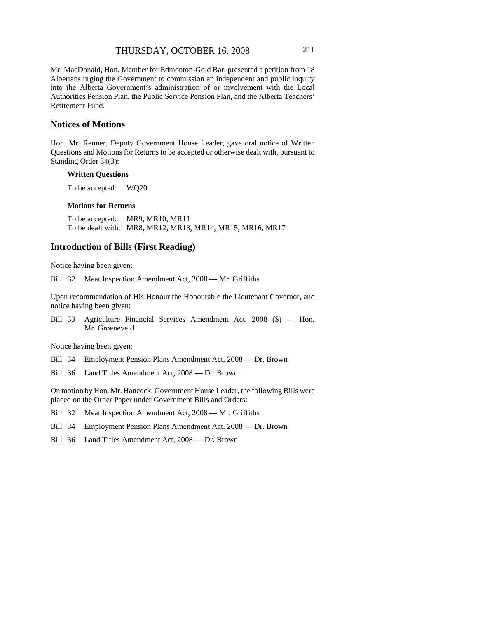Mr. MacDonald, Hon. Member for Edmonton-Gold Bar, presented a petition from 18 Albertans urging the Government to commission an independent and public inquiry into the Alberta Government's administration of or involvement with the Local Authorities Pension Plan, the Public Service Pension Plan, and the Alberta Teachers' Retirement Fund.

# **Notices of Motions**

Hon. Mr. Renner, Deputy Government House Leader, gave oral notice of Written Questions and Motions for Returns to be accepted or otherwise dealt with, pursuant to Standing Order 34(3):

#### **Written Questions**

To be accepted: WQ20

#### **Motions for Returns**

To be accepted: MR9, MR10, MR11 To be dealt with: MR8, MR12, MR13, MR14, MR15, MR16, MR17

#### **Introduction of Bills (First Reading)**

Notice having been given:

Bill 32 Meat Inspection Amendment Act, 2008 — Mr. Griffiths

Upon recommendation of His Honour the Honourable the Lieutenant Governor, and notice having been given:

Bill 33 Agriculture Financial Services Amendment Act, 2008 (\$) — Hon. Mr. Groeneveld

Notice having been given:

- Bill 34 Employment Pension Plans Amendment Act, 2008 Dr. Brown
- Bill 36 Land Titles Amendment Act, 2008 Dr. Brown

On motion by Hon. Mr. Hancock, Government House Leader, the following Bills were placed on the Order Paper under Government Bills and Orders:

Bill 32 Meat Inspection Amendment Act, 2008 — Mr. Griffiths

- Bill 34 Employment Pension Plans Amendment Act, 2008 Dr. Brown
- Bill 36 Land Titles Amendment Act, 2008 Dr. Brown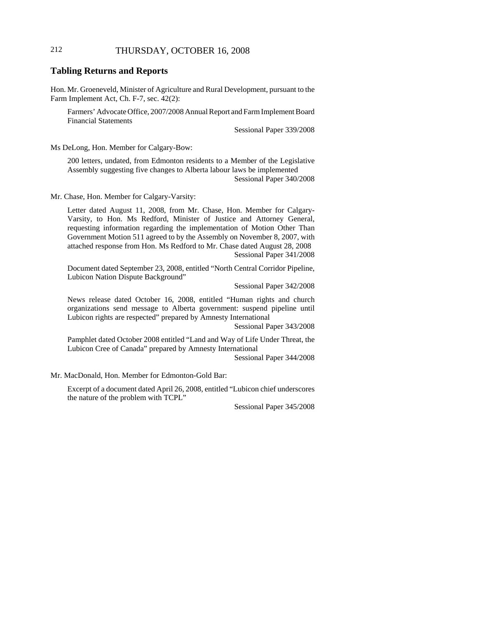# 212 THURSDAY, OCTOBER 16, 2008

# **Tabling Returns and Reports**

Hon. Mr. Groeneveld, Minister of Agriculture and Rural Development, pursuant to the Farm Implement Act, Ch. F-7, sec. 42(2):

Farmers' Advocate Office, 2007/2008 Annual Report and Farm Implement Board Financial Statements

Sessional Paper 339/2008

Ms DeLong, Hon. Member for Calgary-Bow:

200 letters, undated, from Edmonton residents to a Member of the Legislative Assembly suggesting five changes to Alberta labour laws be implemented Sessional Paper 340/2008

Mr. Chase, Hon. Member for Calgary-Varsity:

Letter dated August 11, 2008, from Mr. Chase, Hon. Member for Calgary-Varsity, to Hon. Ms Redford, Minister of Justice and Attorney General, requesting information regarding the implementation of Motion Other Than Government Motion 511 agreed to by the Assembly on November 8, 2007, with attached response from Hon. Ms Redford to Mr. Chase dated August 28, 2008 Sessional Paper 341/2008

Document dated September 23, 2008, entitled "North Central Corridor Pipeline, Lubicon Nation Dispute Background"

Sessional Paper 342/2008

News release dated October 16, 2008, entitled "Human rights and church organizations send message to Alberta government: suspend pipeline until Lubicon rights are respected" prepared by Amnesty International

Sessional Paper 343/2008

Pamphlet dated October 2008 entitled "Land and Way of Life Under Threat, the Lubicon Cree of Canada" prepared by Amnesty International

Sessional Paper 344/2008

Mr. MacDonald, Hon. Member for Edmonton-Gold Bar:

Excerpt of a document dated April 26, 2008, entitled "Lubicon chief underscores the nature of the problem with TCPL"

Sessional Paper 345/2008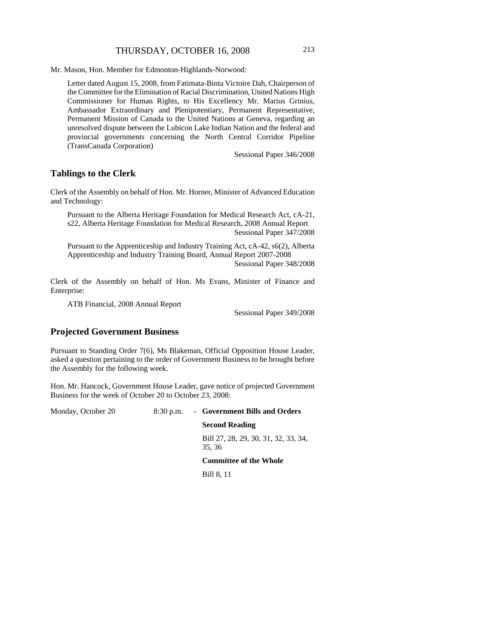Mr. Mason, Hon. Member for Edmonton-Highlands-Norwood:

Letter dated August 15, 2008, from Fatimata-Binta Victoire Dah, Chairperson of the Committee for the Elimination of Racial Discrimination, United Nations High Commissioner for Human Rights, to His Excellency Mr. Marius Grinius, Ambassador Extraordinary and Plenipotentiary, Permanent Representative, Permanent Mission of Canada to the United Nations at Geneva, regarding an unresolved dispute between the Lubicon Lake Indian Nation and the federal and provincial governments concerning the North Central Corridor Pipeline (TransCanada Corporation)

Sessional Paper 346/2008

#### **Tablings to the Clerk**

Clerk of the Assembly on behalf of Hon. Mr. Horner, Minister of Advanced Education and Technology:

Pursuant to the Alberta Heritage Foundation for Medical Research Act, cA-21, s22, Alberta Heritage Foundation for Medical Research, 2008 Annual Report Sessional Paper 347/2008

Pursuant to the Apprenticeship and Industry Training Act, cA-42, s6(2), Alberta Apprenticeship and Industry Training Board, Annual Report 2007-2008 Sessional Paper 348/2008

Clerk of the Assembly on behalf of Hon. Ms Evans, Minister of Finance and Enterprise:

ATB Financial, 2008 Annual Report

Sessional Paper 349/2008

# **Projected Government Business**

Pursuant to Standing Order 7(6), Ms Blakeman, Official Opposition House Leader, asked a question pertaining to the order of Government Business to be brought before the Assembly for the following week.

Hon. Mr. Hancock, Government House Leader, gave notice of projected Government Business for the week of October 20 to October 23, 2008:

| Monday, October 20 | $8:30$ p.m. | - Government Bills and Orders                 |
|--------------------|-------------|-----------------------------------------------|
|                    |             | <b>Second Reading</b>                         |
|                    |             | Bill 27, 28, 29, 30, 31, 32, 33, 34,<br>35.36 |
|                    |             | <b>Committee of the Whole</b>                 |
|                    |             | Bill 8, 11                                    |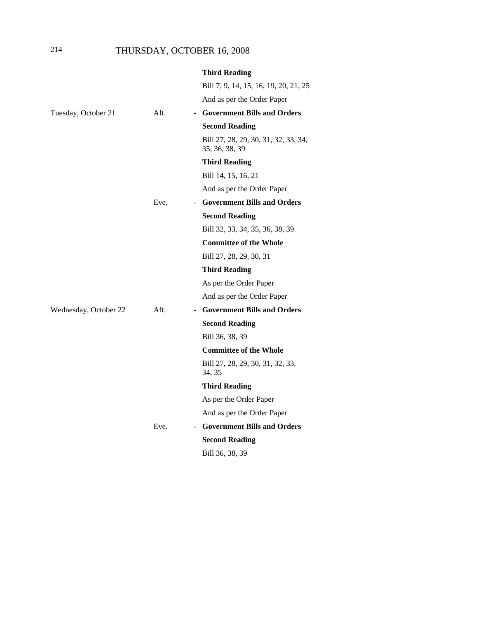|                       |      | <b>Third Reading</b>                                   |
|-----------------------|------|--------------------------------------------------------|
|                       |      | Bill 7, 9, 14, 15, 16, 19, 20, 21, 25                  |
|                       |      | And as per the Order Paper                             |
| Tuesday, October 21   | Aft. | - Government Bills and Orders                          |
|                       |      | <b>Second Reading</b>                                  |
|                       |      | Bill 27, 28, 29, 30, 31, 32, 33, 34,<br>35, 36, 38, 39 |
|                       |      | <b>Third Reading</b>                                   |
|                       |      | Bill 14, 15, 16, 21                                    |
|                       |      | And as per the Order Paper                             |
|                       | Eve. | <b>Government Bills and Orders</b>                     |
|                       |      | <b>Second Reading</b>                                  |
|                       |      | Bill 32, 33, 34, 35, 36, 38, 39                        |
|                       |      | <b>Committee of the Whole</b>                          |
|                       |      | Bill 27, 28, 29, 30, 31                                |
|                       |      | <b>Third Reading</b>                                   |
|                       |      | As per the Order Paper                                 |
|                       |      | And as per the Order Paper                             |
| Wednesday, October 22 | Aft. | <b>Government Bills and Orders</b>                     |
|                       |      | <b>Second Reading</b>                                  |
|                       |      | Bill 36, 38, 39                                        |
|                       |      | <b>Committee of the Whole</b>                          |
|                       |      | Bill 27, 28, 29, 30, 31, 32, 33,<br>34, 35             |
|                       |      | <b>Third Reading</b>                                   |
|                       |      | As per the Order Paper                                 |
|                       |      | And as per the Order Paper                             |
|                       | Eve. | <b>Government Bills and Orders</b>                     |
|                       |      | <b>Second Reading</b>                                  |
|                       |      | Bill 36, 38, 39                                        |
|                       |      |                                                        |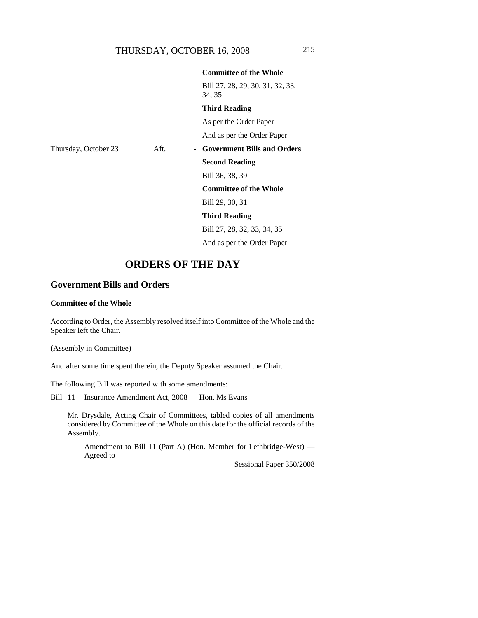Bill 27, 28, 29, 30, 31, 32, 33, 34, 35

**Committee of the Whole**

#### **Third Reading**

As per the Order Paper

# And as per the Order Paper Thursday, October 23 Aft. - **Government Bills and Orders Second Reading** Bill 36, 38, 39 **Committee of the Whole** Bill 29, 30, 31 **Third Reading** Bill 27, 28, 32, 33, 34, 35 And as per the Order Paper

# **ORDERS OF THE DAY**

# **Government Bills and Orders**

#### **Committee of the Whole**

According to Order, the Assembly resolved itself into Committee of the Whole and the Speaker left the Chair.

(Assembly in Committee)

And after some time spent therein, the Deputy Speaker assumed the Chair.

The following Bill was reported with some amendments:

Bill 11 Insurance Amendment Act, 2008 — Hon. Ms Evans

Mr. Drysdale, Acting Chair of Committees, tabled copies of all amendments considered by Committee of the Whole on this date for the official records of the Assembly.

Amendment to Bill 11 (Part A) (Hon. Member for Lethbridge-West) — Agreed to

Sessional Paper 350/2008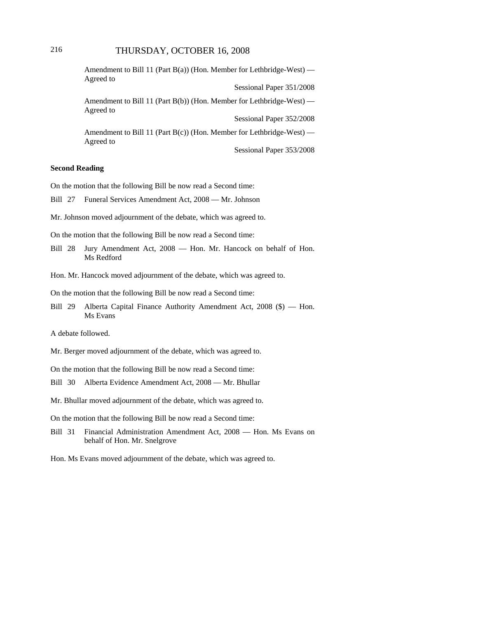# 216 THURSDAY, OCTOBER 16, 2008

| Agreed to | Amendment to Bill 11 (Part B(a)) (Hon. Member for Lethbridge-West) — |
|-----------|----------------------------------------------------------------------|
|           | Sessional Paper 351/2008                                             |
| Agreed to | Amendment to Bill 11 (Part B(b)) (Hon. Member for Lethbridge-West) — |
|           | Sessional Paper 352/2008                                             |
| Agreed to | Amendment to Bill 11 (Part B(c)) (Hon. Member for Lethbridge-West) — |
|           | Sessional Paper 353/2008                                             |

#### **Second Reading**

On the motion that the following Bill be now read a Second time:

Bill 27 Funeral Services Amendment Act, 2008 — Mr. Johnson

Mr. Johnson moved adjournment of the debate, which was agreed to.

On the motion that the following Bill be now read a Second time:

- Bill 28 Jury Amendment Act, 2008 Hon. Mr. Hancock on behalf of Hon. Ms Redford
- Hon. Mr. Hancock moved adjournment of the debate, which was agreed to.

On the motion that the following Bill be now read a Second time:

Bill 29 Alberta Capital Finance Authority Amendment Act, 2008 (\$) — Hon. Ms Evans

A debate followed.

Mr. Berger moved adjournment of the debate, which was agreed to.

On the motion that the following Bill be now read a Second time:

- Bill 30 Alberta Evidence Amendment Act, 2008 Mr. Bhullar
- Mr. Bhullar moved adjournment of the debate, which was agreed to.

On the motion that the following Bill be now read a Second time:

Bill 31 Financial Administration Amendment Act, 2008 — Hon. Ms Evans on behalf of Hon. Mr. Snelgrove

Hon. Ms Evans moved adjournment of the debate, which was agreed to.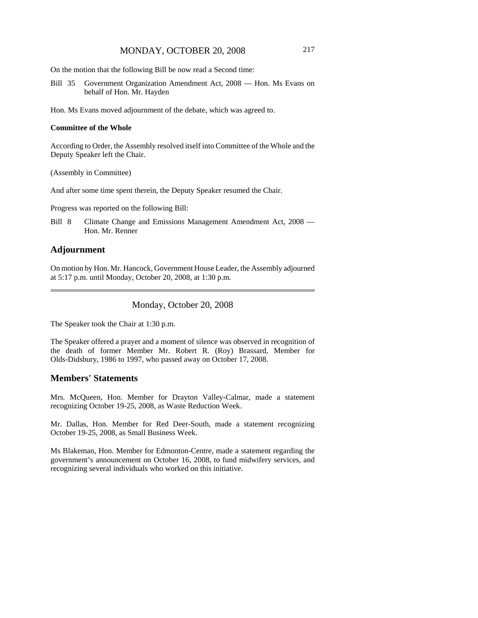On the motion that the following Bill be now read a Second time:

Bill 35 Government Organization Amendment Act, 2008 — Hon. Ms Evans on behalf of Hon. Mr. Hayden

Hon. Ms Evans moved adjournment of the debate, which was agreed to.

#### **Committee of the Whole**

According to Order, the Assembly resolved itself into Committee of the Whole and the Deputy Speaker left the Chair.

(Assembly in Committee)

And after some time spent therein, the Deputy Speaker resumed the Chair.

Progress was reported on the following Bill:

Bill 8 Climate Change and Emissions Management Amendment Act, 2008 — Hon. Mr. Renner

# **Adjournment**

On motion by Hon. Mr. Hancock, Government House Leader, the Assembly adjourned at 5:17 p.m. until Monday, October 20, 2008, at 1:30 p.m.

## Monday, October 20, 2008

The Speaker took the Chair at 1:30 p.m.

The Speaker offered a prayer and a moment of silence was observed in recognition of the death of former Member Mr. Robert R. (Roy) Brassard, Member for Olds-Didsbury, 1986 to 1997, who passed away on October 17, 2008.

# **Members' Statements**

Mrs. McQueen, Hon. Member for Drayton Valley-Calmar, made a statement recognizing October 19-25, 2008, as Waste Reduction Week.

Mr. Dallas, Hon. Member for Red Deer-South, made a statement recognizing October 19-25, 2008, as Small Business Week.

Ms Blakeman, Hon. Member for Edmonton-Centre, made a statement regarding the government's announcement on October 16, 2008, to fund midwifery services, and recognizing several individuals who worked on this initiative.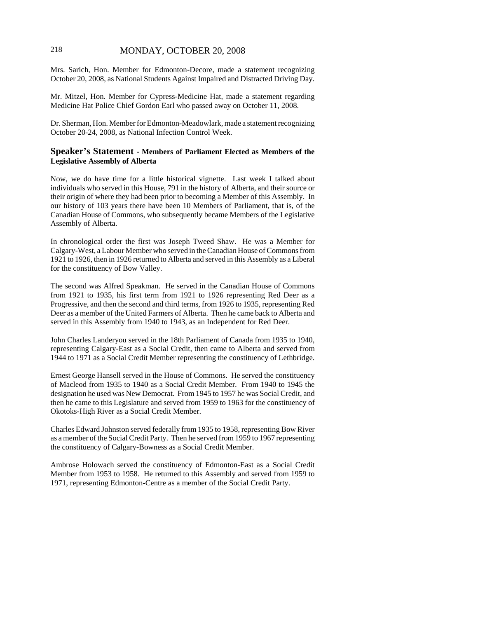# 218 MONDAY, OCTOBER 20, 2008

Mrs. Sarich, Hon. Member for Edmonton-Decore, made a statement recognizing October 20, 2008, as National Students Against Impaired and Distracted Driving Day.

Mr. Mitzel, Hon. Member for Cypress-Medicine Hat, made a statement regarding Medicine Hat Police Chief Gordon Earl who passed away on October 11, 2008.

Dr. Sherman, Hon. Member for Edmonton-Meadowlark, made a statement recognizing October 20-24, 2008, as National Infection Control Week.

## **Speaker's Statement - Members of Parliament Elected as Members of the Legislative Assembly of Alberta**

Now, we do have time for a little historical vignette. Last week I talked about individuals who served in this House, 791 in the history of Alberta, and their source or their origin of where they had been prior to becoming a Member of this Assembly. In our history of 103 years there have been 10 Members of Parliament, that is, of the Canadian House of Commons, who subsequently became Members of the Legislative Assembly of Alberta.

In chronological order the first was Joseph Tweed Shaw. He was a Member for Calgary-West, a Labour Member who served in the Canadian House of Commons from 1921 to 1926, then in 1926 returned to Alberta and served in this Assembly as a Liberal for the constituency of Bow Valley.

The second was Alfred Speakman. He served in the Canadian House of Commons from 1921 to 1935, his first term from 1921 to 1926 representing Red Deer as a Progressive, and then the second and third terms, from 1926 to 1935, representing Red Deer as a member of the United Farmers of Alberta. Then he came back to Alberta and served in this Assembly from 1940 to 1943, as an Independent for Red Deer.

John Charles Landeryou served in the 18th Parliament of Canada from 1935 to 1940, representing Calgary-East as a Social Credit, then came to Alberta and served from 1944 to 1971 as a Social Credit Member representing the constituency of Lethbridge.

Ernest George Hansell served in the House of Commons. He served the constituency of Macleod from 1935 to 1940 as a Social Credit Member. From 1940 to 1945 the designation he used was New Democrat. From 1945 to 1957 he was Social Credit, and then he came to this Legislature and served from 1959 to 1963 for the constituency of Okotoks-High River as a Social Credit Member.

Charles Edward Johnston served federally from 1935 to 1958, representing Bow River as a member of the Social Credit Party. Then he served from 1959 to 1967 representing the constituency of Calgary-Bowness as a Social Credit Member.

Ambrose Holowach served the constituency of Edmonton-East as a Social Credit Member from 1953 to 1958. He returned to this Assembly and served from 1959 to 1971, representing Edmonton-Centre as a member of the Social Credit Party.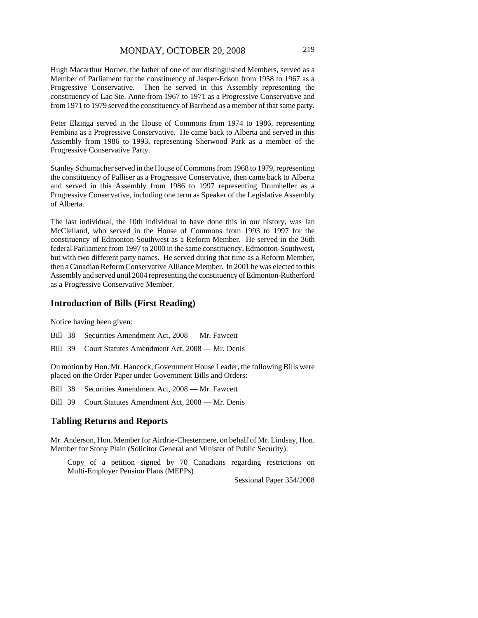Hugh Macarthur Horner, the father of one of our distinguished Members, served as a Member of Parliament for the constituency of Jasper-Edson from 1958 to 1967 as a Progressive Conservative. Then he served in this Assembly representing the constituency of Lac Ste. Anne from 1967 to 1971 as a Progressive Conservative and from 1971 to 1979 served the constituency of Barrhead as a member of that same party.

Peter Elzinga served in the House of Commons from 1974 to 1986, representing Pembina as a Progressive Conservative. He came back to Alberta and served in this Assembly from 1986 to 1993, representing Sherwood Park as a member of the Progressive Conservative Party.

Stanley Schumacher served in the House of Commons from 1968 to 1979, representing the constituency of Palliser as a Progressive Conservative, then came back to Alberta and served in this Assembly from 1986 to 1997 representing Drumheller as a Progressive Conservative, including one term as Speaker of the Legislative Assembly of Alberta.

The last individual, the 10th individual to have done this in our history, was Ian McClelland, who served in the House of Commons from 1993 to 1997 for the constituency of Edmonton-Southwest as a Reform Member. He served in the 36th federal Parliament from 1997 to 2000 in the same constituency, Edmonton-Southwest, but with two different party names. He served during that time as a Reform Member, then a Canadian Reform Conservative Alliance Member. In 2001 he was elected to this Assembly and served until 2004 representing the constituency of Edmonton-Rutherford as a Progressive Conservative Member.

### **Introduction of Bills (First Reading)**

Notice having been given:

Bill 38 Securities Amendment Act, 2008 — Mr. Fawcett

Bill 39 Court Statutes Amendment Act, 2008 — Mr. Denis

On motion by Hon. Mr. Hancock, Government House Leader, the following Bills were placed on the Order Paper under Government Bills and Orders:

Bill 38 Securities Amendment Act, 2008 — Mr. Fawcett

Bill 39 Court Statutes Amendment Act, 2008 — Mr. Denis

### **Tabling Returns and Reports**

Mr. Anderson, Hon. Member for Airdrie-Chestermere, on behalf of Mr. Lindsay, Hon. Member for Stony Plain (Solicitor General and Minister of Public Security):

Copy of a petition signed by 70 Canadians regarding restrictions on Multi-Employer Pension Plans (MEPPs)

Sessional Paper 354/2008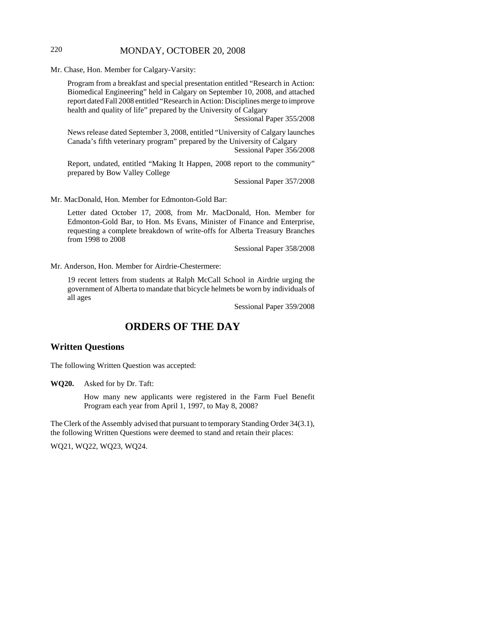# 220 MONDAY, OCTOBER 20, 2008

Mr. Chase, Hon. Member for Calgary-Varsity:

Program from a breakfast and special presentation entitled "Research in Action: Biomedical Engineering" held in Calgary on September 10, 2008, and attached report dated Fall 2008 entitled "Research in Action: Disciplines merge to improve health and quality of life" prepared by the University of Calgary

Sessional Paper 355/2008

News release dated September 3, 2008, entitled "University of Calgary launches Canada's fifth veterinary program" prepared by the University of Calgary Sessional Paper 356/2008

Report, undated, entitled "Making It Happen, 2008 report to the community" prepared by Bow Valley College

Sessional Paper 357/2008

Mr. MacDonald, Hon. Member for Edmonton-Gold Bar:

Letter dated October 17, 2008, from Mr. MacDonald, Hon. Member for Edmonton-Gold Bar, to Hon. Ms Evans, Minister of Finance and Enterprise, requesting a complete breakdown of write-offs for Alberta Treasury Branches from 1998 to 2008

Sessional Paper 358/2008

Mr. Anderson, Hon. Member for Airdrie-Chestermere:

19 recent letters from students at Ralph McCall School in Airdrie urging the government of Alberta to mandate that bicycle helmets be worn by individuals of all ages

Sessional Paper 359/2008

# **ORDERS OF THE DAY**

# **Written Questions**

The following Written Question was accepted:

**WQ20.** Asked for by Dr. Taft:

How many new applicants were registered in the Farm Fuel Benefit Program each year from April 1, 1997, to May 8, 2008?

The Clerk of the Assembly advised that pursuant to temporary Standing Order 34(3.1), the following Written Questions were deemed to stand and retain their places:

WQ21, WQ22, WQ23, WQ24.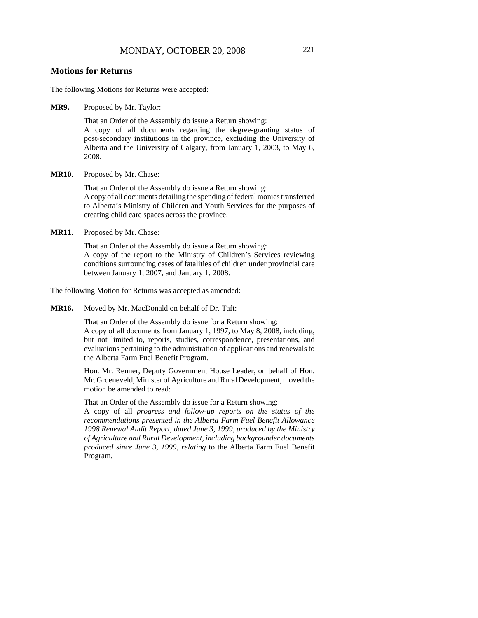### **Motions for Returns**

The following Motions for Returns were accepted:

**MR9.** Proposed by Mr. Taylor:

That an Order of the Assembly do issue a Return showing: A copy of all documents regarding the degree-granting status of post-secondary institutions in the province, excluding the University of Alberta and the University of Calgary, from January 1, 2003, to May 6, 2008.

**MR10.** Proposed by Mr. Chase:

That an Order of the Assembly do issue a Return showing: A copy of all documents detailing the spending of federal monies transferred to Alberta's Ministry of Children and Youth Services for the purposes of creating child care spaces across the province.

**MR11.** Proposed by Mr. Chase:

That an Order of the Assembly do issue a Return showing: A copy of the report to the Ministry of Children's Services reviewing conditions surrounding cases of fatalities of children under provincial care between January 1, 2007, and January 1, 2008.

The following Motion for Returns was accepted as amended:

**MR16.** Moved by Mr. MacDonald on behalf of Dr. Taft:

That an Order of the Assembly do issue for a Return showing: A copy of all documents from January 1, 1997, to May 8, 2008, including, but not limited to, reports, studies, correspondence, presentations, and evaluations pertaining to the administration of applications and renewals to the Alberta Farm Fuel Benefit Program.

Hon. Mr. Renner, Deputy Government House Leader, on behalf of Hon. Mr. Groeneveld, Minister of Agriculture and Rural Development, moved the motion be amended to read:

That an Order of the Assembly do issue for a Return showing:

A copy of all *progress and follow-up reports on the status of the recommendations presented in the Alberta Farm Fuel Benefit Allowance 1998 Renewal Audit Report, dated June 3, 1999, produced by the Ministry of Agriculture and Rural Development, including backgrounder documents produced since June 3, 1999, relating* to the Alberta Farm Fuel Benefit Program.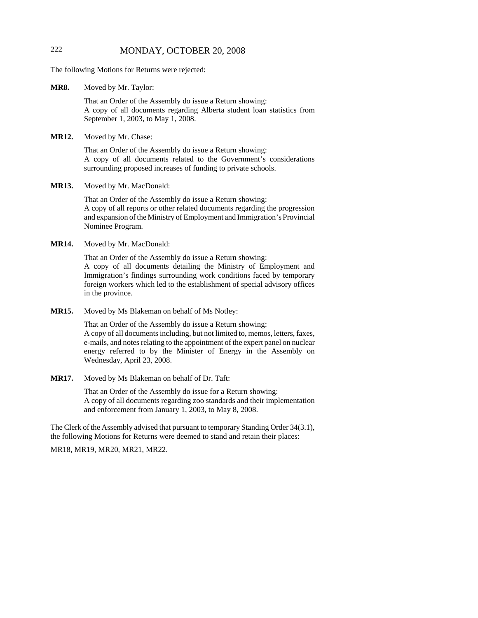# 222 MONDAY, OCTOBER 20, 2008

The following Motions for Returns were rejected:

**MR8.** Moved by Mr. Taylor:

That an Order of the Assembly do issue a Return showing: A copy of all documents regarding Alberta student loan statistics from September 1, 2003, to May 1, 2008.

**MR12.** Moved by Mr. Chase:

That an Order of the Assembly do issue a Return showing: A copy of all documents related to the Government's considerations surrounding proposed increases of funding to private schools.

**MR13.** Moved by Mr. MacDonald:

That an Order of the Assembly do issue a Return showing: A copy of all reports or other related documents regarding the progression and expansion of the Ministry of Employment and Immigration's Provincial Nominee Program.

**MR14.** Moved by Mr. MacDonald:

That an Order of the Assembly do issue a Return showing: A copy of all documents detailing the Ministry of Employment and Immigration's findings surrounding work conditions faced by temporary foreign workers which led to the establishment of special advisory offices in the province.

**MR15.** Moved by Ms Blakeman on behalf of Ms Notley:

That an Order of the Assembly do issue a Return showing: A copy of all documents including, but not limited to, memos, letters, faxes, e-mails, and notes relating to the appointment of the expert panel on nuclear energy referred to by the Minister of Energy in the Assembly on Wednesday, April 23, 2008.

**MR17.** Moved by Ms Blakeman on behalf of Dr. Taft:

That an Order of the Assembly do issue for a Return showing: A copy of all documents regarding zoo standards and their implementation and enforcement from January 1, 2003, to May 8, 2008.

The Clerk of the Assembly advised that pursuant to temporary Standing Order 34(3.1), the following Motions for Returns were deemed to stand and retain their places:

MR18, MR19, MR20, MR21, MR22.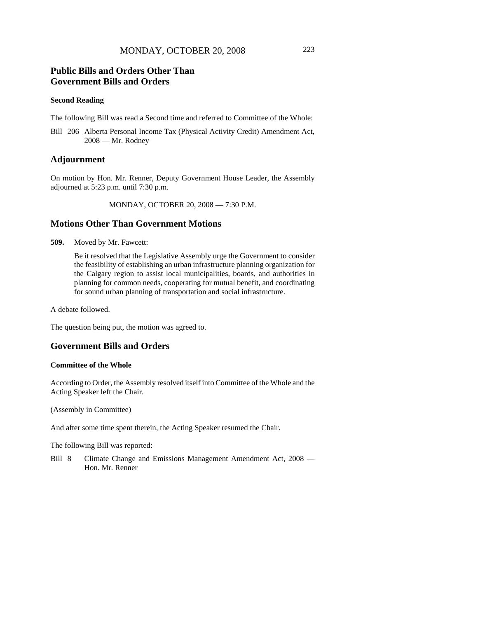# **Public Bills and Orders Other Than Government Bills and Orders**

#### **Second Reading**

The following Bill was read a Second time and referred to Committee of the Whole:

Bill 206 Alberta Personal Income Tax (Physical Activity Credit) Amendment Act, 2008 — Mr. Rodney

## **Adjournment**

On motion by Hon. Mr. Renner, Deputy Government House Leader, the Assembly adjourned at 5:23 p.m. until 7:30 p.m.

MONDAY, OCTOBER 20, 2008 — 7:30 P.M.

# **Motions Other Than Government Motions**

**509.** Moved by Mr. Fawcett:

Be it resolved that the Legislative Assembly urge the Government to consider the feasibility of establishing an urban infrastructure planning organization for the Calgary region to assist local municipalities, boards, and authorities in planning for common needs, cooperating for mutual benefit, and coordinating for sound urban planning of transportation and social infrastructure.

A debate followed.

The question being put, the motion was agreed to.

### **Government Bills and Orders**

### **Committee of the Whole**

According to Order, the Assembly resolved itself into Committee of the Whole and the Acting Speaker left the Chair.

(Assembly in Committee)

And after some time spent therein, the Acting Speaker resumed the Chair.

The following Bill was reported:

Bill 8 Climate Change and Emissions Management Amendment Act, 2008 — Hon. Mr. Renner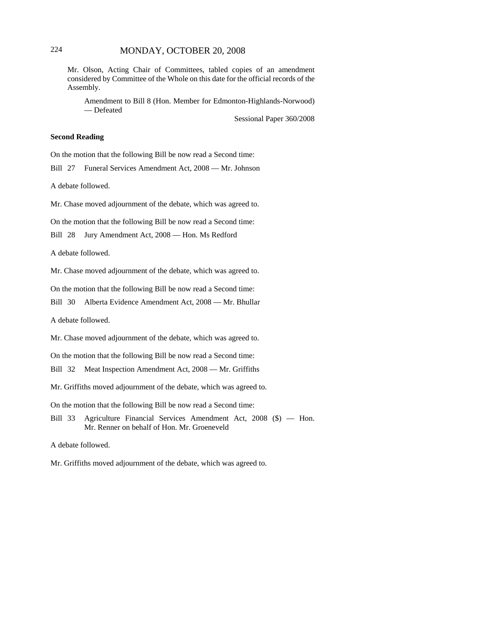# 224 MONDAY, OCTOBER 20, 2008

Mr. Olson, Acting Chair of Committees, tabled copies of an amendment considered by Committee of the Whole on this date for the official records of the Assembly.

Amendment to Bill 8 (Hon. Member for Edmonton-Highlands-Norwood) — Defeated

Sessional Paper 360/2008

### **Second Reading**

On the motion that the following Bill be now read a Second time:

Bill 27 Funeral Services Amendment Act, 2008 — Mr. Johnson

A debate followed.

Mr. Chase moved adjournment of the debate, which was agreed to.

On the motion that the following Bill be now read a Second time:

Bill 28 Jury Amendment Act, 2008 — Hon. Ms Redford

A debate followed.

Mr. Chase moved adjournment of the debate, which was agreed to.

On the motion that the following Bill be now read a Second time:

Bill 30 Alberta Evidence Amendment Act, 2008 — Mr. Bhullar

A debate followed.

Mr. Chase moved adjournment of the debate, which was agreed to.

On the motion that the following Bill be now read a Second time:

Bill 32 Meat Inspection Amendment Act, 2008 — Mr. Griffiths

Mr. Griffiths moved adjournment of the debate, which was agreed to.

On the motion that the following Bill be now read a Second time:

Bill 33 Agriculture Financial Services Amendment Act, 2008 (\$) — Hon. Mr. Renner on behalf of Hon. Mr. Groeneveld

A debate followed.

Mr. Griffiths moved adjournment of the debate, which was agreed to.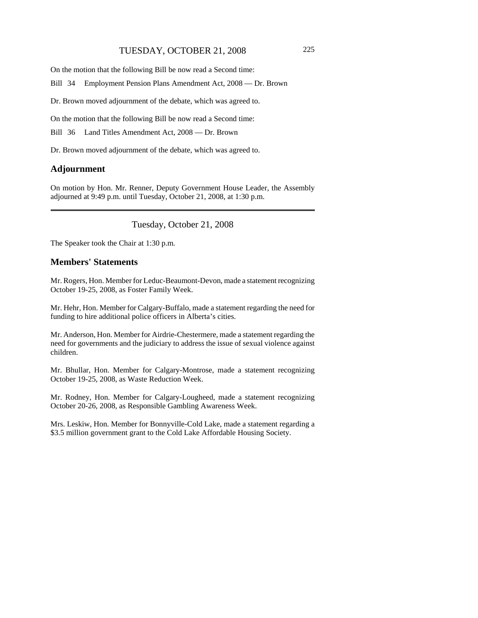# TUESDAY, OCTOBER 21, 2008 225

On the motion that the following Bill be now read a Second time:

Bill 34 Employment Pension Plans Amendment Act, 2008 — Dr. Brown

Dr. Brown moved adjournment of the debate, which was agreed to.

On the motion that the following Bill be now read a Second time:

Bill 36 Land Titles Amendment Act, 2008 — Dr. Brown

Dr. Brown moved adjournment of the debate, which was agreed to.

#### **Adjournment**

On motion by Hon. Mr. Renner, Deputy Government House Leader, the Assembly adjourned at 9:49 p.m. until Tuesday, October 21, 2008, at 1:30 p.m.

Tuesday, October 21, 2008

The Speaker took the Chair at 1:30 p.m.

# **Members' Statements**

Mr. Rogers, Hon. Member for Leduc-Beaumont-Devon, made a statement recognizing October 19-25, 2008, as Foster Family Week.

Mr. Hehr, Hon. Member for Calgary-Buffalo, made a statement regarding the need for funding to hire additional police officers in Alberta's cities.

Mr. Anderson, Hon. Member for Airdrie-Chestermere, made a statement regarding the need for governments and the judiciary to address the issue of sexual violence against children.

Mr. Bhullar, Hon. Member for Calgary-Montrose, made a statement recognizing October 19-25, 2008, as Waste Reduction Week.

Mr. Rodney, Hon. Member for Calgary-Lougheed, made a statement recognizing October 20-26, 2008, as Responsible Gambling Awareness Week.

Mrs. Leskiw, Hon. Member for Bonnyville-Cold Lake, made a statement regarding a \$3.5 million government grant to the Cold Lake Affordable Housing Society.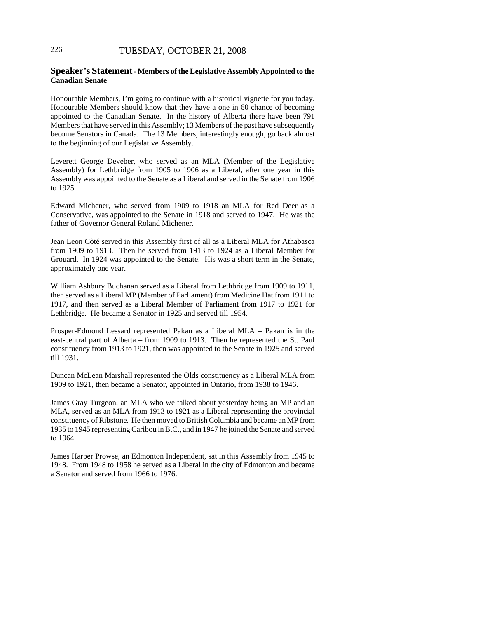# 226 TUESDAY, OCTOBER 21, 2008

### **Speaker's Statement - Members of the Legislative Assembly Appointed to the Canadian Senate**

Honourable Members, I'm going to continue with a historical vignette for you today. Honourable Members should know that they have a one in 60 chance of becoming appointed to the Canadian Senate. In the history of Alberta there have been 791 Members that have served in this Assembly; 13 Members of the past have subsequently become Senators in Canada. The 13 Members, interestingly enough, go back almost to the beginning of our Legislative Assembly.

Leverett George Deveber, who served as an MLA (Member of the Legislative Assembly) for Lethbridge from 1905 to 1906 as a Liberal, after one year in this Assembly was appointed to the Senate as a Liberal and served in the Senate from 1906 to 1925.

Edward Michener, who served from 1909 to 1918 an MLA for Red Deer as a Conservative, was appointed to the Senate in 1918 and served to 1947. He was the father of Governor General Roland Michener.

Jean Leon Côté served in this Assembly first of all as a Liberal MLA for Athabasca from 1909 to 1913. Then he served from 1913 to 1924 as a Liberal Member for Grouard. In 1924 was appointed to the Senate. His was a short term in the Senate, approximately one year.

William Ashbury Buchanan served as a Liberal from Lethbridge from 1909 to 1911, then served as a Liberal MP (Member of Parliament) from Medicine Hat from 1911 to 1917, and then served as a Liberal Member of Parliament from 1917 to 1921 for Lethbridge. He became a Senator in 1925 and served till 1954.

Prosper-Edmond Lessard represented Pakan as a Liberal MLA – Pakan is in the east-central part of Alberta – from 1909 to 1913. Then he represented the St. Paul constituency from 1913 to 1921, then was appointed to the Senate in 1925 and served till 1931.

Duncan McLean Marshall represented the Olds constituency as a Liberal MLA from 1909 to 1921, then became a Senator, appointed in Ontario, from 1938 to 1946.

James Gray Turgeon, an MLA who we talked about yesterday being an MP and an MLA, served as an MLA from 1913 to 1921 as a Liberal representing the provincial constituency of Ribstone. He then moved to British Columbia and became an MP from 1935 to 1945 representing Caribou in B.C., and in 1947 he joined the Senate and served to 1964.

James Harper Prowse, an Edmonton Independent, sat in this Assembly from 1945 to 1948. From 1948 to 1958 he served as a Liberal in the city of Edmonton and became a Senator and served from 1966 to 1976.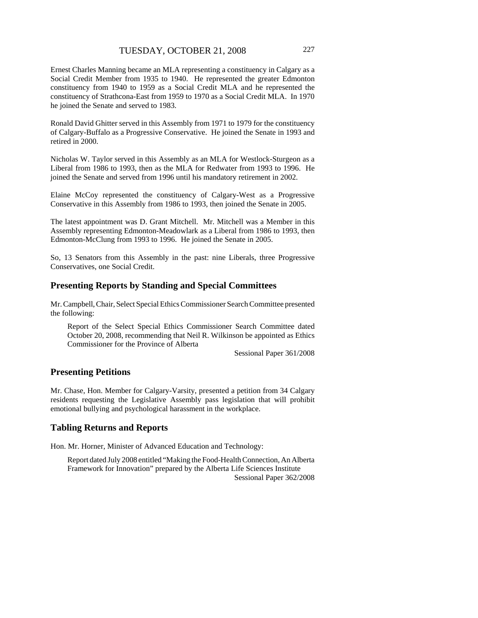Ernest Charles Manning became an MLA representing a constituency in Calgary as a Social Credit Member from 1935 to 1940. He represented the greater Edmonton constituency from 1940 to 1959 as a Social Credit MLA and he represented the constituency of Strathcona-East from 1959 to 1970 as a Social Credit MLA. In 1970 he joined the Senate and served to 1983.

Ronald David Ghitter served in this Assembly from 1971 to 1979 for the constituency of Calgary-Buffalo as a Progressive Conservative. He joined the Senate in 1993 and retired in 2000.

Nicholas W. Taylor served in this Assembly as an MLA for Westlock-Sturgeon as a Liberal from 1986 to 1993, then as the MLA for Redwater from 1993 to 1996. He joined the Senate and served from 1996 until his mandatory retirement in 2002.

Elaine McCoy represented the constituency of Calgary-West as a Progressive Conservative in this Assembly from 1986 to 1993, then joined the Senate in 2005.

The latest appointment was D. Grant Mitchell. Mr. Mitchell was a Member in this Assembly representing Edmonton-Meadowlark as a Liberal from 1986 to 1993, then Edmonton-McClung from 1993 to 1996. He joined the Senate in 2005.

So, 13 Senators from this Assembly in the past: nine Liberals, three Progressive Conservatives, one Social Credit.

### **Presenting Reports by Standing and Special Committees**

Mr. Campbell, Chair, Select Special Ethics Commissioner Search Committee presented the following:

Report of the Select Special Ethics Commissioner Search Committee dated October 20, 2008, recommending that Neil R. Wilkinson be appointed as Ethics Commissioner for the Province of Alberta

Sessional Paper 361/2008

### **Presenting Petitions**

Mr. Chase, Hon. Member for Calgary-Varsity, presented a petition from 34 Calgary residents requesting the Legislative Assembly pass legislation that will prohibit emotional bullying and psychological harassment in the workplace.

#### **Tabling Returns and Reports**

Hon. Mr. Horner, Minister of Advanced Education and Technology:

Report dated July 2008 entitled "Making the Food-Health Connection, An Alberta Framework for Innovation" prepared by the Alberta Life Sciences Institute Sessional Paper 362/2008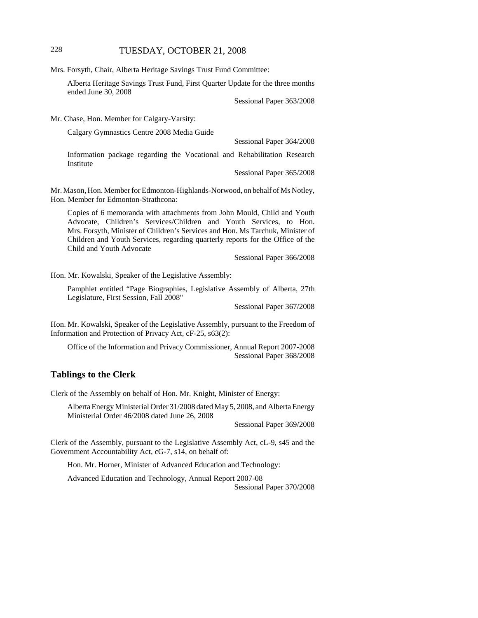# 228 TUESDAY, OCTOBER 21, 2008

Mrs. Forsyth, Chair, Alberta Heritage Savings Trust Fund Committee:

Alberta Heritage Savings Trust Fund, First Quarter Update for the three months ended June 30, 2008

Sessional Paper 363/2008

Mr. Chase, Hon. Member for Calgary-Varsity:

Calgary Gymnastics Centre 2008 Media Guide

Sessional Paper 364/2008

Information package regarding the Vocational and Rehabilitation Research Institute

Sessional Paper 365/2008

Mr. Mason, Hon. Member for Edmonton-Highlands-Norwood, on behalf of Ms Notley, Hon. Member for Edmonton-Strathcona:

Copies of 6 memoranda with attachments from John Mould, Child and Youth Advocate, Children's Services/Children and Youth Services, to Hon. Mrs. Forsyth, Minister of Children's Services and Hon. Ms Tarchuk, Minister of Children and Youth Services, regarding quarterly reports for the Office of the Child and Youth Advocate

Sessional Paper 366/2008

Hon. Mr. Kowalski, Speaker of the Legislative Assembly:

Pamphlet entitled "Page Biographies, Legislative Assembly of Alberta, 27th Legislature, First Session, Fall 2008"

Sessional Paper 367/2008

Hon. Mr. Kowalski, Speaker of the Legislative Assembly, pursuant to the Freedom of Information and Protection of Privacy Act, cF-25, s63(2):

Office of the Information and Privacy Commissioner, Annual Report 2007-2008 Sessional Paper 368/2008

# **Tablings to the Clerk**

Clerk of the Assembly on behalf of Hon. Mr. Knight, Minister of Energy:

Alberta Energy Ministerial Order 31/2008 dated May 5, 2008, and Alberta Energy Ministerial Order 46/2008 dated June 26, 2008

Sessional Paper 369/2008

Clerk of the Assembly, pursuant to the Legislative Assembly Act, cL-9, s45 and the Government Accountability Act, cG-7, s14, on behalf of:

Hon. Mr. Horner, Minister of Advanced Education and Technology:

Advanced Education and Technology, Annual Report 2007-08 Sessional Paper 370/2008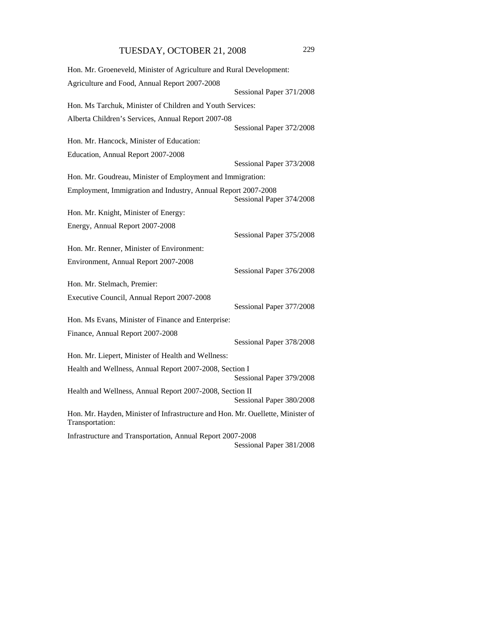| Hon. Mr. Groeneveld, Minister of Agriculture and Rural Development:                                |                          |
|----------------------------------------------------------------------------------------------------|--------------------------|
| Agriculture and Food, Annual Report 2007-2008                                                      |                          |
|                                                                                                    | Sessional Paper 371/2008 |
| Hon. Ms Tarchuk, Minister of Children and Youth Services:                                          |                          |
| Alberta Children's Services, Annual Report 2007-08                                                 |                          |
|                                                                                                    | Sessional Paper 372/2008 |
| Hon. Mr. Hancock, Minister of Education:                                                           |                          |
| Education, Annual Report 2007-2008                                                                 |                          |
|                                                                                                    | Sessional Paper 373/2008 |
| Hon. Mr. Goudreau, Minister of Employment and Immigration:                                         |                          |
| Employment, Immigration and Industry, Annual Report 2007-2008                                      | Sessional Paper 374/2008 |
| Hon. Mr. Knight, Minister of Energy:                                                               |                          |
| Energy, Annual Report 2007-2008                                                                    |                          |
|                                                                                                    | Sessional Paper 375/2008 |
| Hon. Mr. Renner, Minister of Environment:                                                          |                          |
| Environment, Annual Report 2007-2008                                                               |                          |
|                                                                                                    | Sessional Paper 376/2008 |
| Hon. Mr. Stelmach, Premier:                                                                        |                          |
| Executive Council, Annual Report 2007-2008                                                         |                          |
|                                                                                                    | Sessional Paper 377/2008 |
| Hon. Ms Evans, Minister of Finance and Enterprise:                                                 |                          |
| Finance, Annual Report 2007-2008                                                                   |                          |
|                                                                                                    | Sessional Paper 378/2008 |
| Hon. Mr. Liepert, Minister of Health and Wellness:                                                 |                          |
| Health and Wellness, Annual Report 2007-2008, Section I                                            | Sessional Paper 379/2008 |
| Health and Wellness, Annual Report 2007-2008, Section II                                           | Sessional Paper 380/2008 |
| Hon. Mr. Hayden, Minister of Infrastructure and Hon. Mr. Ouellette, Minister of<br>Transportation: |                          |
| Infrastructure and Transportation, Annual Report 2007-2008                                         |                          |
|                                                                                                    | Sessional Paper 381/2008 |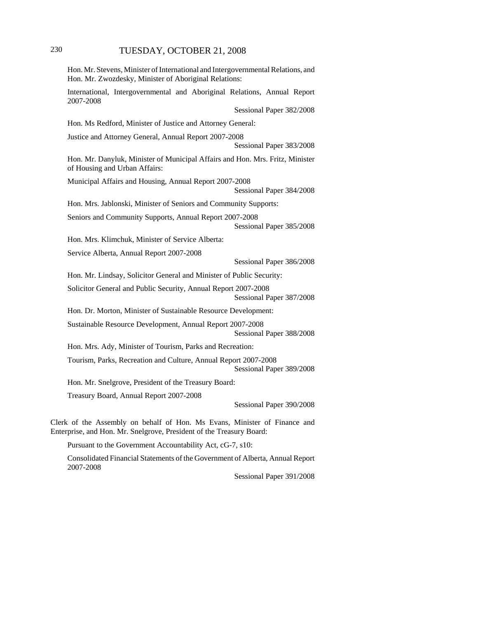# 230 TUESDAY, OCTOBER 21, 2008

| 2007-2008 | International, Intergovernmental and Aboriginal Relations, Annual Report                                       |  |                          |  |
|-----------|----------------------------------------------------------------------------------------------------------------|--|--------------------------|--|
|           |                                                                                                                |  | Sessional Paper 382/2008 |  |
|           | Hon. Ms Redford, Minister of Justice and Attorney General:                                                     |  |                          |  |
|           | Justice and Attorney General, Annual Report 2007-2008                                                          |  | Sessional Paper 383/2008 |  |
|           | Hon. Mr. Danyluk, Minister of Municipal Affairs and Hon. Mrs. Fritz, Minister<br>of Housing and Urban Affairs: |  |                          |  |
|           | Municipal Affairs and Housing, Annual Report 2007-2008                                                         |  | Sessional Paper 384/2008 |  |
|           | Hon. Mrs. Jablonski, Minister of Seniors and Community Supports:                                               |  |                          |  |
|           | Seniors and Community Supports, Annual Report 2007-2008                                                        |  | Sessional Paper 385/2008 |  |
|           | Hon. Mrs. Klimchuk, Minister of Service Alberta:                                                               |  |                          |  |
|           | Service Alberta, Annual Report 2007-2008                                                                       |  |                          |  |
|           |                                                                                                                |  | Sessional Paper 386/2008 |  |
|           | Hon. Mr. Lindsay, Solicitor General and Minister of Public Security:                                           |  |                          |  |
|           | Solicitor General and Public Security, Annual Report 2007-2008                                                 |  | Sessional Paper 387/2008 |  |
|           | Hon. Dr. Morton, Minister of Sustainable Resource Development:                                                 |  |                          |  |
|           | Sustainable Resource Development, Annual Report 2007-2008                                                      |  | Sessional Paper 388/2008 |  |
|           | Hon. Mrs. Ady, Minister of Tourism, Parks and Recreation:                                                      |  |                          |  |
|           | Tourism, Parks, Recreation and Culture, Annual Report 2007-2008                                                |  | Sessional Paper 389/2008 |  |
|           | Hon. Mr. Snelgrove, President of the Treasury Board:                                                           |  |                          |  |
|           | Treasury Board, Annual Report 2007-2008                                                                        |  |                          |  |
|           |                                                                                                                |  | Sessional Paper 390/2008 |  |

Pursuant to the Government Accountability Act, cG-7, s10:

Consolidated Financial Statements of the Government of Alberta, Annual Report 2007-2008

Sessional Paper 391/2008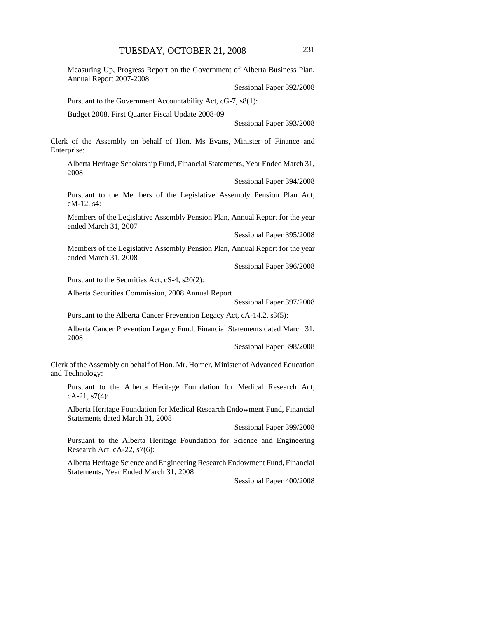Measuring Up, Progress Report on the Government of Alberta Business Plan, Annual Report 2007-2008

Sessional Paper 392/2008

Pursuant to the Government Accountability Act, cG-7, s8(1):

Budget 2008, First Quarter Fiscal Update 2008-09

Sessional Paper 393/2008

Clerk of the Assembly on behalf of Hon. Ms Evans, Minister of Finance and Enterprise:

Alberta Heritage Scholarship Fund, Financial Statements, Year Ended March 31, 2008

Sessional Paper 394/2008

Pursuant to the Members of the Legislative Assembly Pension Plan Act, cM-12, s4:

Members of the Legislative Assembly Pension Plan, Annual Report for the year ended March 31, 2007

Sessional Paper 395/2008

Members of the Legislative Assembly Pension Plan, Annual Report for the year ended March 31, 2008

Sessional Paper 396/2008

Pursuant to the Securities Act, cS-4, s20(2):

Alberta Securities Commission, 2008 Annual Report

Sessional Paper 397/2008

Pursuant to the Alberta Cancer Prevention Legacy Act, cA-14.2, s3(5):

Alberta Cancer Prevention Legacy Fund, Financial Statements dated March 31, 2008

Sessional Paper 398/2008

Clerk of the Assembly on behalf of Hon. Mr. Horner, Minister of Advanced Education and Technology:

Pursuant to the Alberta Heritage Foundation for Medical Research Act,  $cA-21$ ,  $s7(4)$ :

Alberta Heritage Foundation for Medical Research Endowment Fund, Financial Statements dated March 31, 2008

Sessional Paper 399/2008

Pursuant to the Alberta Heritage Foundation for Science and Engineering Research Act, cA-22, s7(6):

Alberta Heritage Science and Engineering Research Endowment Fund, Financial Statements, Year Ended March 31, 2008

Sessional Paper 400/2008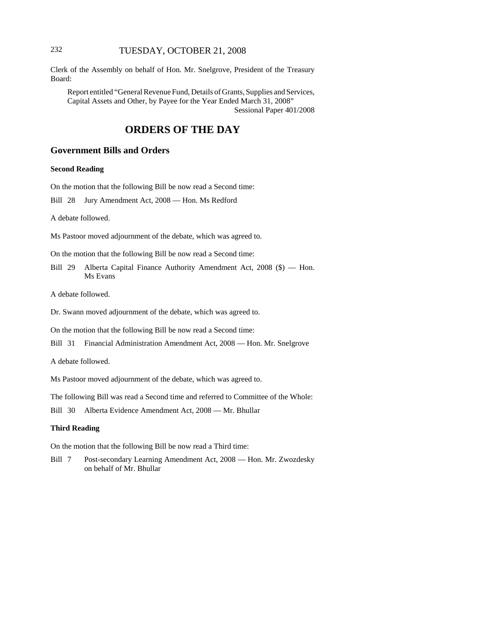# 232 TUESDAY, OCTOBER 21, 2008

Clerk of the Assembly on behalf of Hon. Mr. Snelgrove, President of the Treasury Board:

Report entitled "General Revenue Fund, Details of Grants, Supplies and Services, Capital Assets and Other, by Payee for the Year Ended March 31, 2008" Sessional Paper 401/2008

# **ORDERS OF THE DAY**

# **Government Bills and Orders**

#### **Second Reading**

On the motion that the following Bill be now read a Second time:

Bill 28 Jury Amendment Act, 2008 — Hon. Ms Redford

A debate followed.

Ms Pastoor moved adjournment of the debate, which was agreed to.

On the motion that the following Bill be now read a Second time:

Bill 29 Alberta Capital Finance Authority Amendment Act, 2008 (\$) — Hon. Ms Evans

A debate followed.

Dr. Swann moved adjournment of the debate, which was agreed to.

On the motion that the following Bill be now read a Second time:

Bill 31 Financial Administration Amendment Act, 2008 — Hon. Mr. Snelgrove

A debate followed.

Ms Pastoor moved adjournment of the debate, which was agreed to.

The following Bill was read a Second time and referred to Committee of the Whole:

Bill 30 Alberta Evidence Amendment Act, 2008 — Mr. Bhullar

#### **Third Reading**

On the motion that the following Bill be now read a Third time:

Bill 7 Post-secondary Learning Amendment Act, 2008 — Hon. Mr. Zwozdesky on behalf of Mr. Bhullar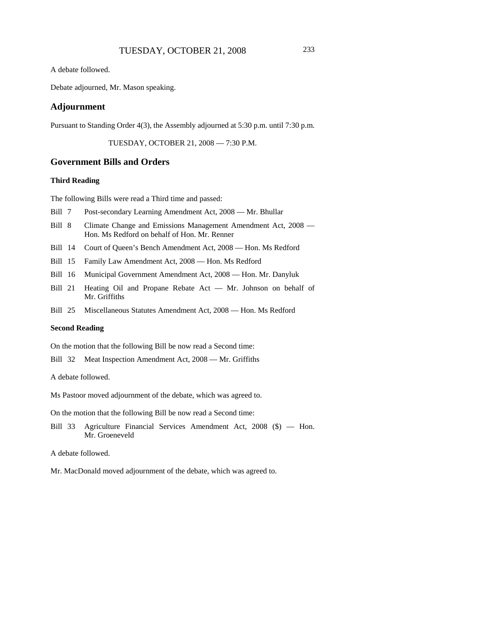A debate followed.

Debate adjourned, Mr. Mason speaking.

### **Adjournment**

Pursuant to Standing Order 4(3), the Assembly adjourned at 5:30 p.m. until 7:30 p.m.

TUESDAY, OCTOBER 21, 2008 — 7:30 P.M.

#### **Government Bills and Orders**

#### **Third Reading**

The following Bills were read a Third time and passed:

- Bill 7 Post-secondary Learning Amendment Act, 2008 Mr. Bhullar
- Bill 8 Climate Change and Emissions Management Amendment Act, 2008 -Hon. Ms Redford on behalf of Hon. Mr. Renner
- Bill 14 Court of Queen's Bench Amendment Act, 2008 Hon. Ms Redford
- Bill 15 Family Law Amendment Act, 2008 Hon. Ms Redford
- Bill 16 Municipal Government Amendment Act, 2008 Hon. Mr. Danyluk
- Bill 21 Heating Oil and Propane Rebate Act Mr. Johnson on behalf of Mr. Griffiths
- Bill 25 Miscellaneous Statutes Amendment Act, 2008 Hon. Ms Redford

#### **Second Reading**

On the motion that the following Bill be now read a Second time:

Bill 32 Meat Inspection Amendment Act, 2008 — Mr. Griffiths

A debate followed.

Ms Pastoor moved adjournment of the debate, which was agreed to.

On the motion that the following Bill be now read a Second time:

Bill 33 Agriculture Financial Services Amendment Act, 2008 (\$) — Hon. Mr. Groeneveld

A debate followed.

Mr. MacDonald moved adjournment of the debate, which was agreed to.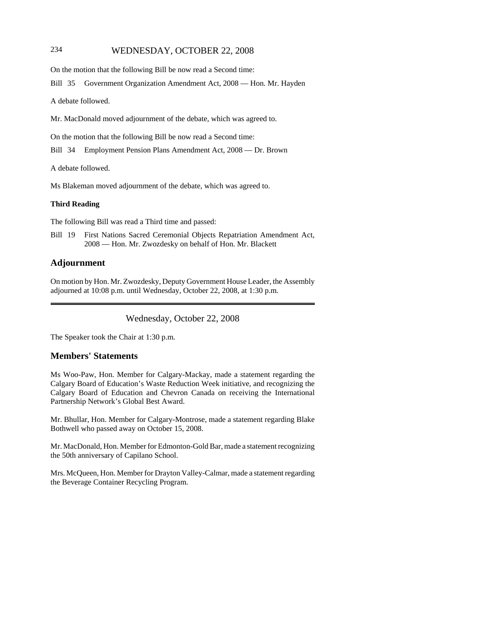# 234 WEDNESDAY, OCTOBER 22, 2008

On the motion that the following Bill be now read a Second time:

Bill 35 Government Organization Amendment Act, 2008 — Hon. Mr. Hayden

A debate followed.

Mr. MacDonald moved adjournment of the debate, which was agreed to.

On the motion that the following Bill be now read a Second time:

Bill 34 Employment Pension Plans Amendment Act, 2008 — Dr. Brown

A debate followed.

Ms Blakeman moved adjournment of the debate, which was agreed to.

#### **Third Reading**

The following Bill was read a Third time and passed:

Bill 19 First Nations Sacred Ceremonial Objects Repatriation Amendment Act, 2008 — Hon. Mr. Zwozdesky on behalf of Hon. Mr. Blackett

### **Adjournment**

On motion by Hon. Mr. Zwozdesky, Deputy Government House Leader, the Assembly adjourned at 10:08 p.m. until Wednesday, October 22, 2008, at 1:30 p.m.

Wednesday, October 22, 2008

The Speaker took the Chair at 1:30 p.m.

### **Members' Statements**

Ms Woo-Paw, Hon. Member for Calgary-Mackay, made a statement regarding the Calgary Board of Education's Waste Reduction Week initiative, and recognizing the Calgary Board of Education and Chevron Canada on receiving the International Partnership Network's Global Best Award.

Mr. Bhullar, Hon. Member for Calgary-Montrose, made a statement regarding Blake Bothwell who passed away on October 15, 2008.

Mr. MacDonald, Hon. Member for Edmonton-Gold Bar, made a statement recognizing the 50th anniversary of Capilano School.

Mrs. McQueen, Hon. Member for Drayton Valley-Calmar, made a statement regarding the Beverage Container Recycling Program.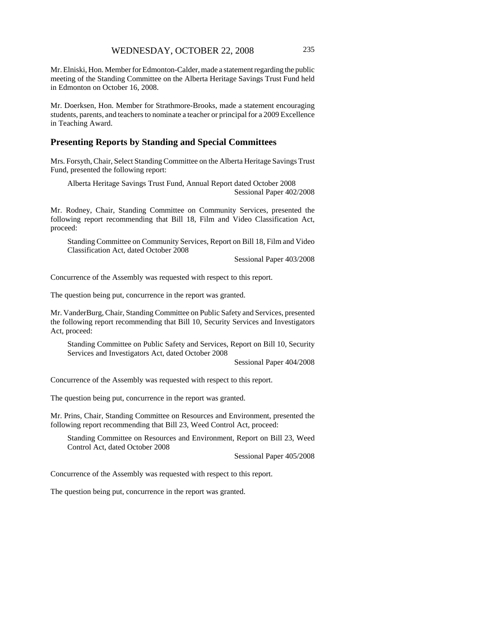Mr. Elniski, Hon. Member for Edmonton-Calder, made a statement regarding the public meeting of the Standing Committee on the Alberta Heritage Savings Trust Fund held in Edmonton on October 16, 2008.

Mr. Doerksen, Hon. Member for Strathmore-Brooks, made a statement encouraging students, parents, and teachers to nominate a teacher or principal for a 2009 Excellence in Teaching Award.

# **Presenting Reports by Standing and Special Committees**

Mrs. Forsyth, Chair, Select Standing Committee on the Alberta Heritage Savings Trust Fund, presented the following report:

Alberta Heritage Savings Trust Fund, Annual Report dated October 2008 Sessional Paper 402/2008

Mr. Rodney, Chair, Standing Committee on Community Services, presented the following report recommending that Bill 18, Film and Video Classification Act, proceed:

Standing Committee on Community Services, Report on Bill 18, Film and Video Classification Act, dated October 2008

Sessional Paper 403/2008

Concurrence of the Assembly was requested with respect to this report.

The question being put, concurrence in the report was granted.

Mr. VanderBurg, Chair, Standing Committee on Public Safety and Services, presented the following report recommending that Bill 10, Security Services and Investigators Act, proceed:

Standing Committee on Public Safety and Services, Report on Bill 10, Security Services and Investigators Act, dated October 2008

Sessional Paper 404/2008

Concurrence of the Assembly was requested with respect to this report.

The question being put, concurrence in the report was granted.

Mr. Prins, Chair, Standing Committee on Resources and Environment, presented the following report recommending that Bill 23, Weed Control Act, proceed:

Standing Committee on Resources and Environment, Report on Bill 23, Weed Control Act, dated October 2008

Sessional Paper 405/2008

Concurrence of the Assembly was requested with respect to this report.

The question being put, concurrence in the report was granted.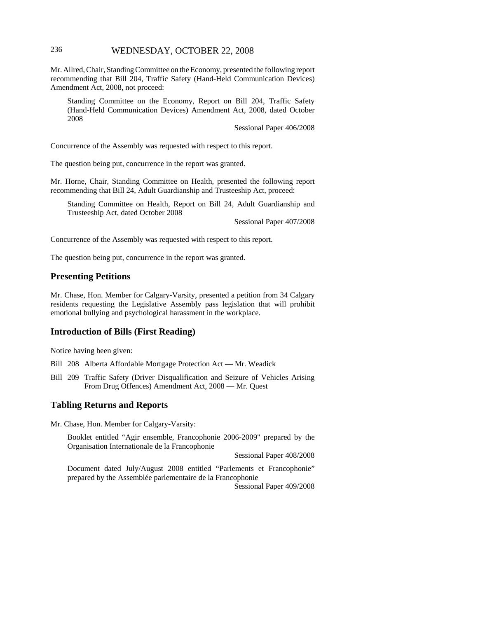# 236 WEDNESDAY, OCTOBER 22, 2008

Mr. Allred, Chair, Standing Committee on the Economy, presented the following report recommending that Bill 204, Traffic Safety (Hand-Held Communication Devices) Amendment Act, 2008, not proceed:

Standing Committee on the Economy, Report on Bill 204, Traffic Safety (Hand-Held Communication Devices) Amendment Act, 2008, dated October 2008

Sessional Paper 406/2008

Concurrence of the Assembly was requested with respect to this report.

The question being put, concurrence in the report was granted.

Mr. Horne, Chair, Standing Committee on Health, presented the following report recommending that Bill 24, Adult Guardianship and Trusteeship Act, proceed:

Standing Committee on Health, Report on Bill 24, Adult Guardianship and Trusteeship Act, dated October 2008

Sessional Paper 407/2008

Concurrence of the Assembly was requested with respect to this report.

The question being put, concurrence in the report was granted.

### **Presenting Petitions**

Mr. Chase, Hon. Member for Calgary-Varsity, presented a petition from 34 Calgary residents requesting the Legislative Assembly pass legislation that will prohibit emotional bullying and psychological harassment in the workplace.

### **Introduction of Bills (First Reading)**

Notice having been given:

Bill 208 Alberta Affordable Mortgage Protection Act — Mr. Weadick

Bill 209 Traffic Safety (Driver Disqualification and Seizure of Vehicles Arising From Drug Offences) Amendment Act, 2008 — Mr. Quest

# **Tabling Returns and Reports**

Mr. Chase, Hon. Member for Calgary-Varsity:

Booklet entitled "Agir ensemble, Francophonie 2006-2009" prepared by the Organisation Internationale de la Francophonie

Sessional Paper 408/2008

Document dated July/August 2008 entitled "Parlements et Francophonie" prepared by the Assemblée parlementaire de la Francophonie

Sessional Paper 409/2008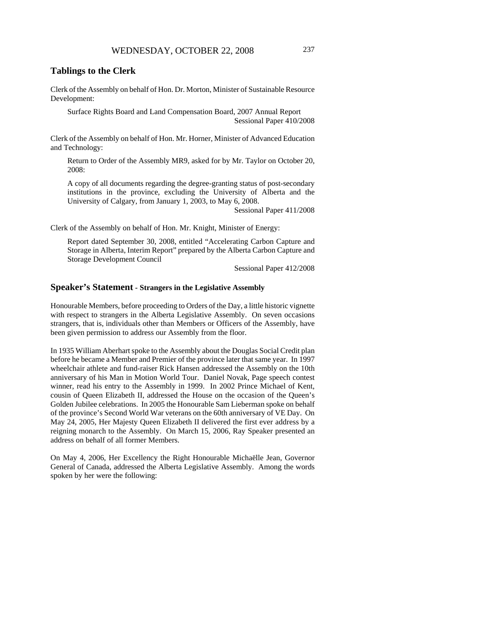# **Tablings to the Clerk**

Clerk of the Assembly on behalf of Hon. Dr. Morton, Minister of Sustainable Resource Development:

Surface Rights Board and Land Compensation Board, 2007 Annual Report Sessional Paper 410/2008

Clerk of the Assembly on behalf of Hon. Mr. Horner, Minister of Advanced Education and Technology:

Return to Order of the Assembly MR9, asked for by Mr. Taylor on October 20, 2008:

A copy of all documents regarding the degree-granting status of post-secondary institutions in the province, excluding the University of Alberta and the University of Calgary, from January 1, 2003, to May 6, 2008.

Sessional Paper 411/2008

Clerk of the Assembly on behalf of Hon. Mr. Knight, Minister of Energy:

Report dated September 30, 2008, entitled "Accelerating Carbon Capture and Storage in Alberta, Interim Report" prepared by the Alberta Carbon Capture and Storage Development Council

Sessional Paper 412/2008

### **Speaker's Statement - Strangers in the Legislative Assembly**

Honourable Members, before proceeding to Orders of the Day, a little historic vignette with respect to strangers in the Alberta Legislative Assembly. On seven occasions strangers, that is, individuals other than Members or Officers of the Assembly, have been given permission to address our Assembly from the floor.

In 1935 William Aberhart spoke to the Assembly about the Douglas Social Credit plan before he became a Member and Premier of the province later that same year. In 1997 wheelchair athlete and fund-raiser Rick Hansen addressed the Assembly on the 10th anniversary of his Man in Motion World Tour. Daniel Novak, Page speech contest winner, read his entry to the Assembly in 1999. In 2002 Prince Michael of Kent, cousin of Queen Elizabeth II, addressed the House on the occasion of the Queen's Golden Jubilee celebrations. In 2005 the Honourable Sam Lieberman spoke on behalf of the province's Second World War veterans on the 60th anniversary of VE Day. On May 24, 2005, Her Majesty Queen Elizabeth II delivered the first ever address by a reigning monarch to the Assembly. On March 15, 2006, Ray Speaker presented an address on behalf of all former Members.

On May 4, 2006, Her Excellency the Right Honourable Michaëlle Jean, Governor General of Canada, addressed the Alberta Legislative Assembly. Among the words spoken by her were the following: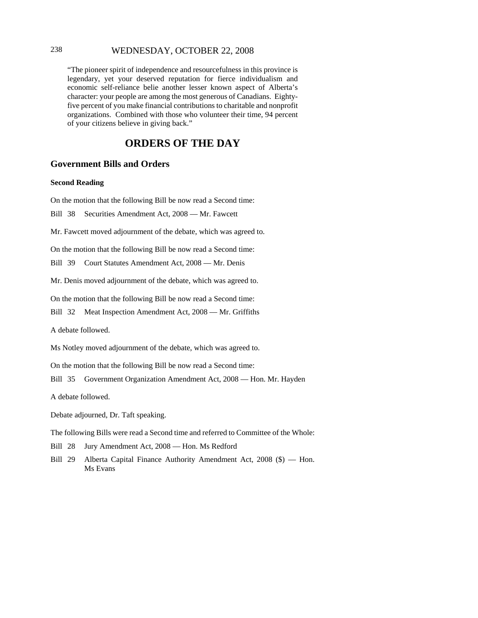# 238 WEDNESDAY, OCTOBER 22, 2008

"The pioneer spirit of independence and resourcefulness in this province is legendary, yet your deserved reputation for fierce individualism and economic self-reliance belie another lesser known aspect of Alberta's character: your people are among the most generous of Canadians. Eightyfive percent of you make financial contributions to charitable and nonprofit organizations. Combined with those who volunteer their time, 94 percent of your citizens believe in giving back."

# **ORDERS OF THE DAY**

### **Government Bills and Orders**

#### **Second Reading**

On the motion that the following Bill be now read a Second time:

Bill 38 Securities Amendment Act, 2008 — Mr. Fawcett

Mr. Fawcett moved adjournment of the debate, which was agreed to.

On the motion that the following Bill be now read a Second time:

Bill 39 Court Statutes Amendment Act, 2008 — Mr. Denis

Mr. Denis moved adjournment of the debate, which was agreed to.

On the motion that the following Bill be now read a Second time:

Bill 32 Meat Inspection Amendment Act, 2008 — Mr. Griffiths

A debate followed.

Ms Notley moved adjournment of the debate, which was agreed to.

On the motion that the following Bill be now read a Second time:

Bill 35 Government Organization Amendment Act, 2008 — Hon. Mr. Hayden

A debate followed.

Debate adjourned, Dr. Taft speaking.

The following Bills were read a Second time and referred to Committee of the Whole:

Bill 28 Jury Amendment Act, 2008 — Hon. Ms Redford

Bill 29 Alberta Capital Finance Authority Amendment Act, 2008 (\$) — Hon. Ms Evans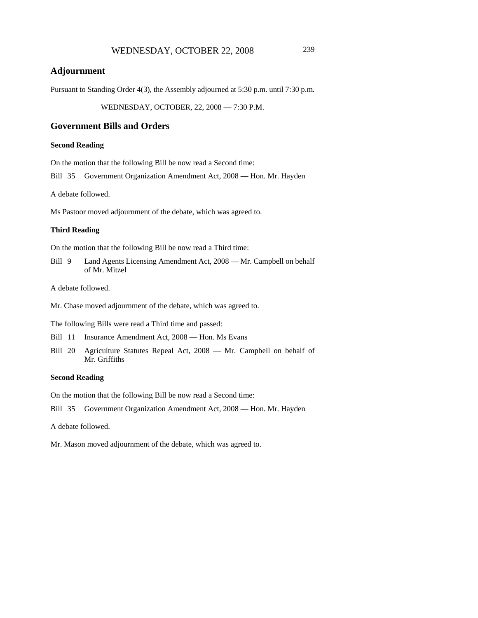# **Adjournment**

Pursuant to Standing Order 4(3), the Assembly adjourned at 5:30 p.m. until 7:30 p.m.

WEDNESDAY, OCTOBER, 22, 2008 — 7:30 P.M.

## **Government Bills and Orders**

### **Second Reading**

On the motion that the following Bill be now read a Second time:

Bill 35 Government Organization Amendment Act, 2008 — Hon. Mr. Hayden

A debate followed.

Ms Pastoor moved adjournment of the debate, which was agreed to.

#### **Third Reading**

On the motion that the following Bill be now read a Third time:

Bill 9 Land Agents Licensing Amendment Act, 2008 — Mr. Campbell on behalf of Mr. Mitzel

A debate followed.

Mr. Chase moved adjournment of the debate, which was agreed to.

The following Bills were read a Third time and passed:

Bill 11 Insurance Amendment Act, 2008 — Hon. Ms Evans

Bill 20 Agriculture Statutes Repeal Act, 2008 — Mr. Campbell on behalf of Mr. Griffiths

# **Second Reading**

On the motion that the following Bill be now read a Second time:

Bill 35 Government Organization Amendment Act, 2008 — Hon. Mr. Hayden

A debate followed.

Mr. Mason moved adjournment of the debate, which was agreed to.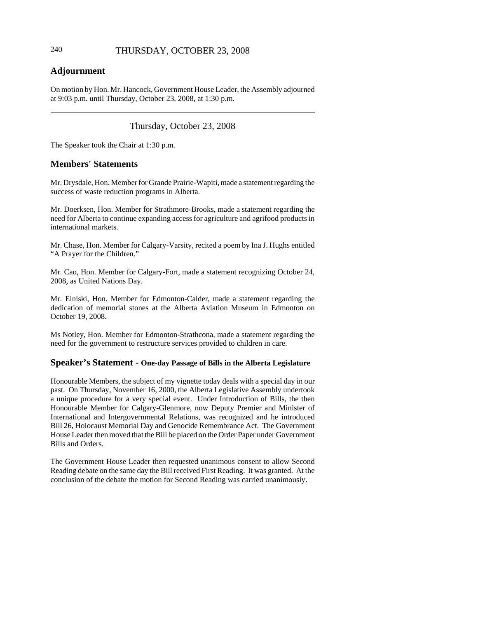# 240 THURSDAY, OCTOBER 23, 2008

# **Adjournment**

On motion by Hon. Mr. Hancock, Government House Leader, the Assembly adjourned at 9:03 p.m. until Thursday, October 23, 2008, at 1:30 p.m.

# Thursday, October 23, 2008

The Speaker took the Chair at 1:30 p.m.

# **Members' Statements**

Mr. Drysdale, Hon. Member for Grande Prairie-Wapiti, made a statement regarding the success of waste reduction programs in Alberta.

Mr. Doerksen, Hon. Member for Strathmore-Brooks, made a statement regarding the need for Alberta to continue expanding access for agriculture and agrifood products in international markets.

Mr. Chase, Hon. Member for Calgary-Varsity, recited a poem by Ina J. Hughs entitled "A Prayer for the Children."

Mr. Cao, Hon. Member for Calgary-Fort, made a statement recognizing October 24, 2008, as United Nations Day.

Mr. Elniski, Hon. Member for Edmonton-Calder, made a statement regarding the dedication of memorial stones at the Alberta Aviation Museum in Edmonton on October 19, 2008.

Ms Notley, Hon. Member for Edmonton-Strathcona, made a statement regarding the need for the government to restructure services provided to children in care.

### **Speaker's Statement - One-day Passage of Bills in the Alberta Legislature**

Honourable Members, the subject of my vignette today deals with a special day in our past. On Thursday, November 16, 2000, the Alberta Legislative Assembly undertook a unique procedure for a very special event. Under Introduction of Bills, the then Honourable Member for Calgary-Glenmore, now Deputy Premier and Minister of International and Intergovernmental Relations, was recognized and he introduced Bill 26, Holocaust Memorial Day and Genocide Remembrance Act. The Government House Leader then moved that the Bill be placed on the Order Paper under Government Bills and Orders.

The Government House Leader then requested unanimous consent to allow Second Reading debate on the same day the Bill received First Reading. It was granted. At the conclusion of the debate the motion for Second Reading was carried unanimously.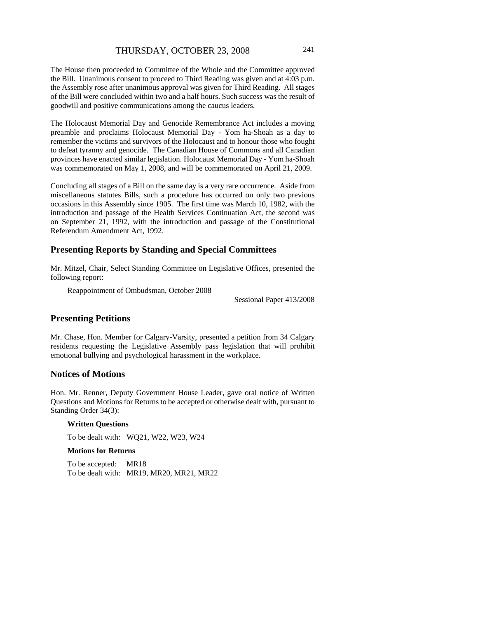The House then proceeded to Committee of the Whole and the Committee approved the Bill. Unanimous consent to proceed to Third Reading was given and at 4:03 p.m. the Assembly rose after unanimous approval was given for Third Reading. All stages of the Bill were concluded within two and a half hours. Such success was the result of goodwill and positive communications among the caucus leaders.

The Holocaust Memorial Day and Genocide Remembrance Act includes a moving preamble and proclaims Holocaust Memorial Day - Yom ha-Shoah as a day to remember the victims and survivors of the Holocaust and to honour those who fought to defeat tyranny and genocide. The Canadian House of Commons and all Canadian provinces have enacted similar legislation. Holocaust Memorial Day - Yom ha-Shoah was commemorated on May 1, 2008, and will be commemorated on April 21, 2009.

Concluding all stages of a Bill on the same day is a very rare occurrence. Aside from miscellaneous statutes Bills, such a procedure has occurred on only two previous occasions in this Assembly since 1905. The first time was March 10, 1982, with the introduction and passage of the Health Services Continuation Act, the second was on September 21, 1992, with the introduction and passage of the Constitutional Referendum Amendment Act, 1992.

# **Presenting Reports by Standing and Special Committees**

Mr. Mitzel, Chair, Select Standing Committee on Legislative Offices, presented the following report:

Reappointment of Ombudsman, October 2008

Sessional Paper 413/2008

# **Presenting Petitions**

Mr. Chase, Hon. Member for Calgary-Varsity, presented a petition from 34 Calgary residents requesting the Legislative Assembly pass legislation that will prohibit emotional bullying and psychological harassment in the workplace.

## **Notices of Motions**

Hon. Mr. Renner, Deputy Government House Leader, gave oral notice of Written Questions and Motions for Returns to be accepted or otherwise dealt with, pursuant to Standing Order 34(3):

#### **Written Questions**

To be dealt with: WQ21, W22, W23, W24

#### **Motions for Returns**

To be accepted: MR18 To be dealt with: MR19, MR20, MR21, MR22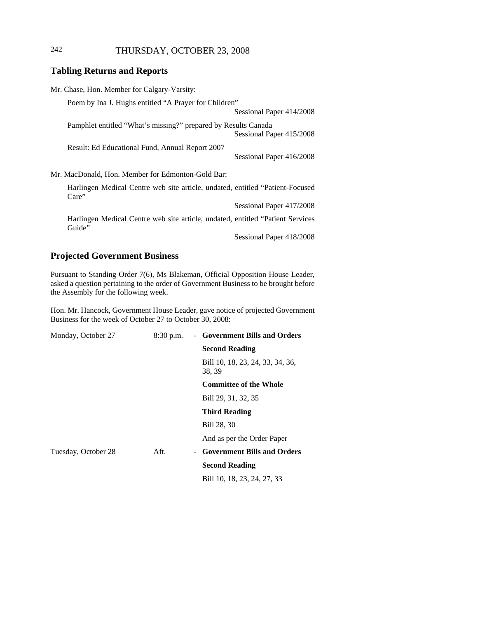# 242 THURSDAY, OCTOBER 23, 2008

# **Tabling Returns and Reports**

| Mr. Chase, Hon. Member for Calgary-Varsity:                                              |                          |
|------------------------------------------------------------------------------------------|--------------------------|
| Poem by Ina J. Hughs entitled "A Prayer for Children"                                    |                          |
|                                                                                          | Sessional Paper 414/2008 |
| Pamphlet entitled "What's missing?" prepared by Results Canada                           | Sessional Paper 415/2008 |
| Result: Ed Educational Fund, Annual Report 2007                                          |                          |
|                                                                                          | Sessional Paper 416/2008 |
| Mr. MacDonald, Hon. Member for Edmonton-Gold Bar:                                        |                          |
| Harlingen Medical Centre web site article, undated, entitled "Patient-Focused"<br>Care"  |                          |
|                                                                                          | Sessional Paper 417/2008 |
| Harlingen Medical Centre web site article, undated, entitled "Patient Services<br>Guide" |                          |
|                                                                                          | Sessional Paper 418/2008 |

# **Projected Government Business**

Pursuant to Standing Order 7(6), Ms Blakeman, Official Opposition House Leader, asked a question pertaining to the order of Government Business to be brought before the Assembly for the following week.

Hon. Mr. Hancock, Government House Leader, gave notice of projected Government Business for the week of October 27 to October 30, 2008:

| Monday, October 27  | $8:30$ p.m. | - Government Bills and Orders              |
|---------------------|-------------|--------------------------------------------|
|                     |             | <b>Second Reading</b>                      |
|                     |             | Bill 10, 18, 23, 24, 33, 34, 36,<br>38, 39 |
|                     |             | <b>Committee of the Whole</b>              |
|                     |             | Bill 29, 31, 32, 35                        |
|                     |             | <b>Third Reading</b>                       |
|                     |             | Bill 28, 30                                |
|                     |             | And as per the Order Paper                 |
| Tuesday, October 28 | Aft.        | - Government Bills and Orders              |
|                     |             | <b>Second Reading</b>                      |
|                     |             | Bill 10, 18, 23, 24, 27, 33                |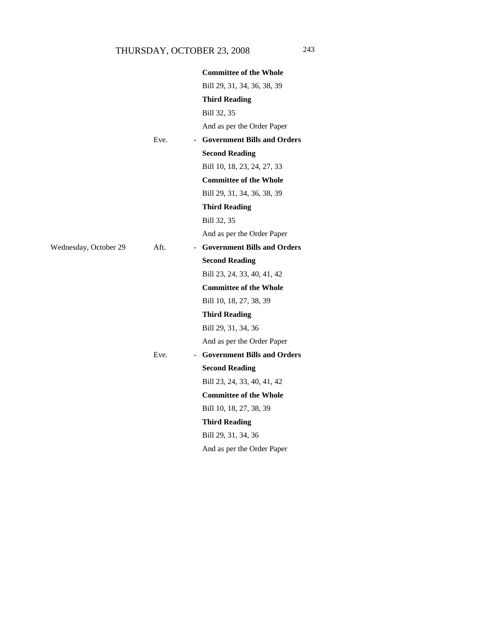|                       |      | <b>Committee of the Whole</b> |  |
|-----------------------|------|-------------------------------|--|
|                       |      | Bill 29, 31, 34, 36, 38, 39   |  |
|                       |      | <b>Third Reading</b>          |  |
|                       |      | Bill 32, 35                   |  |
|                       |      | And as per the Order Paper    |  |
|                       | Eve. | - Government Bills and Orders |  |
|                       |      | <b>Second Reading</b>         |  |
|                       |      | Bill 10, 18, 23, 24, 27, 33   |  |
|                       |      | <b>Committee of the Whole</b> |  |
|                       |      | Bill 29, 31, 34, 36, 38, 39   |  |
|                       |      | <b>Third Reading</b>          |  |
|                       |      | Bill 32, 35                   |  |
|                       |      | And as per the Order Paper    |  |
| Wednesday, October 29 | Aft. | - Government Bills and Orders |  |
|                       |      | <b>Second Reading</b>         |  |
|                       |      | Bill 23, 24, 33, 40, 41, 42   |  |
|                       |      | <b>Committee of the Whole</b> |  |
|                       |      | Bill 10, 18, 27, 38, 39       |  |
|                       |      | <b>Third Reading</b>          |  |
|                       |      | Bill 29, 31, 34, 36           |  |
|                       |      | And as per the Order Paper    |  |
|                       | Eve. | - Government Bills and Orders |  |
|                       |      | <b>Second Reading</b>         |  |
|                       |      | Bill 23, 24, 33, 40, 41, 42   |  |
|                       |      | <b>Committee of the Whole</b> |  |
|                       |      | Bill 10, 18, 27, 38, 39       |  |
|                       |      | <b>Third Reading</b>          |  |
|                       |      | Bill 29, 31, 34, 36           |  |
|                       |      | And as per the Order Paper    |  |
|                       |      |                               |  |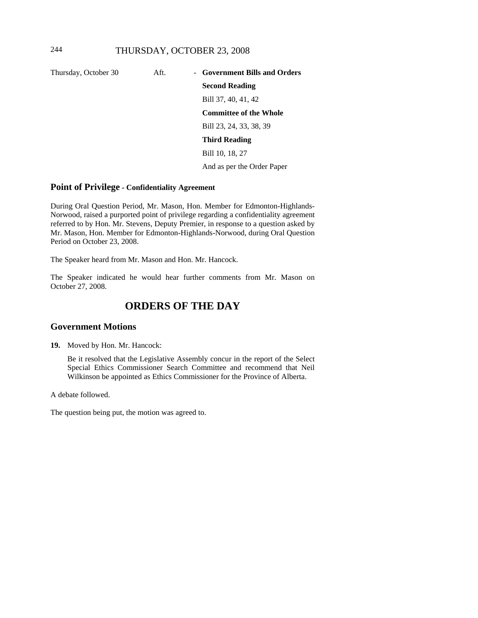Thursday, October 30 Aft. - **Government Bills and Orders Second Reading** Bill 37, 40, 41, 42 **Committee of the Whole** Bill 23, 24, 33, 38, 39 **Third Reading** Bill 10, 18, 27 And as per the Order Paper

### **Point of Privilege - Confidentiality Agreement**

During Oral Question Period, Mr. Mason, Hon. Member for Edmonton-Highlands-Norwood, raised a purported point of privilege regarding a confidentiality agreement referred to by Hon. Mr. Stevens, Deputy Premier, in response to a question asked by Mr. Mason, Hon. Member for Edmonton-Highlands-Norwood, during Oral Question Period on October 23, 2008.

The Speaker heard from Mr. Mason and Hon. Mr. Hancock.

The Speaker indicated he would hear further comments from Mr. Mason on October 27, 2008.

# **ORDERS OF THE DAY**

### **Government Motions**

**19.** Moved by Hon. Mr. Hancock:

Be it resolved that the Legislative Assembly concur in the report of the Select Special Ethics Commissioner Search Committee and recommend that Neil Wilkinson be appointed as Ethics Commissioner for the Province of Alberta.

A debate followed.

The question being put, the motion was agreed to.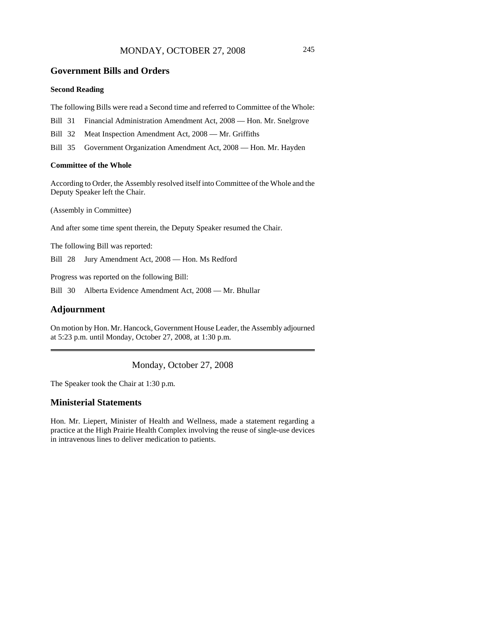# MONDAY, OCTOBER 27, 2008 245

### **Government Bills and Orders**

### **Second Reading**

The following Bills were read a Second time and referred to Committee of the Whole:

- Bill 31 Financial Administration Amendment Act, 2008 Hon. Mr. Snelgrove
- Bill 32 Meat Inspection Amendment Act, 2008 Mr. Griffiths
- Bill 35 Government Organization Amendment Act, 2008 Hon. Mr. Hayden

#### **Committee of the Whole**

According to Order, the Assembly resolved itself into Committee of the Whole and the Deputy Speaker left the Chair.

(Assembly in Committee)

And after some time spent therein, the Deputy Speaker resumed the Chair.

The following Bill was reported:

Bill 28 Jury Amendment Act, 2008 — Hon. Ms Redford

Progress was reported on the following Bill:

Bill 30 Alberta Evidence Amendment Act, 2008 — Mr. Bhullar

# **Adjournment**

On motion by Hon. Mr. Hancock, Government House Leader, the Assembly adjourned at 5:23 p.m. until Monday, October 27, 2008, at 1:30 p.m.

Monday, October 27, 2008

The Speaker took the Chair at 1:30 p.m.

### **Ministerial Statements**

Hon. Mr. Liepert, Minister of Health and Wellness, made a statement regarding a practice at the High Prairie Health Complex involving the reuse of single-use devices in intravenous lines to deliver medication to patients.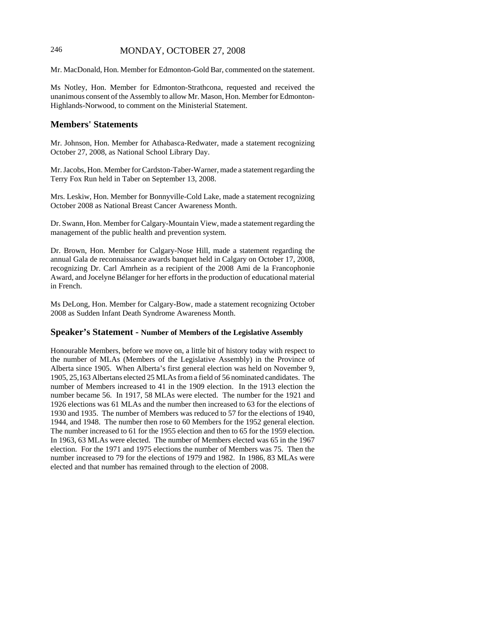# 246 MONDAY, OCTOBER 27, 2008

Mr. MacDonald, Hon. Member for Edmonton-Gold Bar, commented on the statement.

Ms Notley, Hon. Member for Edmonton-Strathcona, requested and received the unanimous consent of the Assembly to allow Mr. Mason, Hon. Member for Edmonton-Highlands-Norwood, to comment on the Ministerial Statement.

# **Members' Statements**

Mr. Johnson, Hon. Member for Athabasca-Redwater, made a statement recognizing October 27, 2008, as National School Library Day.

Mr. Jacobs, Hon. Member for Cardston-Taber-Warner, made a statement regarding the Terry Fox Run held in Taber on September 13, 2008.

Mrs. Leskiw, Hon. Member for Bonnyville-Cold Lake, made a statement recognizing October 2008 as National Breast Cancer Awareness Month.

Dr. Swann, Hon. Member for Calgary-Mountain View, made a statement regarding the management of the public health and prevention system.

Dr. Brown, Hon. Member for Calgary-Nose Hill, made a statement regarding the annual Gala de reconnaissance awards banquet held in Calgary on October 17, 2008, recognizing Dr. Carl Amrhein as a recipient of the 2008 Ami de la Francophonie Award, and Jocelyne Bélanger for her efforts in the production of educational material in French.

Ms DeLong, Hon. Member for Calgary-Bow, made a statement recognizing October 2008 as Sudden Infant Death Syndrome Awareness Month.

### **Speaker's Statement - Number of Members of the Legislative Assembly**

Honourable Members, before we move on, a little bit of history today with respect to the number of MLAs (Members of the Legislative Assembly) in the Province of Alberta since 1905. When Alberta's first general election was held on November 9, 1905, 25,163 Albertans elected 25 MLAs from a field of 56 nominated candidates. The number of Members increased to 41 in the 1909 election. In the 1913 election the number became 56. In 1917, 58 MLAs were elected. The number for the 1921 and 1926 elections was 61 MLAs and the number then increased to 63 for the elections of 1930 and 1935. The number of Members was reduced to 57 for the elections of 1940, 1944, and 1948. The number then rose to 60 Members for the 1952 general election. The number increased to 61 for the 1955 election and then to 65 for the 1959 election. In 1963, 63 MLAs were elected. The number of Members elected was 65 in the 1967 election. For the 1971 and 1975 elections the number of Members was 75. Then the number increased to 79 for the elections of 1979 and 1982. In 1986, 83 MLAs were elected and that number has remained through to the election of 2008.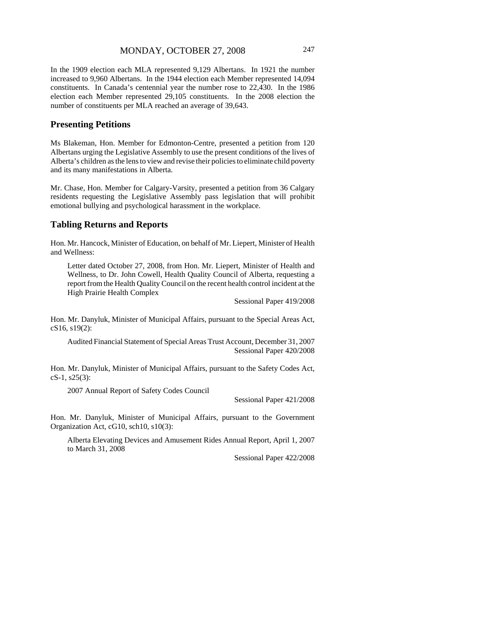In the 1909 election each MLA represented 9,129 Albertans. In 1921 the number increased to 9,960 Albertans. In the 1944 election each Member represented 14,094 constituents. In Canada's centennial year the number rose to 22,430. In the 1986 election each Member represented 29,105 constituents. In the 2008 election the number of constituents per MLA reached an average of 39,643.

# **Presenting Petitions**

Ms Blakeman, Hon. Member for Edmonton-Centre, presented a petition from 120 Albertans urging the Legislative Assembly to use the present conditions of the lives of Alberta's children as the lens to view and revise their policies to eliminate child poverty and its many manifestations in Alberta.

Mr. Chase, Hon. Member for Calgary-Varsity, presented a petition from 36 Calgary residents requesting the Legislative Assembly pass legislation that will prohibit emotional bullying and psychological harassment in the workplace.

### **Tabling Returns and Reports**

Hon. Mr. Hancock, Minister of Education, on behalf of Mr. Liepert, Minister of Health and Wellness:

Letter dated October 27, 2008, from Hon. Mr. Liepert, Minister of Health and Wellness, to Dr. John Cowell, Health Quality Council of Alberta, requesting a report from the Health Quality Council on the recent health control incident at the High Prairie Health Complex

Sessional Paper 419/2008

Hon. Mr. Danyluk, Minister of Municipal Affairs, pursuant to the Special Areas Act, cS16, s19(2):

Audited Financial Statement of Special Areas Trust Account, December 31, 2007 Sessional Paper 420/2008

Hon. Mr. Danyluk, Minister of Municipal Affairs, pursuant to the Safety Codes Act, cS-1, s25(3):

2007 Annual Report of Safety Codes Council

Sessional Paper 421/2008

Hon. Mr. Danyluk, Minister of Municipal Affairs, pursuant to the Government Organization Act, cG10, sch10, s10(3):

Alberta Elevating Devices and Amusement Rides Annual Report, April 1, 2007 to March 31, 2008

Sessional Paper 422/2008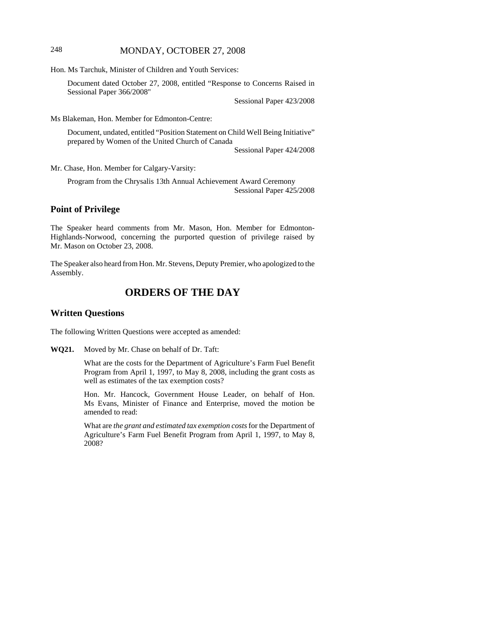# 248 MONDAY, OCTOBER 27, 2008

Hon. Ms Tarchuk, Minister of Children and Youth Services:

Document dated October 27, 2008, entitled "Response to Concerns Raised in Sessional Paper 366/2008"

Sessional Paper 423/2008

Ms Blakeman, Hon. Member for Edmonton-Centre:

Document, undated, entitled "Position Statement on Child Well Being Initiative" prepared by Women of the United Church of Canada

Sessional Paper 424/2008

Mr. Chase, Hon. Member for Calgary-Varsity:

Program from the Chrysalis 13th Annual Achievement Award Ceremony Sessional Paper 425/2008

### **Point of Privilege**

The Speaker heard comments from Mr. Mason, Hon. Member for Edmonton-Highlands-Norwood, concerning the purported question of privilege raised by Mr. Mason on October 23, 2008.

The Speaker also heard from Hon. Mr. Stevens, Deputy Premier, who apologized to the Assembly.

# **ORDERS OF THE DAY**

# **Written Questions**

The following Written Questions were accepted as amended:

**WQ21.** Moved by Mr. Chase on behalf of Dr. Taft:

What are the costs for the Department of Agriculture's Farm Fuel Benefit Program from April 1, 1997, to May 8, 2008, including the grant costs as well as estimates of the tax exemption costs?

Hon. Mr. Hancock, Government House Leader, on behalf of Hon. Ms Evans, Minister of Finance and Enterprise, moved the motion be amended to read:

What are *the grant and estimated tax exemption costs* for the Department of Agriculture's Farm Fuel Benefit Program from April 1, 1997, to May 8, 2008?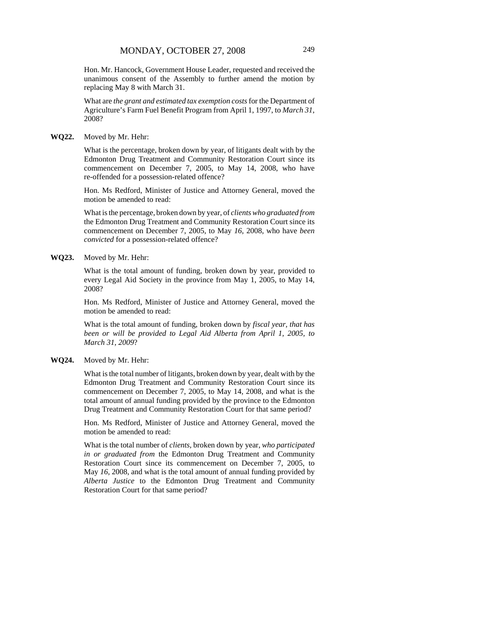Hon. Mr. Hancock, Government House Leader, requested and received the unanimous consent of the Assembly to further amend the motion by replacing May 8 with March 31.

What are *the grant and estimated tax exemption costs* for the Department of Agriculture's Farm Fuel Benefit Program from April 1, 1997, to *March 31*, 2008?

#### **WQ22.** Moved by Mr. Hehr:

What is the percentage, broken down by year, of litigants dealt with by the Edmonton Drug Treatment and Community Restoration Court since its commencement on December 7, 2005, to May 14, 2008, who have re-offended for a possession-related offence?

Hon. Ms Redford, Minister of Justice and Attorney General, moved the motion be amended to read:

What is the percentage, broken down by year, of *clients who graduated from* the Edmonton Drug Treatment and Community Restoration Court since its commencement on December 7, 2005, to May *16*, 2008, who have *been convicted* for a possession-related offence?

#### **WQ23.** Moved by Mr. Hehr:

What is the total amount of funding, broken down by year, provided to every Legal Aid Society in the province from May 1, 2005, to May 14, 2008?

Hon. Ms Redford, Minister of Justice and Attorney General, moved the motion be amended to read:

What is the total amount of funding, broken down by *fiscal year, that has been or will be provided to Legal Aid Alberta from April 1, 2005, to March 31, 2009*?

#### **WQ24.** Moved by Mr. Hehr:

What is the total number of litigants, broken down by year, dealt with by the Edmonton Drug Treatment and Community Restoration Court since its commencement on December 7, 2005, to May 14, 2008, and what is the total amount of annual funding provided by the province to the Edmonton Drug Treatment and Community Restoration Court for that same period?

Hon. Ms Redford, Minister of Justice and Attorney General, moved the motion be amended to read:

What is the total number of *clients*, broken down by year, *who participated in or graduated from* the Edmonton Drug Treatment and Community Restoration Court since its commencement on December 7, 2005, to May *16*, 2008, and what is the total amount of annual funding provided by *Alberta Justice* to the Edmonton Drug Treatment and Community Restoration Court for that same period?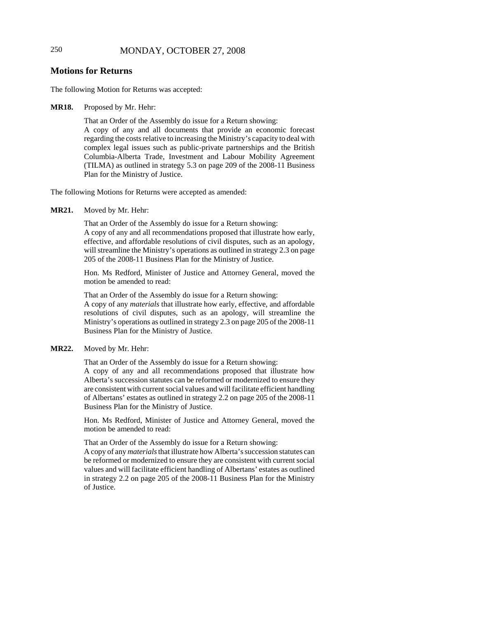# 250 MONDAY, OCTOBER 27, 2008

# **Motions for Returns**

The following Motion for Returns was accepted:

### **MR18.** Proposed by Mr. Hehr:

That an Order of the Assembly do issue for a Return showing: A copy of any and all documents that provide an economic forecast regarding the costs relative to increasing the Ministry's capacity to deal with complex legal issues such as public-private partnerships and the British Columbia-Alberta Trade, Investment and Labour Mobility Agreement (TILMA) as outlined in strategy 5.3 on page 209 of the 2008-11 Business Plan for the Ministry of Justice.

The following Motions for Returns were accepted as amended:

**MR21.** Moved by Mr. Hehr:

That an Order of the Assembly do issue for a Return showing:

A copy of any and all recommendations proposed that illustrate how early, effective, and affordable resolutions of civil disputes, such as an apology, will streamline the Ministry's operations as outlined in strategy 2.3 on page 205 of the 2008-11 Business Plan for the Ministry of Justice.

Hon. Ms Redford, Minister of Justice and Attorney General, moved the motion be amended to read:

That an Order of the Assembly do issue for a Return showing: A copy of any *materials* that illustrate how early, effective, and affordable resolutions of civil disputes, such as an apology, will streamline the Ministry's operations as outlined in strategy 2.3 on page 205 of the 2008-11 Business Plan for the Ministry of Justice.

### **MR22.** Moved by Mr. Hehr:

That an Order of the Assembly do issue for a Return showing:

A copy of any and all recommendations proposed that illustrate how Alberta's succession statutes can be reformed or modernized to ensure they are consistent with current social values and will facilitate efficient handling of Albertans' estates as outlined in strategy 2.2 on page 205 of the 2008-11 Business Plan for the Ministry of Justice.

Hon. Ms Redford, Minister of Justice and Attorney General, moved the motion be amended to read:

That an Order of the Assembly do issue for a Return showing:

A copy of any *materials* that illustrate how Alberta's succession statutes can be reformed or modernized to ensure they are consistent with current social values and will facilitate efficient handling of Albertans' estates as outlined in strategy 2.2 on page 205 of the 2008-11 Business Plan for the Ministry of Justice.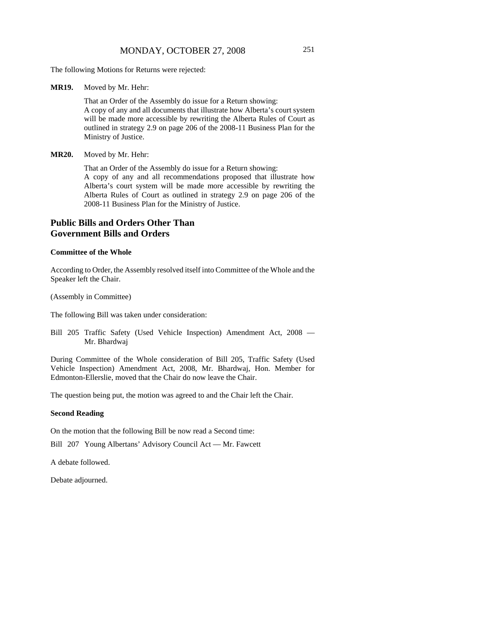The following Motions for Returns were rejected:

**MR19.** Moved by Mr. Hehr:

That an Order of the Assembly do issue for a Return showing: A copy of any and all documents that illustrate how Alberta's court system will be made more accessible by rewriting the Alberta Rules of Court as outlined in strategy 2.9 on page 206 of the 2008-11 Business Plan for the Ministry of Justice.

#### **MR20.** Moved by Mr. Hehr:

That an Order of the Assembly do issue for a Return showing: A copy of any and all recommendations proposed that illustrate how Alberta's court system will be made more accessible by rewriting the Alberta Rules of Court as outlined in strategy 2.9 on page 206 of the 2008-11 Business Plan for the Ministry of Justice.

# **Public Bills and Orders Other Than Government Bills and Orders**

### **Committee of the Whole**

According to Order, the Assembly resolved itself into Committee of the Whole and the Speaker left the Chair.

(Assembly in Committee)

The following Bill was taken under consideration:

Bill 205 Traffic Safety (Used Vehicle Inspection) Amendment Act, 2008 — Mr. Bhardwaj

During Committee of the Whole consideration of Bill 205, Traffic Safety (Used Vehicle Inspection) Amendment Act, 2008, Mr. Bhardwaj, Hon. Member for Edmonton-Ellerslie, moved that the Chair do now leave the Chair.

The question being put, the motion was agreed to and the Chair left the Chair.

#### **Second Reading**

On the motion that the following Bill be now read a Second time:

Bill 207 Young Albertans' Advisory Council Act — Mr. Fawcett

A debate followed.

Debate adjourned.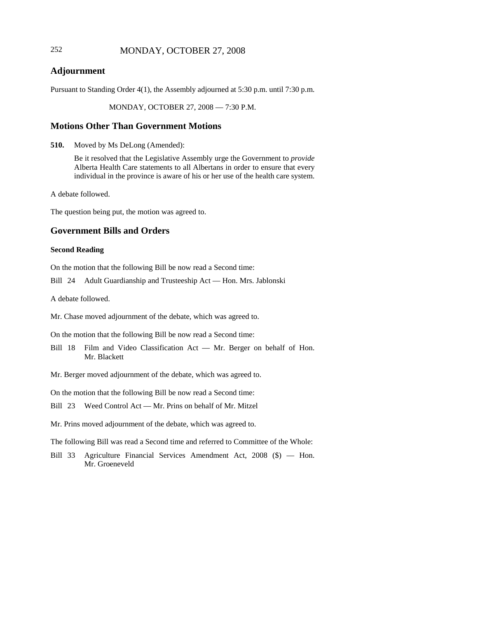# 252 MONDAY, OCTOBER 27, 2008

# **Adjournment**

Pursuant to Standing Order 4(1), the Assembly adjourned at 5:30 p.m. until 7:30 p.m.

MONDAY, OCTOBER 27, 2008 — 7:30 P.M.

### **Motions Other Than Government Motions**

**510.** Moved by Ms DeLong (Amended):

Be it resolved that the Legislative Assembly urge the Government to *provide* Alberta Health Care statements to all Albertans in order to ensure that every individual in the province is aware of his or her use of the health care system.

A debate followed.

The question being put, the motion was agreed to.

## **Government Bills and Orders**

### **Second Reading**

On the motion that the following Bill be now read a Second time:

Bill 24 Adult Guardianship and Trusteeship Act — Hon. Mrs. Jablonski

A debate followed.

Mr. Chase moved adjournment of the debate, which was agreed to.

On the motion that the following Bill be now read a Second time:

Bill 18 Film and Video Classification Act — Mr. Berger on behalf of Hon. Mr. Blackett

Mr. Berger moved adjournment of the debate, which was agreed to.

On the motion that the following Bill be now read a Second time:

Bill 23 Weed Control Act — Mr. Prins on behalf of Mr. Mitzel

Mr. Prins moved adjournment of the debate, which was agreed to.

The following Bill was read a Second time and referred to Committee of the Whole:

Bill 33 Agriculture Financial Services Amendment Act, 2008 (\$) — Hon. Mr. Groeneveld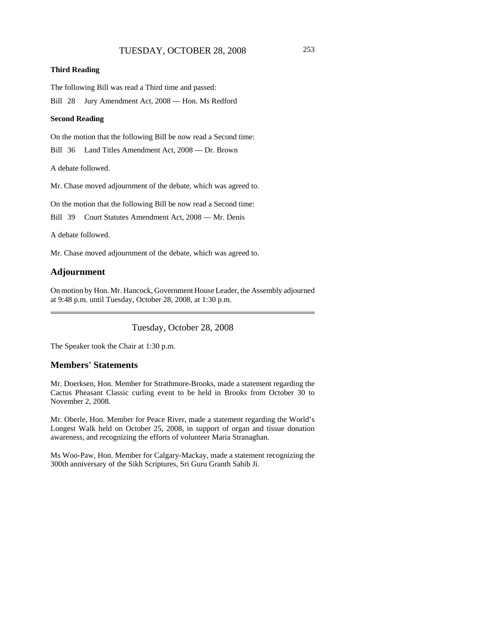### **Third Reading**

The following Bill was read a Third time and passed:

Bill 28 Jury Amendment Act, 2008 — Hon. Ms Redford

#### **Second Reading**

On the motion that the following Bill be now read a Second time:

Bill 36 Land Titles Amendment Act, 2008 — Dr. Brown

A debate followed.

Mr. Chase moved adjournment of the debate, which was agreed to.

On the motion that the following Bill be now read a Second time:

Bill 39 Court Statutes Amendment Act, 2008 — Mr. Denis

A debate followed.

Mr. Chase moved adjournment of the debate, which was agreed to.

# **Adjournment**

On motion by Hon. Mr. Hancock, Government House Leader, the Assembly adjourned at 9:48 p.m. until Tuesday, October 28, 2008, at 1:30 p.m.

Tuesday, October 28, 2008

The Speaker took the Chair at 1:30 p.m.

## **Members' Statements**

Mr. Doerksen, Hon. Member for Strathmore-Brooks, made a statement regarding the Cactus Pheasant Classic curling event to be held in Brooks from October 30 to November 2, 2008.

Mr. Oberle, Hon. Member for Peace River, made a statement regarding the World's Longest Walk held on October 25, 2008, in support of organ and tissue donation awareness, and recognizing the efforts of volunteer Maria Stranaghan.

Ms Woo-Paw, Hon. Member for Calgary-Mackay, made a statement recognizing the 300th anniversary of the Sikh Scriptures, Sri Guru Granth Sahib Ji.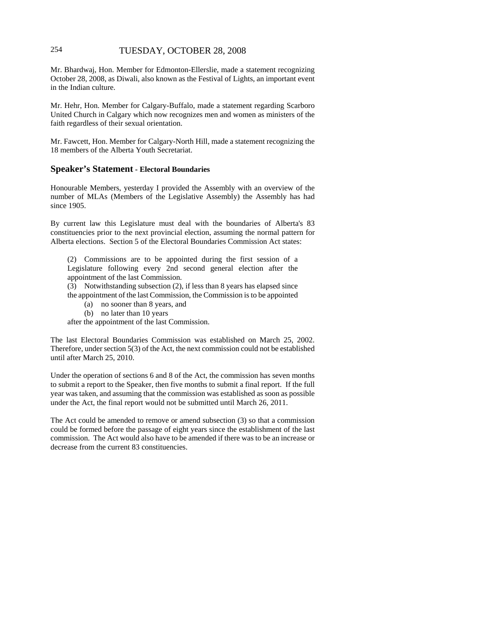# 254 TUESDAY, OCTOBER 28, 2008

Mr. Bhardwaj, Hon. Member for Edmonton-Ellerslie, made a statement recognizing October 28, 2008, as Diwali, also known as the Festival of Lights, an important event in the Indian culture.

Mr. Hehr, Hon. Member for Calgary-Buffalo, made a statement regarding Scarboro United Church in Calgary which now recognizes men and women as ministers of the faith regardless of their sexual orientation.

Mr. Fawcett, Hon. Member for Calgary-North Hill, made a statement recognizing the 18 members of the Alberta Youth Secretariat.

### **Speaker's Statement - Electoral Boundaries**

Honourable Members, yesterday I provided the Assembly with an overview of the number of MLAs (Members of the Legislative Assembly) the Assembly has had since 1905.

By current law this Legislature must deal with the boundaries of Alberta's 83 constituencies prior to the next provincial election, assuming the normal pattern for Alberta elections. Section 5 of the Electoral Boundaries Commission Act states:

(2) Commissions are to be appointed during the first session of a Legislature following every 2nd second general election after the appointment of the last Commission.

(3) Notwithstanding subsection (2), if less than 8 years has elapsed since the appointment of the last Commission, the Commission is to be appointed

- (a) no sooner than 8 years, and
- (b) no later than 10 years

after the appointment of the last Commission.

The last Electoral Boundaries Commission was established on March 25, 2002. Therefore, under section 5(3) of the Act, the next commission could not be established until after March 25, 2010.

Under the operation of sections 6 and 8 of the Act, the commission has seven months to submit a report to the Speaker, then five months to submit a final report. If the full year was taken, and assuming that the commission was established as soon as possible under the Act, the final report would not be submitted until March 26, 2011.

The Act could be amended to remove or amend subsection (3) so that a commission could be formed before the passage of eight years since the establishment of the last commission. The Act would also have to be amended if there was to be an increase or decrease from the current 83 constituencies.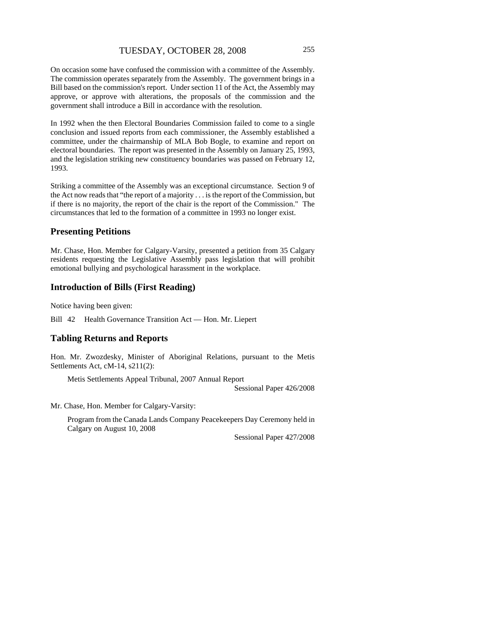On occasion some have confused the commission with a committee of the Assembly. The commission operates separately from the Assembly. The government brings in a Bill based on the commission's report. Under section 11 of the Act, the Assembly may approve, or approve with alterations, the proposals of the commission and the government shall introduce a Bill in accordance with the resolution.

In 1992 when the then Electoral Boundaries Commission failed to come to a single conclusion and issued reports from each commissioner, the Assembly established a committee, under the chairmanship of MLA Bob Bogle, to examine and report on electoral boundaries. The report was presented in the Assembly on January 25, 1993, and the legislation striking new constituency boundaries was passed on February 12, 1993.

Striking a committee of the Assembly was an exceptional circumstance. Section 9 of the Act now reads that "the report of a majority . . . is the report of the Commission, but if there is no majority, the report of the chair is the report of the Commission." The circumstances that led to the formation of a committee in 1993 no longer exist.

# **Presenting Petitions**

Mr. Chase, Hon. Member for Calgary-Varsity, presented a petition from 35 Calgary residents requesting the Legislative Assembly pass legislation that will prohibit emotional bullying and psychological harassment in the workplace.

# **Introduction of Bills (First Reading)**

Notice having been given:

Bill 42 Health Governance Transition Act — Hon. Mr. Liepert

### **Tabling Returns and Reports**

Hon. Mr. Zwozdesky, Minister of Aboriginal Relations, pursuant to the Metis Settlements Act, cM-14, s211(2):

Metis Settlements Appeal Tribunal, 2007 Annual Report

Sessional Paper 426/2008

Mr. Chase, Hon. Member for Calgary-Varsity:

Program from the Canada Lands Company Peacekeepers Day Ceremony held in Calgary on August 10, 2008

Sessional Paper 427/2008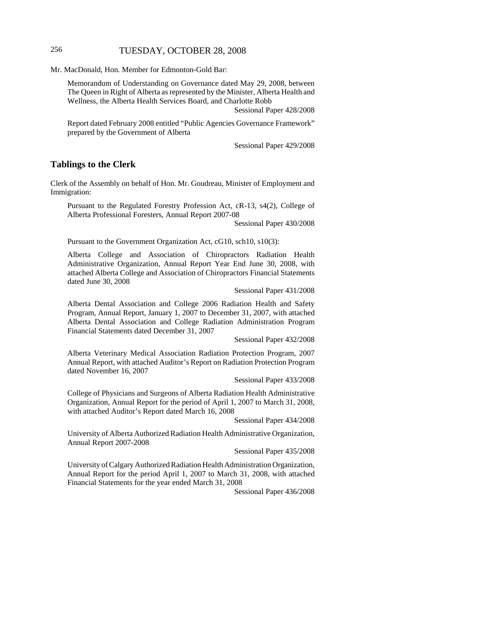# 256 TUESDAY, OCTOBER 28, 2008

Mr. MacDonald, Hon. Member for Edmonton-Gold Bar:

Memorandum of Understanding on Governance dated May 29, 2008, between The Queen in Right of Alberta as represented by the Minister, Alberta Health and Wellness, the Alberta Health Services Board, and Charlotte Robb

Sessional Paper 428/2008

Report dated February 2008 entitled "Public Agencies Governance Framework" prepared by the Government of Alberta

Sessional Paper 429/2008

### **Tablings to the Clerk**

Clerk of the Assembly on behalf of Hon. Mr. Goudreau, Minister of Employment and Immigration:

Pursuant to the Regulated Forestry Profession Act, cR-13, s4(2), College of Alberta Professional Foresters, Annual Report 2007-08

Sessional Paper 430/2008

Pursuant to the Government Organization Act, cG10, sch10, s10(3):

Alberta College and Association of Chiropractors Radiation Health Administrative Organization, Annual Report Year End June 30, 2008, with attached Alberta College and Association of Chiropractors Financial Statements dated June 30, 2008

Sessional Paper 431/2008

Alberta Dental Association and College 2006 Radiation Health and Safety Program, Annual Report, January 1, 2007 to December 31, 2007, with attached Alberta Dental Association and College Radiation Administration Program Financial Statements dated December 31, 2007

Sessional Paper 432/2008

Alberta Veterinary Medical Association Radiation Protection Program, 2007 Annual Report, with attached Auditor's Report on Radiation Protection Program dated November 16, 2007

Sessional Paper 433/2008

College of Physicians and Surgeons of Alberta Radiation Health Administrative Organization, Annual Report for the period of April 1, 2007 to March 31, 2008, with attached Auditor's Report dated March 16, 2008

Sessional Paper 434/2008

University of Alberta Authorized Radiation Health Administrative Organization, Annual Report 2007-2008

Sessional Paper 435/2008

University of Calgary Authorized Radiation Health Administration Organization, Annual Report for the period April 1, 2007 to March 31, 2008, with attached Financial Statements for the year ended March 31, 2008

Sessional Paper 436/2008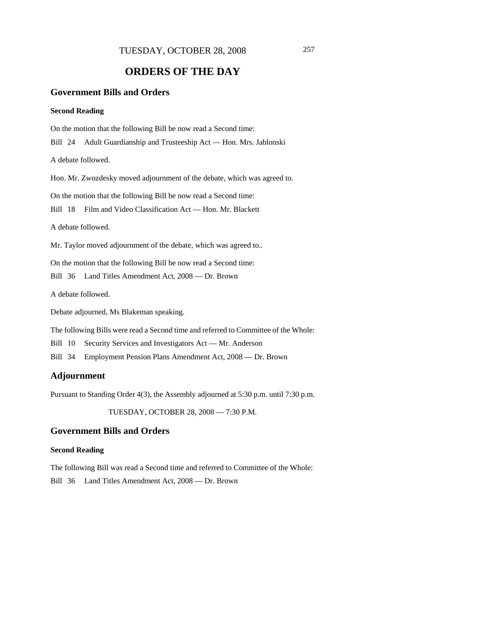# **ORDERS OF THE DAY**

# **Government Bills and Orders**

#### **Second Reading**

On the motion that the following Bill be now read a Second time: Bill 24 Adult Guardianship and Trusteeship Act — Hon. Mrs. Jablonski A debate followed. Hon. Mr. Zwozdesky moved adjournment of the debate, which was agreed to. On the motion that the following Bill be now read a Second time: Bill 18 Film and Video Classification Act — Hon. Mr. Blackett A debate followed. Mr. Taylor moved adjournment of the debate, which was agreed to.. On the motion that the following Bill be now read a Second time: Bill 36 Land Titles Amendment Act, 2008 — Dr. Brown A debate followed. Debate adjourned, Ms Blakeman speaking.

The following Bills were read a Second time and referred to Committee of the Whole:

Bill 10 Security Services and Investigators Act — Mr. Anderson

Bill 34 Employment Pension Plans Amendment Act, 2008 — Dr. Brown

# **Adjournment**

Pursuant to Standing Order 4(3), the Assembly adjourned at 5:30 p.m. until 7:30 p.m.

TUESDAY, OCTOBER 28, 2008 — 7:30 P.M.

### **Government Bills and Orders**

### **Second Reading**

The following Bill was read a Second time and referred to Committee of the Whole: Bill 36 Land Titles Amendment Act, 2008 — Dr. Brown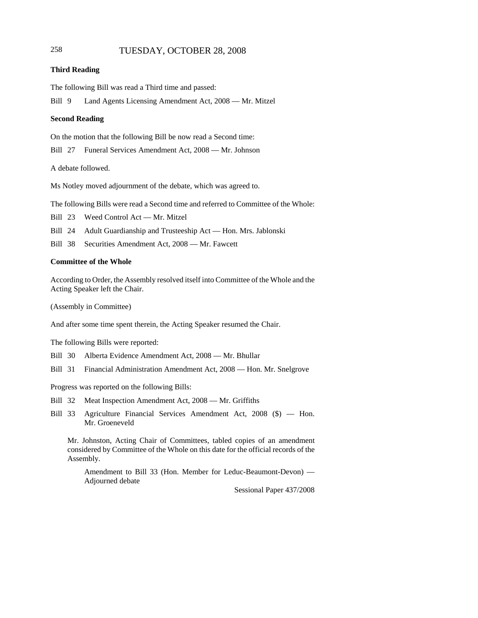# 258 TUESDAY, OCTOBER 28, 2008

#### **Third Reading**

The following Bill was read a Third time and passed:

Bill 9 Land Agents Licensing Amendment Act, 2008 — Mr. Mitzel

#### **Second Reading**

On the motion that the following Bill be now read a Second time:

Bill 27 Funeral Services Amendment Act, 2008 — Mr. Johnson

A debate followed.

Ms Notley moved adjournment of the debate, which was agreed to.

The following Bills were read a Second time and referred to Committee of the Whole:

Bill 23 Weed Control Act — Mr. Mitzel

Bill 24 Adult Guardianship and Trusteeship Act — Hon. Mrs. Jablonski

Bill 38 Securities Amendment Act, 2008 — Mr. Fawcett

#### **Committee of the Whole**

According to Order, the Assembly resolved itself into Committee of the Whole and the Acting Speaker left the Chair.

(Assembly in Committee)

And after some time spent therein, the Acting Speaker resumed the Chair.

The following Bills were reported:

Bill 30 Alberta Evidence Amendment Act, 2008 — Mr. Bhullar

Bill 31 Financial Administration Amendment Act, 2008 — Hon. Mr. Snelgrove

Progress was reported on the following Bills:

- Bill 32 Meat Inspection Amendment Act, 2008 Mr. Griffiths
- Bill 33 Agriculture Financial Services Amendment Act, 2008 (\$) Hon. Mr. Groeneveld

Mr. Johnston, Acting Chair of Committees, tabled copies of an amendment considered by Committee of the Whole on this date for the official records of the Assembly.

Amendment to Bill 33 (Hon. Member for Leduc-Beaumont-Devon) — Adjourned debate

Sessional Paper 437/2008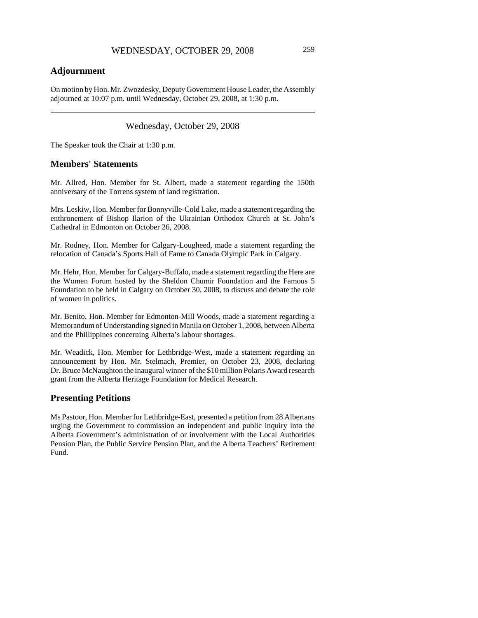# **Adjournment**

On motion by Hon. Mr. Zwozdesky, Deputy Government House Leader, the Assembly adjourned at 10:07 p.m. until Wednesday, October 29, 2008, at 1:30 p.m.

# Wednesday, October 29, 2008

The Speaker took the Chair at 1:30 p.m.

### **Members' Statements**

Mr. Allred, Hon. Member for St. Albert, made a statement regarding the 150th anniversary of the Torrens system of land registration.

Mrs. Leskiw, Hon. Member for Bonnyville-Cold Lake, made a statement regarding the enthronement of Bishop Ilarion of the Ukrainian Orthodox Church at St. John's Cathedral in Edmonton on October 26, 2008.

Mr. Rodney, Hon. Member for Calgary-Lougheed, made a statement regarding the relocation of Canada's Sports Hall of Fame to Canada Olympic Park in Calgary.

Mr. Hehr, Hon. Member for Calgary-Buffalo, made a statement regarding the Here are the Women Forum hosted by the Sheldon Chumir Foundation and the Famous 5 Foundation to be held in Calgary on October 30, 2008, to discuss and debate the role of women in politics.

Mr. Benito, Hon. Member for Edmonton-Mill Woods, made a statement regarding a Memorandum of Understanding signed in Manila on October 1, 2008, between Alberta and the Phillippines concerning Alberta's labour shortages.

Mr. Weadick, Hon. Member for Lethbridge-West, made a statement regarding an announcement by Hon. Mr. Stelmach, Premier, on October 23, 2008, declaring Dr. Bruce McNaughton the inaugural winner of the \$10 million Polaris Award research grant from the Alberta Heritage Foundation for Medical Research.

# **Presenting Petitions**

Ms Pastoor, Hon. Member for Lethbridge-East, presented a petition from 28 Albertans urging the Government to commission an independent and public inquiry into the Alberta Government's administration of or involvement with the Local Authorities Pension Plan, the Public Service Pension Plan, and the Alberta Teachers' Retirement Fund.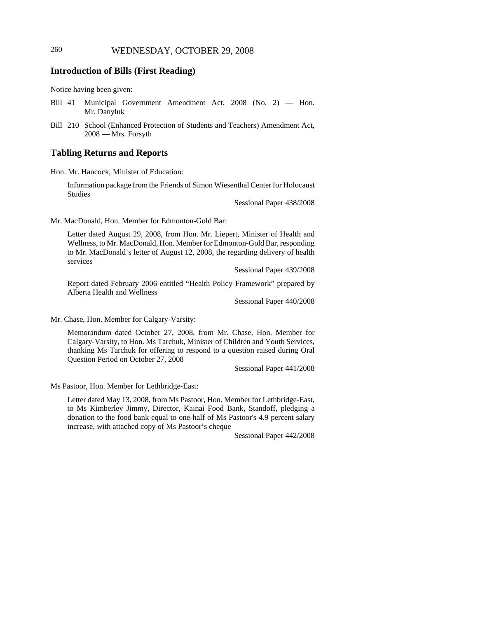# **Introduction of Bills (First Reading)**

Notice having been given:

- Bill 41 Municipal Government Amendment Act, 2008 (No. 2) Hon. Mr. Danyluk
- Bill 210 School (Enhanced Protection of Students and Teachers) Amendment Act, 2008 — Mrs. Forsyth

### **Tabling Returns and Reports**

Hon. Mr. Hancock, Minister of Education:

Information package from the Friends of Simon Wiesenthal Center for Holocaust Studies

Sessional Paper 438/2008

Mr. MacDonald, Hon. Member for Edmonton-Gold Bar:

Letter dated August 29, 2008, from Hon. Mr. Liepert, Minister of Health and Wellness, to Mr. MacDonald, Hon. Member for Edmonton-Gold Bar, responding to Mr. MacDonald's letter of August 12, 2008, the regarding delivery of health services

Sessional Paper 439/2008

Report dated February 2006 entitled "Health Policy Framework" prepared by Alberta Health and Wellness

Sessional Paper 440/2008

Mr. Chase, Hon. Member for Calgary-Varsity:

Memorandum dated October 27, 2008, from Mr. Chase, Hon. Member for Calgary-Varsity, to Hon. Ms Tarchuk, Minister of Children and Youth Services, thanking Ms Tarchuk for offering to respond to a question raised during Oral Question Period on October 27, 2008

Sessional Paper 441/2008

Ms Pastoor, Hon. Member for Lethbridge-East:

Letter dated May 13, 2008, from Ms Pastoor, Hon. Member for Lethbridge-East, to Ms Kimberley Jimmy, Director, Kainai Food Bank, Standoff, pledging a donation to the food bank equal to one-half of Ms Pastoor's 4.9 percent salary increase, with attached copy of Ms Pastoor's cheque

Sessional Paper 442/2008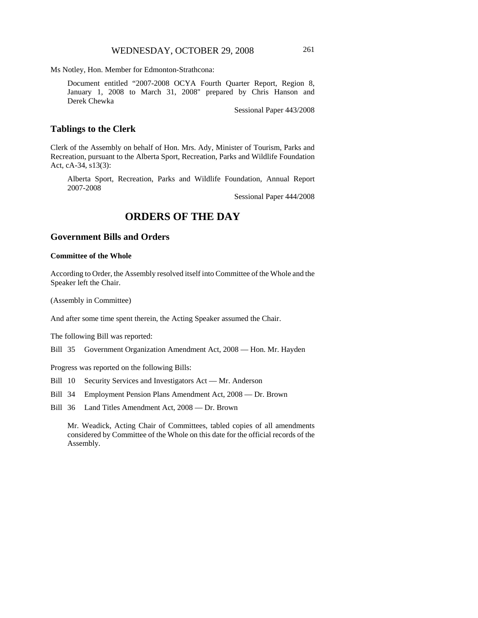Ms Notley, Hon. Member for Edmonton-Strathcona:

Document entitled "2007-2008 OCYA Fourth Quarter Report, Region 8, January 1, 2008 to March 31, 2008" prepared by Chris Hanson and Derek Chewka

Sessional Paper 443/2008

## **Tablings to the Clerk**

Clerk of the Assembly on behalf of Hon. Mrs. Ady, Minister of Tourism, Parks and Recreation, pursuant to the Alberta Sport, Recreation, Parks and Wildlife Foundation Act, cA-34, s13(3):

Alberta Sport, Recreation, Parks and Wildlife Foundation, Annual Report 2007-2008

Sessional Paper 444/2008

# **ORDERS OF THE DAY**

# **Government Bills and Orders**

#### **Committee of the Whole**

According to Order, the Assembly resolved itself into Committee of the Whole and the Speaker left the Chair.

(Assembly in Committee)

And after some time spent therein, the Acting Speaker assumed the Chair.

The following Bill was reported:

Bill 35 Government Organization Amendment Act, 2008 — Hon. Mr. Hayden

Progress was reported on the following Bills:

Bill 10 Security Services and Investigators Act — Mr. Anderson

Bill 34 Employment Pension Plans Amendment Act, 2008 — Dr. Brown

Bill 36 Land Titles Amendment Act, 2008 — Dr. Brown

Mr. Weadick, Acting Chair of Committees, tabled copies of all amendments considered by Committee of the Whole on this date for the official records of the Assembly.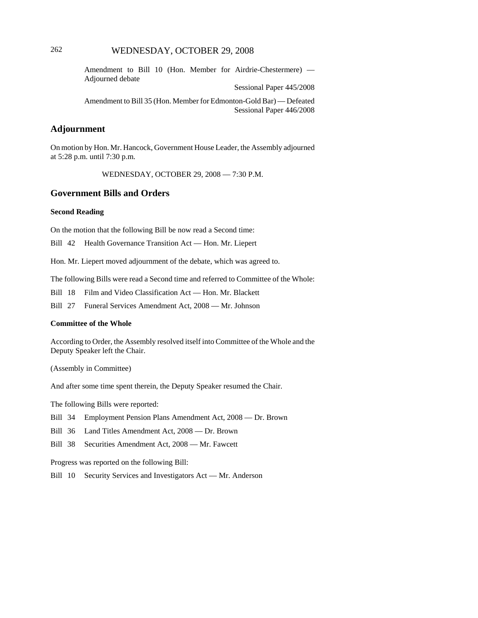# 262 WEDNESDAY, OCTOBER 29, 2008

Amendment to Bill 10 (Hon. Member for Airdrie-Chestermere) — Adjourned debate

Sessional Paper 445/2008

Amendment to Bill 35 (Hon. Member for Edmonton-Gold Bar) — Defeated Sessional Paper 446/2008

# **Adjournment**

On motion by Hon. Mr. Hancock, Government House Leader, the Assembly adjourned at 5:28 p.m. until 7:30 p.m.

WEDNESDAY, OCTOBER 29, 2008 — 7:30 P.M.

## **Government Bills and Orders**

#### **Second Reading**

On the motion that the following Bill be now read a Second time:

Bill 42 Health Governance Transition Act — Hon. Mr. Liepert

Hon. Mr. Liepert moved adjournment of the debate, which was agreed to.

The following Bills were read a Second time and referred to Committee of the Whole:

Bill 18 Film and Video Classification Act — Hon. Mr. Blackett

Bill 27 Funeral Services Amendment Act, 2008 — Mr. Johnson

#### **Committee of the Whole**

According to Order, the Assembly resolved itself into Committee of the Whole and the Deputy Speaker left the Chair.

(Assembly in Committee)

And after some time spent therein, the Deputy Speaker resumed the Chair.

The following Bills were reported:

Bill 34 Employment Pension Plans Amendment Act, 2008 — Dr. Brown

Bill 36 Land Titles Amendment Act, 2008 — Dr. Brown

Bill 38 Securities Amendment Act, 2008 — Mr. Fawcett

Progress was reported on the following Bill:

Bill 10 Security Services and Investigators Act — Mr. Anderson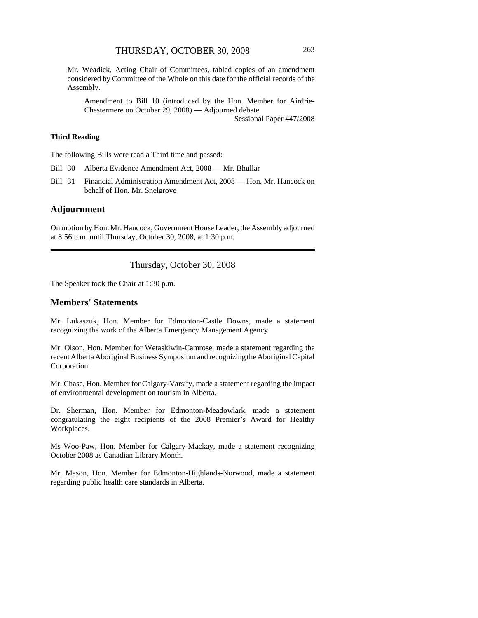Mr. Weadick, Acting Chair of Committees, tabled copies of an amendment considered by Committee of the Whole on this date for the official records of the Assembly.

Amendment to Bill 10 (introduced by the Hon. Member for Airdrie-Chestermere on October 29, 2008) — Adjourned debate

Sessional Paper 447/2008

### **Third Reading**

The following Bills were read a Third time and passed:

- Bill 30 Alberta Evidence Amendment Act, 2008 Mr. Bhullar
- Bill 31 Financial Administration Amendment Act, 2008 Hon. Mr. Hancock on behalf of Hon. Mr. Snelgrove

#### **Adjournment**

On motion by Hon. Mr. Hancock, Government House Leader, the Assembly adjourned at 8:56 p.m. until Thursday, October 30, 2008, at 1:30 p.m.

#### Thursday, October 30, 2008

The Speaker took the Chair at 1:30 p.m.

### **Members' Statements**

Mr. Lukaszuk, Hon. Member for Edmonton-Castle Downs, made a statement recognizing the work of the Alberta Emergency Management Agency.

Mr. Olson, Hon. Member for Wetaskiwin-Camrose, made a statement regarding the recent Alberta Aboriginal Business Symposium and recognizing the Aboriginal Capital Corporation.

Mr. Chase, Hon. Member for Calgary-Varsity, made a statement regarding the impact of environmental development on tourism in Alberta.

Dr. Sherman, Hon. Member for Edmonton-Meadowlark, made a statement congratulating the eight recipients of the 2008 Premier's Award for Healthy Workplaces.

Ms Woo-Paw, Hon. Member for Calgary-Mackay, made a statement recognizing October 2008 as Canadian Library Month.

Mr. Mason, Hon. Member for Edmonton-Highlands-Norwood, made a statement regarding public health care standards in Alberta.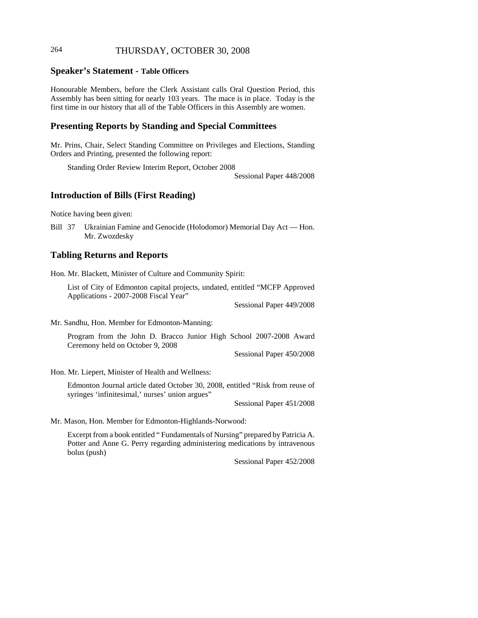# 264 THURSDAY, OCTOBER 30, 2008

### **Speaker's Statement - Table Officers**

Honourable Members, before the Clerk Assistant calls Oral Question Period, this Assembly has been sitting for nearly 103 years. The mace is in place. Today is the first time in our history that all of the Table Officers in this Assembly are women.

### **Presenting Reports by Standing and Special Committees**

Mr. Prins, Chair, Select Standing Committee on Privileges and Elections, Standing Orders and Printing, presented the following report:

Standing Order Review Interim Report, October 2008

Sessional Paper 448/2008

### **Introduction of Bills (First Reading)**

Notice having been given:

Bill 37 Ukrainian Famine and Genocide (Holodomor) Memorial Day Act — Hon. Mr. Zwozdesky

## **Tabling Returns and Reports**

Hon. Mr. Blackett, Minister of Culture and Community Spirit:

List of City of Edmonton capital projects, undated, entitled "MCFP Approved Applications - 2007-2008 Fiscal Year"

Sessional Paper 449/2008

Mr. Sandhu, Hon. Member for Edmonton-Manning:

Program from the John D. Bracco Junior High School 2007-2008 Award Ceremony held on October 9, 2008

Sessional Paper 450/2008

Hon. Mr. Liepert, Minister of Health and Wellness:

Edmonton Journal article dated October 30, 2008, entitled "Risk from reuse of syringes 'infinitesimal,' nurses' union argues"

Sessional Paper 451/2008

Mr. Mason, Hon. Member for Edmonton-Highlands-Norwood:

Excerpt from a book entitled " Fundamentals of Nursing" prepared by Patricia A. Potter and Anne G. Perry regarding administering medications by intravenous bolus (push)

Sessional Paper 452/2008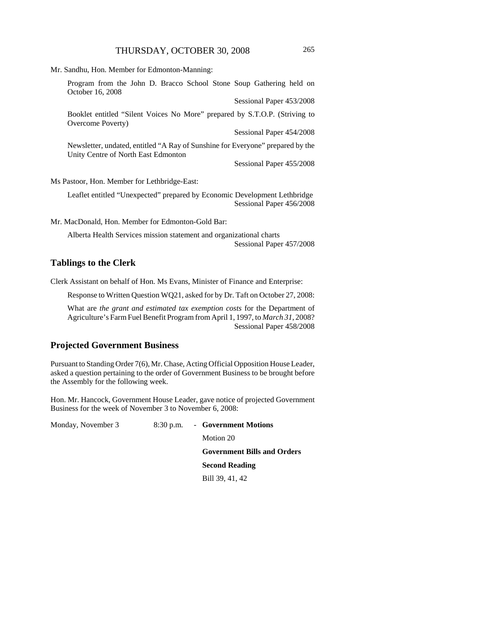Mr. Sandhu, Hon. Member for Edmonton-Manning: Program from the John D. Bracco School Stone Soup Gathering held on

October 16, 2008 Sessional Paper 453/2008 Booklet entitled "Silent Voices No More" prepared by S.T.O.P. (Striving to Overcome Poverty) Sessional Paper 454/2008 Newsletter, undated, entitled "A Ray of Sunshine for Everyone" prepared by the Unity Centre of North East Edmonton Sessional Paper 455/2008 Ms Pastoor, Hon. Member for Lethbridge-East: Leaflet entitled "Unexpected" prepared by Economic Development Lethbridge

Mr. MacDonald, Hon. Member for Edmonton-Gold Bar:

Alberta Health Services mission statement and organizational charts Sessional Paper 457/2008

### **Tablings to the Clerk**

Clerk Assistant on behalf of Hon. Ms Evans, Minister of Finance and Enterprise:

Response to Written Question WQ21, asked for by Dr. Taft on October 27, 2008:

What are *the grant and estimated tax exemption costs* for the Department of Agriculture's Farm Fuel Benefit Program from April 1, 1997, to *March 31*, 2008? Sessional Paper 458/2008

# **Projected Government Business**

Pursuant to Standing Order 7(6), Mr. Chase, Acting Official Opposition House Leader, asked a question pertaining to the order of Government Business to be brought before the Assembly for the following week.

Hon. Mr. Hancock, Government House Leader, gave notice of projected Government Business for the week of November 3 to November 6, 2008:

| Monday, November 3 | 8:30 p.m. - Government Motions     |
|--------------------|------------------------------------|
|                    | Motion 20                          |
|                    | <b>Government Bills and Orders</b> |
|                    | <b>Second Reading</b>              |
|                    | Bill 39, 41, 42                    |

Sessional Paper 456/2008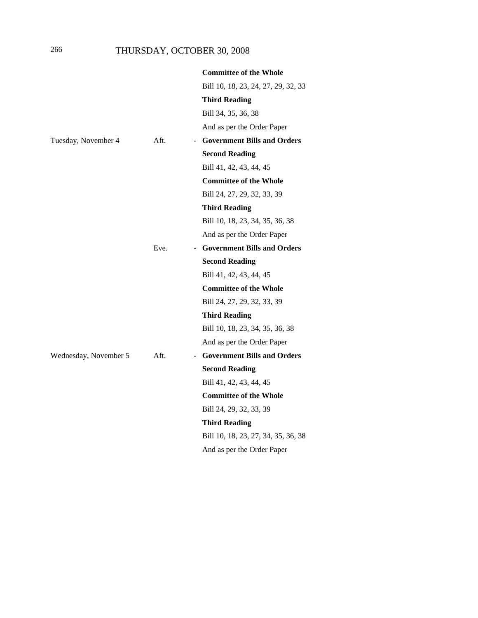# 266 THURSDAY, OCTOBER 30, 2008

|                       |      | <b>Committee of the Whole</b>       |
|-----------------------|------|-------------------------------------|
|                       |      | Bill 10, 18, 23, 24, 27, 29, 32, 33 |
|                       |      | Third Reading                       |
|                       |      | Bill 34, 35, 36, 38                 |
|                       |      | And as per the Order Paper          |
| Tuesday, November 4   | Aft. | - Government Bills and Orders       |
|                       |      | <b>Second Reading</b>               |
|                       |      | Bill 41, 42, 43, 44, 45             |
|                       |      | <b>Committee of the Whole</b>       |
|                       |      | Bill 24, 27, 29, 32, 33, 39         |
|                       |      | <b>Third Reading</b>                |
|                       |      | Bill 10, 18, 23, 34, 35, 36, 38     |
|                       |      | And as per the Order Paper          |
|                       | Eve. | - Government Bills and Orders       |
|                       |      | <b>Second Reading</b>               |
|                       |      | Bill 41, 42, 43, 44, 45             |
|                       |      | <b>Committee of the Whole</b>       |
|                       |      | Bill 24, 27, 29, 32, 33, 39         |
|                       |      | <b>Third Reading</b>                |
|                       |      | Bill 10, 18, 23, 34, 35, 36, 38     |
|                       |      | And as per the Order Paper          |
| Wednesday, November 5 | Aft. | <b>Government Bills and Orders</b>  |
|                       |      | <b>Second Reading</b>               |
|                       |      | Bill 41, 42, 43, 44, 45             |
|                       |      | <b>Committee of the Whole</b>       |
|                       |      | Bill 24, 29, 32, 33, 39             |
|                       |      | <b>Third Reading</b>                |
|                       |      | Bill 10, 18, 23, 27, 34, 35, 36, 38 |
|                       |      | And as per the Order Paper          |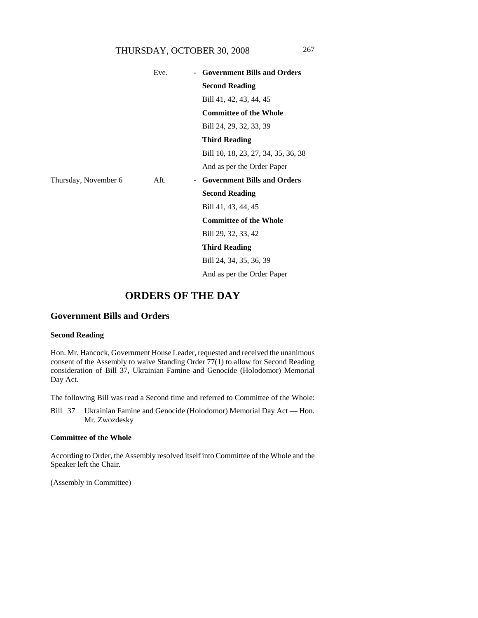# THURSDAY, OCTOBER 30, 2008 267

|                      | Eve. | <b>Government Bills and Orders</b>      |
|----------------------|------|-----------------------------------------|
|                      |      | <b>Second Reading</b>                   |
|                      |      | Bill 41, 42, 43, 44, 45                 |
|                      |      | <b>Committee of the Whole</b>           |
|                      |      | Bill 24, 29, 32, 33, 39                 |
|                      |      | <b>Third Reading</b>                    |
|                      |      | Bill 10, 18, 23, 27, 34, 35, 36, 38     |
|                      |      | And as per the Order Paper              |
| Thursday, November 6 | Aft. | <b>Government Bills and Orders</b><br>- |
|                      |      | <b>Second Reading</b>                   |
|                      |      | Bill 41, 43, 44, 45                     |
|                      |      | <b>Committee of the Whole</b>           |
|                      |      | Bill 29, 32, 33, 42                     |
|                      |      | Third Reading                           |
|                      |      | Bill 24, 34, 35, 36, 39                 |
|                      |      | And as per the Order Paper              |

# **ORDERS OF THE DAY**

# **Government Bills and Orders**

### **Second Reading**

Hon. Mr. Hancock, Government House Leader, requested and received the unanimous consent of the Assembly to waive Standing Order 77(1) to allow for Second Reading consideration of Bill 37, Ukrainian Famine and Genocide (Holodomor) Memorial Day Act.

The following Bill was read a Second time and referred to Committee of the Whole:

Bill 37 Ukrainian Famine and Genocide (Holodomor) Memorial Day Act — Hon. Mr. Zwozdesky

### **Committee of the Whole**

According to Order, the Assembly resolved itself into Committee of the Whole and the Speaker left the Chair.

(Assembly in Committee)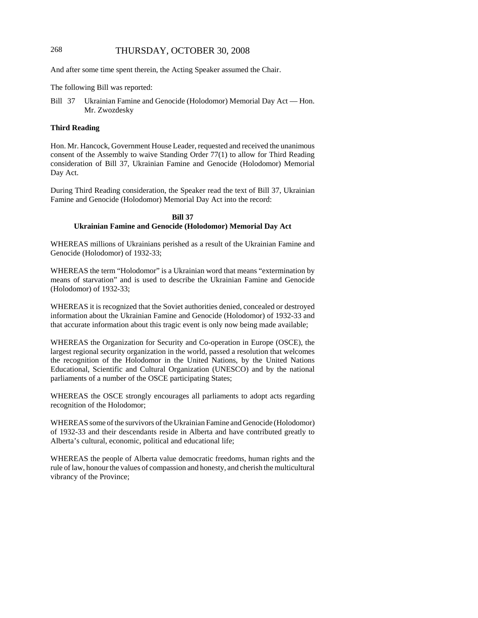# 268 THURSDAY, OCTOBER 30, 2008

And after some time spent therein, the Acting Speaker assumed the Chair.

The following Bill was reported:

Bill 37 Ukrainian Famine and Genocide (Holodomor) Memorial Day Act — Hon. Mr. Zwozdesky

### **Third Reading**

Hon. Mr. Hancock, Government House Leader, requested and received the unanimous consent of the Assembly to waive Standing Order 77(1) to allow for Third Reading consideration of Bill 37, Ukrainian Famine and Genocide (Holodomor) Memorial Day Act.

During Third Reading consideration, the Speaker read the text of Bill 37, Ukrainian Famine and Genocide (Holodomor) Memorial Day Act into the record:

#### **Bill 37 Ukrainian Famine and Genocide (Holodomor) Memorial Day Act**

WHEREAS millions of Ukrainians perished as a result of the Ukrainian Famine and Genocide (Holodomor) of 1932-33;

WHEREAS the term "Holodomor" is a Ukrainian word that means "extermination by means of starvation" and is used to describe the Ukrainian Famine and Genocide (Holodomor) of 1932-33;

WHEREAS it is recognized that the Soviet authorities denied, concealed or destroyed information about the Ukrainian Famine and Genocide (Holodomor) of 1932-33 and that accurate information about this tragic event is only now being made available;

WHEREAS the Organization for Security and Co-operation in Europe (OSCE), the largest regional security organization in the world, passed a resolution that welcomes the recognition of the Holodomor in the United Nations, by the United Nations Educational, Scientific and Cultural Organization (UNESCO) and by the national parliaments of a number of the OSCE participating States;

WHEREAS the OSCE strongly encourages all parliaments to adopt acts regarding recognition of the Holodomor;

WHEREAS some of the survivors of the Ukrainian Famine and Genocide (Holodomor) of 1932-33 and their descendants reside in Alberta and have contributed greatly to Alberta's cultural, economic, political and educational life;

WHEREAS the people of Alberta value democratic freedoms, human rights and the rule of law, honour the values of compassion and honesty, and cherish the multicultural vibrancy of the Province;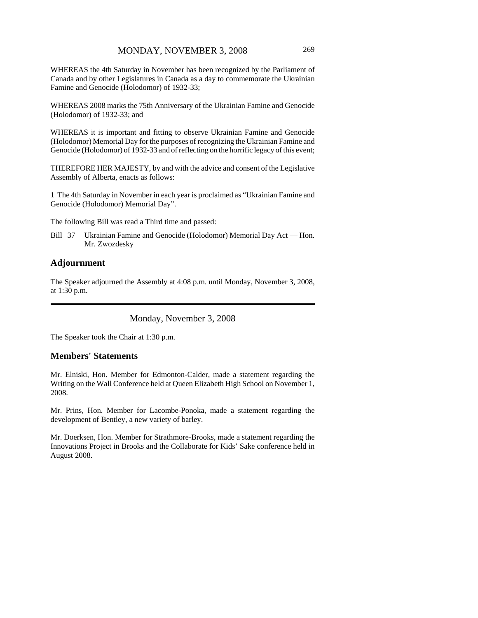WHEREAS the 4th Saturday in November has been recognized by the Parliament of Canada and by other Legislatures in Canada as a day to commemorate the Ukrainian Famine and Genocide (Holodomor) of 1932-33;

WHEREAS 2008 marks the 75th Anniversary of the Ukrainian Famine and Genocide (Holodomor) of 1932-33; and

WHEREAS it is important and fitting to observe Ukrainian Famine and Genocide (Holodomor) Memorial Day for the purposes of recognizing the Ukrainian Famine and Genocide (Holodomor) of 1932-33 and of reflecting on the horrific legacy of this event;

THEREFORE HER MAJESTY, by and with the advice and consent of the Legislative Assembly of Alberta, enacts as follows:

**1** The 4th Saturday in November in each year is proclaimed as "Ukrainian Famine and Genocide (Holodomor) Memorial Day".

The following Bill was read a Third time and passed:

Bill 37 Ukrainian Famine and Genocide (Holodomor) Memorial Day Act — Hon. Mr. Zwozdesky

### **Adjournment**

The Speaker adjourned the Assembly at 4:08 p.m. until Monday, November 3, 2008, at 1:30 p.m.

Monday, November 3, 2008

The Speaker took the Chair at 1:30 p.m.

## **Members' Statements**

Mr. Elniski, Hon. Member for Edmonton-Calder, made a statement regarding the Writing on the Wall Conference held at Queen Elizabeth High School on November 1, 2008.

Mr. Prins, Hon. Member for Lacombe-Ponoka, made a statement regarding the development of Bentley, a new variety of barley.

Mr. Doerksen, Hon. Member for Strathmore-Brooks, made a statement regarding the Innovations Project in Brooks and the Collaborate for Kids' Sake conference held in August 2008.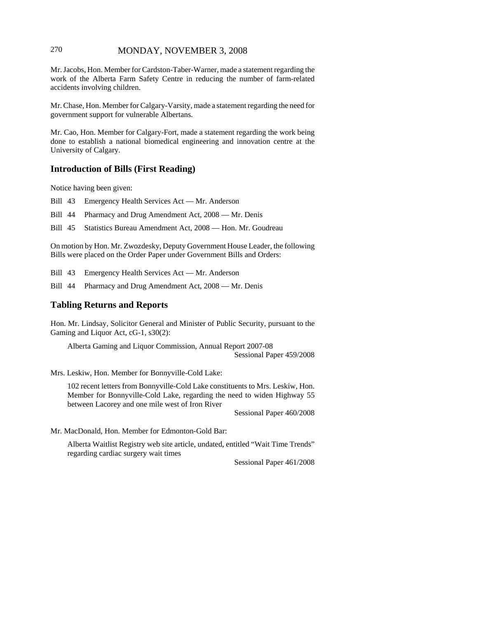# 270 MONDAY, NOVEMBER 3, 2008

Mr. Jacobs, Hon. Member for Cardston-Taber-Warner, made a statement regarding the work of the Alberta Farm Safety Centre in reducing the number of farm-related accidents involving children.

Mr. Chase, Hon. Member for Calgary-Varsity, made a statement regarding the need for government support for vulnerable Albertans.

Mr. Cao, Hon. Member for Calgary-Fort, made a statement regarding the work being done to establish a national biomedical engineering and innovation centre at the University of Calgary.

### **Introduction of Bills (First Reading)**

Notice having been given:

Bill 43 Emergency Health Services Act — Mr. Anderson

Bill 44 Pharmacy and Drug Amendment Act, 2008 — Mr. Denis

Bill 45 Statistics Bureau Amendment Act, 2008 — Hon. Mr. Goudreau

On motion by Hon. Mr. Zwozdesky, Deputy Government House Leader, the following Bills were placed on the Order Paper under Government Bills and Orders:

Bill 43 Emergency Health Services Act — Mr. Anderson

Bill 44 Pharmacy and Drug Amendment Act, 2008 — Mr. Denis

### **Tabling Returns and Reports**

Hon. Mr. Lindsay, Solicitor General and Minister of Public Security, pursuant to the Gaming and Liquor Act, cG-1, s30(2):

Alberta Gaming and Liquor Commission, Annual Report 2007-08 Sessional Paper 459/2008

Mrs. Leskiw, Hon. Member for Bonnyville-Cold Lake:

102 recent letters from Bonnyville-Cold Lake constituents to Mrs. Leskiw, Hon. Member for Bonnyville-Cold Lake, regarding the need to widen Highway 55 between Lacorey and one mile west of Iron River

Sessional Paper 460/2008

Mr. MacDonald, Hon. Member for Edmonton-Gold Bar:

Alberta Waitlist Registry web site article, undated, entitled "Wait Time Trends" regarding cardiac surgery wait times

Sessional Paper 461/2008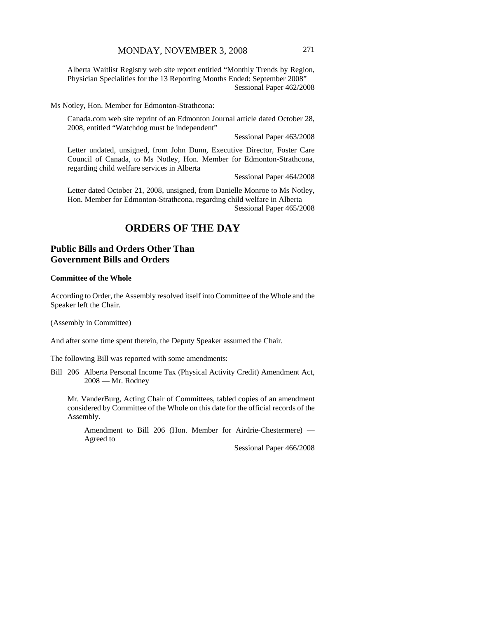Alberta Waitlist Registry web site report entitled "Monthly Trends by Region, Physician Specialities for the 13 Reporting Months Ended: September 2008" Sessional Paper 462/2008

Ms Notley, Hon. Member for Edmonton-Strathcona:

Canada.com web site reprint of an Edmonton Journal article dated October 28, 2008, entitled "Watchdog must be independent"

Sessional Paper 463/2008

Letter undated, unsigned, from John Dunn, Executive Director, Foster Care Council of Canada, to Ms Notley, Hon. Member for Edmonton-Strathcona, regarding child welfare services in Alberta

Sessional Paper 464/2008

Letter dated October 21, 2008, unsigned, from Danielle Monroe to Ms Notley, Hon. Member for Edmonton-Strathcona, regarding child welfare in Alberta Sessional Paper 465/2008

# **ORDERS OF THE DAY**

# **Public Bills and Orders Other Than Government Bills and Orders**

#### **Committee of the Whole**

According to Order, the Assembly resolved itself into Committee of the Whole and the Speaker left the Chair.

(Assembly in Committee)

And after some time spent therein, the Deputy Speaker assumed the Chair.

The following Bill was reported with some amendments:

Bill 206 Alberta Personal Income Tax (Physical Activity Credit) Amendment Act, 2008 — Mr. Rodney

Mr. VanderBurg, Acting Chair of Committees, tabled copies of an amendment considered by Committee of the Whole on this date for the official records of the Assembly.

Amendment to Bill 206 (Hon. Member for Airdrie-Chestermere) — Agreed to

Sessional Paper 466/2008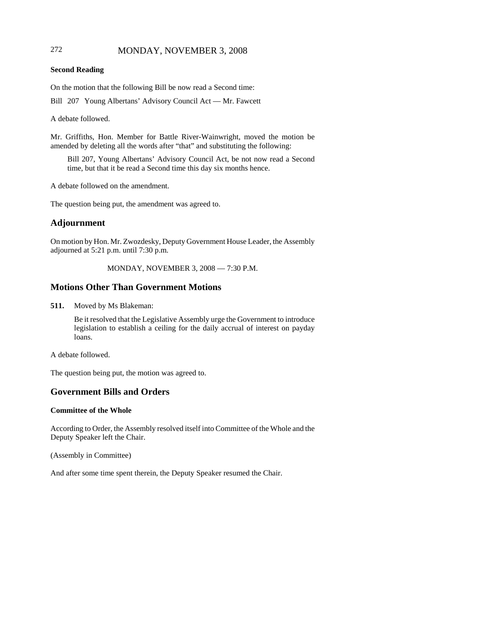# 272 MONDAY, NOVEMBER 3, 2008

#### **Second Reading**

On the motion that the following Bill be now read a Second time:

Bill 207 Young Albertans' Advisory Council Act — Mr. Fawcett

A debate followed.

Mr. Griffiths, Hon. Member for Battle River-Wainwright, moved the motion be amended by deleting all the words after "that" and substituting the following:

Bill 207, Young Albertans' Advisory Council Act, be not now read a Second time, but that it be read a Second time this day six months hence.

A debate followed on the amendment.

The question being put, the amendment was agreed to.

# **Adjournment**

On motion by Hon. Mr. Zwozdesky, Deputy Government House Leader, the Assembly adjourned at 5:21 p.m. until 7:30 p.m.

### MONDAY, NOVEMBER 3, 2008 — 7:30 P.M.

# **Motions Other Than Government Motions**

**511.** Moved by Ms Blakeman:

Be it resolved that the Legislative Assembly urge the Government to introduce legislation to establish a ceiling for the daily accrual of interest on payday loans.

A debate followed.

The question being put, the motion was agreed to.

# **Government Bills and Orders**

### **Committee of the Whole**

According to Order, the Assembly resolved itself into Committee of the Whole and the Deputy Speaker left the Chair.

(Assembly in Committee)

And after some time spent therein, the Deputy Speaker resumed the Chair.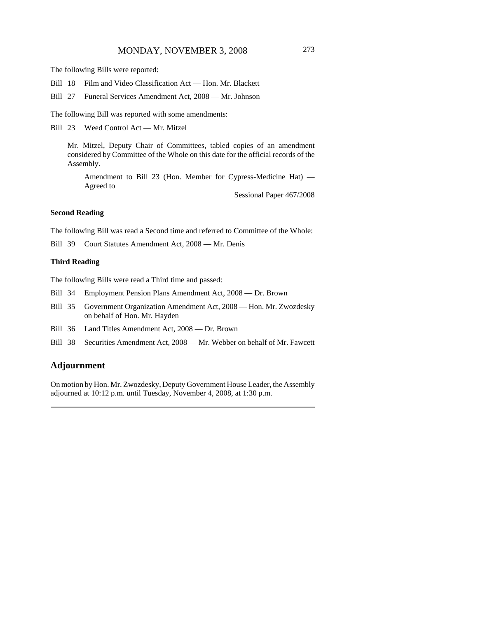The following Bills were reported:

Bill 18 Film and Video Classification Act — Hon. Mr. Blackett

Bill 27 Funeral Services Amendment Act, 2008 — Mr. Johnson

The following Bill was reported with some amendments:

Bill 23 Weed Control Act — Mr. Mitzel

Mr. Mitzel, Deputy Chair of Committees, tabled copies of an amendment considered by Committee of the Whole on this date for the official records of the Assembly.

Amendment to Bill 23 (Hon. Member for Cypress-Medicine Hat) — Agreed to

Sessional Paper 467/2008

#### **Second Reading**

The following Bill was read a Second time and referred to Committee of the Whole:

Bill 39 Court Statutes Amendment Act, 2008 — Mr. Denis

#### **Third Reading**

The following Bills were read a Third time and passed:

- Bill 34 Employment Pension Plans Amendment Act, 2008 Dr. Brown
- Bill 35 Government Organization Amendment Act, 2008 Hon. Mr. Zwozdesky on behalf of Hon. Mr. Hayden
- Bill 36 Land Titles Amendment Act, 2008 Dr. Brown
- Bill 38 Securities Amendment Act, 2008 Mr. Webber on behalf of Mr. Fawcett

## **Adjournment**

On motion by Hon. Mr. Zwozdesky, Deputy Government House Leader, the Assembly adjourned at 10:12 p.m. until Tuesday, November 4, 2008, at 1:30 p.m.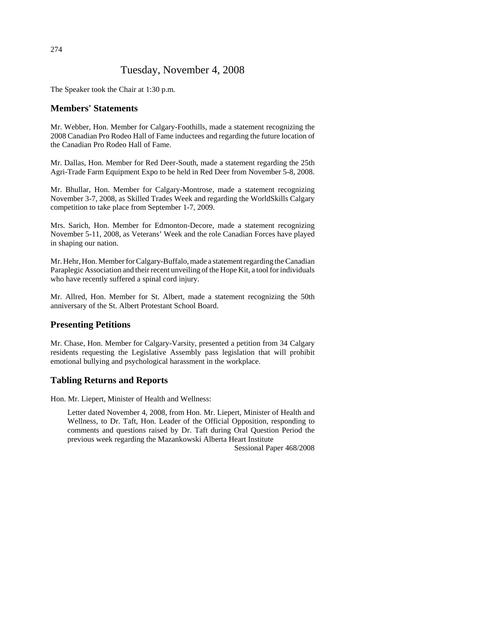# Tuesday, November 4, 2008

The Speaker took the Chair at 1:30 p.m.

# **Members' Statements**

Mr. Webber, Hon. Member for Calgary-Foothills, made a statement recognizing the 2008 Canadian Pro Rodeo Hall of Fame inductees and regarding the future location of the Canadian Pro Rodeo Hall of Fame.

Mr. Dallas, Hon. Member for Red Deer-South, made a statement regarding the 25th Agri-Trade Farm Equipment Expo to be held in Red Deer from November 5-8, 2008.

Mr. Bhullar, Hon. Member for Calgary-Montrose, made a statement recognizing November 3-7, 2008, as Skilled Trades Week and regarding the WorldSkills Calgary competition to take place from September 1-7, 2009.

Mrs. Sarich, Hon. Member for Edmonton-Decore, made a statement recognizing November 5-11, 2008, as Veterans' Week and the role Canadian Forces have played in shaping our nation.

Mr. Hehr, Hon. Member for Calgary-Buffalo, made a statement regarding the Canadian Paraplegic Association and their recent unveiling of the Hope Kit, a tool for individuals who have recently suffered a spinal cord injury.

Mr. Allred, Hon. Member for St. Albert, made a statement recognizing the 50th anniversary of the St. Albert Protestant School Board.

# **Presenting Petitions**

Mr. Chase, Hon. Member for Calgary-Varsity, presented a petition from 34 Calgary residents requesting the Legislative Assembly pass legislation that will prohibit emotional bullying and psychological harassment in the workplace.

# **Tabling Returns and Reports**

Hon. Mr. Liepert, Minister of Health and Wellness:

Letter dated November 4, 2008, from Hon. Mr. Liepert, Minister of Health and Wellness, to Dr. Taft, Hon. Leader of the Official Opposition, responding to comments and questions raised by Dr. Taft during Oral Question Period the previous week regarding the Mazankowski Alberta Heart Institute

Sessional Paper 468/2008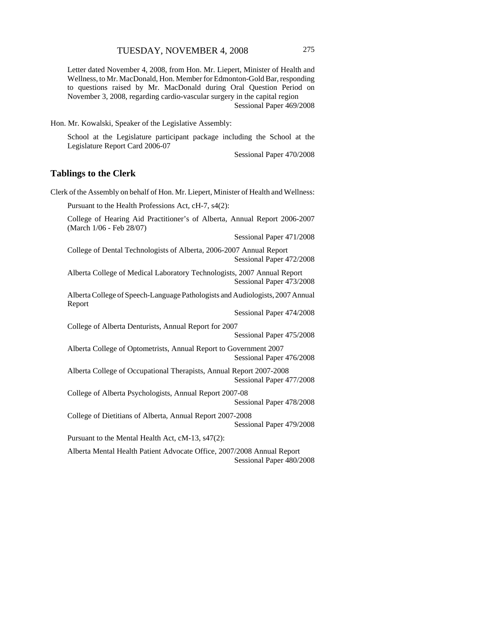Letter dated November 4, 2008, from Hon. Mr. Liepert, Minister of Health and Wellness, to Mr. MacDonald, Hon. Member for Edmonton-Gold Bar, responding to questions raised by Mr. MacDonald during Oral Question Period on November 3, 2008, regarding cardio-vascular surgery in the capital region Sessional Paper 469/2008

Hon. Mr. Kowalski, Speaker of the Legislative Assembly:

School at the Legislature participant package including the School at the Legislature Report Card 2006-07

Sessional Paper 470/2008

### **Tablings to the Clerk**

Clerk of the Assembly on behalf of Hon. Mr. Liepert, Minister of Health and Wellness:

Pursuant to the Health Professions Act, cH-7, s4(2):

College of Hearing Aid Practitioner's of Alberta, Annual Report 2006-2007 (March 1/06 - Feb 28/07)

Sessional Paper 471/2008

College of Dental Technologists of Alberta, 2006-2007 Annual Report Sessional Paper 472/2008

Alberta College of Medical Laboratory Technologists, 2007 Annual Report Sessional Paper 473/2008

Alberta College of Speech-Language Pathologists and Audiologists, 2007 Annual Report

Sessional Paper 474/2008

College of Alberta Denturists, Annual Report for 2007

Sessional Paper 475/2008

Alberta College of Optometrists, Annual Report to Government 2007 Sessional Paper 476/2008

Alberta College of Occupational Therapists, Annual Report 2007-2008 Sessional Paper 477/2008

College of Alberta Psychologists, Annual Report 2007-08

Sessional Paper 478/2008

College of Dietitians of Alberta, Annual Report 2007-2008 Sessional Paper 479/2008

Pursuant to the Mental Health Act, cM-13, s47(2):

Alberta Mental Health Patient Advocate Office, 2007/2008 Annual Report Sessional Paper 480/2008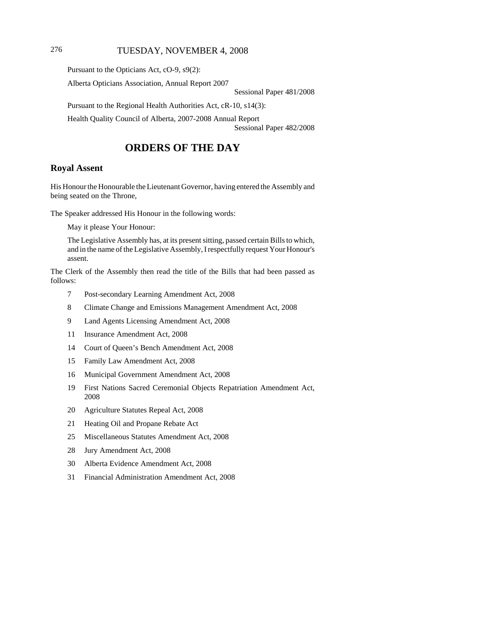# 276 TUESDAY, NOVEMBER 4, 2008

Pursuant to the Opticians Act, cO-9, s9(2):

Alberta Opticians Association, Annual Report 2007

Sessional Paper 481/2008

Pursuant to the Regional Health Authorities Act, cR-10, s14(3):

Health Quality Council of Alberta, 2007-2008 Annual Report

Sessional Paper 482/2008

# **ORDERS OF THE DAY**

## **Royal Assent**

His Honour the Honourable the Lieutenant Governor, having entered the Assembly and being seated on the Throne,

The Speaker addressed His Honour in the following words:

May it please Your Honour:

The Legislative Assembly has, at its present sitting, passed certain Bills to which, and in the name of the Legislative Assembly, I respectfully request Your Honour's assent.

The Clerk of the Assembly then read the title of the Bills that had been passed as follows:

- 7 Post-secondary Learning Amendment Act, 2008
- 8 Climate Change and Emissions Management Amendment Act, 2008
- 9 Land Agents Licensing Amendment Act, 2008
- 11 Insurance Amendment Act, 2008
- 14 Court of Queen's Bench Amendment Act, 2008
- 15 Family Law Amendment Act, 2008
- 16 Municipal Government Amendment Act, 2008
- 19 First Nations Sacred Ceremonial Objects Repatriation Amendment Act, 2008
- 20 Agriculture Statutes Repeal Act, 2008
- 21 Heating Oil and Propane Rebate Act
- 25 Miscellaneous Statutes Amendment Act, 2008
- 28 Jury Amendment Act, 2008
- 30 Alberta Evidence Amendment Act, 2008
- 31 Financial Administration Amendment Act, 2008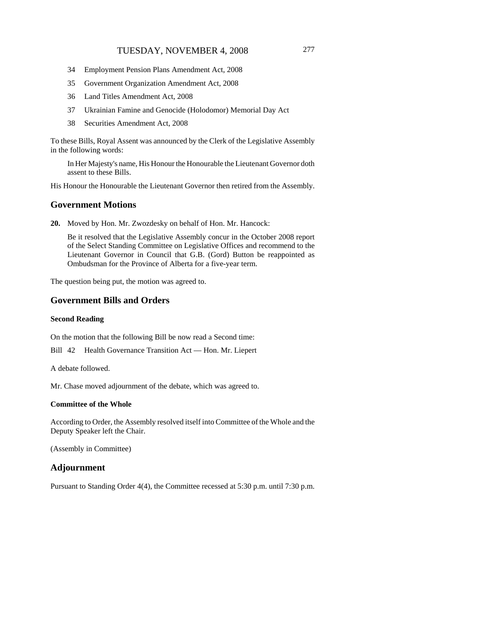- 34 Employment Pension Plans Amendment Act, 2008
- 35 Government Organization Amendment Act, 2008
- 36 Land Titles Amendment Act, 2008
- 37 Ukrainian Famine and Genocide (Holodomor) Memorial Day Act
- 38 Securities Amendment Act, 2008

To these Bills, Royal Assent was announced by the Clerk of the Legislative Assembly in the following words:

In Her Majesty's name, His Honour the Honourable the Lieutenant Governor doth assent to these Bills.

His Honour the Honourable the Lieutenant Governor then retired from the Assembly.

### **Government Motions**

**20.** Moved by Hon. Mr. Zwozdesky on behalf of Hon. Mr. Hancock:

Be it resolved that the Legislative Assembly concur in the October 2008 report of the Select Standing Committee on Legislative Offices and recommend to the Lieutenant Governor in Council that G.B. (Gord) Button be reappointed as Ombudsman for the Province of Alberta for a five-year term.

The question being put, the motion was agreed to.

# **Government Bills and Orders**

#### **Second Reading**

On the motion that the following Bill be now read a Second time:

Bill 42 Health Governance Transition Act — Hon. Mr. Liepert

A debate followed.

Mr. Chase moved adjournment of the debate, which was agreed to.

### **Committee of the Whole**

According to Order, the Assembly resolved itself into Committee of the Whole and the Deputy Speaker left the Chair.

(Assembly in Committee)

# **Adjournment**

Pursuant to Standing Order 4(4), the Committee recessed at 5:30 p.m. until 7:30 p.m.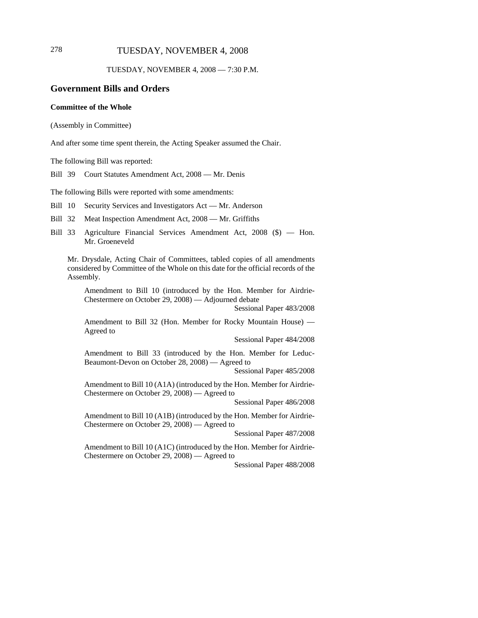# 278 TUESDAY, NOVEMBER 4, 2008

TUESDAY, NOVEMBER 4, 2008 — 7:30 P.M.

# **Government Bills and Orders**

### **Committee of the Whole**

(Assembly in Committee)

And after some time spent therein, the Acting Speaker assumed the Chair.

The following Bill was reported:

Bill 39 Court Statutes Amendment Act, 2008 — Mr. Denis

The following Bills were reported with some amendments:

Bill 10 Security Services and Investigators Act — Mr. Anderson

Bill 32 Meat Inspection Amendment Act, 2008 — Mr. Griffiths

Bill 33 Agriculture Financial Services Amendment Act, 2008 (\$) — Hon. Mr. Groeneveld

Mr. Drysdale, Acting Chair of Committees, tabled copies of all amendments considered by Committee of the Whole on this date for the official records of the Assembly.

Amendment to Bill 10 (introduced by the Hon. Member for Airdrie-Chestermere on October 29, 2008) — Adjourned debate

Sessional Paper 483/2008

Amendment to Bill 32 (Hon. Member for Rocky Mountain House) — Agreed to

Sessional Paper 484/2008

Amendment to Bill 33 (introduced by the Hon. Member for Leduc-Beaumont-Devon on October 28, 2008) — Agreed to

Sessional Paper 485/2008

Amendment to Bill 10 (A1A) (introduced by the Hon. Member for Airdrie-Chestermere on October 29, 2008) — Agreed to

Sessional Paper 486/2008

Amendment to Bill 10 (A1B) (introduced by the Hon. Member for Airdrie-Chestermere on October 29, 2008) — Agreed to

Sessional Paper 487/2008

Amendment to Bill 10 (A1C) (introduced by the Hon. Member for Airdrie-Chestermere on October 29, 2008) — Agreed to

Sessional Paper 488/2008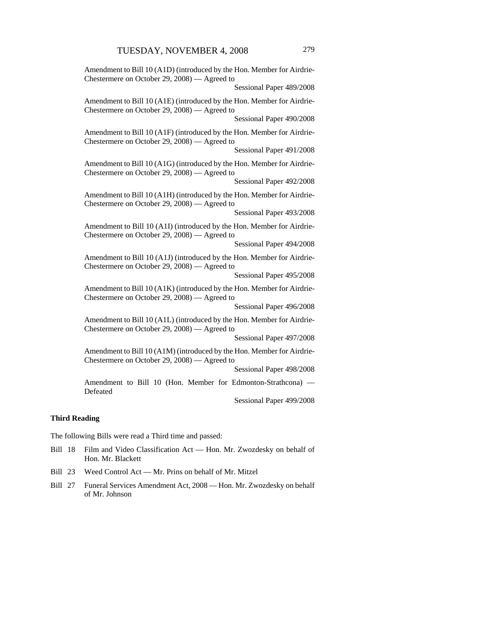Amendment to Bill 10 (A1D) (introduced by the Hon. Member for Airdrie-Chestermere on October 29, 2008) — Agreed to Sessional Paper 489/2008 Amendment to Bill 10 (A1E) (introduced by the Hon. Member for Airdrie-Chestermere on October 29, 2008) — Agreed to Sessional Paper 490/2008 Amendment to Bill 10 (A1F) (introduced by the Hon. Member for Airdrie-Chestermere on October 29, 2008) — Agreed to Sessional Paper 491/2008 Amendment to Bill 10 (A1G) (introduced by the Hon. Member for Airdrie-Chestermere on October 29, 2008) — Agreed to Sessional Paper 492/2008 Amendment to Bill 10 (A1H) (introduced by the Hon. Member for Airdrie-Chestermere on October 29, 2008) — Agreed to Sessional Paper 493/2008 Amendment to Bill 10 (A1I) (introduced by the Hon. Member for Airdrie-Chestermere on October 29, 2008) — Agreed to Sessional Paper 494/2008 Amendment to Bill 10 (A1J) (introduced by the Hon. Member for Airdrie-Chestermere on October 29, 2008) — Agreed to Sessional Paper 495/2008 Amendment to Bill 10 (A1K) (introduced by the Hon. Member for Airdrie-Chestermere on October 29, 2008) — Agreed to Sessional Paper 496/2008 Amendment to Bill 10 (A1L) (introduced by the Hon. Member for Airdrie-Chestermere on October 29, 2008) — Agreed to Sessional Paper 497/2008 Amendment to Bill 10 (A1M) (introduced by the Hon. Member for Airdrie-Chestermere on October 29, 2008) — Agreed to Sessional Paper 498/2008 Amendment to Bill 10 (Hon. Member for Edmonton-Strathcona) —

Sessional Paper 499/2008

#### **Third Reading**

Defeated

The following Bills were read a Third time and passed:

- Bill 18 Film and Video Classification Act Hon. Mr. Zwozdesky on behalf of Hon. Mr. Blackett
- Bill 23 Weed Control Act Mr. Prins on behalf of Mr. Mitzel
- Bill 27 Funeral Services Amendment Act, 2008 Hon. Mr. Zwozdesky on behalf of Mr. Johnson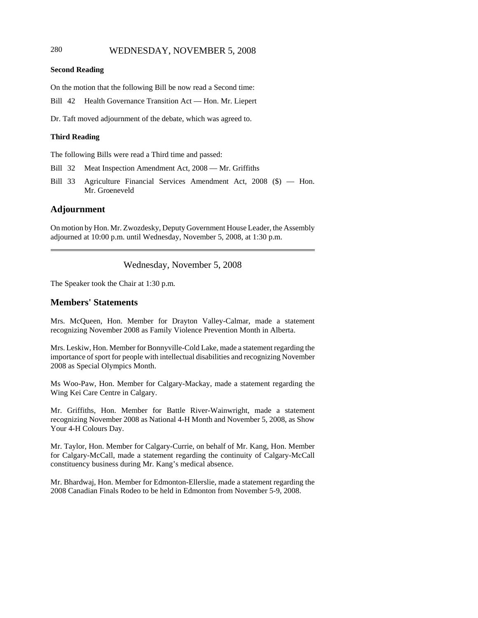# 280 WEDNESDAY, NOVEMBER 5, 2008

#### **Second Reading**

On the motion that the following Bill be now read a Second time:

Bill 42 Health Governance Transition Act — Hon. Mr. Liepert

Dr. Taft moved adjournment of the debate, which was agreed to.

### **Third Reading**

The following Bills were read a Third time and passed:

- Bill 32 Meat Inspection Amendment Act, 2008 Mr. Griffiths
- Bill 33 Agriculture Financial Services Amendment Act, 2008 (\$) Hon. Mr. Groeneveld

### **Adjournment**

On motion by Hon. Mr. Zwozdesky, Deputy Government House Leader, the Assembly adjourned at 10:00 p.m. until Wednesday, November 5, 2008, at 1:30 p.m.

### Wednesday, November 5, 2008

The Speaker took the Chair at 1:30 p.m.

### **Members' Statements**

Mrs. McQueen, Hon. Member for Drayton Valley-Calmar, made a statement recognizing November 2008 as Family Violence Prevention Month in Alberta.

Mrs. Leskiw, Hon. Member for Bonnyville-Cold Lake, made a statement regarding the importance of sport for people with intellectual disabilities and recognizing November 2008 as Special Olympics Month.

Ms Woo-Paw, Hon. Member for Calgary-Mackay, made a statement regarding the Wing Kei Care Centre in Calgary.

Mr. Griffiths, Hon. Member for Battle River-Wainwright, made a statement recognizing November 2008 as National 4-H Month and November 5, 2008, as Show Your 4-H Colours Day.

Mr. Taylor, Hon. Member for Calgary-Currie, on behalf of Mr. Kang, Hon. Member for Calgary-McCall, made a statement regarding the continuity of Calgary-McCall constituency business during Mr. Kang's medical absence.

Mr. Bhardwaj, Hon. Member for Edmonton-Ellerslie, made a statement regarding the 2008 Canadian Finals Rodeo to be held in Edmonton from November 5-9, 2008.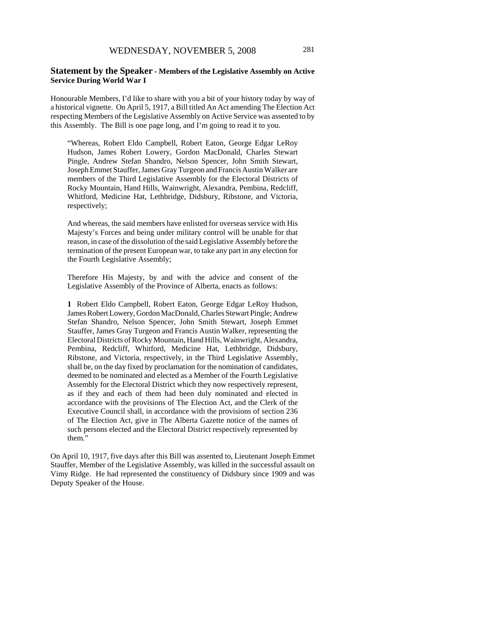### **Statement by the Speaker - Members of the Legislative Assembly on Active Service During World War I**

Honourable Members, I'd like to share with you a bit of your history today by way of a historical vignette. On April 5, 1917, a Bill titled An Act amending The Election Act respecting Members of the Legislative Assembly on Active Service was assented to by this Assembly. The Bill is one page long, and I'm going to read it to you.

"Whereas, Robert Eldo Campbell, Robert Eaton, George Edgar LeRoy Hudson, James Robert Lowery, Gordon MacDonald, Charles Stewart Pingle, Andrew Stefan Shandro, Nelson Spencer, John Smith Stewart, Joseph Emmet Stauffer, James Gray Turgeon and Francis Austin Walker are members of the Third Legislative Assembly for the Electoral Districts of Rocky Mountain, Hand Hills, Wainwright, Alexandra, Pembina, Redcliff, Whitford, Medicine Hat, Lethbridge, Didsbury, Ribstone, and Victoria, respectively;

And whereas, the said members have enlisted for overseas service with His Majesty's Forces and being under military control will be unable for that reason, in case of the dissolution of the said Legislative Assembly before the termination of the present European war, to take any part in any election for the Fourth Legislative Assembly;

Therefore His Majesty, by and with the advice and consent of the Legislative Assembly of the Province of Alberta, enacts as follows:

**1** Robert Eldo Campbell, Robert Eaton, George Edgar LeRoy Hudson, James Robert Lowery, Gordon MacDonald, Charles Stewart Pingle; Andrew Stefan Shandro, Nelson Spencer, John Smith Stewart, Joseph Emmet Stauffer, James Gray Turgeon and Francis Austin Walker, representing the Electoral Districts of Rocky Mountain, Hand Hills, Wainwright, Alexandra, Pembina, Redcliff, Whitford, Medicine Hat, Lethbridge, Didsbury, Ribstone, and Victoria, respectively, in the Third Legislative Assembly, shall be, on the day fixed by proclamation for the nomination of candidates, deemed to be nominated and elected as a Member of the Fourth Legislative Assembly for the Electoral District which they now respectively represent, as if they and each of them had been duly nominated and elected in accordance with the provisions of The Election Act, and the Clerk of the Executive Council shall, in accordance with the provisions of section 236 of The Election Act, give in The Alberta Gazette notice of the names of such persons elected and the Electoral District respectively represented by them."

On April 10, 1917, five days after this Bill was assented to, Lieutenant Joseph Emmet Stauffer, Member of the Legislative Assembly, was killed in the successful assault on Vimy Ridge. He had represented the constituency of Didsbury since 1909 and was Deputy Speaker of the House.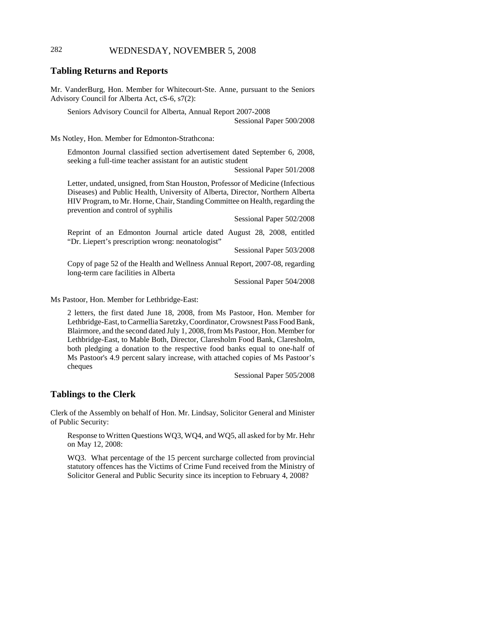# 282 WEDNESDAY, NOVEMBER 5, 2008

### **Tabling Returns and Reports**

Mr. VanderBurg, Hon. Member for Whitecourt-Ste. Anne, pursuant to the Seniors Advisory Council for Alberta Act, cS-6, s7(2):

Seniors Advisory Council for Alberta, Annual Report 2007-2008 Sessional Paper 500/2008

Ms Notley, Hon. Member for Edmonton-Strathcona:

Edmonton Journal classified section advertisement dated September 6, 2008, seeking a full-time teacher assistant for an autistic student

Sessional Paper 501/2008

Letter, undated, unsigned, from Stan Houston, Professor of Medicine (Infectious Diseases) and Public Health, University of Alberta, Director, Northern Alberta HIV Program, to Mr. Horne, Chair, Standing Committee on Health, regarding the prevention and control of syphilis

Sessional Paper 502/2008

Reprint of an Edmonton Journal article dated August 28, 2008, entitled "Dr. Liepert's prescription wrong: neonatologist"

Sessional Paper 503/2008

Copy of page 52 of the Health and Wellness Annual Report, 2007-08, regarding long-term care facilities in Alberta

Sessional Paper 504/2008

Ms Pastoor, Hon. Member for Lethbridge-East:

2 letters, the first dated June 18, 2008, from Ms Pastoor, Hon. Member for Lethbridge-East, to Carmellia Saretzky, Coordinator, Crowsnest Pass Food Bank, Blairmore, and the second dated July 1, 2008, from Ms Pastoor, Hon. Member for Lethbridge-East, to Mable Both, Director, Claresholm Food Bank, Claresholm, both pledging a donation to the respective food banks equal to one-half of Ms Pastoor's 4.9 percent salary increase, with attached copies of Ms Pastoor's cheques

Sessional Paper 505/2008

### **Tablings to the Clerk**

Clerk of the Assembly on behalf of Hon. Mr. Lindsay, Solicitor General and Minister of Public Security:

Response to Written Questions WQ3, WQ4, and WQ5, all asked for by Mr. Hehr on May 12, 2008:

WQ3. What percentage of the 15 percent surcharge collected from provincial statutory offences has the Victims of Crime Fund received from the Ministry of Solicitor General and Public Security since its inception to February 4, 2008?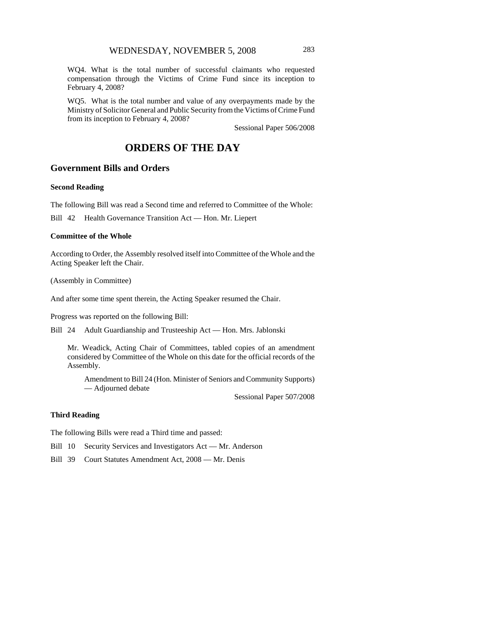WQ4. What is the total number of successful claimants who requested compensation through the Victims of Crime Fund since its inception to February 4, 2008?

WQ5. What is the total number and value of any overpayments made by the Ministry of Solicitor General and Public Security from the Victims of Crime Fund from its inception to February 4, 2008?

Sessional Paper 506/2008

# **ORDERS OF THE DAY**

# **Government Bills and Orders**

#### **Second Reading**

The following Bill was read a Second time and referred to Committee of the Whole:

Bill 42 Health Governance Transition Act — Hon. Mr. Liepert

#### **Committee of the Whole**

According to Order, the Assembly resolved itself into Committee of the Whole and the Acting Speaker left the Chair.

(Assembly in Committee)

And after some time spent therein, the Acting Speaker resumed the Chair.

Progress was reported on the following Bill:

Bill 24 Adult Guardianship and Trusteeship Act — Hon. Mrs. Jablonski

Mr. Weadick, Acting Chair of Committees, tabled copies of an amendment considered by Committee of the Whole on this date for the official records of the Assembly.

Amendment to Bill 24 (Hon. Minister of Seniors and Community Supports) — Adjourned debate

Sessional Paper 507/2008

#### **Third Reading**

The following Bills were read a Third time and passed:

- Bill 10 Security Services and Investigators Act Mr. Anderson
- Bill 39 Court Statutes Amendment Act, 2008 Mr. Denis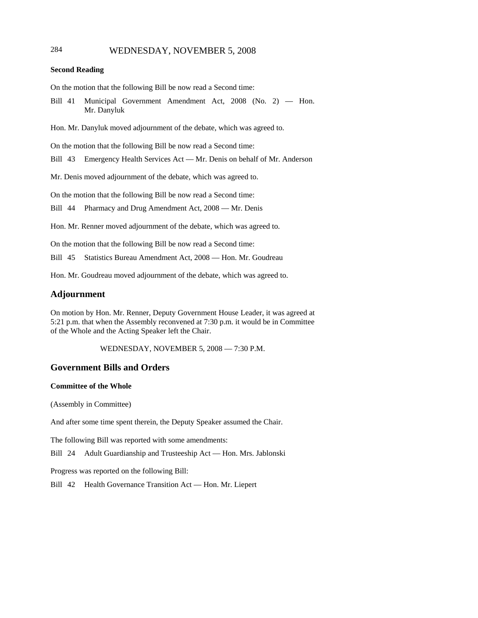# 284 WEDNESDAY, NOVEMBER 5, 2008

#### **Second Reading**

On the motion that the following Bill be now read a Second time:

Bill 41 Municipal Government Amendment Act, 2008 (No. 2) — Hon. Mr. Danyluk

Hon. Mr. Danyluk moved adjournment of the debate, which was agreed to.

On the motion that the following Bill be now read a Second time:

Bill 43 Emergency Health Services Act — Mr. Denis on behalf of Mr. Anderson

Mr. Denis moved adjournment of the debate, which was agreed to.

On the motion that the following Bill be now read a Second time:

Bill 44 Pharmacy and Drug Amendment Act, 2008 — Mr. Denis

Hon. Mr. Renner moved adjournment of the debate, which was agreed to.

On the motion that the following Bill be now read a Second time:

Bill 45 Statistics Bureau Amendment Act, 2008 — Hon. Mr. Goudreau

Hon. Mr. Goudreau moved adjournment of the debate, which was agreed to.

#### **Adjournment**

On motion by Hon. Mr. Renner, Deputy Government House Leader, it was agreed at 5:21 p.m. that when the Assembly reconvened at 7:30 p.m. it would be in Committee of the Whole and the Acting Speaker left the Chair.

WEDNESDAY, NOVEMBER 5, 2008 — 7:30 P.M.

## **Government Bills and Orders**

#### **Committee of the Whole**

(Assembly in Committee)

And after some time spent therein, the Deputy Speaker assumed the Chair.

The following Bill was reported with some amendments:

Bill 24 Adult Guardianship and Trusteeship Act — Hon. Mrs. Jablonski

Progress was reported on the following Bill:

Bill 42 Health Governance Transition Act — Hon. Mr. Liepert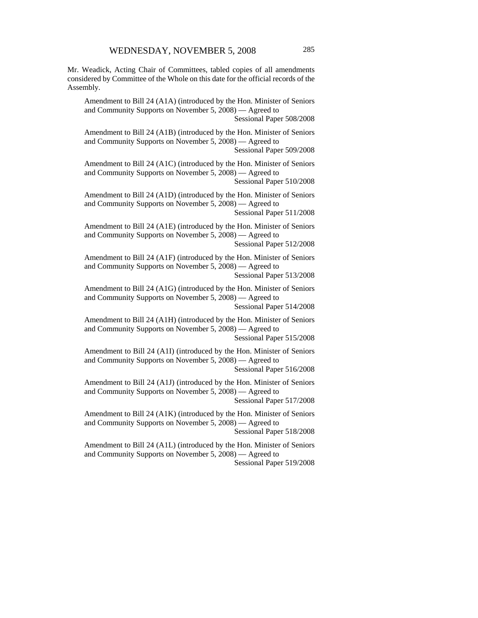Mr. Weadick, Acting Chair of Committees, tabled copies of all amendments considered by Committee of the Whole on this date for the official records of the Assembly.

Amendment to Bill 24 (A1A) (introduced by the Hon. Minister of Seniors and Community Supports on November 5, 2008) — Agreed to

Sessional Paper 508/2008

Amendment to Bill 24 (A1B) (introduced by the Hon. Minister of Seniors and Community Supports on November 5, 2008) — Agreed to Sessional Paper 509/2008

Amendment to Bill 24 (A1C) (introduced by the Hon. Minister of Seniors and Community Supports on November 5, 2008) — Agreed to Sessional Paper 510/2008

Amendment to Bill 24 (A1D) (introduced by the Hon. Minister of Seniors and Community Supports on November 5, 2008) — Agreed to Sessional Paper 511/2008

Amendment to Bill 24 (A1E) (introduced by the Hon. Minister of Seniors and Community Supports on November 5, 2008) — Agreed to Sessional Paper 512/2008

Amendment to Bill 24 (A1F) (introduced by the Hon. Minister of Seniors and Community Supports on November 5, 2008) — Agreed to Sessional Paper 513/2008

Amendment to Bill 24 (A1G) (introduced by the Hon. Minister of Seniors and Community Supports on November 5, 2008) — Agreed to Sessional Paper 514/2008

Amendment to Bill 24 (A1H) (introduced by the Hon. Minister of Seniors and Community Supports on November 5, 2008) — Agreed to

Sessional Paper 515/2008

Amendment to Bill 24 (A1I) (introduced by the Hon. Minister of Seniors and Community Supports on November 5, 2008) — Agreed to Sessional Paper 516/2008

Amendment to Bill 24 (A1J) (introduced by the Hon. Minister of Seniors and Community Supports on November 5, 2008) — Agreed to

Sessional Paper 517/2008

Amendment to Bill 24 (A1K) (introduced by the Hon. Minister of Seniors and Community Supports on November 5, 2008) — Agreed to Sessional Paper 518/2008

Amendment to Bill 24 (A1L) (introduced by the Hon. Minister of Seniors and Community Supports on November 5, 2008) — Agreed to Sessional Paper 519/2008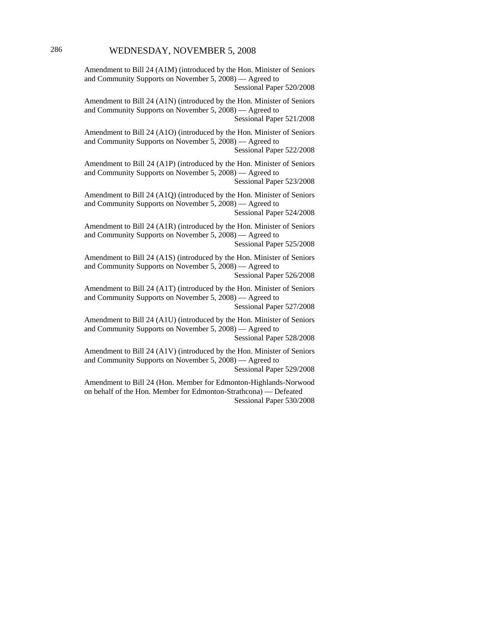Amendment to Bill 24 (A1M) (introduced by the Hon. Minister of Seniors and Community Supports on November 5, 2008) — Agreed to

Sessional Paper 520/2008

Amendment to Bill 24 (A1N) (introduced by the Hon. Minister of Seniors and Community Supports on November 5, 2008) — Agreed to Sessional Paper 521/2008

Amendment to Bill 24 (A1O) (introduced by the Hon. Minister of Seniors and Community Supports on November 5, 2008) — Agreed to Sessional Paper 522/2008

Amendment to Bill 24 (A1P) (introduced by the Hon. Minister of Seniors and Community Supports on November 5, 2008) — Agreed to Sessional Paper 523/2008

Amendment to Bill 24 (A1Q) (introduced by the Hon. Minister of Seniors and Community Supports on November 5, 2008) — Agreed to Sessional Paper 524/2008

Amendment to Bill 24 (A1R) (introduced by the Hon. Minister of Seniors and Community Supports on November 5, 2008) — Agreed to Sessional Paper 525/2008

Amendment to Bill 24 (A1S) (introduced by the Hon. Minister of Seniors and Community Supports on November 5, 2008) — Agreed to Sessional Paper 526/2008

Amendment to Bill 24 (A1T) (introduced by the Hon. Minister of Seniors and Community Supports on November 5, 2008) — Agreed to Sessional Paper 527/2008

Amendment to Bill 24 (A1U) (introduced by the Hon. Minister of Seniors and Community Supports on November 5, 2008) — Agreed to Sessional Paper 528/2008

Amendment to Bill 24 (A1V) (introduced by the Hon. Minister of Seniors and Community Supports on November 5, 2008) — Agreed to Sessional Paper 529/2008

Amendment to Bill 24 (Hon. Member for Edmonton-Highlands-Norwood on behalf of the Hon. Member for Edmonton-Strathcona) — Defeated Sessional Paper 530/2008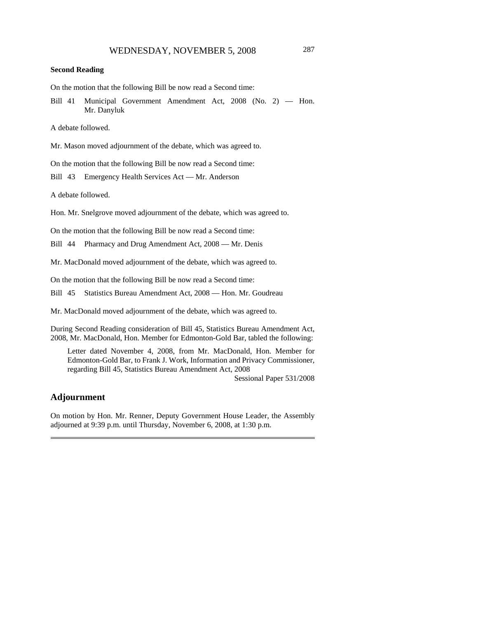#### **Second Reading**

On the motion that the following Bill be now read a Second time:

Bill 41 Municipal Government Amendment Act, 2008 (No. 2) — Hon. Mr. Danyluk

A debate followed.

Mr. Mason moved adjournment of the debate, which was agreed to.

On the motion that the following Bill be now read a Second time:

Bill 43 Emergency Health Services Act — Mr. Anderson

A debate followed.

Hon. Mr. Snelgrove moved adjournment of the debate, which was agreed to.

On the motion that the following Bill be now read a Second time:

Bill 44 Pharmacy and Drug Amendment Act, 2008 — Mr. Denis

Mr. MacDonald moved adjournment of the debate, which was agreed to.

On the motion that the following Bill be now read a Second time:

Bill 45 Statistics Bureau Amendment Act, 2008 — Hon. Mr. Goudreau

Mr. MacDonald moved adjournment of the debate, which was agreed to.

During Second Reading consideration of Bill 45, Statistics Bureau Amendment Act, 2008, Mr. MacDonald, Hon. Member for Edmonton-Gold Bar, tabled the following:

Letter dated November 4, 2008, from Mr. MacDonald, Hon. Member for Edmonton-Gold Bar, to Frank J. Work, Information and Privacy Commissioner, regarding Bill 45, Statistics Bureau Amendment Act, 2008

Sessional Paper 531/2008

## **Adjournment**

On motion by Hon. Mr. Renner, Deputy Government House Leader, the Assembly adjourned at 9:39 p.m. until Thursday, November 6, 2008, at 1:30 p.m.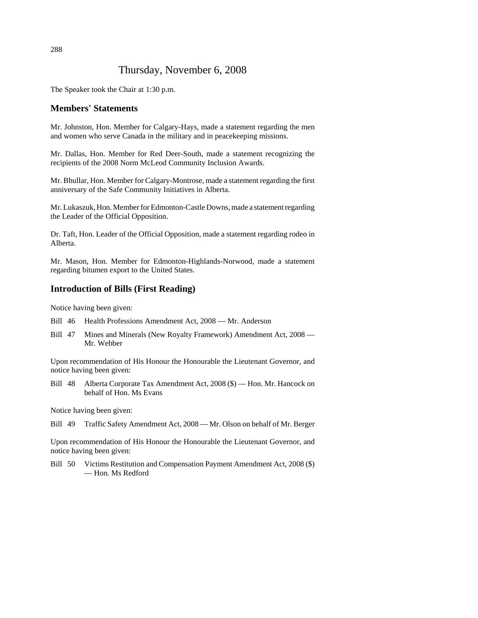# Thursday, November 6, 2008

The Speaker took the Chair at 1:30 p.m.

## **Members' Statements**

Mr. Johnston, Hon. Member for Calgary-Hays, made a statement regarding the men and women who serve Canada in the military and in peacekeeping missions.

Mr. Dallas, Hon. Member for Red Deer-South, made a statement recognizing the recipients of the 2008 Norm McLeod Community Inclusion Awards.

Mr. Bhullar, Hon. Member for Calgary-Montrose, made a statement regarding the first anniversary of the Safe Community Initiatives in Alberta.

Mr. Lukaszuk, Hon. Member for Edmonton-Castle Downs, made a statement regarding the Leader of the Official Opposition.

Dr. Taft, Hon. Leader of the Official Opposition, made a statement regarding rodeo in Alberta.

Mr. Mason, Hon. Member for Edmonton-Highlands-Norwood, made a statement regarding bitumen export to the United States.

## **Introduction of Bills (First Reading)**

Notice having been given:

- Bill 46 Health Professions Amendment Act, 2008 Mr. Anderson
- Bill 47 Mines and Minerals (New Royalty Framework) Amendment Act, 2008 Mr. Webber

Upon recommendation of His Honour the Honourable the Lieutenant Governor, and notice having been given:

Bill 48 Alberta Corporate Tax Amendment Act, 2008 (\$) — Hon. Mr. Hancock on behalf of Hon. Ms Evans

Notice having been given:

Bill 49 Traffic Safety Amendment Act, 2008 — Mr. Olson on behalf of Mr. Berger

Upon recommendation of His Honour the Honourable the Lieutenant Governor, and notice having been given:

Bill 50 Victims Restitution and Compensation Payment Amendment Act, 2008 (\$) — Hon. Ms Redford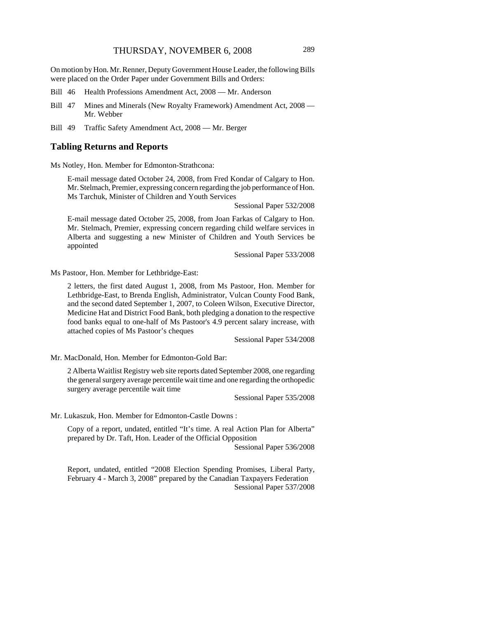On motion by Hon. Mr. Renner, Deputy Government House Leader, the following Bills were placed on the Order Paper under Government Bills and Orders:

- Bill 46 Health Professions Amendment Act, 2008 Mr. Anderson
- Bill 47 Mines and Minerals (New Royalty Framework) Amendment Act, 2008 Mr. Webber
- Bill 49 Traffic Safety Amendment Act, 2008 Mr. Berger

#### **Tabling Returns and Reports**

Ms Notley, Hon. Member for Edmonton-Strathcona:

E-mail message dated October 24, 2008, from Fred Kondar of Calgary to Hon. Mr. Stelmach, Premier, expressing concern regarding the job performance of Hon. Ms Tarchuk, Minister of Children and Youth Services

Sessional Paper 532/2008

E-mail message dated October 25, 2008, from Joan Farkas of Calgary to Hon. Mr. Stelmach, Premier, expressing concern regarding child welfare services in Alberta and suggesting a new Minister of Children and Youth Services be appointed

Sessional Paper 533/2008

Ms Pastoor, Hon. Member for Lethbridge-East:

2 letters, the first dated August 1, 2008, from Ms Pastoor, Hon. Member for Lethbridge-East, to Brenda English, Administrator, Vulcan County Food Bank, and the second dated September 1, 2007, to Coleen Wilson, Executive Director, Medicine Hat and District Food Bank, both pledging a donation to the respective food banks equal to one-half of Ms Pastoor's 4.9 percent salary increase, with attached copies of Ms Pastoor's cheques

Sessional Paper 534/2008

Mr. MacDonald, Hon. Member for Edmonton-Gold Bar:

2 Alberta Waitlist Registry web site reports dated September 2008, one regarding the general surgery average percentile wait time and one regarding the orthopedic surgery average percentile wait time

Sessional Paper 535/2008

Mr. Lukaszuk, Hon. Member for Edmonton-Castle Downs :

Copy of a report, undated, entitled "It's time. A real Action Plan for Alberta" prepared by Dr. Taft, Hon. Leader of the Official Opposition

Sessional Paper 536/2008

Report, undated, entitled "2008 Election Spending Promises, Liberal Party, February 4 - March 3, 2008" prepared by the Canadian Taxpayers Federation Sessional Paper 537/2008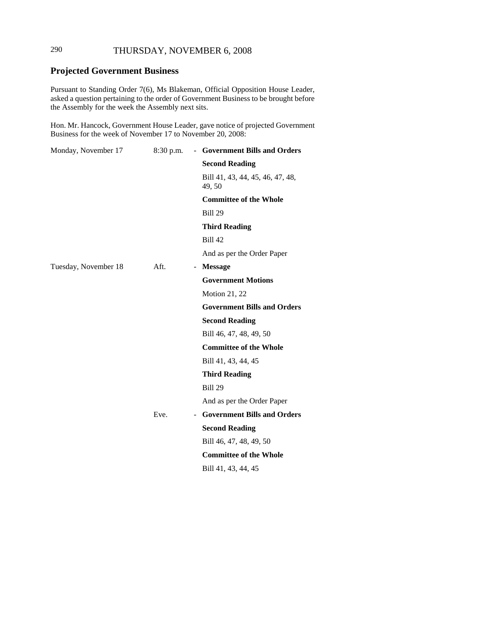# 290 THURSDAY, NOVEMBER 6, 2008

# **Projected Government Business**

Pursuant to Standing Order 7(6), Ms Blakeman, Official Opposition House Leader, asked a question pertaining to the order of Government Business to be brought before the Assembly for the week the Assembly next sits.

Hon. Mr. Hancock, Government House Leader, gave notice of projected Government Business for the week of November 17 to November 20, 2008:

| Monday, November 17  | 8:30 p.m. | - Government Bills and Orders              |
|----------------------|-----------|--------------------------------------------|
|                      |           | <b>Second Reading</b>                      |
|                      |           | Bill 41, 43, 44, 45, 46, 47, 48,<br>49, 50 |
|                      |           | <b>Committee of the Whole</b>              |
|                      |           | <b>Bill 29</b>                             |
|                      |           | <b>Third Reading</b>                       |
|                      |           | <b>Bill 42</b>                             |
|                      |           | And as per the Order Paper                 |
| Tuesday, November 18 | Aft.      | - Message                                  |
|                      |           | <b>Government Motions</b>                  |
|                      |           | <b>Motion 21, 22</b>                       |
|                      |           | <b>Government Bills and Orders</b>         |
|                      |           | <b>Second Reading</b>                      |
|                      |           | Bill 46, 47, 48, 49, 50                    |
|                      |           | <b>Committee of the Whole</b>              |
|                      |           | Bill 41, 43, 44, 45                        |
|                      |           | <b>Third Reading</b>                       |
|                      |           | <b>Bill 29</b>                             |
|                      |           | And as per the Order Paper                 |
|                      | Eve.      | <b>Government Bills and Orders</b>         |
|                      |           | <b>Second Reading</b>                      |
|                      |           | Bill 46, 47, 48, 49, 50                    |
|                      |           | <b>Committee of the Whole</b>              |
|                      |           | Bill 41, 43, 44, 45                        |
|                      |           |                                            |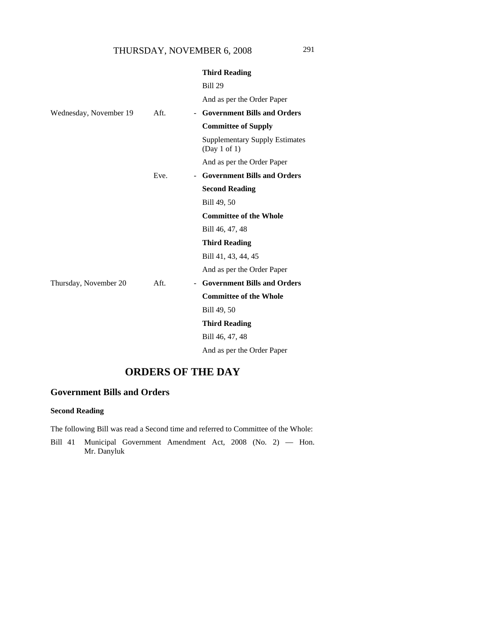|                        |      | <b>Third Reading</b>                                  |
|------------------------|------|-------------------------------------------------------|
|                        |      | <b>Bill 29</b>                                        |
|                        |      | And as per the Order Paper                            |
| Wednesday, November 19 | Aft. | <b>Government Bills and Orders</b><br>$\blacksquare$  |
|                        |      | <b>Committee of Supply</b>                            |
|                        |      | <b>Supplementary Supply Estimates</b><br>(Day 1 of 1) |
|                        |      | And as per the Order Paper                            |
|                        | Eve. | <b>Government Bills and Orders</b><br>$\sim$          |
|                        |      | <b>Second Reading</b>                                 |
|                        |      | Bill 49, 50                                           |
|                        |      | <b>Committee of the Whole</b>                         |
|                        |      | Bill 46, 47, 48                                       |
|                        |      | <b>Third Reading</b>                                  |
|                        |      | Bill 41, 43, 44, 45                                   |
|                        |      | And as per the Order Paper                            |
| Thursday, November 20  | Aft. | <b>Government Bills and Orders</b><br>$\sim$          |
|                        |      | <b>Committee of the Whole</b>                         |
|                        |      | Bill 49, 50                                           |
|                        |      | <b>Third Reading</b>                                  |
|                        |      | Bill 46, 47, 48                                       |
|                        |      | And as per the Order Paper                            |
|                        |      |                                                       |

# **ORDERS OF THE DAY**

# **Government Bills and Orders**

## **Second Reading**

The following Bill was read a Second time and referred to Committee of the Whole:

Bill 41 Municipal Government Amendment Act, 2008 (No. 2) — Hon. Mr. Danyluk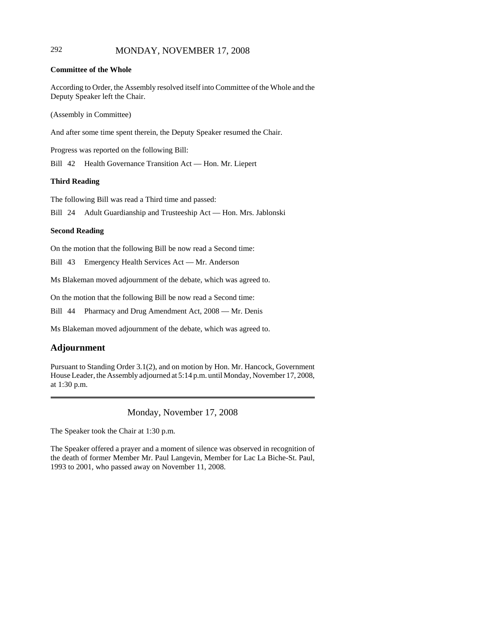## 292 MONDAY, NOVEMBER 17, 2008

## **Committee of the Whole**

According to Order, the Assembly resolved itself into Committee of the Whole and the Deputy Speaker left the Chair.

(Assembly in Committee)

And after some time spent therein, the Deputy Speaker resumed the Chair.

Progress was reported on the following Bill:

Bill 42 Health Governance Transition Act — Hon. Mr. Liepert

#### **Third Reading**

The following Bill was read a Third time and passed:

Bill 24 Adult Guardianship and Trusteeship Act — Hon. Mrs. Jablonski

#### **Second Reading**

On the motion that the following Bill be now read a Second time:

Bill 43 Emergency Health Services Act — Mr. Anderson

Ms Blakeman moved adjournment of the debate, which was agreed to.

On the motion that the following Bill be now read a Second time:

Bill 44 Pharmacy and Drug Amendment Act, 2008 — Mr. Denis

Ms Blakeman moved adjournment of the debate, which was agreed to.

## **Adjournment**

Pursuant to Standing Order 3.1(2), and on motion by Hon. Mr. Hancock, Government House Leader, the Assembly adjourned at 5:14 p.m. until Monday, November 17, 2008, at 1:30 p.m.

Monday, November 17, 2008

The Speaker took the Chair at 1:30 p.m.

The Speaker offered a prayer and a moment of silence was observed in recognition of the death of former Member Mr. Paul Langevin, Member for Lac La Biche-St. Paul, 1993 to 2001, who passed away on November 11, 2008.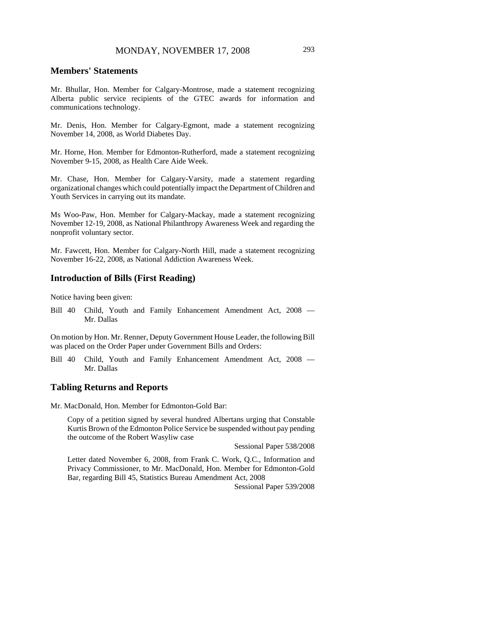## **Members' Statements**

Mr. Bhullar, Hon. Member for Calgary-Montrose, made a statement recognizing Alberta public service recipients of the GTEC awards for information and communications technology.

Mr. Denis, Hon. Member for Calgary-Egmont, made a statement recognizing November 14, 2008, as World Diabetes Day.

Mr. Horne, Hon. Member for Edmonton-Rutherford, made a statement recognizing November 9-15, 2008, as Health Care Aide Week.

Mr. Chase, Hon. Member for Calgary-Varsity, made a statement regarding organizational changes which could potentially impact the Department of Children and Youth Services in carrying out its mandate.

Ms Woo-Paw, Hon. Member for Calgary-Mackay, made a statement recognizing November 12-19, 2008, as National Philanthropy Awareness Week and regarding the nonprofit voluntary sector.

Mr. Fawcett, Hon. Member for Calgary-North Hill, made a statement recognizing November 16-22, 2008, as National Addiction Awareness Week.

## **Introduction of Bills (First Reading)**

Notice having been given:

Bill 40 Child, Youth and Family Enhancement Amendment Act, 2008 — Mr. Dallas

On motion by Hon. Mr. Renner, Deputy Government House Leader, the following Bill was placed on the Order Paper under Government Bills and Orders:

Bill 40 Child, Youth and Family Enhancement Amendment Act, 2008 — Mr. Dallas

#### **Tabling Returns and Reports**

Mr. MacDonald, Hon. Member for Edmonton-Gold Bar:

Copy of a petition signed by several hundred Albertans urging that Constable Kurtis Brown of the Edmonton Police Service be suspended without pay pending the outcome of the Robert Wasyliw case

Sessional Paper 538/2008

Letter dated November 6, 2008, from Frank C. Work, Q.C., Information and Privacy Commissioner, to Mr. MacDonald, Hon. Member for Edmonton-Gold Bar, regarding Bill 45, Statistics Bureau Amendment Act, 2008

Sessional Paper 539/2008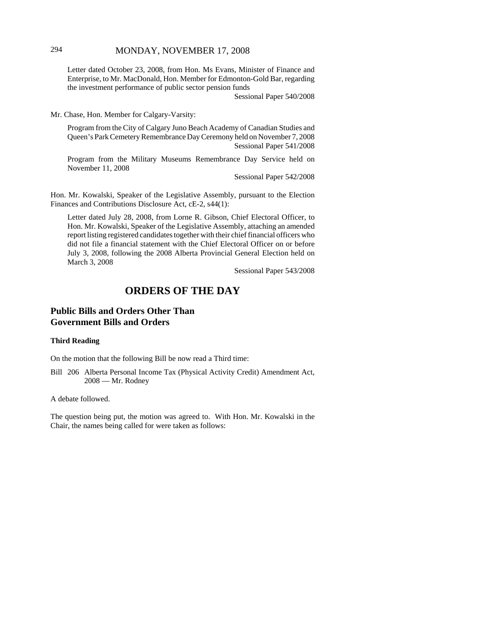## 294 MONDAY, NOVEMBER 17, 2008

Letter dated October 23, 2008, from Hon. Ms Evans, Minister of Finance and Enterprise, to Mr. MacDonald, Hon. Member for Edmonton-Gold Bar, regarding the investment performance of public sector pension funds

Sessional Paper 540/2008

Mr. Chase, Hon. Member for Calgary-Varsity:

Program from the City of Calgary Juno Beach Academy of Canadian Studies and Queen's Park Cemetery Remembrance Day Ceremony held on November 7, 2008 Sessional Paper 541/2008

Program from the Military Museums Remembrance Day Service held on November 11, 2008

Sessional Paper 542/2008

Hon. Mr. Kowalski, Speaker of the Legislative Assembly, pursuant to the Election Finances and Contributions Disclosure Act, cE-2, s44(1):

Letter dated July 28, 2008, from Lorne R. Gibson, Chief Electoral Officer, to Hon. Mr. Kowalski, Speaker of the Legislative Assembly, attaching an amended report listing registered candidates together with their chief financial officers who did not file a financial statement with the Chief Electoral Officer on or before July 3, 2008, following the 2008 Alberta Provincial General Election held on March 3, 2008

Sessional Paper 543/2008

# **ORDERS OF THE DAY**

## **Public Bills and Orders Other Than Government Bills and Orders**

#### **Third Reading**

On the motion that the following Bill be now read a Third time:

Bill 206 Alberta Personal Income Tax (Physical Activity Credit) Amendment Act, 2008 — Mr. Rodney

A debate followed.

The question being put, the motion was agreed to. With Hon. Mr. Kowalski in the Chair, the names being called for were taken as follows: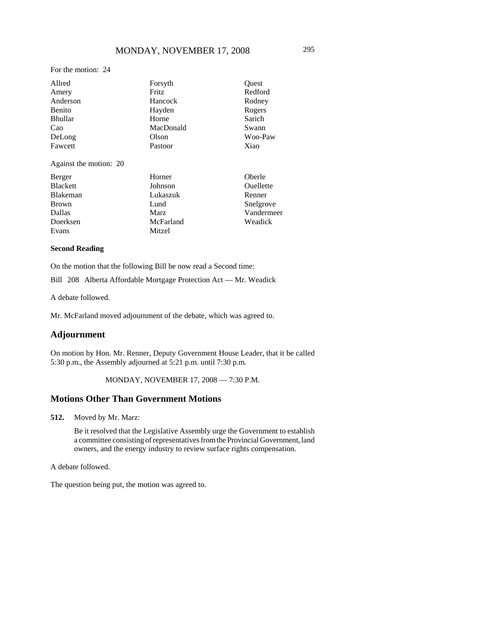For the motion: 24

| Allred         | Forsyth   | Quest   |
|----------------|-----------|---------|
| Amery          | Fritz     | Redford |
| Anderson       | Hancock   | Rodney  |
| Benito         | Hayden    | Rogers  |
| <b>Bhullar</b> | Horne     | Sarich  |
| Cao            | MacDonald | Swann   |
| DeLong         | Olson     | Woo-Paw |
| Fawcett        | Pastoor   | Xiao    |

Against the motion: 20

| Berger       | Horner      | Oberle     |
|--------------|-------------|------------|
| Blackett     | Johnson     | Ouellette  |
| Blakeman     | Lukaszuk    | Renner     |
| <b>Brown</b> | Lund        | Snelgrove  |
| Dallas       | <b>Marz</b> | Vandermeer |
| Doerksen     | McFarland   | Weadick    |
| Evans        | Mitzel      |            |

#### **Second Reading**

On the motion that the following Bill be now read a Second time:

Bill 208 Alberta Affordable Mortgage Protection Act — Mr. Weadick

A debate followed.

Mr. McFarland moved adjournment of the debate, which was agreed to.

## **Adjournment**

On motion by Hon. Mr. Renner, Deputy Government House Leader, that it be called 5:30 p.m., the Assembly adjourned at 5:21 p.m. until 7:30 p.m.

## MONDAY, NOVEMBER 17, 2008 — 7:30 P.M.

## **Motions Other Than Government Motions**

**512.** Moved by Mr. Marz:

Be it resolved that the Legislative Assembly urge the Government to establish a committee consisting of representatives from the Provincial Government, land owners, and the energy industry to review surface rights compensation.

A debate followed.

The question being put, the motion was agreed to.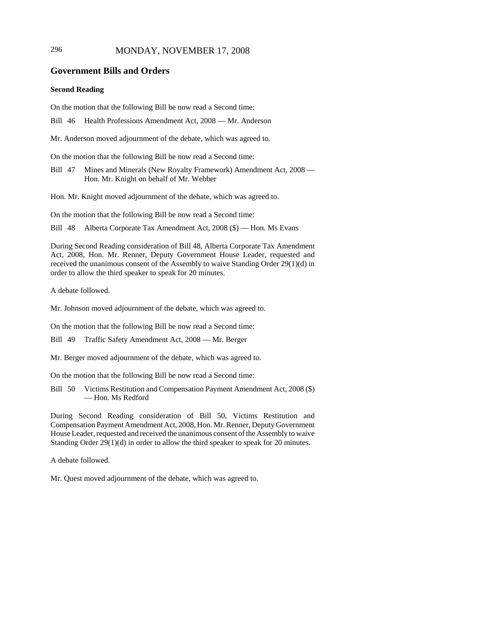## 296 MONDAY, NOVEMBER 17, 2008

## **Government Bills and Orders**

#### **Second Reading**

On the motion that the following Bill be now read a Second time:

Bill 46 Health Professions Amendment Act, 2008 — Mr. Anderson

Mr. Anderson moved adjournment of the debate, which was agreed to.

On the motion that the following Bill be now read a Second time:

Bill 47 Mines and Minerals (New Royalty Framework) Amendment Act, 2008 — Hon. Mr. Knight on behalf of Mr. Webber

Hon. Mr. Knight moved adjournment of the debate, which was agreed to.

On the motion that the following Bill be now read a Second time:

Bill 48 Alberta Corporate Tax Amendment Act, 2008 (\$) — Hon. Ms Evans

During Second Reading consideration of Bill 48, Alberta Corporate Tax Amendment Act, 2008, Hon. Mr. Renner, Deputy Government House Leader, requested and received the unanimous consent of the Assembly to waive Standing Order 29(1)(d) in order to allow the third speaker to speak for 20 minutes.

A debate followed.

Mr. Johnson moved adjournment of the debate, which was agreed to.

On the motion that the following Bill be now read a Second time:

Bill 49 Traffic Safety Amendment Act, 2008 — Mr. Berger

Mr. Berger moved adjournment of the debate, which was agreed to.

On the motion that the following Bill be now read a Second time:

Bill 50 Victims Restitution and Compensation Payment Amendment Act, 2008 (\$) — Hon. Ms Redford

During Second Reading consideration of Bill 50, Victims Restitution and Compensation Payment Amendment Act, 2008, Hon. Mr. Renner, Deputy Government House Leader, requested and received the unanimous consent of the Assembly to waive Standing Order 29(1)(d) in order to allow the third speaker to speak for 20 minutes.

A debate followed.

Mr. Quest moved adjournment of the debate, which was agreed to.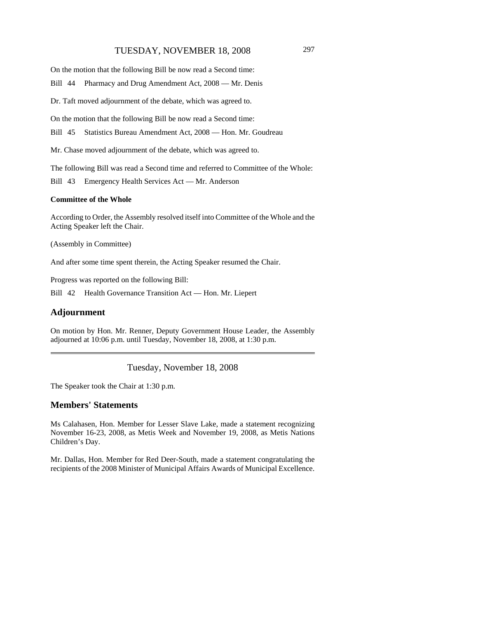## TUESDAY, NOVEMBER 18, 2008 297

On the motion that the following Bill be now read a Second time:

Bill 44 Pharmacy and Drug Amendment Act, 2008 — Mr. Denis

Dr. Taft moved adjournment of the debate, which was agreed to.

On the motion that the following Bill be now read a Second time:

Bill 45 Statistics Bureau Amendment Act, 2008 — Hon. Mr. Goudreau

Mr. Chase moved adjournment of the debate, which was agreed to.

The following Bill was read a Second time and referred to Committee of the Whole:

Bill 43 Emergency Health Services Act — Mr. Anderson

#### **Committee of the Whole**

According to Order, the Assembly resolved itself into Committee of the Whole and the Acting Speaker left the Chair.

(Assembly in Committee)

And after some time spent therein, the Acting Speaker resumed the Chair.

Progress was reported on the following Bill:

Bill 42 Health Governance Transition Act — Hon. Mr. Liepert

#### **Adjournment**

On motion by Hon. Mr. Renner, Deputy Government House Leader, the Assembly adjourned at 10:06 p.m. until Tuesday, November 18, 2008, at 1:30 p.m.

Tuesday, November 18, 2008

The Speaker took the Chair at 1:30 p.m.

#### **Members' Statements**

Ms Calahasen, Hon. Member for Lesser Slave Lake, made a statement recognizing November 16-23, 2008, as Metis Week and November 19, 2008, as Metis Nations Children's Day.

Mr. Dallas, Hon. Member for Red Deer-South, made a statement congratulating the recipients of the 2008 Minister of Municipal Affairs Awards of Municipal Excellence.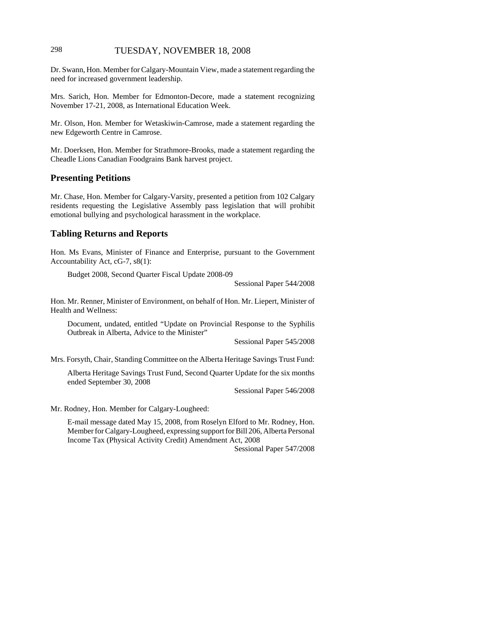## 298 TUESDAY, NOVEMBER 18, 2008

Dr. Swann, Hon. Member for Calgary-Mountain View, made a statement regarding the need for increased government leadership.

Mrs. Sarich, Hon. Member for Edmonton-Decore, made a statement recognizing November 17-21, 2008, as International Education Week.

Mr. Olson, Hon. Member for Wetaskiwin-Camrose, made a statement regarding the new Edgeworth Centre in Camrose.

Mr. Doerksen, Hon. Member for Strathmore-Brooks, made a statement regarding the Cheadle Lions Canadian Foodgrains Bank harvest project.

#### **Presenting Petitions**

Mr. Chase, Hon. Member for Calgary-Varsity, presented a petition from 102 Calgary residents requesting the Legislative Assembly pass legislation that will prohibit emotional bullying and psychological harassment in the workplace.

## **Tabling Returns and Reports**

Hon. Ms Evans, Minister of Finance and Enterprise, pursuant to the Government Accountability Act, cG-7, s8(1):

Budget 2008, Second Quarter Fiscal Update 2008-09

Sessional Paper 544/2008

Hon. Mr. Renner, Minister of Environment, on behalf of Hon. Mr. Liepert, Minister of Health and Wellness:

Document, undated, entitled "Update on Provincial Response to the Syphilis Outbreak in Alberta, Advice to the Minister"

Sessional Paper 545/2008

Mrs. Forsyth, Chair, Standing Committee on the Alberta Heritage Savings Trust Fund:

Alberta Heritage Savings Trust Fund, Second Quarter Update for the six months ended September 30, 2008

Sessional Paper 546/2008

Mr. Rodney, Hon. Member for Calgary-Lougheed:

E-mail message dated May 15, 2008, from Roselyn Elford to Mr. Rodney, Hon. Member for Calgary-Lougheed, expressing support for Bill 206, Alberta Personal Income Tax (Physical Activity Credit) Amendment Act, 2008

Sessional Paper 547/2008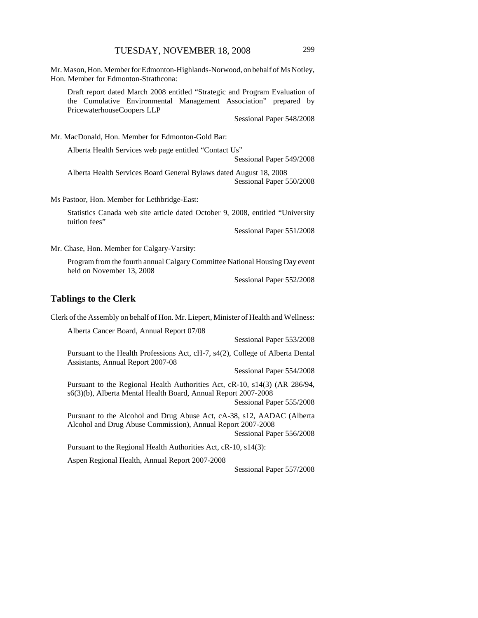Mr. Mason, Hon. Member for Edmonton-Highlands-Norwood, on behalf of Ms Notley, Hon. Member for Edmonton-Strathcona:

Draft report dated March 2008 entitled "Strategic and Program Evaluation of the Cumulative Environmental Management Association" prepared by PricewaterhouseCoopers LLP

Sessional Paper 548/2008

Mr. MacDonald, Hon. Member for Edmonton-Gold Bar:

Alberta Health Services web page entitled "Contact Us" Sessional Paper 549/2008

Alberta Health Services Board General Bylaws dated August 18, 2008 Sessional Paper 550/2008

Ms Pastoor, Hon. Member for Lethbridge-East:

Statistics Canada web site article dated October 9, 2008, entitled "University tuition fees"

Sessional Paper 551/2008

Mr. Chase, Hon. Member for Calgary-Varsity:

Program from the fourth annual Calgary Committee National Housing Day event held on November 13, 2008

Sessional Paper 552/2008

## **Tablings to the Clerk**

Clerk of the Assembly on behalf of Hon. Mr. Liepert, Minister of Health and Wellness:

Alberta Cancer Board, Annual Report 07/08 Sessional Paper 553/2008 Pursuant to the Health Professions Act, cH-7, s4(2), College of Alberta Dental Assistants, Annual Report 2007-08 Sessional Paper 554/2008 Pursuant to the Regional Health Authorities Act, cR-10, s14(3) (AR 286/94, s6(3)(b), Alberta Mental Health Board, Annual Report 2007-2008 Sessional Paper 555/2008 Pursuant to the Alcohol and Drug Abuse Act, cA-38, s12, AADAC (Alberta Alcohol and Drug Abuse Commission), Annual Report 2007-2008 Sessional Paper 556/2008 Pursuant to the Regional Health Authorities Act, cR-10, s14(3):

Aspen Regional Health, Annual Report 2007-2008

Sessional Paper 557/2008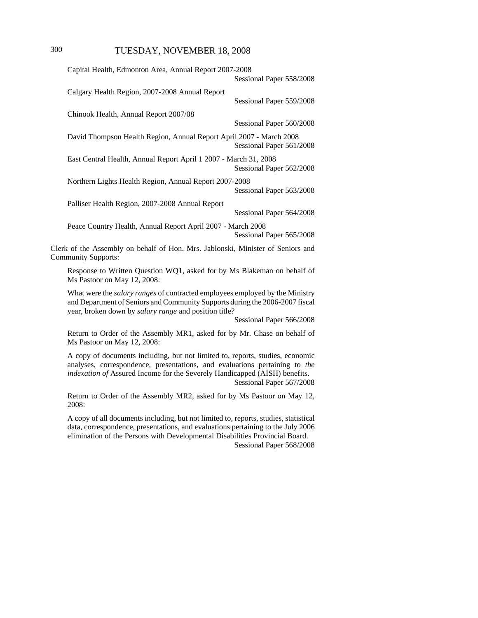| Capital Health, Edmonton Area, Annual Report 2007-2008                                                                                                                                                                |                          |
|-----------------------------------------------------------------------------------------------------------------------------------------------------------------------------------------------------------------------|--------------------------|
|                                                                                                                                                                                                                       | Sessional Paper 558/2008 |
| Calgary Health Region, 2007-2008 Annual Report                                                                                                                                                                        | Sessional Paper 559/2008 |
| Chinook Health, Annual Report 2007/08                                                                                                                                                                                 |                          |
|                                                                                                                                                                                                                       | Sessional Paper 560/2008 |
| David Thompson Health Region, Annual Report April 2007 - March 2008                                                                                                                                                   | Sessional Paper 561/2008 |
| East Central Health, Annual Report April 1 2007 - March 31, 2008                                                                                                                                                      | Sessional Paper 562/2008 |
| Northern Lights Health Region, Annual Report 2007-2008                                                                                                                                                                | Sessional Paper 563/2008 |
| Palliser Health Region, 2007-2008 Annual Report                                                                                                                                                                       |                          |
|                                                                                                                                                                                                                       | Sessional Paper 564/2008 |
| Peace Country Health, Annual Report April 2007 - March 2008                                                                                                                                                           | Sessional Paper 565/2008 |
| Clerk of the Assembly on behalf of Hon. Mrs. Jablonski, Minister of Seniors and<br><b>Community Supports:</b>                                                                                                         |                          |
| Response to Written Question WQ1, asked for by Ms Blakeman on behalf of<br>Ms Pastoor on May 12, 2008:                                                                                                                |                          |
| What were the salary ranges of contracted employees employed by the Ministry<br>and Department of Seniors and Community Supports during the 2006-2007 fiscal<br>year, broken down by salary range and position title? |                          |

Sessional Paper 566/2008

Return to Order of the Assembly MR1, asked for by Mr. Chase on behalf of Ms Pastoor on May 12, 2008:

A copy of documents including, but not limited to, reports, studies, economic analyses, correspondence, presentations, and evaluations pertaining to *the indexation of* Assured Income for the Severely Handicapped (AISH) benefits. Sessional Paper 567/2008

Return to Order of the Assembly MR2, asked for by Ms Pastoor on May 12, 2008:

A copy of all documents including, but not limited to, reports, studies, statistical data, correspondence, presentations, and evaluations pertaining to the July 2006 elimination of the Persons with Developmental Disabilities Provincial Board. Sessional Paper 568/2008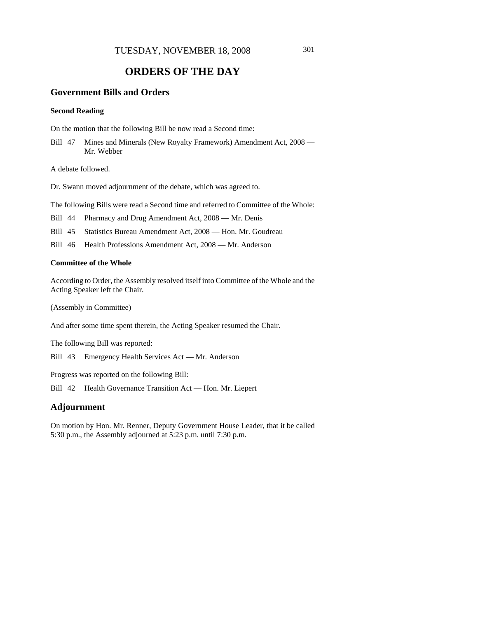# **ORDERS OF THE DAY**

## **Government Bills and Orders**

#### **Second Reading**

On the motion that the following Bill be now read a Second time:

Bill 47 Mines and Minerals (New Royalty Framework) Amendment Act, 2008 — Mr. Webber

A debate followed.

Dr. Swann moved adjournment of the debate, which was agreed to.

The following Bills were read a Second time and referred to Committee of the Whole:

Bill 44 Pharmacy and Drug Amendment Act, 2008 — Mr. Denis

Bill 45 Statistics Bureau Amendment Act, 2008 — Hon. Mr. Goudreau

Bill 46 Health Professions Amendment Act, 2008 — Mr. Anderson

#### **Committee of the Whole**

According to Order, the Assembly resolved itself into Committee of the Whole and the Acting Speaker left the Chair.

(Assembly in Committee)

And after some time spent therein, the Acting Speaker resumed the Chair.

The following Bill was reported:

Bill 43 Emergency Health Services Act — Mr. Anderson

Progress was reported on the following Bill:

Bill 42 Health Governance Transition Act — Hon. Mr. Liepert

## **Adjournment**

On motion by Hon. Mr. Renner, Deputy Government House Leader, that it be called 5:30 p.m., the Assembly adjourned at 5:23 p.m. until 7:30 p.m.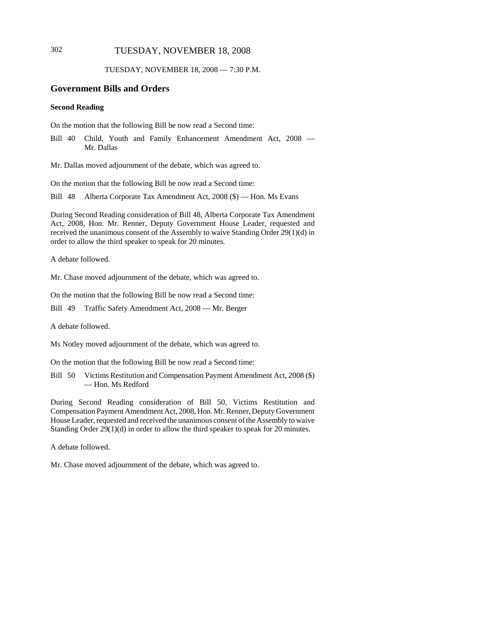## 302 TUESDAY, NOVEMBER 18, 2008

TUESDAY, NOVEMBER 18, 2008 — 7:30 P.M.

#### **Government Bills and Orders**

#### **Second Reading**

On the motion that the following Bill be now read a Second time:

Bill 40 Child, Youth and Family Enhancement Amendment Act, 2008 — Mr. Dallas

Mr. Dallas moved adjournment of the debate, which was agreed to.

On the motion that the following Bill be now read a Second time:

Bill 48 Alberta Corporate Tax Amendment Act, 2008 (\$) — Hon. Ms Evans

During Second Reading consideration of Bill 48, Alberta Corporate Tax Amendment Act, 2008, Hon. Mr. Renner, Deputy Government House Leader, requested and received the unanimous consent of the Assembly to waive Standing Order 29(1)(d) in order to allow the third speaker to speak for 20 minutes.

A debate followed.

Mr. Chase moved adjournment of the debate, which was agreed to.

On the motion that the following Bill be now read a Second time:

Bill 49 Traffic Safety Amendment Act, 2008 — Mr. Berger

A debate followed.

Ms Notley moved adjournment of the debate, which was agreed to.

On the motion that the following Bill be now read a Second time:

Bill 50 Victims Restitution and Compensation Payment Amendment Act, 2008 (\$) — Hon. Ms Redford

During Second Reading consideration of Bill 50, Victims Restitution and Compensation Payment Amendment Act, 2008, Hon. Mr. Renner, Deputy Government House Leader, requested and received the unanimous consent of the Assembly to waive Standing Order 29(1)(d) in order to allow the third speaker to speak for 20 minutes.

A debate followed.

Mr. Chase moved adjournment of the debate, which was agreed to.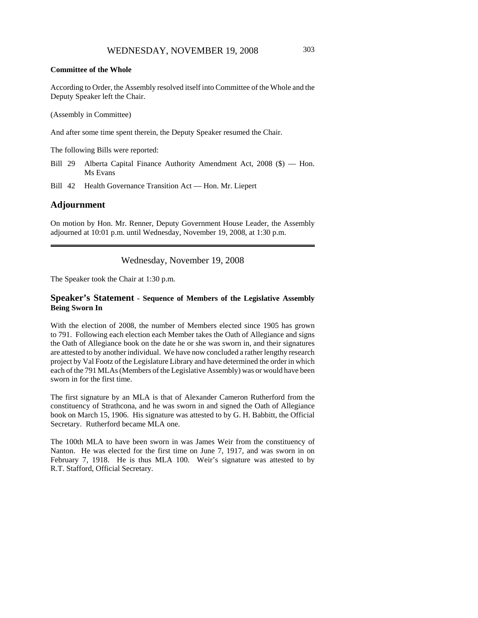#### **Committee of the Whole**

According to Order, the Assembly resolved itself into Committee of the Whole and the Deputy Speaker left the Chair.

(Assembly in Committee)

And after some time spent therein, the Deputy Speaker resumed the Chair.

The following Bills were reported:

Bill 29 Alberta Capital Finance Authority Amendment Act, 2008 (\$) — Hon. Ms Evans

Bill 42 Health Governance Transition Act — Hon. Mr. Liepert

## **Adjournment**

On motion by Hon. Mr. Renner, Deputy Government House Leader, the Assembly adjourned at 10:01 p.m. until Wednesday, November 19, 2008, at 1:30 p.m.

Wednesday, November 19, 2008

The Speaker took the Chair at 1:30 p.m.

#### **Speaker's Statement - Sequence of Members of the Legislative Assembly Being Sworn In**

With the election of 2008, the number of Members elected since 1905 has grown to 791. Following each election each Member takes the Oath of Allegiance and signs the Oath of Allegiance book on the date he or she was sworn in, and their signatures are attested to by another individual. We have now concluded a rather lengthy research project by Val Footz of the Legislature Library and have determined the order in which each of the 791 MLAs (Members of the Legislative Assembly) was or would have been sworn in for the first time.

The first signature by an MLA is that of Alexander Cameron Rutherford from the constituency of Strathcona, and he was sworn in and signed the Oath of Allegiance book on March 15, 1906. His signature was attested to by G. H. Babbitt, the Official Secretary. Rutherford became MLA one.

The 100th MLA to have been sworn in was James Weir from the constituency of Nanton. He was elected for the first time on June 7, 1917, and was sworn in on February 7, 1918. He is thus MLA 100. Weir's signature was attested to by R.T. Stafford, Official Secretary.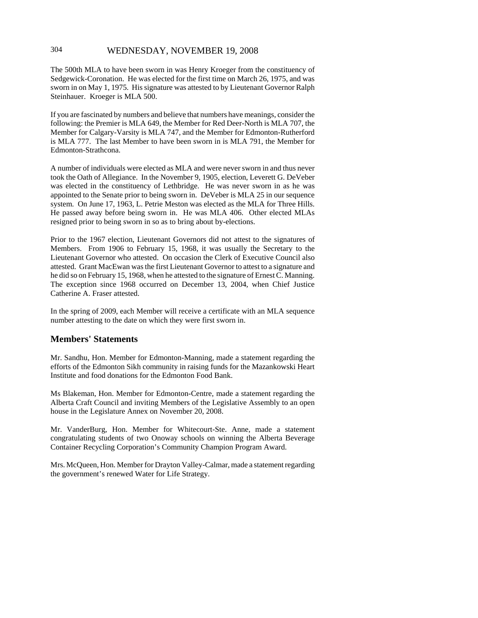## 304 WEDNESDAY, NOVEMBER 19, 2008

The 500th MLA to have been sworn in was Henry Kroeger from the constituency of Sedgewick-Coronation. He was elected for the first time on March 26, 1975, and was sworn in on May 1, 1975. His signature was attested to by Lieutenant Governor Ralph Steinhauer. Kroeger is MLA 500.

If you are fascinated by numbers and believe that numbers have meanings, consider the following: the Premier is MLA 649, the Member for Red Deer-North is MLA 707, the Member for Calgary-Varsity is MLA 747, and the Member for Edmonton-Rutherford is MLA 777. The last Member to have been sworn in is MLA 791, the Member for Edmonton-Strathcona.

A number of individuals were elected as MLA and were never sworn in and thus never took the Oath of Allegiance. In the November 9, 1905, election, Leverett G. DeVeber was elected in the constituency of Lethbridge. He was never sworn in as he was appointed to the Senate prior to being sworn in. DeVeber is MLA 25 in our sequence system. On June 17, 1963, L. Petrie Meston was elected as the MLA for Three Hills. He passed away before being sworn in. He was MLA 406. Other elected MLAs resigned prior to being sworn in so as to bring about by-elections.

Prior to the 1967 election, Lieutenant Governors did not attest to the signatures of Members. From 1906 to February 15, 1968, it was usually the Secretary to the Lieutenant Governor who attested. On occasion the Clerk of Executive Council also attested. Grant MacEwan was the first Lieutenant Governor to attest to a signature and he did so on February 15, 1968, when he attested to the signature of Ernest C. Manning. The exception since 1968 occurred on December 13, 2004, when Chief Justice Catherine A. Fraser attested.

In the spring of 2009, each Member will receive a certificate with an MLA sequence number attesting to the date on which they were first sworn in.

## **Members' Statements**

Mr. Sandhu, Hon. Member for Edmonton-Manning, made a statement regarding the efforts of the Edmonton Sikh community in raising funds for the Mazankowski Heart Institute and food donations for the Edmonton Food Bank.

Ms Blakeman, Hon. Member for Edmonton-Centre, made a statement regarding the Alberta Craft Council and inviting Members of the Legislative Assembly to an open house in the Legislature Annex on November 20, 2008.

Mr. VanderBurg, Hon. Member for Whitecourt-Ste. Anne, made a statement congratulating students of two Onoway schools on winning the Alberta Beverage Container Recycling Corporation's Community Champion Program Award.

Mrs. McQueen, Hon. Member for Drayton Valley-Calmar, made a statement regarding the government's renewed Water for Life Strategy.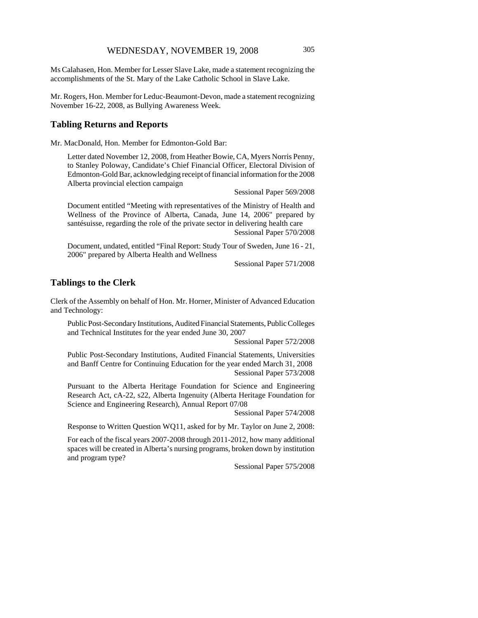Ms Calahasen, Hon. Member for Lesser Slave Lake, made a statement recognizing the accomplishments of the St. Mary of the Lake Catholic School in Slave Lake.

Mr. Rogers, Hon. Member for Leduc-Beaumont-Devon, made a statement recognizing November 16-22, 2008, as Bullying Awareness Week.

#### **Tabling Returns and Reports**

Mr. MacDonald, Hon. Member for Edmonton-Gold Bar:

Letter dated November 12, 2008, from Heather Bowie, CA, Myers Norris Penny, to Stanley Poloway, Candidate's Chief Financial Officer, Electoral Division of Edmonton-Gold Bar, acknowledging receipt of financial information for the 2008 Alberta provincial election campaign

Sessional Paper 569/2008

Document entitled "Meeting with representatives of the Ministry of Health and Wellness of the Province of Alberta, Canada, June 14, 2006" prepared by santésuisse, regarding the role of the private sector in delivering health care

Sessional Paper 570/2008

Document, undated, entitled "Final Report: Study Tour of Sweden, June 16 - 21, 2006" prepared by Alberta Health and Wellness

Sessional Paper 571/2008

## **Tablings to the Clerk**

Clerk of the Assembly on behalf of Hon. Mr. Horner, Minister of Advanced Education and Technology:

Public Post-Secondary Institutions, Audited Financial Statements, Public Colleges and Technical Institutes for the year ended June 30, 2007

Sessional Paper 572/2008

Public Post-Secondary Institutions, Audited Financial Statements, Universities and Banff Centre for Continuing Education for the year ended March 31, 2008 Sessional Paper 573/2008

Pursuant to the Alberta Heritage Foundation for Science and Engineering Research Act, cA-22, s22, Alberta Ingenuity (Alberta Heritage Foundation for Science and Engineering Research), Annual Report 07/08

Sessional Paper 574/2008

Response to Written Question WQ11, asked for by Mr. Taylor on June 2, 2008:

For each of the fiscal years 2007-2008 through 2011-2012, how many additional spaces will be created in Alberta's nursing programs, broken down by institution and program type?

Sessional Paper 575/2008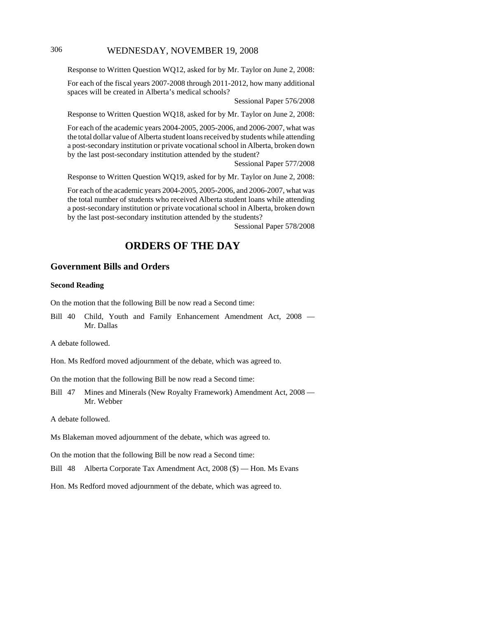## 306 WEDNESDAY, NOVEMBER 19, 2008

Response to Written Question WQ12, asked for by Mr. Taylor on June 2, 2008:

For each of the fiscal years 2007-2008 through 2011-2012, how many additional spaces will be created in Alberta's medical schools?

Sessional Paper 576/2008

Response to Written Question WQ18, asked for by Mr. Taylor on June 2, 2008:

For each of the academic years 2004-2005, 2005-2006, and 2006-2007, what was the total dollar value of Alberta student loans received by students while attending a post-secondary institution or private vocational school in Alberta, broken down by the last post-secondary institution attended by the student?

Sessional Paper 577/2008

Response to Written Question WQ19, asked for by Mr. Taylor on June 2, 2008:

For each of the academic years 2004-2005, 2005-2006, and 2006-2007, what was the total number of students who received Alberta student loans while attending a post-secondary institution or private vocational school in Alberta, broken down by the last post-secondary institution attended by the students?

Sessional Paper 578/2008

# **ORDERS OF THE DAY**

## **Government Bills and Orders**

#### **Second Reading**

On the motion that the following Bill be now read a Second time:

Bill 40 Child, Youth and Family Enhancement Amendment Act, 2008 — Mr. Dallas

A debate followed.

Hon. Ms Redford moved adjournment of the debate, which was agreed to.

On the motion that the following Bill be now read a Second time:

Bill 47 Mines and Minerals (New Royalty Framework) Amendment Act, 2008 — Mr. Webber

A debate followed.

Ms Blakeman moved adjournment of the debate, which was agreed to.

On the motion that the following Bill be now read a Second time:

Bill 48 Alberta Corporate Tax Amendment Act, 2008 (\$) — Hon. Ms Evans

Hon. Ms Redford moved adjournment of the debate, which was agreed to.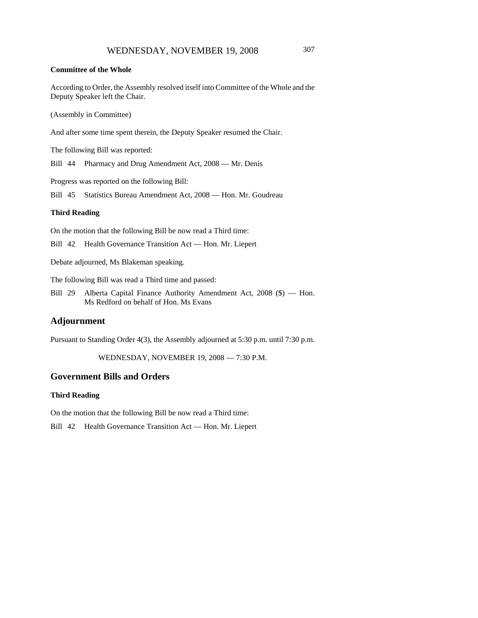#### **Committee of the Whole**

According to Order, the Assembly resolved itself into Committee of the Whole and the Deputy Speaker left the Chair.

(Assembly in Committee)

And after some time spent therein, the Deputy Speaker resumed the Chair.

The following Bill was reported:

Bill 44 Pharmacy and Drug Amendment Act, 2008 — Mr. Denis

Progress was reported on the following Bill:

Bill 45 Statistics Bureau Amendment Act, 2008 — Hon. Mr. Goudreau

#### **Third Reading**

On the motion that the following Bill be now read a Third time:

Bill 42 Health Governance Transition Act — Hon. Mr. Liepert

Debate adjourned, Ms Blakeman speaking.

The following Bill was read a Third time and passed:

Bill 29 Alberta Capital Finance Authority Amendment Act, 2008 (\$) — Hon. Ms Redford on behalf of Hon. Ms Evans

## **Adjournment**

Pursuant to Standing Order 4(3), the Assembly adjourned at 5:30 p.m. until 7:30 p.m.

WEDNESDAY, NOVEMBER 19, 2008 — 7:30 P.M.

#### **Government Bills and Orders**

#### **Third Reading**

On the motion that the following Bill be now read a Third time:

Bill 42 Health Governance Transition Act — Hon. Mr. Liepert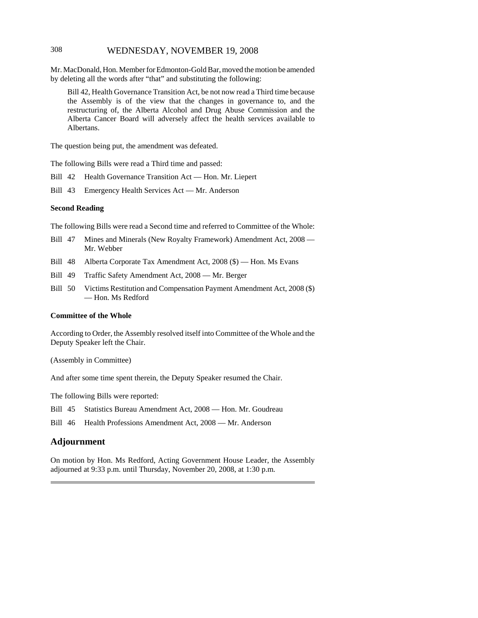## 308 WEDNESDAY, NOVEMBER 19, 2008

Mr. MacDonald, Hon. Member for Edmonton-Gold Bar, moved the motion be amended by deleting all the words after "that" and substituting the following:

Bill 42, Health Governance Transition Act, be not now read a Third time because the Assembly is of the view that the changes in governance to, and the restructuring of, the Alberta Alcohol and Drug Abuse Commission and the Alberta Cancer Board will adversely affect the health services available to Albertans.

The question being put, the amendment was defeated.

The following Bills were read a Third time and passed:

- Bill 42 Health Governance Transition Act Hon. Mr. Liepert
- Bill 43 Emergency Health Services Act Mr. Anderson

#### **Second Reading**

The following Bills were read a Second time and referred to Committee of the Whole:

- Bill 47 Mines and Minerals (New Royalty Framework) Amendment Act, 2008 Mr. Webber
- Bill 48 Alberta Corporate Tax Amendment Act, 2008 (\$) Hon. Ms Evans
- Bill 49 Traffic Safety Amendment Act, 2008 Mr. Berger
- Bill 50 Victims Restitution and Compensation Payment Amendment Act, 2008 (\$) — Hon. Ms Redford

#### **Committee of the Whole**

According to Order, the Assembly resolved itself into Committee of the Whole and the Deputy Speaker left the Chair.

(Assembly in Committee)

And after some time spent therein, the Deputy Speaker resumed the Chair.

The following Bills were reported:

Bill 45 Statistics Bureau Amendment Act, 2008 — Hon. Mr. Goudreau

Bill 46 Health Professions Amendment Act, 2008 — Mr. Anderson

## **Adjournment**

On motion by Hon. Ms Redford, Acting Government House Leader, the Assembly adjourned at 9:33 p.m. until Thursday, November 20, 2008, at 1:30 p.m.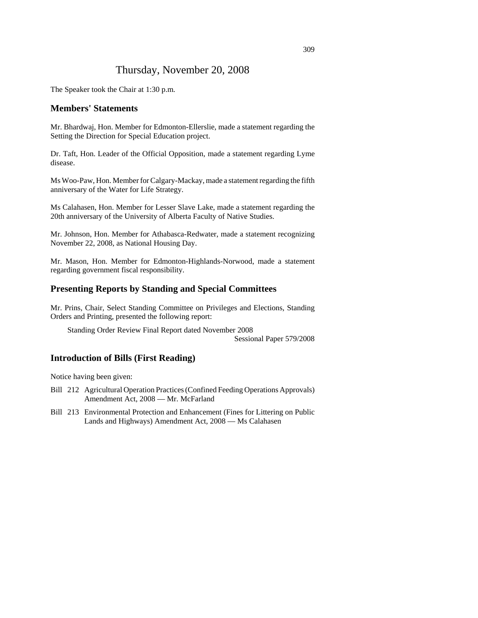# Thursday, November 20, 2008

The Speaker took the Chair at 1:30 p.m.

#### **Members' Statements**

Mr. Bhardwaj, Hon. Member for Edmonton-Ellerslie, made a statement regarding the Setting the Direction for Special Education project.

Dr. Taft, Hon. Leader of the Official Opposition, made a statement regarding Lyme disease.

Ms Woo-Paw, Hon. Member for Calgary-Mackay, made a statement regarding the fifth anniversary of the Water for Life Strategy.

Ms Calahasen, Hon. Member for Lesser Slave Lake, made a statement regarding the 20th anniversary of the University of Alberta Faculty of Native Studies.

Mr. Johnson, Hon. Member for Athabasca-Redwater, made a statement recognizing November 22, 2008, as National Housing Day.

Mr. Mason, Hon. Member for Edmonton-Highlands-Norwood, made a statement regarding government fiscal responsibility.

## **Presenting Reports by Standing and Special Committees**

Mr. Prins, Chair, Select Standing Committee on Privileges and Elections, Standing Orders and Printing, presented the following report:

Standing Order Review Final Report dated November 2008

Sessional Paper 579/2008

## **Introduction of Bills (First Reading)**

Notice having been given:

- Bill 212 Agricultural Operation Practices (Confined Feeding Operations Approvals) Amendment Act, 2008 — Mr. McFarland
- Bill 213 Environmental Protection and Enhancement (Fines for Littering on Public Lands and Highways) Amendment Act, 2008 — Ms Calahasen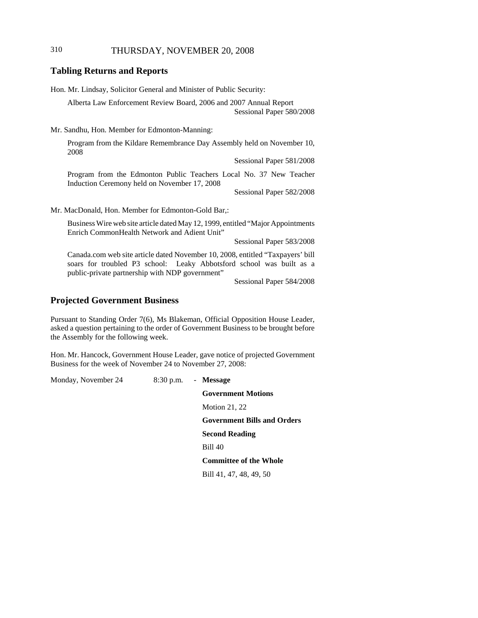## 310 THURSDAY, NOVEMBER 20, 2008

## **Tabling Returns and Reports**

Hon. Mr. Lindsay, Solicitor General and Minister of Public Security:

Alberta Law Enforcement Review Board, 2006 and 2007 Annual Report Sessional Paper 580/2008

Mr. Sandhu, Hon. Member for Edmonton-Manning:

Program from the Kildare Remembrance Day Assembly held on November 10, 2008

Sessional Paper 581/2008

Program from the Edmonton Public Teachers Local No. 37 New Teacher Induction Ceremony held on November 17, 2008

Sessional Paper 582/2008

Mr. MacDonald, Hon. Member for Edmonton-Gold Bar,:

Business Wire web site article dated May 12, 1999, entitled "Major Appointments Enrich CommonHealth Network and Adient Unit"

Sessional Paper 583/2008

Canada.com web site article dated November 10, 2008, entitled "Taxpayers' bill soars for troubled P3 school: Leaky Abbotsford school was built as a public-private partnership with NDP government"

Sessional Paper 584/2008

## **Projected Government Business**

Pursuant to Standing Order 7(6), Ms Blakeman, Official Opposition House Leader, asked a question pertaining to the order of Government Business to be brought before the Assembly for the following week.

Hon. Mr. Hancock, Government House Leader, gave notice of projected Government Business for the week of November 24 to November 27, 2008:

Monday, November 24 8:30 p.m. - **Message**

**Government Motions** Motion 21, 22 **Government Bills and Orders Second Reading** Bill 40 **Committee of the Whole**

Bill 41, 47, 48, 49, 50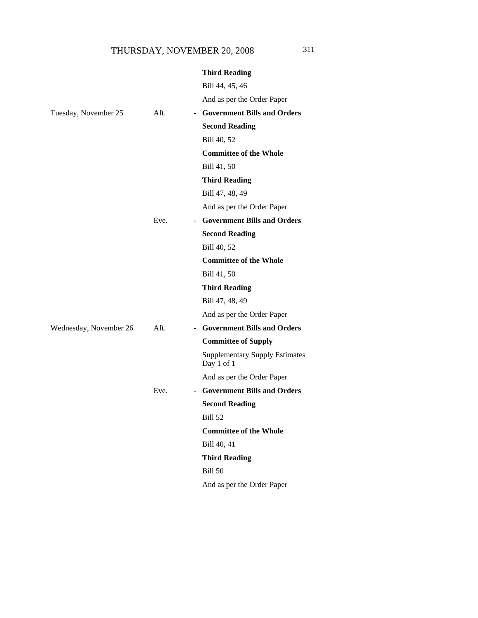|                        |      | <b>Third Reading</b>                                |
|------------------------|------|-----------------------------------------------------|
|                        |      | Bill 44, 45, 46                                     |
|                        |      | And as per the Order Paper                          |
| Tuesday, November 25   | Aft. | - Government Bills and Orders                       |
|                        |      | <b>Second Reading</b>                               |
|                        |      | Bill 40, 52                                         |
|                        |      | <b>Committee of the Whole</b>                       |
|                        |      | Bill 41, 50                                         |
|                        |      | <b>Third Reading</b>                                |
|                        |      | Bill 47, 48, 49                                     |
|                        |      | And as per the Order Paper                          |
|                        | Eve. | - Government Bills and Orders                       |
|                        |      | <b>Second Reading</b>                               |
|                        |      | Bill 40, 52                                         |
|                        |      | <b>Committee of the Whole</b>                       |
|                        |      | Bill 41, 50                                         |
|                        |      | <b>Third Reading</b>                                |
|                        |      | Bill 47, 48, 49                                     |
|                        |      | And as per the Order Paper                          |
| Wednesday, November 26 | Aft. | - Government Bills and Orders                       |
|                        |      | <b>Committee of Supply</b>                          |
|                        |      | <b>Supplementary Supply Estimates</b><br>Day 1 of 1 |
|                        |      | And as per the Order Paper                          |
|                        | Eve. | - Government Bills and Orders                       |
|                        |      | <b>Second Reading</b>                               |
|                        |      | <b>Bill 52</b>                                      |
|                        |      | <b>Committee of the Whole</b>                       |
|                        |      | Bill 40, 41                                         |
|                        |      | <b>Third Reading</b>                                |
|                        |      | <b>Bill 50</b>                                      |
|                        |      | And as per the Order Paper                          |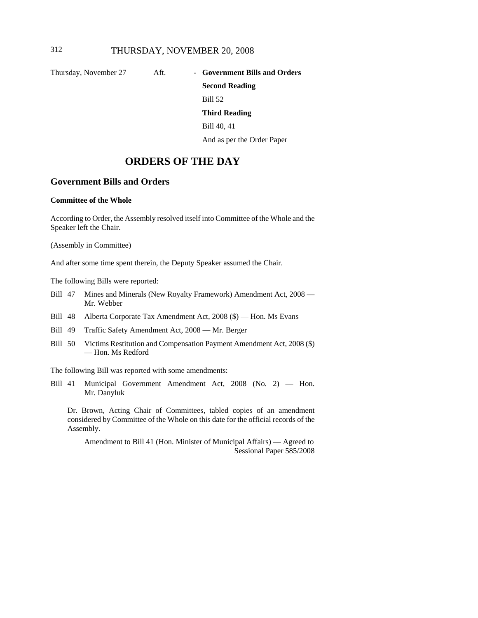Thursday, November 27 Aft. - **Government Bills and Orders** 

# **Second Reading** Bill 52 **Third Reading** Bill 40, 41

And as per the Order Paper

# **ORDERS OF THE DAY**

## **Government Bills and Orders**

#### **Committee of the Whole**

According to Order, the Assembly resolved itself into Committee of the Whole and the Speaker left the Chair.

(Assembly in Committee)

And after some time spent therein, the Deputy Speaker assumed the Chair.

The following Bills were reported:

- Bill 47 Mines and Minerals (New Royalty Framework) Amendment Act, 2008 Mr. Webber
- Bill 48 Alberta Corporate Tax Amendment Act, 2008 (\$) Hon. Ms Evans
- Bill 49 Traffic Safety Amendment Act, 2008 Mr. Berger
- Bill 50 Victims Restitution and Compensation Payment Amendment Act, 2008 (\$) — Hon. Ms Redford

The following Bill was reported with some amendments:

Bill 41 Municipal Government Amendment Act, 2008 (No. 2) — Hon. Mr. Danyluk

Dr. Brown, Acting Chair of Committees, tabled copies of an amendment considered by Committee of the Whole on this date for the official records of the Assembly.

Amendment to Bill 41 (Hon. Minister of Municipal Affairs) — Agreed to Sessional Paper 585/2008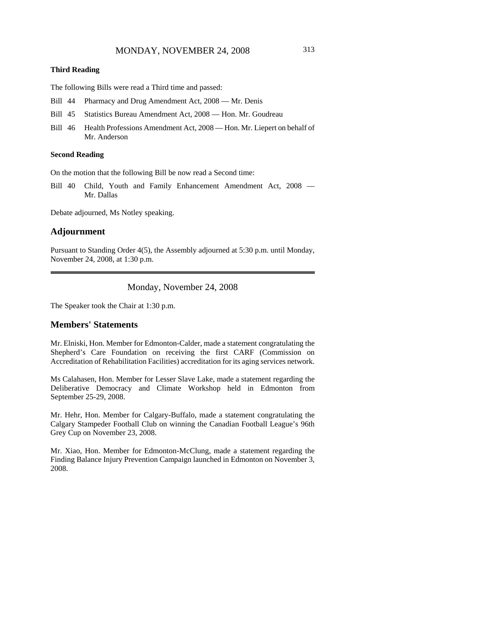#### **Third Reading**

The following Bills were read a Third time and passed:

- Bill 44 Pharmacy and Drug Amendment Act, 2008 Mr. Denis
- Bill 45 Statistics Bureau Amendment Act, 2008 Hon. Mr. Goudreau
- Bill 46 Health Professions Amendment Act, 2008 Hon. Mr. Liepert on behalf of Mr. Anderson

#### **Second Reading**

On the motion that the following Bill be now read a Second time:

Bill 40 Child, Youth and Family Enhancement Amendment Act, 2008 — Mr. Dallas

Debate adjourned, Ms Notley speaking.

## **Adjournment**

Pursuant to Standing Order 4(5), the Assembly adjourned at 5:30 p.m. until Monday, November 24, 2008, at 1:30 p.m.

## Monday, November 24, 2008

The Speaker took the Chair at 1:30 p.m.

## **Members' Statements**

Mr. Elniski, Hon. Member for Edmonton-Calder, made a statement congratulating the Shepherd's Care Foundation on receiving the first CARF (Commission on Accreditation of Rehabilitation Facilities) accreditation for its aging services network.

Ms Calahasen, Hon. Member for Lesser Slave Lake, made a statement regarding the Deliberative Democracy and Climate Workshop held in Edmonton from September 25-29, 2008.

Mr. Hehr, Hon. Member for Calgary-Buffalo, made a statement congratulating the Calgary Stampeder Football Club on winning the Canadian Football League's 96th Grey Cup on November 23, 2008.

Mr. Xiao, Hon. Member for Edmonton-McClung, made a statement regarding the Finding Balance Injury Prevention Campaign launched in Edmonton on November 3, 2008.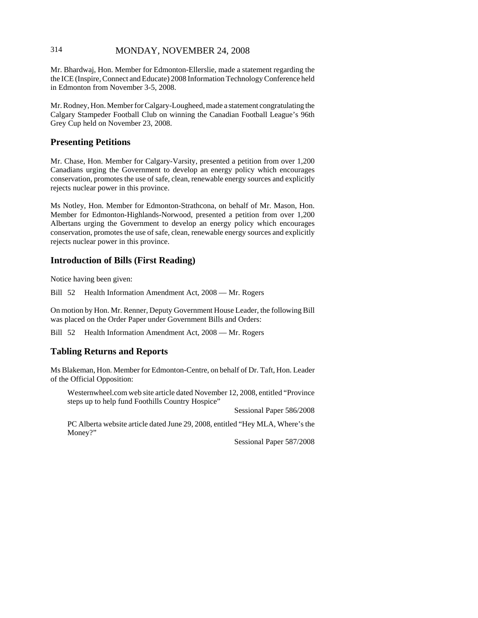## 314 MONDAY, NOVEMBER 24, 2008

Mr. Bhardwaj, Hon. Member for Edmonton-Ellerslie, made a statement regarding the the ICE (Inspire, Connect and Educate) 2008 Information Technology Conference held in Edmonton from November 3-5, 2008.

Mr. Rodney, Hon. Member for Calgary-Lougheed, made a statement congratulating the Calgary Stampeder Football Club on winning the Canadian Football League's 96th Grey Cup held on November 23, 2008.

## **Presenting Petitions**

Mr. Chase, Hon. Member for Calgary-Varsity, presented a petition from over 1,200 Canadians urging the Government to develop an energy policy which encourages conservation, promotes the use of safe, clean, renewable energy sources and explicitly rejects nuclear power in this province.

Ms Notley, Hon. Member for Edmonton-Strathcona, on behalf of Mr. Mason, Hon. Member for Edmonton-Highlands-Norwood, presented a petition from over 1,200 Albertans urging the Government to develop an energy policy which encourages conservation, promotes the use of safe, clean, renewable energy sources and explicitly rejects nuclear power in this province.

## **Introduction of Bills (First Reading)**

Notice having been given:

Bill 52 Health Information Amendment Act, 2008 — Mr. Rogers

On motion by Hon. Mr. Renner, Deputy Government House Leader, the following Bill was placed on the Order Paper under Government Bills and Orders:

Bill 52 Health Information Amendment Act, 2008 — Mr. Rogers

## **Tabling Returns and Reports**

Ms Blakeman, Hon. Member for Edmonton-Centre, on behalf of Dr. Taft, Hon. Leader of the Official Opposition:

Westernwheel.com web site article dated November 12, 2008, entitled "Province steps up to help fund Foothills Country Hospice"

Sessional Paper 586/2008

PC Alberta website article dated June 29, 2008, entitled "Hey MLA, Where's the Money?"

Sessional Paper 587/2008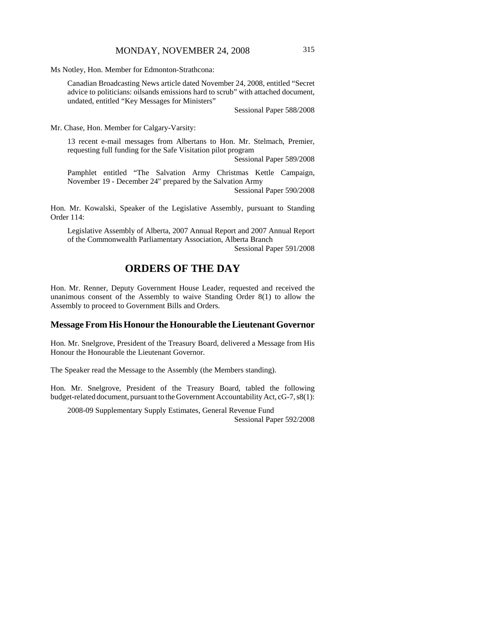Ms Notley, Hon. Member for Edmonton-Strathcona:

Canadian Broadcasting News article dated November 24, 2008, entitled "Secret advice to politicians: oilsands emissions hard to scrub" with attached document, undated, entitled "Key Messages for Ministers"

Sessional Paper 588/2008

Mr. Chase, Hon. Member for Calgary-Varsity:

13 recent e-mail messages from Albertans to Hon. Mr. Stelmach, Premier, requesting full funding for the Safe Visitation pilot program

Sessional Paper 589/2008

Pamphlet entitled "The Salvation Army Christmas Kettle Campaign, November 19 - December 24" prepared by the Salvation Army

Sessional Paper 590/2008

Hon. Mr. Kowalski, Speaker of the Legislative Assembly, pursuant to Standing Order 114:

Legislative Assembly of Alberta, 2007 Annual Report and 2007 Annual Report of the Commonwealth Parliamentary Association, Alberta Branch Sessional Paper 591/2008

# **ORDERS OF THE DAY**

Hon. Mr. Renner, Deputy Government House Leader, requested and received the unanimous consent of the Assembly to waive Standing Order 8(1) to allow the Assembly to proceed to Government Bills and Orders.

## **Message From His Honour the Honourable the Lieutenant Governor**

Hon. Mr. Snelgrove, President of the Treasury Board, delivered a Message from His Honour the Honourable the Lieutenant Governor.

The Speaker read the Message to the Assembly (the Members standing).

Hon. Mr. Snelgrove, President of the Treasury Board, tabled the following budget-related document, pursuant to the Government Accountability Act, cG-7, s8(1):

2008-09 Supplementary Supply Estimates, General Revenue Fund Sessional Paper 592/2008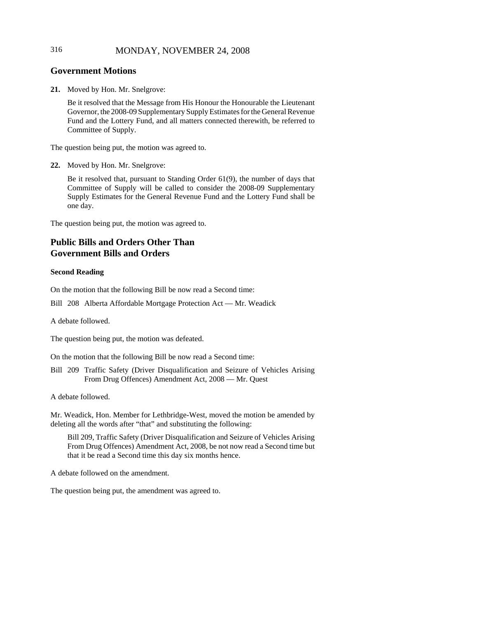## 316 MONDAY, NOVEMBER 24, 2008

## **Government Motions**

**21.** Moved by Hon. Mr. Snelgrove:

Be it resolved that the Message from His Honour the Honourable the Lieutenant Governor, the 2008-09 Supplementary Supply Estimates for the General Revenue Fund and the Lottery Fund, and all matters connected therewith, be referred to Committee of Supply.

The question being put, the motion was agreed to.

**22.** Moved by Hon. Mr. Snelgrove:

Be it resolved that, pursuant to Standing Order 61(9), the number of days that Committee of Supply will be called to consider the 2008-09 Supplementary Supply Estimates for the General Revenue Fund and the Lottery Fund shall be one day.

The question being put, the motion was agreed to.

## **Public Bills and Orders Other Than Government Bills and Orders**

#### **Second Reading**

On the motion that the following Bill be now read a Second time:

Bill 208 Alberta Affordable Mortgage Protection Act — Mr. Weadick

A debate followed.

The question being put, the motion was defeated.

On the motion that the following Bill be now read a Second time:

Bill 209 Traffic Safety (Driver Disqualification and Seizure of Vehicles Arising From Drug Offences) Amendment Act, 2008 — Mr. Quest

A debate followed.

Mr. Weadick, Hon. Member for Lethbridge-West, moved the motion be amended by deleting all the words after "that" and substituting the following:

Bill 209, Traffic Safety (Driver Disqualification and Seizure of Vehicles Arising From Drug Offences) Amendment Act, 2008, be not now read a Second time but that it be read a Second time this day six months hence.

A debate followed on the amendment.

The question being put, the amendment was agreed to.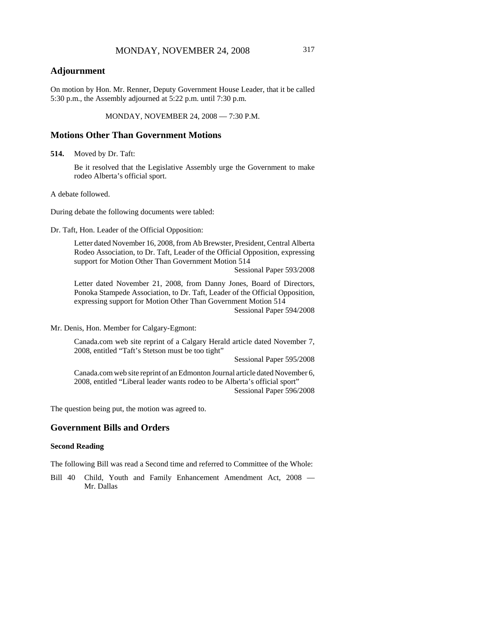## **Adjournment**

On motion by Hon. Mr. Renner, Deputy Government House Leader, that it be called 5:30 p.m., the Assembly adjourned at 5:22 p.m. until 7:30 p.m.

MONDAY, NOVEMBER 24, 2008 — 7:30 P.M.

## **Motions Other Than Government Motions**

**514.** Moved by Dr. Taft:

Be it resolved that the Legislative Assembly urge the Government to make rodeo Alberta's official sport.

A debate followed.

During debate the following documents were tabled:

Dr. Taft, Hon. Leader of the Official Opposition:

Letter dated November 16, 2008, from Ab Brewster, President, Central Alberta Rodeo Association, to Dr. Taft, Leader of the Official Opposition, expressing support for Motion Other Than Government Motion 514

Sessional Paper 593/2008

Letter dated November 21, 2008, from Danny Jones, Board of Directors, Ponoka Stampede Association, to Dr. Taft, Leader of the Official Opposition, expressing support for Motion Other Than Government Motion 514

Sessional Paper 594/2008

Mr. Denis, Hon. Member for Calgary-Egmont:

Canada.com web site reprint of a Calgary Herald article dated November 7, 2008, entitled "Taft's Stetson must be too tight"

Sessional Paper 595/2008

Canada.com web site reprint of an Edmonton Journal article dated November 6, 2008, entitled "Liberal leader wants rodeo to be Alberta's official sport" Sessional Paper 596/2008

The question being put, the motion was agreed to.

## **Government Bills and Orders**

#### **Second Reading**

The following Bill was read a Second time and referred to Committee of the Whole:

Bill 40 Child, Youth and Family Enhancement Amendment Act, 2008 — Mr. Dallas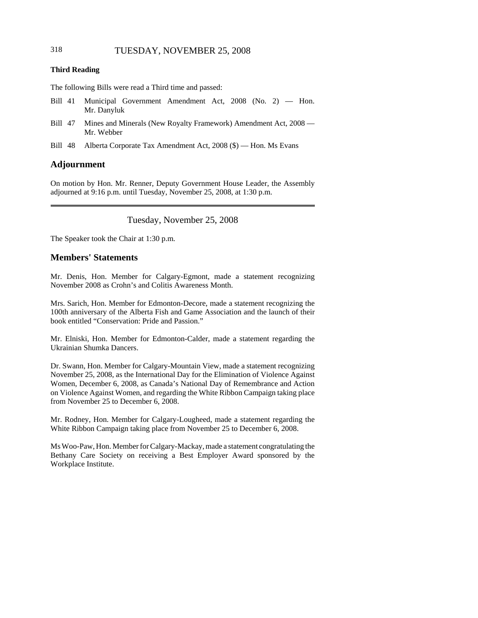## 318 TUESDAY, NOVEMBER 25, 2008

#### **Third Reading**

The following Bills were read a Third time and passed:

- Bill 41 Municipal Government Amendment Act, 2008 (No. 2) Hon. Mr. Danyluk
- Bill 47 Mines and Minerals (New Royalty Framework) Amendment Act, 2008 Mr. Webber
- Bill 48 Alberta Corporate Tax Amendment Act, 2008 (\$) Hon. Ms Evans

## **Adjournment**

On motion by Hon. Mr. Renner, Deputy Government House Leader, the Assembly adjourned at 9:16 p.m. until Tuesday, November 25, 2008, at 1:30 p.m.

Tuesday, November 25, 2008

The Speaker took the Chair at 1:30 p.m.

## **Members' Statements**

Mr. Denis, Hon. Member for Calgary-Egmont, made a statement recognizing November 2008 as Crohn's and Colitis Awareness Month.

Mrs. Sarich, Hon. Member for Edmonton-Decore, made a statement recognizing the 100th anniversary of the Alberta Fish and Game Association and the launch of their book entitled "Conservation: Pride and Passion."

Mr. Elniski, Hon. Member for Edmonton-Calder, made a statement regarding the Ukrainian Shumka Dancers.

Dr. Swann, Hon. Member for Calgary-Mountain View, made a statement recognizing November 25, 2008, as the International Day for the Elimination of Violence Against Women, December 6, 2008, as Canada's National Day of Remembrance and Action on Violence Against Women, and regarding the White Ribbon Campaign taking place from November 25 to December 6, 2008.

Mr. Rodney, Hon. Member for Calgary-Lougheed, made a statement regarding the White Ribbon Campaign taking place from November 25 to December 6, 2008.

Ms Woo-Paw, Hon. Member for Calgary-Mackay, made a statement congratulating the Bethany Care Society on receiving a Best Employer Award sponsored by the Workplace Institute.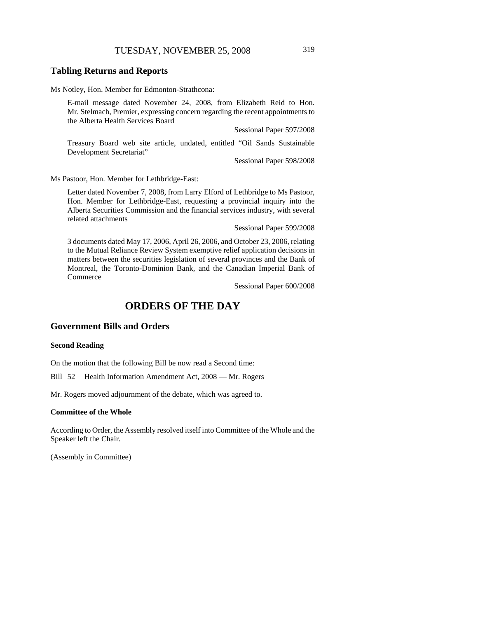## **Tabling Returns and Reports**

Ms Notley, Hon. Member for Edmonton-Strathcona:

E-mail message dated November 24, 2008, from Elizabeth Reid to Hon. Mr. Stelmach, Premier, expressing concern regarding the recent appointments to the Alberta Health Services Board

Sessional Paper 597/2008

Treasury Board web site article, undated, entitled "Oil Sands Sustainable Development Secretariat"

Sessional Paper 598/2008

Ms Pastoor, Hon. Member for Lethbridge-East:

Letter dated November 7, 2008, from Larry Elford of Lethbridge to Ms Pastoor, Hon. Member for Lethbridge-East, requesting a provincial inquiry into the Alberta Securities Commission and the financial services industry, with several related attachments

Sessional Paper 599/2008

3 documents dated May 17, 2006, April 26, 2006, and October 23, 2006, relating to the Mutual Reliance Review System exemptive relief application decisions in matters between the securities legislation of several provinces and the Bank of Montreal, the Toronto-Dominion Bank, and the Canadian Imperial Bank of Commerce

Sessional Paper 600/2008

# **ORDERS OF THE DAY**

## **Government Bills and Orders**

#### **Second Reading**

On the motion that the following Bill be now read a Second time:

Bill 52 Health Information Amendment Act, 2008 — Mr. Rogers

Mr. Rogers moved adjournment of the debate, which was agreed to.

#### **Committee of the Whole**

According to Order, the Assembly resolved itself into Committee of the Whole and the Speaker left the Chair.

(Assembly in Committee)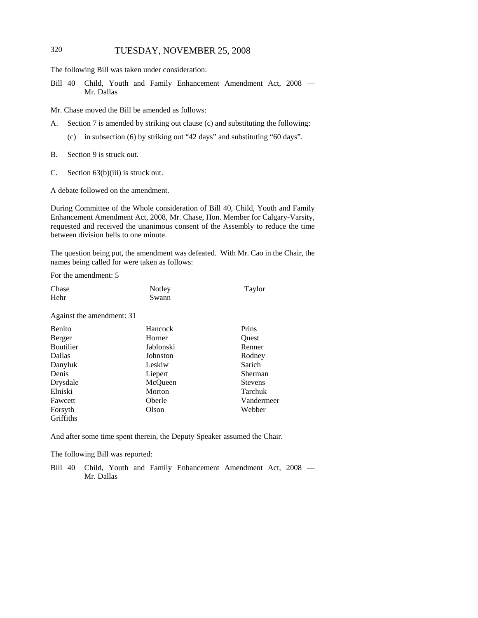## 320 TUESDAY, NOVEMBER 25, 2008

The following Bill was taken under consideration:

Bill 40 Child, Youth and Family Enhancement Amendment Act, 2008 — Mr. Dallas

Mr. Chase moved the Bill be amended as follows:

- A. Section 7 is amended by striking out clause (c) and substituting the following:
	- (c) in subsection (6) by striking out "42 days" and substituting "60 days".
- B. Section 9 is struck out.
- C. Section 63(b)(iii) is struck out.

A debate followed on the amendment.

During Committee of the Whole consideration of Bill 40, Child, Youth and Family Enhancement Amendment Act, 2008, Mr. Chase, Hon. Member for Calgary-Varsity, requested and received the unanimous consent of the Assembly to reduce the time between division bells to one minute.

The question being put, the amendment was defeated. With Mr. Cao in the Chair, the names being called for were taken as follows:

For the amendment: 5

| Chase | Notley | Taylor |
|-------|--------|--------|
| Hehr  | Swann  |        |
|       |        |        |

Against the amendment: 31

| Benito    | Hancock   | Prins          |
|-----------|-----------|----------------|
| Berger    | Horner    | Ouest          |
| Boutilier | Jablonski | Renner         |
| Dallas    | Johnston  | Rodney         |
| Danyluk   | Leskiw    | Sarich         |
| Denis     | Liepert   | Sherman        |
| Drysdale  | McQueen   | <b>Stevens</b> |
| Elniski   | Morton    | Tarchuk        |
| Fawcett   | Oberle    | Vandermeer     |
| Forsyth   | Olson     | Webber         |
| Griffiths |           |                |

And after some time spent therein, the Deputy Speaker assumed the Chair.

The following Bill was reported:

Bill 40 Child, Youth and Family Enhancement Amendment Act, 2008 — Mr. Dallas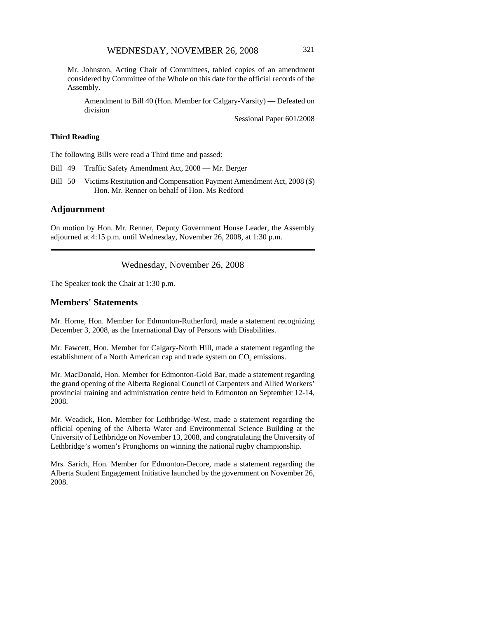Mr. Johnston, Acting Chair of Committees, tabled copies of an amendment considered by Committee of the Whole on this date for the official records of the Assembly.

Amendment to Bill 40 (Hon. Member for Calgary-Varsity) — Defeated on division

Sessional Paper 601/2008

#### **Third Reading**

The following Bills were read a Third time and passed:

Bill 49 Traffic Safety Amendment Act, 2008 — Mr. Berger

Bill 50 Victims Restitution and Compensation Payment Amendment Act, 2008 (\$) — Hon. Mr. Renner on behalf of Hon. Ms Redford

#### **Adjournment**

On motion by Hon. Mr. Renner, Deputy Government House Leader, the Assembly adjourned at 4:15 p.m. until Wednesday, November 26, 2008, at 1:30 p.m.

#### Wednesday, November 26, 2008

The Speaker took the Chair at 1:30 p.m.

#### **Members' Statements**

Mr. Horne, Hon. Member for Edmonton-Rutherford, made a statement recognizing December 3, 2008, as the International Day of Persons with Disabilities.

Mr. Fawcett, Hon. Member for Calgary-North Hill, made a statement regarding the establishment of a North American cap and trade system on  $CO<sub>2</sub>$  emissions.

Mr. MacDonald, Hon. Member for Edmonton-Gold Bar, made a statement regarding the grand opening of the Alberta Regional Council of Carpenters and Allied Workers' provincial training and administration centre held in Edmonton on September 12-14, 2008.

Mr. Weadick, Hon. Member for Lethbridge-West, made a statement regarding the official opening of the Alberta Water and Environmental Science Building at the University of Lethbridge on November 13, 2008, and congratulating the University of Lethbridge's women's Pronghorns on winning the national rugby championship.

Mrs. Sarich, Hon. Member for Edmonton-Decore, made a statement regarding the Alberta Student Engagement Initiative launched by the government on November 26, 2008.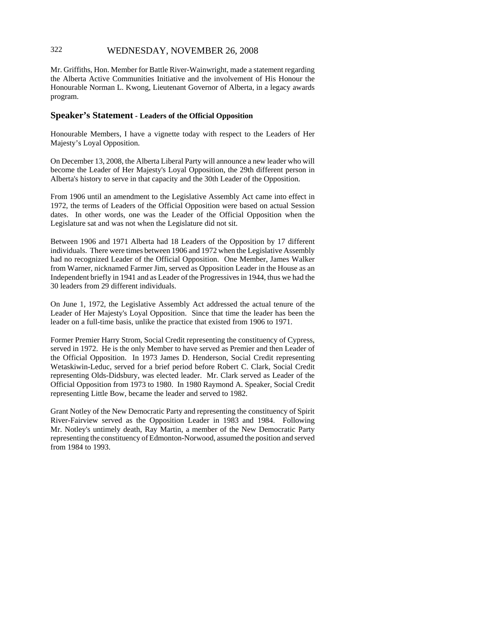## 322 WEDNESDAY, NOVEMBER 26, 2008

Mr. Griffiths, Hon. Member for Battle River-Wainwright, made a statement regarding the Alberta Active Communities Initiative and the involvement of His Honour the Honourable Norman L. Kwong, Lieutenant Governor of Alberta, in a legacy awards program.

#### **Speaker's Statement - Leaders of the Official Opposition**

Honourable Members, I have a vignette today with respect to the Leaders of Her Majesty's Loyal Opposition.

On December 13, 2008, the Alberta Liberal Party will announce a new leader who will become the Leader of Her Majesty's Loyal Opposition, the 29th different person in Alberta's history to serve in that capacity and the 30th Leader of the Opposition.

From 1906 until an amendment to the Legislative Assembly Act came into effect in 1972, the terms of Leaders of the Official Opposition were based on actual Session dates. In other words, one was the Leader of the Official Opposition when the Legislature sat and was not when the Legislature did not sit.

Between 1906 and 1971 Alberta had 18 Leaders of the Opposition by 17 different individuals. There were times between 1906 and 1972 when the Legislative Assembly had no recognized Leader of the Official Opposition. One Member, James Walker from Warner, nicknamed Farmer Jim, served as Opposition Leader in the House as an Independent briefly in 1941 and as Leader of the Progressives in 1944, thus we had the 30 leaders from 29 different individuals.

On June 1, 1972, the Legislative Assembly Act addressed the actual tenure of the Leader of Her Majesty's Loyal Opposition. Since that time the leader has been the leader on a full-time basis, unlike the practice that existed from 1906 to 1971.

Former Premier Harry Strom, Social Credit representing the constituency of Cypress, served in 1972. He is the only Member to have served as Premier and then Leader of the Official Opposition. In 1973 James D. Henderson, Social Credit representing Wetaskiwin-Leduc, served for a brief period before Robert C. Clark, Social Credit representing Olds-Didsbury, was elected leader. Mr. Clark served as Leader of the Official Opposition from 1973 to 1980. In 1980 Raymond A. Speaker, Social Credit representing Little Bow, became the leader and served to 1982.

Grant Notley of the New Democratic Party and representing the constituency of Spirit River-Fairview served as the Opposition Leader in 1983 and 1984. Following Mr. Notley's untimely death, Ray Martin, a member of the New Democratic Party representing the constituency of Edmonton-Norwood, assumed the position and served from 1984 to 1993.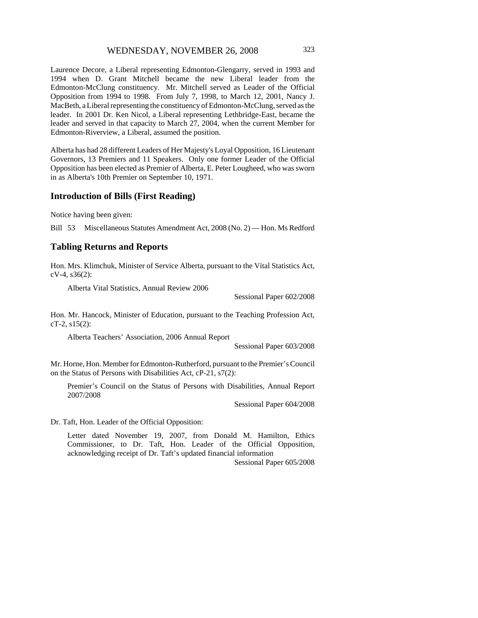Laurence Decore, a Liberal representing Edmonton-Glengarry, served in 1993 and 1994 when D. Grant Mitchell became the new Liberal leader from the Edmonton-McClung constituency. Mr. Mitchell served as Leader of the Official Opposition from 1994 to 1998. From July 7, 1998, to March 12, 2001, Nancy J. MacBeth, a Liberal representing the constituency of Edmonton-McClung, served as the leader. In 2001 Dr. Ken Nicol, a Liberal representing Lethbridge-East, became the leader and served in that capacity to March 27, 2004, when the current Member for Edmonton-Riverview, a Liberal, assumed the position.

Alberta has had 28 different Leaders of Her Majesty's Loyal Opposition, 16 Lieutenant Governors, 13 Premiers and 11 Speakers. Only one former Leader of the Official Opposition has been elected as Premier of Alberta, E. Peter Lougheed, who was sworn in as Alberta's 10th Premier on September 10, 1971.

#### **Introduction of Bills (First Reading)**

Notice having been given:

Bill 53 Miscellaneous Statutes Amendment Act, 2008 (No. 2) — Hon. Ms Redford

#### **Tabling Returns and Reports**

Hon. Mrs. Klimchuk, Minister of Service Alberta, pursuant to the Vital Statistics Act, cV-4, s36(2):

Alberta Vital Statistics, Annual Review 2006

Sessional Paper 602/2008

Hon. Mr. Hancock, Minister of Education, pursuant to the Teaching Profession Act, cT-2, s15(2):

Alberta Teachers' Association, 2006 Annual Report

Sessional Paper 603/2008

Mr. Horne, Hon. Member for Edmonton-Rutherford, pursuant to the Premier's Council on the Status of Persons with Disabilities Act, cP-21, s7(2):

Premier's Council on the Status of Persons with Disabilities, Annual Report 2007/2008

Sessional Paper 604/2008

Dr. Taft, Hon. Leader of the Official Opposition:

Letter dated November 19, 2007, from Donald M. Hamilton, Ethics Commissioner, to Dr. Taft, Hon. Leader of the Official Opposition, acknowledging receipt of Dr. Taft's updated financial information

Sessional Paper 605/2008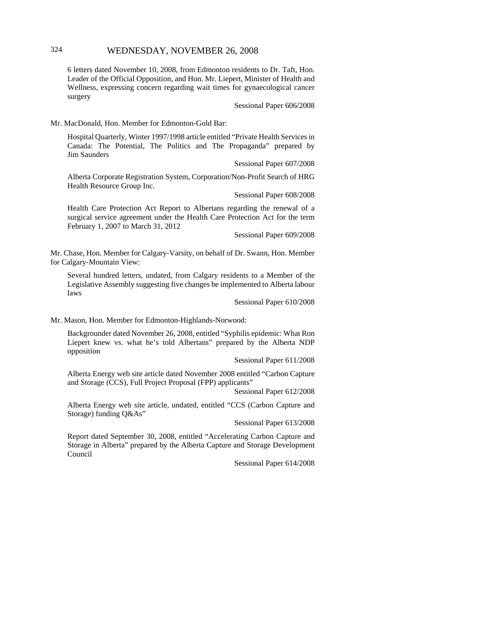### 324 WEDNESDAY, NOVEMBER 26, 2008

6 letters dated November 10, 2008, from Edmonton residents to Dr. Taft, Hon. Leader of the Official Opposition, and Hon. Mr. Liepert, Minister of Health and Wellness, expressing concern regarding wait times for gynaecological cancer surgery

Sessional Paper 606/2008

Mr. MacDonald, Hon. Member for Edmonton-Gold Bar:

Hospital Quarterly, Winter 1997/1998 article entitled "Private Health Services in Canada: The Potential, The Politics and The Propaganda" prepared by Jim Saunders

Sessional Paper 607/2008

Alberta Corporate Registration System, Corporation/Non-Profit Search of HRG Health Resource Group Inc.

Sessional Paper 608/2008

Health Care Protection Act Report to Albertans regarding the renewal of a surgical service agreement under the Health Care Protection Act for the term February 1, 2007 to March 31, 2012

Sessional Paper 609/2008

Mr. Chase, Hon. Member for Calgary-Varsity, on behalf of Dr. Swann, Hon. Member for Calgary-Mountain View:

Several hundred letters, undated, from Calgary residents to a Member of the Legislative Assembly suggesting five changes be implemented to Alberta labour laws

Sessional Paper 610/2008

Mr. Mason, Hon. Member for Edmonton-Highlands-Norwood:

Backgrounder dated November 26, 2008, entitled "Syphilis epidemic: What Ron Liepert knew vs. what he's told Albertans" prepared by the Alberta NDP opposition

Sessional Paper 611/2008

Alberta Energy web site article dated November 2008 entitled "Carbon Capture and Storage (CCS), Full Project Proposal (FPP) applicants"

Sessional Paper 612/2008

Alberta Energy web site article, undated, entitled "CCS (Carbon Capture and Storage) funding Q&As"

Sessional Paper 613/2008

Report dated September 30, 2008, entitled "Accelerating Carbon Capture and Storage in Alberta" prepared by the Alberta Capture and Storage Development Council

Sessional Paper 614/2008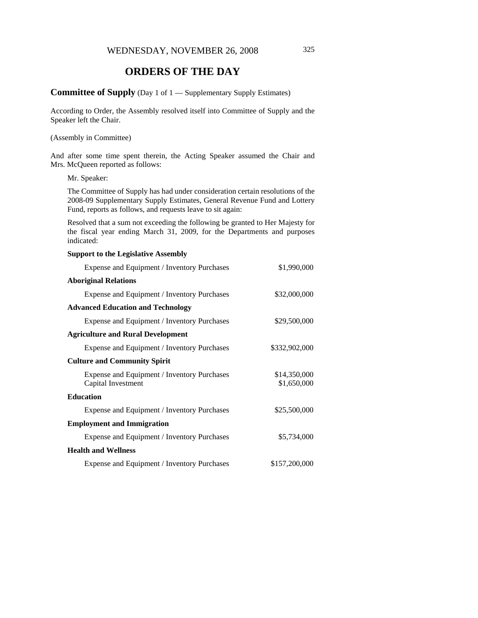## **ORDERS OF THE DAY**

### **Committee of Supply** (Day 1 of 1 — Supplementary Supply Estimates)

According to Order, the Assembly resolved itself into Committee of Supply and the Speaker left the Chair.

#### (Assembly in Committee)

And after some time spent therein, the Acting Speaker assumed the Chair and Mrs. McQueen reported as follows:

#### Mr. Speaker:

The Committee of Supply has had under consideration certain resolutions of the 2008-09 Supplementary Supply Estimates, General Revenue Fund and Lottery Fund, reports as follows, and requests leave to sit again:

Resolved that a sum not exceeding the following be granted to Her Majesty for the fiscal year ending March 31, 2009, for the Departments and purposes indicated:

| <b>Support to the Legislative Assembly</b>                        |                             |
|-------------------------------------------------------------------|-----------------------------|
| Expense and Equipment / Inventory Purchases                       | \$1,990,000                 |
| <b>Aboriginal Relations</b>                                       |                             |
| Expense and Equipment / Inventory Purchases                       | \$32,000,000                |
| <b>Advanced Education and Technology</b>                          |                             |
| Expense and Equipment / Inventory Purchases                       | \$29,500,000                |
| <b>Agriculture and Rural Development</b>                          |                             |
| Expense and Equipment / Inventory Purchases                       | \$332,902,000               |
| <b>Culture and Community Spirit</b>                               |                             |
| Expense and Equipment / Inventory Purchases<br>Capital Investment | \$14,350,000<br>\$1,650,000 |
| <b>Education</b>                                                  |                             |
| Expense and Equipment / Inventory Purchases                       | \$25,500,000                |
| <b>Employment and Immigration</b>                                 |                             |
| Expense and Equipment / Inventory Purchases                       | \$5,734,000                 |
| <b>Health and Wellness</b>                                        |                             |
| Expense and Equipment / Inventory Purchases                       | \$157,200,000               |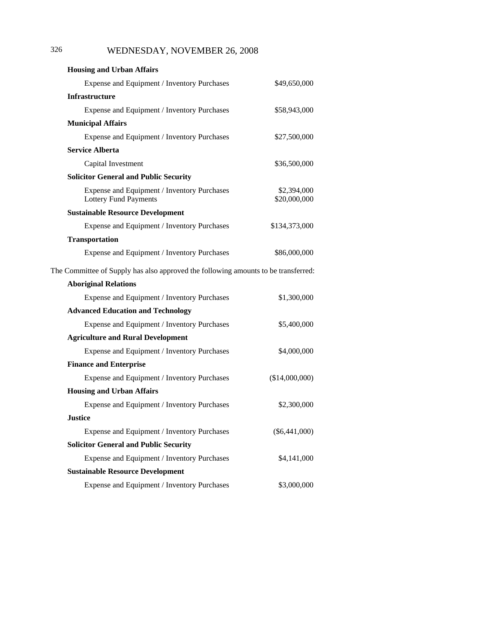## 326 WEDNESDAY, NOVEMBER 26, 2008

| <b>Housing and Urban Affairs</b>                                                   |                             |
|------------------------------------------------------------------------------------|-----------------------------|
| Expense and Equipment / Inventory Purchases                                        | \$49,650,000                |
| <b>Infrastructure</b>                                                              |                             |
| Expense and Equipment / Inventory Purchases                                        | \$58,943,000                |
| <b>Municipal Affairs</b>                                                           |                             |
| Expense and Equipment / Inventory Purchases                                        | \$27,500,000                |
| <b>Service Alberta</b>                                                             |                             |
| Capital Investment                                                                 | \$36,500,000                |
| <b>Solicitor General and Public Security</b>                                       |                             |
| Expense and Equipment / Inventory Purchases<br><b>Lottery Fund Payments</b>        | \$2,394,000<br>\$20,000,000 |
| <b>Sustainable Resource Development</b>                                            |                             |
| Expense and Equipment / Inventory Purchases                                        | \$134,373,000               |
| <b>Transportation</b>                                                              |                             |
| Expense and Equipment / Inventory Purchases                                        | \$86,000,000                |
| The Committee of Supply has also approved the following amounts to be transferred: |                             |
| <b>Aboriginal Relations</b>                                                        |                             |
| Expense and Equipment / Inventory Purchases                                        | \$1,300,000                 |
| <b>Advanced Education and Technology</b>                                           |                             |
| Expense and Equipment / Inventory Purchases                                        | \$5,400,000                 |
| <b>Agriculture and Rural Development</b>                                           |                             |
| Expense and Equipment / Inventory Purchases                                        | \$4,000,000                 |
| <b>Finance and Enterprise</b>                                                      |                             |
| Expense and Equipment / Inventory Purchases                                        | (\$14,000,000)              |
| <b>Housing and Urban Affairs</b>                                                   |                             |
| Expense and Equipment / Inventory Purchases                                        | \$2,300,000                 |
| <b>Justice</b>                                                                     |                             |
| Expense and Equipment / Inventory Purchases                                        | $(\$6,441,000)$             |
| <b>Solicitor General and Public Security</b>                                       |                             |
| Expense and Equipment / Inventory Purchases                                        | \$4,141,000                 |
| <b>Sustainable Resource Development</b>                                            |                             |
| Expense and Equipment / Inventory Purchases                                        | \$3,000,000                 |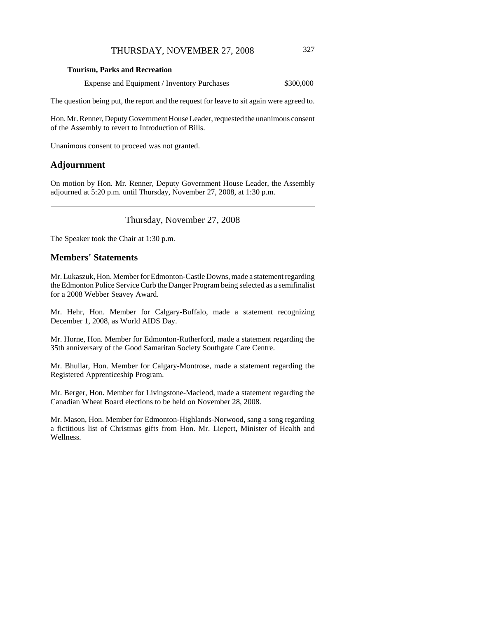#### **Tourism, Parks and Recreation**

Expense and Equipment / Inventory Purchases  $$300,000$ 

The question being put, the report and the request for leave to sit again were agreed to.

Hon. Mr. Renner, Deputy Government House Leader, requested the unanimous consent of the Assembly to revert to Introduction of Bills.

Unanimous consent to proceed was not granted.

#### **Adjournment**

On motion by Hon. Mr. Renner, Deputy Government House Leader, the Assembly adjourned at 5:20 p.m. until Thursday, November 27, 2008, at 1:30 p.m.

Thursday, November 27, 2008

The Speaker took the Chair at 1:30 p.m.

### **Members' Statements**

Mr. Lukaszuk, Hon. Member for Edmonton-Castle Downs, made a statement regarding the Edmonton Police Service Curb the Danger Program being selected as a semifinalist for a 2008 Webber Seavey Award.

Mr. Hehr, Hon. Member for Calgary-Buffalo, made a statement recognizing December 1, 2008, as World AIDS Day.

Mr. Horne, Hon. Member for Edmonton-Rutherford, made a statement regarding the 35th anniversary of the Good Samaritan Society Southgate Care Centre.

Mr. Bhullar, Hon. Member for Calgary-Montrose, made a statement regarding the Registered Apprenticeship Program.

Mr. Berger, Hon. Member for Livingstone-Macleod, made a statement regarding the Canadian Wheat Board elections to be held on November 28, 2008.

Mr. Mason, Hon. Member for Edmonton-Highlands-Norwood, sang a song regarding a fictitious list of Christmas gifts from Hon. Mr. Liepert, Minister of Health and Wellness.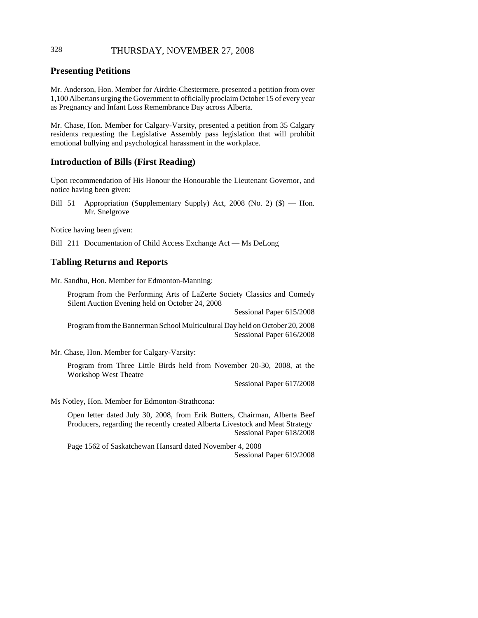### 328 THURSDAY, NOVEMBER 27, 2008

### **Presenting Petitions**

Mr. Anderson, Hon. Member for Airdrie-Chestermere, presented a petition from over 1,100 Albertans urging the Government to officially proclaim October 15 of every year as Pregnancy and Infant Loss Remembrance Day across Alberta.

Mr. Chase, Hon. Member for Calgary-Varsity, presented a petition from 35 Calgary residents requesting the Legislative Assembly pass legislation that will prohibit emotional bullying and psychological harassment in the workplace.

#### **Introduction of Bills (First Reading)**

Upon recommendation of His Honour the Honourable the Lieutenant Governor, and notice having been given:

Bill 51 Appropriation (Supplementary Supply) Act, 2008 (No. 2) (\$) — Hon. Mr. Snelgrove

Notice having been given:

Bill 211 Documentation of Child Access Exchange Act — Ms DeLong

### **Tabling Returns and Reports**

Mr. Sandhu, Hon. Member for Edmonton-Manning:

Program from the Performing Arts of LaZerte Society Classics and Comedy Silent Auction Evening held on October 24, 2008

Sessional Paper 615/2008

Program from the Bannerman School Multicultural Day held on October 20, 2008 Sessional Paper 616/2008

Mr. Chase, Hon. Member for Calgary-Varsity:

Program from Three Little Birds held from November 20-30, 2008, at the Workshop West Theatre

Sessional Paper 617/2008

Ms Notley, Hon. Member for Edmonton-Strathcona:

Open letter dated July 30, 2008, from Erik Butters, Chairman, Alberta Beef Producers, regarding the recently created Alberta Livestock and Meat Strategy Sessional Paper 618/2008

Page 1562 of Saskatchewan Hansard dated November 4, 2008 Sessional Paper 619/2008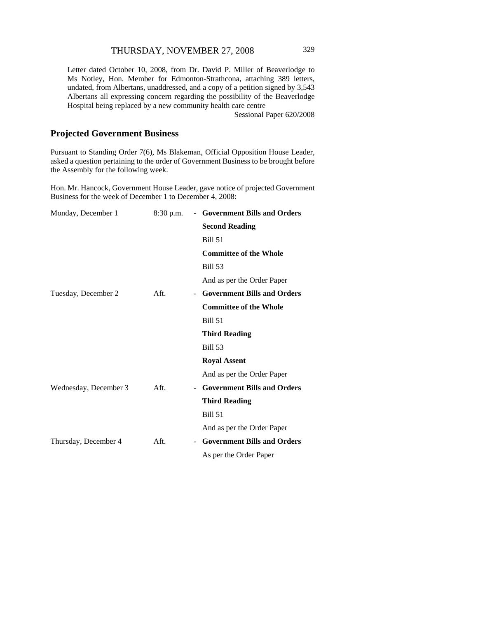Letter dated October 10, 2008, from Dr. David P. Miller of Beaverlodge to Ms Notley, Hon. Member for Edmonton-Strathcona, attaching 389 letters, undated, from Albertans, unaddressed, and a copy of a petition signed by 3,543 Albertans all expressing concern regarding the possibility of the Beaverlodge Hospital being replaced by a new community health care centre

Sessional Paper 620/2008

### **Projected Government Business**

Pursuant to Standing Order 7(6), Ms Blakeman, Official Opposition House Leader, asked a question pertaining to the order of Government Business to be brought before the Assembly for the following week.

Hon. Mr. Hancock, Government House Leader, gave notice of projected Government Business for the week of December 1 to December 4, 2008:

| Monday, December 1    | $8:30$ p.m. |        | - Government Bills and Orders      |
|-----------------------|-------------|--------|------------------------------------|
|                       |             |        | <b>Second Reading</b>              |
|                       |             |        | <b>Bill 51</b>                     |
|                       |             |        | <b>Committee of the Whole</b>      |
|                       |             |        | <b>Bill 53</b>                     |
|                       |             |        | And as per the Order Paper         |
| Tuesday, December 2   | Aft.        | $\sim$ | <b>Government Bills and Orders</b> |
|                       |             |        | <b>Committee of the Whole</b>      |
|                       |             |        | <b>Bill 51</b>                     |
|                       |             |        | <b>Third Reading</b>               |
|                       |             |        | <b>Bill 53</b>                     |
|                       |             |        | <b>Royal Assent</b>                |
|                       |             |        | And as per the Order Paper         |
| Wednesday, December 3 | Aft.        |        | <b>Government Bills and Orders</b> |
|                       |             |        | <b>Third Reading</b>               |
|                       |             |        | <b>Bill 51</b>                     |
|                       |             |        | And as per the Order Paper         |
| Thursday, December 4  | Aft.        |        | <b>Government Bills and Orders</b> |
|                       |             |        | As per the Order Paper             |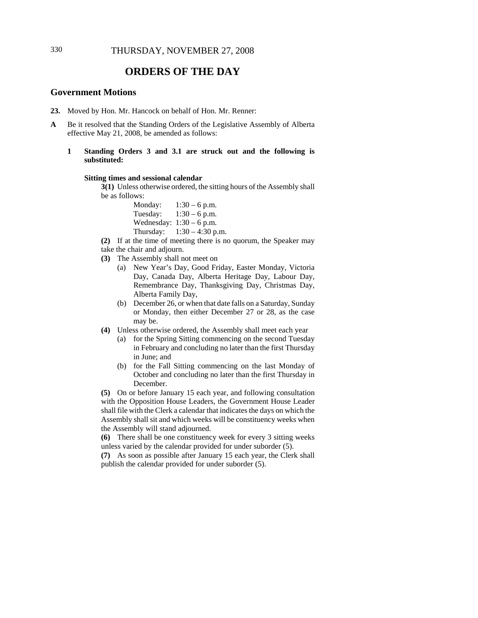### **ORDERS OF THE DAY**

### **Government Motions**

- **23.** Moved by Hon. Mr. Hancock on behalf of Hon. Mr. Renner:
- **A** Be it resolved that the Standing Orders of the Legislative Assembly of Alberta effective May 21, 2008, be amended as follows:
	- **1 Standing Orders 3 and 3.1 are struck out and the following is substituted:**

#### **Sitting times and sessional calendar**

**3(1)** Unless otherwise ordered, the sitting hours of the Assembly shall be as follows:

| Monday:   | $1:30 - 6$ p.m.            |
|-----------|----------------------------|
| Tuesday:  | $1:30 - 6$ p.m.            |
|           | Wednesday: $1:30 - 6$ p.m. |
| Thursday: | $1:30 - 4:30$ p.m.         |

**(2)** If at the time of meeting there is no quorum, the Speaker may take the chair and adjourn.

- **(3)** The Assembly shall not meet on
	- (a) New Year's Day, Good Friday, Easter Monday, Victoria Day, Canada Day, Alberta Heritage Day, Labour Day, Remembrance Day, Thanksgiving Day, Christmas Day, Alberta Family Day,
	- (b) December 26, or when that date falls on a Saturday, Sunday or Monday, then either December 27 or 28, as the case may be.
- **(4)** Unless otherwise ordered, the Assembly shall meet each year
	- (a) for the Spring Sitting commencing on the second Tuesday in February and concluding no later than the first Thursday in June; and
	- (b) for the Fall Sitting commencing on the last Monday of October and concluding no later than the first Thursday in December.

**(5)** On or before January 15 each year, and following consultation with the Opposition House Leaders, the Government House Leader shall file with the Clerk a calendar that indicates the days on which the Assembly shall sit and which weeks will be constituency weeks when the Assembly will stand adjourned.

**(6)** There shall be one constituency week for every 3 sitting weeks unless varied by the calendar provided for under suborder (5).

**(7)** As soon as possible after January 15 each year, the Clerk shall publish the calendar provided for under suborder (5).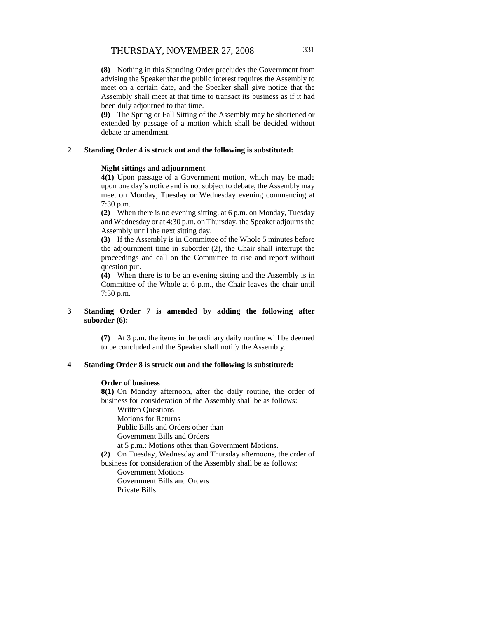**(8)** Nothing in this Standing Order precludes the Government from advising the Speaker that the public interest requires the Assembly to meet on a certain date, and the Speaker shall give notice that the Assembly shall meet at that time to transact its business as if it had been duly adjourned to that time.

**(9)** The Spring or Fall Sitting of the Assembly may be shortened or extended by passage of a motion which shall be decided without debate or amendment.

#### **2 Standing Order 4 is struck out and the following is substituted:**

#### **Night sittings and adjournment**

**4(1)** Upon passage of a Government motion, which may be made upon one day's notice and is not subject to debate, the Assembly may meet on Monday, Tuesday or Wednesday evening commencing at 7:30 p.m.

**(2)** When there is no evening sitting, at 6 p.m. on Monday, Tuesday and Wednesday or at 4:30 p.m. on Thursday, the Speaker adjourns the Assembly until the next sitting day.

**(3)** If the Assembly is in Committee of the Whole 5 minutes before the adjournment time in suborder (2), the Chair shall interrupt the proceedings and call on the Committee to rise and report without question put.

**(4)** When there is to be an evening sitting and the Assembly is in Committee of the Whole at 6 p.m., the Chair leaves the chair until 7:30 p.m.

#### **3 Standing Order 7 is amended by adding the following after suborder (6):**

**(7)** At 3 p.m. the items in the ordinary daily routine will be deemed to be concluded and the Speaker shall notify the Assembly.

#### **4 Standing Order 8 is struck out and the following is substituted:**

#### **Order of business**

**8(1)** On Monday afternoon, after the daily routine, the order of business for consideration of the Assembly shall be as follows:

Written Questions

Motions for Returns

Public Bills and Orders other than

Government Bills and Orders

at 5 p.m.: Motions other than Government Motions.

**(2)** On Tuesday, Wednesday and Thursday afternoons, the order of

business for consideration of the Assembly shall be as follows:

Government Motions

Government Bills and Orders

Private Bills.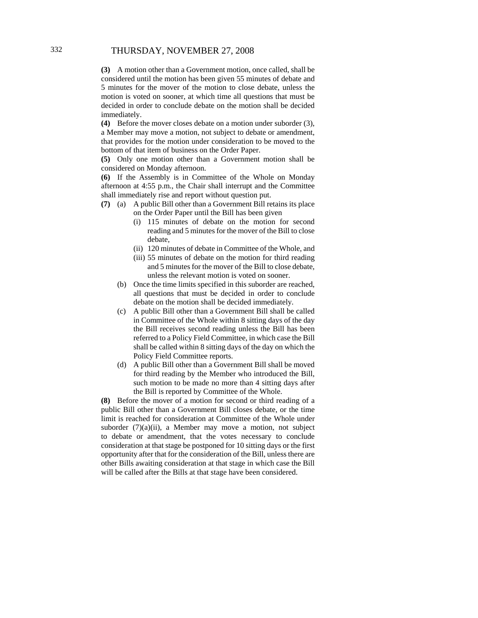**(3)** A motion other than a Government motion, once called, shall be considered until the motion has been given 55 minutes of debate and 5 minutes for the mover of the motion to close debate, unless the motion is voted on sooner, at which time all questions that must be decided in order to conclude debate on the motion shall be decided immediately.

**(4)** Before the mover closes debate on a motion under suborder (3), a Member may move a motion, not subject to debate or amendment, that provides for the motion under consideration to be moved to the bottom of that item of business on the Order Paper.

**(5)** Only one motion other than a Government motion shall be considered on Monday afternoon.

**(6)** If the Assembly is in Committee of the Whole on Monday afternoon at 4:55 p.m., the Chair shall interrupt and the Committee shall immediately rise and report without question put.

- **(7)** (a) A public Bill other than a Government Bill retains its place on the Order Paper until the Bill has been given
	- (i) 115 minutes of debate on the motion for second reading and 5 minutes for the mover of the Bill to close debate,
	- (ii) 120 minutes of debate in Committee of the Whole, and
	- (iii) 55 minutes of debate on the motion for third reading and 5 minutes for the mover of the Bill to close debate, unless the relevant motion is voted on sooner.
	- (b) Once the time limits specified in this suborder are reached, all questions that must be decided in order to conclude debate on the motion shall be decided immediately.
	- (c) A public Bill other than a Government Bill shall be called in Committee of the Whole within 8 sitting days of the day the Bill receives second reading unless the Bill has been referred to a Policy Field Committee, in which case the Bill shall be called within 8 sitting days of the day on which the Policy Field Committee reports.
	- (d) A public Bill other than a Government Bill shall be moved for third reading by the Member who introduced the Bill, such motion to be made no more than 4 sitting days after the Bill is reported by Committee of the Whole.

**(8)** Before the mover of a motion for second or third reading of a public Bill other than a Government Bill closes debate, or the time limit is reached for consideration at Committee of the Whole under suborder (7)(a)(ii), a Member may move a motion, not subject to debate or amendment, that the votes necessary to conclude consideration at that stage be postponed for 10 sitting days or the first opportunity after that for the consideration of the Bill, unless there are other Bills awaiting consideration at that stage in which case the Bill will be called after the Bills at that stage have been considered.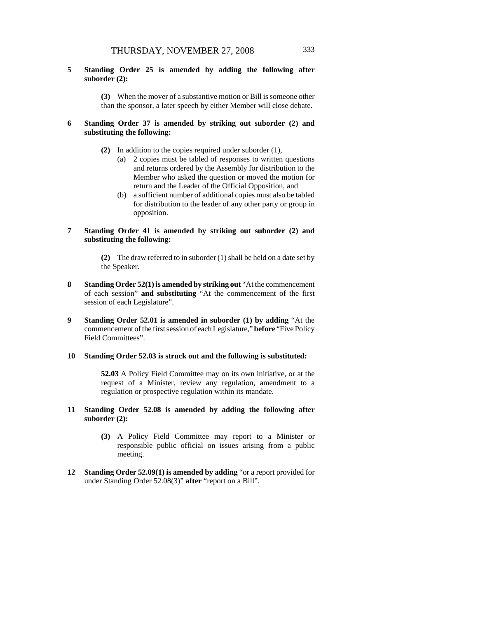**5 Standing Order 25 is amended by adding the following after suborder (2):**

> **(3)** When the mover of a substantive motion or Bill is someone other than the sponsor, a later speech by either Member will close debate.

#### **6 Standing Order 37 is amended by striking out suborder (2) and substituting the following:**

- **(2)** In addition to the copies required under suborder (1),
	- (a) 2 copies must be tabled of responses to written questions and returns ordered by the Assembly for distribution to the Member who asked the question or moved the motion for return and the Leader of the Official Opposition, and
	- (b) a sufficient number of additional copies must also be tabled for distribution to the leader of any other party or group in opposition.
- **7 Standing Order 41 is amended by striking out suborder (2) and substituting the following:**

**(2)** The draw referred to in suborder (1) shall be held on a date set by the Speaker.

- **8 Standing Order 52(1) is amended by striking out** "At the commencement of each session" **and substituting** "At the commencement of the first session of each Legislature".
- **9 Standing Order 52.01 is amended in suborder (1) by adding** "At the commencement of the first session of each Legislature," **before** "Five Policy Field Committees".

#### **10 Standing Order 52.03 is struck out and the following is substituted:**

**52.03** A Policy Field Committee may on its own initiative, or at the request of a Minister, review any regulation, amendment to a regulation or prospective regulation within its mandate.

- **11 Standing Order 52.08 is amended by adding the following after suborder (2):**
	- **(3)** A Policy Field Committee may report to a Minister or responsible public official on issues arising from a public meeting.
- **12 Standing Order 52.09(1) is amended by adding** "or a report provided for under Standing Order 52.08(3)" **after** "report on a Bill".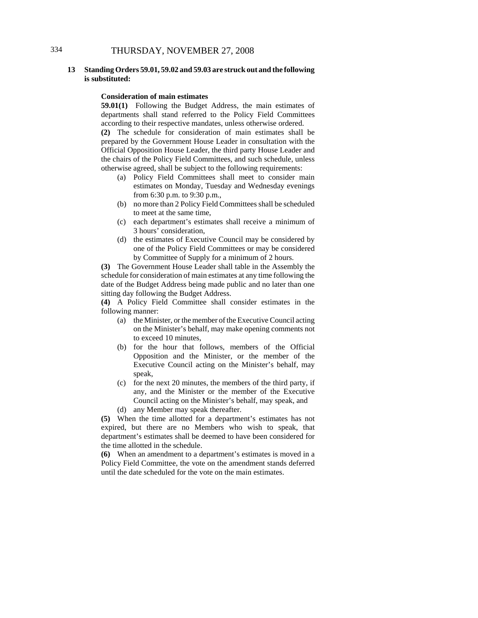### 334 THURSDAY, NOVEMBER 27, 2008

#### **13 Standing Orders 59.01, 59.02 and 59.03 are struck out and the following is substituted:**

#### **Consideration of main estimates**

**59.01(1)** Following the Budget Address, the main estimates of departments shall stand referred to the Policy Field Committees according to their respective mandates, unless otherwise ordered.

**(2)** The schedule for consideration of main estimates shall be prepared by the Government House Leader in consultation with the Official Opposition House Leader, the third party House Leader and the chairs of the Policy Field Committees, and such schedule, unless otherwise agreed, shall be subject to the following requirements:

- (a) Policy Field Committees shall meet to consider main estimates on Monday, Tuesday and Wednesday evenings from 6:30 p.m. to 9:30 p.m.,
- (b) no more than 2 Policy Field Committees shall be scheduled to meet at the same time,
- (c) each department's estimates shall receive a minimum of 3 hours' consideration,
- (d) the estimates of Executive Council may be considered by one of the Policy Field Committees or may be considered by Committee of Supply for a minimum of 2 hours.

**(3)** The Government House Leader shall table in the Assembly the schedule for consideration of main estimates at any time following the date of the Budget Address being made public and no later than one sitting day following the Budget Address.

**(4)** A Policy Field Committee shall consider estimates in the following manner:

- (a) the Minister, or the member of the Executive Council acting on the Minister's behalf, may make opening comments not to exceed 10 minutes,
- (b) for the hour that follows, members of the Official Opposition and the Minister, or the member of the Executive Council acting on the Minister's behalf, may speak,
- (c) for the next 20 minutes, the members of the third party, if any, and the Minister or the member of the Executive Council acting on the Minister's behalf, may speak, and
- (d) any Member may speak thereafter.

**(5)** When the time allotted for a department's estimates has not expired, but there are no Members who wish to speak, that department's estimates shall be deemed to have been considered for the time allotted in the schedule.

**(6)** When an amendment to a department's estimates is moved in a Policy Field Committee, the vote on the amendment stands deferred until the date scheduled for the vote on the main estimates.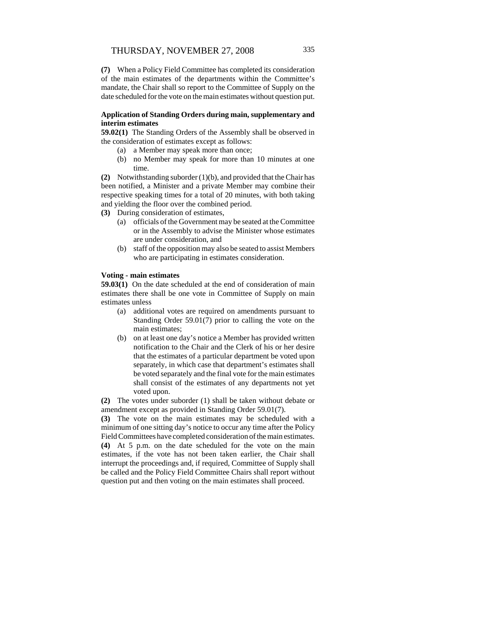**(7)** When a Policy Field Committee has completed its consideration of the main estimates of the departments within the Committee's mandate, the Chair shall so report to the Committee of Supply on the date scheduled for the vote on the main estimates without question put.

#### **Application of Standing Orders during main, supplementary and interim estimates**

**59.02(1)** The Standing Orders of the Assembly shall be observed in the consideration of estimates except as follows:

- (a) a Member may speak more than once;
	- (b) no Member may speak for more than 10 minutes at one time.

**(2)** Notwithstanding suborder (1)(b), and provided that the Chair has been notified, a Minister and a private Member may combine their respective speaking times for a total of 20 minutes, with both taking and yielding the floor over the combined period.

**(3)** During consideration of estimates,

- (a) officials of the Government may be seated at the Committee or in the Assembly to advise the Minister whose estimates are under consideration, and
- (b) staff of the opposition may also be seated to assist Members who are participating in estimates consideration.

#### **Voting - main estimates**

**59.03(1)** On the date scheduled at the end of consideration of main estimates there shall be one vote in Committee of Supply on main estimates unless

- (a) additional votes are required on amendments pursuant to Standing Order 59.01(7) prior to calling the vote on the main estimates;
- (b) on at least one day's notice a Member has provided written notification to the Chair and the Clerk of his or her desire that the estimates of a particular department be voted upon separately, in which case that department's estimates shall be voted separately and the final vote for the main estimates shall consist of the estimates of any departments not yet voted upon.

**(2)** The votes under suborder (1) shall be taken without debate or amendment except as provided in Standing Order 59.01(7).

**(3)** The vote on the main estimates may be scheduled with a minimum of one sitting day's notice to occur any time after the Policy Field Committees have completed consideration of the main estimates. **(4)** At 5 p.m. on the date scheduled for the vote on the main estimates, if the vote has not been taken earlier, the Chair shall interrupt the proceedings and, if required, Committee of Supply shall be called and the Policy Field Committee Chairs shall report without question put and then voting on the main estimates shall proceed.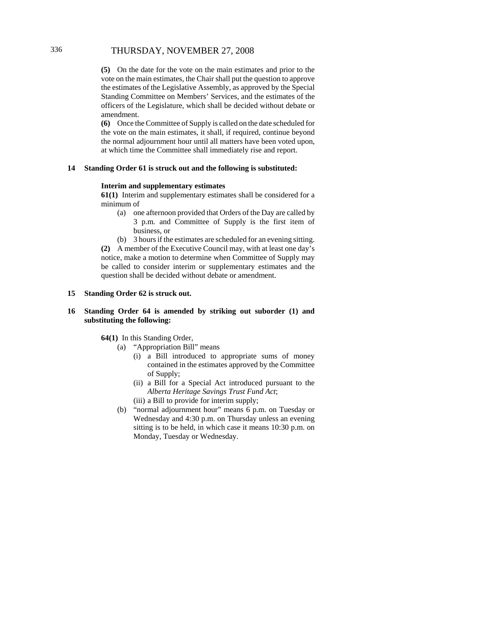### 336 THURSDAY, NOVEMBER 27, 2008

**(5)** On the date for the vote on the main estimates and prior to the vote on the main estimates, the Chair shall put the question to approve the estimates of the Legislative Assembly, as approved by the Special Standing Committee on Members' Services, and the estimates of the officers of the Legislature, which shall be decided without debate or amendment.

**(6)** Once the Committee of Supply is called on the date scheduled for the vote on the main estimates, it shall, if required, continue beyond the normal adjournment hour until all matters have been voted upon, at which time the Committee shall immediately rise and report.

#### **14 Standing Order 61 is struck out and the following is substituted:**

#### **Interim and supplementary estimates**

**61(1)** Interim and supplementary estimates shall be considered for a minimum of

- (a) one afternoon provided that Orders of the Day are called by 3 p.m. and Committee of Supply is the first item of business, or
- (b) 3 hours if the estimates are scheduled for an evening sitting.

**(2)** A member of the Executive Council may, with at least one day's notice, make a motion to determine when Committee of Supply may be called to consider interim or supplementary estimates and the question shall be decided without debate or amendment.

#### **15 Standing Order 62 is struck out.**

#### **16 Standing Order 64 is amended by striking out suborder (1) and substituting the following:**

#### **64(1)** In this Standing Order,

- (a) "Appropriation Bill" means
	- (i) a Bill introduced to appropriate sums of money contained in the estimates approved by the Committee of Supply;
	- (ii) a Bill for a Special Act introduced pursuant to the *Alberta Heritage Savings Trust Fund Act*;
	- (iii) a Bill to provide for interim supply;
- (b) "normal adjournment hour" means 6 p.m. on Tuesday or Wednesday and 4:30 p.m. on Thursday unless an evening sitting is to be held, in which case it means 10:30 p.m. on Monday, Tuesday or Wednesday.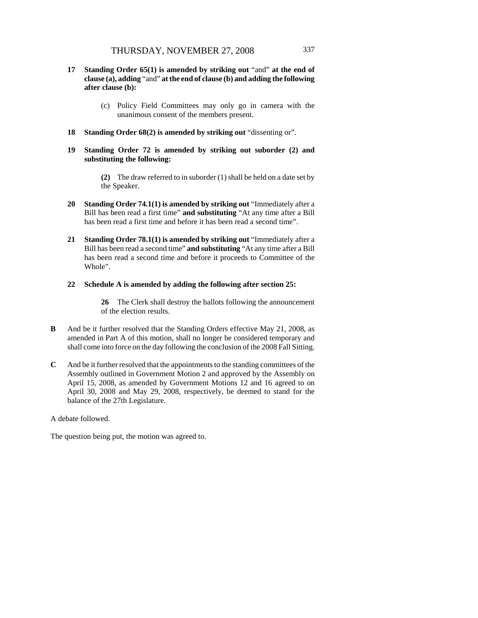- **17 Standing Order 65(1) is amended by striking out** "and" **at the end of clause (a), adding** "and" **at the end of clause (b) and adding the following after clause (b):**
	- (c) Policy Field Committees may only go in camera with the unanimous consent of the members present.
- **18 Standing Order 68(2) is amended by striking out** "dissenting or".
- **19 Standing Order 72 is amended by striking out suborder (2) and substituting the following:**

**(2)** The draw referred to in suborder (1) shall be held on a date set by the Speaker.

- **20 Standing Order 74.1(1) is amended by striking out** "Immediately after a Bill has been read a first time" **and substituting** "At any time after a Bill has been read a first time and before it has been read a second time".
- **21 Standing Order 78.1(1) is amended by striking out** "Immediately after a Bill has been read a second time" **and substituting** "At any time after a Bill has been read a second time and before it proceeds to Committee of the Whole".

#### **22 Schedule A is amended by adding the following after section 25:**

**26** The Clerk shall destroy the ballots following the announcement of the election results.

- **B** And be it further resolved that the Standing Orders effective May 21, 2008, as amended in Part A of this motion, shall no longer be considered temporary and shall come into force on the day following the conclusion of the 2008 Fall Sitting.
- **C** And be it further resolved that the appointments to the standing committees of the Assembly outlined in Government Motion 2 and approved by the Assembly on April 15, 2008, as amended by Government Motions 12 and 16 agreed to on April 30, 2008 and May 29, 2008, respectively, be deemed to stand for the balance of the 27th Legislature.

A debate followed.

The question being put, the motion was agreed to.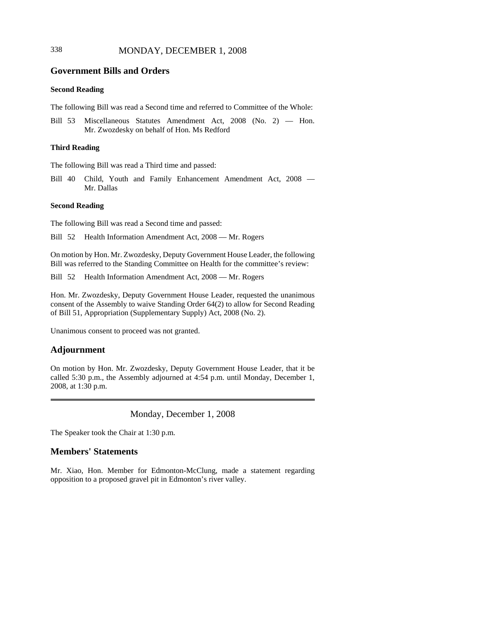### 338 MONDAY, DECEMBER 1, 2008

### **Government Bills and Orders**

#### **Second Reading**

The following Bill was read a Second time and referred to Committee of the Whole:

Bill 53 Miscellaneous Statutes Amendment Act, 2008 (No. 2) — Hon. Mr. Zwozdesky on behalf of Hon. Ms Redford

#### **Third Reading**

The following Bill was read a Third time and passed:

Bill 40 Child, Youth and Family Enhancement Amendment Act, 2008 — Mr. Dallas

#### **Second Reading**

The following Bill was read a Second time and passed:

Bill 52 Health Information Amendment Act, 2008 — Mr. Rogers

On motion by Hon. Mr. Zwozdesky, Deputy Government House Leader, the following Bill was referred to the Standing Committee on Health for the committee's review:

Bill 52 Health Information Amendment Act, 2008 — Mr. Rogers

Hon. Mr. Zwozdesky, Deputy Government House Leader, requested the unanimous consent of the Assembly to waive Standing Order 64(2) to allow for Second Reading of Bill 51, Appropriation (Supplementary Supply) Act, 2008 (No. 2).

Unanimous consent to proceed was not granted.

#### **Adjournment**

On motion by Hon. Mr. Zwozdesky, Deputy Government House Leader, that it be called 5:30 p.m., the Assembly adjourned at 4:54 p.m. until Monday, December 1, 2008, at 1:30 p.m.

Monday, December 1, 2008

The Speaker took the Chair at 1:30 p.m.

### **Members' Statements**

Mr. Xiao, Hon. Member for Edmonton-McClung, made a statement regarding opposition to a proposed gravel pit in Edmonton's river valley.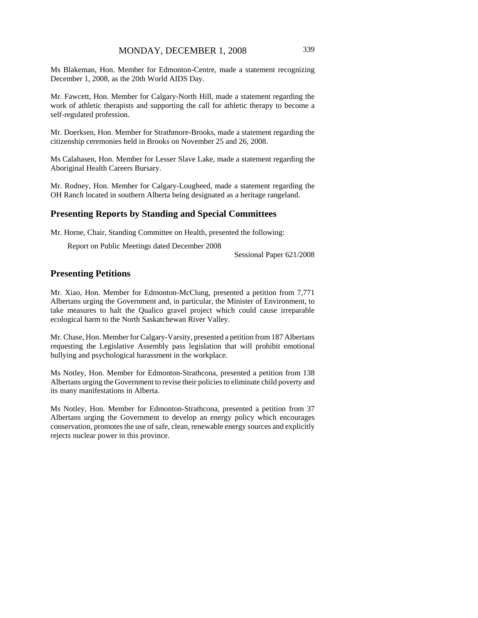Ms Blakeman, Hon. Member for Edmonton-Centre, made a statement recognizing December 1, 2008, as the 20th World AIDS Day.

Mr. Fawcett, Hon. Member for Calgary-North Hill, made a statement regarding the work of athletic therapists and supporting the call for athletic therapy to become a self-regulated profession.

Mr. Doerksen, Hon. Member for Strathmore-Brooks, made a statement regarding the citizenship ceremonies held in Brooks on November 25 and 26, 2008.

Ms Calahasen, Hon. Member for Lesser Slave Lake, made a statement regarding the Aboriginal Health Careers Bursary.

Mr. Rodney, Hon. Member for Calgary-Lougheed, made a statement regarding the OH Ranch located in southern Alberta being designated as a heritage rangeland.

### **Presenting Reports by Standing and Special Committees**

Mr. Horne, Chair, Standing Committee on Health, presented the following:

Report on Public Meetings dated December 2008

Sessional Paper 621/2008

### **Presenting Petitions**

Mr. Xiao, Hon. Member for Edmonton-McClung, presented a petition from 7,771 Albertans urging the Government and, in particular, the Minister of Environment, to take measures to halt the Qualico gravel project which could cause irreparable ecological harm to the North Saskatchewan River Valley.

Mr. Chase, Hon. Member for Calgary-Varsity, presented a petition from 187 Albertans requesting the Legislative Assembly pass legislation that will prohibit emotional bullying and psychological harassment in the workplace.

Ms Notley, Hon. Member for Edmonton-Strathcona, presented a petition from 138 Albertans urging the Government to revise their policies to eliminate child poverty and its many manifestations in Alberta.

Ms Notley, Hon. Member for Edmonton-Strathcona, presented a petition from 37 Albertans urging the Government to develop an energy policy which encourages conservation, promotes the use of safe, clean, renewable energy sources and explicitly rejects nuclear power in this province.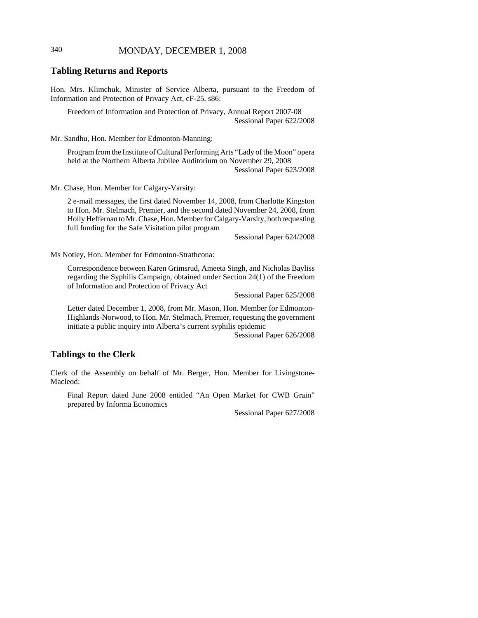### 340 MONDAY, DECEMBER 1, 2008

#### **Tabling Returns and Reports**

Hon. Mrs. Klimchuk, Minister of Service Alberta, pursuant to the Freedom of Information and Protection of Privacy Act, cF-25, s86:

Freedom of Information and Protection of Privacy, Annual Report 2007-08 Sessional Paper 622/2008

Mr. Sandhu, Hon. Member for Edmonton-Manning:

Program from the Institute of Cultural Performing Arts "Lady of the Moon" opera held at the Northern Alberta Jubilee Auditorium on November 29, 2008 Sessional Paper 623/2008

Mr. Chase, Hon. Member for Calgary-Varsity:

2 e-mail messages, the first dated November 14, 2008, from Charlotte Kingston to Hon. Mr. Stelmach, Premier, and the second dated November 24, 2008, from Holly Heffernan to Mr. Chase, Hon. Member for Calgary-Varsity, both requesting full funding for the Safe Visitation pilot program

Sessional Paper 624/2008

Ms Notley, Hon. Member for Edmonton-Strathcona:

Correspondence between Karen Grimsrud, Ameeta Singh, and Nicholas Bayliss regarding the Syphilis Campaign, obtained under Section 24(1) of the Freedom of Information and Protection of Privacy Act

Sessional Paper 625/2008

Letter dated December 1, 2008, from Mr. Mason, Hon. Member for Edmonton-Highlands-Norwood, to Hon. Mr. Stelmach, Premier, requesting the government initiate a public inquiry into Alberta's current syphilis epidemic

Sessional Paper 626/2008

#### **Tablings to the Clerk**

Clerk of the Assembly on behalf of Mr. Berger, Hon. Member for Livingstone-Macleod:

Final Report dated June 2008 entitled "An Open Market for CWB Grain" prepared by Informa Economics

Sessional Paper 627/2008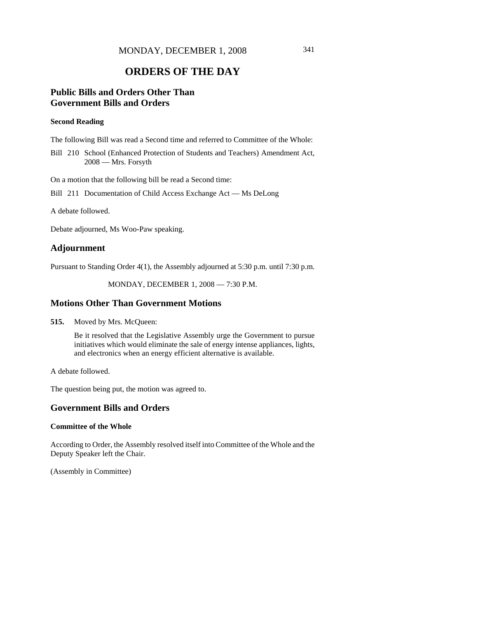### **ORDERS OF THE DAY**

### **Public Bills and Orders Other Than Government Bills and Orders**

#### **Second Reading**

The following Bill was read a Second time and referred to Committee of the Whole:

Bill 210 School (Enhanced Protection of Students and Teachers) Amendment Act, 2008 — Mrs. Forsyth

On a motion that the following bill be read a Second time:

Bill 211 Documentation of Child Access Exchange Act — Ms DeLong

A debate followed.

Debate adjourned, Ms Woo-Paw speaking.

### **Adjournment**

Pursuant to Standing Order 4(1), the Assembly adjourned at 5:30 p.m. until 7:30 p.m.

MONDAY, DECEMBER 1, 2008 — 7:30 P.M.

#### **Motions Other Than Government Motions**

**515.** Moved by Mrs. McQueen:

Be it resolved that the Legislative Assembly urge the Government to pursue initiatives which would eliminate the sale of energy intense appliances, lights, and electronics when an energy efficient alternative is available.

A debate followed.

The question being put, the motion was agreed to.

### **Government Bills and Orders**

#### **Committee of the Whole**

According to Order, the Assembly resolved itself into Committee of the Whole and the Deputy Speaker left the Chair.

(Assembly in Committee)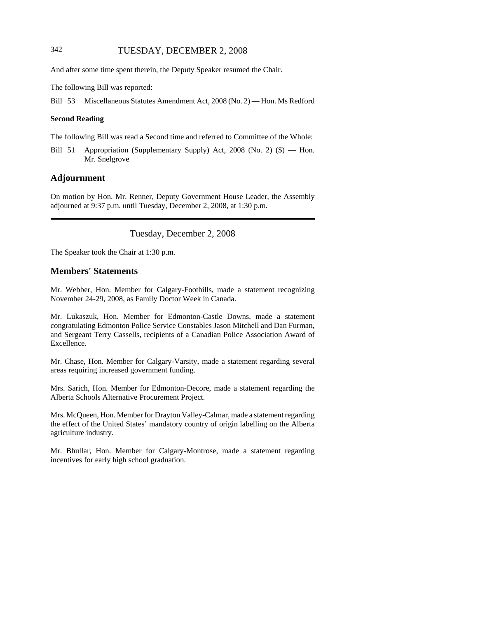### 342 TUESDAY, DECEMBER 2, 2008

And after some time spent therein, the Deputy Speaker resumed the Chair.

The following Bill was reported:

Bill 53 Miscellaneous Statutes Amendment Act, 2008 (No. 2) — Hon. Ms Redford

#### **Second Reading**

The following Bill was read a Second time and referred to Committee of the Whole:

Bill 51 Appropriation (Supplementary Supply) Act, 2008 (No. 2) (\$) — Hon. Mr. Snelgrove

### **Adjournment**

On motion by Hon. Mr. Renner, Deputy Government House Leader, the Assembly adjourned at 9:37 p.m. until Tuesday, December 2, 2008, at 1:30 p.m.

Tuesday, December 2, 2008

The Speaker took the Chair at 1:30 p.m.

### **Members' Statements**

Mr. Webber, Hon. Member for Calgary-Foothills, made a statement recognizing November 24-29, 2008, as Family Doctor Week in Canada.

Mr. Lukaszuk, Hon. Member for Edmonton-Castle Downs, made a statement congratulating Edmonton Police Service Constables Jason Mitchell and Dan Furman, and Sergeant Terry Cassells, recipients of a Canadian Police Association Award of Excellence.

Mr. Chase, Hon. Member for Calgary-Varsity, made a statement regarding several areas requiring increased government funding.

Mrs. Sarich, Hon. Member for Edmonton-Decore, made a statement regarding the Alberta Schools Alternative Procurement Project.

Mrs. McQueen, Hon. Member for Drayton Valley-Calmar, made a statement regarding the effect of the United States' mandatory country of origin labelling on the Alberta agriculture industry.

Mr. Bhullar, Hon. Member for Calgary-Montrose, made a statement regarding incentives for early high school graduation.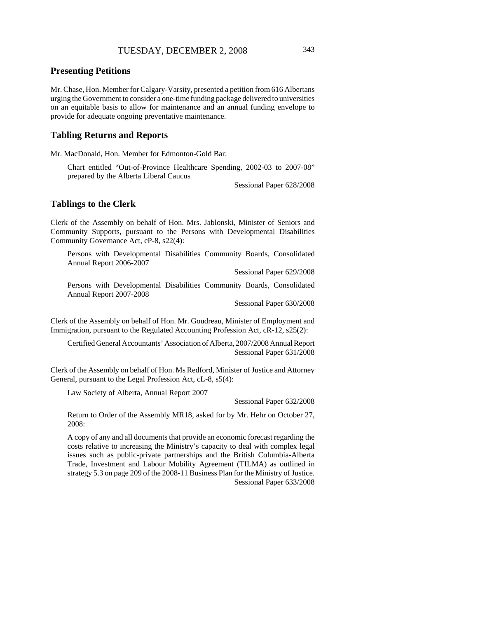### **Presenting Petitions**

Mr. Chase, Hon. Member for Calgary-Varsity, presented a petition from 616 Albertans urging the Government to consider a one-time funding package delivered to universities on an equitable basis to allow for maintenance and an annual funding envelope to provide for adequate ongoing preventative maintenance.

#### **Tabling Returns and Reports**

Mr. MacDonald, Hon. Member for Edmonton-Gold Bar:

Chart entitled "Out-of-Province Healthcare Spending, 2002-03 to 2007-08" prepared by the Alberta Liberal Caucus

Sessional Paper 628/2008

#### **Tablings to the Clerk**

Clerk of the Assembly on behalf of Hon. Mrs. Jablonski, Minister of Seniors and Community Supports, pursuant to the Persons with Developmental Disabilities Community Governance Act, cP-8, s22(4):

Persons with Developmental Disabilities Community Boards, Consolidated Annual Report 2006-2007

Sessional Paper 629/2008

Persons with Developmental Disabilities Community Boards, Consolidated Annual Report 2007-2008

Sessional Paper 630/2008

Clerk of the Assembly on behalf of Hon. Mr. Goudreau, Minister of Employment and Immigration, pursuant to the Regulated Accounting Profession Act, cR-12, s25(2):

Certified General Accountants' Association of Alberta, 2007/2008 Annual Report Sessional Paper 631/2008

Clerk of the Assembly on behalf of Hon. Ms Redford, Minister of Justice and Attorney General, pursuant to the Legal Profession Act, cL-8, s5(4):

Law Society of Alberta, Annual Report 2007

Sessional Paper 632/2008

Return to Order of the Assembly MR18, asked for by Mr. Hehr on October 27, 2008:

A copy of any and all documents that provide an economic forecast regarding the costs relative to increasing the Ministry's capacity to deal with complex legal issues such as public-private partnerships and the British Columbia-Alberta Trade, Investment and Labour Mobility Agreement (TILMA) as outlined in strategy 5.3 on page 209 of the 2008-11 Business Plan for the Ministry of Justice. Sessional Paper 633/2008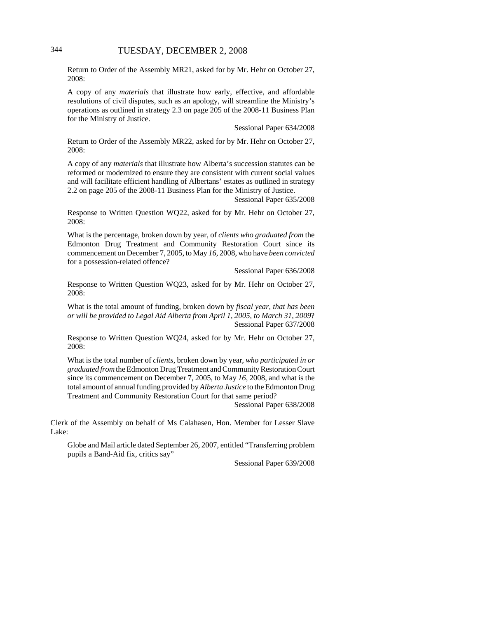Return to Order of the Assembly MR21, asked for by Mr. Hehr on October 27, 2008:

A copy of any *materials* that illustrate how early, effective, and affordable resolutions of civil disputes, such as an apology, will streamline the Ministry's operations as outlined in strategy 2.3 on page 205 of the 2008-11 Business Plan for the Ministry of Justice.

Sessional Paper 634/2008

Return to Order of the Assembly MR22, asked for by Mr. Hehr on October 27, 2008:

A copy of any *materials* that illustrate how Alberta's succession statutes can be reformed or modernized to ensure they are consistent with current social values and will facilitate efficient handling of Albertans' estates as outlined in strategy 2.2 on page 205 of the 2008-11 Business Plan for the Ministry of Justice.

Sessional Paper 635/2008

Response to Written Question WQ22, asked for by Mr. Hehr on October 27, 2008:

What is the percentage, broken down by year, of *clients who graduated from* the Edmonton Drug Treatment and Community Restoration Court since its commencement on December 7, 2005, to May *16*, 2008, who have *been convicted* for a possession-related offence?

Sessional Paper 636/2008

Response to Written Question WQ23, asked for by Mr. Hehr on October 27, 2008:

What is the total amount of funding, broken down by *fiscal year, that has been or will be provided to Legal Aid Alberta from April 1, 2005, to March 31, 2009*? Sessional Paper 637/2008

Response to Written Question WQ24, asked for by Mr. Hehr on October 27, 2008:

What is the total number of *clients*, broken down by year, *who participated in or graduated from* the Edmonton Drug Treatment and Community Restoration Court since its commencement on December 7, 2005, to May *16*, 2008, and what is the total amount of annual funding provided by *Alberta Justice* to the Edmonton Drug Treatment and Community Restoration Court for that same period?

Sessional Paper 638/2008

Clerk of the Assembly on behalf of Ms Calahasen, Hon. Member for Lesser Slave Lake:

Globe and Mail article dated September 26, 2007, entitled "Transferring problem pupils a Band-Aid fix, critics say"

Sessional Paper 639/2008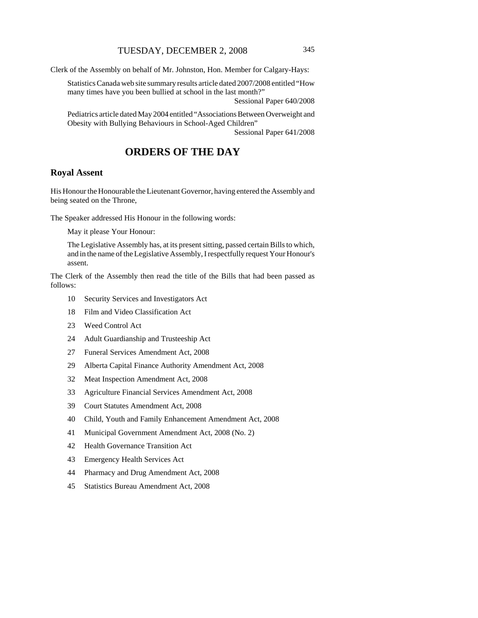Clerk of the Assembly on behalf of Mr. Johnston, Hon. Member for Calgary-Hays:

Statistics Canada web site summary results article dated 2007/2008 entitled "How many times have you been bullied at school in the last month?"

Sessional Paper 640/2008

Pediatrics article dated May 2004 entitled "Associations Between Overweight and Obesity with Bullying Behaviours in School-Aged Children" Sessional Paper 641/2008

### **ORDERS OF THE DAY**

### **Royal Assent**

His Honour the Honourable the Lieutenant Governor, having entered the Assembly and being seated on the Throne,

The Speaker addressed His Honour in the following words:

May it please Your Honour:

The Legislative Assembly has, at its present sitting, passed certain Bills to which, and in the name of the Legislative Assembly, I respectfully request Your Honour's assent.

The Clerk of the Assembly then read the title of the Bills that had been passed as follows:

- 10 Security Services and Investigators Act
- 18 Film and Video Classification Act
- 23 Weed Control Act
- 24 Adult Guardianship and Trusteeship Act
- 27 Funeral Services Amendment Act, 2008
- 29 Alberta Capital Finance Authority Amendment Act, 2008
- 32 Meat Inspection Amendment Act, 2008
- 33 Agriculture Financial Services Amendment Act, 2008
- 39 Court Statutes Amendment Act, 2008
- 40 Child, Youth and Family Enhancement Amendment Act, 2008
- 41 Municipal Government Amendment Act, 2008 (No. 2)
- 42 Health Governance Transition Act
- 43 Emergency Health Services Act
- 44 Pharmacy and Drug Amendment Act, 2008
- 45 Statistics Bureau Amendment Act, 2008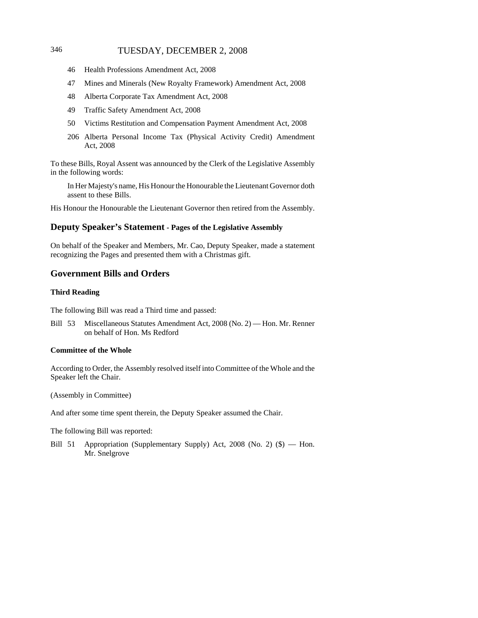### 346 TUESDAY, DECEMBER 2, 2008

- 46 Health Professions Amendment Act, 2008
- 47 Mines and Minerals (New Royalty Framework) Amendment Act, 2008
- 48 Alberta Corporate Tax Amendment Act, 2008
- 49 Traffic Safety Amendment Act, 2008
- 50 Victims Restitution and Compensation Payment Amendment Act, 2008
- 206 Alberta Personal Income Tax (Physical Activity Credit) Amendment Act, 2008

To these Bills, Royal Assent was announced by the Clerk of the Legislative Assembly in the following words:

In Her Majesty's name, His Honour the Honourable the Lieutenant Governor doth assent to these Bills.

His Honour the Honourable the Lieutenant Governor then retired from the Assembly.

### **Deputy Speaker's Statement - Pages of the Legislative Assembly**

On behalf of the Speaker and Members, Mr. Cao, Deputy Speaker, made a statement recognizing the Pages and presented them with a Christmas gift.

### **Government Bills and Orders**

#### **Third Reading**

The following Bill was read a Third time and passed:

Bill 53 Miscellaneous Statutes Amendment Act, 2008 (No. 2) — Hon. Mr. Renner on behalf of Hon. Ms Redford

#### **Committee of the Whole**

According to Order, the Assembly resolved itself into Committee of the Whole and the Speaker left the Chair.

(Assembly in Committee)

And after some time spent therein, the Deputy Speaker assumed the Chair.

The following Bill was reported:

Bill 51 Appropriation (Supplementary Supply) Act, 2008 (No. 2) (\$) — Hon. Mr. Snelgrove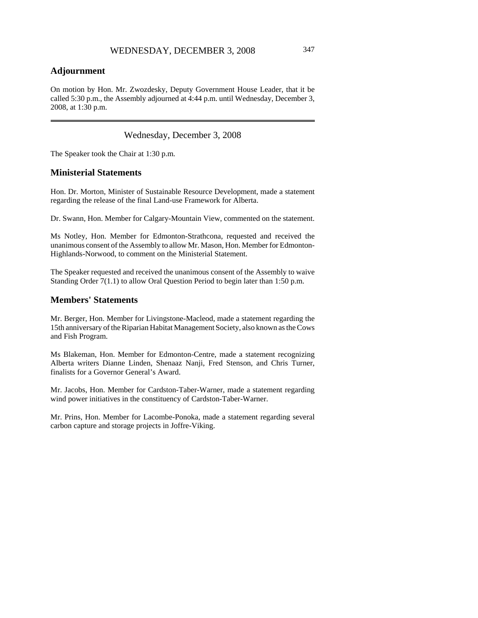### **Adjournment**

On motion by Hon. Mr. Zwozdesky, Deputy Government House Leader, that it be called 5:30 p.m., the Assembly adjourned at 4:44 p.m. until Wednesday, December 3, 2008, at 1:30 p.m.

Wednesday, December 3, 2008

The Speaker took the Chair at 1:30 p.m.

#### **Ministerial Statements**

Hon. Dr. Morton, Minister of Sustainable Resource Development, made a statement regarding the release of the final Land-use Framework for Alberta.

Dr. Swann, Hon. Member for Calgary-Mountain View, commented on the statement.

Ms Notley, Hon. Member for Edmonton-Strathcona, requested and received the unanimous consent of the Assembly to allow Mr. Mason, Hon. Member for Edmonton-Highlands-Norwood, to comment on the Ministerial Statement.

The Speaker requested and received the unanimous consent of the Assembly to waive Standing Order 7(1.1) to allow Oral Question Period to begin later than 1:50 p.m.

### **Members' Statements**

Mr. Berger, Hon. Member for Livingstone-Macleod, made a statement regarding the 15th anniversary of the Riparian Habitat Management Society, also known as the Cows and Fish Program.

Ms Blakeman, Hon. Member for Edmonton-Centre, made a statement recognizing Alberta writers Dianne Linden, Shenaaz Nanji, Fred Stenson, and Chris Turner, finalists for a Governor General's Award.

Mr. Jacobs, Hon. Member for Cardston-Taber-Warner, made a statement regarding wind power initiatives in the constituency of Cardston-Taber-Warner.

Mr. Prins, Hon. Member for Lacombe-Ponoka, made a statement regarding several carbon capture and storage projects in Joffre-Viking.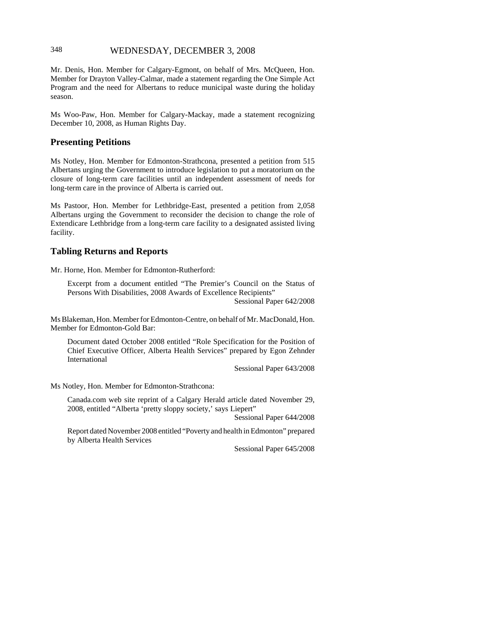### 348 WEDNESDAY, DECEMBER 3, 2008

Mr. Denis, Hon. Member for Calgary-Egmont, on behalf of Mrs. McQueen, Hon. Member for Drayton Valley-Calmar, made a statement regarding the One Simple Act Program and the need for Albertans to reduce municipal waste during the holiday season.

Ms Woo-Paw, Hon. Member for Calgary-Mackay, made a statement recognizing December 10, 2008, as Human Rights Day.

#### **Presenting Petitions**

Ms Notley, Hon. Member for Edmonton-Strathcona, presented a petition from 515 Albertans urging the Government to introduce legislation to put a moratorium on the closure of long-term care facilities until an independent assessment of needs for long-term care in the province of Alberta is carried out.

Ms Pastoor, Hon. Member for Lethbridge-East, presented a petition from 2,058 Albertans urging the Government to reconsider the decision to change the role of Extendicare Lethbridge from a long-term care facility to a designated assisted living facility.

#### **Tabling Returns and Reports**

Mr. Horne, Hon. Member for Edmonton-Rutherford:

Excerpt from a document entitled "The Premier's Council on the Status of Persons With Disabilities, 2008 Awards of Excellence Recipients" Sessional Paper 642/2008

Ms Blakeman, Hon. Member for Edmonton-Centre, on behalf of Mr. MacDonald, Hon. Member for Edmonton-Gold Bar:

Document dated October 2008 entitled "Role Specification for the Position of Chief Executive Officer, Alberta Health Services" prepared by Egon Zehnder International

Sessional Paper 643/2008

Ms Notley, Hon. Member for Edmonton-Strathcona:

Canada.com web site reprint of a Calgary Herald article dated November 29, 2008, entitled "Alberta 'pretty sloppy society,' says Liepert"

Sessional Paper 644/2008

Report dated November 2008 entitled "Poverty and health in Edmonton" prepared by Alberta Health Services

Sessional Paper 645/2008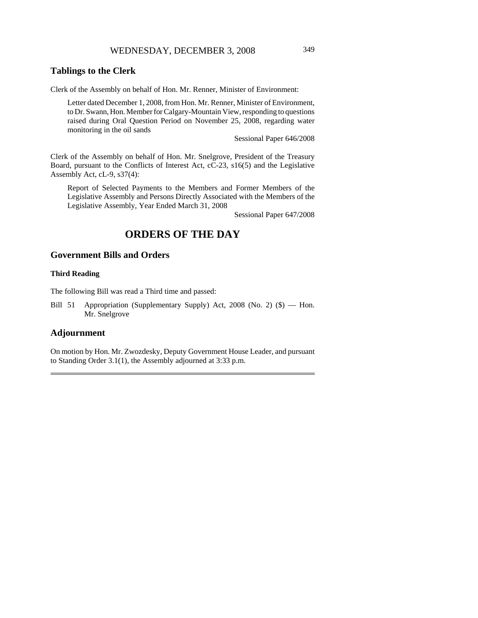### WEDNESDAY, DECEMBER 3, 2008 349

### **Tablings to the Clerk**

Clerk of the Assembly on behalf of Hon. Mr. Renner, Minister of Environment:

Letter dated December 1, 2008, from Hon. Mr. Renner, Minister of Environment, to Dr. Swann, Hon. Member for Calgary-Mountain View, responding to questions raised during Oral Question Period on November 25, 2008, regarding water monitoring in the oil sands

Sessional Paper 646/2008

Clerk of the Assembly on behalf of Hon. Mr. Snelgrove, President of the Treasury Board, pursuant to the Conflicts of Interest Act, cC-23, s16(5) and the Legislative Assembly Act, cL-9, s37(4):

Report of Selected Payments to the Members and Former Members of the Legislative Assembly and Persons Directly Associated with the Members of the Legislative Assembly, Year Ended March 31, 2008

Sessional Paper 647/2008

### **ORDERS OF THE DAY**

### **Government Bills and Orders**

#### **Third Reading**

The following Bill was read a Third time and passed:

Bill 51 Appropriation (Supplementary Supply) Act, 2008 (No. 2) (\$) — Hon. Mr. Snelgrove

### **Adjournment**

On motion by Hon. Mr. Zwozdesky, Deputy Government House Leader, and pursuant to Standing Order 3.1(1), the Assembly adjourned at 3:33 p.m.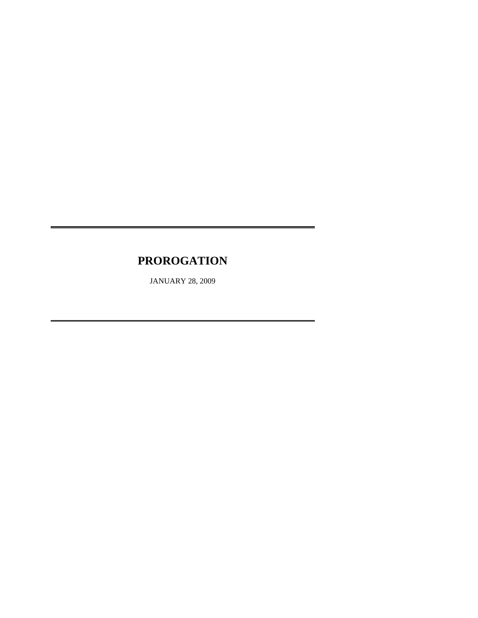# **PROROGATION**

JANUARY 28, 2009